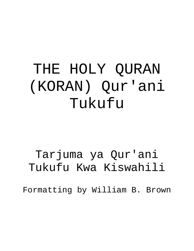# THE HOLY QURAN (KORAN) Qur'ani Tukufu

Tarjuma ya Qur'ani Tukufu Kwa Kiswahili

Formatting by William B. Brown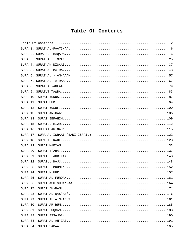## <span id="page-1-0"></span>Table Of Contents

| 164 |
|-----|
| 171 |
|     |
| 181 |
|     |
| 188 |
| 190 |
| 191 |
|     |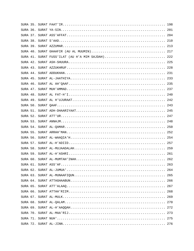|  | SURA 41. SURAT FUSS'ILAT (AU H'A MIM SAJDAH) 222 |     |
|--|--------------------------------------------------|-----|
|  |                                                  |     |
|  |                                                  |     |
|  |                                                  |     |
|  |                                                  |     |
|  |                                                  |     |
|  |                                                  |     |
|  |                                                  |     |
|  |                                                  |     |
|  |                                                  |     |
|  |                                                  |     |
|  |                                                  |     |
|  |                                                  |     |
|  |                                                  |     |
|  |                                                  |     |
|  |                                                  |     |
|  |                                                  |     |
|  |                                                  |     |
|  |                                                  |     |
|  |                                                  |     |
|  |                                                  |     |
|  |                                                  | 263 |
|  |                                                  | 264 |
|  |                                                  |     |
|  |                                                  | 266 |
|  |                                                  |     |
|  |                                                  |     |
|  |                                                  |     |
|  |                                                  | 270 |
|  |                                                  |     |
|  |                                                  |     |
|  |                                                  |     |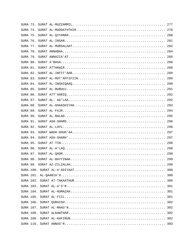|  |  | 299 |
|--|--|-----|
|  |  | 300 |
|  |  | 300 |
|  |  | 300 |
|  |  |     |
|  |  |     |
|  |  |     |
|  |  | 302 |
|  |  | 302 |
|  |  |     |
|  |  |     |
|  |  |     |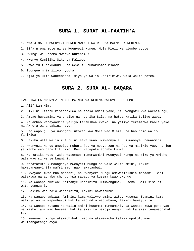#### <span id="page-5-0"></span>**SURA 1. SURAT AL-FAATIH'A**

1. KWA JINA LA MWENYEZI MUNGU MWINGI WA REHEMA MWENYE KUREHEMU.

2. Sifa njema zote ni za Mwenyezi Mungu, Mola Mlezi wa viumbe vyote;

3. Mwingi wa Rehema Mwenye Kurehemu;

4. Mwenye Kumiliki Siku ya Malipo.

5. Wewe tu tunakuabudu, na Wewe tu tunakuomba msaada.

6. Tuongoe njia iliyo nyooka,

7. Njia ya ulio waneemesha, siyo ya walio kasirikiwa, wala walio potea.

#### <span id="page-5-1"></span>**SURA 2. SURA AL- BAQARA**

KWA JINA LA MWENYEZI MUNGU MWINGI WA REHEMA MWENYE KUREHEMU.

1. Alif Lam Mim.

2. Hiki ni Kitabu kisichokuwa na shaka ndani yake; ni uwongofu kwa wachamungu,

3. Ambao huyaamini ya ghaibu na hushika Sala, na hutoa katika tuliyo wapa.

4. Na ambao wanayaamini yaliyo teremshwa kwako, na yaliyo teremshwa kabla yako; na Akhera wana yakini nayo.

5. Hao wapo juu ya uwongofu utokao kwa Mola wao Mlezi, na hao ndio walio fanikiwa.

6. Hakika wale walio kufuru ni sawa kwao ukiwaonya au usiwaonye, hawaamini.

7. Mwenyezi Mungu amepiga muhuri juu ya nyoyo zao na juu ya masikio yao, na juu ya macho yao pana kifuniko. Basi watapata adhabu kubwa.

8. Na katika watu, wako wasemao: Tumemwamini Mwenyezi Mungu na Siku ya Mwisho, wala wao si wenye kuamini.

9. Wanatafuta kumdanganya Mwenyezi Mungu na wale walio amini, lakini hawadanganyi ila nafsi zao; nao hawatambui.

10. Nyoyoni mwao mna maradhi, na Mwenyezi Mungu amewazidishia maradhi. Basi watakuwa na adhabu chungu kwa sababu ya kusema kwao uwongo.

11. Na wanapo ambiwa: Msifanye uharibifu ulimwenguni. Husema: Bali sisi ni watengenezaji.

12. Hakika wao ndio waharibifu, lakini hawatambui.

13. Na wanapo ambiwa: Aminini kama walivyo amini watu. Husema: Tuamini kama walivyo amini wapumbavu? Hakika wao ndio wapumbavu, lakini hawajui tu.

14. Na wanapo kutana na walio amini husema: Tumeamini. Na wanapo kuwa peke yao na mashet'ani wao husema: Hakika sisi tu pamoja nanyi. Hakika sisi tunawadhihaki tu.

15. Mwenyezi Mungu atawadhihaki wao na atawawacha katika upotofu wao wakitangatanga ovyo.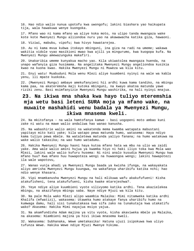16. Hao ndio walio nunua upotofu kwa uwongofu; lakini biashara yao haikupata tija, wala hawakuwa wenye kuongoka.

17. Mfano wao ni kama mfano wa aliye koka moto, na ulipo tanda mwangaza wake kote kote Mwenyezi Mungu aliiondoa nuru yao na akawawacha katika giza, hawaoni.

18. Viziwi, mabubu, vipofu; kwa hivyo hawatarejea.

19. Au ni kama mvua kubwa itokayo mbinguni, ina giza na radi na umeme; wakawa wakitia vidole vyao masikioni mwao kwa ajili ya mingurumo, kwa kuogopa kufa. Na Mwenyezi Mungu amewazunguka makafiri.

20. Unakaribia umeme kunyakua macho yao. Kila ukiwatolea mwangaza huenda, na unapo wafanyia giza husimama. Na angelitaka Mwenyezi Mungu angeliondoa kusikia kwao na kuona kwao. Hakika Mwenyezi Mungu ni Muweza wa kila kitu.

21. Enyi watu! Muabuduni Mola wenu Mlezi aliye kuumbeni nyinyi na wale wa kabla yenu, ili mpate kuokoka.

22. (Mwenyezi Mungu) ambaye amekufanyieni hii ardhi kuwa kama tandiko, na mbingu kama paa, na akateremsha maji kutoka mbinguni, na kwayo akatoa matunda yawe riziki zenu. Basi msimfanyizie Mwenyezi Mungu washirika, na hali nyinyi mnajua.

## **23. Na ikiwa mna shaka kwa hayo tuliyo mteremshia mja wetu basi leteni SURA moja ya mfano wake, na muwaite mashahidi wenu badala ya Mwenyezi Mungu, ikiwa mnasema kweli.**

24. Na mkitofanya - na wala hamtofanya kamwe - basi uogopeni moto ambao kuni zake ni watu na mawe walio andaliwa hao wanao kanusha.

25. Na wabashirie walio amini na wakatenda mema kwamba watapata mabustani yapitayo mito kati yake; kila watapo pewa matunda humo, watasema: Haya ndiyo kama tuliyo pewa mbele. Na wataletewa matunda yaliyo fanana; na humo watakuwa na wake walio takasika; na wao humo watadumu.

26. Hakika Mwenyezi Mungu haoni haya kutoa mfano hata wa mbu na ulio wa zaidi yake. Ama wale walio amini hujua ya kwamba hiyo ni haki iliyo toka kwa Mola wao Mlezi, lakini wale walio kufuru husema: Ni nini analo kusudia Mwenyezi Mungu kwa mfano huu? Kwa mfano huu huwapoteza wengi na huwaongoa wengi; lakini hawapotezi ila wale wapotovu,

27. Wanao vunja ahadi ya Mwenyezi Mungu baada ya kwisha ifunga, na wakayakata aliyo amrisha Mwenyezi Mungu kuungwa, na wakafanya uharibifu katika nchi; hao ndio wenye khasara.

28. Vipi mnamkanusha Mwenyezi Mungu na hali mlikuwa wafu akakufufueni! Kisha atakufisheni, tena atakufufueni, kisha kwake mtarejeshwa?.

29. Yeye ndiye aliye kuumbieni vyote vilivyomo katika ardhi. Tena akazielekea mbingu, na akazifanya mbingu saba. Naye ndiye Mjuzi wa kila kitu.

30. Na pale Mola wako Mlezi alipo waambia Malaika: Mimi nitamweka katika ardhi Khalifa (mfwatizi), wakasema: Utaweka humo atakaye fanya uharibifu humo na kumwaga damu, hali sisi tunakutakasa kwa sifa zako na tunakutaja kwa utakatifu wako? Akasema: Hakika Mimi nayajua msiyo yajua.

31. Na akamfundisha Adam majina ya vitu vyote, kisha akaviweka mbele ya Malaika, na akasema: Niambieni majina ya hivi ikiwa mnasema kweli.

32. Wakasema: Subhanaka, Wewe umetakasika! Hatuna ujuzi isipokuwa kwa uliyo tufunza Wewe. Hakika Wewe ndiye Mjuzi Mwenye hikima.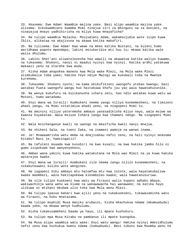33. Akasema: Ewe Adam! Waambie majina yake. Basi alipo waambia majina yake alisema: Sikukwambieni kwamba Mimi ninajua siri za mbinguni na za duniani, na ninayajua mnayo yadhihirisha na mliyo kuwa mnayaficha?

34. Na tulipo waambia Malaika: Msujudieni Adam, wakamsujudia wote isipo kuwa Iblis, alikataa na akajivuna na akawa katika makafiri.

35. Na tulisema: Ewe Adam! Kaa wewe na mkeo katika Bustani, na kuleni humo maridhawa popote mpendapo, lakini msiukaribie mti huu tu; mkawa katika wale walio dhulumu.

36. Lakini Shet'ani aliwatelezesha hao wawili na akawatoa katika waliyo kuwamo, na tukasema: Shukeni, nanyi ni maadui nyinyi kwa nyinyi. Katika ardhi yatakuwa makaazi yenu na starehe kwa muda.

37. Kisha Adam akapokea maneno kwa Mola wake Mlezi, na Mola wake Mlezi alimkubalia toba yake; hakika Yeye ndiye Mwingi wa kukubali toba na Mwenye kurehemu.

38. Tukasema: Shukeni nyote; na kama ukikufikieni uwongofu utokao kwangu, basi watakao fuata uwongofu wangu huo haitakuwa khofu juu yao wala hawatahuzunika.

39. Na wenye kukufuru na kuzikanusha ishara zetu, hao ndio watakao kuwa watu wa Motoni, humo watadumu.

40. Enyi Wana wa Israili! Kumbukeni neema yangu niliyo kuneemesheni, na timizeni ahadi yangu, na Mimi nitatimiza ahadi yenu, na niogopeni Mimi tu.

41. Na aminini niliyo yateremsha ambayo yanasadikisha mliyo nayo, wala msiwe wa kwanza kuyakataa. Wala msiuze Ishara zangu kwa thamani ndogo. Na niogopeni Mimi tu.

42. Wala msichanganye kweli na uwongo na mkaificha kweli nanyi mnajua.

43. Na shikeni Sala, na toeni Zaka, na inameni pamoja na wanao inama.

44. Je! Mnawaamrisha watu mema na mnajisahau nafsi zenu, na hali nyinyi mnasoma Kitabu? Basi je, hamzingatii?

45. Na tafuteni msaada kwa kusubiri na kwa kusali; na kwa hakika jambo hilo ni gumu isipokuwa kwa wanyenyekevu,

46. Ambao wana yakini kuwa hakika watakutana na Mola wao Mlezi na ya kuwa hakika watarejea kwake.

47. Enyi Wana wa Israili! Kumbukeni zile neema zangu nilizo kuneemesheni, na nikakuteuweni kuliko wote wengineo.

48. Na iogopeni Siku ambayo mtu hatomfaa mtu kwa lolote, wala hayatakubaliwa kwake maombezi, wala hakitapokewa kikomboleo kwake; wala hawatanusuriwa.

49. Na vile tulipo kuokoeni kwa watu wa Firauni walio kupeni adhabu mbaya, wakiwachinja wana wenu wa kiume na wakawawacha hai wanawake; na katika hayo ulikuwa ni mtihani mkubwa ulio toka kwa Mola wenu Mlezi.

50. Na tulipo ipasua bahari kwa ajili yenu na tukakuokoeni, tukawazamisha watu wa Firauni, na huku mnatazama.

51. Na tulipo muahidi Musa masiku arubaini, kisha mkachukua ndama (mkamuabudu) baada yake, na mkawa wenye kudhulumu.

52. Kisha tukakusameheni baada ya hayo, ili mpate kushukuru.

53. Na tulipo mpa Musa Kitabu na pambanuo ili mpate kuongoka.

54. Na Musa alipo waambia watu wake: Enyi watu wangu! Hakika nyinyi mmezidhulumu nafsi zenu kwa kuchukua kwenu ndama (kumuabudu). Basi tubuni kwa Muumba wenu na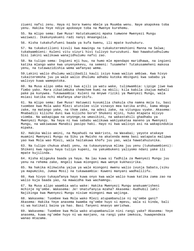ziueni nafsi zenu. Haya ni bora kwenu mbele ya Muumba wenu. Naye akapokea toba yenu. Hakika Yeye ndiye apokeaye toba na Mwenye kurehemu.

55. Na mlipo sema: Ewe Musa! Hatutakuamini mpaka tumwone Mwenyezi Mungu waziwazi. Ikakunyakueni radi nanyi mnaangalia.

56. Kisha tukakufufueni baada ya kufa kwenu, ili mpate kushukuru.

57. Na tukakutilieni kivuli kwa mawingu na tukakuteremshieni Manna na Salwa; tukakwambieni: Kuleni vitu vizuri hivi tulivyo kuruzukuni. Nao hawakutudhulumu Sisi lakini walikuwa wanajidhulumu nafsi zao.

58. Na tulipo sema: Ingieni mji huu, na humo mle mpendapo maridhawa, na ingieni katika mlango wake kwa unyenyekevu, na semeni: Tusamehe! Tutakusameheni makosa yenu, na tutawazidishia wema wafanyao wema.

59.Lakini walio dhulumu waliibadili kauli isiyo kuwa waliyo ambiwa. Kwa hivyo tukaiteremsha juu ya wale walio dhulumu adhabu kutoka mbinguni kwa sababu ya walivyo kuwa wamepotoka.

60. Na Musa alipo omba maji kwa ajili ya watu wake, tulimwambia: Lipige jiwe kwa fimbo yako. Mara zikatimbuka chemchem kumi na mbili; kila kabila ikajua mahali pake pa kunywea. Tukawaambia: Kuleni na mnywe riziki ya Mwenyezi Mungu, wala msiasi katika nchi mkafanya uharibifu.

61. Na mlipo sema: Ewe Musa! Hatuwezi kuvumilia chakula cha namna moja tu, basi tuombee kwa Mola wako Mlezi atutolee vile vinavyo mea katika ardhi, kama mboga zake, na matango yake, na thom zake, na adesi zake, na vitunguu vyake. Akasema: Mnabadili kilicho duni kwa kilicho bora? Shukeni mjini, huko mtapata mlivyo viomba. Na wakapigwa na unyonge,na umasikini, na wakastahili ghadhabu ya Mwenyezi Mungu. Na haya ni kwa sababu walikuwa wakiyakataa maneno ya Mwenyezi Mungu, na wakiwauwa Manabii pasipo haki. Hayo ni kwa walivyo asi na wakapindukia mipaka.

62. Hakika Walio amini, na Mayahudi na Wakristo, na Wasabai; yeyote atakaye muamini Mwenyezi Mungu na Siku ya Mwisho na akatenda mema basi watapata malipwa yao kwa Mola wao Mlezi, wala haitakuwa khofu juu yao, wala hawatahuzunika.

63. Na tulipo chukua ahadi yenu, na tukaunyanyua mlima juu yenu (tukakwambieni): Shikeni kwa nguvu haya tuliyo kupeni, na yakumbukeni yaliyomo ndani yake ili mpate kujilinda.

64. Kisha mligeuka baada ya haya. Na lau kuwa si fadhila za Mwenyezi Mungu juu yenu na rehema zake, mngeli kuwa miongoni mwa wenye kukhasirika.

65. Na hakika mlikwisha yajua ya wale miongoni mwenu walio ivunja Sabato,(siku ya mapumziko, Jumaa Mosi) na tukawaambia: Kuweni manyani wadhalilifu.

66. Kwa hivyo tukayafanya hayo kuwa onyo kwa wale walio kuwa katika zama zao na walio kuja baada yao, na mawaidha kwa wachamngu.

67. Na Musa alipo waambia watu wake: Hakika Mwenyezi Mungu anakuamrisheni mchinje ng'ombe. Wakasema: Je! Unatufanyia mzaha? Akasema: Audhubil lahi! Najikinga kwa Mwenyezi Mungu nisiwe miongoni mwa wajinga.

68. Wakasema: Tuombee kwa Mola wako Mlezi atupambanulie ni ng'ombe gani? Akasema: Hakika Yeye anasema kwamba ng'ombe huyo si mpevu, wala si kinda, bali ni wa katikati baina ya hao. Basi fanyeni mnavyo amrishwa.

69. Wakasema: Tuombee kwa Mola wako atupambanulie nini rangi yake? Akasema: Yeye anasema, kuwa ng'ombe huyo ni wa manjano, na rangi yake imekoza, huwapendeza wanao mtazama.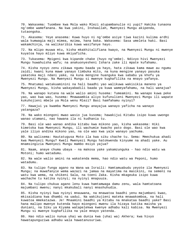70. Wakasema: Tuombee kwa Mola wako Mlezi atupambanulie ni yupi? Hakika tunaona ng'ombe wamefanana. Na kwa yakini, Inshaallah, Mwenyezi Mungu akipenda, tutaongoka.

71. Akasema: Yeye anasema: Kuwa huyo ni ng'ombe asiye tiwa kazini kulima ardhi wala kumwagia maji mimea, mzima, hana baka. Wakasema: Sasa umeleta haki. Basi wakamchinja, na walikaribia kuwa wasifanye hayo.

72. Na mlipo muuwa mtu, kisha mkakhitalifiana kwayo, na Mwenyezi Mungu ni mwenye kuyatoa hayo mliyo kuwa mkiyaficha.

73. Tukasema: Mpigeni kwa kipande chake (huyo ng'ombe). Ndivyo hivi Mwenyezi Mungu huwahuisha wafu; na anakuonyesheni Ishara zake ili mpate kufahamu.

74. Kisha nyoyo zenu zikawa ngumu baada ya hayo, hata zikawa kama mawe au ngumu zaidi; kwani kuna mawe yanayo timbuka mito, na kuna mengine yanayo pasuka yakatoka maji ndani yake, na kuna mengine huanguka kwa sababu ya khofu ya Mwenyezi Mungu. Na Mwenyezi Mungu si mwenye kughafilika na mnayo yafanya.

75. Mnatumai watakuaminini na hali baadhi yao walikuwa wakisikia maneno ya Mwenyezi Mungu, kisha wakayabadili baada ya kuwa wameyafahamu, na hali wanajua?

76. Na wanapo kutana na wale walio amini husema: Tumeamini. Na wanapo kuwa peke yao, wao kwa wao, husema: Mnawaambia aliyo kufunulieni Mwenyezi Mungu ili wapate kukuhojieni mbele ya Mola wenu Mlezi? Basi hamfahamu nyinyi?

77. Hawajui ya kwamba Mwenyezi Mungu anayajua wanayo yaficha na wanayo yatangaza?

78. Na wako miongoni mwao wasio jua kusoma; hawakijui Kitabu isipo kuwa uwongo wanao utamani, nao hawana ila ni kudhania tu.

79. Basi ole wao wanao andika kitabu kwa mikono yao, kisha wakasema: Hiki kimetoka kwa Mwenyezi Mungu, ili wachumie kwacho pato dogo. Basi ole wao kwa yale iliyo andika mikono yao, na ole wao kwa yale wanayo yachuma.

80. Na walisema: Hautatugusa Moto ila kwa siku chache tu. Sema: Mmechukua ahadi kwa Mwenyezi Mungu? Kweli Mwenyezi Mungu hatokwenda kinyume na ahadi yake. Au mnamsingizia Mwenyezi Mungu mambo msiyo yajua?

81. Naam, anaye chuma ubaya - na makosa yake yakamzunguka - hao ndio watu wa Motoni; humo watadumu.

82. Na wale walio amini na wakatenda mema, hao ndio watu wa Peponi, humo watadumu.

83. Na tulipo funga agano na Wana wa Israili: Hamtamuabudu yeyote ila Mwenyezi Mungu; na muwafanyie wema wazazi na jamaa na mayatima na masikini, na semeni na watu kwa wema, na shikeni Sala, na toeni Zaka. Kisha mkageuka isipo kuwa wachache tu katika nyinyi; na nyinyi mnapuuza.

84. Na tulipo chukua agano lenu kuwa hamtamwaga damu zenu, wala hamtatoana majumbani mwenu; nanyi mkakubali nanyi mnashuhudia.

85. Kisha nyinyi kwa nyinyi mnauwana, na mnawatoa baadhi yenu majumbani kwao, mkisaidiana kwa dhambi na uadui. Na wakikujieni mateka mnawakomboa, na hali kuwatoa mmekatazwa. Je! Mnaamini baadhi ya Kitabu na mnakataa baadhi yake? Basi hana malipo mwenye kutenda hayo miongoni mwenu ila hizaya katika maisha ya duniani, na Siku ya Kiyama watapelekwa kwenye adhabu kali kabisa. Na Mwenyezi Mungu si mwenye kughafilika na yale mnayo yatenda.

86. Hao ndio walio nunua uhai wa dunia kwa (uhai wa) Akhera; kwa hivyo hawatapunguziwa adhabu wala hawatanusuriwa.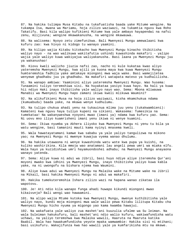87. Na hakika tulimpa Musa Kitabu na tukafuatisha baada yake Mitume wengine. Na tukampa Isa, mwana wa Mariamu, hoja zilizo waziwazi, na tukamtia nguvu kwa Roho Takatifu. Basi kila walipo kufikieni Mitume kwa yale ambayo hayapendwi na nafsi zenu, mlijivuna; wengine mkawakanusha, na wengine mkawauwa.

88. Na walisema: Nyoyo zetu zimefunikwa. Bali Mwenyezi Mungu amewalaani kwa kufuru zao: kwa hivyo ni kidogo tu wanayo yaamini.

89. Na kilipo wajia Kitabu kitokacho kwa Mwenyezi Mungu kinacho thibitisha waliyo nayo - na wao walikuwa wakitafutia ushindi kuwashinda makafiri - yalipo wajia yale waliyo kuwa wakiyajua waliyakanusha. Basi laana ya Mwenyezi Mungu juu ya wakanushao!

90. Kiovu kweli walicho jiuzia nafsi zao, nacho ni kule kukataa kwao aliyo yateremsha Mwenyezi Mungu, kwa ajili ya kuona maya kwa kuwa Mwenyezi Mungu humteremshia fadhila yake amtakaye miongoni mwa waja wake. Basi wamejiletea wenyewe ghadhabu juu ya ghadhabu. Na makafiri watapata mateso ya kudhalilisha.

91. Na wanapo ambiwa: Yaaminini aliyo yateremsha Mwenyezi Mungu. Wao husema: Tunaamini tuliyo teremshiwa sisi. Na huyakataa yasiyo kuwa hayo. Na hali ya kuwa hii ndiyo Haki inayo thibitisha yale waliyo nayo wao. Sema: Mbona mliwauwa Manabii wa Mwenyezi Mungu hapo zamani ikiwa kweli mlikuwa Waumini?

92. Na alikufikieni Musa na hoja zilizo waziwazi, kisha mkamchukua ndama (kumuabudu) baada yake, na mkawa wenye kudhulumu.

93. Na tulipo chukua ahadi yenu na tukauinua mlima juu yenu (tukakwambieni): Kamateni kwa nguvu haya tuliyo kupeni na sikieni. Wakasema: Tumesikia na tumekataa! Na wakanyweshwa nyoyoni mwao (imani ya) ndama kwa kufuru yao. Sema: Ni uovu mno iliyo kuamrisheni imani yenu ikiwa ni wenye kuamini.

94. Sema: Ikiwa nyumba ya Akhera iliyoko kwa Mwenyezi Mungu ni yenu tu bila ya watu wengine, basi tamanini mauti kama nyinyi mnasema kweli.

95. Wala hawatayatamani kamwe kwa sababu ya yale yaliyo tangulizwa na mikono yao; na Mwenyezi Mungu ni mwenye kuwajua vyema wanao dhulumu.

96. Na hakika utawaona ni wenye kuwashinda watu wote kwa pupa ya kuishi, na kuliko washirikina. Kila mmoja wao anatamani lau angeli pewa umri wa miaka elfu. Wala hayo ya kuzidishiwa umri hayamuondoshei adhabu; na Mwenyezi Mungu anayaona wanayo yatenda.

97. Sema: Aliye kuwa ni adui wa Jibril, basi huyo ndiye aliye iteremsha Qur'ani moyoni mwako kwa idhini ya Mwenyezi Mungu, inayo thibitisha yaliyo kuwa kabla yake, na ni uwongofu na bishara njema kwa Waumini.

98. Aliye kuwa adui wa Mwenyezi Mungu na Malaika wake na Mitume wake na Jibril na Mikail, basi hakika Mwenyezi Mungu ni adui wa makafiri.

99. Hakika tumekuteremshia Ishara zilizo wazi na hapana wanao zikataa ila wapotovu.

100. Je! Ati ndio kila wanapo funga ahadi huwapo kikundi miongoni mwao kikaivunja? Bali wengi wao hawaamini.

101. Na alipo wajia Mtume kutoka kwa Mwenyezi Mungu, mwenye kuthibitisha yale waliyo nayo, kundi moja miongoni mwa wale walio pewa Kitabu lilitupa Kitabu cha Mwenyezi Mungu hicho nyuma ya migongo yao kama kwamba hawajui.

102. Na wakafuata yale waliyo zua mashet'ani kuuzulia ufalme wa Su leiman. Na wala Suleiman hakukufuru, bali mashet'ani ndio walio kufuru, wakiwafundisha watu uchawi, na yaliyo teremshwa kwa Malaika wawili, Haaruta na Maaruta katika Baabil. Wala hao hawakumfundisha yeyote mpaka wamwambie: Hakika sisi ni mtihani; basi usikufuru. Wakajifunza kwa hao wawili yale ya kumfarikisha mtu na mkewe.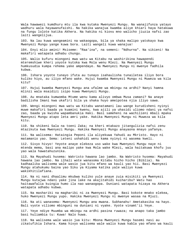Wala hawawezi kumdhuru mtu ila kwa kutaka Mwenyezi Mungu. Na wanajifunza yatayo wadhuru wala hayawanufaishi. Na hakika wanajua kwamba aliye khiari haya hatakuwa na fungu lolote katika Akhera. Na hakika ni kiovu mno walicho jiuzia nafsi zao laiti wangelijua.

103. Na lau kuwa wangeamini na wakaogopa, bila ya shaka malipo yatokayo kwa Mwenyezi Mungu yange kuwa bora. Laiti wangeli kuwa wanajua!

104. Enyi mlio amini! Msiseme: "Raa'ina", na semeni: "Ndhurna". Na sikieni! Na makafiri watapata adhabu chungu.

105. Walio kufuru miongoni mwa watu wa Kitabu na washirikina hawapendi mteremshiwe kheri yoyote kutoka kwa Mola wenu Mlezi. Na Mwenyezi Mungu humkusudia kumpa rehema yake ampendaye. Na Mwenyezi Mungu ni mwenye fadhila kubwa.

106. Ishara yoyote tunayo ifuta au tunayo isahaulisha tunailetea iliyo bora kuliko hiyo, au iliyo mfano wake. Hujui kwamba Mwenyezi Mungu ni Muweza wa kila kitu?

107. Hujui kwamba Mwenyezi Mungu ana ufalme wa mbingu na ardhi? Nanyi hamna mlinzi wala msaidizi isipo kuwa Mwenyezi Mungu.

108. Au mnataka kumwomba Mtume wenu kama alivyo ombwa Musa zamani? Na anaye badilisha Imani kwa ukafiri bila ya shaka huyo ameipotea njia iliyo sawa.

109. Wengi miongoni mwa watu wa Kitabu wanatamani lau wange kurudisheni nyinyi muwe makafiri baada ya kuamini kwenu, kwa ajili ya uhasidi uliomo ndani ya nafsi zao, baada ya kwisha wapambanukia Haki. Basi sameheni na wachilieni mbali mpaka Mwenyezi Mungu atapo leta amri yake. Hakika Mwenyezi Mungu ni Muweza wa kila kitu.

110. Na shikeni Sala na toeni Zaka; na kheri mtakazo jitangulizia nafsi zenu mtazikuta kwa Mwenyezi Mungu. Hakika Mwenyezi Mungu anayaona mnayo yafanya.

111. Na walisema: Hataingia Peponi ila aliyekuwa Yahudi au Mkristo. Hayo ni matamanio yao. Sema: Leteni ushahidi wenu kama nyinyi ni wasema kweli.

112. Sivyo hivyo! Yeyote anaye elekeza uso wake kwa Mwenyezi Mungu naye ni mtenda mema, basi ana malipo yake kwa Mola wake Mlezi, wala haitakuwa khofu juu yao wala hawatahuzunika.

113. Na Mayahudi husema: Wakristo hawana lao jambo. Na Wakristo husema: Mayahudi hawana lao jambo. Na ilhali wote wanasoma Kitabu hicho hicho (Biblia). Na kadhaalika walisema wale wasio jua kitu mfano wa kauli yao hii. Basi Mwenyezi Mungu atahukumu baina yao Siku ya Kiyama katika yale waliyo kuwa wakikhitilafiana.

114. Na ni nani dhaalimu mkubwa kuliko yule anaye zuia misikiti ya Mwenyezi Mungu kutajwa ndani yake jina lake na akajitahidi kuiharibu? Watu hao haitawafalia kuingia humo ila nao wanaogopa. Duniani watapata hizaya na Akhera watapata adhabu kubwa.

115. Na mashariki na magharibi ni za Mwenyezi Mungu. Basi kokote mnako elekea, huko Mwenyezi Mungu yupo. Hakika Mwenyezi Mungu ni mwenye wasaa na Mjuzi.

116. Na ati wanasema: Mwenyezi Mungu ana mwana. Subhanahu! Ametakasika na hayo. Bali vyote viliomo mbinguni na duniani ni vyake. Vyote vinamt'ii Yeye.

117. Yeye ndiye Muumba wa mbingu na ardhi pasina ruwaza; na anapo taka jambo basi huliambia tu: Kuwa! Nalo huwa.

118. Na walisema wale wasio jua kitu: Mbona Mwenyezi Mungu hasemi nasi au zikatufikia Ishara. Kama hivyo walisema wale walio kuwa kabla yao mfano wa kauli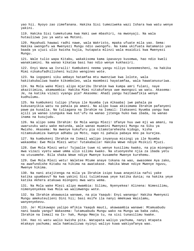yao hii. Nyoyo zao zimefanana. Hakika Sisi tumeziweka wazi Ishara kwa watu wenye yakini.

119. Hakika Sisi tumekutuma kwa Haki uwe mbashiri, na mwonyaji. Na wala hutaulizwa juu ya watu wa Motoni.

120. Mayahudi hawawi radhi nawe, wala Wakristo, mpaka ufuate mila yao. Sema: Hakika uwongofu wa Mwenyezi Mungu ndio uwongofu. Na kama ukifuata matamanio yao baada ya ujuzi ulio kwisha kujia, hutapata mlinzi wala msaidizi kwa Mwenyezi Mungu.

121. Wale tulio wapa Kitabu, wakakisoma kama ipasavyo kusomwa, hao ndio kweli wanakiamini. Na wanao kikataa basi hao ndio wenye kukhasiri.

122. Enyi Wana wa Israili! Kumbukeni neema yangu niliyo kuneemesheni, na hakika Mimi nikakufadhilisheni kuliko wengineo wote.

123. Na iogopeni siku ambayo hatamfaa mtu mwenziwe kwa lolote, wala hakitakubaliwa kwake kikomboleo, wala maombezi hayatamfaa, wala hawatanusuriwa.

124. Na Mola wake Mlezi alipo mjaribu Ibrahim kwa kumpa amri fulani, naye akazitimiza, akamwambia: Hakika Mimi nitakufanya uwe mwongozi wa watu. Akasema: Je, na katika vizazi vyangu pia? Akasema: Ahadi yangu haitawafikia wenye kudhulumu.

125. Na kumbukeni tulipo ifanya ile Nyumba (ya Alkaaba) iwe pahala pa kukusanyikia watu na pahala pa amani. Na alipo kuwa akisimama Ibrahim pafanyeni pawe pa kusalia. Na tuliagana na Ibrahim na Ismail: Itakaseni Nyumba yangu kwa ajili ya wanao izunguka kwa kut'ufu na wanao jitenga huko kwa ibada, na wanao inama na kusujudu.

126. Na alipo sema Ibrahim: Ee Mola wangu Mlezi! Ufanye huu uwe mji wa amani, na uwaruzuku watu wake matunda, wale wanao muamini Mwenyezi Mungu na Siku ya Mwisho. Akasema: Na mwenye kukufuru pia nitamstarehesha kidogo, kisha nitamsukumiza kwenye adhabu ya Moto, napo ni pahala pabaya mno pa kurejea.

127. Na kumbukeni Ibrahim na Ismail walipo inyanyua misingi ya ile Nyumba wakaomba: Ewe Mola Mlezi wetu! Tutakabalie! Hakika Wewe ndiye Msikizi Mjuzi.

128. Ewe Mola Mlezi wetu! Tujaalie tuwe ni wenye kusilimu kwako, na pia miongoni mwa vizazi vyetu wawe umma ulio silimu kwako. Na utuonyeshe njia za ibada yetu na utusamehe. Bila shaka Wewe ndiye Mwenye kusamehe Mwenye kurehemu.

129. Ewe Mola Mlezi wetu! Waletee Mtume anaye tokana na wao, awasomee Aya zako, na awafundishe Kitabu na hikima na awatakase. Hakika Wewe ndiye Mwenye nguvu, Mwenye hikima.

130. Na nani atajitenga na mila ya Ibrahim isipo kuwa anayeitia nafsi yake katika upumbavu? Na kwa yakini Sisi tulimteuwa yeye katika dunia; na hakika yeye katika Akhera atakuwa miongoni mwa watu wema.

131. Na Mola wake Mlezi alipo mwambia: Silimu, Nyenyekea! Alinena: Nimesilimu, nimenyenyekea kwa Mola wa walimwengu wote.

132. Na Ibrahim akawausia wanawe, na pia Yaaqub: Enyi wanangu! Hakika Mwenyezi Mungu amekuteulieni Dini hii; basi msife ila nanyi mmekuwa Waislamu, wanyenyekevu.

133. Je! Mlikuwapo yalipo mfikia Yaaqub mauti, akawaambia wanawe: Mtamuabudu nani baada yangu? Wakasema: Tutamuabudu Mungu wako na Mungu wa baba zako, Ibrahim na Ismail na Is- hak, Mungu Mmoja tu, na sisi tunasilimu kwake.

134. Hao ni watu walio kwisha pita. Watapata waliyo yachuma, nanyi mtapata mtakayo yachuma; wala hamtaulizwa nyinyi waliyo kuwa wakiyafanya wao.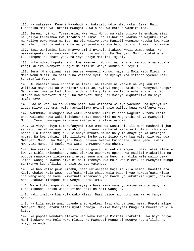135. Na wakasema: Kuweni Mayahudi au Wakristo ndio mtaongoka. Sema: Bali tunashika mila ya Ibrahim mwongofu, wala hakuwa katika washirikina.

136. Semeni nyinyi: Tumemuamini Mwenyezi Mungu na yale tuliyo teremshiwa sisi, na yaliyo teremshwa kwa Ibrahim na Ismail na Is-hak na Yaakub na wajukuu zake, na waliyo pewa Musa na Isa, na pia waliyo pewa Manabii wengine kutoka kwa Mola wao Mlezi; hatutafautishi baina ya yeyote katika hao, na sisi tumesilimu kwake.

137. Basi wakiamini kama mnavyo amini nyinyi, itakuwa kweli wameongoka. Na wakikengeuka basi wao wamo katika upinzani tu. Na Mwenyezi Mungu atakutosheni kukukingeni na shari yao, na Yeye ndiye Msikizi, Mjuzi.

138. Huko ndiko kupaka rangi kwa Mwenyezi Mungu, na nani aliye mbora wa kupaka rangi kuliko Mwenyezi Mungu? Na sisi ni wenye kumuabudu Yeye tu.

139. Sema: Mnahojiana nasi juu ya Mwenyezi Mungu, naye ni Mola wetu Mlezi na Mola wenu Mlezi, na sisi tuna vitendo vyetu na nyinyi mna vitendo vyenu? Nasi tunamsafia Yeye tu.

140. Au mnasema kuwa Ibrahim na Ismail na Is-hak na Yaakub na wajukuu zao walikuwa Mayahudi au Wakristo? Sema: Je, nyinyi mnajua zaidi au Mwenyezi Mungu? Na ni nani mwenye kudhulumu zaidi kuliko yule aliye ficha ushahidi alio nao utokao kwa Mwenyezi Mungu? Na Mwenyezi Mungu si mwenye kughafilika na hayo myafanyayo.

141. Hao ni watu walio kwisha pita. Wao watapata waliyo yachuma, na nyinyi mt apata mliyo yachuma, wala hamtaulizwa nyinyi yale waliyo kuwa wakifanya wao.

142. WAPUMBAVU miongoni mwa watu watasema: Nini kilicho wageuza kutoka kibla chao walicho kuwa wakikielekea? Sema: Mashariki na Magharibi ni ya Mwenyezi Mungu; Yeye humwongoa amtakaye kwenye njia iliyo nyooka.

143. Na vivyo hivyo tumekufanyeni muwe Umma wa wasitani, ili muwe mashahidi juu ya watu, na Mtume awe ni shahidi juu yenu. Na hatukukifanya kibla ulicho kuwa nacho ila tupate kumjua yule anaye mfuata Mtume na yule anaye geuka akarejea nyuma. Na kwa yakini hilo lilikuwa jambo gumu isipo kuwa kwa wale alio waongoa Mwenyezi Mungu. Na Mwenyezi Mungu hakuwa mwenye kuipoteza Imani yenu. Kwani Mwenyezi Mungu ni Mpole kwa watu na Mwenye kuwarehemu.

144. Kwa yakini tukiona unavyo geuza geuza uso wako mbinguni. Basi tutakuelekeza kwenye Kibla ukipendacho. Basi elekeza uso wako upande wa Msikiti Mtakatifu; na popote mnapokuwa zielekezeni nyuso zenu upande huo; na hakika wale walio pewa Kitabu wanajua kwamba hiyo ni haki itokayo kwa Mola wao Mlezi. Na Mwenyezi Mungu si mwenye kughafilika na yale wanayo yatenda.

145. Na hao walio pewa Kitabu, hata ukiwaletea hoja za kila namna, hawatafuata Kibla chako; wala wewe hutafuata kibla chao, wala baadhi yao hawatafuata kibla cha wengineo; na kama ukiyafuata matamanio yao baada ya kukufikia ujuzi, hakika hapo utakuwa miongoni mwa wenye kudhullumu.

146. Wale tulio wapa Kitabu wanayajua haya kama wanavyo wajua watoto wao; na kuna kikundi katika wao huificha haki na hali wanajua.

147. Haki inatoka kwa Mola wako Mlezi. Basi usiwe miongoni mwa wanao fanya shaka.

148. Na kila mmoja anao upande anao elekea. Basi shindanieni mema. Popote mlipo Mwenyezi Mungu atakuleteni nyote pamoja. Hakika Mwenyezi Mungu ni Muweza wa kila kitu.

149. Na popote wendako elekeza uso wako kwenye Msikiti Mtakatifu. Na hiyo ndiyo Haki itokayo kwa Mola wako Mlezi. Na Mwenyezi Mungu si mwenye kughafilika na mnayo yatenda.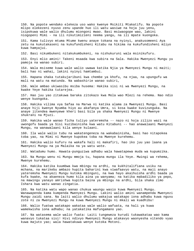150. Na popote wendako elekeza uso wako kwenye Msikiti Mtakatifu. Na popote mlipo elekezeni nyuso zenu upande huo ili watu wasiwe na hoja juu yenu, isipokuwa wale walio dhulumu miongoni mwao. Basi msiwaogope wao, lakini niogopeni Mimi - na ili nikutimizieni neema yangu, na ili mpate kuongoka.

151. Kama tulivyo mtuma Mtume kwenu anaye tokana na nyinyi, anakusomeeni Aya zetu na kukutakaseni na kukufundisheni Kitabu na hikima na kukufundisheni mliyo kuwa hamyajui.

152. Basi nikumbukeni nitakukumbukeni, na nishukuruni wala msinikufuru.

153. Enyi mlio amini! Takeni msaada kwa subira na Sala. Hakika Mwenyezi Mungu yu pamoja na wanao subiri.

154. Wala msiseme kuwa wale walio uwawa katika Njia ya Mwenyezi Mungu ni maiti; bali hao ni wahai, lakini nyinyi hamtambui.

155. Hapana shaka tutakujaribuni kwa chembe ya khofu, na njaa, na upungufu wa mali na watu na matunda. Na wabashirie wanao subiri,

156. Wale ambao ukiwasibu msiba husema: Hakika sisi ni wa Mwenyezi Mungu, na kwake Yeye hakika tutarejea.

157. Hao juu yao zitakuwa baraka zitokazo kwa Mola wao Mlezi na rehema. Nao ndio wenye kuongoka.

158. Hakika vilima vya Safaa na Marwa ni katika alama za Mwenyezi Mungu. Basi anaye hiji kwenye Nyumba hiyo au akafanya Umra, si kosa kwake kuvizunguka. Na anaye jitendea mwenyewe kheri basi bila ya shaka Mwenyezi Mungu ni Mwenye shukrani na Mjuzi.

159. Hakika wale wanao ficha tuliyo yateremsha -- nazo ni hoja zilizo wazi na uwongofu baada ya Sisi kuzibainisha kwa watu Kitabuni -- hao anawalaani Mwenyezi Mungu, na wanawalaani kila wenye kulaani.

160. Ila wale walio tubu na wakatengeneza na wakabainisha, basi hao nitapokea toba yao, na Mimi ni Mwenye kupokea toba na Mwenye kurehemu.

161. Hakika walio kufuru na wakafa hali ni makafiri, hao iko juu yao laana ya Mwenyezi Mungu na ya Malaika na ya watu wote.

162. Watadumu humo. Hawata-punguziwa adhabu wala hawatapewa muda wa kupumzika.

163. Na Mungu wenu ni Mungu mmoja tu, hapana mungu ila Yeye. Mwingi wa rehema, Mwenye kurehemu.

164. Hakika katika kuumbwa kwa mbingu na ardhi, na kukhitalifiana usiku na mchana, na marikebu ambazo hupita baharini kwa viwafaavyo watu, na maji anayo yateremsha Mwenyezi Mungu kutoka mbinguni, na kwa hayo akaihuisha ardhi baada ya kufa kwake, na akaeneza humo kila aina ya wanyama; na katika mabadiliko ya pepo, na mawingu yanayo amrishwa kupita baina ya mbingu na ardhi, bila shaka zimo Ishara kwa watu wanao zingatia.

165. Na katika watu wapo wanao chukua waungu wasio kuwa Mwenyezi Mungu. Wanawapenda kama kumpenda Mwenyezi Mungu. Lakini walio amini wanampenda Mwenyezi Mungu zaidi sana. Na laiti walio dhulumu wakajua watakapo iona adhabu kuwa nguvu zote ni za Mwenyezi Mungu na kuwa Mwenyezi Mungu ni mkali wa kuadhibu!

166. Walio fuatwa watakapo wakataa wale walio wafuata, na hali ya kuwa wamekwisha iona adhabu; na yatakatika mafungamano yao.

167. Na watasema wale walio fuata: Laiti tungeweza kurudi tukawakataa wao kama wanavyo tukataa sisi! Hivi ndivyo Mwenyezi Mungu atakavyo waonyesha vitendo vyao kuwa majuto yao; wala hawatakuwa wenye kutoka Motoni.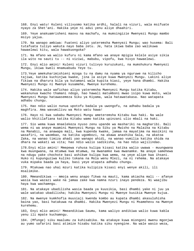168. Enyi watu! Kuleni vilivyomo katika ardhi, halali na vizuri, wala msifuate nyayo za Shet'ani. Hakika yeye ni adui yenu aliye dhaahiri.

169. Yeye anakuamrisheni maovu na machafu, na mumsingizie Mwenyezi Mungu mambo msiyo yajua.

170. Na wanapo ambiwa: Fuateni aliyo yateremsha Mwenyezi Mungu; wao husema: Bali tutafuata tuliyo wakuta nayo baba zetu. Je, hata ikiwa baba zao walikuwa hawaelewi kitu, wala hawakuongoka?

171. Na mfano wa walio kufuru ni kama mfano wa anaye mpigia kelele asiye sikia ila wito na sauti tu -- ni viziwi, mabubu, vipofu, kwa hivyo hawaelewi.

172. Enyi mlio amini! Kuleni vizuri tulivyo kuruzukuni, na mumshukuru Mwenyezi Mungu, ikiwa kweli mnamuabudu Yeye tu.

173.Yeye amekuharimishieni mzoga tu na damu na nyama ya nguruwe na kilicho tajiwa, katika kuchinjwa kwake, jina la asiye kuwa Mwenyezi Mungu. Lakini aliye fikiwa na dharura bila ya kutamani wala kupita kiasi, yeye hana dhambi. Hakika Mwenyezi Mungu ni Mwenye kusamehe, Mwenye kurehemu.

174. Hakika wale wafichao aliyo yateremsha Mwenyezi Mungu katika Kitabu, wakanunua kwacho thamani ndogo, hao hawali matumboni mwao isipo kuwa moto, wala Mwenyezi Mungu hatawasemeza Siku ya Kiyama, wala hatawatakasa. Nao watapata adhabu chungu.

175. Hao ndio walio nunua upotofu badala ya uwongofu, na adhabu badala ya maghfira. Ama wavumilivu wa Moto watu hawa!

176. Hayo ni kwa sababu Mwenyezi Mungu ameteremsha Kitabu kwa haki. Na wale walio khitilafiana katika Kitabu wamo katika upinzani ulio mbali na haki.

177. Sio wema kuwa mnaelekeza nyuso zenu upande wa mashariki na magharibi. Bali wema ni wa anaye muamini Mwenyezi Mungu na Siku ya Mwisho na Malaika na Kitabu na Manabii, na anawapa mali, kwa kupenda kwake, jamaa na mayatima na masikini na wasafiri, na waombao, na katika ugombozi, na akawa anashika Sala, na akatoa Zaka, na wanao timiza ahadi yao wanapo ahidi, na wanao vumilia katika shida na dhara na wakati wa vita; hao ndio walio sadikisha, na hao ndio wajilindao.

178.Enyi mlio amini! Mmepewa ruhusa kulipa kisasi katika walio uwawa - muungwana kwa muungwana, na mtumwa kwa mtumwa, na mwanamke kwa mwanamke. Na anaye samehewa na ndugu yake chochote basi ashikwe kulipa kwa wema, na yeye alipe kwa ihsani. Huko ni kupunguziwa kuliko tokana na Mola wenu Mlezi, na ni rehema. Na atakaye vuka mipaka baada ya haya, basi yeye atapata adhabu chungu.

179. Mtakuwa nao uhai mzuri katika kulipiza kisasi enyi wenye akili, ili msalimike.

180. Mmeandikiwa -- mmoja wenu anapo fikwa na mauti, kama akiacha mali -- afanye wasia kwa wazazi wake na jamaa zake kwa namna nzuri inayo pendeza. Ni waajibu haya kwa wachamngu.

181. Na atakaye ubadilisha wasia baada ya kuusikia, basi dhambi yake ni juu ya wale watakao ubadilisha; hakika Mwenyezi Mungu ni Mwenye kusikia Mwenye kujua.

182. Na mwenye kumkhofia muusiaji kwenda kombo au kupata dhambi akasuluhisha baina yao, basi hatakuwa na dhambi. Hakika Mwenyezi Mungu ni Msamehevu na Mwenye kurehemu.

183, Enyi mlio amini! Mmeandikiwa Saumu, kama waliyo andikiwa walio kuwa kabla yenu ili mpate kuchamngu.

184. (Mfunge) siku maalumu za kuhisabika. Na atakaye kuwa miongoni mwenu mgonjwa au yumo safarini basi atimize hisabu katika siku nyengine. Na wale wasio weza,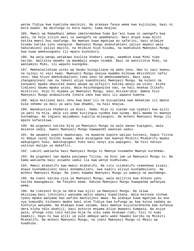watoe fidiya kwa kumlisha masikini. Na atakaye fanya wema kwa kujitolea, basi ni bora kwake. Na mkifunga ni bora kwenu, kama mnajua.

185. Mwezi wa Ramadhani ambao imeteremshwa humo Qur'ani kuwa ni uwongofu kwa watu, na hoja zilizo wazi za uwongofu na upambanuzi. Basi ataye kuwa mjini katika mwezi huu naafunge. Na mwenye kuwa mgonjwa au safarini, basi atimize hisabu katika siku nyengine. Mwenyezi Mungu anakutakieni yaliyo mepesi wala hakutakieni yaliyo mazito, na mtimize hiyo hisabu, na mumtukuze Mwenyezi Mungu kwa kuwa amekuongoeni ili mpate kushukuru.

186. Na waja wangu watakapo kuuliza khabari zangu, waambie kuwa Mimi nipo karibu. Naitikia maombi ya mwombaji anapo niomba. Basi na waniitikie Mimi, na waniamini Mimi, ili wapate kuongoka.

187. Mmehalalishiwa usiku wa Saumu kuingiliana na wake zenu. Wao ni vazi kwenu, na nyinyi ni vazi kwao. Mwenyezi Mungu anajua kwamba mlikuwa mkizikhini nafsi zenu. Kwa hivyo amekukubalieni toba yenu na amekusameheni. Basi sasa changanyikeni nao na takeni aliyo kuandikieni Mwenyezi Mungu. Na kuleni na kunyweni mpaka ubainike kwenu weupe wa alfajiri katika weusi wa usiku. Kisha timizeni Saumu mpaka usiku. Wala msichanganyike nao, na hali mnakaa Itikafu msikitini. Hiyo ni mipaka ya Mwenyezi Mungu, basi msiikaribie. Namna hivi Mwenyezi Mungu anabainisha Ishara zake kwa watu ili wapate kumcha.

188. Wala msiliane mali zenu kwa baat'ili na kuzipeleka kwa mahakimu ili mpate kula sehemu ya mali ya watu kwa dhambi, na hali mnajua.

189. Wanakuuliza khabarai ya miezi. Sema: Hiyo ni vipimo vya nyakati kwa ajili ya watu na Hija. Wala sio wema kuziingia nyumba kwa nyuma. Bali mwema ni mwenye kuchamngu. Na ingieni majumbani kupitia milangoni. Na mcheni Mwenyezi Mungu ili mpate kufanikiwa.

190. Na piganeni katika Njia ya Mwenyezi Mungu na wale wanao kupigeni, wala msianze uadui. Kwani Mwenyezi Mungu hawapendi waanzao uadui.

191. Na wauweni popote mwakutapo, na muwatoe popote walipo kutoeni; kwani fitina ni mbaya zaidi kuliko kuuwa. Wala msipigane nao kwenye Msikiti Mtakatifu mpaka wakupigeni huko. Wakikupigeni huko basi nanyi pia wapigeni. Na hivi ndivyo yalivyo malipo ya makafiri.

192. Lakini wakiacha basi Mwenyezi Mungu ni Mwenye kusamehe Mwenye kurehemu.

193. Na piganeni nao mpaka pasiwepo fitina, na Dini iwe ya Mwenyezi Mungu tu. Na kama wakiacha basi usiweko uadui ila kwa wenye kudhulumu.

194. Mwezi mtakatifu kwa mwezi mtakatifu. Na vitu vitakatifu vimeekewa kisasi. Anaye kushambulieni nanyi mshambulieni, kwa kadiri alivyo kushambulieni. Na mcheni Mwenyezi Mungu. Na jueni kwamba Mwenyezi Mungu yu pamoja na wachamngu.

195. Na toeni katika njia ya Mwenyezi Mungu, wala msijitie kwa mikono yenu katika maangamizo. Na fanyeni wema. Hakika Mwenyezi Mungu huwapenda wafanyao wema.

196. Na timizeni Hija na Umra kwa ajili ya Mwenyezi Mungu. Na ikiwa mkizuiwa,basi (chinjeni) wanyama walio wepesi kupatikana. Wala msinyoe vichwa vyenu mpaka wanyama hao wafike machinjoni mwao. Na atakaye kuwa mgonjwa au ana vya kumuudhi kichwani mwake basi atoe fidiya kwa kufunga au kwa kutoa sadaka au kuchinja wanyama. Na mtakapo kuwa salama, basi mwenye kujistarehesha kwa kufanya Umra kisha ndio akahiji, basi achinje mnyama aliye mwepesi kumpata. Na asiye pata, afunge siku tatu katika Hija na siku saba mtakapo rudi; hizi ni kumi kaamili. Hayo ni kwa ajili ya yule ambaye watu wake hawako karibu na Msikiti Mtakatifu. Na mcheni Mwenyezi Mungu, na jueni Mwenyezi Mungu ni Mkali wa kuadhibu.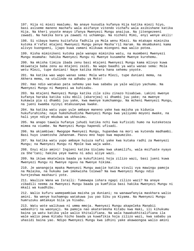197. Hija ni miezi maalumu. Na anaye kusudia kufanya Hija katika miezi hiyo, basi asiseme maneno machafu wala asifanye vitendo vichafu wala asibishane katika Hija. Na kheri yoyote mnayo ifanya Mwenyezi Mungu anaijua. Na jitengezeeni zawadi. Na hakika bora ya zawadi ni uchamngu. Na nicheni Mimi, enyi wenye akili!

198. Si vibaya kwenu kuitafuta fadhila ya Mola wenu Mlezi. Na mtakapo miminika kutoka A'rafat mtajeni Mwenyezi Mungu penye Masha'ril Haram. Na mkumbukeni kama alivyo kuongoeni, ijapo kuwa zamani mlikuwa miongoni mwa walio potea.

199. Kisha miminikeni kutoka pale wanapo miminika watu, na muombeni Mwenyezi Mungu msamaha: hakika Mwenyezi Mungu ni Mwenye kusamehe Mwenye kurehemu.

200. Na mkisha timiza ibada zenu basi mtajeni Mwenyezi Mungu kama mlivyo kuwa mkiwataja baba zenu au mtajeni zaidi. Na wapo baadhi ya watu wanao sema: Mola wetu Mlezi, tupe duniani! Naye katika Akhera hana sehemu yoyote.

201. Na katika wao wapo wanao sema: Mola wetu Mlezi, tupe duniani mema, na Akhera mema, na utulinde na adhabu ya Moto!

202. Hao ndio watakao pata sehemu yao kwa sababu ya yale waliyo yachuma. Na Mwenyezi Mungu ni Mwepesi wa kuhisabu.

203. Na mtajeni Mwenyezi Mungu katika zile siku zinazo hisabiwa. Lakini mwenye kufanya haraka katika siku mbili (akarejea) si dhambi juu yake; na mwenye kukawia pia si dhambi juu yake, kwa mwenye kumchamngu. Na mcheni Mwenyezi Mungu, na jueni kwamba nyinyi mtakusanywa kwake.

204. Na katika watu yupo yule ambaye maneno yake kwa maisha ya kidunia hukufurahisha; naye humshuhudisha Mwenyezi Mungu kwa yaliyomo moyoni mwake, na hali yeye ndiye mkubwa wa ukhasimu.

205. Na anapo tawala hufanya juhudi katika nchi kwa kufisidi humo na kuteketeza mimea na viumbe. Na Mwenyezi Mungu hapendi ufisadi.

206. Na akiambiwa: Mwogope Mwenyezi Mungu, hupandwa na mori wa kutenda madhambi. Basi huyo inamtosha Jahannam. Paovu mno hapo kwa mapumziko.

207. Na katika watu yupo ambaye huiuza nafsi yake kwa kutaka radhi za Mwenyezi Mungu; na Mwenyezi Mungu ni Mpole kwa waja wake.

208. Enyi mlio amini! Ingieni katika Uislamu kwa ukamilifu, wala msifuate nyayo za She'tani; hakika yeye kwenu ni adui aliye wazi.

209. Na ikiwa mkateleza baada ya kukufikieni hoja zilizo wazi, basi jueni kuwa Mwenyezi Mungu ni Mwenye nguvu na Mwenye hikima.

210. Je wanangoja mpaka Mwenyezi Mungu awajie katika vivuli vya mawingu pamoja na Malaika, na hukumu iwe imekwisha tolewa? Na kwa Mwenyezi Mungu ndio hurejeshwa mashauri yote.

211. Waulize Wana wa Israili: Tumewapa ishara ngapi zilizo wazi? Na anaye zibadili neema za Mwenyezi Mungu baada ya kumfikia basi hakika Mwenyezi Mungu ni mkali wa kuadhibu.

212. Walio kufuru wamepambiwa maisha ya duniani; na wanawafanyia maskhara walio amini. Na wenye kuchamngu watakuwa juu yao Siku ya Kiyama. Na Mwenyezi Mungu humruzuku amtakaye bila ya hisabu.

213. Watu wote walikuwa ni umma mmoja. Mwenyezi Mungu akapeleka Manabii wabashiri na waonyaji. Na pamoja nao akateremsha Kitabu kwa Haki, ili kihukumu baina ya watu katika yale walio khitalifiana. Na wala hawakukhitalifiana ila wale walio pewa Kitabu hicho baada ya kuwafikia hoja zilizo wazi, kwa sababu ya uhasidi baina yao. Ndipo Mwenyezi Mungu kwa idhini yake akawaongoa walio amini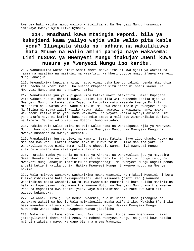kwendea haki katika mambo waliyo khitalifiana. Na Mwenyezi Mungu humwongoa amtakaye kwenye Njia Iliyo Nyooka.

## **214. Mnadhani kuwa mtaingia Peponi, bila ya kukujieni kama yaliyo wajia wale walio pita kabla yenu? Iliwapata shida na madhara na wakatikiswa hata Mtume na walio amini pamoja naye wakasema: Lini nuSURA ya Mwenyezi Mungu itakuja? Jueni kuwa nusura ya Mwenyezi Mungu ipo karibu.**

215. Wanakuuliza watoe nini? Sema: Kheri mnayo itoa ni kwa ajili ya wazazi na jamaa na mayatima na masikini na wasafiri. Na kheri yoyote mnayo ifanya Mwenyezi Mungu anaijua.

216. Mmeandikiwa kupigana vita, navyo vinachusha kwenu. Lakini huenda mkachukia kitu nacho ni kheri kwenu. Na huenda mkapenda kitu nacho ni shari kwenu. Na Mwenyezi Mungu anajua na nyinyi hamjui.

217. Wanakuuliza juu ya kupigana vita katika mwezi mtakatifu. Sema: Kupigana vita wakati huo ni dhambi kubwa. Lakini kuzuilia watu wasende katika Njia ya Mwenyezi Mungu na kumkanusha Yeye, na kuzuilia watu wasende kwenye Msikiti Mtakatifu na kuwatoa watu wake humo, ni makubwa zaidi mbele ya Mwenyezi Mungu. Na fitina ni mbaya zaidi kuliko kuuwa. Wala hawatoacha kupigana nanyi mpaka wakutoeni katika Dini yenu kama wakiweza. Na yeyote katika nyinyi akiacha Dini yake akafa naye ni kafiri, basi hao ndio ambao a'mali zao zimeharibika duniani na Akhera. Na hao ndio watu wa Motoni; humo watadumu.

218. Hakika wale walio amini na wale walio hama na wakapigania Njia ya Mwenyezi Mungu, hao ndio wanao taraji rehema za Mwenyezi Mungu. Na Mwenyezi Mungu ni Mwenye kusamehe na Mwenye kurehemu.

219. Wanakuuliza juu ya ulevi na kamari. Sema: Katika hivyo zipo dhambi kubwa na manufaa kwa watu. Lakini dhambi zake ni kubwa zaidi kuliko manufaa yake. Na wanakuuliza watoe nini? Sema: Kilicho chepesi. Namna hivi Mwenyezi Mungu anakubainishieni Aya zake mpate kufikiri--

220.--katika mambo ya dunia na mambo ya Akhera. Na wanakuuliza juu ya mayatima. Sema: Kuwatengenezea ndio kheri. Na mkichanganyika nao basi ni ndugu zenu; na Mwenyezi Mungu anamjua mharibifu na mtengenezaji. Na Mwenyezi Mungu angeli penda angeli kutieni katika udhia. Hakika Mwenyezi Mungu ni Mwenye nguvu na Mwenye hikima.

221. Wala msiwaoe wanawake washirikina mpaka waamini. Na mjakazi Muumini ni bora kuliko mshirikina hata akikupendezeni. Wala msiwaoze (binti zenu) wanaume washirikina mpaka waamini. Na mtumwa mwanamume Muumini ni bora kuliko mshirikina hata akikupendezeni. Hao wanaitia kwenye Moto, na Mwenyezi Mungu anaitia kwenye Pepo na maghafira kwa idhini yake. Naye huzibainisha Aya zake kwa watu ili wapate kukumbuka.

222. Na wanakuuliza juu ya hedhi. Waambie, huo ni uchafu. Basi jitengeni na wanawake wakati wa hedhi. Wala msiwaingilie mpaka wat'ahirike. Wakisha t'ahirika basi waendeeni alivyo kuamrisheni Mwenyezi Mungu. Hakika Mwenyezi Mungu huwapenda wanao tubu na huwapenda wanao jisafisha.

223. Wake zenu ni kama konde zenu. Basi ziendeeni konde zenu mpendavyo. Lakini jitangulizieni kheri nafsi zenu, na mcheni Mwenyezi Mungu, na jueni kuwa hakika nyinyi mtakutana naye. Na wape bishara njema Waumini.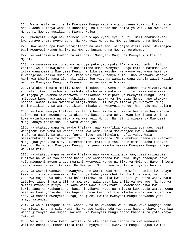224. Wala msifanye jina la Mwenyezi Mungu katika viapo vyenu kuwa ni kisingizio cha kuacha kufanya wema na kuchamngu na kupatanisha baina ya watu. Na Mwenyezi Mungu ni Mwenye kusikia na Mwenye kujua.

225. Mwenyezi Mungu hakushikeni kwa viapo vyenu vya upuuzi. Bali anakushikeni kwa yanayo chuma nyoyo zenu. Na Mwenyezi Mungu ni Mwenye kusamehe na Mpole.

226. Kwa wanao apa kuwa watajitenga na wake zao, wangojee miezi mine. Wakirejea basi Mwenyezi Mungu hakika ni Mwenye kusamehe na Mwenye kurehemu.

227. Na wakiazimia kuwapa talaka basi, Mwenyezi Mungu ni Mwenye kusikia na Mjuzi.

228. Na wanawake walio achwa wangoje peke yao mpaka t'ahara (au hedhi) tatu zipite. Wala haiwajuzii kuficha alicho umba Mwenyezi Mungu katika matumbo yao, ikiwa wanamuamini Mwenyezi Mungu na Siku ya Mwisho. Na waume wao wana haki ya kuwarejesha katika muda huo, kama wakitaka kufanya sulhu. Nao wanawake wanayo haki kwa Sharia kama ile haki iliyo juu yao. Na wanaume wana daraja zaidi kuliko wao. Na Mwenyezi Mungu ni Mwenye nguvu na Mwenye hikima.

229.T'alaka ni mara mbili. Kisha ni kukaa kwa wema au kuachana kwa vizuri. Wala si halali kwenu kuchukua chochote mlicho wapa wake zenu, ila ikiwa wote wawili wakiogopa ya kwamba hawataweza kushikamana na mipaka ya Mwenyezi Mungu. Basi mkiogopa kuwa hawataweza kushikamana na mipaka ya Mwenyezi Mungu hapo itakuwa hapana lawama ikiwa mwanamke atajikomboa. Hii ndiyo mipaka ya Mwenyezi Mungu; basi msiikiuke. Na watakao ikiuka mipaka ya Mwenyezi Mungu, hao ndio madhaalimu.

230. Na kama amempa t'alaka (ya tatu) basi si halali kwake baada ya hayo mpaka aolewe na mume mwengine. Na akiachwa basi hapana ubaya kwao kurejeana wakiona kuwa watashikamana na mipaka ya Mwenyezi Mungu. Na hii ni mipaka ya Mwenyezi Mungu anayo ibainisha kwa watu wanao jua.

231. Na mtakapo wapa wanawake t'alaka, nao wakafikia kumaliza eda yao, basi warejeeni kwa wema au waachilieni kwa wema. Wala msiwarejee kwa kuwadhuru mkafanya uadui. Na atakaye fanya hivyo, amejidhulumu nafsi yake. Wala msizichukulie Aya za Mwenyezi Mungu kwa maskhara. Na kumbukeni neema ya Mwenyezi Mungu juu yenu, na aliyo kuteremshieni katika Kitabu na hikima anacho kuonyeni kwacho. Na mcheni Mwenyezi Mungu, na jueni kwamba hakika Mwenyezi Mungu ni Mjuzi wa kila kitu.

232. Na mtakapo wapa wanawake t'alaka nao wakamaliza eda yao, basi msiwazuie kuolewa na waume zao endapo baina yao wamepatana kwa wema. Hayo anaonywa nayo yule miongoni mwenu anaye muamini Mwenyezi Mungu na Siku ya Mwisho. Hayo ni bora zaidi kwenu na safi kabisa. Na Mwenyezi Mungu anajua, lakini nyinyi hamjui.

233. Na wazazi wanawake wawanyonyeshe watoto wao miaka miwili kaamili kwa anaye taka kutimiza kunyonyesha. Na juu ya baba yake chakula cha kina mama, na nguo zao kwa mujibu wa ada. Wala halazimishwi mtu ila kwa kadiri ya uwezo wake. Mama asitiwe taabuni kwa ajili ya mwanawe, wala baba kwa ajili ya mwanawe. Na juu ya mrithi mfano wa hivyo. Na kama wote wawili wakitaka kumwachisha ziwa kwa kuridhiana na kushauriana, basi si vibaya kwao. Na mkitaka kuwapatia watoto wenu mama wa kuwanyonyesha basi hapana ubaya kwenu mkitoa mlicho ahidi kwa mujibu wa ada. Na mcheni Mwenyezi Mungu, na jueni kwamba Mwenyezi Mungu anayaona yote mnayo yatenda.

234. Na wale miongoni mwenu wanao kufa na wakaacha wake, hawa wake wangoje peke yao miezi mine na siku kumi. Na wanapo timiza eda yao basi hapana ubaya kwao kwa wanao jifanyia kwa mujibu wa ada. Na Mwenyezi Mungu anazo khabari za yote mnayo yatenda.

235. Wala si vibaya kwenu katika kupeleka posa kwa ishara tu kwa wanawake waliomo edani au mkadhamiria katika nyoyo zenu. Mwenyezi Mungu anajua kwamba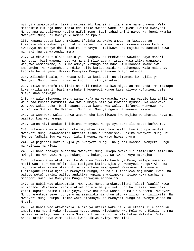nyinyi mtawakumbuka. Lakini msiwaahidi kwa siri, ila mnene maneno mema. Wala msiazimie kufunga ndoa mpaka eda ifike mwisho wake. Na jueni kwamba Mwenyezi Mungu anajua yaliyomo katika nafsi zenu. Basi tahadharini naye. Na jueni kwamba Mwenyezi Mungu ni Mwenye kusamehe na Mpole.

236. Hapana ubaya kwenu mkiwapa t'alaka wanawake ambao hamjawagusa au kuwabainishia mahari yao. Lakini wapeni cha kuwaliwaza, mwenye wasaa kadiri awezavyo na mwenye dhiki kadiri awezavyo - maliwaza kwa mujibu wa dasturi kuwa ni haki juu ya watendao mema.

237. Na mkiwapa t'alaka kabla ya kuwagusa, na mmekwisha wawekea hayo mahari makhsusi, basi wapeni nusu ya mahari mlio agana, isipo kuwa ikiwa wanawake wenyewe wamesamehe, au mume ambaye kifungo cha ndoa ki mikononi mwake awe amesamehe. Na kusameheana ndiko kulio karibu zaidi na uchamngu. Wala msisahau fadhila baina yenu. Hakika Mwenyezi Mungu anayaona mnayo yatenda.

238. Zilindeni Sala, na khasa Sala ya katikati, na simameni kwa ajili ya Mwenyezi Mungu nanyi ni wenye kuqunuti (kunyenyekea).

239. Ikiwa mnakhofu (Salini) na hali mnakwenda kwa miguu au mmepanda. Na mtakapo kuwa katika amani, basi mkumbukeni Mwenyezi Mungu kama alivyo kufunzeni yale mliyo kuwa hamyajui.

240. Na wale miongoni mwenu wanao kufa na wakawacha wake, na wausie kwa ajili ya wake zao kupata matumizi kwa mwaka mmoja bila ya kuwatoa nyumba. Na wanawake wenyewe wakiondoka, basi hapana ubaya kwenu kwa waliyo jifanyia wenyewe kwa mujibu wa Sharia. Na Mwenyezi Mungu ni Mwenye nguvu na Mwenye hikima.

241. Na wanawake walio achwa wapewe cha kuwaliwaza kwa mujibu wa Sharia. Haya ni waajibu kwa wachamngu.

242. Namna hivi anakubainishieni Mwenyezi Mungu Aya zake ili mpate kufahamu.

243. Hukuwaona wale walio toka majumbani kwao kwa maelfu kwa kuogopa mauti? Mwenyezi Mungu akawaambia: Kufeni! Kisha akwahauisha. Hakika Mwenyezi Mungu ni Mwenye fadhila juu ya watu, lakini wengi wa watu hawashukuru.

244. Na piganeni katika Njia ya Mwenyezi Mungu, na jueni kwamba Mwenyezi Mungu ni Msikizi na Mjuzi.

245. Ni nani atakaye mkopesha Mwenyezi Mungu mkopo mwema ili amzidishie mzidisho mwingi, na Mwenyezi Mungu hukunja na hukunjua. Na Kwake Yeye mtarejea.

246. Hukuwaona watukufu katika Wana wa Israili baada ya Musa, walipo mwambia Nabii wao: Tuwekee mfalme ili tupigane katika Njia ya Mwenyezi Mungu? Akasema: Je, haielekei ikiwa mtaandikiwa vita kuwa msipigane? Wakasema: Itakuwaje tusipigane katika Njia ya Mwenyezi Mungu, na hali tumetolewa majumbani kwetu na watoto wetu? Lakini walipo andikiwa kupigana waligeuka, isipo kuwa wachache miongoni mwao. Na Mwenyezi Mungu anawajua madhaalimu.

247, Na Nabii wao akawaambia: Mwenyezi Mungu amekuteulieni Taluti (Sauli) kuwa ni mfalme. Wakasema: vipi atakuwa na ufalme juu yetu, na hali sisi tuna haki zaidi kupata ufalme kuliko yeye, naye hakupewa wasaa wa mali? Akasema: Mwenyezi Mungu amemteua yeye juu yenu na amemzidishia ukunjufu wa ilimu na kiwiliwili. Na Mwenyezi Mungu humpa ufalme wake amtakaye. Na Mwenyezi Mungu ni Mwenye wasaa na Mjuzi.

248. Na Nabii wao akawaambia: Alama ya ufalme wake ni kukuleteeni lile sanduku ambalo mna ndani yake kituliza nyoyo zenu, kitokacho kwa Mola wenu Mlezi, na mna mabaki ya waliyo yaacha kina Musa na kina Harun, wanalichukua Malaika. Bila shaka katika hayo zimo dalili kwenu ikiwa nyinyi mnaamini.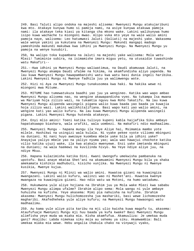249. Basi Taluti alipo ondoka na majeshi alisema: Mwenyezi Mungu atakujaribuni kwa mto. Atakaye kunywa humo si pamoja nami, na asiye kunywa atakuwa pamoja nami: ila atakaye teka kiasi ya kitanga cha mkono wake. Lakini walikunywa humo isipo kuwa wachache tu miongoni mwao. Alipo vuka mto yeye na wale walio amini pamoja naye, walisema: Leo hatumwezi Jaluti (Goliati) na majeshi yake. Wakasema wale wenye yakini ya kukutana na Mwenyezi Mungu: Makundi mangapi madogo yameshinda makundi makubwa kwa idhini ya Mwenyezi Mungu. Na Mwenyezi Mungu yu pamoja na wenye kusubiri.

250, Na walipo toka kupambana na Jaluti na majeshi yake walisema: Mola wetu Mlezi! Tumiminie subira, na isimamishe imara miguu yetu, na utusaidie tuwashinde watu Makafiri--

251.--Kwa idhini ya Mwenyezi Mungu waliwatimua, na Daudi akamuuwa Jaluti, na Mwenyezi Mungu akampa Daudi ufalme na hikima, na akamfundisha aliyo yapenda. Na lau kuwa Mwenyezi Mungu hawapambanishi watu kwa watu basi dunia ingeli haribika. Lakini Mwenyezi Mungu ni Mwenye fadhila juu ya walimwengu wote.

252. Hizi ni Aya za Mwenyezi Mungu tunakusomea kwa haki. Na hakika wewe ni miongoni mwa Mitume.

253. MITUME hao tumewatukuza baadhi yao juu ya wengineo. Katika wao wapo ambao Mwenyezi Mungu alisema nao, na wengine akawapandisha vyeo. Na tukampa Isa mwana wa Mariyam hoja zilizo wazi, na tukamtia nguvu kwa Roho Takatifu. Na lau kuwa Mwenyezi Mungu alipenda wasingeli pigana walio kuwa baada yao baada ya kuwajia hoja zilizo wazi. Lakini walikhitalifiana. Basi wapo kati yao walio amini, na wengine kati yao walio kufuru. Na lau kuwa Mwenyezi Mungu alipenda wasingeli pigana. Lakini Mwenyezi Mungu hutenda atakavyo.

254. Enyi mlio amini! Toeni katika tulivyo kupeni kabla haijafika Siku ambayo hapatakuwapo biashara, wala urafiki, wala uombezi. Na makafiri ndio madhaalimu.

255. Mwenyezi Mungu - hapana mungu ila Yeye Aliye hai, Msimamia mambo yote milele. Hashikwi na usingizi wala kulala. Ni vyake pekee vyote viliomo mbinguni na duniani. Ni nani huyo awezaye kuombea mbele yake bila ya idhini yake? Anayajua yaliyo mbele yao na yaliyo nyuma yao; wala wao hawajui chochote katika vilio katika ujuzi wake, ila kwa atakalo mwenyewe. Enzi yake imetanda mbinguni na duniani; na wala haemewi na kuvilinda hivyo. Na Yeye ndiye aliye juu, na ndiye Mkuu.

256. Hapana kulazimisha katika Dini. Kwani Uwongofu umekwisha pambanuka na upotofu. Basi anaye mkataa Shet'ani na akamuamini Mwenyezi Mungu bila ya shaka amekamata kishikio madhubuti, kisicho vunjika. Na Mwenyezi Mungu ni Mwenye kusikia, Mwenye kujua.

257. Mwenyezi Mungu ni Mlinzi wa walio amini. Huwatoa gizani na kuwaingiza mwangazani. Lakini walio kufuru, walinzi wao ni Mashet'ani. Huwatoa kwenye mwangaza na kuwaingiza gizani. Hao ndio watu wa Motoni, na humo watadumu.

258. Hukumwona yule aliye hojiana na Ibrahim juu ya Mola wake Mlezi kwa sababu Mwenyezi Mungu alimpa ufalme? Ibrahim alipo sema: Mola wangu ni yule ambaye huhuisha na kufisha. Yeye akasema: Mimi pia nahuisha na kufisha. Ibrahim akasema: Mwenyezi Mungu hulichomozesha jua mashariki, basi wewe lichomozeshe magharibi. Akafedheheka yule aliye kufuru; na Mwenyezi Mungu hawaongoi watu madhaalimu.

259. Au kama yule aliye pita karibu na mji ulio kwisha kuwa magofu tu, akasema: Ataufufuaje Mwenyezi Mungu mji huu baada ya kufa kwake? Basi Mwenyezi Mungu alimfisha yeye muda wa miaka mia. Kisha akamfufua. Akamuuliza: Je umekaa muda gani? Akajibu: Labda nimekaa siku moja au sehemu ya siku. Akamwambia: Bali umekaa miaka mia wewe. Hebu angalia chakula chako na vinywaji vyako,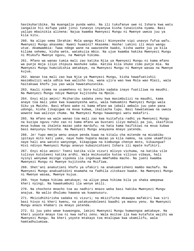havikuharibika. Na muangalie punda wako. Na ili tukufanye uwe ni Ishara kwa watu iangalie hii mifupa yake jinsi tunavyo inyanyua kisha tunaivisha nyama. Basi yalipo mbainikia alinena: Najua kwamba Mwenyezi Mungu ni Mwenye uweza juu ya kila kitu.

260. Na alipo sema Ibrahim: Mola wangu Mlezi! Nionyeshe vipi unavyo fufua wafu. Mwenyezi Mungu akasema: Kwani huamini? Akasema: Hasha! Lakini ili moyo wangu utue. Akamwambia: Twaa ndege wane na uwazoeshe kwako, kisha uweke juu ya kila kilima sehemu, kisha wete, watakujia mbio. Na ujue kwamba hakika Mwenyezi Mungu ni Mtukufu Mwenye nguvu, na Mwenye hikima.

261. Mfano wa wanao tumia mali zao katika Njia ya Mwenyezi Mungu ni kama mfano wa punje moja iliyo chipuza mashuke saba. Katika kila shuke zimo punje mia. Na Mwenyezi Mungu humzidishia amtakaye, na Mwenyezi Mungu ni Mwenye wasaa na Mwenye kujua.

262. Wanao toa mali zao kwa Njia ya Mwenyezi Mungu, kisha hawafuatishii masimbulizi wala udhia kwa walicho toa, wana ujira wao kwa Mola wao Mlezi, wala haitakuwa khofu juu yao wala hawatahuzunika.

263. Kauli njema na usamehevu ni bora kuliko sadaka inayo fuatiliwa na maudhi. Na Mwenyezi Mungu ndiye Mwenye kujitosha na Mpole.

264. Enyi mlio amini! Msiharibu sadaka zenu kwa masimbulizi na maudhi, kama anaye toa mali yake kwa kuwaonyesha watu, wala hamuamini Mwenyezi Mungu wala Siku ya Mwisho. Basi mfano wake ni kama mfano wa jabali ambalo juu yake pana udongo, kisha likapigwa na mvua kubwa, ikaliacha tupu. Basi hawatakuwa na uweza wowote kwa walivyo chuma. Na Mwenyezi Mungu hawaongoi watu makafiri.

265. Na mfano wa wale wanao toa mali zao kwa kuitafuta radhi ya Mwenyezi Mungu na kuzipa nguvu roho zao ni kama mfano wa bustani iliyo mahali pa juu, ikaifikia mvua kubwa na ikaleta mazao yake mardufu; na hata kama haifikiwi na mvua kubwa basi manyunyu hutosha. Na Mwenyezi Mungu anayaona mnayo yatenda.

266. Je! Yupo mmoja wenu anaye penda kuwa na kitalu cha mitende na mizabibu ipitayo mito kati yake, naye humo hupata mazao ya kila namna, na uzee ukamfikia naye hali ana watoto wanyonge, kikapigwa na kimbunga chenye moto, kikaungua? Hivi ndivyo Mwenyezi Mungu anavyo kubainishieni Ishara ili mpate kufikiri.

267. Enyi mlio amini! Toeni katika vile vizuri mlivyo vichuma, na katika vile tulivyo kutoleeni katika ardhi. Wala msikusudie kutoa vilivyo vibaya, hali nyinyi wenyewe msinge vipokea ila ingekuwa mmefumba macho. Na jueni kwamba Mwenyezi Mungu ni Mwenye kujitosha na Msifiwa.

268. Shet'ani anakutieni khofu ya ufakiri na anakuamrisheni mambo machafu. Na Mwenyezi Mungu anakuahidini msamaha na fadhila zitokazo kwake. Na Mwenyezi Mungu ni Mwenye wasaa, Mwenye kujua.

269. Yeye humpa hikima amtakaye; na aliye pewa hikima bila ya shaka amepewa kheri nyingi. Na hawakumbuki ila wenye akili.

270. Na chochote mnacho toa au nadhiri mnazo weka basi hakika Mwenyezi Mungu anajua. Na walio dhulumu hawana wa kuwanusuru.

271. Mkizidhihirisha sadaka ni vizuri; na mkizificha mkawapa mafakiri kwa siri basi hivyo ni kheri kwenu, na yatakuondoleeni baadhi ya maovu yenu. Na Mwenyezi Mungu anazo khabari za mnayo yatenda.

272. Si juu yako wewe kuwaongoa, lakini Mwenyezi Mungu humwongoa amtakaye. Na kheri yoyote mnayo toa ni kwa nafsi zenu. Wala msitoe ila kwa kutafuta wajihi wa Mwenyezi Mungu. Na kheri yoyote mtakayo toa mtalipwa kwa ukamilifu, wala hamtadhulumiwa.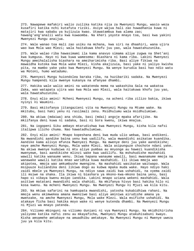273. Nawapewe mafakiri walio zuilika katika njia za Mwenyezi Mungu, wasio weza kusafiri katika nchi kutafuta riziki. Asiye wajua hali zao huwadhania kuwa ni matajiri kwa sababu ya kujizuia kwao. Utawatambua kwa alama zao; hawang'ang'analii watu kwa kuwaomba. Na kheri yoyote mnayo toa, basi kwa yakini Mwenyezi Mungu anaijua.

274. Wale wanao toa mali zao usiku na mchana, kwa siri na dhaahiri, wana ujira wao kwa Mola wao Mlezi; wala haitakuwa khofu juu yao, wala hawatahuzunika.

275. Wale walao riba hawasimami ila kama anavyo simama aliye zugwa na Shet'ani kwa kumgusa. Hayo ni kwa kuwa wamesema: Biashara ni kama riba. Lakini Mwenyezi Mungu ameihalalisha biashara na ameiharimisha riba. Basi aliye fikiwa na mawaidha kutoka kwa Mola wake Mlezi, kisha akajizuia, basi yake ni yaliyo kwisha pita, na mambo yake yako kwa Mwenyezi Mungu. Na wenye kurudia basi hao ndio watu wa Motoni, humo watadumu.

276. Mwenyezi Mungu huiondolea baraka riba, na huzibariki sadaka. Na Mwenyezi Mungu hampendi kila mwenye kukanya na afanyae dhambi.

277. Hakika wale walio amini na wakatenda mema na wakashika Sala na wakatoa Zaka, wao watapata ujira wao kwa Mola wao Mlezi, wala haitakuwa khofu juu yao, wala hawatahuzunika.

278. Enyi mlio amini! Mcheni Mwenyezi Mungu, na acheni riba zilizo bakia, ikiwa nyinyi ni Waumini.

279. Basi mkitofanya jitangazieni vita na Mwenyezi Mungu na Mtume wake. Na mkitubu, basi haki yenu ni rasilmali zenu. Msidhulumu wala msidhulumiwe.

280. Na akiwa (mdaiwa) ana shida, basi (mdai) angoje mpaka afarijike. Na mkiifanya deni kuwa ni sadaka, basi ni bora kwenu, ikiwa mnajua.

281. Na iogopeni Siku ambayo mtarudishwa kwa Mwenyezi Mungu, kisha kila nafsi italipwa ilicho chuma. Nao hawatadhulumiwa.

282. Enyi mlio amini! Mnapo kopeshana deni kwa muda ulio wekwa, basi andikeni. Na mwandishi aandike baina yenu kwa uadilifu, wala mwandishi asikatae kuandika. Aandike kama alivyo mfunza Mwenyezi Mungu. Na mwenye deni juu yake aandikishe; naye amche Mwenyezi Mungu, Mola wake Mlezi. Wala asipunguze chochote ndani yake. Na akiwa mwenye kudaiwa ni mtu aliye pumbaa au mnyonge au hawezi kuandikisha mwenyewe, basi aandikishe mlinzi wake kwa uadilifu. Na mshuhudishe mashahidi wawili katika wanaume wenu. Ikiwa hapana wanaume wawili, basi mwanamume mmoja na wanawake wawili katika mnao waridhia kuwa mashahidi. Ili ikiwa mmoja wao akipotea, mmoja wao amkumbushe mwengine. Na mashahidi wasikatae waitwapo. Wala msipuuze kuliandika deni likiwa dogo au kubwa mpaka muda wake. Hayo ndiyo haki zaidi mbele ya Mwenyezi Mungu, na ndiyo sawa zaidi kwa ushahidi, na vyema zaidi ili msiwe na shaka. Ila ikiwa ni biashara ya mkono-kwa-mkono baina yenu, basi hapo si vibaya kwenu msipo iandika. Lakini mnapo uziana wekeni mashahidi. Wala asitiwe matatani mwandishi wala shahidi. Na mkifanya hivyo basi hakika hilo ni kosa kwenu. Na mcheni Mwenyezi Mungu. Na Mwenyezi Mungu ni Mjuzi wa kila kitu.

283. Na mkiwa safarini na hamkupata mwandishi, yatosha kukabidhiwa rahani. Na mmoja wenu akimwekea amana mwenziwe basi aliye aminiwa airudishe amana ya mwenzake, na amche Mwenyezi Mungu, Mola wake Mlezi. Wala msifiche ushahidi. Na atakaye ficha basi hakika moyo wake ni wenye kutenda dhambi. Na Mwenyezi Mungu ni Mjuzi wa mnayo yatenda.

284. Viliomo mbinguni na viliomo duniani ni vya Mwenyezi Mungu. Na mkidhihirisha yaliyomo katika nafsi zenu au mkayaficha, Mwenyezi Mungu atakuhisabuni kwayo. Kisha amsamehe amtakaye na amuadhibu amtakaye. Na Mwenyezi Mungu ni Mwenye uweza juu ya kila kitu.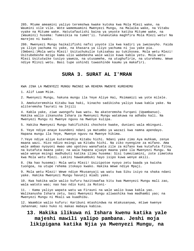285. Mtume ameamini yaliyo teremshwa kwake kutoka kwa Mola Mlezi wake, na Waumini vile vile. Wote wamemuamini Mwenyezi Mungu, na Malaika wake, na Vitabu vyake na Mitume wake. Hatutafautishi baina ya yeyote katika Mitume wake, na (Waumini) husema: Tumesikia na tumet'ii. Tunakutaka maghfira Mola Mlezi wetu! Na marejeo ni kwako.

286. Mwenyezi Mungu haikalifishi nafsi yoyote ila kwa kadiri ya iwezavyho. Faida ya iliyo yachuma ni yake, na khasara ya iliyo yachuma ni juu yake pia. (Ombeni:)Mola wetu Mlezi! Usituchukulie tukisahau au tukikosea. Mola wetu Mlezi! Usitubebeshe mzigo kama ulio wabebesha wale walio kuwa kabla yetu. Mola wetu Mlezi Usitutwike tusiyo yaweza, na utusamehe, na utughufirie, na uturehemu. Wewe ndiye Mlinzi wetu. Basi tupe ushindi tuwashinde kaumu ya makafiri.

#### <span id="page-24-0"></span>**SURA 3. SURAT AL I'MRAN**

KWA JINA LA MWENYEZI MUNGU MWINGI WA REHEMA MWENYE KUREHEMU

1. Alif Laam Miim.

2. Mwenyezi Mungu, hakuna mungu ila Yeye Aliye Hai, Msimamizi wa yote milele.

3. Amekuteremshia Kitabu kwa haki, kinacho sadikisha yaliyo kuwa kabla yake. Na aliteremsha Taurati na Injili

4. Kabla yake, ziwe uwongofu kwa watu. Na akateremsha Furqani (Upambanuo). Hakika walio zikanusha Ishara za Mwenyezi Mungu watakuwa na adhabu kali. Na Mwenyezi Mungu ni Mwenye nguvu na Mwenye kulipa.

5. Hakika Mwenyezi Mungu hakifichiki chochote kwake, duniani wala mbinguni.

6. Yeye ndiye anaye kuundeni ndani ya matumbo ya wazazi kwa namna apendayo. Hapana mungu ila Yeye, Mwenye nguvu na Mwenye hikima.

7.Yeye ndiye aliye kuteremshia Kitabu hichi. Ndani yake zimo Aya muhkam, zenye maana wazi. Hizo ndizo msingi wa Kitabu hichi. Na ziko nyengine za mifano. Ama wale ambao nyoyoni mwao umo upotovu wanafuata zile za mifano kwa kutafuta fitna, na kutafuta maana yake; na wala hapana ajuaye maana yake ila Mwenyezi Mungu. Na wale wenye msingi madhubuti katika ilimu husema: Sisi tumeziamini, zote zimetoka kwa Mola wetu Mlezi. Lakini hawakumbuki hayo isipo kuwa wenye akili.

8. (Na hao husema): Mola wetu Mlezi! Usizipotoe nyoyo zetu baada ya kwisha tuongoa, na utupe rehema itokayo kwako. Hakika Wewe ndiye Mpaji.

9. Mola wetu Mlezi! Wewe ndiye Mkusanyaji wa watu kwa Siku isiyo na shaka ndani yake. Hakika Mwenyezi Mungu havunji miadi yake.

10. Kwa hakika wale walio kufuru hazitowafaa kitu kwa Mwenyezi Mungu mali zao, wala watoto wao; nao hao ndio kuni za Motoni-

11. - Kama yaliyo wapata watu wa Firauni na wale walio kuwa kabla yao. Walikanusha Ishara zetu, basi Mwenyezi Mungu aliwashika kwa madhambi yao; na Mwenyezi Mungu ni Mkali wa kuadhibu.

12. Waambie walio kufuru: Karibuni mtashindwa na mtakusanywa, mtiwe kwenye Jahannam; nako huko ni makao mabaya kabisa.

## **13. Hakika ilikuwa ni Ishara kwenu katika yale majeshi mawili yalipo pambana. Jeshi moja likipigana katika Njia ya Mwenyezi Mungu, na**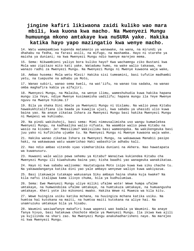## **jingine kafiri likiwaona zaidi kuliko wao mara mbili, kwa kuona kwa macho. Na Mwenyezi Mungu humuunga mkono amtakaye kwa nuSURA yake. Hakika katika hayo yapo mazingatio kwa wenye macho.**

14. Watu wamepambiwa kupenda matamanio ya wanawake, na wana, na mirundi ya dhahabu na fedha, na farasi asili, na mifugo, na mashamba. Hayo ni starehe ya maisha ya duniani; na kwa Mwenyezi Mungu ndio kwenye marejeo mema.

15. Sema: Nikwambieni yaliyo bora kuliko hayo? Kwa wachamngu ziko Bustani kwa Mola wao zipitazo mito kati yake. Watadumu humo, na wake walio takaswa, na wanazo radhi za Mwenyezi Mungu. Na Mwenyezi Mungu ni Mwenye kuwaona waja wake,

16. Ambao husema: Mola wetu Mlezi! Hakika sisi tumeamini, basi tufutie madhambi yetu, na tuepushe na adhabu ya Moto,

17. Wanao subiri, wanao sema kweli, na wat'iifu, na wanao toa sadaka, na wanao omba maghafira kabla ya alfajiri.

18. Mwenyezi Mungu, na Malaika, na wenye ilimu, wameshuhudia kuwa hakika hapana mungu ila Yeye, ndiye Mwenye kusimamisha uadilifu; hapana mungu ila Yeye Mwenye nguvu na Mwenye hikima.17

19. Bila ya shaka Dini mbele ya Mwenyezi Mungu ni Uislamu. Na walio pewa Kitabu hawakukhitalifiana ila baada ya kuwajia ujuzi, kwa sababu ya uhasidi ulio kuwa baina yao. Na anaye zikataa Ishara za Mwenyezi Mungu basi hakika Mwenyezi Mungu ni Mwepesi wa kuhisabu.

20. Na pindi wakikuhoji, basi sema: Mimi nimeusalimisha uso wangu kumwelekea Mwenyezi Mungu, na kadhaalika walio nifuata. Na waambie walio pewa Kitabu na wasio na kisomo: Je! Mmesilimu? Wakisilimu basi wameongoka. Na wakikengeuka basi juu yako ni kufikisha ujumbe tu. Na Mwenyezi Mungu ni Mwenye kuwaona waja wake.

21. Hakika wanao zikataa Ishara za Mwenyezi Mungu, na wakawauwa Manabii pasipo haki, na wakawauwa watu waamrishao Haki wabashirie adhabu kali.

22. Hao ndio ambao vitendo vyao vimeharibika duniani na Akhera. Nao hawatapata wa kuwanusuru.

23. Huwaoni wale walio pewa sehemu ya Kitabu? Wanaitwa kukiendea Kitabu cha Mwenyezi Mungu ili kiwahukumu baina yao; kisha baadhi yao wanageuka wanakikataa.

24. Hayo ni kwa sababu walisema: Hautatugusa Moto isipo kuwa kwa siku chache tu. Na yakawadanganya katika dini yao yale ambayo wenyewe waliyo kuwa wakiyazua.

25. Basi itakuwaje tutakapo wakusanya Siku ambayo haina shaka kuja kwake? Na kila nafsi italipwa kama ilivyo chuma, bila ya kudhulumiwa.

26. Sema: Ewe Mwenyezi Mungu uliye miliki ufalme wote! Wewe humpa ufalme umtakaye, na humwondolea ufalme umtakaye, na humtukuza umtakaye, na humuangusha umtakaye. Kheri yote iko mikononi mwako. Hakika Wewe ni Muweza wa kila kitu.

27. Wewe huingiza usiku katika mchana, na huuingiza mchana katika usiku. Na humtoa hai kutokana na maiti, na humtoa maiti kutokana na aliye hai. Na unamruzuku umtakaye bila ya hisabu.

28. Waumini wasiwafanye makafiri kuwa wapenzi wao badala ya Waumini. Na anaye fanya hivyo, basi hatakuwa chochote mbele ya Mwenyezi Mungu. Ila ikiwa kwa ajili ya kujilinda na shari zao. Na Mwenyezi Mungu anakuhadharisheni naye. Na marejeo ni kwa Mwenyezi Mungu.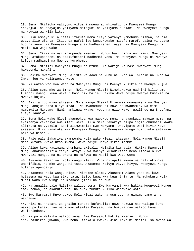29. Sema: Mkificha yaliyomo vifuani mwenu au mkiyafichua Mwenyezi Mungu anayajua; na anayajua yaliyomo mbinguni na yaliyomo duniani. Na Mwenyezi Mungu ni Muweza wa kila kitu.

30. Siku ambayo kila nafsi itakuta mema iliyo yafanya yamehudhurishwa, na pia ubaya ilio ufanya. Itapenda nafsi lau kungekuwako masafa marefu baina ya ubaya huo na yeye. Na Mwenyezi Mungu anakuhadharisheni naye. Na Mwenyezi Mungu ni Mpole kwa waja wake.

31. Sema: Ikiwa nyinyi mnampenda Mwenyezi Mungu basi nifuateni mimi, Mwenyezi Mungu atakupendeni na atakufutieni madhambi yenu. Na Mwenyezi Mungu ni Mwenye kufuta madhambi na Mwenye kurehemu.

32. Sema: Mt'iini Mwenyezi Mungu na Mtume. Na wakigeuka basi Mwenyezi Mungu hawapendi makafiri.

33. Hakika Mwenyezi Mungu alimteuwa Adam na Nuhu na ukoo wa Ibrahim na ukoo wa Imran juu ya walimwengu wote.

34. Ni wazao wao kwa wao; na Mwenyezi Mungu ni Mwenye kusikia na Mwenye kujua.

35. Alipo sema mke wa Imran: Mola wangu Mlezi! Nimekuwekea nadhiri kilichomo tumboni mwangu kuwa wakfu; basi nikubalie. Hakika Wewe ndiye Mwenye kusikia na Mwenye kujua.

36. Basi alipo mzaa alisema: Mola wangu Mlezi! Nimemzaa mwanamke - na Mwenyezi Mungu anajua sana aliye mzaa - Na mwanamume si sawa na mwanamke. Na mimi nimemwita Maryamu. Nami namkinga kwako, yeye na uzao wake, uwalinde na Shet'ani aliye laaniwa.

37. Tena Mola wake Mlezi akampokea kwa mapokeo mema na akamkuza makuzo mema, na akamfanya Zakariya awe mlezi wake. Kila mara Zakariya alipo ingia chumbani kwake alimkuta na vyakula. Basi alimwambia: Ewe Maryamu! Unavipata wapi hivi? Naye akasema: Hivi vinatoka kwa Mwenyezi Mungu; na Mwenyezi Mungu humruzuku amtakaye bila ya hisabu.

38. Pale pale Zakariya akamwomba Mola wake Mlezi, akasema: Mola wangu Mlezi! Nipe kutoka kwako uzao mwema. Wewe ndiye unaye sikia maombi.

39. Alipo kuwa kasimama chumbani akisali, Malaika kamnadia: Hakika Mwenyezi Mungu anakubashiria Yahya, ataye kuwa mwenye kusadikisha neno litokalo kwa Mwenyezi Mungu, na ni bwana na mt'awa na Nabii kwa watu wema.

40. Akasema Zakariya: Mola wangu Mlezi! Vipi nitapata mwana na hali ukongwe umenifikia, na mke wangu ni tasa? Akasema: Ndivyo vivyo hivyo, Mwenyezi Mungu hufanya apendavyo.

41. Akasema: Mola wangu Mlezi! Niwekee alama. Akasema: Alama yako ni kuwa hutasema na watu kwa siku tatu, isipo kuwa kwa kuashiria tu. Na mdhukuru Mola Mlezi wako kwa wingi na mtakase jioni na asubuhi.

42. Na angalia pale Malaika walipo sema: Ewe Maryamu! Kwa hakika Mwenyezi Mungu amekuteuwa, na akakutakasa, na akakutukuza kuliko wanawake wote.

43. Ewe Maryamu! Mnyenyekee Mola Mlezi wako na usujudu na uiname pamoja na wainamao.

44. Hizi ni khabari za ghaibu tunazo kufunulia; nawe hukuwa nao walipo kuwa wakitupa kalamu zao nani wao atamlea Maryamu, na hukuwa nao walipo kuwa wakishindana.

45. Na pale Malaika walipo sema: Ewe Maryamu! Hakika Mwenyezi Mungu anakubashiria (mwana) kwa neno litokalo kwake. Jina lake ni Masihi Isa mwana wa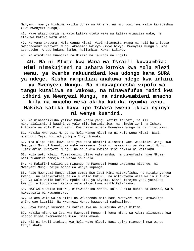Maryamu, mwenye hishima katika dunia na Akhera, na miongoni mwa walio karibishwa (kwa Mwenyezi Mungu).

46. Naye atazungumza na watu katika utoto wake na katika utuuzima wake, na atakuwa katika watu wema.

47. Maryamu akasema: Mola wangu Mlezi! Vipi nitampata mwana na hali hajanigusa mwanaadamu? Mwenyezi Mungu akasema: Ndivyo vivyo hivyo, Mwenyezi Mungu huumba apendacho. Anapo hukumu jambo, huliambia: Kuwa! Likawa.

48. Na atamfunza kuandika na Hikima na Taurati na Injili.

**49. Na ni Mtume kwa Wana wa Israili kuwaambia: Mimi nimekujieni na Ishara kutoka kwa Mola Mlezi wenu, ya kwamba nakuundieni kwa udongo kama SURA ya ndege. Kisha nampuliza anakuwa ndege kwa idhini** 

**ya Mwenyezi Mungu. Na ninawaponesha vipofu wa tangu kuzaliwa na wakoma, na ninawafufua maiti kwa idhini ya Mwenyezi Mungu, na ninakwambieni mnacho kila na mnacho weka akiba katika nyumba zenu.** 

#### **Hakika katika haya ipo Ishara kwenu ikiwi nyinyi ni wenye kuamini.**

50. Na ninasadikisha yaliyo kuwa kabla yangu katika Taurati, na ili nikuhalalishieni baadhi ya yale mlio harimishiwa, na nimekujieni na Ishara kutokana na Mola Mlezi wenu. Kwa hivyo mcheni Mwenyezi Mungu na nit'iini mimi.

51. Hakika Mwenyezi Mungu ni Mola wangu Mlezi na ni Mola wenu Mlezi. Basi muabudni Yeye. Hii ndiyo Njia Iliyo Nyooka.

52. Isa alipo hisi kuwa kati yao pana ukafiri alisema: Nani wasaidizi wangu kwa Mwenyezi Mungu? Wanafunzi wake wakasema: Sisi ni wasaidizi wa Mwenyezi Mungu. Tumemuamini Mwenyezi Mungu, na shuhudia kwamba sisi hakika ni Waislamu.

53. Mola wetu Mlezi! Tumeyaamini uliyo yateremsha, na tumemfuata huyu Mtume, basi tuandike pamoja na wanao shuhudia.

54. Na Makafiri walipanga mipango na Mwenyezi Mungu akapanga mipango, na Mwenyezi Mungu ndiye mbora wa wenye kupanga.

55. Pale Mwenyezi Mungu alipo sema: Ewe Isa! Mimi nitakufisha, na nitakunyanyua kwangu, na nitakutakasa na wale walio kufuru, na nitawaweka wale walio kufuata juu ya wale walio kufuru, mpaka Siku ya Kiyama. Kisha marejeo yenu yatakuwa kwangu, nikuhukumuni katika yale mliyo kuwa mkikhitalifiana.

56. Ama wale walio kufuru, nitawaadhibu adhabu kali katika dunia na Akhera, wala hawatapata wa kuwanusuru.

57. Na ama wale walio amini na wakatenda mema basi Mwenyezi Mungu atawalipa ujira wao kaamili. Na Mwenyezi Mungu hawapendi madhaalimu.

58. Haya tunayo kusomea ni katika Aya na Ukumbusho wenye hikima.

59. Hakika mfano wa Isa kwa Mwenyezi Mungu ni kama mfano wa Adam; alimuumba kwa udongo kisha akamwambia: Kuwa! Basi akawa.

60. Hii ni kweli itokayo kwa Mola wako Mlezi. Basi usiwe miongoni mwa wanao fanya shaka.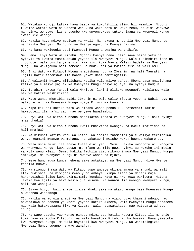61. Watakao kuhoji katika haya baada ya kukufikilia ilimu hii waambie: Njooni tuwaite watoto wetu na watoto wenu, na wake zetu na wake zenu, na sisi wenyewe na nyinyi wenyewe, kisha tuombe kwa unyenyekevu tutake laana ya Mwenyezi Mungu iwashukie waongo.

62. Hakika haya ndiyo maelezo ya kweli. Na hakuna mungu ila Mwenyezi Mungu tu, na hakika Mwenyezi Mungu ndiye Mwenye nguvu na Mwenye hikima.

63. Na kama wakigeuka basi Mwenyezi Mungu anawajua waharibifu.

64. Sema: Enyi Watu wa Kitabu! Njooni kwenye neno lilio sawa baina yetu na nyinyi: Ya kwamba tusimuabudu yeyote ila Mwenyezi Mungu, wala tusimshirikishe na chochote; wala tusifanyane sisi kwa sisi kuwa Waola Walezi badala ya Mwenyezi Mungu. Na wakigeuka basi semeni: Shuhudi- eni ya kwamba sisi ni Waislamu.

65. Enyi Watu wa Kitabu! Mbona mnabishana juu ya Ibrahim, na hali Taurati na Injili hazikuteremshwa ila baada yake? Basi hamzingatii?

66. Angalieni! Nyinyi mlibishana katika yale mliyo yajua. Mbona sasa mnabishana katika yale msiyo yajua? Na Mwenyezi Mungu ndiye ajuaye, na nyinyi hamjui.

67. Ibrahim hakuwa Yahudi wala Mkristo, lakini alikuwa mwongofu Muislamu, wala hakuwa katika washirikina.

68. Watu wanao mkaribia zaidi Ibrahim ni wale walio mfuata yeye na Nabii huyu na walio amini. Na Mwenyezi Mungu ndiye Mlinzi wa Waumini.

69. Kipo kikundi katika Watu wa Kitabu wanao penda kukupotezeni; lakini hawapotezi ila nafsi zao, nao wenyewe hawatambui.

70. Enyi Watu wa Kitabu! Mbona mnazikataa Ishara za Mwenyezi Mungu ilhali nyinyi mnashuhudia?

71. Enyi Watu wa Kitabu! Mbona kweli mnaivisha uwongo, na kweli mnaificha na hali mnajua?

72. Na kikundi katika Watu wa Kitabu walisema: Yaaminini yale waliyo teremshiwa wenye kuamini mwanzo wa mchana, na yakataeni mwisho wake; huenda wakarejea.

73. Wala msimuamini ila anaye fuata dini yenu. Sema: Hakika uwongofu ni uwongofu wa Mwenyezi Mungu, kuwa apewe mtu mfano wa mlio pewa nyinyi au wakuhojini mbele ya Mola wenu Mlezi. Sema: Hakika fadhila zimo mikononi mwa Mwenyezi Mungu. Humpa amtakaye. Na Mwenyezi Mungu ni Mwenye wasaa na Mjuzi.

74. Yeye humchagua kumpa rehema zake amtakaye; na Mwenyezi Mungu ndiye Mwenye fadhila kubwa.

75. Na miongoni mwa Watu wa Kitabu yupo ambaye ukimpa amana ya mrundi wa mali atakurudishia, na miongoni mwao yupo ambaye ukimpa amana ya dinari moja hakurudishii isipo kuwa ukimsimamia kumdai. Haya ni kwa kuwa wakisema: Hatuna lawama kwa ajili ya hawa wasio jua kusoma. Na wanamzulia uwongo Mwenyezi Mungu, hali nao wanajua.

76. Sivyo hivyo, bali anaye timiza ahadi yake na akamchamngu basi Mwenyezi Mungu huwapenda wachamngu.

77. Hakika wanao uza ahadi ya Mwenyezi Mungu na viapo vyao thamani ndogo, hao hawatakuwa na sehemu ya kheri yoyote katika Akhera, wala Mwenyezi Mungu hatasema nao wala hatawatazama Siku ya Kiyama, wala hatawatakasa, nao watapata adhabu chungu.

78. Na wapo baadhi yao wanao pindua ndimi zao katika kusoma Kitabu ili mdhanie kuwa hayo yanatoka Kitabuni, na wala hayatoki Kitabuni. Na husema: Haya yametoka kwa Mwenyezi Mungu. Na wala hayatoki kwa Mwenyezi Mungu. Na wanamsingizia Mwenyezi Mungu uwongo na wao wanajua.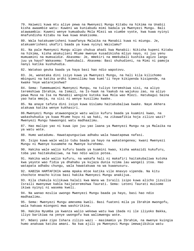79. Haiwezi kuwa mtu aliye pewa na Mwenyezi Mungu Kitabu na hikima na Unabii kisha awaambie watu: Kuweni wa kuniabudu mimi badala ya Mwenyezi Mungu. Bali atawaambia: Kuweni wenye kumuabudu Mola Mlezi wa viumbe vyote, kwa kuwa nyinyi mnafundisha Kitabu na kwa kuwa mnakisoma.

80. Wala hatakuamrisheni kuwafanya Malaika na Manabii kuwa ni miungu. Je, atakuamrisheni ukafiri baada ya kuwa nyinyi Waislamu?

81. Na pale Mwenyezi Mungu alipo chukua ahadi kwa Manabii: Nikisha kupeni Kitabu na hikima, kisha akakujieni Mtume mwenye kusadikisha mliyo nayo, ni juu yenu mumuamini na mumsaidie. Akasema: Je, mmekiri na mmekubali kushika agizo langu juu ya hayo? Wakasema: Tumekubali. Akasema: Basi shuhudieni, na Mimi ni pamoja nanyi katika kushuhudia.

82. Watakao geuka baada ya haya basi hao ndio wapotovu.

83. Je, wanataka dini isiyo kuwa ya Mwenyezi Mungu, na hali kila kilichomo mbinguni na katika ardhi kimesilimu kwa kumt'ii Yeye kikipenda kisipende, na kwake Yeye watarejeshwa?

84. Sema: Tumemuamini Mwenyezi Mungu, na tuliyo teremshiwa sisi, na aliyo teremshiwa Ibrahim, na Ismail, na Is-haak na Yaakub na wajukuu zao, na aliyo pewa Musa na Isa na Manabii wengine kutoka kwa Mola wao Mlezi. Hatubagui baina yao hata mmoja, na sisi ni wenye kusilimu kwake.

85. Na anaye tafuta dini isiyo kuwa Uislamu haitakubaliwa kwake. Naye Akhera atakuwa katika wenye kukhasiri.

86.Mwenyezi Mungu atawaongoaje watu walio kufuru baada ya kuamini kwao, na wakashuhudia ya kuwa Mtume huyu ni wa haki, na zikawafikia hoja zilizo wazi? Mwenyezi Mungu hawaongoi watu madhaalimu.

87. Hao malipo yao ni kuwa ipo juu yao laana ya Mwenyezi Mungu na ya Malaika na ya watu wote.

88. Humo watadumu. Hawatapunguziwa adhabu wala hawatapewa nafasi.

89. Isipo kuwa wale walio tubu baada ya hayo na wakatengenea; kwani Mwenyezi Mungu ni Mwenye kusamehe na Mwenye kurehemu.

90. Hakika wale walio kufuru baada ya kuamini kwao, kisha wakazidi kukufuru, toba yao haitakubaliwa, na hao ndio walio potea.

91. Hakika wale walio kufuru, na wakafa hali ni makafiri haitakubaliwa kutoka kwa yeyote wao fidia ya dhahabu ya kujaza dunia nzima lau wangeli itoa. Hao watapata adhabu chungu, wala hawatakuwa na wa kuwanusuru.

92. KABISA HAMTAFIKIA wema mpaka mtoe katika vile mnavyo vipenda. Na kitu chochote mnacho kitoa basi hakika Mwenyezi Mungu anakijua.

93. Kila chakula kilikuwa halali kwa Wana wa Israili isipo kuwa alicho jizuilia Israili mwenyewe kabla haijateremshwa Taurati. Sema: Leteni Taurati muisome ikiwa nyinyi ni wasema kweli.

94. Na wanao mzulia uwongo Mwenyezi Mungu baada ya hayo, basi hao ndio madhaalimu.

95. Sema: Mwenyezi Mungu amesema kweli. Basi fuateni mila ya Ibrahim mwongofu, wala hakuwa miongoni mwa washirikina.

96. Hakika Nyumba ya kwanza walio wekewa watu kwa ibada ni ile iliyoko Bakka, iliyo barikiwa na yenye uwongofu kwa walimwengu wote.

97. Ndani yake zipo Ishara zilizo wazi - masimamio ya Ibrahim, na mwenye kuingia humo anakuwa katika amani. Na kwa ajili ya Mwenyezi Mungu imewajibikia watu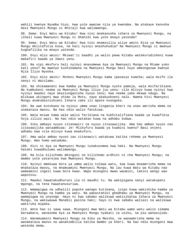wahiji kwenye Nyumba hiyo, kwa yule awezae njia ya kwendea. Na atakaye kanusha basi Mwenyezi Mungu si mhitaji kwa walimwengu.

98. Sema: Enyi Watu wa Kitabu! Kwa nini mnakanusha ishara za Mwenyezi Mungu, na ilhali kuwa Mwenyezi Mungu ni Shahidi kwa yote mnayo yatenda?

99. Sema: Enyi Watu wa Kitabu! Kwa nini mnamzuilia aliye amini Njia ya Mwenyezi Mungu mkiitafutia kosa, na hali nyinyi mnashuhudia? Na Mwenyezi Mungu si mwenye kughafilika na mnayo yatenda.

100. Enyi mlio amini! Mkiwat'ii baadhi ya walio pewa Kitabu watakurudisheni kuwa makafiri baada ya Imani yenu.

101. Na vipi mkufuru hali nyinyi mnasomewa Aya za Mwenyezi Mungu na Mtume yuko kati yenu? Na mwenye kushikamana na Mwenyezi Mungu basi huyo ameongozwa kwenye Njia Iliyo Nyooka.

102. Enyi mlio amini! Mcheni Mwenyezi Mungu kama ipasavyo kumcha; wala msife ila nanyi ni Waislamu.

103. Na shikamaneni kwa Kamba ya Mwenyezi Mungu nyote pamoja, wala msifarikiane. Na kumbukeni neema ya Mwenyezi Mungu iliyo juu yenu: vile mlivyo kuwa nyinyi kwa nyinyi maadui naye akaziunganisha nyoyo zenu; kwa neema yake mkawa ndugu. Na mlikuwa ukingoni mwa shimo la Moto, naye akakuokoeni nalo. Namna hivi Mwenyezi Mungu anakubainishieni Ishara zake ili mpate kuongoka.

104. Na uwe kutokana na nyinyi umma unao lingania kheri na unao amrisha mema na unakataza maovu. Na hao ndio walio fanikiwa.

105. Wala msiwe kama wale walio farikiana na kukhitalifiana baada ya kuwafikia hoja zilizo wazi. Na hao ndio watakao kuwa na adhabu kubwa.

106. Siku ambayo nyuso zitanawiri na nyuso zitasawijika. Ama hao ambao nyuso zao zitasawijika wataambiwa: Je! Mlikufuru baada ya kuamini kwenu? Basi onjeni adhabu kwa vile mlivyo kuwa mnakufuru.

107. Ama wale ambao nyuso zao zitanawiri watakuwa katika rehema ya Mwenyezi Mungu. Wao humo watadumu.

108. Hizi ni Aya za Mwenyezi Mungu tunakusomea kwa haki. Na Mwenyezi Mungu hataki kuwadhulumu walimwengu.

109. Na kila kilichomo mbinguni na kilichomo ardhini ni cha Mwenyezi Mungu; na mambo yote yatarejea kwa Mwenyezi Mungu.

110. Nyinyi mmekuwa bora ya umma walio tolewa watu, kwa kuwa mnaamrisha mema na mnakataza maovu, na mnamuamini Mwenyezi Mungu. Na lau kuwa Watu wa Kitabu nao wameamini ingeli kuwa bora kwao. Wapo miongoni mwao waumini, lakini wengi wao wapotovu.

111. Maadui hawatakudhuruni ila ni maudhi tu. Na wakipigana nanyi watakupeni mgongo, na tena hawatanusuriwa.

112. Wamepigwa na udhalili popote wanapo kutikana, isipo kuwa wakishika kamba ya Mwenyezi Mungu na kamba ya watu. Na wakastahiki ghadhabu ya Mwenyezi Mungu, na wamepigwa na unyonge. Hayo ni kwa sababu walikuwa wakizikataa Ishara za Mwenyezi Mungu, na wakiwauwa Manabii pasina haki; hayo ni kwa sababu waliasi na walikuwa wakiruka mipaka.

113. Wote hao si sawa sawa. Miongoni mwa Watu wa Kitabu wamo watu walio simama baraabara, wanasoma Aya za Mwenyezi Mungu nyakati za usiku, na pia wanasujudu.

114. Wanamuamini Mwenyezi Mungu na Siku ya Mwisho, na wanaamrisha mema na wanakataza maovu na wanakimbilia katika mambo ya kheri. Na hao ndio miongoni mwa watenda mema.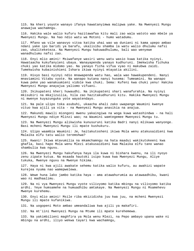115. Na kheri yoyote wanayo ifanya hawatanyimwa malipwa yake. Na Mwenyezi Mungu anawajua wachamngu.

116. Hakika wale walio kufuru hazitawafaa kitu mali zao wala watoto wao mbele ya Mwenyezi Mungu. Na hao ndio watu wa Motoni - humo watadumu.

117. Mfano wa vile wanavyo vitoa katika uhai wao wa duniani ni kama upepo ambao ndani yake ipo baridi ya barafu, ukalisibu shamba la watu walio dhulumu nafsi zao, ukaliteketeza. Na Mwenyezi Mungu hakuwadhulumu, bali wao wenyewe wanadhulumu nafsi zao.

118. Enyi mlio amini! Msiwafanye wasiri wenu watu wasio kuwa katika nyinyi. Hawataacha kukufanyieni ubaya. Wanayapenda yanayo kudhuruni. Imekwisha fichuka chuki yao katika midomo yao. Na yanayo ficha vifua vyao ni makubwa zaidi. Tumekwisha kubainishieni Ishara ikiwa nyinyi mtayatia akilini.

119. Hivyo basi nyinyi ndio mnawapenda watu hao, wala wao hawakupendeni. Nanyi mnaviamini Vitabu vyote. Na wanapo kutana nanyi husema: Tumeamini. Na wanapo kuwa peke yao wanakuumieni vidole kwa chuki. Sema: Kufeni kwa chuki yenu! Hakika Mwenyezi Mungu anayajua yaliomo vifuani.

120. Ikikupateni kheri huwaudhi. Na ikikupateni shari wanafurahia. Na nyinyi mkisubiri na mkajizuilia, hila zao hazitakudhuruni kitu. Hakika Mwenyezi Mungu ni mwenye kuyazunguka yote wayatendayo.

121. Na pale ulipo toka asubuhi, ukaacha ahali zako uwapange Waumini kwenye vituo kwa ajili ya vita - na Mwenyezi Mungu anasikia na anajua.

122. Makundi mawili miongoni mwenu yakaingiwa na woga kuwa watashindwa - na hali Mwenyezi Mungu ndiye Mlinzi wao; na Waumini wamtegemee Mwenyezi Mungu tu.

123. Na Mwenyezi Mungu alikwisha kunusuruni katika Badri nanyi mlikuwa wanyonge. Basi mcheni Mwenyezi Mungu ili mpate kushukuru.

124. Ulipo waambia Waumini: Je, haitakutosheni ikiwa Mola wenu atakusaidieni kwa Malaika elfu tatu walio teremshwa?

125. Kwani! Ikiwa mtavumilia na mkamchamngu na hata maadui wakikutokeeni kwa ghafla, basi hapo Mola wenu Mlezi atakusaidieni kwa Malaika elfu tano wanao shambulia kwa nguvu.

126. Na Mwenyezi Mungu hakufanya haya ila kuwa ni bishara kwenu, na ili nyoyo zenu zipate kutua. Na msaada hautoki isipo kuwa kwa Mwenyezi Mungu, Aliye tukuka, Mwenye nguvu na Mwenye hikima.

127. Haya ni kwa ajili awakate sehemu katika walio kufuru, au awahizi wapate kurejea nyuma nao wamepwelewa.

128. Wewe huna lako jambo katika haya - ama atawahurumia au atawaadhibu, kwani wao ni madhaalimu.

129. Na ni vya Mwenyezi Mungu vyote vilivyomo katika mbingu na vilivyomo katika ardhi. Yeye humsamehe na humuadhibu amtakaye. Na Mwenyezi Mungu ni Msamehevu Mwenye kurehemu.

130. Enyi mlio amini! Msile riba mkizidisha juu kwa juu, na mcheni Mwenyezi Mungu ili mpate kufanikiwa.

131. Na uogopeni Moto ambao umeandaliwa kwa ajili ya makafiri.

132. Na mt'iini Mwenyezi Mungu na Mtume ili mpate kurehemewa.

133. Na yakimbilieni maghfira ya Mola wenu Mlezi, na Pepo ambayo upana wake ni mbingu na ardhi, iliyo wekwa tayari kwa wachamngu,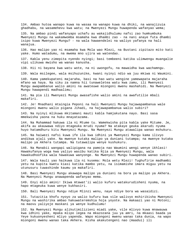134. Ambao hutoa wanapo kuwa na wasaa na wanapo kuwa na dhiki, na wanajizuia ghadhabu, na wasamehevu kwa watu; na Mwenyezi Mungu huwapenda wafanyao wema;

135. Na ambao pindi wafanyapo uchafu au wakajidhulumu nafsi zao humkumbuka Mwenyezi Mungu na wakamwomba msamaha kwa dhambi zao - na nani anaye futa dhambi isipo kuwa Mwenyezi Mungu? - na wala hawaendelei na waliyo yafanya na hali wanajua.

136. Hao malipo yao ni msamaha kwa Mola wao Mlezi, na Bustani zipitazo mito kati yake. Humo watadumu, na mwema mno ujira wa watendao.

137. Kabla yenu zimepita nyendo nyingi; basi tembeeni katika ulimwengu muangalie vipi ulikuwa mwisho wa wanao kanusha.

138. Hii ni bayana kwa watu wote, na ni uwongofu, na mawaidha kwa wachamngu.

139. Wala msilegee, wala msihuzunike, kwani nyinyi ndio wa juu mkiwa ni Waumini.

140. Kama yamekupateni majaraha, basi na hao watu wengine yamewapata majaraha mfano wa haya. Na siku za namna hii tunaweletea watu kwa zamu, ili Mwenyezi Mungu awapambanue walio amini na awateuwe miongoni mwenu mashahidi. Na Mwenyezi Mungu hawapendi madhaalimu;

141. Na pia ili Mwenyezi Mungu awasafishe walio amini na awafutilie mbali makafiri.

142. Je! Mnadhani mtaingia Peponi na hali Mwenyezi Mungu hajawapambanua wale miongoni mwenu walio pigana Jihadi, na hajawapambanua walio subiri?

143. Na nyinyi mlikuwa mkitamani mauti kabla hamjakutana nayo. Basi sasa mmekwisha yaona na huku mnayatazama.

144. Na Muhammad hakuwa ila ni Mtume tu. Wamekwisha pita kabla yake Mitume. Je, akifa au akauwawa ndiyo mtageuka mrudi nyuma? Na atakaye geuka akarudi nyuma huyo hatamdhuru kitu Mwenyezi Mungu. Na Mwenyezi Mungu atawalipa wanao mshukuru.

145. Na haiwezi nafsi kuwa ife ila kwa idhini ya Mwenyezi Mungu kama ilivyo andikwa ajali yake. Na mwenye kutaka malipo ya duniani tutampa; na mwenye kutaka malipo ya Akhera tutampa. Na tutawalipa wenye kushukuru.

146. Na Manabii wangapi walipigana na pamoja nao Waumini wengi wenye ikhlasi! Hawakufanya woga kwa yaliyo wasibu katika Njia ya Mwenyezi Mungu, wala hawakudhoofika wala hawakuwa wanyonge. Na Mwenyezi Mungu huwapenda wanao subiri.

147. Wala kauli yao haikuwa ila ni kusema: Mola wetu Mlezi! Tughufirie madhambi yetu na kupita kwetu kiasi katika mambo yetu, na isimamishe imara miguu yetu na utunusuru tuwashinde kaumu ya makafiri.

148. Basi Mwenyezi Mungu akawapa malipo ya duniani na bora ya malipo ya Akhera. Na Mwenyezi Mungu anawapenda wafanyao mema.

149. Enyi mlio amini! Ikiwa mtawat'ii walio kufuru watakurudisheni nyuma, na hapo mtageuka kuwa wenye kukhasiri.

150. Bali Mwenyezi Mungu ndiye Mlinzi wenu, naye ndiye bora wa wasaidizi.

151. Tutazitia khofu nyoyo za walio kufuru kwa vile walivyo mshirikisha Mwenyezi Mungu na washirika ambao hakuwateremshia hoja yoyote. Na makaazi yao ni Motoni; na maovu yaliyoje maskani ya wenye kudhulumu!

152. Na Mwenyezi Mungu alikutimilizieni miadi yake, vile mlivyo kuwa mnawauwa kwa idhini yake, mpaka mlipo legea na mkazozana juu ya amri, na mkaasi baada ya Yeye kukuonyesheni mliyo yapenda. Wapo miongoni mwenu wanao taka dunia, na wapo miongoni mwenu wanao taka Akhera. Kisha akakutengeni nao (maadui) ili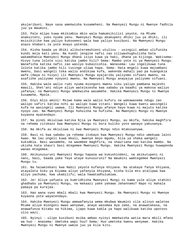akujaribuni. Naye sasa amekwisha kusameheni. Na Mwenyezi Mungu ni Mwenye fadhila juu ya Waumini.

153. Pale mlipo kuwa mkikimbia mbio wala hamumsikilizi yeyote, na Mtume anakuiteni, yuko nyuma yenu. Mwenyezi Mungu akakupeni dhiki juu ya dhiki, ili msisikitike kwa yaliyo kukoseeni wala kwa yaliyo kusibuni. Na Mwenyezi Mungu anazo khabari za yote mnayo yatenda.

154. Kisha baada ya dhiki alikuteremshieni utulivu - usingizi ambao ulifunika kundi moja kati yenu. Na kundi jengine nafsi zao ziliwashughulisha hata wakamdhania Mwenyezi Mungu dhana isiyo kuwa ya haki, dhana ya kijinga. Wakisema: Hivyo tuna lolote sisi katika jambo hili? Sema: Mambo yote ni ya Mwenyezi Mungu. Wanaficha katika nafsi zao wasiyo kubainishia. Wanasema: Lau ingelikuwa tuna lolote katika jambo hili tusinge uliwa hapa. Sema: Hata mngeli kuwa majumbani mwenu, basi wangeli toka walio andikiwa kufa, wakenda mahali pao pa kuangukia wafe.(Haya ni hivyo) ili Mwenyezi Mungu ayajaribu yaliyomo vifuani mwenu, na asafishe yaliyomo nyoyoni mwenu. Na Mwenyezi Mungu anayajua yaliyomo vifuani.

155. Hakika wale walio rudi nyuma miongoni mwenu siku yalipo pambana majeshi mawili, Shet'ani ndiye aliye watelezesha kwa sababu ya baadhi ya makosa waliyo yafanya; na Mwenyezi Mungu amekwisha wasamehe. Hakika Mwenyezi Mungu ni Mwenye kusamehe, Mpole.

156. Enyi mlio amini! Msiwe kama wale walio kufuru na wakawasema ndugu zao walipo safiri katika nchi au walipo kuwa vitani: Wangeli kuwa kwetu wasingeli kufa na wasingeli uwawa. Ili Mwenyezi Mungu afanye hayo kuwa ni majuto katika nyoyo zao. Na Mwenyezi Mungu huhuisha na hufisha. Na Mwenyezi Mungu ni Mwenye kuyaona myatendayo.

157. Na pindi mkiuliwa katika Njia ya Mwenyezi Mungu, au mkifa, hakika maghfira na rehema zitokazo kwa Mwenyezi Mungu ni bora kuliko yote wanayo yakusanya.

158. Na mkifa au mkiuliwa ni kwa Mwenyezi Mungu ndio mtakusanywa.

159. Basi ni kwa sababu ya rehema itokayo kwa Mwenyezi Mungu ndio umekuwa laini kwao. Na lau ungeli kuwa mkali, mwenye moyo mgumu, bila ya shaka wangeli kukimbia. Basi wasamehe, na waombee maghfira, na shauriana nao katika mambo. Na ukisha kata shauri basi mtegemee Mwenyezi Mungu. Hakika Mwenyezi Mungu huwapenda wanao mtegemea.

160. Akikunusuruni Mwenyezi Mungu hapana wa kukushindeni, na akikutupeni ni nani, basi, baada yake Yeye ataye kunusuruni? Na Waumini wamtegemee Mwenyezi Mungu tu.

161. Na haiwezekani kwa Nabii yeyote kufanya khiyana. Na atakaye fanya khiyana, atayaleta Siku ya Kiyama aliyo yafanyia khiyana, kisha kila mtu atalipwa kwa aliyo yachuma, kwa ukamilifu; wala hawatadhulumiwa.

162. Je! Aliye yafuata ya kumridhisha Mwenyezi Mungi ni kama yule aliye stahiki ghadhabu ya Mwenyezi Mungu, na makaazi yake yakawa Jahannamu? Napo ni mahala pabaya pa kurejea.

163. Hao wana vyeo mbali mbali kwa Mwenyezi Mungu. Na Mwenyezi Mungu ni Mwenye kuyaona yote wayatendayo.

164. Hakika Mwenyezi Mungu amewafanyia wema mkubwa Waumini vile alivyo waletea Mtume aliye miongoni mwao wenyewe, anaye wasomea Aya zake, na anawatakasa, na anawafunza Kitabu na hikima, ijapo kuwa kabla ya hapo walikuwa katika upotovu ulio wazi.

165. Nyinyi - ulipo kusibuni msiba ambao nyinyi mmekwisha watia mara mbili mfano wa huo - mnasema: Umetoka wapi huu? Sema: Huo umetoka kwenu wenyewe. Hakika Mwenyezi Mungu ni Mwenye uweza juu ya kila kitu.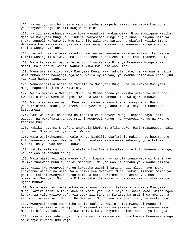166. Na yaliyo kusibuni siku yalipo pambana majeshi mawili yalikuwa kwa idhini ya Mwenyezi Mungu, na ili awajue Waumini.

167. Na ili awapambanue walio kuwa wanaafiki, wakaambiwa: Njooni mpigane katika Njia ya Mwenyezi Mungu au lindeni. Wakasema: Tungeli jua kuna kupigana bila ya shaka tungeli kufuateni. Wao siku ile walikuwa karibu na ukafiri kuliko Imani. Wanasema kwa midomo yao yasiyo kuwamo nyoyoni mwao. Na Mwenyezi Mungu anajua kabisa wanayo yaficha.

168. Hao ndio walio waambia ndugu zao na wao wenyewe wakakaa kitako: Lau wengeli tut'ii wasingeli uliwa. Sema: Ziondoleeni nafsi zenu mauti kama mnasema kweli.

169. Wala kabisa usiwadhanie walio uliwa katika Njia ya Mwenyezi Mungu kuwa ni maiti. Bali hao ni wahai, wanaruzukiwa kwa Mola wao Mlezi.

170. Wanafurahia aliyo wapa Mwenyezi Mungu kwa fadhila yake, na wanawashangilia wale ambao bado hawajajiunga nao, walio nyuma yao, ya kwamba haitakuwa khofu juu yao wala hawatahuzunika.

171. Wanashangilia neema na fadhila za Mwenyezi Mungu, na ya kwamba Mwenyezi Mungu hapotezi ujira wa Waumini,

172. Walio mwitikia Mwenyezi Mungu na Mtume baada ya kwisha patwa na majaraha kwa walio fanya wema miongoni mwao na wakamchamngu utakuwa ujira mkubwa -

173. Walio ambiwa na watu: Kuna watu wamekukusanyikieni, waogopeni! Hayo yakawazidishia Imani, wakasema: Mwenyezi Mungu anatutosha, naye ni mbora wa kutegemewa.

174. Basi wakarudi na neema na fadhila za Mwenyezi Mungu. Hapana baya lilio wagusa, na wakafuata yanayo mridhi Mwenyezi Mungu. Na Mwenyezi Mungu ni Mwenye fadhila kuu.

175. Hakika huyo ni Shet'ani anawatia khofu marafiki zake, basi msiwaogope, bali niogopeni Mimi mkiwa nyinyi ni Waumini.

176. Wala wasikuhuzunishe wale wanao kimbilia ukafirini. Hakika hao hawamdhuru kitu Mwenyezi Mungu. Mwenyezi Mungu anataka asiwawekee sehemu yoyote katika Akhera, na yao wao adhabu kubwa.

177. Hakika wale walio nunua ukafiri kwa Imani hawatamdhuru kitu Mwenyezi Mungu, na yao wao ni adhabu chungu.

178. Wala wasidhani wale wanao kufuru kwamba huu muhula tunao wapa ni kheri yao. Hakika tunawapa muhula wazidi madhambi. Na yao wao ni adhabu ya kuwadhalilisha.

179. Haiwi kwa Mwenyezi Mungu kuwaacha Waumini katika hali mliyo nayo mpaka apambanue wabaya na wema. Wala haiwi kwa Mwenyezi Mungu kukujuulisheni mambo ya ghaibu. Lakini Mwenyezi Mungu humteua katika Mitume wake amtakaye. Basi muaminini Mwenyezi Mungu na Mitume yake. Na mkiamini na mkamchamngu mtakuwa na ujira mkubwa.

180. Wala wasidhani wale ambao wanafanya ubakhili katika aliyo wapa Mwenyezi Mungu katika fadhila zake kuwa ni kheri yao. Bali hiyo ni shari kwao. Watafungwa kongwa za yale waliyo yafanyia ubakhili Siku ya Kiyama. Na urithi wa mbingu na ardhi ni wa Mwenyezi Mungu. Na Mwenyezi Mungu anazo khabari za yote myatendayo.

181. Mwenyezi Mungu amekwisha sikia kauli ya walio sema: Mwenyezi Mungu ni masikini, na sisi ni matajiri. Tumeyaandika waliyo yasema, na pia kuwauwa kwao Manabii bila ya haki, na tutawaambia Siku ya Kiyama: Onjeni adhabu ya kuungua.

182. Haya ni kwa sababu ya iliyo tanguliza mikono yenu, na kwamba Mwenyezi Mungu si mwenye kuwadhulumu waja,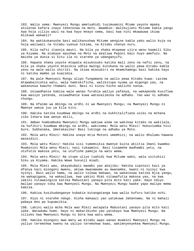183. Walio sema: Mwenyezi Mungu ametuahidi tusimuamini Mtume yeyote mpaka atuletee kafara inayo teketezwa na moto. Waambie: Walikujieni Mitume kabla yangu kwa hoja zilizo wazi na kwa hayo mnayo sema, basi kwa nini mkawauwa ikiwa mlikuwa wakweli?

184. Na wakikukanusha basi walikanushwa Mitume wengine kabla yako walio kuja na hoja waziwazi na Vitabu vyenye hikima, na Kitabu chenye nuru.

185. Kila nafsi itaonja mauti. Na bila ya shaka mtapewa ujira wenu kaamili Siku ya Kiyama. Na atakaye epushwa na Moto na akatiwa Peponi basi huyo amefuzu. Na maisha ya dunia si kitu ila ni starehe ya udanganyifu.

186. Hapana shaka yoyote mtapata misukosuko katika mali zenu na nafsi zenu, na bila ya shaka yoyote mtasikia udhia mwingi kutokana na walio pewa Kitabu kabla yenu na wale walio shiriki. Na ikiwa mtasubiri na mkamchamngu basi hakika hayo ni katika mambo ya kuazimia.

187. Na pale Mwenyezi Mungu alipo fungamana na walio pewa Kitabu kuwa: Lazima mtawabainishia watu, wala hamtokificha, walikitupa nyuma ya migongo yao, na wakanunua kwacho thamani duni. Basi ni kiovu hicho walicho nunua.

188. Usiwadhanie kabisa wale wanao furahia waliyo yafanya, na wakapenda kusifiwa kwa wasiyo yatenda, usiwadhanie kuwa watasalimika na adhabu. Yao wao ni adhabu chungu.

189. Na Ufalme wa mbingu na ardhi ni wa Mwenyezi Mungu; na Mwenyezi Mungu ni Mwenye uweza juu ya kila kitu.

190. Hakika katika kuumbwa mbingu na ardhi na kukhitalifiana usiku na mchana ziko Ishara kwa wenye akili,

191. Ambao humkumbuka Mwenyezi Mungu wakiwa wima na wakikaa kitako na wakilala, na hufikiri kuumbwa mbingu na ardhi, wakisema: Mola wetu Mlezi! Hukuviumba hivi bure. Subhanaka, Umetakasika! Basi tukinge na adhabu ya Moto.

192. Mola wetu Mlezi! Hakika unaye mtia Motoni umemhizi; na walio dhulumu hawana wasaidizi.

193. Mola wetu Mlezi! Hakika sisi tumemsikia mwenye kuita akiitia Imani kwamba: Muaminini Mola wenu Mlezi; nasi tukaamini. Basi tusamehe madhambi yetu, na utufutie makosa yetu, na utufishe pamoja na watu wema.

194. Mola wetu Mlezi! Na utupe uliyo tuahidi kwa Mitume wako, wala usituhizi Siku ya Kiyama. Hakika Wewe huvunji miadi.

195. Mola Mlezi wao, akayakubali maombi yao akajibu: Hakika sipotezi kazi ya mfanya kazi miongoni mwenu, akiwa mwanamume au mwanamke, kwani ni nyinyi kwa nyinyi. Basi walio hama, na walio tolewa makwao, na wakateswa katika Njia yangu, na wakapigana, na wakauliwa, kwa yakini Mimi nitawafutia makosa yao, na kwa yakini nitawaingiza katika Mabustani yanayo pita mito kati yake. Hayo ndiyo malipo yanayo toka kwa Mwenyezi Mungu. Na Mwenyezi Mungu kwake yapo malipo mema kabisa.

196. Kabisa kusikudanganye kubakia kutangatanga kwa walio kufuru katika nchi.

197. Hiyo ni starehe ndogo. Kisha makaazi yao yatakuwa Jahannamu. Na ni mahali pabaya mno pa kupumzikia.

198. Lakini walio mcha Mola wao Mlezi watapata Mabustani yanayo pita mito kati yake. Watadumu humo. Hayo ni makaribisho yao yatokayo kwa Mwenyezi Mungu. Na vilioko kwa Mwenyezi Mungu ni bora kwa watu wema.

199. Hakika miongoni mwa Watu wa Kitabu wapo wanao muamini Mwenyezi Mungu na yaliyo teremshwa kwenu na yaliyo teremshwa kwao, wakimnyenyekea Mwenyezi Mungu.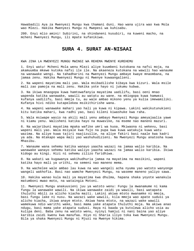Hawabadili Aya za Mwenyezi Mungu kwa thamani duni. Hao wana ujira wao kwa Mola wao Mlezi. Hakika Mwenyezi Mungu ni Mwepesi wa kuhisabu.

200. Enyi mlio amini! Subirini, na shindaneni kusubiri, na kuweni macho, na mcheni Mwenyezi Mungu, ili mpate kufanikiwa.

### **SURA 4. SURAT AN-NISAAI**

KWA JINA LA MWENYEZI MUNGU MWINGI WA REHEMA MWENYE KUREHEMU

1. Enyi watu! Mcheni Mola wenu Mlezi aliye kuumbeni kutokana na nafsi moja, na akamuumba mkewe kutoka nafsi ile ile. Na akaeneza kutokana na wawili hao wanaume na wanawake wengi. Na tahadharini na Mwenyezi Mungu ambaye kwaye mnaombana, na jamaa zenu. Hakika Mwenyezi Mungu ni Mwenye kuwaangalieni.

2. Na wapeni mayatima mali yao. Wala msibadilishe kibaya kwa kizuri. Wala msile mali zao pamoja na mali zenu. Hakika yote hayo ni jukumu kubwa.

3. Na ikiwa mnaogopa kuwa hamtowafanyia mayatima uadilifu, basi oeni mnao wapenda katika wanawake, wawili au watatu au wane. na mkiogopa kuwa hamwezi kufanya uadilifu, basi mmoja tu, au wale ambao mikono yenu ya kulia imewamiliki. Kufanya hivi ndiko kutapelekea msikithirishe wana.

4. Na wapeni wanawake mahari yao hali ya kuwa ni kipawa. Lakini wakikutunukieni kitu katika mahari, kwa radhi yao, basi kileni kiwashuke kwa raha.

5. Wala msiwape wasio na akili mali yenu ambayo Mwenyezi Mungu ameyajaalia yawe ni kiamu yenu. Walisheni katika hayo na muwavike, na mseme nao maneno mazuri.

6. Na wajaribuni mayatima mpaka wafike umri wa kuoa. Mkiwaona ni wekevu, basi wapeni mali yao. Wala msiyale kwa fujo na pupa kwa kuwa watakuja kuwa watu wazima. Na aliye kuwa tajiri naajizuilie, na aliye fakiri basi naale kwa kadri ya ada. Na mtakapo wapa mali yao washuhudizieni. Na Mwenyezi Mungu anatosha kuwa Mhasibu.

7. Wanaume wana sehemu katika wanayo yaacha wazazi na jamaa walio karibia. Na wanawake wanayo sehemu katika waliyo yaacha wazazi na jamaa walio karibia. Ikiwa kidogo au kingi. Hizi ni sehemu zilizo faridhiwa.

8. Na wakati wa kugawanya wakihudhuria jamaa na mayatima na masikini, wapeni katika hayo mali ya urithi, na semeni nao maneno mema.

9. Na wachelee wale ambao lau kuwa na wao wangeli acha nyuma yao watoto wanyonge wangeli wakhofia. Basi nao wamche Mwenyezi Mungu, na waseme maneno yaliyo sawa.

10. Hakika wanao kula mali ya mayatima kwa dhulma, hapana shaka yoyote wanakula matumboni mwao moto, na wataingia Motoni.

11. Mwenyezi Mungu anakuusieni juu ya watoto wenu: Fungu la mwanamume ni kama fungu la wanawake wawili. Na ikiwa wanawake zaidi ya wawili, basi watapata thuluthi mbili za alicho kiacha maiti. Lakini akiwa mtoto mwanamke ni mmoja, basi fungu lake ni nusu. Na wazazi wake wawili, kila mmoja wao apate sudusi ya alicho kiacha, ikiwa anaye mtoto. Akiwa hana mtoto, na wazazi wake wawili wamekuwa ndio warithi wake, basi mama yake atapata thuluthi moja. Na akiwa anao ndugu, basi mama yake atapata sudusi. Haya ni baada ya kutolewa alicho usia au kulipa deni. Baba zenu na watoto wenu, nyinyi hamjui ni nani baina yao aliye karibia zaidi kwenu kwa manufaa. Hiyo ni Sharia iliyo toka kwa Mwenyezi Mungu. Bila ya shaka Mwenyezi Mungu ni Mjuzi na Mwenye hikima.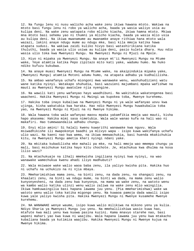12. Na fungu lenu ni nusu walicho acha wake zenu ikiwa hawana mtoto. Wakiwa na mtoto basi fungu lenu ni robo ya walicho acha, baada ya wasia waliyo usia au kulipa deni. Na wake zenu watapata robo mlicho kiacha, ikiwa hamna mtoto. Mkiwa mna mtoto basi sehemu yao ni thumni ya mlicho kiacha, baada ya wasia mlio usia au kulipa deni. Na ikiwa mwanamume au mwanamke anaye rithiwa hana mtoto wala wazazi, lakini anaye ndugu mume au ndugu mke, basi kila mmoja katika hawa atapata sudusi. Na wakiwa zaidi kuliko hivyo basi watashirikiana katika thuluthi, baada ya wasia ulio usiwa au kulipa deni, pasio kuleta dhara. Huu ndio wasia ulio toka kwa Mwenyezi Mungu. Na Mwenyezi Mungu ni Mjuzi na Mpole.

13. Hiyo ni mipaka ya Mwenyezi Mungu. Na anaye mt'ii Mwenyezi Mungu na Mtume wake, Yeye atamtia katika Pepo zipitazo mito kati yake, wadumu humo. Na huko ndiko kufuzu kukubwa.

14. Na anaye muasi Mwenyezi Mungu na Mtume wake, na akaipindukia mipaka yake, (Mwenyezi Mungu) atamtia Motoni adumu humo, na atapata adhabu ya kudhalilisha.

15. Na ambao wanafanya uchafu miongoni mwa wanawake wenu, washuhudizieni watu wane katika nyinyi. Watakapo shuhudia, basi wazuieni majumbani mpaka wafishwe na mauti au Mwenyezi Mungu awatolee njia nyengine.

16. Na wawili kati yenu wafanyao hayo waadhibuni. Na wakitubia wakatengenea basi waacheni. Hakika Mwenyezi Mungu ni Mwingi wa kupokea toba, Mwenye kurehemu.

17. Hakika toba inayo kubaliwa na Mwenyezi Mungu ni ya wale wafanyao uovu kwa ujinga, kisha wakatubia kwa haraka. Hao ndio Mwenyezi Mungu huwakubalia toba yao, na Mwenyezi Mungu ni Mjuzi na ni Mwenye hikima.

18. Wala hawana toba wale wafanyao maovu mpaka yakamfikia mmoja wao mauti, kisha hapo akasema: Hakika mimi sasa nimetubia. Wala wale wanao kufa na hali wao ni makafiri. Hao tumewaandalia adhabu chungu.

19. Enyi mlio amini! Si halali kwenu kuwarithi wanawake kwa nguvu. Wala msiwadhikishe ili mwapokonye baadhi ya mlivyo wapa - isipo kuwa wakifanya uchafu ulio wazi. Na kaeni nao kwa wema, na ikiwa mmewachukia, basi huenda mkakichukia kitu, na Mwenyezi Mungu ametia kheri nyingi ndani yake.

20. Na mkitaka kubadilisha mke mahali pa mke, na hali mmoja wao mmempa chungu ya mali, basi msichukue katika hayo kitu chochote. Je, mtachukua kwa dhulma na kosa lilio wazi?

21. Na mtachukuaje na ilhali mmekwisha ingiliana nyinyi kwa nyinyi, na wao wanawake wamechukua kwenu ahadi iliyo madhubuti?

22. Wala msiwaoe wake walio waoa baba zenu, ila yaliyo kwisha pita. Hakika huo ni uchafu na uchukizo na ni njia mbaya.

23. Mmeharimishiwa mama zenu, na binti zenu, na dada zenu, na shangazi zenu, na khaalati zenu, na binti wa ndugu mume, na binti wa dada, na mama zenu walio kunyonyesheni, na dada zenu kwa kunyonya, na mama wa wake zenu, na watoto wenu wa kambo walio katika ulinzi wenu walio zaliwa na wake zenu mlio waingilia. Ikiwa hamkuwaingilia basi hapana lawama juu yenu. (Pia mmeharimishwa) wake wa watoto wenu walio toka katika migongo yenu. Na kuwaoa pamoja dada wawili isipo kuwa yale yaliyo kwisha pita. Hakika Mwenyezi Mungu ni Mwenye kusamehe Mwenye kurehemu.

24. NA WANAWAKE wenye waume, isipo kuwa walio milikiwa na mikono yenu ya kulia. Ndiyo Sharia ya Mwenyezi Mungu juu yenu. Na mmehalilishiwa wasio kuwa hao, mtafute kwa mali yenu kwa kuowa pasina kuzini. Kama mnavyo starehe nao, basi wapeni mahari yao kwa kuwa ni waajibu. Wala hapana lawama juu yenu kwa mtakacho kubaliana baada ya kutimiza waajibu. Hakika Mwenyezi Mungu ni Mwenye kujua na Mwenye hikima.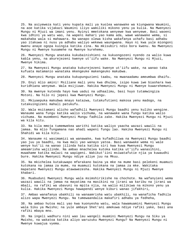25. Na asiyeweza kati yenu kupata mali ya kuolea wanawake wa kiungwana Waumini, na aoe katika vijakazi Waumini iliyo wamiliki mikono yenu ya kulia. Na Mwenyezi Mungu ni Mjuzi wa imani yenu. Nyinyi mmetokana wenyewe kwa wenyewe. Basi waoeni kwa idhini ya watu wao, na wapeni mahari yao kama ada, wawe wanawake wema, si makahaba wala si mahawara. Na wanapo olewa kisha wakafanya uchafu basi adhabu yao itakuwa ni nusu ya adhabu waliyo wekewa waungwana. Hayo ni kwa yule miongoni mwenu anaye ogopa kuingia katika zina. Na mkisubiri ndio bora kwenu. Na Mwenyezi Mungu ni Mwenye kusamehe na Mwenye kurehemu.

26. Mwenyezi Mungu anataka kukubainishieni na kukuongozeni nyendo za walio kuwa kabla yenu, na akurejezeni kwenye ut'iifu wake. Na Mwenyezi Mungu ni Mjuzi, Mwenye hikima.

27. Na Mwenyezi Mungu anataka kukurejezeni kwenye ut'iifu wake, na wanao taka kufuata matamanio wanataka mkengeuke makengeuko makubwa.

28. Mwenyezi Mungu anataka kukupunguzieni taabu, na mwanaadamu ameumbwa dhaifu.

29. Enyi mlio amini! Msiliane mali yenu kwa dhulma, isipo kuwa iwe biashara kwa kuridhiana wenyewe. Wala msijiuwe. Hakika Mwenyezi Mungu ni Mwenye kuwarehemuni.

30. Na mwenye kutenda hayo kwa uadui na udhaalimu, basi huyo tutamwingiza Motoni. Na hilo ni jepesi kwa Mwenyezi Mungu.

31. Mkiyaepuka makubwa mnayo katazwa, tutakufutieni makosa yenu madogo, na tutakuingizeni mahali patukufu.

32. Wala msitamani alicho wafadhili Mwenyezi Mungu baadhi yenu kuliko wengine. Wanaume wana fungu katika walio vichuma, na wanawake wana fungu katika walio vichuma. Na muombeni Mwenyezi Mungu fadhila zake. Hakika Mwenyezi Mungu ni Mjuzi wa kila kitu.

33. Na kila mmoja tumemwekea warithi katika waliyo yaacha wazazi wawili na jamaa. Na mlio fungamana nao ahadi wapeni fungu lao. Hakika Mwenyezi Mungu ni Shahidi wa kila kitu.

34. Wanaume ni wasimamizi wa wanawake, kwa kufadhiliwa na Mwenyezi Mungu baadhi yao juu ya baadhi, na kwa mali yao wanayo yatoa. Basi wanawake wema ni wale wenye kut'ii na wanao jilinda hata katika siri kwa kuwa Mwenyezi Mungu ameamrisha wajilinde. Na ambao mnachelea kutoka katika ut'iifu wanasihini, muwahame katika malazi na wapigeni. Wakikut'iini msiwatafutie njia ya kuwaudhi bure. Hakika Mwenyezi Mungu ndiye aliye juu na Mkuu.

35. Na mkichelea kutakuwapo mfarakano baina ya mke na mume basi pelekeni muamuzi kutokana na jamaa za mume, na muamuzi kutokana na jamaa za mke. Wakitaka mapatano Mwenyezi Mungu atawawezesha. Hakika Mwenyezi Mungu ni Mjuzi Mwenye khabari.

36. Muabuduni Mwenyezi Mungu wala msimshirikishe na chochote. Na wafanyieni wema wazazi wawili na jamaa na mayatima na masikini na jirani wa karibu na jirani wa mbali, na rafiki wa ubavuni na mpita njia, na walio milikiwa na mikono yenu ya kulia. Hakika Mwenyezi Mungu hawapendi wenye kiburi wanao jifakhiri,

37. Ambao wanafanya ubakhili na wanaamrisha watu ubakhili, na wanaficha fadhila alizo wapa Mwenyezi Mungu. Na tumewaandalia makafiri adhabu ya fedheha,

38. Na ambao hutoa mali yao kwa kuonyesha watu, wala hawamuamini Mwenyezi Mungu wala Siku ya Mwisho; na yule ambaye Shet'ani amekuwa ndiye rafiki yake, basi ana rafiki mbaya mno.

39. Na ingeli wadhuru nini wao lau wangeli muamini Mwenyezi Mungu na Siku ya Mwisho, na wakatoa katika aliyo waruzuku Mwenyezi Mungu? Na Mwenyezi Mungu ni Mwenye kuwajua vyema.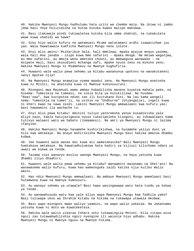40. Hakika Mwenyezi Mungu hadhulumu hata uzito wa chembe moja. Na ikiwa ni jambo jema basi Yeye hulizidisha na hutoa kutoka kwake malipo makubwa.

41. Basi itakuwaje pindi tukiwaletea kutoka kila umma shahidi, na tukakuleta wewe kuwa shahidi wa hawa?

42. Siku hiyo walio kufuru na wakamuasi Mtume watatamani ardhi isawazishwe juu yao. Wala hawataweza kumficha Mwenyezi Mungu neno lolote.

43. Enyi mlio amini! Msikaribie Sala, hali mmelewa, mpaka myajue mnayo yasema, wala hali mna janaba - isipo kuwa mmo safarini - mpaka mkoge. Na mkiwa wagonjwa, au mmo safarini, au mmoja wenu ametoka chooni, au mmewagusa wanawake - na msipate maji, basi ukusudieni mchanga safi, mpake nyuso zenu na mikono yenu. Hakika Mwenyezi Mungu ni Msamehevu na Mwenye kughufiria.

44. Huwaoni wale walio pewa sehemu ya Kitabu wananunua upotovu na wanakutakeni nanyi mpotee njia?

45. Na Mwenyezi Mungu anawajua vyema maadui zenu. Na Mwenyezi Mungu anatosha kuwa ni Mlinzi, na anatosha kuwa ni Mwenye kukunusuruni.

46. Miongoni mwa Mayahudi wamo ambao hubadilisha maneno kuyatoa mahala pake, na husema: Tumesikia na tumeasi, na sikia bila ya kusikilizwa. Na husema: "Raai'naa", kwa kuzipotoa ndimi zao ili kuitukana Dini. Na lau kama wangeli sema: Tumesikia na tumet'ii, na usikie na "Undhurna" (Utuangalie), ingeli kuwa ni kheri kwao na sawa zaidi. Lakini Mwenyezi Mungu amewalaani kwa kufuru yao; basi hawaamini ila wachache tu.

47. Enyi mlio pewa Kitabu! Aminini tuliyo yateremsha yenye kusadikisha yale mliyo nayo, kabla hatujazigeuza nyuso tukazipeleka kisogoni, au tukawalaani kama tulivyo walaani watu wa Sabato (Jumaamosi). Na amri ya Mwenyezi Mungu ni lazima ifanyike.

48. Hakika Mwenyezi Mungu hasamehe kushirikishwa, na husamehe yaliyo duni ya hilo kwa amtakaye. Na anaye mshirikisha Mwenyezi Mungu basi hakika amezua dhambi kubwa.

49. Jee huwaoni wale wanao dai kuwa ati wametakasika? Bali Mwenyezi Mungu humtakasa amtakaye. Na hawatadhulumiwa hata kadiri ya kijiuzi kilichomo ndani ya uwazi wa kokwa ya tende.

50. Tazama vipi wanavyo mzulia uwongo Mwenyezi Mungu, na haya yatosha kuwa dhambi iliyo dhaahiri.

51. Huwaoni wale walio pewa sehemu ya Kitabu? Wanaamini masanamu na Shet'ani! Na wanawasema walio kufuru, kuwa hao wameongoka zaidi katika njia kuliko Walio amini.

52. Hao ndio Mwenyezi Mungu amewalaani. Na ambaye Mwenyezi Mungu amemlaani basi hutamwona kuwa na mwenye kumnusuru.

53. Au wanayo sehemu ya utawala? Basi hapo wasingewapa watu hata tundu ya kokwa ya tende.

54. Au wanawahusudu watu kwa yale aliyo wapa Mwenyezi Mungu kwa fadhila yake? Basi tuliwapa ukoo wa Ibrahim Kitabu na hikima na tukawapa utawala mkubwa.

55. Basi wapo miongoni mwao waliyo yaamini, na wapo walio yakataa. Na Jahannamu yatosha kuwa ni moto wa kuwateketeza.

56. Hakika wale walio zikataa Ishara zetu tutawaingiza Motoni. Kila zitapo wiva ngozi zao tutawabadilishia ngozi nyengine ili waionje hiyo adhabu. Hakika Mwenyezi Mungu ni Mwenye nguvu na Mwenye hikima.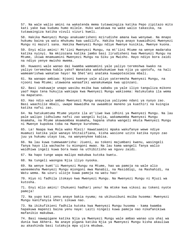57. Na wale walio amini na wakatenda mema tutawaingiza katika Pepo zipitazo mito kati yake kwa kudumu humo milele. Huko watakuwa na wake walio takasika, na tutawaingiza katika vivuli vizuri kweli.

58. Hakika Mwenyezi Mungu anakuamrisheni mzirudishe amana kwa wenyewe. Na mnapo hukumu baina ya watu mhukumu kwa uadilifu. Hakika haya anayo kuwaidhini Mwenyezi Mungu ni mazuri sana. Hakika Mwenyezi Mungu ndiye Mwenye kusikia, Mwenye kuona.

59. Enyi mlio amini! Mt'iini Mwenyezi Mungu, na mt'iini Mtume na wenye madaraka katika nyinyi. Na mkizozana katika jambo basi lirudisheni kwa Mwenyezi Mungu na Mtume, ikiwa mnamuamini Mwenyezi Mungu na Siku ya Mwisho. Hayo ndiyo bora zaidi na ndiyo yenye mwisho mwema.

60. Huwaoni wale wanao dai kwamba wameamini yale yaliyo teremshwa kwako na yaliyo teremshwa kabla yako? Wanataka wakahukumiwe kwa njia ya upotofu, na hali wameamrishwa wakatae hayo! Na Shet'ani anataka kuwapotezelea mbali.

61. Na wanapo ambiwa: Njooni kwenye yale aliyo yateremsha Mwenyezi Mungu, na njooni kwa Mtume; utawaona wanaafiki wanakukwepa kwa upinzani.

62. Basi inakuwaje unapo wasibu msiba kwa sababu ya yale iliyo tanguliza mikono yao? Hapo tena hukujia wakiapa kwa Mwenyezi Mungu wakisema: Hatukutaka ila wema na mapatano.

63. Hao ndio wale ambao Mwenyezi Mungu anayajua yaliyomo ndani ya nyoyo zao. Basi waachilie mbali, uwape mawaidha na uwaambie maneno ya kuathiri na kuingia katika nafsi zao.

64. Na hatukumtuma Mtume yeyote ila at'iiwe kwa idhini ya Mwenyezi Mungu. Na lau pale walipo jidhulumu nafsi zao wangeli kujia, wakamwomba Mwenyezi Mungu msamaha, na Mtume akawaombea msamaha, hapana shaka wangeli mkuta Mwenyezi Mungu ni Mwenye kupokea toba na Mwenye kurehemu.

65. La! Naapa kwa Mola wako Mlezi! Hawataamini mpaka wakufanye wewe ndiye muamuzi katika yale wanayo khitalifiana, kisha wasione uzito katika nyoyo zao juu ya hukumu utayo toa, na wanyenykee kabisa.

66. Na lau kuwa tumewaamrisha: Jiueni, au tokeni majumbani kwenu, wasingeli fanya hayo ila wachache tu miongoni mwao. Na lau kama wangeli fanya walio waidhiwa ingeli kuwa bora kwao na uthibitisho wa nguvu zaidi.

67. Na hapo tunge wapa malipo makubwa kutoka kwetu.

68. Na tungeli waongoa Njia iliyo nyooka.

69. Na wenye kumt'ii Mwenyezi Mungu na Mtume, hao wa pamoja na wale alio waneemesha Mwenyezi Mungu miongoni mwa Manabii, na Masiddiqi, na Mashahidi, na Watu wema. Na uzuri ulioje kuwa pamoja na watu hao!

70. Hiyo ni fadhila itokayo kwa Mwenyezi Mungu. Na Mwenyezi Mungu ni Mjuzi wa kutosha.

71. Enyi mlio amini! Chukueni hadhari yenu! Na mtoke kwa vikosi au tokeni nyote pamoja!

72. Na yupo kati yenu anaye bakia nyuma; na ukikusibuni msiba husema: Mwenyezi Mungu kanifanyia kheri sikuwa nao.

73. Na ikikufikieni fadhila kutoka kwa Mwenyezi Mungu husema - kama kwamba hapakuwa mapenzi baina yenu naye: Laiti ningeli kuwa pamoja nao nikafanikiwa mafanikio makubwa.

74. Basi nawapigane katika Njia ya Mwenyezi Mungu wale ambao wanao uza uhai wa dunia kwa Akhera. Na anaye pigana katika Njia ya Mwenyezi Mungu kisha akauliwa au akashinda basi tutakuja mpa ujira mkubwa.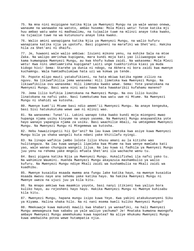75. Na mna nini msipigane katika Njia ya Mwenyezi Mungu na ya wale wanao onewa, wanaume na wanawake na watoto, ambao husema: Mola Mlezi wetu! Tutoe katika mji huu ambao watu wake ni madhaalimu, na tujaalie tuwe na mlinzi anaye toka kwako, na tujaalie tuwe na wa kutunusuru anaye toka kwako.

76. Walio amini wanapigana katika Njia ya Mwenyezi Mungu, na walio kufuru wanapiana katika njia ya upotofu. Basi piganeni na marafiki wa Shet'ani. Hakika hila za Shet'ani ni dhaifu.

77. Je, huwaoni wale walio ambiwa: Izuieni mikono yenu, na mshike Sala na mtoe Zaka. Na walipo amrishwa kupigana, mara kundi moja kati yao liliwaogopa watu kama kumwogopa Mwenyezi Mungu, au kwa khofu kubwa zaidi. Na wakasema: Mola Mlezi wetu! Kwa nini umetuamrisha kupigana? Laiti unge tuakhirishia kiasi ya muda kidogo hivi! Sema: Starehe ya dunia ni ndogo, na Akhera ni bora zaidi kwa mwenye kuchamngu. Wala hamtadhulumiwa hata uzi wa kokwa ya tende.

78. Popote mlipo mauti yatakufikieni, na hata mkiwa katika ngome zilizo na nguvu. Na likiwafikilia jema wanasema: Hili limetoka kwa Mwenyezi Mungu. Na likiwafikilia ovu wanasema: Hili limetoka kwako wewe. Sema: Yote yanatokana na Mwenyezi Mungu. Basi wana nini watu hawa hata hawakaribii kufahamu maneno?

79. Jema lilio kufikia limetokana na Mwenyezi Mungu. Na ovu lilio kusibu linatokana na nafsi yako. Nasi tumekutuma kwa watu uwe ni Mtume. Na Mwenyezi Mungu ni shahidi wa kutosha.

80. Mwenye kumt'ii Mtume basi ndio amemt'ii Mwenyezi Mungu. Na anaye kengeuka, basi Sisi hatukukutuma wewe uwe ni mlinzi wao.

81. Na wanasema: Tunat'ii. Lakini wanapo toka kwako kundi moja miongoni mwao hupanga njama usiku kinyume na unayo yasema. Na Mwenyezi Mungu anayaandika yote hayo wanayo yapangia njama za usiku. Basi waachilie mbali, na umtegemee Mwenyezi Mungu. Na Mwenyezi Mungu ni Mtegemewa wa kutosha.

82. Hebu hawaizingatii hii Qur'ani? Na lau kuwa imetoka kwa asiye kuwa Mwenyezi Mungu bila ya shaka wangeli kuta ndani yake khitilafu nyingi.

83. Na linapo wafikia jambo lolote lilio khusu amani au la kitisho wao hulitangaza. Na lau kuwa wangeli lipeleka kwa Mtume na kwa wenye mamlaka kati yao, wale wanao chunguza wangeli lijua. Na lau kuwa si fadhila ya Mwenyezi Mungu juu yenu na rehema yake mngeli mfuata Shet'ani ila wachache wenu tu.

84. Basi pigana katika Njia ya Mwenyezi Mungu. Hukalifishwi ila nafsi yako tu. Na wahimize Waumini. Huenda Mwenyezi Mungu akayazuia mashambulio ya walio kufuru. Na Mwenyezi Mungu ndiye Mkali zaidi wa kushambulia na Mkali zaidi wa kuadhibu.

85. Mwenye kusaidia msaada mwema ana fungu lake katika hayo, na mwenye kusaidia msaada mwovu naye ana sehemu yake katika hayo. Na hakika Mwenyezi Mungu ni Mwenye uweza na ujuzi juu ya kila kitu.

86. Na mnapo amkiwa kwa maamkio yoyote, basi nanyi itikieni kwa yaliyo bora kuliko hayo, au rejesheni hayo hayo. Hakika Mwenyezi Mungu ni Mwenye kuhisabu kila kitu.

87. Mwenyezi Mungu, hapana mungu isipo kuwa Yeye. Kwa yakini atakukusanyeni Siku ya Kiyama. Halina shaka hilo. Na ni nani msema kweli kuliko Mwenyezi Mungu?

88. Mmekuwaje kuwa makundi mawili kwa khabari ya wanaafiki, na hali Mwenyezi Mungu amewageuza kwa sababu ya yale waliyo yachuma? Je! Mnataka kumwona mwongofu ambaye Mwenyezi Mungu amemhukumu kuwa kapotea? Na aliye mhukumu Mwenyezi Mungu kuwa amekwisha potea wewe hutampatia njia.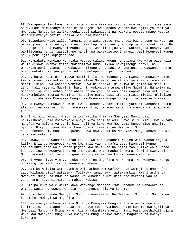89. Wanapenda lau kuwa nanyi mnge kufuru kama walivyo kufuru wao, ili muwe sawa sawa. Basi msiwafanye marafiki miongoni mwao mpaka wahame kwa ajili ya Dini ya Mwenyezi Mungu. Na wakikengeuka basi wakamateni na wauweni popote mnapo wapata. Wala msimfanye rafiki katika wao wala msaidizi.

90. Isipokuwa wale walio fungamana na watu ambao mna ahadi baina yenu na wao, au wanakujieni na vifua vyao vina dhiki kupigana nanyi, au kupigana na watu wao. Na lau angeli penda Mwenyezi Mungu angeli wasaliti juu yenu wakapigana nanyi. Basi wakijitenga nanyi, wasipigane nanyi, na wakakuleteeni amani, basi Mwenyezi Mungu hakukupeni njia kupigana nao.

91. Mtawakuta wengine wanataka wapate salama kwenu na salama kwa watu wao. Kila wakirudishwa kwenye fitna hudidimizwa humo. Ikiwa hawajitengi nanyi, na wakakuleteeni salama, na wakazuia mikono yao, basi wakamateni na wauweni popote mnapo wakuta. Na juu ya hao ndio tumekupeni hoja zilizo wazi.

92. Na haiwi Muumini kumuuwa Muumini ila kwa kukosea. Na mwenye kumuuwa Muumini kwa kukosea basi amkomboe mtumwa aliye Muumini, na atoe diya kuwapa jamaa za maiti, isipo kuwa waache wenyewe kuwa ni sadaka. Na akiwa ni jamaa wa maadui zenu, hali yeye ni Muumini, basi ni kumkomboa mtumwa aliye Muumini. Na akiwa ni miongoni wa watu ambao pana ahadi baina yenu na wao basi wapewe diya watu wake na akombolewe mtumwa Muumini. Na asiye pata, basi afunge miezi miwili mfululizo, kuwa ni toba kwa Mwenyezi Mungu. Na Mwenyezi Mungu ni Mjuzi na Mwenye hikima.

93. Na mwenye kumuuwa Muumini kwa kukusudia, basi malipo yake ni Jahannamu humo atadumu, na Mwenyezi Mungu amemkasirikia, na amemlaani, na amemuandalia adhabu kubwa.

94. Enyi mlio amini! Mnapo safiri katika Njia ya Mwenyezi Mungu basi hakikisheni, wala msimwambie anaye kutoleeni salamu: Wewe si Muumini; kwa kutaka manufaa ya maisha ya dunia hii, hali ya kuwa kwa Mwenyezi Mungu zipo ghanima nyingi. Hivyo ndivyo mlivyo kuwa nyinyi zamani, na Mwenyezi Mungu akakuneemesheni. Basi chunguzeni sawa sawa. Hakika Mwenyezi Mungu anazo khabari za mnayo yatenda.

95. Hawawi sawa Waumini wanao kaa tu wala hawanadharura, na wale wanao pigana katika Njia ya Mwenyezi Mungu kwa mali yao na nafsi zao. Mwenyezi Mungu amewatukuza cheo wale wanao pigana kwa mali yao na nafsi zao kuliko wale wanao kaa tu. Ingawa Mwenyezi Mungu amewaahidi wote mashukio mema, lakini Mwenyezi Mungu amewafadhili wanao pigana kwa ujira mkubwa kuliko wanao kaa tu.

96. Ni vyeo hivyo vinavyo toka kwake, na maghfira na rehema. Na Mwenyezi Mungu ni Mwingi wa maghfira na Mwenye kurehemu.

97. Hakika Malaika watawaambia wale ambao wamewafisha nao wamejidhulumu nafsi zao: Mlikuwa vipi? Watasema: Tulikuwa tunaonewa. Watawaambia: Kwani ardhi ya Mwenyezi Mungu haikuwa na wasaa wa kuhamia humo? Basi hao makaazi yao ni Jahannamu, nayo ni marejeo mabaya kabisa.

98. Isipo kuwa wale walio kuwa wanyonge miongoni mwa wanaume na wanawake na watoto wasio na uweza wa hila ya kuongoza njia ya kuhama.

99. Basi hao huenda Mwenyezi Mungu akawasamehe. Na Mwenyezi Mungu ni Mwingi wa kusamehe, Mwingi wa maghfira.

100. Na mwenye kuhama katika Njia ya Mwenyezi Mungu atapata pengi duniani pa kukimbilia, na atapata wasaa. Na anaye toka nyumbani kwake kuhama kwa ajili ya Mwenyezi Mungu na Mtume wake, kisha yakamfika mauti njiani basi umethibiti ujira wake kwa Mwenyezi Mungu. Na Mwenyezi Mungu ndiye Mwenye maghfira na Mwenye kurehemu.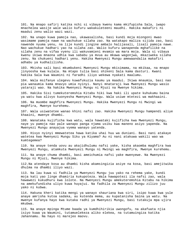101. Na mnapo safiri katika nchi si vibaya kwenu kama mkifupisha Sala, iwapo mnachelea wasije wale walio kufuru wakakuleteeni maudhi. Hakika makafiri ni maadui zenu walio wazi wazi.

102. Na unapo kuwa pamoja nao, ukawasalisha, basi kundi moja miongoni mwao wasimame pamoja nawe na wachukue silaha zao. Na watakapo maliza sijida zao, basi nawende nyuma yenu, na lije kundi jingine ambalo halijasali, lisali pamoja nawe. Nao wachukue hadhari yao na silaha zao. Walio kufuru wanapenda mghafilike na silaha zenu na vifaa vyenu ili wakuvamieni mvamio wa mara moja. Wala si vibaya kwenu ikiwa mnaona udhia kwa sababu ya mvua au mkawa wagonjwa, mkaziweka silaha zenu. Na chukueni hadhari yenu. Hakika Mwenyezi Mungu amewaandalia makafiri adhabu ya kudhalilisha.

103. Mkisha sali basi mkumbukeni Mwenyezi Mungu mkisimama, na mkikaa, na mnapo jinyoosha kwa kulala. Na mtapo tulia basi shikeni Sala kama dasturi. Kwani hakika Sala kwa Waumini ni faradhi iliyo wekewa nyakati maalumu.

104. Wala msifanye ulegevu kuwafukuzia kaumu ya maadui. Ikiwa mnaumia, basi nao pia wanaumia kama mnavyo umia nyinyi. Nanyi mnataraji kwa Mwenyezi Mungu wasio yataraji wao. Na hakika Mwenyezi Mungu ni Mjuzi na Mwenye hikima.

105. Hakika Sisi tumekuteremshia Kitabu hiki kwa haki ili upate kuhukumu baina ya watu kwa alivyo kuonyesha Mwenyezi Mungu. Wala usiwe mtetezi wa makhaaini.

106. Na muombe maghfira Mwenyezi Mungu. Hakika Mwenyezi Mungu ni Mwingi wa maghfira, Mwenye kurehemu.

107. Wala usiwatetee wanao khini nafsi zao. Hakika Mwenyezi Mungu hampendi aliye khaaini, mwenye dhambi.

108. Wanataka kujificha kwa watu, wala hawataki kujificha kwa Mwenyezi Mungu, naye yu pamoja nao pale wanapo panga njama usiku kwa maneno asiyo yapenda. Na Mwenyezi Mungu anayajua vyema wanayo yatenda.

109. Hivyo nyinyi mmewatetea hawa katika uhai huu wa duniani. Basi nani atakaye watetea kwa Mwenyezi Mungu Siku ya Kiyama? Au ni nani atakuwa wakili wao wa kumtegemea?

110. Na anaye tenda uovu au akajidhulumu nafsi yake, kisha akaomba maghfira kwa Mwenyezi Mungu, atamkuta Mwenyezi Mungu ni Mwingi wa maghfira, Mwenye kurehemu.

111. Na anaye chuma dhambi, basi ameichumia nafsi yake mwenyewe. Na Mwenyezi Mungu ni Mjuzi, Mwenye hikima.

112.Na atendaye kosa au dhambi kisha akamsingizia asiye na kosa, basi amejitwika dhulma na dhambi iliyo wazi.

113. Na lau kuwa si fadhila ya Mwenyezi Mungu juu yako na rehema yake, kundi moja kati yao linge dhamiria kukupoteza. Wala hawapotezi ila nafsi zao, wala hawawezi kukudhuru kwa lolote. Na Mwenyezi Mungu amekuteremshia Kitabu na hikima na amekufundisha uliyo kuwa huyajui. Na fadhila za Mwenyezi Mungu zilizo juu yako ni kubwa.

114. Hakuna kheri katika mengi ya wanayo shauriana kwa siri, isipo kuwa kwa yule anaye amrisha kutoa sadaka, au kutenda mema, au kupatanisha baina ya watu. Na mwenye kufanya hayo kwa kutaka radhi ya Mwenyezi Mungu, basi tutakuja mpa ujira mkubwa.

115. Na anaye mpinga Mtume baada ya kumdhihirikia uwongofu, na akafuata njia isiyo kuwa ya Waumini, tutamuelekeza aliko elekea, na tutamuingiza katika Jahannamu. Na hayo ni marejeo maovu.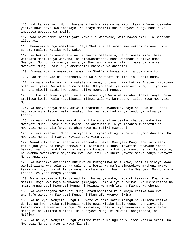116. Hakika Mwenyezi Mungu hasamehi kushirikishwa na kitu. Lakini Yeye husamehe yasiyo kuwa hayo kwa amtakaye. Na anaye mshirikisha Mwenyezi Mungu basi huyo amepotea upotovu wa mbali.

117. Wao hawawaombi badala yake Yeye ila wanawake, wala hawamuombi ila Shet'ani aliye asi.

118. Mwenyezi Mungu amemlaani. Naye Shet'ani alisema: Kwa yakini nitawachukua sehemu maalumu katika waja wako.

119. Na hakika nitawapoteza na nitawatia matamanio, na nitawaamrisha, basi watakata masikio ya wanyama, na nitawaamrisha, basi watabadili aliyo umba Mwenyezi Mungu. Na mwenye kumfanya Shet'ani kuwa ni mlinzi wake badala ya Mwenyezi Mungu, basi huyo amekhasiri khasara ya dhaahiri.

120. Anawaahidi na anawatia tamaa. Na Shet'ani hawaahidi ila udanganyifu.

121. Hao makao yao ni Jahannamu, na wala hawapati makimbilio kutoka humo.

122. Na wale walio amini na wakatenda mema, tutawaingiza katika Bustani zipitayo mito kati yake. Watadumu humo milele. Ndiyo ahadi ya Mwenyezi Mungu iliyo kweli. Na nani mkweli zaidi kwa usemi kuliko Mwenyezi Mungu.

123. Si kwa matamanio yenu, wala matamanio ya Watu wa Kitabu! Anaye fanya ubaya atalipwa kwalo, wala hatajipatia mlinzi wala wa kumnusuru, isipo kuwa Mwenyezi Mungu.

124. Na anaye fanya mema, akiwa mwanamume au mwanamke, naye ni Muumini - basi hao wataingia Peponi wala hawatadhulumiwa hata kadiri ya tundu ya kokwa ya tende.

125. Na nani aliye bora kwa dini kuliko yule aliye usilimisha uso wake kwa Mwenyezi Mungu, naye akawa mwema, na anafuata mila ya Ibrahim mwongofu? Na Mwenyezi Mungu alimfanya Ibrahim kuwa ni rafiki mwendani.

126. Ni vya Mwenyezi Mungu tu vyote vilivyomo mbinguni na vilivyomo duniani. Na Mwenyezi Mungu ni mwenye kuvizunguka vitu vyote.

127. Wanakuuliza nini sharia ya wanawake. Sema: Mwenyezi Mungu ana kutoleeni fatwa juu yao, na mnayo somewa humu Kitabuni kukhusu mayatima wanawake ambao hamwapi walicho andikiwa, na mnapenda kuwaoa, na kukhusu wanyonge katika watoto, na kwamba mwasimamie mayatima kwa uadilifu. Na kheri yoyote mnayo fanya Mwenyezi Mungu anaijua.

128. Na mwanamke akichelea kutupwa au kutojaliwa na mumewe, basi si vibaya kwao wakisikizana kwa suluhu. Na suluhu ni bora. Na nafsi zimewekewa machoni mwake tamaa na choyo. Na mkifanya wema na mkamchamngu basi hakika Mwenyezi Mungu anazo khabari za yote mnayo yatenda.

129. Wala hamtaweza kufanya uadilifu baina ya wake, hata mkikakamia. Kwa hivyo msimili moja kwa moja mkamwacha (mmojapo) kama aliye tundikwa. Na mkisikizana na mkamchamngu basi Mwenyezi Mungu ni Mwingi wa maghfira na Mwenye kurehemu.

130. Na wakitengana Mwenyezi Mungu atamtosheleza kila mmoja katika wao kwa ukunjufu wake. Na Mwenyezi Mungu ni Mkunjufu Mwenye hikima.

131. Na ni vya Mwenyezi Mungu tu vyote viliomo katik mbingu na viliomo katika dunia. Na kwa hakika tuliwausia walio pewa Kitabu kabla yenu, na nyinyi pia, kwamba mumche Mwenyezi Mungu. Na mkikataa, basi ni vya Mwenyezi Mungu viliomo mbinguni na viliomo duniani. Na Mwenyezi Mungu ni Mkwasi, anajitosha, na Msifiwa.

132. Na ni vya Mwenyezi Mungu viliomo katika mbingu na viliomo katika ardhi. Na Mwenyezi Mungu anatosha kuwa Mlinzi.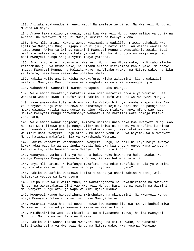133. Akitaka atakuondoeni, enyi watu! Na awalete wengineo. Na Mwenyezi Mungu ni Muweza wa hayo.

134. Anaye taka malipo ya dunia, basi kwa Mwenyezi Mungu yapo malipo ya dunia na Akhera. Na Mwenyezi Mungu ni Mwenye kusikia na Mwenye kuona.

135. Enyi mlio amini! Kuweni wenye kusimamisha uadilifu, mtowao ushahidi kwa ajili ya Mwenyezi Mungu, ijapo kuwa ni juu ya nafsi zenu, au wazazi wawili na jamaa zenu. Akiwa tajiri au masikini Mwenyezi Mungu anawastahikia zaidi. Basi msifuate matamanio, mkaacha kufanya uadilifu. Na mkiupotoa au mkajitenga nao basi Mwenyezi Mungu anajua vyema mnayo yatenda.

136. Enyi mlio amini! Muaminini Mwenyezi Mungu, na Mtume wake, na Kitabu alicho kiteremsha juu ya Mtume wake, na Kitabu alicho kiteremsha kabla yake. Na anaye mkataa Mwenyezi Mungu, na Malaika wake, na Vitabu vyake, na Mitume wake, na Siku ya Akhera, basi huyo amekwisha potelea mbali.

137. Hakika walio amini, kisha wakakufuru, kisha wakaamini, kisha wakazidi ukafiri, Mwenyezi Mungu hakuwa wa kuwaghufiria wala wa kuwaongoa njia.

138. Wabashirie wanaafiki kwamba watapata adhabu chungu,

139. Wale ambao huwafanya makafiri kuwa ndio marafiki badala ya Waumini. Je! Wanataka wapate kwao utukufu? Basi hakika utukufu wote ni wa Mwenyezi Mungu.

140. Naye amekwisha kuteremshieni katika Kitabu hiki ya kwamba mnapo sikia Aya za Mwenyezi Mungu zinakanushwa na zinafanyiwa kejeli, basi msikae pamoja nao, mpaka waingie katika mazungumzo mengine. Hivyo mtakuwa nanyi mfano wao hao. Hakika Mwenyezi Mungu atawakusanya wanaafiki na makafiri wote pamoja katika Jahannamu,

141. Wale ambao wanakungojeeni, mkipata ushindi unao toka kwa Mwenyezi Mungu wao husema: Si tulikuwa pamoja nanyi vile? Na ikiwa ni sehemu ya makafiri kushinda wao huwaambia: Hatukuwa ni waweza wa kukushindeni, nasi tukakukingeni na hawa Waumini? Basi Mwenyezi Mungu atahukumu baina yenu Siku ya Kiyama, wala Mwenyezi Mungu hatawapa makafiri njia ya kuwashinda Waumini.

142. Hakika wanaafiki wanamkhadaa Mwenyezi Mungu, na hali ni Yeye ndiye mwenye kuwakhadaa wao. Na wanapo inuka kusali huinuka kwa unyong'onyo, wanajionyesha kwa watu tu, wala hawamdhukuru Mwenyezi Mungu ila kidogo tu.

143. Wanayumba yumba baina ya huku na huko. Huku hawako na huko hawako. Na ambaye Mwenyezi Mungu amemwacha kupotea, kabisa hutompatia njia.

144. Enyi mlio amini! Msiwafanye makafiri kuwa ndio marafiki badala ya Waumini. Je, mnataka Mwenyezi Mungu awe na hoja iliyo wazi juu yenu?

145. Hakika wanaafiki watakuwa katika t'abaka ya chini kabisa Motoni, wala hutompata yeyote wa kuwanusuru.

146. Isipo kuwa wale walio tubu, na wakatengeneza na wakashikamana na Mwenyezi Mungu, na wakamtakasia Dini yao Mwenyezi Mungu. Basi hao ni pamoja na Waumini. Na Mwenyezi Mungu atakuja wapa Waumini ujira mkubwa.

147. Mwenyezi Mungu hakuadhibuni mkimshukuru na mkamuamini. Na Mwenyezi Mungu ndiye Mwenye kupokea shukrani na ndiye Mwenye kujua.

148. MWENYEZI MUNGU hapendi uovu uenezwe kwa maneno ila kwa mwenye kudhulumiwa. Na Mwenyezi Mungu ndiye Mwenye kusikia na Mwenye kujua.

149. Mkidhihirisha wema au mkiuficha, au mkiyasamehe maovu, hakika Mwenyezi Mungu ni Mwingi wa maghfira na Muweza.

150. Hakika wale wanao mkataa Mwenyezi Mungu na Mitume wake, na wanataka kufarikisha baina ya Mwenyezi Mungu na Mitume wake, kwa kusema: Wengine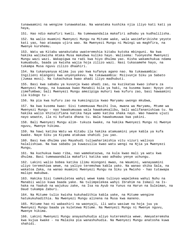tunawaamini na wengine tunawakataa. Na wanataka kushika njia iliyo kati kati ya haya,

151. Hao ndio makafiri kweli. Na tumewaandalia makafiri adhabu ya kudhalilisha.

152. Na walio muamini Mwenyezi Mungu na Mitume wake, wala wasimfarikishe yeyote kati yao, hao atawapa ujira wao. Na Mwenyezi Mungu ni Mwingi wa maghfira, na Mwenye kurehemu.

153. Watu wa Kitabu wanakutaka uwateremshia kitabu kutoka mbinguni. Na kwa hakika walikwisha mtaka Musa makubwa kuliko hayo. Walisema: Tuonyeshe Mwenyezi Mungu wazi wazi. Wakapigwa na radi kwa hiyo dhulma yao. Kisha wakamchukua ndama kumuabudu, baada ya kwisha wajia hoja zilizo wazi. Nasi tukasamehe hayo, na tukampa Musa nguvu zilizo dhaahiri.

154. Na tukanyanyua mlima juu yao kwa kufanya agano nao. Na tukawaambia: Ingilieni mlangoni kwa unyenyekevu. Na tukawaambia: Msiivunje Siku ya Sabato (Jumaa mosi). Na tukachukua kwao ahadi iliyo madhubuti.

155. Basi kwa sababu ya kuvunja kwao ahadi zao, na kuzikataa kwao ishara za Mwenyezi Mungu, na kuwauwa kwao Manabii bila ya haki, na kusema kwao: Nyoyo zetu zimefumbwa; bali Mwenyezi Mungu amezipiga muhuri kwa kufuru zao, basi hawaamini ila kidogo tu -

156. Na pia kwa kufuru zao na kumsingizia kwao Maryamu uwongo mkubwa,

157. Na kwa kusema kwao: Sisi tumemuuwa Masihi Isa, mwana wa Maryamu, Mtume wa Mwenyezi Mungu - nao hawakumuuwa wala hawakumsalibu, bali walifananishiwa tu. Na hakika walio khitalifiana katika haya wamo katika shaka nayo. Wao hawana ujuzi nayo wowote, ila ni kufuata dhana tu. Wala hawakumuuwa kwa yakini.

158. Bali Mwenyezi Mungu alim- tukuza kwake, na hakika Mwenyezi Mungu ni Mwenye nguvu, Mwenye hikima.

159. Na hawi katika Watu wa Kitabu ila hakika atamuamini yeye kabla ya kufa kwake. Naye Siku ya Kiyama atakuwa shahidi juu yao.

160. Basi kwa dhulma yao Mayahudi tuliwaharimishia vitu vizuri walivyo halalishiwa. Na kwa sababu ya kuwazuilia kwao watu wengi na Njia ya Mwenyezi Mungu,

161. Na kuchukua kwao riba, nao wamekatazwa, na kula kwao mali ya watu kwa dhulma. Basi tumewaandalia makafiri katika wao adhabu yenye uchungu.

162. Lakini walio bobea katika ilimu miongoni mwao, na Waumini, wanayaamini uliyo teremshiwa wewe, na yaliyo teremshwa kabla yako. Na wanao shika Sala, na wakatoa Zaka, na wanao muamini Mwenyezi Mungu na Siku ya Mwisho - hao tutawapa malipo makubwa.

163. Hakika Sisi tumekuletea wahyi wewe kama tulivyo wapelekea wahyi Nuhu na Manabii walio kuwa baada yake. Na tulimpelekea wahyi Ibrahim na Ismail na Ishaka na Yaakub na wajukuu zake, na Isa na Ayub na Yunus na Harun na Suleiman, na Daud tukampa Zaburi.

164. Na Mitume tulio kwisha kukuhadithia kabla yake, na Mitume wengine hatukukuhadithia. Na Mwenyezi Mungu alinena na Musa kwa maneno.

165. Mitume hao ni wabashiri na waonyaji, ili watu wasiwe na hoja juu ya Mwenyezi Mungu baada ya kuletewa Mitume. Na Mwenyezi Mungu ni Mwenye nguvu, Mwenye hikima.

166. Lakini Mwenyezi Mungu anayashuhudia aliyo kuteremshia wewe. Ameyateremsha kwa kujua kwake - na Malaika pia wanashuhudia. Na Mwenyezi Mungu anatosha kuwa shahidi.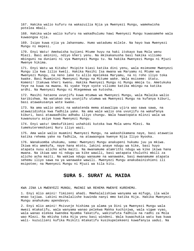167. Hakika walio kufuru na wakazuilia Njia ya Mwenyezi Mungu, wamekwisha potelea mbali.

168. Hakika wale walio kufuru na wakadhulumu hawi Mwenyezi Mungu kuwasamehe wala kuwaongoa njia.

169. Isipo kuwa njia ya Jahannamu. Humo watadumu milele. Na hayo kwa Mwenyezi Mungu ni mepesi.

170. Enyi Watu! Amekwisha kujieni Mtume huyu na haki itokayo kwa Mola wenu Mlezi. Basi aminini, ndiyo kheri yenu. Na mkikakanusha basi hakika viliomo mbinguni na duniani ni vya Mwenyezi Mungu tu. Na hakika Mwenyezi Mungu ni Mjuzi Mwenye hikima.

171. Enyi Watu wa Kitabu! Msipite kiasi katika dini yenu, wala msimseme Mwenyezi Mungu ila kwa lilio kweli. Hakika Masihi Isa mwana wa Maryamu ni Mtume wa Mwenyezi Mungu, na neno lake tu alilo mpelekea Maryamu, na ni roho iliyo toka kwake. Basi Muaminini Mwenyezi Mungu na Mitume wake. Wala msiseme: Utatu. Komeni! Itakuwa kheri kwenu. Hakika Mwenyezi Mungu ni Mungu mmoja tu. Ametukuka Yeye na kuwa na mwana. Ni vyake Yeye vyote viliomo katika mbingu na katika ardhi. Na Mwenyezi Mungu ni Mtegemewa wa kutosha.

172. Masihi hataona uvunjifu kuwa mtumwa wa Mwenyezi Mungu, wala Malaika walio karibishwa. Na watakao ona uvunjifu utumwa wa Mwenyezi Mungu na kufanya kiburi, basi atawakusanya wote kwake.

173. Na ama walio amini na wakatenda mema atawalipa ujira wao sawa sawa, na atawazidishia kwa fadhila yake. Na ama wale walio ona uvunjifu na wakafanya kiburi, basi atawaadhibu adhabu iliyo chungu. Wala hawatopata mlinzi wala wa kuwanusuru asiye kuwa Mwenyezi Mungu.

174. Enyi watu! Umekufikieni ushahidi kutoka kwa Mola wenu Mlezi. Na tumekuteremshieni Nuru iliyo wazi.

175. Ama wale walio muamini Mwenyezi Mungu, na wakashikamana naye, basi atawatia katika rehema yake na fadhila, na atawaongoa kwenye Njia Iliyo Nyooka.

176. Wanakuomba uhukumu, sema: Mwenyezi Mungu anakupeni hukumu juu ya mkiwa. Ikiwa mtu amekufa, naye hana mtoto, lakini anaye ndugu wa kike, basi huyo atapata nusu alicho acha maiti. Na mwanamume atamrithi ndugu wa kike ikiwa hana mwana. Na ikiwa wao ni ndugu wa kike wawili, basi watapata thuluthi mbili za alicho acha maiti. Na wakiwa ndugu wanaume na wanawake, basi mwanamume atapata sehemu iliyo sawa na ya wanawake wawili. Mwenyezi Mungu anakubainishieni ili msipotee; na Mwenyezi Mungu ni Mjuzi wa kila kitu.

#### **SURA 5. SURAT AL MAIDA**

KWA JINA LA MWENYEZI MUNGU, MWINGI WA REHEMA MWENYE KUREHEMU.

1. Enyi mlio amini! Timizeni ahadi. Mmehalalishiwa wanyama wa mifugo, ila wale mnao tajiwa. Lakini msihalalishe kuwinda nanyi mmo katika Hija. Hakika Mwenyezi Mungu anahukumu apendavyo.

2. Enyi mlio amini! Msivunje hishima ya alama ya Dini ya Mwenyezi Mungu wala mwezi mtakatifu, wala wanyama wanao pelekwa Makka kuchinjwa, wala vigwe vyao, wala wanao elekea kwendea Nyumba Takatifu, wakitafuta fadhila na radhi za Mola wao Mlezi. Na mkisha toka Hija yenu basi windeni. Wala kuwachukia watu kwa kuwa wali- kuzuilieni kufika Msikiti mtakatifu kusikupelekeeni kuwafanyia uadui. Na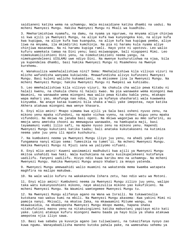saidianeni katika wema na uchamngu. Wala msisaidiane katika dhambi na uadui. Na mcheni Mwenyezi Mungu. Hakika Mwenyezi Mungu ni Mkali wa kuadhibu.

3. Mmeharimishiwa nyamafu, na damu, na nyama ya nguruwe, na mnyama aliye chinjwa si kwa ajili ya Mwenyezi Mungu, na aliye kufa kwa kunyongeka koo, na aliye kufa kwa kupigwa, na aliye kufa kwa kuanguka, na aliye kufa kwa kupigwa pembe, aliye liwa na mnyama, ila mkimdiriki kumchinja. Na pia ni haramu kula nyama aliye chinjiwa masanamu. Na ni haramu kupiga ramli. Hayo yote ni upotovu. Leo walio kufuru wamekata tamaa na Dini yenu; basi msiwaogope, bali niogopeni Mimi. Leo nimekukamiliishieni Dini yenu, na nimekutimizieni neema yangu, na nimekupendeleeni UISLAMU uwe ndiyo Dini. Na mwenye kushurutishwa na njaa, bila ya kupendelea dhambi, basi hakika Mwenyezi Mungu ni Msamehevu na Mwenye kurehemu.

4. Wanakuuliza wamehalalishiwa nini? Sema: Mmehalalishiwa kila vilivyo vizuri na mlicho wafundisha wanyama kukiwinda. Mnawafundisha alivyo kufunzeni Mwenyezi Mungu. Basi kuleni walicho kukamatieni, na mkisomee jina la Mwenyezi Mungu. Na mcheni Mwenyezi Mungu; hakika Mwenyezi Mungu ni Mwepesi wa kuhisabu.

5. Leo mmehalalishiwa kila vilivyo vizuri. Na chakula cha walio pewa Kitabu ni halali kwenu, na chakula chenu ni halali kwao. Na pia wanawake wema miongoni mwa Waumini, na wanawake wema miongoni mwa walio pewa Kitabu kabla yenu, mtakapo wapa mahari yao, mkafunga nao ndoa, bila ya kufanya uhasharati wala kuwaweka kinyumba. Na anaye kataa kuamini bila shaka a'mali yake imepotea, naye katika Akhera atakuwa miongoni mwa wenye khasara.

6. Enyi mlio amini! Mnapo simama kwa ajili ya Sala basi osheni nyuso zenu, na mikono yenu mpaka vifundoni, na mpake vichwa vyenu, na osheni miguu yenu mpaka vifundoni. Na mkiwa na janaba basi ogeni. Na mkiwa wagonjwa au mmo safarini, au mmoja wenu ametoka chooni au mmewagusa wanawake, na hamkupata maji, basi tayamamuni vumbi lilio safi, na mpake nyuso zenu na mikono yenu. Hapendi Mwenyezi Mungu kukutieni katika taabu; bali anataka kukutakaseni na kutimiza neema yake juu yenu ili mpate kushukuru.

7. Na kumbukeni neema ya Mwenyezi Mungu iliyo juu yenu, na ahadi yake aliyo fungamana nanyi mlipo sema: Tumesikia na tumet'ii. Na mcheni Mwenyezi Mungu. Hakika Mwenyezi Mungu ni Mjuzi sana wa yaliyomo vifuani.

8. Enyi mlio amini! Kuweni wasimamizi madhubuti kwa ajili ya Mwenyezi Mungu mkitoa ushahidi kwa haki. Wala kuchukiana na watu kusikupelekeeni kutofanya uadilifu. Fanyeni uadilifu. Hivyo ndio kuwa karibu mno na uchamngu. Na mcheni Mwenyezi Mungu. Hakika Mwenyezi Mungu anazo khabari za mnayo yatenda.

9. Mwenyezi Mungu amewaahidi walio muamini na wakatenda mema kwamba watapata maghfira na malipo makubwa.

10. Na wale walio kufuru na wakakanusha Ishara zetu, hao ndio watu wa Motoni.

11. Enyi mlio amini! Kumbukeni neema za Mwenyezi Mungu zilizo juu yenu, walipo taka watu kukunyooshieni mikono, naye akaizuilia mikono yao kukufikieni. Na mcheni Mwenyezi Mungu. Na Waumini wamtegemee Mwenyezi Mungu tu.

12. Na Mwenyezi Mungu alifanya agano na Wana wa Israili. Na tukawateulia kutokana nao wakuu kumi na mbili. Na Mwenyezi Mungu akasema: Kwa yakini Mimi ni pamoja nanyi. Mkisali, na mkatoa Zaka, na mkawaamini Mitume wangu, na mkawasaidia, na mkamkopesha Mwenyezi Mungu mkopo mwema, hapana shaka nitakufutieni maovu yenu na nitakuingizeni katika mabustani yapitayo mito kati yake. Lakini atakaye kufuru miongoni mwenu baada ya hayo bila ya shaka atakuwa amepotea njia iliyo sawa.

13. Basi kwa sababu ya kuvunja agano lao tuliwalaani, na tukazifanya nyoyo zao kuwa ngumu. Wanayabadilisha maneno kutoka pahala pake, na wamesahau sehemu ya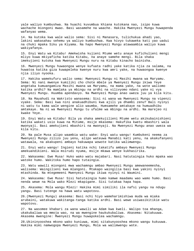yale waliyo kumbushwa. Na huachi kuvumbua khiana kutokana nao, isipo kuwa wachache miongoni mwao. Basi wasamehe na waache. Hakika Mwenyezi Mungu huwapenda wafanyao wema.

14. Na kutoka kwa wale walio sema: Sisi ni Manasara, tulichukua ahadi yao, lakini wakasahau sehemu ya waliyo kumbushwa. Kwa hivyo tukaweka kati yao uadui na chuki mpaka Siku ya Kiyama. Na hapo Mwenyezi Mungu atawaambia waliyo kuwa wakiyafanya.

15. Enyi Watu wa Kitabu! Amekwisha kujieni Mtume wetu anaye kufichulieni mengi mliyo kuwa mkiyaficha katika Kitabu, na anaye samehe mengi. Bila shaka imekujieni kutoka kwa Mwenyezi Mungu nuru na Kitabu kinacho bainisha.

16. Mwenyezi Mungu huwaongoa wenye kufuata radhi yake katika njia za salama, na huwatoa katika giza kuwapeleka kwenye nuru kwa amri yake, na huwaongoa kwenye njia iliyo nyooka.

17. Hakika wamekufuru walio sema: Mwenyezi Mungu ni Masihi mwana wa Maryamu. Sema: Ni nani mwenye kumiliki cho chote mbele ya Mwenyezi Mungu ikiwa Yeye angetaka kumuangamiza Masihi mwana wa Maryamu, na mama yake, na wote waliomo katika ardhi? Na mamlaka ya mbingu na ardhi na vilivyomo ndani yake ni vya Mwenyezi Mungu. Huumba apendavyo. Na Mwenyezi Mungu anao uweza juu ya kila kitu.

18. Na Mayahudi na Wakristo wanasema: Sisi ni wana wa Mwenyezi Mungu na vipenzi vyake. Sema: Basi kwa nini anakuadhibuni kwa ajili ya dhambi zenu? Bali nyinyi ni watu tu kama wale wengine alio waumba. Humsamehe amtakaye na humuadhibu amtakaye. Na ni wa Mwenyezi Mungu tu ufalme wa mbingu na ardhi. Na marejeo ni kwake Yeye.

19. Enyi Watu wa Kitabu! Bila ya shaka amekujilieni Mtume wetu akikubainishieni katika wakati usio kuwa na Mitume, msije mkasema: Hakufika kwetu mbashiri wala mwonyaji. Basi amekujieni mbashiri na mwonyaji. Na Mwenyezi Mungu anao uweza wa kila kitu.

20. Na pale Musa alipo waambia watu wake: Enyi watu wangu! Kumbukeni neema za Mwenyezi Mungu zilizo juu yenu, alipo wateuwa Manabii kati yenu, na akakufanyeni watawala, na akakupeni ambayo hakuwapa wowote katika walimwengu.

21. Enyi watu wangu! Ingieni katika nchi takatifu ambayo Mwenyezi Mungu amekuandikieni. Wala msirudi nyuma, msije mkawa wenye kukhasirika.

22. Wakasema: Ewe Musa! Huko wako watu majabari. Nasi hatutaingia huko mpaka wao watoke humo. Wakitoka humo hapo tutaingia.

23. Watu wawili miongoni mwa wachamngu ambao Mwenyezi Mungu amewaneemesha, walisema: Waingilieni kwa mlangoni. Mtakapo waingilia basi kwa yakini nyinyi mtashinda. Na mtegemeeni Mwenyezi Mungu ikiwa nyinyi ni Waumini.

24. Wakasema: Ewe Musa! Sisi hatutaingia humo kamwe maadamu wao wamo humo. Basi nenda wewe na Mola wako Mlezi mkapigane. Sisi tutakaa hapa hapa.

25. Akasema: Mola wangu Mlezi! Hakika mimi similiki ila nafsi yangu na ndugu yangu. Basi tutenge na hawa watu wapotovu.

26.(Mwenyezi Mungu) akasema: Basi nchi hiyo wameharimishiwa muda wa miaka arubaini, watakuwa wakitanga-tanga katika ardhi. Basi wewe usiwasikitikie watu wapotovu.

27. Na wasomee khabari za wana wawili wa Adam kwa kweli. Walipo toa mhanga, ukakubaliwa wa mmoja wao, na wa mwengine haukukubaliwa. Akasema: Nitakuuwa. Akasema mwengine: Mwenyezi Mungu huwapokelea wachamngu.

28.Ukininyooshea mkono wako kuniuwa, mimi sitakunyooshea mkono wangu kukuuwa. Hakika mimi namwogopa Mwenyezi Mungu, Mola wa walimwengu wote.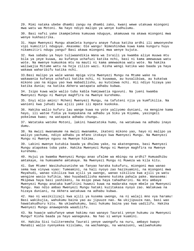29. Mimi nataka ubebe dhambi zangu na dhambi zako, kwani wewe utakuwa miongoni mwa watu wa Motoni. Na hayo ndiyo malipo ya wenye kudhulumu.

30. Basi nafsi yake ikampelekea kumuuwa nduguye, akamuuwa na akawa miongoni mwa wenye kukhasirika.

31. Hapo Mwenyezi Mungu akamleta kunguru anaye fukua katika ardhi ili amwonyeshe vipi kumsitiri nduguye. Akasema: Ole wangu! Nimeshindwa kuwa kama kunguru huyu nikamsitiri ndugu yangu? Basi akawa miongoni mwa wenye kujuta.

32. Kwa sababu ya hayo tuliwaandikia Wana wa Israili ya kwamba aliye muuwa mtu bila ya yeye kuuwa, au kufanya uchafuzi katika nchi, basi ni kama amewauwa watu wote. Na mwenye kumuokoa mtu na mauti ni kama amewaokoa watu wote. Na hakika waliwajia Mitume wetu na hoja zilizo wazi. Kisha wengi katika wao baada ya haya wakawa waharibifu katika nchi.

33.Basi malipo ya wale wanao mpiga vita Mwenyezi Mungu na Mtume wake na wakawania kufanya uchafuzi katika nchi, ni kuuwawa, au kusalibiwa, au kukatwa mikono yao na miguu yao kwa mabadilisho, au kutolewa nchi. Hii ndiyo hizaya yao katika dunia; na katika Akhera watapata adhabu kubwa.

34. Isipo kuwa wale walio tubu kabla hamjawatia nguvuni. Na jueni kwamba Mwenyezi Mungu ni Mwenye maghfira na Mwenye kurehemu.

35. Enyi mlio amini! Mcheni Mwenyezi Mungu, na tafuteni njia ya kumfikilia. Na wanieni kwa juhudi kwa ajili yake ili mpate kuokoka.

36. Hakika walio kufuru lau wange kuwa na yote yaliyomo duniani, na mengine kama hayo, ili watoe fidia ya kuepukana na adhabu ya Siku ya Kiyama, yasingeli pokelewa kwao; na watapata adhabu chungu.

37. Watataka watoke Motoni, lakini hawatatoka humo, na watakuwa na adhabu inayo dumu.

38. Na mwizi mwanamume na mwizi mwanamke, ikateni mikono yao, hayo ni malipo ya waliyo yachuma, ndiyo adhabu ya mfano itokayo kwa Mwenyezi Mungu. Na Mwenyezi Mungu ni Mwenye nguvu na Mwenye hikima.

39. Lakini mwenye kutubia baada ya dhulma yake, na akatengenea, basi Mwenyezi Mungu atapokea toba yake. Hakika Mwenyezi Mungu ni Mwenye maghfira na Mwenye kurehemu.

40. Hujui ya kwamba Mwenyezi Mungu anao ufalme wa mbingu na ardhi? Humuadhibu amtakaye, na humsamehe amtakaye. Na Mwenyezi Mungu ni Muweza wa kila kitu.

41. Ewe Mtume! Wasikuhuzunishe wa fanyao haraka kukufuru, miongoni mwa wanao sema kwa vinywa vyao: Tumeamini, na hali nyoyo zao hazikuamini, na miongoni mwa Mayahudi, wanao sikiliza kwa ajili ya uwongo, wanao sikiliza kwa ajili ya watu wengine wasio kufikia. Wao huyabadilisha maneno kutoka pahala pake. Wanasema: Mkipewa haya basi yashikeni, na msipo pewa haya tahadharini. Na mtu ambaye Mwenyezi Mungu anataka kumfitini huwezi kuwa na madaraka naye mbele ya Mwenyezi Mungu. Hao ndio ambao Mwenyezi Mungu hataki kuzitakasa nyoyo zao. Watakuwa na hizaya duniani, na Akhera watakuwa na adhabu kubwa.

42. Hao ni wasikilizaji kwa ajili ya kusema uwongo, na ni walaji mno vya haramu! Basi wakikujia, wahukumu baina yao au jipuuze nao. Na ukijipuuza nao, basi wao hawatakudhuru kitu. Na ukiwahukumu, basi hukumu baina yao kwa uadilifu. Hakika Mwenyezi Mungu anawapenda waadilifu.

43. Na huwaje wakufanye wewe hakimu nao wanayo Taurati yenye hukumu za Mwenyezi Mungu? Kisha baada ya hayo wanageuka. Na hao si wenye kuamini.

44. Hakika Sisi tuliteremsha Taurati yenye uwongofu na nuru, ambayo kwayo Manabii walio nyenyekea kiislamu, na wachamngu, na wanazuoni, waliwahukumu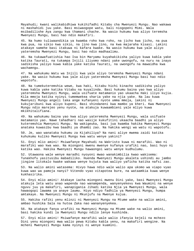Mayahudi; kwani walikabidhiwa kukihifadhi Kitabu cha Mwenyezi Mungu. Nao wakawa ni mashahidi juu yake. Basi msiwaogope watu, bali niogopeni Mimi. Wala msibadilishe Aya zangu kwa thamani chache. Na wasio hukumu kwa aliyo teremsha Mwenyezi Mungu, basi hao ndio makafiri.

45. Na humo tuliwaandikia ya kwamba roho kwa roho, na jicho kwa jicho, na pua kwa pua, na sikio kwa sikio, na jino kwa jino, na kwa majaraha kisasi. Lakini atakaye samehe basi itakuwa ni kafara kwake. Na wasio hukumu kwa yale aliyo yateremsha Mwenyezi Mungu, basi hao ndio madhaalimu.

46. Na tukawafuatishia hao Isa bin Maryamu kuyahakikisha yaliyo kuwa kabla yake katika Taurati, na tukampa Injili iliyomo ndani yake uwongofu, na nuru na inayo sadikisha yaliyo kuwa kabla yake katika Taurati, na uwongofu na mawaidha kwa wachamngu.

47. Na wahukumu Watu wa Injili kwa yale aliyo teremsha Mwenyezi Mungu ndani yake. Na wasio hukumu kwa yale aliyo yateremsha Mwenyezi Mungu basi hao ndio wapotofu.

48. Na tumekuteremshia wewe, kwa haki, Kitabu hichi kinacho sadikisha yaliyo kuwa kabla yake katika Vitabu na kuyalinda. Basi hukumu baina yao kwa aliyo yateremsha Mwenyezi Mungu, wala usifuate matamanio yao ukaacha Haki iliyo kujia. Kila mmoja katika nyinyi tumemwekea sharia yake na njia yake. Na lau kuwa Mwenyezi Mungu angeli taka ange kufanyeni nyote umma mmoja, lakini ni kukujaribuni kwa aliyo kupeni. Basi shindaneni kwa mambo ya kheri. Kwa Mwenyezi Mungu ndio marejeo yenu nyote, na atakuja kuwaambieni yale mliyo kuwa mkikhitalifiana.

49. Na wahukumu baina yao kwa aliyo yateremsha Mwenyezi Mungu, wala usifuate matamanio yao. Nawe tahadhari nao wasije kukufitini ukaacha baadhi ya aliyo kuteremshia Mwenyezi Mungu. Na wakigeuka, basi jua kwamba hakika Mwenyezi Mungu anataka kuwasibu kwa baadhi ya dhambi zao. Na hakika wengi wa watu ni wapotofu.

50. Je, wao wanataka hukumu za Kijahiliya? Na nani aliye mwema zaidi katika kuhukumu kuliko Mwenyezi Mungu kwa watu wenye yakini?

51. Enyi mlio amini! Msiwafanye Mayahudi na Wakristo kuwa ni marafiki. Wao ni marafiki wao kwa wao. Na miongoni mwenu mwenye kufanya urafiki nao, basi huyo ni katika wao. Hakika Mwenyezi Mungu hawaongoi watu wenye kudhulumu.

52. Utawaona wale wenye maradhi nyoyoni mwao wanakimbilia kwao wakisema: Tunakhofu yasitusibu mabadiliko. Huenda Mwenyezi Mungu akaleta ushindi au jambo jingine litokalo kwake wakawa wenye kujuta kwa waliyo yaficha katika nafsi zao.

53. Na walio amini watasema: Hivyo hawa ndio wale walio apa ukomo wa viapo vyao kuwa wao wa pamoja nanyi? Vitendo vyao vitapotea bure, na wataamkia kuwa wenye kukhasirika.

54. Enyi mlio amini! Atakaye iacha miongoni mwenu Dini yake, basi Mwenyezi Mungu atakuja leta watu anao wapenda nao wanampenda, wanyenyekevu kwa Waumini na wenye nguvu juu ya makafiri, wanapigania Jihadi katika Njia ya Mwenyezi Mungu, wala hawaogopi lawama ya anaye laumu. Hiyo ndiyo fadhila ya Mwenyezi Mungu, humpa amtakaye. Na Mwenyezi Mungu ni Mkunjufu na Mwenye kujua.

55. Hakika rafiki yenu mlinzi ni Mwenyezi Mungu na Mtume wake na walio amini, ambao hushika Sala na hutoa Zaka nao wananyenyekea.

56. Na atakaye fanya urafiki na Mwenyezi Mungu na Mtume wake na walio amini, basi hakika kundi la Mwenyezi Mungu ndilo lenye kushinda.

57. Enyi mlio amini! Msiwafanye marafiki wale walio ifanyia kejeli na mchezo Dini yenu miongoni mwa walio pewa Kitabu kabla yenu, na makafiri wengine. Na mcheni Mwenyezi Mungu kama nyinyi ni wenye kuamini.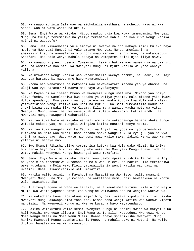58. Na mnapo adhinia Sala wao wanaichukulia maskhara na mchezo. Hayo ni kwa sababu wao ni watu wasio na akili.

59. Sema: Enyi Watu wa Kitabu! Hivyo mnatuchukia kwa kuwa tumemuamini Mwenyezi Mungu na tuliyo teremshiwa na yaliyo teremshwa kabla, na kwa kuwa wengi katika nyinyi ni wapotofu?

60. Sema: Je! Nikwambieni yule ambaye ni mwenye malipo mabaya zaidi kuliko hayo mbele ya Mwenyezi Mungu? Ni yule ambaye Mwenyezi Mungu amemlaani na amemkasirikia, na amewafanya miongoni mwao manyani na nguruwe, na wakamuabudu Shet'ani. Hao ndio wenye mahali pabaya na wamepotea zaidi njia iliyo sawa.

61. Na wanapo kujieni husema: Tumeamini. Lakini hakika wao wameingia na ukafiri wao, na wametoka nao pia. Na Mwenyezi Mungu ni Mjuzi kabisa wa yote wanayo yaficha.

62. Na utawaona wengi katika wao wanakimbilia kwenye dhambi, na uadui, na ulaji wao vya haramu. Ni maovu mno hayo wayatendayo!

63. Mbona hao wanazuoni na makohani wao hawawakatazi maneno yao ya dhambi, na ulaji wao vya haramu? Ni maovu mno hayo wayafanyayo!

64. Na Mayahudi walisema: Mkono wa Mwenyezi Mungu umefumba. Mikono yao ndiyo iliyo fumba, na wamelaaniwa kwa sababu ya waliyo yasema. Bali mikono yake iwazi. Hutoa apendavyo. Kwa yakini yaliyo teremshwa kwako kutoka kwa Mola wako Mlezi yatawazidisha wengi katika wao uasi na kufuru. Na Sisi tumewatilia uadui na chuki baina yao mpaka Siku ya Kiyama. Kila mara wanapo washa moto wa vita, Mwenyezi Mungu anauzima. Na wanajitahidi kuleta uharibifu katika ardhi. Na Mwenyezi Mungu hawapendi waharibifu.

65. Na lau kuwa Watu wa Kitabu wangeli amini na wakachamngu hapana shaka tungeli wafutia makosa yao, na tungeli waingiza katika Bustani zenye neema.

66. Na lau kuwa wangeli ishika Taurati na Injili na yote waliyo teremshiwa kutokana na Mola wao Mlezi, basi hapana shaka wangeli kula vya juu yao na vya chini ya miguu yao. Wapo watu miongoni mwao walio sawa, lakini wengi wao wanayo yafanya ni mabaya mno.

67. Ewe Mtume! Fikisha uliyo teremshiwa kutoka kwa Mola wako Mlezi. Na ikiwa hukufanya hayo basi hukufikisha ujumbe wake. Na Mwenyezi Mungu atakulinda na watu. Hakika Mwenyezi Mungu hawaongoi watu makafiri.

68. Sema: Enyi Watu wa Kitabu! Hamna lenu jambo mpaka muishike Taurati na Injili na yote mlio teremshiwa kutokana na Mola wenu Mlezi. Na hakika ulio teremshiwa wewe kutokana na Mola wako Mlezi yatawazidishia wengi katika wao uasi na ukafiri. Basi usiwasikitikie watu makafiri.

69. Hakika walio amini, na Mayahudi na Masabii na Wakristo, walio muamini Mwenyezi Mungu, na Siku ya mwisho, na wakatenda mema, basi hawatakuwa na khofu wala hawatahuzunika.

70. Tulifanya agano na Wana wa Israili, na tukawatumia Mitume. Kila alipo wajia Mtume kwa wasio yapenda nafsi zao wengine waliwakanusha na wengine wakawauwa.

71. Na wakadhani kuwa hapatakuwa majaribio; basi wakawa vipofu na viziwi. Kisha Mwenyezi Mungu akawapokelea toba zao. Kisha tena wengi katika wao wakawa vipofu na viziwi. Na Mwenyezi Mungu ni Mwenye kuyaona hayo wayatendayo.

72. Hakika wamekufuru walio sema: Mwenyezi Mungu ni Masihi mwana wa Maryamu! Na hali Masihi mwenyewe alisema: Enyi Wana wa Israili! Muabuduni Mwenyezi Mungu, Mola wangu Mlezi na Mola wenu Mlezi. Kwani anaye mshirikisha Mwenyezi Mungu, hakika Mwenyezi Mungu atamharimishia Pepo, na mahala pake ni Motoni. Na walio dhulumu hawatakuwa na wa kuwanusuru.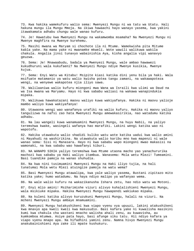73. Kwa hakika wamekufuru walio sema: Mwenyezi Mungu ni wa tatu wa Utatu. Hali hakuna mungu ila Mungu Mmoja. Na ikiwa hawaachi hayo wanayo yasema, kwa yakini itawakamata adhabu chungu wale wanao kufuru.

74. Je! Hawatubu kwa Mwenyezi Mungu na wakamwomba msamaha? Na Mwenyezi Mungu ni Mwenye maghfira na Mwenye kurehemu.

75. Masihi mwana wa Maryam si chochote ila ni Mtume. Wamekwisha pita Mitume kabla yake. Na mama yake ni mwanamke mkweli. Wote wawili walikuwa wakila chakula. Angalia jinsi tunavyo wabainishia Aya, kisha angalia vipi wanavyo geuzwa.

76. Sema: Je! Mnawaabudu, badala ya Mwenyezi Mungu, wale ambao hawawezi kukudhuruni wala kukufaeni? Na Mwenyezi Mungu ndiye Mwenye kusikia, Mwenye kujua.

77. Sema: Enyi Watu wa Kitabu! Msipite kiasi katika dini yenu bila ya haki. Wala msifuate matamanio ya watu walio kwisha potea tangu zamani, na wakawapoteza wengi, na wenyewe wakapotea njia iliyo sawa.

78. Walilaaniwa walio kufuru miongoni mwa Wana wa Israili kwa ulimi wa Daud na wa Isa mwana wa Maryamu. Hayo ni kwa sababu waliasi na wakawa wanapindukia mipaka.

79. Walikuwa hawakatazani maovu waliyo kuwa wakiyafanya. Hakika ni maovu yalioje mambo waliyo kuwa wakiyafanya!

80. Utawaona wengi wao wanafanya urafiki na walio kufuru. Hakika ni maovu yaliyo tangulizwa na nafsi zao hata Mwenyezi Mungu amewakasirikia, nao watadumu katika adhabu.

81. Na lau wangeli kuwa wanamuamini Mwenyezi Mungu, na huyu Nabii, na yaliyo teremshwa kwake, wasingeli wafanya hao marafiki. Lakini wengi katika wao ni wapotofu.

82. Hakika utawakuta walio shadidi kuliko watu wote katika uadui kwa walio amini ni Mayahudi na washirikina. Na utawakuta walio karibu mno kwa mapenzi ni wale wanao sema: Sisi ni Manasara. Hayo ni kwa sababu wapo miongoni mwao makasisi na wamonaki, na kwa sababu wao hawafanyi kiburi.

83. NA WANAPO SIKIA yaliyo teremshwa kwa Mtume utaona macho yao yanachururika machozi kwa sababu ya Haki waliyo itambua. Wanasema: Mola wetu Mlezi! Tumeamini. Basi tuandike pamoja na wanao shuhudia.

84. Na kwa nini tusimuamini Mwenyezi Mungu na Haki iliyo tujia, na hali tunatumai Mola wetu Mlezi atuingize pamoja na watu wema?

85. Basi Mwenyezi Mungu atawalipa, kwa yale waliyo yasema, Bustani zipitazo mito katika yake; humo watadumu. Na haya ndiyo malipo ya wafanyao wema.

86. Na wale walio kufuru na wakazikanusha Ishara zetu, hao ndio watu wa Motoni.

87. Enyi mlio amini! Msiharimishe vizuri alivyo kuhalalishieni Mwenyezi Mungu, wala msikiuke mipaka. Hakika Mwenyezi Mungu hawapendi wakiukao mipaka.

88. Na kuleni katika alivyo kuruzukuni Mwenyezi Mungu, halali na vizuri. Na mcheni Mwenyezi Mungu ambaye mnamuamini.

89. Mwenyezi Mungu hatakushikeni kwa viapo vyenu vya upuuzi, lakini atakushikeni kwa mnavyo apa kweli kweli kwa makusudio. Basi kafara yake ni kuwalisha masikini kumi kwa chakula cha wastani mnacho walisha ahali zenu, au kuwavisha, au kumkomboa mtumwa. Asiye pata hayo, basi afunge siku tatu. Hii ndiyo kafara ya viapo vyenu mnapo apa. Na hifadhini yamini zenu. Namna hivyo Mwenyezi Mungu anakubainishieni Aya zake ili mpate kushukuru.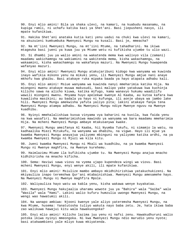90. Enyi mlio amini! Bila ya shaka ulevi, na kamari, na kuabudu masanamu, na kupiga ramli, ni uchafu katika kazi ya Shet'ani. Basi jiepusheni navyo, ili mpate kufanikiwa.

91. Hakika Shet'ani anataka kutia kati yenu uadui na chuki kwa ulevi na kamari, na akuzuieni kumkumbuka Mwenyezi Mungu na kusali. Basi je, mmeacha?

92. Na mt'iini Mwenyezi Mungu, na mt'iini Mtume, na tahadharini. Na ikiwa mtageuka basi jueni ya kuwa juu ya Mtume wetu ni kufikisha ujumbe tu ulio wazi.

93. Si dhambi juu ya walio amini na wakatenda mema kwa walivyo vila (zamani) maadamu wakichamngu na wakiamini na wakitenda mema, kisha wakachamngu, na wakaamini, kisha wakachamngu na wakafanya mazuri. Na Mwenyezi Mungu huwapenda wafanyao mazuri.

94. Enyi mlio amini! Mwenyezi Mungu atakujaribuni kidogo kwa wanyama wa kuwinda inayo wafikia mikono yenu na mikuki yenu, ili Mwenyezi Mungu amjue nani anaye mkhofu kwa ghaibu. Basi atakaye ruka mipaka baada ya hayo atapata adhabu kali.

95. Enyi mlio amini! Msiue wanyama wa kuwinda nanyi mmeharimia katika Hija. Na miongoni mwenu atakaye muuwa makusudi, basi malipo yake yatakuwa kwa kuchinja kilicho sawa na alicho kiuwa, katika mifugo, kama wanavyo hukumu waadilifu wawili miongoni mwenu. Mnyama huyo apelekwe kwenye Al Kaaba, au kutoa kafara kwa kuwalisha masikini; au badala ya hayo ni kufunga, ili aonje ubaya wa jambo lake hili. Mwenyezi Mungu amekwisha yafuta yaliyo pita; lakini atakaye fanya tena Mwenyezi Mungu atampa adhabu. Na Mwenyezi Mungu ndiye Mwenye nguvu na Mwenye kuadhibu.

96. Nyinyi mmehalalishiwa kuvua vinyama vya baharini na kuvila, kwa faida yenu na kwa wasafiri. Na mmeharimishiwa mawindo ya wanyama wa bara maadamu mmeharimia Hija. Na mcheni Mwenyezi Mungu ambaye mtakusanywa kwake.

97. Mwenyezi Mungu ameifanya Al Kaaba, hii Nyumba Tukufu, ni simamio la watu, na kadhaalika Miezi Mitukufu, na wanyama wa dhabihu, na vigwe. Hayo ili mjue ya kwamba Mwenyezi Mungu anayajua yaliyomo mbinguni na yaliyomo katika ardhi, na ya kwamba Mwenyezi Mungu ni Mjuzi wa kila kitu.

98. Jueni kwamba Mwenyezi Mungu ni Mkali wa kuadhibu, na ya kwamba Mwenyezi Mungu ni Mwenye maghfira, na Mwenye kurehemu.

99. Haimlazimu Mtume ila kufikisha ujumbe tu. Na Mwenyezi Mungu anajua mnacho kidhihirisha na mnacho kificha.

100. Sema: Haviwi sawa viovu na vyema ujapo kupendeza wingi wa viovu. Basi mcheni Mwenyezi Mungu, enyi wenye akili, ili mpate kufanikiwa.

101. Enyi mlio amini! Msiulize mambo ambayo mkidhihirishiwa yatakuchukizeni. Na mkiyauliza inapo teremshwa Qur'ani mtabainishiwa. Mwenyezi Mungu amesamehe hayo. Na Mwenyezi Mungu ni Mwenye maghfira Mpole.

102. Waliyauliza hayo watu wa kabla yenu, kisha wakawa wenye kuyakataa.

103. Mwenyezi Mungu hakujaalia uharamu wowote juu ya "Bahira" wala "Saiba" wala "Wasila" wala "Hami". Lakini walio kufuru humzulia uwongo Mwenyezi Mungu, na wengi wao hawatumii akili.

104. Na wanapo ambiwa: Njooni kwenye yale aliyo yateremsha Mwenyezi Mungu, na kwa Mtume, husema: Yanatutosha tuliyo wakuta nayo baba zetu. Je, hata ikiwa baba zao walikuwa hawajui kitu wala hawakuongoka?

105. Enyi mlio amini! Kilicho lazima juu yenu ni nafsi zenu. Hawakudhuruni walio potoka ikiwa nyinyi mmeongoka. Ni kwa Mwenyezi Mungu ndio marudio yenu nyote; basi atakwambieni yale mliyo kuwa mkiyatenda.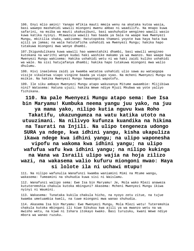106. Enyi mlio amini! Yanapo mfikia mauti mmoja wenu na akataka kutoa wasia, basi wawepo mashahidi wawili miongoni mwenu ambao ni waadilifu. Na mnapo kuwa safarini, na msiba wa mauti ukakusibuni, basi washuhudie wengineo wawili wasio kuwa katika nyinyi. Mtawazuia wawili hao baada ya Sala na waape kwa Mwenyezi Mungu, mkitilia shaka, wakisema: Hatutopokea thamani yoyote kwa haya hata kwa ajili ya jamaa; na wala hatutaficha ushahidi wa Mwenyezi Mungu; hakika hapo tutakuwa miongoni mwa wenye dhambi.

107.Ikigundulikana kuwa wawili hao wamestahiki dhambi, basi wawili wengineo kutokana na warithi wenye kudai haki washike makamo ya wa mwanzo. Nao waape kwa Mwenyezi Mungu wakisema: Hakika ushahidi wetu ni wa haki zaidi kuliko ushahidi wa wale. Na sisi hatujafanya dhambi; hakika hapo tutakuwa miongoni mwa walio dhulumu.

108. Hivi inaelekea zaidi ya kwamba watatoa ushahidi ulio sawa au wataogopa visije vikaletwa viapo vingine baada ya viapo vyao. Na mcheni Mwenyezi Mungu na msikie. Na hakika Mwenyezi Mungu hawaongoi wapotofu.

109. Ile siku ambayo Mwenyezi Mungu atapo wakusanya Mitume awaambie: Mlijibiwa nini? Watasema: Hatuna ujuzi; hakika Wewe ndiye Mjuzi Mkubwa wa yote yaliyo fichikana.

# **110. Na pale Mwenyezi Mungu atapo sema: Ewe Isa bin Maryamu! Kumbuka neema yangu juu yako, na juu**

**ya mama yako, nilipo kutia nguvu kwa Roho Takatifu, ukazungumza na watu katika utoto na utuuzimani. Na nilivyo kufunza kuandika na hikima na Taurati na Injili. Na ulipo tengeneza udongo SURA ya ndege, kwa idhini yangu, kisha ukapuliza ikawa ndege kwa idhini yangu; na ulipo waponesha vipofu na wakoma kwa idhini yangu; na ulipo wafufua wafu kwa idhini yangu; na nilipo kukinga na Wana wa Israili ulipo wajia na hoja zilizo wazi, na wakasema walio kufuru miongoni mwao: Haya si lolote ila ni uchawi mtupu!** 

111. Na nilipo wafunulia Wanafunzi kwamba waniamini Mimi na Mtume wangu, wakasema: Tumeamini na shuhudia kuwa sisi ni Waislamu.

112. Wanafunzi walipo sema: Ewe Isa bin Maryamu! Je, Mola wako Mlezi anaweza kututeremshia chakula kutoka mbinguni? Akasema: Mcheni Mwenyezi Mungu ikiwa nyinyi ni Waumini.

113. Wakasema: Tunataka kukila chakula hicho, na nyoyo zetu zitue, na tujue kwamba umetuambia kweli, na tuwe miongoni mwa wanao shuhudia.

114. Akasema Isa bin Maryamu: Ewe Mwenyezi Mungu, Mola Mlezi wetu! Tuteremshia chakula kutoka mbinguni ili kiwe Sikukuu kwa ajili ya wa mwanzo wetu na wa mwisho wetu, na kiwe ni Ishara itokayo kwako. Basi turuzuku, kwani Wewe ndiye mbora wa wanao ruzuku.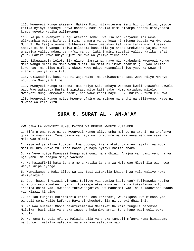115. Mwenyezi Mungu akasema: Hakika Mimi nitakuteremshieni hicho. Lakini yeyote katika nyinyi atakaye kanya baadae, basi hakika Mimi nitampa adhabu nisiyopata kumpa yeyote katika walimwengu.

116. Na pale Mwenyezi Mungu atakapo sema: Ewe Isa bin Maryamu! Ati wewe uliwaambia watu: Nifanyeni mimi na mama yangu kuwa ni miungu badala ya Mwenyezi Mungu? (Na Isa) atasema: Subhanaka, Wewe umetakasika! Hainifalii mimi kusema ambayo si haki yangu. Ikiwa nilisema basi bila ya shaka umekwisha yajua. Wewe unayajua yaliyo ndani ya nafsi yangu, lakini mimi siyajui yaliyo katika nafsi yako. Hakika Wewe ndiye Mjuzi mkubwa wa yaliyo fichikana.

117. Sikuwaambia lolote ila uliyo niamrisha, nayo ni: Muabuduni Mwenyezi Mungu, Mola wangu Mlezi na Mola wenu Mlezi. Na mimi nilikuwa shahidi juu yao nilipo kuwa nao. Na ulipo nifisha ukawa Wewe ndiye Muangalizi juu yao. Na Wewe ni shahidi juu ya kila kitu.

118. Ukiwaadhibu basi hao ni waja wako. Na ukiwasamehe basi Wewe ndiye Mwenye nguvu na Mwenye hikima.

119. Mwenyezi Mungu atasema: Hii ndiyo Siku ambayo wasemao kweli utawafaa ukweli wao. Wao watapata Bustani zipitazo mito kati yake. Humo watadumu milele. Mwenyezi Mungu amewawia radhi, nao wawe radhi naye. Huku ndiko kufuzu kukubwa.

120. Mwenyezi Mungu ndiye Mwenye ufalme wa mbingu na ardhi na vilivyomo. Naye ni Muweza wa kila kitu.

#### **SURA 6. SURAT AL - AN-A'AM**

KWA JINA LA MWENYEZI MUNGU MWINGI WA REHEMA MWENYE KUREHEMU

1. Sifa njema zote ni za Mwenyezi Mungu aliye umba mbingu na ardhi, na akafanya giza na mwangaza. Tena baada ya haya walio kufuru wanawafanya wengine sawa na Mola wao Mlezi.

2. Yeye ndiye aliye kuumbeni kwa udongo, kisha akakuhukumieni ajali, na muda maalumu uko kwake tu. Tena baada ya haya nyinyi mnatia shaka.

3. Na Yeye ndiye Mwenyezi Mungu mbinguni na ardhini. Anajua ya ndani yenu na ya nje yenu. Na anajua mnayo yachuma.

4. Na haiwafikii hata ishara moja katika ishara za Mola wao Mlezi ila wao huwa wenye kuipa nyongo.

5. Wameikanusha Haki ilipo wajia. Basi zitawajia khabari za yale waliyo kuwa wakiyakejeli.

6. Jee, hawaoni vizazi vingapi tulivyo viangamiza kabla yao? Tuliwaweka katika nchi tusivyo kuwekeni nyinyi; tukawapelekea mvua nyingi na tukaifanya mito inapita chini yao. Mwishoe tukawaangamiza kwa madhambi yao; na tukaanzisha baada yao kizazi kingine.

7. Na lau tungeli kuteremshia kitabu cha karatasi, wakakigusa kwa mikono yao, wangeli sema walio kufuru: Haya si chochote ila ni uchawi dhaahiri.

8. Na wao husema: Mbona hakuteremshiwa Malaika? Na kama tungeli teremsha Malaika, basi bila ya shaka ingesha hukumiwa amri, tena hapo wasingeli pewa muhula.

9. Na kama tungeli mfanya Malaika bila ya shaka tungeli mfanya kama binaadamu, na tungeli watilia matatizo yale wanayo yatatiza wao.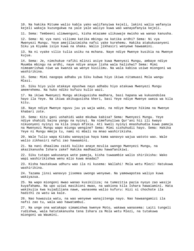10. Na hakika Mitume walio kabla yako walifanyiwa kejeli, lakini walio wafanyia kejeli wakaja kuzungukwa na yale yale waliyo kuwa wao wanayafanyia kejeli.

11. Sema: Tembeeni ulimwenguni, kisha mtazame ulikuwaje mwisho wa wanao kanusha.

12. Sema: Ni vya nani viliomo katika mbingu na katika ardhi? Sema: Ni vya Mwenyezi Mungu. Yeye amejilazimisha nafsi yake kurehemu. Hakika atakukusanyeni Siku ya Kiyama isiyo kuwa na shaka. Walio jikhasiri wenyewe hawaamini.

13. Na ni vyake vilio tulia usiku na mchana. Naye ndiye Mwenye kusikia na Mwenye kujua.

14. Sema: Je, nimchukue rafiki mlinzi asiye kuwa Mwenyezi Mungu, ambaye ndiye Muumba mbingu na ardhi, naye ndiye anaye lisha wala halishwi? Sema: Mimi nimeamrishwa niwe wa kwanza wa wenye kusilimu. Na wala kabisa usiwe miongoni wa washirikina.

15. Sema: Mimi naogopa adhabu ya Siku kubwa hiyo ikiwa nitamuasi Mola wangu Mlezi.

16. Siku hiyo yule atakaye epushwa nayo adhabu hiyo atakuwa Mwenyezi Mungu amemrehemu. Na huko ndiko kufuzu kulio wazi.

17. Na ikiwa Mwenyezi Mungu akikugusisha madhara, basi hapana wa kukuondolea hayo ila Yeye. Na ikiwa akikugusisha kheri, basi Yeye ndiye Mwenye uweza wa kila kitu.

18. Naye ndiye Mwenye nguvu juu ya waja wake, na ndiye Mwenye hikima na Mwenye khabari zote.

19. Sema: Kitu gani ushahidi wake mkubwa kabisa? Sema: Mwenyezi Mungu. Yeye ndiye shahidi baina yangu na nyinyi. Na nimefunuliwa Qur'ani hii ili kwayo nikuonyeni nyinyi na kila inayo mfikia. Ati kweli nyinyi mnashuhudia kuwa pamoja na Mwenyezi Mungu wapo miungu wengine? Sema: Mimi sishuhudii hayo. Sema: Hakika Yeye ni Mungu mmoja tu, nami ni mbali na mnao washirikisha.

20. Wale Tulio wapa Kitabu wanayajua haya kama wanavyo wajua watoto wao. Wale walio zikhasiri nafsi zao hawaamini.

21. Na nani dhaalimu zaidi kuliko anaye mzulia uwongo Mwenyezi Mungu, na akazikanusha Ishara zake? Hakika madhaalimu hawafanikiwi.

22. Siku tutapo wakusanya wote pamoja, kisha tuwaambie walio shirikisha: Wako wapi washirikishwa wenu mlio kuwa mnadai?

23. Kisha hautakuwa udhuru wao ila ni kusema: Wallahi! Mola wetu Mlezi! Hatukuwa washirikina.

24. Tazama jinsi wanavyo jisemea uwongo wenyewe. Na yamewapotea waliyo kuwa wakiyazua.

25. Na wapo miongoni mwao wanao kusikiliza; na tumezitia pazia nyoyo zao wasije kuyafahamu. Na upo uziwi masikioni mwao, na wakiona kila Ishara hawaiamini. Hata wakikujia kwa kujadiliana nawe, wanasema walio kufuru: Hizi si chochote ila hadithi za watu wa kale.

26. Nao huwazuia watu, na wao wenyewe wanajitenga nayo. Nao hawaangamizi ila nafsi zao tu, wala wao hawatambui.

27. Na unge ona watakapo simamishwa kwenye Moto, wakawa wanasema: Laiti tungeli rudishwa, wala hatutakanusha tena Ishara za Mola wetu Mlezi, na tutakuwa miongoni wa Waumini.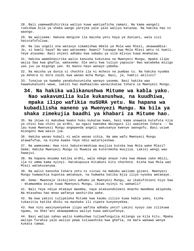28. Bali yamewadhihirikia waliyo kuwa wakiyaficha zamani. Na kama wangeli rudishwa bila ya shaka wange yarejea yale yale waliyo katazwa. Na hakika hao ni waongo.

29. Na walisema: Hakuna mengine ila maisha yetu haya ya duniani, wala sisi hatutafufuliwa.

30. Na lau ungeli ona watavyo simamishwa mbele ya Mola wao Mlezi, akawaambia: Je, si kweli haya? Na wao watasema: Kwani? Tunaapa kwa Mola Mlezi wetu ni kweli. Yeye atasema: Basi onjeni adhabu kwa sababu ya vile mlivyo kuwa mnakataa.

31. Hakika wamekhasirika walio kanusha kukutana na Mwenyezi Mungu, mpaka ilipo wajia Saa kwa ghafla, wakasema: Ole wetu kwa tuliyo yapuuza! Nao watabeba mizigo yao juu ya migongo yao. Ni maovu hayo wanayo yabeba.

32. Na maisha ya dunia si chochte ila ni mchezo na pumbao tu. Na hakika nyumba ya Akhera ni bora zaidi kwa wanao mcha Mungu. Basi, je, hamtii akilini?

33. Tunajua ya kwamba yanakuhuzunisha wanayo yasema. Basi hakika wao hawakukanushi wewe, lakini hao madhaalimu wanazikataa Ishara za Mwenyezi Mungu.

# **34. Na hakika walikanushwa Mitume wa kabla yako. Nao wakavumilia kule kukanushwa, na kuudhiwa, mpaka ilipo wafikia nuSURA yetu. Na hapana wa kubadilisha maneno ya Mwenyezi Mungu. Na bila ya shaka zimekujia baadhi ya khabari za Mitume hao.**

35. Na ikiwa ni makubwa kwako huku kukataa kwao, basi kama unaweza kutafuta njia ya chini kwa chini ya ardhi, au ngazi kwendea mbinguni ili uwaletee Ishara -- Na lau kuwa Mwenyezi Mungu angependa angeli wakusanya kwenye uwongofu. Basi usiwe miongoni mwa wasio jua.

36. Hakika wanao kubali ni wale wanao sikia. Na ama wafu Mwenyezi Mungu atawafufua, na kisha kwake Yeye ndio watarejeshwa.

37. Na wamesema: Kwa nini hakuteremshiwa muujiza kutoka kwa Mola wake Mlezi? Sema: Hakika Mwenyezi Mungu ni Muweza wa kuteremsha muujiza. Lakini wengi wao hawajui.

38. Na hapana mnyama katika ardhi, wala ndege anaye ruka kwa mbawa zake mbili, ila ni umma kama nyinyi. Hatukupuuza Kitabuni kitu chochote. Kisha kwa Mola wao Mlezi watakusanywa.

39. Na walio kanusha Ishara zetu ni viziwi na mabubu waliomo gizani. Mwenyezi Mungu humwachia kupotea amtakaye, na humweka katika Njia iliyo nyooka amtakaye.

40. Sema: Mwaonaje ikikujieni adhabu ya Mwenyezi Mungu, au ikakufikieni hiyo Saa - mtamwomba asiye kuwa Mwenyezi Mungu, ikiwa nyinyi ni wakweli?

41. Bali Yeye ndiye mtakaye mwomba, naye atakuondoleeni mnacho mwombea akipenda. Na mtasahau hao mnao wafanya washirika wake.

42. Na kwa yakini tulipeleka Mitume kwa kaumu zilizo kuwa kabla yako, kisha tukazitia katika dhiki na mashaka ili zipate kunyenyekea.

43. Kwa nini wasinyenyekee ilipo wafika adhabu yetu? Lakini nyoyo zao zilikuwa ngumu, na Shet'ani akawapambia waliyo kuwa wakiyafanya.

44. Basi walipo sahau walio kumbushwa tuliwafungulia milango ya kila kitu. Mpaka walipo furahia yale waliyo pewa tuliwashika kwa ghafla, na mara wakawa wenye kukata tamaa.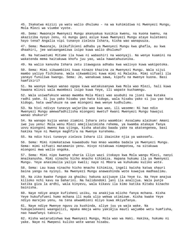45. Ikakatwa mizizi ya watu walio dhulumu - na wa kuhimidiwa ni Mwenyezi Mungu, Mola Mlezi wa viumbe vyote.

46. Sema: Mwaonaje Mwenyezi Mungu akanyakua kusikia kwenu, na kuona kwenu, na akaziziba nyoyo zenu, ni mungu gani asiye kuwa Mwenyezi Mungu ataye kuleteeni hayo tena? Angalia vipi tunavyo zieleza Ishara, kisha wao wanapuuza.

47. Sema: Mwaonaje, ikikufikieni adhabu ya Mwenyezi Mungu kwa ghafla, au kwa dhaahiri, jee wataangamizwa isipo kuwa walio dhulumu?

48. Na hatuwatumi Mitume ila huwa ni wabashiri na waonyaji. Na wenye kuamini na wakatenda mema haitakuwa khofu juu yao, wala hawatahuzunika.

49. Na walio kanusha Ishara zetu itawagusa adhabu kwa walivyo kuwa wakipotoka.

50. Sema: Mimi sikwambiini kuwa ninazo khazina za Mwenyezi Mungu. Wala sijui mambo yaliyo fichikana. Wala sikwambiini kuwa mimi ni Malaika. Mimi sifuati ila yanayo funuliwa kwangu. Sema: Je, wanakuwa sawa, kipofu na mwenye kuona. Basi hamfikiri?

51. Na waonye kwayo wanao ogopa kuwa watakusanywa kwa Mola wao Mlezi, hali kuwa hawana mlinzi wala mwombezi isipo kuwa Yeye, ili wapate kuchamngu.

52. Wala usiwafukuze wanao mwomba Mola Mlezi wao asubuhi na jioni kwa kutaka radhi yake. Si juu yako hisabu yao hata kidogo, wala hisabu yako si juu yao hata kidogo, hata uwafukuze na uwe miongoni mwa wenye kudhulumu.

53. Na hivi ndivyo tunavyo wajaribu wao kwa wao, ili waseme: Ni hao ndio Mwenyezi Mungu amewafadhilisha miongoni mwetu? Kwani Mwenyezi Mungu hawajui wanao shukuru?

54. Na wanapo kujia wanao ziamini Ishara zetu waambie: Assalamu alaikum! Amani iwe juu yenu! Mola wenu Mlezi amejilazimisha rehema, ya kwamba atakaye fanya uovu miongoni mwenu kwa ujinga, kisha akatubu baada yake na akatengenea, basi hakika Yeye ni Mwenye maghfira na Mwenye kurehemu.

55. Na ndio hivi tunavyo zieleza Ishara ili ibainike njia ya wakosefu.

56. Sema: Mimi nimekatazwa kuwaabudu hao mnao waomba badala ya Mwenyezi Mungu. Sema: mimi sifuati matamanio yenu. Hivyo nitakuwa nimepotea, na sitakuwa miongoni mwa walio ongoka.

57. Sema: Mimi nipo kwenye sharia iliyo wazi itokayo kwa Mola wangu Mlezi, nanyi mnaikanusha. Mimi sinacho hicho mnacho kihimiza. Hapana hukumu ila ya Mwenyezi Mungu. Yeye anasimulia yaliyo kweli; naye ni Mbora wa kuhukumu kuliko wote.

58. Sema: Lau kuwa ninacho hicho mnacho kihimiza, ingeli kwisha katwa shauri baina yangu na nyinyi. Na Mwenyezi Mungu anawashinda wote kuwajua madhaalimu.

59. Na ziko kwake funguo za ghaibu; hakuna azijuaye ila Yeye tu. Na Yeye anajua kilioko nchi kavu na baharini. Na halidondoki jani ila analijua. Wala punje katika giza la ardhi, wala kinyevu, wala kikavu ila kimo katika Kitabu kinacho bainisha.

60. Naye ndiye anaye kufisheni usiku, na anakijua mlicho fanya mchana. Kisha Yeye hukufufueni humo mchana ili muda ulio wekwa utimizwe. Kisha kwake Yeye ndiyo marejeo yenu, na tena akwambieni mliyo kuwa mkiyafanya.

61. Naye ndiye Mwenye nguvu za kushinda, aliye juu ya waja wake. Na hukupelekeeni waangalizi, mpaka mmoja wenu yakimjia mauti wajumbe wetu humfisha, nao hawafanyi taksiri.

62. Kisha watarudishwa kwa Mwenyezi Mungu, Mola wao wa Haki. Hakika, hukumu ni yake. Naye ni Mwepesi kuliko wote wanao hisabu.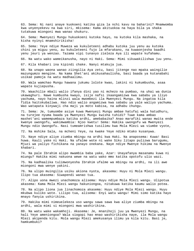63. Sema: Ni nani anaye kuokoeni katika giza la nchi kavu na baharini? Mnamwomba kwa unyenyekevu na kwa siri, mkisema: Kama akituokoa na haya bila ya shaka tutakuwa miongoni mwa wanao shukuru.

64. Sema: Mwenyezi Mungu hukuokoeni kutoka hayo, na kutoka kila mashaka, na kisha nyinyi mnamshirikisha!

65. Sema: Yeye ndiye Muweza wa kukuleteeni adhabu kutoka juu yenu au kutoka chini ya miguu yenu, au kukuleteeni fujo la mfarakano, na kuwaonjesha baadhi yenu jeuri ya wenzao. Tazama vipi tunavyo zieleza Aya ili wapate kufahamu.

66. Na watu wako wameikanusha, nayo ni Haki. Sema: Mimi sikuwakilishwa juu yenu.

67. Kila khabari ina kipindi chake. Nanyi mtakuja jua.

68. Na unapo waona wanao ziingilia Aya zetu, basi jitenge nao mpaka waingilie mazungumzo mengine. Na kama Shet'ani akikusahaulisha, basi baada ya kutanabahi usikae pamoja na watu madhaalimu.

69. Wala wamchao Mungu hawana jukumu lolote kwao, lakini ni kukumbusha, asaa wapate kujiepusha.

70. Waachilie mbali walio ifanya dini yao ni mchezo na pumbao, na uhai wa dunia ukawaghuri. Nawe kumbusha kwayo, isije nafsi ikaangamizwa kwa sababu ya iliyo yachuma, nayo haina mlinzi wala mwombezi ila Mwenyezi Mungu. Na ingatoa kila fidia haitokubaliwa. Hao ndio walio angamizwa kwa sababu ya yale waliyo yachuma. Wao watapata kinywaji cha maji ya moto kabisa, na adhabu chungu.

71. Sema: Je, tumuombe asiye kuwa Mwenyezi Mungu ambae hatufai wala hatudhuru, na turejee nyuma baada ya Mwenyezi Mungu kwisha tuhidi? Tuwe kama ambao mashet'ani wamempumbaza katika ardhi, amebabaika? Anao marafiki wanao mwita ende kwenye uwongofu, wakimwambia: Njoo kwetu! Sema: Hakika uwongofu wa Mwenyezi Mungu ndio Uwongofu. Nasi tumeamrishwa tusilimu kwa Mola Mlezi wa viumbe vyote,

72. Na mshike Sala, na mcheni Yeye, na kwake Yeye ndiko mtako kusanywa.

73. Naye ndiye aliye ziumba mbingu na ardhi kwa Haki. Na anaposema: Kuwa! Basi huwa. Kauli yake ni Haki. Na ufalme wote ni wake Siku litapo pulizwa barugumu, Mjuzi wa yaliyo fichikana na yanayo onekana. Naye ndiye Mwenye hikima na Mwenye khabari.

74. Na pale Ibrahim alipo mwambia baba yake, Azar: Unayafanya masanamu kuwa ni miungu? Hakika mimi nakuona wewe na watu wako mmo katika opotofu ulio wazi.

75. Na kadhaalika tulimwonyesha Ibrahim ufalme wa mbingu na ardhi, na ili awe miongoni mwa wenye yakini.

76. Na ulipo muingilia usiku akiona nyota, akasema: Huyu ni Mola Mlezi wangu. Ilipo tua akasema: Siwapendi wanao tua.

77. Alipo uona mwezi unachomoza alisema: Huyu ndiye Mola Mlezi wangu. Ulipotua akasema: Kama Mola Mlezi wangu hakuniongoa, nitakuwa katika kaumu walio potea.

78. Na alipo liona jua linachomoza akasema: Huyu ndiye Mola Mlezi wangu. Huyu mkubwa kuliko wote. Lilipo tua, alisema: Enyi watu wangu! Mimi simo katika hayo mnayo fanyia ushirikina.

79. Hakika mimi nimeuelekeza uso wangu sawa sawa kwa aliye ziumba mbingu na ardhi, wala mimi si miongoni mwa washirikina.

80. Na watu wake wakamhoji. Akasema: Je, mnanihoji juu ya Mwenyezi Mungu, na hali Yeye ameniongoa? Wala siogopi hao mnao washirikisha naye, ila Mola wangu Mlezi akipenda kitu. Mola wangu Mlezi amekusanya ilimu ya kila kitu. Basi je, hamkumbuki?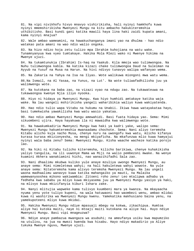81. Na vipi nivikhofu hivyo mnavyo vishirikisha, hali nyinyi hamkhofu kuwa nyinyi mmemshirikisha Mwenyezi Mungu na kitu ambacho hakukiteremshia uthibitisho. Basi kundi gani katika mawili haya lina haki zaidi kupata amani, kama nyinyi mnajua?

82. Wale ambao wameamini, na hawakuchanganya imani yao na dhulma - hao ndio watakao pata amani na wao ndio walio ongoka.

83. Na hizo ndizo hoja zetu tulizo mpa Ibrahim kuhojiana na watu wake. Tunamnyanyua kwa vyeo tumtakaye. Hakika Mola Mlezi wako ni Mwenye hikima na Mwenye ujuzi.

84. Na tukamtunukia (Ibrahim) Is-haq na Yaakub. Kila mmoja wao tulimwongoa. Na Nuhu tulimwongoa kabla. Na katika kizazi chake tulimwongoa Daud na Suleiman na Ayyub na Yusuf na Musa na Harun. Na hivi ndivyo tunavyo walipa wafanyao wema.

85. Na Zakaria na Yahya na Isa na Ilyas. Wote walikuwa miongoni mwa watu wema.

86.Na Ismail, na Al Yasaa, na Yunus, na Lut'. Na wote tuliwafadhilisha juu ya walimwengu wote.

87. Na kutokana na baba zao, na vizazi vyao na ndugu zao. Na tukawateuwa na tukawaongoa kwenye Njia iliyo nyooka.

88. Hiyo ni hidaya ya Mwenyezi Mungu. Kwa hiyo humhidi amtakaye katika waja wake. Na lau wangeli mshirikisha yangeli waharibikia waliyo kuwa wakiyatenda.

89. Hao ndio tulio wapa Vitabu na hukumu na Unabii. Ikiwa hawa watayakataa hayo, basi tumekwisha yawakilisha kwa watu wasio yakataa.

90. Hao ndio ambao Mwenyezi Mungu amewahidi. Basi fuata hidaya yao. Sema: Mimi sikuombeni ujira. Haya hayakuwa ila ni mawaidha kwa walimwengu wote.

91. Na hawakumkadiria Mwenyezi Mungu kwa haki ya kadri yake, walipo sema: Mwenyezi Mungu hakumteremshia mwanaadamu chochote. Sema: Nani aliyo teremsha Kitabu alicho kuja nacho Musa, chenye nuru na uwongofu kwa watu, mlicho kifanya kurasa kurasa mkizionyesha, na mengi mkiyaficha. Na mkafunzwa mlio kuwa hamyajui nyinyi wala baba zenu? Sema: Mwenyezi Mungu. Kisha waache wacheze katika porojo lao.

92. Na hiki ni Kitabu tulicho kiteremsha, kilicho barikiwa, chenye kuhakikisha yaliyo tangulia, na ili uuwonye Mama wa Miji na walio pembezoni mwake. Na wenye kuamini Akhera wanakiamini hichi, nao wanazihifadhi Sala zao.

93. Nani dhaalimu mkubwa kuliko yule anaye mzuliya uwongo Mwenyezi Mungu, au anaye sema: Mimi nimeletewa wahyi; na hali hakuletewa wahyi wowote. Na yule anaye sema: Nitateremsha kama alivyo teremsha Mwenyezi Mungu. Na lau ungeli waona madhaalimu wanavyo kuwa katika mahangaiko ya mauti, na Malaika wamewanyooshea mikono wakiwambia: Zitoeni roho zenu! Leo mtalipwa adhabu ya fedheha kwa sababu ya mliyo kuwa mkiyasema juu ya Mwenyezi Mungu yasiyo ya haki, na mlivyo kuwa mkizifanyia kiburi Ishara zake.

94. Nanyi mlitujia wapweke kama tulivyo kuumbeni mara ya kwanza. Na mkayaacha nyuma yenu yote tuliyo kupeni, na wala hatuwaoni hao waombezi wenu, ambao mlidai kuwa ni washirika wa Mwenyezi Mungu kwenu. Yamekatika makhusiano baina yenu, na yamekupoteeni mliyo kuwa mkidai.

95. Hakika Mwenyezi Mungu ndiye mpasuaji mbegu na kokwa, zikachipua. Humtoa aliye hai kutoka maiti, naye ni mtoaji maiti kutokana na aliye hai. Huyo ndiye Mwenyezi Mungu. Basi vipi mnageuzwa?

96. Ndiye anaye pambazua mwangaza wa asubuhi; na ameufanya usiku kwa mapumziko na utulivu, na jua na mwezi kwenda kwa hisabu. Hayo ndiyo makadirio ya Aliye tukuka Mwenye nguvu, Mwenye ujuzi.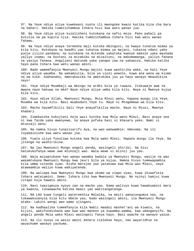97. Na Yeye ndiye aliye kuwekeeni nyota ili mwongoke kwazo katika kiza cha bara na bahari. Hakika tumezichambua Ishara hizi kwa watu wanao jua.

98. Na Yeye ndiye aliye kuzalisheni kutokana na nafsi moja. Pako pahali pa kutulia na pa kupita njia. Hakika tumezichambua Ishara hizi kwa watu wanao fahamu.

99. Na Yeye ndiye anaye teremsha maji kutoka mbinguni; na kwayo tunatoa mimea ya kila kitu. Kutokana na baadhi yao tukatoa mimea ya majani, tukatoa ndani yake punje zilizo pandana; na kutokana na mitende yakatoka kwenye makole yake mashada yaliyo inama; na bustani za mizabibu na mizaituni, na makomamanga, yaliyo fanana na yasiyo fanana. Angalieni matunda yake yanapo zaa na yakawiva. Hakika katika hayo pana Ishara kwa watu wanao amini.

100. Bado wamemfanyia Mwenyezi Mungu majini kuwa washirika wake, na hali Yeye ndiye aliye waumba. Na wakamzulia, bila ya ujuzi wowote, kuwa ana wana wa kiume na wa kike. Subhanahu, Ametakasika na ametukuka juu ya hayo wanayo mbandikiza nayo!

101. Yeye ndiye Muumbaji wa mbingu na ardhi bila ya ruwaza. Itakuwaje awe na mwana naye hakuwa na mke? Naye ndiye aliye umba kila kitu. Naye ni Mwenye kujua kila kitu.

102. Huyo ndiye Allah, Mwenyezi Mungu, Mola Mlezi wenu, hapana mungu ila Yeye, Muumba wa kila kitu. Basi muabuduni Yeye tu. Naye ni Mtegemewa wa kila kitu.

103. Macho hayamfikilii bali Yeye anayafikilia macho. Naye ni Mjuzi, Mwenye khabari.

104. Zimekwisha kukujieni hoja wazi kutoka kwa Mola wenu Mlezi. Basi anaye ona ni kwa faida yake mwenyewe, na anaye pofuka basi ni khasara yake. Nami si mtunzaji wenu.

105. Na namna hivyo tunazisarifu Aya, na wao wakwambie: Umesoma. Na ili tuyabainishe kwa watu wanao jua.

106. Fuata uliyo funuliwa kutoka kwa Mola wako Mlezi. Hapana mungu ila Yeye. Na jitenge na washirikina.

107. Na lau Mwenyezi Mungu angeli penda, wasingeli shiriki. Na Sisi hatukukufanya wewe uwe mtunzaji wao. Wala wewe si mlinzi juu yao.

108. Wala msiwatukane hao wanao waomba badala ya Mwenyezi Mungu, wasije na wao wakamtukana Mwenyezi Mungu kwa jeuri bila ya kujua. Namna hivyo tumewapambia kila umma vitendo vyao. Kisha marejeo yao yatakuwa kwa Mola wao Mlezi, naye atawaambia waliyo kuwa wakiyatenda.

109. Na waliapa kwa Mwenyezi Mungu kwa ukomo wa viapo vyao, kuwa ikiwafikia Ishara wataiamini. Sema: Ishara ziko kwa Mwenyezi Mungu. Na nyinyi hamjui kuwa zitapo kuja hawato amini.

110. Nasi twazigeuza nyoyo zao na macho yao. Kama walivyo kuwa hawakuamini mara ya kwanza, tunawaacha katika maasi yao wakitangatanga.

111. NA LAU kuwa tungeli wateremshia Malaika, na maiti wakazungumza nao, na tukawakusanyia kila kitu mbele yao, bado wasingeli amini, ila Mwenyezi Mungu atake. Lakini wengi wao wamo ujingani.

112. Na kadhaalika tumemfanyia kila Nabii maadui mashet'ani wa kiwatu, na kijini, wakifundishana wao kwa wao maneno ya kupamba-pamba, kwa udanganyifu. Na angeli penda Mola wako Mlezi wasingeli fanya hayo. Basi waache na wanayo yazua.

113. Na ili nyoyo za wasio amini Akhera zielekee hayo, nao wayaridhie na wayachume wanayo yachuma.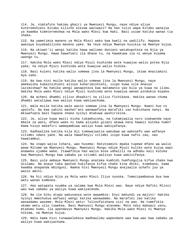114. Je, nimtafute hakimu ghairi ya Mwenyezi Mungu, naye ndiye aliye kuteremshieni Kitabu kilicho elezwa waziwazi? Na hao tulio wapa Kitabu wanajua ya kwamba kimeteremshwa na Mola wako Mlezi kwa Haki. Basi usiwe katika wanao tia shaka.

115. Na yametimia maneno ya Mola Mlezi wako kwa kweli na uadilifu. Hapana awezaye kuyabadilisha maneno yake. Na Yeye ndiye Mwenye kusikia na Mwenye kujua.

116. Na ukiwat'ii wengi katika hawa waliomo duniani watakupoteza na Njia ya Mwenyezi Mungu. Hawa hawafuati ila dhana tu, na hawakuwa ila ni wenye kusema uwongo tu.

117. Hakika Mola wako Mlezi ndiye Mjuzi kushinda wote kuwajua walio potea Njia yake, na ndiye Mjuzi kushinda wote kuwajua walio hidika.

118. Basi kuleni katika walio somewa jina la Mwenyezi Mungu, ikiwa mnaziamini Aya zake.

119. Na kwa nini msile katika walio somewa jina la Mwenyezi Mungu, naye amekwisha kubainishieni alivyo kuharimishieni, isipo kuwa vile mnavyo lazimishwa? Na hakika wengi wanapoteza kwa matamanio yao bila ya kuwa na ilimu. Hakika Mola wako Mlezi ndiye Mjuzi kushinda wote kuwajua wanao pindukia mipaka.

120. Na acheni dhambi zilizo dhaahiri na zilizo fichikana. Hakika wanao chuma dhambi watalipwa kwa waliyo kuwa wakiyachuma.

121. Wala msile katika wale wasio somewa jina la Mwenyezi Mungu. Kwani huo ni upotofu. Na kwa yakini mashet'ani wanawafunza marafiki zao kubishana nanyi. Na mkiwafuata basi hapana shaka nyinyi mtakuwa washirikina.

122. Je, aliye kuwa maiti kisha tukamhuisha, na tukamjaalia nuru inakwenda naye mbele za watu, mfano wake ni kama aliyoko gizani akawa hata hawezi kutoka humo? Kama hivyo makafiri wamepambiwa waliyo kuwa wakiyafanya.

123. Kadhaalika katika kila mji tumewajaalia wakubwa wa wakosefu wao wafanye vitimbi ndani yake. Na wala hawafanyii vitimbi isipo kuwa nafsi zao, nao hawatambui.

124. Na inapo wajia Ishara, wao husema: Hatutoamini mpaka tupewe mfano wa walio pewa Mitume wa Mwenyezi Mungu. Mwenyezi Mungu ndiye Mjuzi kuliko wote kujua wapi anaweka ujumbe wake. Itawafikia hao walio kosa udhalili na adhabu kali kutoka kwa Mwenyezi Mungu kwa sababu ya vitimbi walivyo kuwa wakivifanya.

125. Basi yule ambaye Mwenyezi Mungu anataka kumhidi humfungulia kifua chake kwa Uislamu. Na anaye taka apotee hukifanya kifua chake kina dhiki, kimebana, kama kwamba anapanda mbinguni. Namna hivi Mwenyezi Mungu anajaalia uchafu juu ya wasio amini.

126. Na hii ndiyo Njia ya Mola wako Mlezi Iliyo nyooka. Tumezipambanua Aya kwa watu wanao kumbuka.

127. Hao watapata nyumba ya salama kwa Mola Mlezi wao. Naye ndiye Rafiki Mlinzi wao kwa sababu ya waliyo kuwa wakiyatenda.

128. Na ile Siku atapo wakusanya wote awaambie: Enyi makundi ya majini! Hakika nyinyi mmechukua wafuasi wengi katika wanaadamu. Na marafiki zao katika wanaadamu waseme: Mola Mlezi wetu! Tulinufaishana sisi na wao. Na tumefikia ukomo wetu ulio tuwekea. Basi Mwenyezi Mungu atasema: Moto ndio makaazi yenu, mtadumu humo, ila apendavyo Mwenyezi Mungu. Hakika Mola wako Mlezi ni Mwenye hikima, na Mwenye kujua.

129. Ndio kama hivi tunawaelekeza madhaalimu wapendane wao kwa wao kwa sababu ya waliyo kuwa wakiyachuma.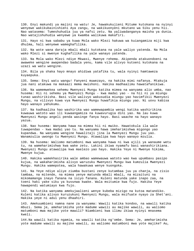130. Enyi makundi ya majini na watu! Je, hawakukujieni Mitume kutokana na nyinyi wenyewe wakikubainishieni Aya zangu, na wakikuonyeni mkutano wa Siku yenu hii. Nao watasema: Tumeshuhudia juu ya nafsi zetu. Na yaliwadanganya maisha ya dunia. Nao watajishuhudia wenyewe ya kwamba walikuwa makafiri.

131. Hayo ni kwa sababu ya kuwa Mola wako Mlezi hakuwa wa kuiangamiza miji kwa dhulma, hali wenyewe wameghafilika.

132. Na wote wana daraja mbali mbali kutokana na yale waliyo yatenda. Na Mola wako Mlezi si mwenye kughafilika na yale wanayo yatenda.

133. Na Mola wako Mlezi ndiye Mkwasi, Mwenye rehema. Akipenda atakuondoeni na awaweke wengine awapendao badala yenu, kama vile alivyo kutoeni kutokana na uzazi wa watu wengine.

134. Bila ya shaka hayo mnayo ahidiwa yatafika tu, wala nyinyi hamtaweza kuyaepuka.

135. Sema: Enyi watu wangu! Fanyeni muwezayo, na hakika mimi nafanya. Mtakuja jua nani atakuwa na makaazi mema mwishoni. Hakika madhaalimu hawatafanikiwa.

136. Na wamemwekea sehemu Mwenyezi Mungu katika mimea na wanyama alio umba, nao husema: Hii ni sehemu ya Mwenyezi Mungu - kwa madai yao - na hii ni ya miungu tunao washirikisha. Basi vile walivyo wakusudia miungu yao havimfikii Mwenyezi Mungu, na vilivyo kuwa vya Mwenyezi Mungu huwafikia miungu yao. Ni uovu kabisa hayo wanayo yahukumu.

137. Na kadhaalika hao washirika wao wamewapambia wengi katika washirikina kuwauwa watoto wao ili kuwaangamiza na kuwavurugia dini yao. Na lau kuwa Mwenyezi Mungu angeli penda wasinge fanya hayo. Basi waache na hayo wanayo yazua.

138. Nao husema: Wanyama hawa na mimea hii ni mwiko. Hawatokula ila wale tuwapendao - kwa madai yao tu. Na wanyama hawa imeharimishwa migongo yao kupandwa. Na wanyama wengine hawalitaji jina la Mwenyezi Mungu juu yao. Wanamzulia uwongo tu Mwenyezi Mungu. Atawalipa kwa hayo wanayo mzulia.

139. Na husema: Waliomo matumboni mwa wanyama hawa ni kwa ajili ya wanaume wetu tu, na wameharimishwa kwa wake zetu. Lakini ikiwa nyamafu basi wanashirikiana. Mwenyezi Mungu atawalipa kwa maelezo yao hayo. Hakika Yeye ni Mwenye hikima, Mwenye kujua.

140. Hakika wamekhasirika wale ambao wamewauwa watoto wao kwa upumbavu pasipo kujua, na wakaharimisha alivyo waruzuku Mwenyezi Mungu kwa kumzulia Mwenyezi Mungu. Hakika wamepotea, wala hawakuwa wenye kuongoka.

141. Na Yeye ndiye aliye ziumba bustani zenye kutambaa juu ya chanja, na zisio tambaa, na mitende, na mimea yenye matunda mbali mbali, na mizaituni na mikomamanga inayo fanana na isiyo fanana. Kuleni matunda yake inapo zaa, na toeni haki yake siku ya kuvunwa kwake. Wala msitumie kwa fujo. Hakika Yeye hawapendi watumiayo kwa fujo.

142. Na katika wanyama amekujaalieni wenye kubeba mizigo na kutoa matandiko. Kuleni katika alivyo kuruzukuni Mwenyezi Mungu, wala msifuate nyayo za Shet'ani. Hakika yeye ni adui yenu dhaahiri.

143. Amekuumbieni namna nane za wanyama: Wawili katika kondoo, na wawili katika mbuzi. Sema je, ameharimisha yote madume wawili au majike wawili, au waliomo matumboni mwa majike yote mawili? Niambieni kwa ilimu ikiwa nyinyi mnasema kweli.

144.Na wawili katika ngamia, na wawili katika ng'ombe. Sema: Je, ameharimisha yote madume wawili au majike wawili, au waliomo matumboni mwa yote majike? Au,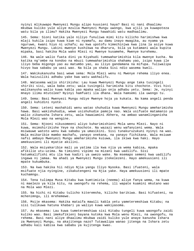nyinyi mlikuwapo Mwenyezi Mungu alipo kuusieni haya? Basi ni nani dhaalimu mkubwa kuliko yule aliye mzulia Mwenyezi Mungu uwongo, kwa ajili ya kuwapoteza watu bila ya ilimu? Hakika Mwenyezi Mungu hawahidi watu madhaalimu.

145. Sema: Sioni katika yale niliyo funuliwa mimi kitu kilicho harimishwa kwa mlaji kukila isipo kuwa kiwe ni nyamafu, au damu inayo mwagika, au nyama ya nguruwe, kwani hiyo ni uchafu; au kwa upotofu kimechinjwa kwa jina la asiye kuwa Mwenyezi Mungu. Lakini mwenye kushikwa na dharura, bila ya kutamani wala kupita mipaka, basi hakika Mola wako Mlezi ni Mwenye kusamehe, Mwenye kurehemu.

146. Na wale walio fuata dini ya Kiyahudi tumewaharimishia kila mwenye kucha. Na katika ng'ombe na kondoo na mbuzi tumewaharimishia shahamu yao, isipo kuwa ile iliyo beba migongo yao au matumbo yao, au iliyo gandamana na mifupa. Tuliwalipa hivyo kwa sababu ya uasi wao. Na bila ya shaka Sisi ndio wasema kweli.

147. Wakikukanusha basi wewe sema: Mola Mlezi wenu ni Mwenye rehema iliyo enea. Wala haizuiliki adhabu yake kwa watu wakhalifu.

148. Watasema walio shirikisha: Lau kuwa Mwenyezi Mungu ange taka tusingeli shiriki sisi, wala baba zetu; wala tusingeli harimisha kitu chochote. Vivi hivi walikanusha walio kuwa kabla yao mpaka walipo onja adhabu yetu. Sema: Je, nyinyi mnayo ilimu mtutolee? Nyinyi hamfuati ila dhana. Wala hamsemi ila uwongo tu.

149. Sema: Basi Mwenyezi Mungu ndiye Mwenye hoja ya kukata. Na kama angeli penda angeli kuhidini nyote.

150. Sema: Leteni mashahidi wenu watao shuhudia kuwa Mwenyezi Mungu ameharimisha hawa. Basi wakishuhudia, wewe usishuhudie pamoja nao. Wala usifuate matamanio ya walio zikanusha Ishara zetu, wala hawaiamini Akhera, na ambao wanamlinganisha Mola Mlezi wao na wengine.

151. Sema: Njooni nikusomeeni aliyo kuharimishieni Mola wenu Mlezi. Nayo ni kuwa, msimshirikishe Yeye na chochote. Na wazazi wenu wafanyieni wema. Wala msiwauwe watoto wenu kwa sababu ya umasikini. Sisi tunakuruzukuni nyinyi na wao. Wala msikaribie mambo machafu, yanayo onekana, na yanayo fichikana. Wala msiuwe nafsi ambayo Mwenyezi Mungu ameharimisha kuiuwa, ila ikiwa kwa haki. Hayo amekuusieni ili myatie akilini.

152. Wala msiyakaribie mali ya yatima ila kwa njia ya wema kabisa, mpaka afikilie utu-uzima. Na timizeni vipimo na mizani kwa uadilifu. Sisi hatumkalifishi mtu ila kwa kadiri ya uwezo wake. Na msemapo semeni kwa uadilifu ingawa ni jamaa. Na ahadi ya Mwenyezi Mungu itekelezeni. Hayo amekuusieni ili mpate kukumbuka.

153. Na kwa hakika hii ndiyo Njia yangu Iliyo Nyooka. Basi ifuateni, wala msifuate njia nyingine, zikakutengeni na Njia yake. Haya amekuusieni ili mpate kuchamngu.

154. Tena tulimpa Musa Kitabu kwa kumtimizia (neema) aliye fanya wema, na kuwa ni maelezo ya kila kitu, na uwongofu na rehema, ili wapate kuamini mkutano wao na Mola wao Mlezi.

155. Na hichi ni Kitabu tulicho kiteremsha, kilicho barikiwa. Basi kifuateni, na mchenimngu, ili mrehemewe.

156. Msije mkasema: Hakika mataifa mawili kabla yetu yameteremshiwa Kitabu; na sisi tulikuwa hatuna khabari ya waliyo kuwa wakiyasoma.

157. Au mkasema: Lau kuwa tumeteremshiwa sisi Kitabu tungeli kuwa waongofu zaidi kuliko wao. Basi imekufikieni bayana kutoka kwa Mola wenu Mlezi, na uwongofu, na rehema. Basi nani aliye dhaalimu mkubwa zaidi kuliko yule anaye kanusha Ishara za Mwenyezi Mungu, na akajitenga nazo? Tutawalipa wanao jitenga na Ishara zetu adhabu kali kabisa kwa sababu ya kujitenga kwao.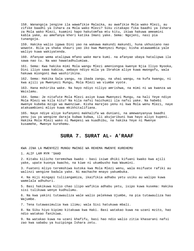158. Wanangoja jengine ila wawafikie Malaika, au awafikie Mola wako Mlezi, au zifike baadhi ya Ishara za Mola wako Mlezi? Siku zitakapo fika baadhi ya Ishara za Mola wako Mlezi, kuamini hapo hakutomfaa mtu kitu, ikiwa hakuwa ameamini kabla yake, au amefanya kheri katika Imani yake. Sema: Ngojeni, nasi pia tunangoja.

159. Hakika walio igawa Dini yao na wakawa makundi makundi, huna ukhusiano nao wowote. Bila ya shaka shauri yao iko kwa Mwenyezi Mungu; kisha atawaambia yale waliyo kuwa wakiyatenda.

160. Afanyae wema atalipwa mfano wake mara kumi. na afanyae ubaya hatalipwa ila sawa nao tu. Na wao hawatadhulumiwa.

161. Sema: Kwa hakika mimi Mola wangu Mlezi ameniongoa kwenye Njia Iliyo Nyooka, Dini iliyo sawa kabisa, ambayo ndiyo mila ya Ibrahim aliye kuwa mwongofu, wala hakuwa miongoni mwa washirikina.

162. Sema: Hakika Sala yangu, na ibada zangu, na uhai wangu, na kufa kwangu, ni kwa ajili ya Mwenyezi Mungu, Mola Mlezi wa viumbe vyote.

163. Hana mshirika wake. Na hayo ndiyo niliyo amrishwa, na mimi ni wa kwanza wa Waislamu.

164. Sema: Je nitafute Mola Mlezi asiye kuwa Mwenyezi Mungu, na hali Yeye ndiye Mola Mlezi wa kila kitu? Na kila nafsi haichumii ila nafsi yake. Na habebi mwenye kubeba mzigo wa mwenziwe. Kisha marejeo yenu ni kwa Mola wenu Mlezi, naye atakuambieni mliyo kuwa mkikhitalifiana.

165. Naye ndiye aliye kufanyeni makhalifa wa duniani, na amewanyanyua baadhi yenu juu ya wengine daraja kubwa kubwa, ili akujaribuni kwa hayo aliyo kupeni. Hakika Mola Mlezi wako ni Mwepesi wa kuadhibu, na hakika Yeye ni Mwenye kusamehe, Mwenye kurehemu.

### **SURA 7. SURAT AL- A'RAAF**

KWA JINA LA MWENYEZI MUNGU MWINGI WA REHEMA MWENYE KUREHEMU

1. ALIF LAM MYM 'SAAD

2. Kitabu kilicho teremshwa kwako - basi isiwe dhiki kifuani kwako kwa ajili yake, upate kuonya kwacho, na kiwe ni ukumbusho kwa Waumini.

3. Fuateni mliyo teremshiwa kutoka kwa Mola Mlezi wenu, wala msifuate rafiki au walinzi wengine badala yake. Ni machache mnayo yakumbuka.

4. Na miji mingapi tuliiangamiza, ikaifikia adhabu yetu usiku au walipo kuwa wamelala adhuhuri.

5. Basi hakikuwa kilio chao ilipo wafikia adhabu yetu, isipo kuwa kusema: Hakika sisi tulikuwa wenye kudhulumu.

6. Na kwa yakini tutawauliza wale walio pelekewa Ujumbe, na pia tutawauliza hao Wajumbe.

7. Tena tutawasimulia kwa ilimu; wala Sisi hatukuwa mbali.

8. Na Siku hiyo kipimo kitakuwa kwa Haki. Basi watakao kuwa na uzani mzito, hao ndio watakao fanikiwa.

9. Na watakao kuwa na uzani khafifu, basi hao ndio walio zitia khasarani nafsi zao kwa sababu ya kuzipinga Ishara zetu.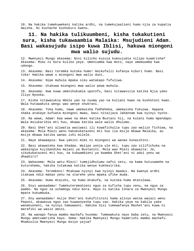10. Na hakika tumekuwekeni katika ardhi, na tumekujaalieni humo njia za kupatia maisha. Ni kuchache kushukuru kwenu.

## **11. Na hakika tulikuumbeni, kisha tukakutieni sura, kisha tukawaambia Malaika: Msujudieni Adam. Basi wakasujudu isipo kuwa Iblisi, hakuwa miongoni mwa walio sujudu.**

12. Mwenyezi Mungu akasema: Nini kilicho kuzuia kumsujudia nilipo kuamrisha? Akasema: Mimi ni bora kuliko yeye. Umeniumba kwa moto, naye umemuumba kwa udongo.

13. Akasema: Basi teremka kutoka humo! Haikufalii kufanya kiburi humo. Basi toka! Hakika wewe u miongoni mwa walio duni.

14. Akasema: Nipe muhula mpaka siku watakapo fufuliwa.

15. Akasema: Utakuwa miongoni mwa walio pewa muhula.

16. Akasema: Kwa kuwa umenihukumia upotofu, basi nitawavizia katika Njia yako Iliyo Nyooka.

17. Kisha nitawazukia mbele yao na nyuma yao na kuliani kwao na kushotoni kwao. Wala hutawakuta wengi wao wenye shukrani.

18. Akasema: Toka humo, nawe umekwisha fedheheka, umekwisha fukuzwa. Hapana shaka atakaye kufuata miongoni mwao, basi nitaijaza Jahannam kwa nyinyi nyote.

19. Na wewe, Adam! Kaa wewe na mkeo katika Bustani hii, na kuleni humo mpendapo. Wala msiukaribie mti huu, mkawa katika wale walio dhulumu.

20. Basi Shet'ani aliwatia wasiwasi ili kuwafichulia tupu zao walizo fichiwa, na akasema: Mola Mlezi wenu hakukukatazeni mti huu ila msije mkawa Malaika, au msije mkawa katika wanao ishi milele.

21. Naye akawaapia: Kwa yakini mimi ni miongoni wa wanao kunasihini.

22. Basi akawateka kwa khadaa. Walipo uonja ule mti, tupu zao zilifichuka na wakaingia kujibandika majani ya Bustanini. Mola wao Mlezi akawaita: Je, sikukukatazeni mti huo, na kukwambieni ya kwamba Shet'ani ni adui yenu wa dhaahiri?

23. Wakasema: Mola wetu Mlezi! tumejidhulumu nafsi zetu, na kama hutusamehe na kuturehemu, hakika tutakuwa katika wenye kukhasirika.

24. Akasema: Teremkeni! Mtakuwa nyinyi kwa nyinyi maadui. Na kwenye ardhi itakuwa ndio makao yenu na starehe yenu mpaka ufike muda.

25. Akasema: Humo mtaishi, na humo mtakufa, na kutoka humo mtatolewa.

26. Enyi wanaadamu! Tumekuteremshieni nguo za kuficha tupu zenu, na nguo za pambo. Na nguo za uchamngu ndio bora. Hayo ni katika Ishara za Mwenyezi Mungu mpate kukumbuka.

27. Eny wanaadamu! Asije Shet'ani kukufitinini kama alivyo watoa wazazi wenu Peponi, akawavua nguo zao kuwaonyesha tupu zao. Hakika yeye na kabila yake wanakuoneni, na nyinyi hamuwaoni. Hakika Sisi tumewafanya Mashet'ani kuwa ni marafiki wa wasio amini.

28. Na wanapo fanya mambo machafu husema: Tumewakuta nayo baba zetu, na Mwenyezi Mungu ametuamrisha hayo. Sema: Hakika Mwenyezi Mungu haamrishi mambo machafu. Mnamzulia Mwenyezi Mungu msiyo yajua?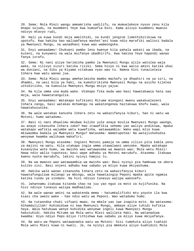29. Sema: Mola Mlezi wangu ameamrisha uadilifu, na mumuelekeze nyuso zenu kila mnapo sujudu, na muombeni Yeye kwa kumsafia Dini. Kama alivyo kuumbeni mwanzo ndivyo mtavyo rudi,

30. Hali ya kuwa kundi moja amelihidi, na kundi jengine limethibitikiwa na upotofu. Kwa hakika hao waliwafanya mashet'ani kuwa ndio marafiki walinzi badala ya Mwenyezi Mungu, na wanadhani kuwa wao wameongoka.

31. Enyi wanaadamu! Chukueni pambo lenu kwenye kila pahala wakati wa ibada, na kuleni, na kunyweni na wala msifanye ubadhirifu. Kwa hakika Yeye hapendi wanao fanya israfu.

32. Sema: Ni nani aliye harimisha pambo la Mwenyezi Mungu alilo watolea waja wake, na vilivyo vizuri katika riziki. Sema hivyo ni kwa walio amini katika uhai wa duniani, na Siku ya Kiyama vitakuwa vyao wao tu. Namna hivi tunazieleza Ishara kwa watu wanao jua.

33. Sema: Mola Mlezi wangu ameharimisha mambo machafu ya dhaahiri na ya siri, na dhambi, na uasi bila ya haki, na kumshirikisha Mwenyezi Mungu na asicho kiletea uthibitisho, na kumzulia Mwenyezi Mungu msiyo yajua.

34. Na kila umma una muda wake. Utakapo fika muda wao basi hawatakawia hata saa moja, wala hawatatangulia.

35. Enyi wanaadamu! Watakapo kufikieni Mitume miongoni mwenu wakakuelezeni Ishara zangu, basi watakao mchamngu na wakatengenea haitakuwa khofu kwao, wala hawatahuzunika.

36. Na wale watakao kanusha Ishara zetu na wakazifanyia kiburi, hao ni watu wa Motoni; humo watadumu.

37. Basi ni nani dhaalimu mkubwa kuliko yule anaye mzulia Mwenyezi Mungu uwongo, au anaye zikanusha Ishara zake? Hao itawafikia sehemu yao waliyo andikiwa, mpaka watakapo wafikia wajumbe wetu kuwafisha, watawaambia: Wako wapi mlio kuwa mkiwaomba badala ya Mwenyezi Mungu? Watasema: Wametupotea! Na watajishuhudia wenyewe kwamba walikuwa makafiri.

38. Mwenyezi Mungu atasema: Ingieni Motoni pamoja na umma zilizo pita kabla yenu za majini na watu. Kila utakapo ingia umma utawalaani wenzake. Mpaka watakapo kusanyika wote humo, wa mwisho wao watawasema wa mwanzo wao: Mola wetu Mlezi! Hawa ndio walio tupoteza; basi wape adhabu ya Motoni marudufu. Atasema: Itakuwa kwenu nyote marudufu, lakini nyinyi hamjui tu.

39. Na wa mwanzo wao watawaambia wa mwisho wao: Basi nyinyi pia hamkuwa na ubora kuliko sisi. Basi onjeni adhabu kwa sababu ya mliyo kuwa mkiyachuma.

40. Hakika wale wanao zikanusha Ishara zetu na wakazifanyia kiburi hawatafunguliwa milango ya mbingu, wala hawataingia Peponi mpaka apite ngamia katika tundu ya sindano. Na hivi ndivyo tunavyo walipa wakosefu.

41. Jahannamu itakuwa kitanda chao na juu yao nguo za moto za kujifunika. Na hivi ndivyo tunavyo walipa madhaalimu.

42. Na wale wanao amini na wakatenda mema - hatumkalifishi mtu yoyote ila kwa kiasi cha uwezo wake - hao ndio watu wa Peponi. Wao watadumu humo.

43. Na tutaondoa chuki vifuani mwao, na mbele yao iwe inapita mito. Na watasema: Alhamdulillah! Kuhimidiwa ni kwa Mwenyezi Mungu, ambaye aliye tuhidi kufikia haya. Wala hatukuwa wenye kuhidika wenyewe ingeli kuwa Mwenyezi Mungu hakutuhidi. Hakika Mitume wa Mola wetu Mlezi walileta Haki. Na watanadiwa kwamba: Hiyo ndiyo Pepo mliyo rithishwa kwa sababu ya mliyo kuwa mkiyafanya.

44. Na watu wa Peponi watawanadia watu wa Motoni: Sisi tumekuta aliyo tuahidi Mola wetu Mlezi kuwa ni kweli. Je, na nyinyi pia mmekuta aliyo kuahidini Mola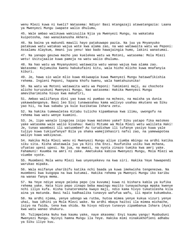wenu Mlezi kuwa ni kweli? Watasema: Ndiyo! Basi mtangazaji atawatangazia: Laana ya Mwenyezi Mungu iwapate walio dhulumu,

45. Wale ambao walikuwa wakizuilia Njia ya Mwenyezi Mungu, na wakataka kuipotosha, nao wanaikanusha Akhera.

46. Na baina ya makundi mawili hayo patakuwapo pazia. Na juu ya Mnyanyuko patakuwa watu watakao wajua wote kwa alama zao, na wao watawaita watu wa Peponi: Assalamu Alaykum, Amani juu yenu! Wao bado hawajaingia humo, lakini wanatumai.

47. Na yanapo geuzwa macho yao kuelekea watu wa Motoni, watasema: Mola Mlezi wetu! Usitujaalie kuwa pamoja na watu walio dhulumu.

48. Na hao watu wa Mnyanyukoni watawaita watu wanao wajua kwa alama zao. Watasema: Kujumuika kwenu hakukufaini kitu, wala hicho mlicho kuwa mnafanyia kiburi.

49. Je, hawa sio wale mlio kuwa mkiwaapia kuwa Mwenyezi Mungu hatawafikishia rehema. Ingieni Peponi, hapana khofu kwenu, wala hamtahuzunika!

50. Na watu wa Motoni watawaita watu wa Peponi: Tumimieni maji, au chochote alicho kuruzukuni Mwenyezi Mungu. Nao watasema: Hakika Mwenyezi Mungu ameviharimisha hivyo kwa makafiri,

51. Ambao waliifanya dini yao kuwa ni pumbao na mchezo, na maisha ya dunia yakawadanganya. Basi leo Sisi tunawasahau kama walivyo usahau mkutano wa Siku yao hii, na kwa sababu ya kule kuzikataa Ishara zetu.

52. Na hakika tumewaletea Kitabu tulicho kipambanua kwa ilimu, uwongofu na rehema kwa watu wenye kuamini.

53. Je, lipo wanalo lingojea isipo kuwa matokeo yake? Siku yatapo fika matokeo yake watasema wale walio kisahau: Kweli Mitume wa Mola Mlezi wetu walileta Haki! Je, tunao waombezi ili watuombee? Au turudishwe ili tufanye yasiyo kuwa yale tuliyo kuwa tukiyafanya? Bila ya shaka wamejikhasiri nafsi zao, na yamewapotea waliyo kuwa wakiyazua.

54. Hakika Mola Mlezi wenu ni Mwenyezi Mungu aliye ziumba mbingu na ardhi katika siku sita. Kisha akatawala juu ya Kiti cha Enzi. Huufunika usiku kwa mchana, ufuatao upesi upesi. Na jua, na mwezi, na nyota zinazo tumika kwa amri yake. Fahamuni! Kuumba na amri ni zake. Ametukuka kabisa Mwenyezi Mungu, Mola Mlezi wa viumbe vyote.

55. Muombeni Mola wenu Mlezi kwa unyenyekevu na kwa siri. Hakika Yeye hawapendi warukao mipaka.

56. Wala msifanye uharibifu katika nchi baada ya kuwa imekwisha tengenezwa. Na muombeni kwa kuogopa na kwa kutumai. Hakika rehema ya Mwenyzi Mungu iko karibu na wanao fanya mema.

57. Na Yeye ndiye anaye peleka pepo (za kuvuma) kuwa ni bishara kabla ya kufika rehema yake. Hata hizo pepo zinapo beba mawingu mazito tunayachunga mpaka kwenye nchi iliyo kufa. Kisha tunateremsha kwayo maji, ndio kama hivyo tukatolesha kila aina ya matunda. Basi hali kadhaalika tunavyo wafufua wafu, ili mpate kukumbuka.

58. Na ardhi njema, yenye udongo wa rutba, hutoa mimea yenye kukua vizuri yenye uhai, kwa idhini ya Mola Mlezi wake. Na ardhi mbaya haitoi ila mimea michache, isiyo na faida, tena kwa shida. Na hivyo ndivyo tunavyo zipambanua Ishara (Aya) kwa watu wanao shukuru.

59. Tulimpeleka Nuhu kwa kaumu yake, naye akasema: Enyi kaumu yangu! Muabuduni Mwenyezi Mungu. Nyinyi hamna Mungu ila Yeye. Hakika mimi ninakukhofieni adhabu ya Siku iliyo kuu.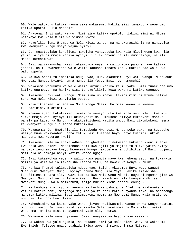60. Wale watukufu katika kaumu yake wakasema: Hakika sisi tunakuona wewe umo katika upotofu ulio dhaahiri.

61. Akasema: Enyi watu wangu! Mimi simo katika upotofu, lakini mimi ni Mtume nitokaye kwa Mola Mlezi wa viumbe vyote.

62. Nakufikishieni Ujumbe wa Mola Mlezi wangu, na ninakunasihini; na ninayajua kwa Mwenyezi Mungu msiyo yajua nyinyi.

63. Je, mnastaajabu kukujieni mawaidha yanayotoka kwa Mola Mlezi wenu kwa njia ya mtu aliye ni mmoja katika nyinyi, ili akuonyeni na ili mumchemngu, na ili mpate kurehemewa?

64. Basi walimkanusha. Nasi tukamwokoa yeye na walio kuwa pamoja naye katika jahazi. Na tukawazamisha wale walio kanusha Ishara zetu. Hakika hao walikuwa watu vipofu.

65. Na kwa A'adi tulimpeleka ndugu yao, Hud. Akasema: Enyi watu wangu! Muabuduni Mwenyezi Mungu. Nyinyi hamna mungu ila Yeye. Basi je, hamumchi?

66. Wakasema watukufu wa wale walio kufuru katika kaumu yake: Sisi tunakuona umo katika upumbavu, na hakika sisi tunakufikiria kuwa wewe ni katika waongo.

67. Akasema: Enyi watu wangu! Mimi sina upumbavu. Lakini mimi ni Mtume niliye toka kwa Mola Mlezi wa viumbe vyote.

68. Nakufikishieni ujumbe wa Mola wangu Mlezi. Na mimi kwenu ni mwenye kukunasihini, muaminifu.

69. Mnaona ajabu kukufikieni mawaidha yanayo toka kwa Mola wenu Mlezi kwa mtu aliye mmoja wenu nyinyi ili akuonyeni? Na kumbukeni alivyo kufanyeni mshike pahala pa kaumu ya Nuhu, na akakuzidisheni katika umbo. Basi zikumbukeni neema za Mwenyezi Mungu ili mpate kufanikiwa.

70. Wakasema: Je! Umetujia ili tumuabudu Mwenyezi Mungu peke yake, na tuyaache waliyo kuwa wakiyaabudu baba zetu? Basi tuletee hayo unayo tuahidi, ukiwa miongoni mwa wasemao kweli.

71. Akasema: Bila ya shaka adhabu na ghadhabu zimekwisha kukuangukieni kutoka kwa Mola wenu Mlezi. Mnabishana nami kwa ajili ya majina tu mliyo yaita nyinyi na baba zenu ambayo kwayo Mwenyezi Mungu hakuteremsha uthibitisho? Basi ngojeni, mimi pia ni pamoja nanyi katika wanao ngoja.

72. Basi tukamwokoa yeye na walio kuwa pamoja naye kwa rehema zetu, na tukakata mizizi ya wale walio zikanusha Ishara zetu, na hawakuwa wenye kuamini.

73. Na kwa Thamud tulimpeleka ndugu yao, Saleh. Akasema: Enyi watu wangu! Muabuduni Mwenyezi Mungu. Nyinyi hamna Mungu ila Yeye. Hakika imekwisha kukufikieni Ishara iliyo wazi kutoka kwa Mola wenu Mlezi. Huyu ni ngamia jike wa Mwenyezi Mungu aliye ni Ishara kwenu. Basi mwachieni ale kwenye ardhi ya Mwenyezi Mungu, wala msimdhuru, isije kukushukieni adhabu chungu.

74. Na kumbukeni alivyo kufanyeni wa kushika pahala pa A'adi na akakuwekeni vizuri katika nchi, mnajenga majumba ya fakhari katika nyanda zake, na mnachonga majumba katika milima. Basi zikumbukeni neema za Mwenyezi Mungu wala msitende uovu katika nchi kwa ufisadi.

75. Waheshimiwa wa kaumu yake wanao jivuna waliwaambia wanao onewa wenye kuamini miongoni mwao: Je, mnaitakidi ya kwamba Saleh ametumwa na Mola Mlezi wake? Wakasema: Hakika sisi tunayaamini yale aliyo tumwa.

76. Wakasema wale wanao jivuna: Sisi tunayakataa hayo mnayo yaamini.

77. Na wakamuuwa yule ngamia, na wakaasi amri ya Mola Mlezi wao, na wakasema: Ewe Saleh! Tuletee unayo tuahidi ikiwa wewe ni miongoni mwa Mitume.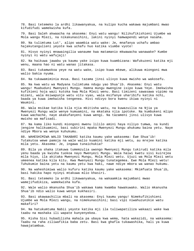78. Basi tetemeko la ardhi likawanyakua, na kulipo kucha wakawa majumbani mwao kifudifudi wamekwisha kufa.

79. Basi Saleh akwaacha na akasema: Enyi watu wangu! Nilikufikishieni Ujumbe wa Mola wangu Mlezi, na nikakunasihini, lakini nyinyi hamwapendi wenye nasaha.

80. Na tulimtuma Lut', alipo waambia watu wake: Je, mnafanya uchafu ambao hajakutangulieni yeyote kwa uchafu huo katika viumbe vyote!

81. Hivyo nyinyi mnawaingilia wanaume kwa matamanio mkwawacha wanawake? Kumbe nyinyi ni watu wafujaji!

82. Na haikuwa jawabu ya kaumu yake isipo kuwa kuambizana: Wafukuzeni katika mji wenu, maana hao ni watu wanao jitakasa.

83. Basi tukamwokoa yeye na watu wake, isipo kuwa mkewe, alikuwa miongoni mwa walio bakia nyuma.

84. Na tukawamiminia mvua. Basi tazama jinsi ulivyo kuwa mwisho wa wakosefu.

85. Na kwa watu wa Madyana tulimtuma ndugu yao Shua'ib. Akasema: Enyi watu wangu! Muabuduni Mwenyezi Mungu. Hamna mungu mwengine isipo kuwa Yeye. Imekwisha kufikieni hoja wazi kutoka kwa Mola Mlezi wenu. Basi timizeni sawasawa vipimo na mizani, wala msiwapunje watu vitu vyao, wala msifanye uharibifu katika nchi, baada ya kuwa imekwisha tengenea. Hivi ndivyo bora kwenu ikiwa nyinyi ni Waumini.

86. Wala msikae katika kila njia mkitisha watu, na kuwazuilia na Njia ya Mwenyezi Mungu wale wenye kumuamini, na mkataka njia ipotoke. Na kumbukeni mlipo kuwa wachache, naye akakufanyeni kuwa wengi. Na tazameni jinsi ulivyo kuwa mwisho wa mafisadi.

87. Na kama liko kundi miongoni mwenu lililo amini haya niliyo tumwa, na kundi jengine halikuamini, basi subirini mpaka Mwenyezi Mungu ahukumu baina yetu. Naye ndiye Mbora wa wenye kuhukumu.

88. WAHESHIMIWA WALIO TAKABARI katika kaumu yake wakasema: Ewe Shua'ib! Tutakutoa wewe pamoja na wale walio kuamini katika mji wetu, au mrejee katika mila yetu. Akasema: Je, ingawa tunaichukia?

89. Bila ya shaka itakuwa tumemzulia uwongo Mwenyezi Mungu tukirudi katika mila yenu baada ya kwisha tuokoa nayo Mwenyezi Mungu. Wala haiwi kwetu sisi kuirejea mila hiyo, ila akitaka Mwenyezi Mungu, Mola Mlezi wetu. Ujuzi wa Mola Mlezi wetu umeenea katika kila kitu. Kwa Mwenyezi Mungu tunategemea. Ewe Mola Mlezi wetu! Tuhukumie baina yetu na kaumu yetu kwa haki, nawe ndiye mbora wa wanao hukumu.

90. Na waheshimiwa walio kufuru katika kaumu yake wakasema: Mkimfuata Shua'ib, basi hakika hapo nyinyi mtakuwa mlio khasiri.

91. Basi tetemeko la ardhi likawanyakua, na wakaamkia majumbani mwao wamejifudikiza, wamekwisha kufa.

92. Wale walio mkanusha Shua'ib wakawa kama kwamba hawakuwako. Walio mkanusha Shua'ib ndio walio kuwa wenye kukhasiri.

93. Basi akawaachilia mbali na akasema: Enyi kaumu yangu! Nimekufikishieni Ujumbe wa Mola Mlezi wangu, na nimekunasihini; basi vipi niwahuzunikie watu makafiri?

94. Na hatukumtuma Nabii yeyote katika mji ila tuliwapatiliza wakaazi wake kwa taabu na mashaka ili wapate kunyenyekea.

95. Kisha Sisi hubadilisha mahala pa ubaya kwa wema, hata wakazidi, na wakasema: Taabu na raha ziliwafikia baba zetu. Basi kwa ghafla tukawashika, hali ya kuwa hawajatambua.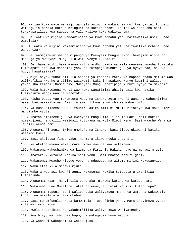96. Na lau kuwa watu wa miji wangeli amini na wakamchamngu, kwa yakini tungeli wafungulia baraka kutoka mbinguni na katika ardhi. Lakini walikanusha basi tukawapatiliza kwa sababu ya yale waliyo kuwa wakiyachuma. 97. Je, watu wa mijini wameaminisha ya kuwa adhabu yetu haitawafika usiku, nao wamelala? 98. Au watu wa mijini wameaminisha ya kuwa adhabu yetu haitawafika mchana, nao wanacheza? 99. Je, wamejiaminisha na mipango ya Mwenyezi Mungu? Kwani hawajiaminishi na mipango ya Mwenyezi Mungu ila watu wenye kukhasiri. 100. Je, hawahidiki hawa wanao rithi ardhi baada ya wale wenyewe kwamba tukitaka tutawapatiliza kwa madhambi yao, na tutapiga muhuri juu ya nyoyo zao, na kwa hivyo hawatasikia? 101. Miji hiyo, tunakusimulia baadhi ya khabari zake. Na hapana shaka Mitume wao waliwafikia kwa hoja zilizo waziwazi. Lakini hawakuwa wenye kuamini waliyo yakanusha zamani. Namna hivi Mwenyezi Mungu anazipiga muhuri nyoyo za makafiri. 102. Wala hatukuwaona wengi wao kuwa wanatimiza ahadi; bali kwa hakika tuliwakuta wengi wao ni wapotofu. 103. Kisha baada yao tukamtuma Musa na Ishara zetu kwa Firauni na waheshimiwa wake. Nao wakazikataa. Basi tazama ulikuwaje mwisho wa waharibifu. 104. Na Musa alisema: Ewe Firauni! Hakika mimi ni Mtume nitokaye kwa Mola Mlezi wa viumbe vyote. 105. Inafaa nisiseme juu ya Mwenyezi Mungu ila lilio la Haki. Nami hakika nimekujieni na dalili waziwazi kutokana na Mola Mlezi wenu. Basi waache Wana wa Israili wende nami. 106. Akasema Firauni: Ikiwa umekuja na Ishara, basi ilete ukiwa ni katika wasemao kweli. 107. Basi akaitupa fimbo yake, na mara ikawa nyoka dhaahiri. 108. Na akatoa mkono wake, mara ukawa mweupe kwa watazamao. 109. Wakasema waheshimiwa wa kaumu ya Firauni: Hakika huyo ni mchawi mjuzi. 110. Anataka kukutoeni katika nchi yenu. Basi mnatoa shauri gani? 111. Wakasema: Mwache kidogo yeye na nduguye, na watume mijini wakusanyao, 112. Wakuletee kila mchawi mjuzi. 113. Wakaja wachawi kwa Firauni, wakasema: Hakika tutapata ujira ikiwa tutashinda. 114. Akasema: Naam! Nanyi bila ya shaka mtakuwa katika wa karibu nami. 115. Wakasema: Ewe Musa! Je, utatupa wewe, au tutakuwa sisi tutao tupa? 116. Akasema: Tupeni! Basi walipo tupa waliyazuga macho ya watu na wakawatia khofu, na wakaleta uchawi mkubwa. 117. Nasi tukamfunulia Musa kumwambia: Tupa fimbo yako. Mara ikavimeza vyote vile walivyo vibuni. 118. Kweli ikathibiti na yakabat'ilika waliyo kuwa wakiyatenda. 119. Kwa hivyo walishindwa hapo, na wakageuka kuwa wadogo. 120. Na wachawi wakapoomoka wakisujudu.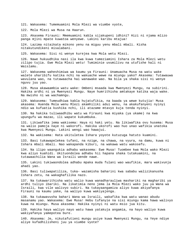121. Wakasema: Tumemuamini Mola Mlezi wa viumbe vyote,

122. Mola Mlezi wa Musa na Haarun.

123. Akasema Firauni: Mmemuamini kabla sijakupeni idhini? Hizi ni njama mlizo panga mjini mpate kuwatoa wenyewe. Lakini karibu mtajua!

124. Lazima nitaikata mikono yenu na miguu yenu mbali mbali. Kisha nitakutundikeni misalabani.

125. Wakasema: Sisi ni wenye kurejea kwa Mola wetu Mlezi.

126. Nawe hukuudhika nasi ila kwa kuwa tumeziamini Ishara za Mola Mlezi wetu zilipo tujia. Ewe Mola Mlezi wetu! Tumiminie uvumilivu na utufishe hali ni Waislamu.

127. Wakasema waheshimiwa wa kaumu ya Firauni: Unamuacha Musa na watu wake walete uharibifu katika nchi na wakuache wewe na miungu yako? Akasema: Tutawauwa wavulana wao, na tutawaacha hai wanawake wao. Na bila ya shaka sisi ni wenye nguvu juu yao.

128. Musa akawaambia watu wake: Ombeni msaada kwa Mwenyezi Mungu, na subirini. Hakika ardhi ni ya Mwenyezi Mungu. Naye humrithisha amtakaye katika waja wake. Na mwisho ni wa wachamngu.

129. Wakasema: Tumeudhiwa kabla hujatufikia, na baada ya wewe kutujia! Musa akasema: Huenda Mola wenu Mlezi akamhiliki adui wenu, na akakufanyeni nyinyi ndio wa kufuatia kushika nchi, ili atazame mtavyo kuja tenda nyinyi.

130. Na hakika tuliwaadhibu watu wa Firauni kwa miyaka (ya ukame) na kwa upungufu wa mazao, ili wapate kukumbuka.

131. Likiwafika jema wakisema: Haya ni haki yetu. Na likiwafika ovu husema: Musa na walio pamoja naye ni wakorofi. Hakika ukorofi wao huo unao wafikia unatoka kwa Mwenyezi Mungu. Lakini wengi wao hawajui.

132. Na wakisema: Hata ukituletea Ishara yoyote kutuzuga hatuto kuamini.

133. Basi tukawapelekea tufani, na nzige, na chawa, na vyura, na damu, kuwa ni Ishara mbali mbali. Nao wakapanda kiburi, na wakawa watu wakosefu.

134. Na ilipo waangukia adhabu wakasema: Ewe Musa! Tuombee kwa Mola wako Mlezi kwa aliyo kuahidi. Ukituondolea adhabu hii hapana shaka tutakuamini, na tutawaachilia Wana wa Israili wende nawe.

135. Lakini tukiwaondolea adhabu mpaka muda fulani wao waufikie, mara wakivunja ahadi yao.

136. Basi tuliwapatiliza, tuka- wazamisha baharini kwa sababu walizikanusha Ishara zetu, na wakaghafilika nazo.

137. Na tukawarithisha watu walio kuwa wanadharauliwa mashariki na magharibi ya ardhi tuliyo ibariki. Na likatimia neno jema la Mola Mlezi wako juu ya Wana wa Israili, kwa vile walivyo subiri. Na tukayaangamiza aliyo kuwa akiyafanya Firauni na kaumu yake, na waliyo kuwa wakiyajenga.

138. Na tukawavusha bahari Wana wa Israili, wakafika kwa watu wanao abudu masanamu yao. Wakasema: Ewe Musa! Hebu tufanyie na sisi miungu kama hawa walivyo kuwa na miungu. Musa akasema: Hakika nyinyi ni watu msio jua kitu.

139. Hakika haya waliyo nayo watu hawa yatakuja angamia, na hayo waliyo kuwa wakiyafanya yamepotea bure.

140. Akasema: Je, nikutafutieni mungu asiye kuwa Mwenyezi Mungu, na Yeye ndiye aliye kufadhilisheni juu ya viumbe vyote?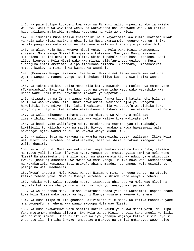141. Na pale tulipo kuokoeni kwa watu wa Firauni walio kupeni adhabu za mwisho wa uovu. Wakiwauwa wavulana wenu, na wakawaacha hai wanawake wenu. Na katika hayo yalikuwa majaribio makubwa kutokana na Mola wenu Mlezi.

142. Tulimuahidi Musa masiku thalathini na tukayatimiza kwa kumi; ikatimia miadi ya Mola wake Mlezi masiku arubaini. Na Musa akamwambia nduguye Haarun: Shika mahala pangu kwa watu wangu na utengeneze wala usifuate njia ya waharibifu.

143. Na alipo kuja Musa kwenye miadi yetu, na Mola wake Mlezi akamsemeza, alisema: Mola wangu Mlezi! Nionyeshe nikutazame. Mwenyezi Mungu akasema: Hutoniona. Lakini utazame huo mlima. Ukibaki pahala pake basi utaniona. Basi alipo jionyesha Mola Mlezi wake kwa mlima, aliufanya uvurugike, na Musa akaanguka chini amezimia. Alipo zindukana alisema: Subhanaka, Umetakasika! Natubu kwako, na mimi ni wa kwanza wa Waumini.

144. (Mwenyezi Mungu) akasema: Ewe Musa! Mimi nimekuteuwa wende kwa watu na Ujumbe wangu na maneno yangu. Basi chukua niliyo kupa na uwe katika wanao shukuru.

145. Na tukamuandikia katika mbao kila kitu, mawaidha na maelezo ya mambo yote. (Tukamwambia): Basi yashike kwa nguvu na uwaamrishe watu wako wayashike kwa ubora wake. Nami nitakuonyesheni makaazi ya wapotofu.

146. Nitawatenga na Ishara zangu wale wanao fanya kiburi katika nchi bila ya haki. Na wao wakiona kila Ishara hawaiamini. Wakiiona njia ya uwongofu hawaishiki kuwa ndiyo njia; lakini wakiiona njia ya upotofu wanaishika kuwa ndiyo njia. Hayo ni kwa sababu wamezikanusha Ishara zetu, na wameghafilika nazo.

147. Na walio zikanusha Ishara zetu na mkutano wa Akhera a'mali zao zimeharibika. Kwani watalipwa ila kwa yale waliyo kuwa wakiyatenda?

148. Na baada yake walimfanya ndama kutokana na mapambo yao (kumuabudu), kiwiliwili tu kilicho kuwa na sauti. Hivyo, hawakuona kuwa hawasemezi wala hawaongoi njia? Wakamuabudu, na wakawa wenye kudhulumu.

149. Na walipo juta na wakaona ya kwamba wamekwisha potea, walisema: Ikiwa Mola wetu Mlezi hakuturehemu na akatusamehe, bila ya shaka tutakuwa miongoni mwa walio khasiri.

150. Na alipo rudi Musa kwa watu wake, naye amekasirika na kuhuzunika, alisema: Ni maovu yalioje mlio nifanyia nyuma yangu! Je, mmeitangulia amri ya Mola wenu Mlezi? Na akaziweka chini zile mbao, na akamkamata kichwa ndugu yake akimvutia kwake. (Haarun) akasema: Ewe mwana wa mama yangu! Hakika hawa watu wamenidharau, na wakakaribia kuniuwa. Basi usiwafurahishe maadui juu yangu, wala usinifanye pamoja na watu madhaalimu.

151.(Musa) akasema: Mola Mlezi wangu! Nisamehe mimi na ndugu yangu, na ututie katika rehema yako. Nawe ni Mwenye kurehemu kushinda wote wenye kurehemu.

152. Hakika wale walio muabudu ndama, itawapata ghadhabu ya Mola wao Mlezi na madhila katika maisha ya dunia. Na hivi ndivyo tunavyo walipa wazushi.

153. Na walio tenda maovu, kisha wakatubia baada yake na wakaamini, hapana shaka kuwa Mola Mlezi wako baada ya hayo ni Mwenye kusamehe Mwenye kurehemu.

154. Na Musa ilipo mtulia ghadhabu aliziokota zile mbao. Na katika maandiko yake mna uwongofu na rehema kwa wanao mwogopa Mola wao Mlezi.

155. Na Musa akawateuwa watu sabiini katika kaumu yake kwa miadi yetu. Na ulipo fika mtetemeko mkubwa alisema: Ewe Mola wangu Mlezi! Ungeli taka ungeli wahiliki wao na mimi zamani! Unatuhiliki kwa waliyo yafanya wajinga katika sisi? Haya si chochote ila ni mtihani wako, umpoteze umtakaye na umhidi umtakaye. Wewe ndiye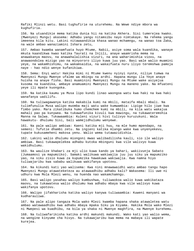Rafiki Mlinzi wetu. Basi tughufirie na uturehemu. Na Wewe ndiye mbora wa kughufiria.

156. Na utuandikie mema katika dunia hii na katika Akhera. Sisi tumerejea kwako. (Mwenyezi Mungu) akasema: Adhabu yangu nitamsibu nayo nimtakaye. Na rehema yangu imeenea kila kitu. Lakini nitawaandikia khasa wanao mchamngu, na wanao toa Zaka, na wale ambao wanaziamini Ishara zetu,

157. Ambao kwamba wanamfuata huyo Mtume, Nabii, asiye soma wala kuandika, wanaye mkuta kaandikwa kwao katika Taurati na Injili, anaye waamrisha mema na anawakanya maovu, na anawahalalishia vizuri, na ana waharimishia viovu, na anawaondolea mizigo yao na minyororo iliyo kuwa juu yao. Basi wale walio muamini yeye, na wakamhishimu, na wakamsaidia, na wakaifuata nuru iliyo teremshwa pamoja naye - hao ndio wenye kufanikiwa.

158. Sema: Enyi watu! Hakika mimi ni Mtume kwenu nyinyi nyote, niliye tumwa na Mwenyezi Mungu Mwenye ufalme wa mbingu na ardhi. Hapana mungu ila Yeye anaye huisha na anaye fisha. Basi muaminini Mwenyezi Mungu na Mtume wake asiyejua kusoma na kuandika, ambaye anamuamini Mwenyezi Mungu na maneno yake. Na mfuateni yeye ili mpate kuongoka.

159. Na katika kaumu ya Musa lipo kundi linao waongoa watu kwa haki na kwa haki wanafanya uadilifu.

160. Na tuliwagawanya katika makabila kumi na mbili, mataifa mbali mbali. Na tulimfunulia Musa walipo muomba maji watu wake kumwambia: Lipige hilo jiwe kwa fimbo yako. Mara zikatibuka humo chemchem kumi na mbili, na kila watu wakajua mahali pao pa kunywea. Na tukawafunika kivuli kwa mawingu, na tukawateremshia Manna na Salwa. Tukawaambia: Kuleni vizuri hivi tulivyo kuruzukuni. Wala hawakutu- dhulumu Sisi, bali wamejidhulumu wenyewe.

161. Na pale walipo ambiwa: Kaeni katika mji huu, na mle humo mpendapo, na semeni: Tufutie dhambi zetu. Na ingieni katika mlango wake kwa unyenyekevu, tupate kukusameheni makosa yenu. Walio wema tutawazidishia.

162. Lakini walio dhulumu miongoni mwao walibadilisha kauli, sio ile waliyo ambiwa. Basi tukawapelekea adhabu kutoka mbinguni kwa vile walivyo kuwa wakidhulumu.

163. Na waulize khabari za mji ulio kuwa kando ya bahari, wakiivunja Sabato (Jumaamosi ya mapumziko). Samaki walikuwa wakiwajia juu juu siku ya mapumziko yao, na siku zisio kuwa za kupumzika hawakuwa wakiwajia. Kwa namna hiyo tuliwajaribu kwa sababu walikuwa wakifanya upotovu.

164. Na kikundi kati yao walisema: Kwa nini mnawawaidhi watu ambao tangu hapo Mwenyezi Mungu atawateketeza au atawaadhibu adhabu kali? Wakasema: Ili uwe ni udhuru kwa Mola Mlezi wenu, na huenda nao wakamchamngu.

165. Basi walipo yasahau waliyo kumbushwa, tuliwaokoa walio kuwa wakikataza maovu, na tukawatesa walio dhulumu kwa adhabu mbaya kwa vile walivyo kuwa wakifanya upotovu.

166. Walipo jifakharisha katika waliyo kanywa tuliwaambia: Kuweni manyani wa kudharauliwa.

167. Na pale alipo tangaza Mola wako Mlezi kwamba hapana shaka atawaletea watu ambao watawaadhibu kwa adhabu mbaya mpaka Siku ya Kiyama. Hakika Mola wako Mlezi ni Mwepesi wa kuadhibu, na bila ya shaka ni Mwenye maghfira, na Mwenye kurehemu.

168. Na tuliwafarikisha katika ardhi makundi makundi. Wako kati yao walio wema, na wengine kinyume cha hivyo. Na tukawajaribu kwa mema na mabaya ili wapate kurejea.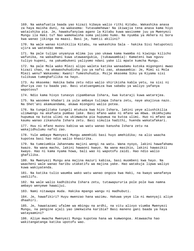169. Na wakafuatia baada yao kizazi kibaya walio rithi Kitabu. Wakashika anasa za haya maisha duni, na wakasema: Tutasamehewa! Na ikiwajia tena anasa kama hiyo wataishika pia. Je, hawakufanyiwa agano la Kitabu kuwa wasiseme juu ya Mwenyezi Mungu ila Haki tu? Nao wamekwisha soma yaliomo humo. Na nyumba ya Akhera ni bora kwa wanao jikinga na maasi. Basi je, hamtii akilini?

170. Na wale wanao kishikilia Kitabu, na wakashika Sala - hakika Sisi hatupotezi ujira wa watendao mema.

171. Na pale tulipo unyanyua mlima juu yao ukawa kama kwamba ni kiwingu kilicho wafunika, na wakadhani kuwa utawaangukia, (tukawaambia): Kamateni kwa nguvu tuliyo kupeni, na yakumbukeni yaliyomo ndani yake ili mpate kumcha Mungu.

172. Na pale Mola wako Mlezi alipo waleta katika wanaadamu kutoka migongoni mwao kizazi chao, na akawashuhudisha juu ya nafsi zao, akawaambia: Je, Mimi si Mola Mlezi wenu? Wakasema: Kwani! Tumeshuhudia. Msije mkasema Siku ya Kiyama sisi tulikuwa tumeghafilika na hayo.

173. Au mkasema: Hakika baba zetu ndio walio shirikisha kabla yetu, na sisi ni dhuriya zao tu baada yao. Basi utatuangamiza kwa sababu ya waliyo yafanya wapotovu?

174. Ndio kama hivyo tunavyo zipambanua Ishara, kwa kutaraji kuwa watarejea.

175. Na wasomee khabari za yule ambaye tulimpa Ishara zetu, naye akajivua nazo. Na Shet'ani akamuandama, akawa miongoni walio potea.

176. Na tungelitaka tungeli mtukuza kwa hizo Ishara, lakini yeye aliushikilia ulimwengu na akafuata pumbao lake. Basi mfano wake ni mfano wa mbwa. Ukimhujumu hupumua na kutoa ulimi na ukimwacha pia hupumua na kutoa ulimi. Huo ni mfano wa kaumu wanao zikanusha Ishara zetu. Basi simulia hadithi, huenda wakatafakari.

177. Huu ni mfano muovu kabisa wa watu wanao kanusha Ishara zetu na wakajidhulumu nafsi zao.

178. Yule ambaye Mwenyezi Mungu amemhidi basi huyo amehidika; na alio waacha kupotea basi hao ndio walio khasirika.

179. Na tumeiumbia Jahannamu majini wengi na watu. Wana nyoyo, lakini hawafahamu kwazo. Na wana macho, lakini hawaoni kwayo. Na wana masikio, lakini hawasikii kwayo. Hao ni kama nyama howa, bali wao ni wapotofu zaidi. Hao ndio walio ghafilika.

180. Na Mwenyezi Mungu ana majina mazuri kabisa, basi muombeni kwa hayo. Na waacheni wale wanao haribu utakatifu wa majina yake. Hao watakuja lipwa waliyo kuwa wakiyatenda.

181. Na katika tulio waumba wako watu wanao ongoza kwa Haki, na kwayo wanafanya uadilifu.

182. Na wale walio kadhibisha Ishara zetu, tutawapururia pole pole kwa namna ambayo wenyewe hawaijui.

183. Nami nitawapa muda. Hakika mpango wangu ni madhubuti.

184. Je, hawafikiri? Huyu mwenzao hana wazimu. Hakuwa yeye ila ni mwonyaji aliye dhaahiri.

185. Je, hawatazami ufalme wa mbingu na ardhi, na vitu alivyo viumba Mwenyezi Mungu, na pengine ajali yao imekwisha karibia? Basi maneno gani baada ya haya watayaamini?

186. Aliye mwacha Mwenyezi Mungu kupotea hana wa kumwongoa. Atawaacha hao wakitangatanga katika upotofu wao.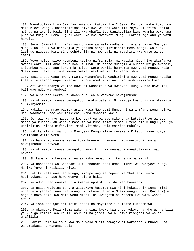187. Wanakuuliza hiyo Saa (ya mwisho) itakuwa lini? Sema: Kuijua kwake kuko kwa Mola Mlezi wangu. Haidhihirishi hiyo kwa wakati wake ila Yeye. Ni nzito katika mbingu na ardhi. Haikujiini ila kwa ghafla tu. Wanakuuliza kama kwamba wewe una pupa ya kuijua. Sema: Ujuzi wake uko kwa Mwenyezi Mungu. Lakini aghlabu ya watu hawajui.

188. Sema: Siimilikii nafsi yangu manufaa wala madhara, ila apendavyo Mwenyezi Mungu. Na lau kuwa ninayajua ya ghaibu ninge jizidishia mema mengi, wala ovu lisinge nigusa. Mimi si chochote ila ni mwonyaji na mbashiri kwa watu wanao amini.

189. Yeye ndiye aliye kuumbeni katika nafsi moja; na katika hiyo hiyo akamfanya mwenzi wake, ili akae naye kwa utulivu. Na anapo muingilia hubeba mzigo mwepesi, akitembea nao. Anapo kuwa mja mzito, wote wawili humwomba Mwenyezi Mungu, Mola Mlezi wao: Kama ukitupa mwana mwema tutakuwa katika wanao shukuru.

190. Basi anapo wapa mwana mwema, wanamfanyia washirikina Mwenyezi Mungu katika kile kile alicho wapa. Mwenyezi Mungu ametukuka na huko kushirikisha kwao.

191. Ati wanawafanya viumbe kuwa ni washirika wa Mwenyezi Mungu, nao hawaumbi, bali wao ndio wanaumbwa?

192. Wala hawana uwezo wa kuwanusuru wala wenyewe hawajinusuru.

193. Na mkiwaita kwenye uwongofu, hawakufuateni. Ni mamoja kwenu ikiwa mtawaita au mkinyamaza.

194. Hakika hao mnao waomba asiye kuwa Mwenyezi Mungu ni waja mfano wenu nyinyi. Hebu waombeni, nao wakuitikieni, kama mnasema kweli.

195. Je, wao wanayo miguu ya kwendea? Au wanayo mikono ya kutetea? Au wanayo macho ya kuonea? Au wanayo masikio ya kusikizia? Sema: Iiteni hio miungu yenu ya ushirikina. Kisha nifanyieni mimi vitimbi, wala msinipe muhula.

196. Hakika Mlinzi wangu ni Mwenyezi Mungu aliye teremsha Kitabu. Naye ndiye awalindae walio wema.

197. Na hao mnao waomba asiye kuwa Mwenyezi hawawezi kukunusuruni, wala hawajinusuru wenyewe.

198. Na mkiwaita kwenye uwongofu hawasikii. Na unawaona wanakutazama, nao hawaoni.

199. Shikamana na kusamehe, na amrisha mema, na jitenge na majaahili.

200. Na uchochezi wa Shet'ani ukikuchochea basi omba ulinzi wa Mwenyezi Mungu. Hakika Yeye ni Msikizi, Mjuzi.

201. Hakika wale wamchao Mungu, zinapo wagusa pepesi za Shet'ani, mara huzindukana na hapo huwa wenye kuiona haki.

202. Na ndugu zao wanawavutia kwenye upotofu, kisha wao hawaachi.

203. Na usipo waletea Ishara waitakayo husema: Kwa nini hukuibuni? Sema: mimi ninafuata yanayo funuliwa kwangu kutokana na Mola Mlezi wangu. Hii (Qur'ani) ni hoja zinazo toka kwa Mola wenu Mlezi, na uwongofu na rehema kwa watu wanao amini.

204. Na isomwapo Qur'ani isikilizeni na mnyamaze ili mpate kurehemewa.

205. Na mkumbuke Mola Mlezi wako nafsini kwako kwa unyenyekevu na khofu, na bila ya kupiga kelele kwa kauli, asubuhi na jioni. Wala usiwe miongoni wa walio ghafilika.

206. Hakika wale walioko kwa Mola wako Mlezi hawajivuni wakaacha kumuabdu, na wanamtakasa na wanamsujudia.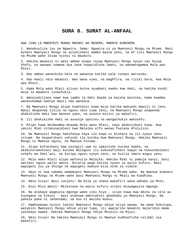### **SURA 8. SURAT AL-ANFAAL**

KWA JINA LA MWENYEZI MUNGU MWINGI WA REHEMA, MWENYE KUREHEMU

1. Wanakuuliza juu ya Ngawira. Sema: Ngawira ni ya Mwenyezi Mungu na Mtume. Basi mcheni Mwenyezi Mungu na suluhisheni mambo baina yenu, na mt'iini Mwenyezi Mungu na Mtume wake ikiwa nyinyi ni Waumini.

2. Hakika Waumini ni wale ambao anapo tajwa Mwenyezi Mungu nyoyo zao hujaa khofu, na wanapo somewa Aya zake huwazidisha Imani, na wakamtegemea Mola wao Mlezi.

3. Hao ambao wanashika Sala na wanatoa katika yale tunayo waruzuku.

4. Hao kweli ndio Waumini. Wao wana vyeo, na maghfira, na riziki bora, kwa Mola wao Mlezi.

5. Kama Mola wako Mlezi alivyo kutoa nyumbani kwako kwa Haki, na hakika kundi moja la Waumini linachukia.

6. Wanajadiliana nawe kwa jambo la Haki baada ya kwisha bainika, kama kwamba wanasukumwa kwenye mauti nao wanaona.

7. Na Mwenyezi Mungu alipo kuahidini kuwa moja katika makundi mawili ni lenu. Nanyi mkapenda lisilo na nguvu ndio liwe lenu; na Mwenyezi Mungu anapenda ahakikishe Haki kwa maneno yake, na aikate mizizi ya makafiri.

8. Ili ahakikishe Haki na auvunje upotovu na wangachukia wakosefu.

9. Mlipo kuwa mkimuomba msaada Mola wenu Mlezi, naye akakujibuni kuwa: Kwa yakini Mimi nitakusaidieni kwa Malaika elfu wanao fuatana mfululizo.

10. Na Mwenyezi Mungu hakufanya haya ila kuwa ni bishara na ili nyoyo zenu zituwe. Na haupatikani ushindi ila kutoka kwa Mwenyezi Mungu. Hakika Mwenyezi Mungu ni Mwenye nguvu, na Mwenye hikima.

11. Alipo kufunikeni kwa usingizi uwe ni uaminisho kutoka kwake, na akakuteremshieni maji kutoka mbinguni ili kukusafisheni kwayo na kukuondoleeni uchafu wa Shet'ani, na kuzipa nguvu nyoyo zenu, na kuitia imara miguu yenu.

12. Mola wako Mlezi alipo wafunulia Malaika: Hakika Mimi ni pamoja nanyi, basi watieni nguvu walio amini. Nitatia woga katika nyoyo za walio kufuru. Basi wapigeni juu ya shingo na wapigeni kwenye kila ncha za vidole.

13. Hayo ni kwa sababu wamemuasi Mwenyezi Mungu na Mtume wake. Na mwenye kumuasi Mwenyezi Mungu na Mtume wake basi Mwenyezi Mungu ni Mkali wa kuadhibu.

14. Ndio hivyo! Basi ionjeni! Na bila ya shaka makafiri wana adhabu ya Moto.

15. Enyi Mlio amini! Mkikutana na walio kufuru vitani msiwageuzie mgongo.

16. Na atakaye wageuzia mgongo wake siku hiyo - isipo kuwa kwa mbinu za vita au kuungana na kikosi - basi atakuwa amestahiki ghadhabu ya Mwenyezi Mungu. Na pahala pake ni Jahannamu, na huo ni mwisho muovu.

17. Hamkuwauwa nyinyi lakini Mwenyezi Mungu ndiye aliye wauwa. Na wewe hukutupa, walakini Mwenyezi Mungu ndiye aliye tupa, ili awajaribu Waumini majaribio mema yatokayo kwake. Hakika Mwenyezi Mungu ndiye Msikizi na Mjuzi.

18. Ndio hivyo! Na hakika Mwenyezi Mungu ni Mwenye kudhoofisha vitimbi vya makafiri.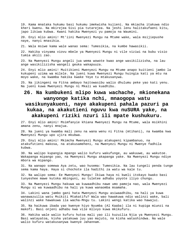19. Kama mnataka hukumu basi hukumu imekwisha kujieni. Na mkiacha itakuwa ndio kheri kwenu. Na mkirejea Sisi pia tutarejea. Na jeshi lenu halitakufaeni kitu, japo likiwa kubwa. Kwani hakika Mwenyezi yu pamoja na Waumini.

20. Enyi mlio amini! Mt'iini Mwenyezi Mungu na Mtume wake, wala msijiepushe naye, nanyi mnasikia.

21. Wala msiwe kama wale wanao sema: Tumesikia, na kumbe hawasikii.

22. Hakika vinyama viovu mbele ya Mwenyezi Mungu ni vile viziwi na bubu visio tumia akili zao.

23. Na Mwenyezi Mungu angeli jua wema wowote kwao ange wasikilizisha, na lau ange wasikilizisha wangeli geuka wakapuuza.

24. Enyi mlio amini! Muitikieni Mwenyezi Mungu na Mtume anapo kuitieni jambo la kukupeni uzima wa milele. Na jueni kuwa Mwenyezi Mungu huingia kati ya mtu na moyo wake, na kwamba hakika kwake Yeye tu mtakusanywa.

25. Na jikingeni na Fitna ambayo haitowasibu walio dhulumu peke yao kati yenu. Na jueni kuwa Mwenyezi Mungu ni Mkali wa kuadhibu.

# **26. Na kumbukeni mlipo kuwa wachache, mkionekana wanyonge katika nchi, mnaogopa watu wasikunyakueni, naye akakupeni pahala pazuri pa kukaa, na akakutieni nguvu kwa nuSURA yake, na akakupeni riziki nzuri ili mpate kushukuru.**

27. Enyi mlio amini! Msimfanyie khiana Mwenyezi Mungu na Mtume, wala msikhini amana zenu, nanyi mnajua.

28. Na jueni ya kwamba mali zenu na wana wenu ni Fitna (mtihani), na kwamba kwa Mwenyezi Mungu upo ujira mkubwa.

29. Enyi mlio amini! Mkimcha Mwenyezi Mungu atakupeni kipambanuo, na atakufutieni makosa, na atakusameheni, na Mwenyezi Mungu ni Mwenye fadhila kubwa.

30. Na walipo kupangia mpango walio kufuru wakufunge, au wakuuwe, au wakutoe. Wakapanga mipango yao, na Mwenyezi Mungu akapanga yake. Na Mwenyezi Mungu ndiye mbora wa mipango.

31. Na wanapo somewa Aya zetu, wao husema: Tumesikia. Na lau tungeli penda tunge sema kama haya. Haya si chochote ila hadithi za watu wa kale tu.

32. Na walipo sema: Ee Mwenyezi Mungu! Ikiwa haya ni kweli itokayo kwako basi tunyeshee mawe kutoka mbinguni, au tuletee adhabu yoyote iliyo chungu.

33. Na Mwenyezi Mungu hakuwa wa kuwaadhibu nawe umo pamoja nao, wala Mwenyezi Mungu si wa kuwaadhibu na hali ya kuwa wanaomba msamaha.

34. Lakini wana jambo gani hata Mwenyezi Mungu asiwaadhibu, na hali ya kuwa wanawazuilia watu Msikiti Mtakatifu? Wala wao hawakuwa ndio walinzi wake, bali walinzi wake hawakuwa ila wacha-Mngu tu. Lakini wengi katika wao hawajui.

35. Na haikuwa ibada yao kwenye hiyo Nyumba (Al Kaaba) ila ni kupiga miunzi na makofi. Basi onjeni adhabu kwa vile mlivyo kuwa mkikufuru.

36. Hakika wale walio kufuru hutoa mali yao ili kuzuilia Njia ya Mwenyezi Mungu. Basi watayatoa, kisha yatakuwa juu yao majuto, na kisha watashindwa. Na wale walio kufuru watakusanywa kwenye Jahannam.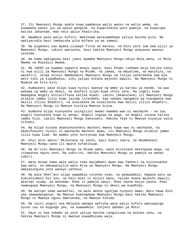37. Ili Mwenyezi Mungu apate kuwa pambanua walio waovu na walio wema, na kuwaweka waovu juu ya waovu wengine, na kuwarundika wote pamoja, na kuwatupa katika Jahannam. Hao ndio walio khasirika.

38. Waambie wale walio kufuru: Wakikoma watasamehewa yaliyo kwisha pita. Na wakiyarudia basi imekwisha pita mifano ya wa zamani.

39. Na piganeni nao mpaka isiwepo fitna na mateso, na Dini yote iwe kwa ajili ya Mwenyezi Mungu. Lakini wakiacha, basi hakika Mwenyezi Mungu anayaona wanayo yatenda.

40. Na kama wakigeuka basi jueni kwamba Mwenyezi Mungu ndiye Mola wenu, ni Mola Mwema na Msaidizi Mwema.

41. NA JUENI ya kwamba ngawira mnayo ipata, basi khums (sehemu moja katika tano) ni kwa ajili ya Mwenyezi Mungu na Mtume, na jamaa, na mayatima, na masikini, na wasafiri, ikiwa nyinyi mmemuamini Mwenyezi Mungu na tuliyo yateremsha kwa mja wetu siku ya kipambanuo, siku yalipo kutana majeshi mawili. Na Mwenyezi Mungu ni Muweza wa kila kitu.

42. Kumbukeni pale mlipo kuwa nyinyi kwenye ng'ambo ya karibu ya bonde, na wao wakawa ng'ambo ya mbali, na msafara ulipo kuwa chini yenu. Na ingeli kuwa mmeagana mngeli khitalifiana katika miadi. Lakini (mkakutana) ili Mwenyezi Mungu atimize jambo lilio kuwa lazima litendeke, kwa sababu aangamie wa kuangamia kwa dalili zilizo dhaahiri, na asalimike wa kusalimika kwa dalili zilizo dhaahiri. Na Mwenyezi Mungu ni Mwenye kusikia Mwenye kujua.

43. Kumbuka alipo kuonyesha usingizini mwako kwamba wao ni wachache - na lau angeli kuonyesha kuwa ni wengi, mngeli ingiwa na woga, na mngeli zozana katika jambo hilo. Lakini Mwenyezi Mungu kakuvueni. Hakika Yeye ni Mwenye kuyajua yalio vifuani.

44. Na mlipo kutana akakuonyesheni machoni mwenu kuwa wao ni wachache, na akakufanyeni nyinyi ni wachache machoni mwao, ili Mwenyezi Mungu atimize jambo lilio kuwa liwe. Na mambo yote hurejezwa kwa Mwenyezi Mungu.

45. Enyi mlio amini! Mkikutana na jeshi, basi kueni imara, na mkumbukeni Mwenyezi Mungu sana ili mpate kufanikiwa.

46. Na mt'iini Mwenyezi Mungu na Mtume wake, wala msizozane mkaingiwa woga, na zikapotea nguvu zenu. Na subirini. Hakika Mwenyezi Mungu yu pamoja na wanao subiri.

47. Wala msiwe kama wale walio toka majumbani mwao kwa fakhari na kujionyesha kwa watu, na wakawazuilia watu Njia ya Mwenyezi Mungu. Na Mwenyezi Mungu ameyazunguka yote wanayo yafanya.

48. Na pale Shet'ani alipo wapambia vitendo vyao, na akawaambia: Hapana watu wa kukushindeni hii leo, na hali mimi ni mlinzi wenu. Yalipo onana majeshi mawili, akarudi nyuma, na akasema: Mimi si pamoja nanyi. Mimi naona msiyo yaona. Mimi namwogopa Mwenyezi Mungu, na Mwenyezi Mungu ni mkali wa kuadhibu.

49. Na walipo sema wanaafiki, na wale wenye ugonjwa nyoyoni mwao: Watu hawa dini yao imewadanganya. Na Mwenye kumtegemea Mwenyezi Mungu basi hakika Mwenyezi Mungu ni Mwenye nguvu Ametukuka, na Mwenye hikima.

50. Na laiti ungeli ona Malaika wanapo wafisha wale walio kufuru wakiwapiga nyuso zao na migongo yao, na kuwaambia: Ionjeni adhabu ya Moto!

51. Hayo ni kwa sababu ya yale yaliyo kwisha tangulizwa na mikono yenu, na hakika Mwenyezi Mungu si mwenye kuwadhulumu waja.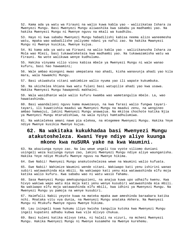52. Kama ada ya watu wa Firauni na walio kuwa kabla yao - walizikataa Ishara za Mwenyezi Mungu. Basi Mwenyezi Mungu aliwashika kwa sababu ya madhambi yao. Na hakika Mwenyezi Mungu ni Mwenye nguvu na mkali wa kuadhibu.

53. Hayo ni kwa sababu Mwenyezi Mungu habadilishi kabisa neema alizo waneemesha watu, mpaka wao wabadilishe yaliyomo ndani ya nafsi zao. Na hakika Mwwnyezi Mungu ni Mwenye kusikia, Mwenye kujua.

54. Ni kama ada ya watu wa Firauni na walio kabla yao - walizikanusha Ishara za Mola wao Mlezi, basi tukawateketeza kwa madhambi yao. Na tukawazamisha watu wa Firauni. Na wote walikuwa wenye kudhulumu.

55. Hakika vinyama vilio viovu kabisa mbele ya Mwenyezi Mungu ni wale wanao kufuru, basi hao hawaamini;

56. Wale ambao miongoni mwao umepatana nao ahadi, kisha wanavunja ahadi yao kila mara, wala hawamchi Mungu.

57. Basi ukiwakuta vitani wakimbize walio nyuma yao ili wapate kukumbuka.

58. Na ukichelea khiana kwa watu fulani basi watupilie ahadi yao kwa usawa. Hakika Mwenyezi Mungu hawapendi makhaini.

59. Wala wasidhanie wale walio kufuru kwamba wao wametangulia mbele. La, wao hawatashinda.

60. Basi waandalieni nguvu kama muwezavyo, na kwa farasi walio fungwa tayaritayari, ili kuwatishia maadui wa Mwenyezi Mungu na maadui zenu, na wengineo ambao hamwajui, lakini Mwenyezi Mungu anawajua. Na mkitoa chochote katika Njia ya Mwenyezi Mungu mtarudishiwa, na wala nyinyi hamtadhulumiwa.

61. Na wakielekea amani nawe pia elekea, na mtegemee Mwenyezi Mungu. Hakika Yeye ndiye Mwenye kusikia Mwenye kujua.

# **62. Na wakitaka kukukhadaa basi Mwenyezi Mungu atakutosheleza. Kwani Yeye ndiye aliye kuunga mkono kwa nuSURA yake na kwa Waumini.**

63. Na akaziunga nyoyo zao. Na lau wewe ungeli toa vyote viliomo duniani usingeli weza kuziunga nyoyo zao, lakini Mwenyezi Mungu ndiye aliye waunganisha. Hakika Yeye ndiye Mtukufu Mwenye nguvu na Mwenye hikima.

64. Ewe Nabii! Mwenyezi Mungu anakutoshelezea wewe na Waumini walio kufuata.

65. Ewe Nabii! Wahimize Waumini wende vitani. Wakiwapo kati yenu ishirini wanao subiri watawashinda mia mbili. Na wakiwapo kati yenu mia watawashinda elfu moja katika walio kufuru. Kwa sababu wao ni watu wasio fahamu.

66. Sasa Mwenyezi Mungu amekupunguzieni, na anajua kuwa upo udhaifu kwenu. Kwa hivyo wakiwa wapo watu mia moja kati yenu wenye kusubiri watawashinda mia mbili. Na wakiwapo elfu moja watawashinda elfu mbili, kwa idhini ya Mwenyezi Mungu. Na Mwenyezi Mungu yu pamoja na wenye kusubiri.

67. Haimfalii Nabii yeyote kuwa na mateka mpaka awe ameshinda baraabara katika nchi. Mnataka vitu vya dunia, na Mwenyezi Mungu anataka Akhera. Na Mwenyezi Mungu ni Mtukufu Mwenye nguvu Mwenye hikima.

68. Lau isingeli kuwa hukumu iliyo kwisha tangulia kutoka kwa Mwenyezi Mungu ingeli kupateni adhabu kubwa kwa vile mlivyo chukua.

69. Basi kuleni katika mlivyo teka, ni halali na vizuri, na mcheni Mwenyezi Mungu. Hakika Mwenyezi Mungu ni Mwenye kusamehe na Mwenye kurehemu.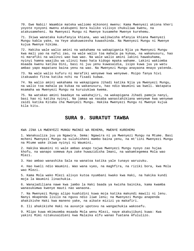70. Ewe Nabii! Waambie mateka waliomo mikononi mwenu: Kama Mwenyezi akiona kheri yoyote nyoyoni mwenu atakupeni bora kuliko vilivyo chukuliwa kwenu, na atakusameheni. Na Mwenyezi Mungu ni Mwenye kusamehe Mwenye kurehemu.

71. Ikiwa wanataka kukufanyia khiana, wao walikwisha mfanyia khiana Mwenyezi Mungu kabla yake, na Yeye akakuwezesha kuwashinda. Na Mwenyezi Mungu ni Mwenye kujua Mwenye hikima.

72. Hakika wale walio amini na wakahama na wakapigania Njia ya Mwenyezi Mungu kwa mali yao na nafsi zao, na wale walio toa mahala pa kukaa, na wakanusuru, hao ni marafiki na walinzi wao kwa wao. Na wale walio amini lakini hawakuhama, nyinyi hamna waajibu wa ulinzi kwao hata kidogo mpaka wahame. Lakini wakiomba msaada kwenu katika Dini, basi ni juu yenu kuwasaidia, isipo kuwa juu ya watu ambao yapo mapatano baina yenu na wao. Na Mwenyezi Mungu anayaona mnayo yatenda.

73. Na wale walio kufuru ni marafiki wenyewe kwa wenyewe. Msipo fanya hivi itakuwako fitna katika nchi na fisadi kubwa.

74. Na walio amini wakahama na wakapigana Jihadi katika Njia ya Mwenyezi Mungu, na walio toa mahala pa kukaa na wakanusuru, hao ndio Waumini wa kweli. Watapata msamaha wa Mwenyezi Mungu na kuruzukiwa kwema.

75. Na watakao amini baadaye na wakahajiri, na wakapigana Jihadi pamoja nanyi, basi hao ni katika nyinyi. Na jamaa wa nasaba wanastahikiana wenyewe kwa wenyewe zaidi katika Kitabu cha Mwenyezi Mungu. Hakika Mwenyezi Mungu ni Mwenye kujua kila kitu.

### **SURA 9. SURATUT TAWBA**

KWA JINA LA MWENYEZI MUNGU MWINGI WA REHEMA, MWENYE KUREHEMU

1. Wanakuuliza juu ya Ngawira. Sema: Ngawira ni ya Mwenyezi Mungu na Mtume. Basi mcheni Mwenyezi Mungu na suluhisheni mambo baina yenu, na mt'iini Mwenyezi Mungu na Mtume wake ikiwa nyinyi ni Waumini.

2. Hakika Waumini ni wale ambao anapo tajwa Mwenyezi Mungu nyoyo zao hujaa khofu, na wanapo somewa Aya zake huwazidisha Imani, na wakamtegemea Mola wao Mlezi.

3. Hao ambao wanashika Sala na wanatoa katika yale tunayo waruzuku.

4. Hao kweli ndio Waumini. Wao wana vyeo, na maghfira, na riziki bora, kwa Mola wao Mlezi.

5. Kama Mola wako Mlezi alivyo kutoa nyumbani kwako kwa Haki, na hakika kundi moja la Waumini linachukia.

6. Wanajadiliana nawe kwa jambo la Haki baada ya kwisha bainika, kama kwamba wanasukumwa kwenye mauti nao wanaona.

7. Na Mwenyezi Mungu alipo kuahidini kuwa moja katika makundi mawili ni lenu. Nanyi mkapenda lisilo na nguvu ndio liwe lenu; na Mwenyezi Mungu anapenda ahakikishe Haki kwa maneno yake, na aikate mizizi ya makafiri.

8. Ili ahakikishe Haki na auvunje upotovu na wangachukia wakosefu.

9. Mlipo kuwa mkimuomba msaada Mola wenu Mlezi, naye akakujibuni kuwa: Kwa yakini Mimi nitakusaidieni kwa Malaika elfu wanao fuatana mfululizo.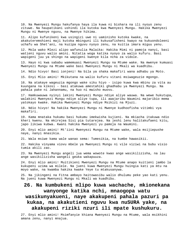10. Na Mwenyezi Mungu hakufanya haya ila kuwa ni bishara na ili nyoyo zenu zituwe. Na haupatikani ushindi ila kutoka kwa Mwenyezi Mungu. Hakika Mwenyezi Mungu ni Mwenye nguvu, na Mwenye hikima.

11. Alipo kufunikeni kwa usingizi uwe ni uaminisho kutoka kwake, na akakuteremshieni maji kutoka mbinguni ili kukusafisheni kwayo na kukuondoleeni uchafu wa Shet'ani, na kuzipa nguvu nyoyo zenu, na kuitia imara miguu yenu.

12. Mola wako Mlezi alipo wafunulia Malaika: Hakika Mimi ni pamoja nanyi, basi watieni nguvu walio amini. Nitatia woga katika nyoyo za walio kufuru. Basi wapigeni juu ya shingo na wapigeni kwenye kila ncha za vidole.

13. Hayo ni kwa sababu wamemuasi Mwenyezi Mungu na Mtume wake. Na mwenye kumuasi Mwenyezi Mungu na Mtume wake basi Mwenyezi Mungu ni Mkali wa kuadhibu.

14. Ndio hivyo! Basi ionjeni! Na bila ya shaka makafiri wana adhabu ya Moto.

15. Enyi Mlio amini! Mkikutana na walio kufuru vitani msiwageuzie mgongo.

16. Na atakaye wageuzia mgongo wake siku hiyo - isipo kuwa kwa mbinu za vita au kuungana na kikosi - basi atakuwa amestahiki ghadhabu ya Mwenyezi Mungu. Na pahala pake ni Jahannamu, na huo ni mwisho muovu.

17. Hamkuwauwa nyinyi lakini Mwenyezi Mungu ndiye aliye wauwa. Na wewe hukutupa, walakini Mwenyezi Mungu ndiye aliye tupa, ili awajaribu Waumini majaribio mema yatokayo kwake. Hakika Mwenyezi Mungu ndiye Msikizi na Mjuzi.

18. Ndio hivyo! Na hakika Mwenyezi Mungu ni Mwenye kudhoofisha vitimbi vya makafiri.

19. Kama mnataka hukumu basi hukumu imekwisha kujieni. Na mkiacha itakuwa ndio kheri kwenu. Na mkirejea Sisi pia tutarejea. Na jeshi lenu halitakufaeni kitu, japo likiwa kubwa. Kwani hakika Mwenyezi yu pamoja na Waumini.

20. Enyi mlio amini! Mt'iini Mwenyezi Mungu na Mtume wake, wala msijiepushe naye, nanyi mnasikia.

21. Wala msiwe kama wale wanao sema: Tumesikia, na kumbe hawasikii.

22. Hakika vinyama viovu mbele ya Mwenyezi Mungu ni vile viziwi na bubu visio tumia akili zao.

23. Na Mwenyezi Mungu angeli jua wema wowote kwao ange wasikilizisha, na lau ange wasikilizisha wangeli geuka wakapuuza.

24. Enyi mlio amini! Muitikieni Mwenyezi Mungu na Mtume anapo kuitieni jambo la kukupeni uzima wa milele. Na jueni kuwa Mwenyezi Mungu huingia kati ya mtu na moyo wake, na kwamba hakika kwake Yeye tu mtakusanywa.

25. Na jikingeni na Fitna ambayo haitowasibu walio dhulumu peke yao kati yenu. Na jueni kuwa Mwenyezi Mungu ni Mkali wa kuadhibu.

# **26. Na kumbukeni mlipo kuwa wachache, mkionekana wanyonge katika nchi, mnaogopa watu wasikunyakueni, naye akakupeni pahala pazuri pa kukaa, na akakutieni nguvu kwa nuSURA yake, na akakupeni riziki nzuri ili mpate kushukuru.**

27. Enyi mlio amini! Msimfanyie khiana Mwenyezi Mungu na Mtume, wala msikhini amana zenu, nanyi mnajua.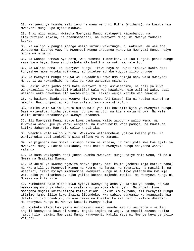28. Na jueni ya kwamba mali zenu na wana wenu ni Fitna (mtihani), na kwamba kwa Mwenyezi Mungu upo ujira mkubwa.

29. Enyi mlio amini! Mkimcha Mwenyezi Mungu atakupeni kipambanuo, na atakufutieni makosa, na atakusameheni, na Mwenyezi Mungu ni Mwenye fadhila kubwa.

30. Na walipo kupangia mpango walio kufuru wakufunge, au wakuuwe, au wakutoe. Wakapanga mipango yao, na Mwenyezi Mungu akapanga yake. Na Mwenyezi Mungu ndiye mbora wa mipango.

31. Na wanapo somewa Aya zetu, wao husema: Tumesikia. Na lau tungeli penda tunge sema kama haya. Haya si chochote ila hadithi za watu wa kale tu.

32. Na walipo sema: Ee Mwenyezi Mungu! Ikiwa haya ni kweli itokayo kwako basi tunyeshee mawe kutoka mbinguni, au tuletee adhabu yoyote iliyo chungu.

33. Na Mwenyezi Mungu hakuwa wa kuwaadhibu nawe umo pamoja nao, wala Mwenyezi Mungu si wa kuwaadhibu na hali ya kuwa wanaomba msamaha.

34. Lakini wana jambo gani hata Mwenyezi Mungu asiwaadhibu, na hali ya kuwa wanawazuilia watu Msikiti Mtakatifu? Wala wao hawakuwa ndio walinzi wake, bali walinzi wake hawakuwa ila wacha-Mngu tu. Lakini wengi katika wao hawajui.

35. Na haikuwa ibada yao kwenye hiyo Nyumba (Al Kaaba) ila ni kupiga miunzi na makofi. Basi onjeni adhabu kwa vile mlivyo kuwa mkikufuru.

36. Hakika wale walio kufuru hutoa mali yao ili kuzuilia Njia ya Mwenyezi Mungu. Basi watayatoa, kisha yatakuwa juu yao majuto, na kisha watashindwa. Na wale walio kufuru watakusanywa kwenye Jahannam.

37. Ili Mwenyezi Mungu apate kuwa pambanua walio waovu na walio wema, na kuwaweka waovu juu ya waovu wengine, na kuwarundika wote pamoja, na kuwatupa katika Jahannam. Hao ndio walio khasirika.

38. Waambie wale walio kufuru: Wakikoma watasamehewa yaliyo kwisha pita. Na wakiyarudia basi imekwisha pita mifano ya wa zamani.

39. Na piganeni nao mpaka isiwepo fitna na mateso, na Dini yote iwe kwa ajili ya Mwenyezi Mungu. Lakini wakiacha, basi hakika Mwenyezi Mungu anayaona wanayo yatenda.

40. Na kama wakigeuka basi jueni kwamba Mwenyezi Mungu ndiye Mola wenu, ni Mola Mwema na Msaidizi Mwema.

41. NA JUENI ya kwamba ngawira mnayo ipata, basi khums (sehemu moja katika tano) ni kwa ajili ya Mwenyezi Mungu na Mtume, na jamaa, na mayatima, na masikini, na wasafiri, ikiwa nyinyi mmemuamini Mwenyezi Mungu na tuliyo yateremsha kwa mja wetu siku ya kipambanuo, siku yalipo kutana majeshi mawili. Na Mwenyezi Mungu ni Muweza wa kila kitu.

42. Kumbukeni pale mlipo kuwa nyinyi kwenye ng'ambo ya karibu ya bonde, na wao wakawa ng'ambo ya mbali, na msafara ulipo kuwa chini yenu. Na ingeli kuwa mmeagana mngeli khitalifiana katika miadi. Lakini (mkakutana) ili Mwenyezi Mungu atimize jambo lilio kuwa lazima litendeke, kwa sababu aangamie wa kuangamia kwa dalili zilizo dhaahiri, na asalimike wa kusalimika kwa dalili zilizo dhaahiri. Na Mwenyezi Mungu ni Mwenye kusikia Mwenye kujua.

43. Kumbuka alipo kuonyesha usingizini mwako kwamba wao ni wachache - na lau angeli kuonyesha kuwa ni wengi, mngeli ingiwa na woga, na mngeli zozana katika jambo hilo. Lakini Mwenyezi Mungu kakuvueni. Hakika Yeye ni Mwenye kuyajua yalio vifuani.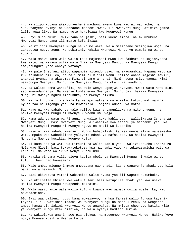44. Na mlipo kutana akakuonyesheni machoni mwenu kuwa wao ni wachache, na akakufanyeni nyinyi ni wachache machoni mwao, ili Mwenyezi Mungu atimize jambo lilio kuwa liwe. Na mambo yote hurejezwa kwa Mwenyezi Mungu.

45. Enyi mlio amini! Mkikutana na jeshi, basi kueni imara, na mkumbukeni Mwenyezi Mungu sana ili mpate kufanikiwa.

46. Na mt'iini Mwenyezi Mungu na Mtume wake, wala msizozane mkaingiwa woga, na zikapotea nguvu zenu. Na subirini. Hakika Mwenyezi Mungu yu pamoja na wanao subiri.

47. Wala msiwe kama wale walio toka majumbani mwao kwa fakhari na kujionyesha kwa watu, na wakawazuilia watu Njia ya Mwenyezi Mungu. Na Mwenyezi Mungu ameyazunguka yote wanayo yafanya.

48. Na pale Shet'ani alipo wapambia vitendo vyao, na akawaambia: Hapana watu wa kukushindeni hii leo, na hali mimi ni mlinzi wenu. Yalipo onana majeshi mawili, akarudi nyuma, na akasema: Mimi si pamoja nanyi. Mimi naona msiyo yaona. Mimi namwogopa Mwenyezi Mungu, na Mwenyezi Mungu ni mkali wa kuadhibu.

49. Na walipo sema wanaafiki, na wale wenye ugonjwa nyoyoni mwao: Watu hawa dini yao imewadanganya. Na Mwenye kumtegemea Mwenyezi Mungu basi hakika Mwenyezi Mungu ni Mwenye nguvu Ametukuka, na Mwenye hikima.

50. Na laiti ungeli ona Malaika wanapo wafisha wale walio kufuru wakiwapiga nyuso zao na migongo yao, na kuwaambia: Ionjeni adhabu ya Moto!

51. Hayo ni kwa sababu ya yale yaliyo kwisha tangulizwa na mikono yenu, na hakika Mwenyezi Mungu si mwenye kuwadhulumu waja.

52. Kama ada ya watu wa Firauni na walio kuwa kabla yao - walizikataa Ishara za Mwenyezi Mungu. Basi Mwenyezi Mungu aliwashika kwa sababu ya madhambi yao. Na hakika Mwenyezi Mungu ni Mwenye nguvu na mkali wa kuadhibu.

53. Hayo ni kwa sababu Mwenyezi Mungu habadilishi kabisa neema alizo waneemesha watu, mpaka wao wabadilishe yaliyomo ndani ya nafsi zao. Na hakika Mwwnyezi Mungu ni Mwenye kusikia, Mwenye kujua.

54. Ni kama ada ya watu wa Firauni na walio kabla yao - walizikanusha Ishara za Mola wao Mlezi, basi tukawateketeza kwa madhambi yao. Na tukawazamisha watu wa Firauni. Na wote walikuwa wenye kudhulumu.

55. Hakika vinyama vilio viovu kabisa mbele ya Mwenyezi Mungu ni wale wanao kufuru, basi hao hawaamini;

56. Wale ambao miongoni mwao umepatana nao ahadi, kisha wanavunja ahadi yao kila mara, wala hawamchi Mungu.

57. Basi ukiwakuta vitani wakimbize walio nyuma yao ili wapate kukumbuka.

58. Na ukichelea khiana kwa watu fulani basi watupilie ahadi yao kwa usawa. Hakika Mwenyezi Mungu hawapendi makhaini.

59. Wala wasidhanie wale walio kufuru kwamba wao wametangulia mbele. La, wao hawatashinda.

60. Basi waandalieni nguvu kama muwezavyo, na kwa farasi walio fungwa tayaritayari, ili kuwatishia maadui wa Mwenyezi Mungu na maadui zenu, na wengineo ambao hamwajui, lakini Mwenyezi Mungu anawajua. Na mkitoa chochote katika Njia ya Mwenyezi Mungu mtarudishiwa, na wala nyinyi hamtadhulumiwa.

61. Na wakielekea amani nawe pia elekea, na mtegemee Mwenyezi Mungu. Hakika Yeye ndiye Mwenye kusikia Mwenye kujua.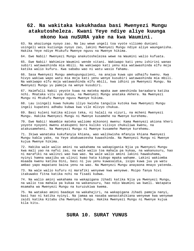## **62. Na wakitaka kukukhadaa basi Mwenyezi Mungu atakutosheleza. Kwani Yeye ndiye aliye kuunga mkono kwa nuSURA yake na kwa Waumini.**

63. Na akaziunga nyoyo zao. Na lau wewe ungeli toa vyote viliomo duniani usingeli weza kuziunga nyoyo zao, lakini Mwenyezi Mungu ndiye aliye waunganisha. Hakika Yeye ndiye Mtukufu Mwenye nguvu na Mwenye hikima.

64. Ewe Nabii! Mwenyezi Mungu anakutoshelezea wewe na Waumini walio kufuata.

65. Ewe Nabii! Wahimize Waumini wende vitani. Wakiwapo kati yenu ishirini wanao subiri watawashinda mia mbili. Na wakiwapo kati yenu mia watawashinda elfu moja katika walio kufuru. Kwa sababu wao ni watu wasio fahamu.

66. Sasa Mwenyezi Mungu amekupunguzieni, na anajua kuwa upo udhaifu kwenu. Kwa hivyo wakiwa wapo watu mia moja kati yenu wenye kusubiri watawashinda mia mbili. Na wakiwapo elfu moja watawashinda elfu mbili, kwa idhini ya Mwenyezi Mungu. Na Mwenyezi Mungu yu pamoja na wenye kusubiri.

67. Haimfalii Nabii yeyote kuwa na mateka mpaka awe ameshinda baraabara katika nchi. Mnataka vitu vya dunia, na Mwenyezi Mungu anataka Akhera. Na Mwenyezi Mungu ni Mtukufu Mwenye nguvu Mwenye hikima.

68. Lau isingeli kuwa hukumu iliyo kwisha tangulia kutoka kwa Mwenyezi Mungu ingeli kupateni adhabu kubwa kwa vile mlivyo chukua.

69. Basi kuleni katika mlivyo teka, ni halali na vizuri, na mcheni Mwenyezi Mungu. Hakika Mwenyezi Mungu ni Mwenye kusamehe na Mwenye kurehemu.

70. Ewe Nabii! Waambie mateka waliomo mikononi mwenu: Kama Mwenyezi akiona kheri yoyote nyoyoni mwenu atakupeni bora kuliko vilivyo chukuliwa kwenu, na atakusameheni. Na Mwenyezi Mungu ni Mwenye kusamehe Mwenye kurehemu.

71. Ikiwa wanataka kukufanyia khiana, wao walikwisha mfanyia khiana Mwenyezi Mungu kabla yake, na Yeye akakuwezesha kuwashinda. Na Mwenyezi Mungu ni Mwenye kujua Mwenye hikima.

72. Hakika wale walio amini na wakahama na wakapigania Njia ya Mwenyezi Mungu kwa mali yao na nafsi zao, na wale walio toa mahala pa kukaa, na wakanusuru, hao ni marafiki na walinzi wao kwa wao. Na wale walio amini lakini hawakuhama, nyinyi hamna waajibu wa ulinzi kwao hata kidogo mpaka wahame. Lakini wakiomba msaada kwenu katika Dini, basi ni juu yenu kuwasaidia, isipo kuwa juu ya watu ambao yapo mapatano baina yenu na wao. Na Mwenyezi Mungu anayaona mnayo yatenda.

73. Na wale walio kufuru ni marafiki wenyewe kwa wenyewe. Msipo fanya hivi itakuwako fitna katika nchi na fisadi kubwa.

74. Na walio amini wakahama na wakapigana Jihadi katika Njia ya Mwenyezi Mungu, na walio toa mahala pa kukaa na wakanusuru, hao ndio Waumini wa kweli. Watapata msamaha wa Mwenyezi Mungu na kuruzukiwa kwema.

75. Na watakao amini baadaye na wakahajiri, na wakapigana Jihadi pamoja nanyi, basi hao ni katika nyinyi. Na jamaa wa nasaba wanastahikiana wenyewe kwa wenyewe zaidi katika Kitabu cha Mwenyezi Mungu. Hakika Mwenyezi Mungu ni Mwenye kujua kila kitu.

### **SURA 10. SURAT YUNUS**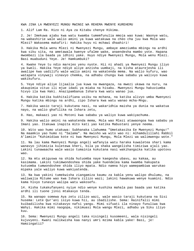KWA JINA LA MWENYEZI MUNGU MWINGI WA REHEMA MWENYE KUREHEMU

1. Alif Lam Ra. Hizo ni Aya za Kitabu chenye Hikima.

2. Je! Imekuwa ajabu kwa watu kwamba tumemfunulia mmoja wao kuwa: Waonye watu, na wabashirie wale walio amini ya kuwa watakuwa na cheo cha juu kwa Mola wao Mlezi? Wakasema makafiri: Hakika huyu ni mchawi dhaahiri!

3. Hakika Mola wenu Mlezi ni Mwenyezi Mungu, ambaye ameziumba mbingu na ardhi kwa siku sita, na ametawala kwenye ufalme wake, anaendesha mambo yote. Hapana mwombezi ila baada ya idhini yake. Huyo ndiye Mwenyezi Mungu, Mola wenu Mlezi. Basi muabuduni Yeye. Je! Hamkumbuki?

4. Kwake Yeye tu ndio marejeo yenu nyote. Hii ni ahadi ya Mwenyezi Mungu iliyo ya kweli. Hakika Yeye ndiye aliye anzisha uumbaji, na kisha ataurejesha ili awalipe kwa uadilifu wale walio amini na wakatenda mema. Na walio kufuru, wao watapata vinywaji vinavyo chemka, na adhabu chungu kwa sababu ya walivyo kuwa wakikufuru.

5. Yeye ndiye aliye lijaalia jua kuwa na mwangaza, na mwezi ukawa na nuru, na akaupimia vituo ili mjue idadi ya miaka na hisabu. Mwenyezi Mungu hakuviumba hivyo ila kwa Haki. Anazipambanua Ishara kwa watu wanao jua.

6. Hakika katika kukhitalifiana usiku na mchana, na katika alivyo umba Mwenyezi Mungu katika mbingu na ardhi, zipo Ishara kwa watu wanao mcha-Mngu.

7. Hakika wasio taraji kukutana nasi, na wakaridhia maisha ya dunia na wakatua nayo, na walio ghafilika na Ishara zetu,

8. Hao, makaazi yao ni Motoni kwa sababu ya waliyo kuwa wakiyachuma.

9. Hakika walio amini na wakatenda mema, Mola wao Mlezi atawaongoa kwa sababu ya Imani yao. Itakuwa inapita mito kati yao katika Mabustani yenye neema.

10. Wito wao humo utakuwa: Subhanaka Llahumma "Umetakasika Ee Mwenyezi Mungu!" Na maamkio yao humo ni "Salama". Na mwisho wa wito wao ni: Alhamdulillahi Rabbil A'lamiin "Kuhimidiwa kote ni kwa Mwenyezi Mungu, Mola Mlezi wa walimwengu wote."

11. Na lau kama Mwenyezi Mungu angeli wafanyia watu haraka kuwaletea shari kama wanavyo jihimizia kuletewa kheri, bila ya shaka wangelisha timiziwa ajali yao. Lakini tunawaacha wale wasio tumainia kukutana nasi wakihangaika katika upotovu wao.

12. Na mtu akiguswa na shida hutuomba naye kaegesha ubavu, au kakaa, au kasimama. Lakini tukimwondoshea shida yake huendelea kama kwamba hakupata kutuomba tumwondoshee shida iliyo mpata. Ndio namna hiyo wamepambiwa warukao mipaka yale waliyo kuwa wakiyatenda.

13. Na kwa yakini tumekwisha ziangamiza kaumu za kabla yenu walipo dhulumu, na waliwajia Mitume wao kwa Ishara zilizo wazi; lakini hawakuwa wenye kuamini. Ndio kama hivyo tunavyo walipa watu wakosefu.

14. Kisha tukakufanyeni nyiye ndio wenye kushika mahala pao baada yao katika ardhi ili tuone jinsi mtakavyo tenda.

15. Na wanapo somewa Aya zetu zilizo wazi, wale wasio taraji kukutana na Sisi husema: Lete Qur'ani isiyo kuwa hii, au ibadilishe. Sema: Hainifalii mimi kuibadilisha kwa nitakavyo nafsi yangu. Mimi sifuati ila ninayo funuliwa kwa Wahyi. Hakika mimi naogopa, nikimuasi Mola wangu Mlezi, adhabu ya Siku iliyo kuu.

16. Sema: Mwenyezi Mungu angeli taka nisingeli kusomeeni, wala nisingeli kujuvyeni. Kwani nalikwisha kaa nanyi umri mzima kabla yake! Basi, je! Hamzingatii?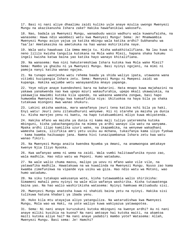17. Basi ni nani aliye dhaalimu zaidi kuliko yule anaye mzulia uwongo Mwenyezi Mungu na akazikanusha Ishara zake? Hakika hawafanikiwi wakosefu.

18. Nao, badala ya Mwenyezi Mungu, wanaabudu wasio wadhuru wala kuwanufaisha, na wanasema: Hawa ndio waombezi wetu kwa Mwenyezi Mungu! Sema: Je! Mnamwambia Mwenyezi Mungu asiyo yajua ya katika mbingu wala katika ardhi? Subhanahu wa Taa'la! Ametakasika na ametukuka na hao wanao mshirikisha naye.

19. Wala watu hawakuwa ila Umma mmoja tu. Kisha wakakhitalifiana. Na lau kuwa si neno lililo kwisha tangulia kutokana na Mola wako Mlezi, hapana shaka hukumu ingeli kwisha katwa baina yao katika hayo wanayo khitalifiana.

20. Na wanasema: Kwa nini hakuteremshiwa Ishara kutoka kwa Mola wake Mlezi? Sema: Mambo ya ghaibu ni ya Mwenyezi Mungu. Basi nyinyi ngojeni, na mimi ni pamoja nanyi katika wanao ngojea.

21. Na tunapo waonjesha watu rehema baada ya shida waliyo ipata, utawaona wana vitimbi kuzipangia Ishara zetu. Sema: Mwenyezi Mungu ni Mwepesi zaidi wa kupanga. Hakika wajumbe wetu wanayaandika mnayo yapanga.

22. Yeye ndiye anaye kuendesheni bara na baharini. Hata mnapo kuwa majahazini na yakawa yanakwenda nao kwa upepo mzuri wakaufurahia, upepo mkali ukawazukia, na yakawajia mawimbi kutoka kila upande, na wakaona wamesha zongwa, basi hapo humwomba Mwenyezi Mungu kwa kumsafishia niya: Ukituokoa na haya bila ya shaka tutakuwa miongoni mwa wanao shukuru.

23. Lakini akisha waokoa, mara wanafanya jeuri tena katika nchi bila ya haki. Enyi watu! Jeuri zenu zitakudhuruni wenyewe. Hii ni starehe ya maisha ya dunia tu. Kisha marejeo yenu ni kwetu, na hapo tutakuambieni mliyo kuwa mkiyatenda.

24. Hakika mfano wa maisha ya dunia ni kama maji tuliyo yateremsha kutoka mbinguni, kisha yakachanganyika na mimea ya ardhi wanayo ila watu na wanyama. Mpaka ardhi ilipo kamilika uzuri wake, na ikapambika, na wenyewe wakadhani wamesha iweza, iliifikia amri yetu usiku au mchana, tukaifanya kama iliyo fyekwa - kama kwamba haikuwapo jana. Namna hivi tunazipambanua Ishara zetu kwa watu wanao fikiri.

25. Na Mwenyezi Mungu anaita kwendea Nyumba ya Amani, na anamwongoa amtakaye kwenye Njia Iliyo Nyooka.

26. Kwa wafanyao wema ni wema na zaidi. Wala vumbi halitawafunika nyuso zao, wala madhila. Hao ndio watu wa Peponi. Humo watadumu.

27. Na wale walio chuma maovu, malipo ya uovu ni mfano wake vile vile, na yatawafika madhila. Hawatakuwa na wa kuwalinda na Mwenyezi Mungu. Nyuso zao kama kwamba zimefunikwa na vipande vya usiku wa giza. Hao ndio watu wa Motoni, wao humo watadumu.

28. Na siku tutakapo wakusanya wote, kisha tutawaambia walio shirikisha: Simameni mahali penu nyinyi na wale mlio wafanya washirika. Kisha tutawatenga baina yao. Na hao walio washirikisha watasema: Nyinyi hamkuwa mkituabudu sisi.

29. Mwenyezi Mungu anatosha kuwa ni shahidi baina yetu na nyinyi. Hakika sisi tulikuwa hatuna khabari ya ibada yenu.

30. Huko kila mtu atayajua aliyo yatanguliza. Na watarudishwa kwa Mwenyezi Mungu, Mola wao wa Haki, na yote waliyo kuwa wakiyazua yatawapotea.

31. Sema: Ni nani anaye kuruzukuni kutoka mbinguni na kwenye ardhi? Au ni nani anaye miliki kusikia na kuona? Na nani amtoaye hai kutoka maiti, na akamtoa maiti kutoka aliye hai? Na nani anaye yadabiri mambo yote? Watasema: Allah, Mwenyezi Mungu. Basi sema: Je! Hamchi?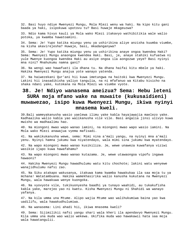32. Basi huyo ndiye Mwenyezi Mungu, Mola Mlezi wenu wa haki. Na kipo kitu gani baada ya haki, isipokuwa upotovu tu? Basi huwaje mkageuzwa?

33. Ndio kama hivyo kauli ya Mola wako Mlezi itakavyo wathibitikia wale walio potoka, ya kwamba hawatoamini.

34. Sema: Je! Yupo katika miungu yenu ya ushirikina aliye anzisha kuumba viumbe, na kisha akavirejesha? Huwaje, basi, mkadanganywa?

35. Sema: Je! Yupo katika miungu yenu ya ushirikina anaye ongoa kwendea Haki? Sema: Mwenyezi Mungu anaongoa kwendea Haki. Basi, je, anaye stahiki kufuatwa ni yule Mwenye kuongoa kwendea Haki au asiye ongoa ila aongozwe yeye? Basi nyinyi mna nini? Mnahukumu namna gani?

36. Na wengi wao hawafuati ila dhana tu. Na dhana haifai kitu mbele ya haki. Hakika Mwenyezi Mungu anajua yote wanayo yatenda.

37. Na haiwezekani Qur'ani hii kuwa imetungwa na haitoki kwa Mwenyezi Mungu. Lakini hii inasadikisha yaliyo tangulia, na ni mfafanuo wa Kitabu kisicho na shaka ndani yake, kutokana na Mola Mlezi wa viumbe vyote.

# **38. Je! Ndiyo wanasema ameizua? Sema: Hebu leteni SURA moja mfano wake na muwaite (kukusaidieni) muwawezao, isipo kuwa Mwenyezi Mungu, ikiwa nyinyi mnasema kweli.**

39.Bali wameyakanusha wasio yaelewa ilimu yake kabla hayajawajia maelezo yake. Kadhaalika walio kabla yao walikanusha vile vile. Basi angalia jinsi ulivyo kuwa mwisho wa madhaalimu hao.

40. Na miongoni mwao wapo wanao iamini, na miongoni mwao wapo wasio iamini. Na Mola wako Mlezi anawajua vyema mafisadi.

41. Na wakikukanusha wewe, sema: Mimi nina a'mali yangu, na nyinyi mna a'mali yenu. Nyinyi hamna jukumu kwa niyatendayo, wala mimi sina jukumu kwa myatendayo.

42. Na wapo miongoni mwao wanao kusikiliza. Je, wewe unaweza kuwafanya viziwi wasikie ijapo kuwa hawafahamu?

43. Na wapo miongoni mwao wanao kutazama. Je, wewe utawaongoa vipofu ingawa hawaoni?

44. Hakika Mwenyezi Mungu hawadhulumu watu kitu chochote; lakini watu wenyewe wanajidhulumu nafsi zao.

45. Na Siku atakapo wakusanya, itakuwa kama kwamba hawakukaa ila saa moja tu ya mchana! Watatambuana. Hakika wamekhasirika walio kanusha kukutana na Mwenyezi Mungu, wala hawakuwa wenye kuongoka.

46. Na vyovyote vile, tukikuonyesha baadhi ya tunayo waahidi, au tukakufisha kabla yake, marejeo yao ni kwetu. Kisha Mwenyezi Mungu ni Shahidi wa wanayo yafanya.

47. Na kila umma una Mtume. Alipo wajia Mtume wao walihukumiwa baina yao kwa uadilifu, wala hawakudhulumiwa.

48. Na wanasema: Lini ahadi hii, ikiwa mnasema kweli?

49. Sema: Sijimilikii nafsi yangu shari wala kheri ila apendavyo Mwenyezi Mungu. Kila umma una muda wao walio wekewa. Ukifika muda wao hawakawii hata saa moja wala hawatangulii.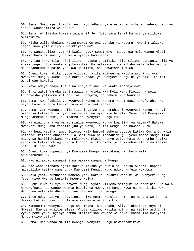50. Sema: Mwaonaje ikikufikieni hiyo adhabu yake usiku au mchana, sehemu gani ya adhabu wanaihimiza wakosefu?

51. Tena je! Ikisha tokea mtaiamini? Je! Ndio sasa tena? Na nyinyi mlikuwa mkiihimiza.

52. Kisha walio dhulumu wataambiwa: Onjeni adhabu ya kudumu. Kwani mtalipwa isipo kuwa yale mliyo kuwa mkiyachuma?

53. Na wanakuuliza: Je! Ni kweli hayo? Sema: Ehe! Naapa kwa Mola wangu Mlezi! Hakika hayo ni kweli, na wala nyinyi hamshindi!

54. Na lau kuwa kila nafsi iliyo dhulumu inamiliki kila kiliomo duniani, bila ya shaka ingeli toa vyote kujikombolea. Na watakapo iona adhabu wataficha majuto. Na patahukumiwa baina yao kwa uadilifu, nao hawatadhulumiwa.

55. Jueni kuwa hakika vyote viliomo katika mbingu na katika ardhi ni vya Mwenyezi Mungu. Jueni kuwa hakika ahadi ya Mwenyezi Mungu ni ya haki. Lakini wengi wao hawajui.

56. Yeye ndiye anaye fufua na anaye fisha. Na kwake mtarejeshwa.

57. Enyi watu! Yamekujieni mawaidha kutoka kwa Mola wenu Mlezi, na poza kuponyesha yaliyomo vifuani, na uwongofu, na rehema kwa Waumini.

58. Sema: Kwa fadhila ya Mwenyezi Mungu na rehema yake! Basi nawafurahi kwa hayo. Haya ni bora kuliko hayo wanayo yakusanya.

59. Sema: Je! Mwaonaje zile riziki alizo kuteremshieni Mwenyezi Mungu, nanyi mkafanya katika hizo nyengine haramu na nyengine halali. Sema: Je! Mwenyezi Mungu amekuruhusuni, au mnamzulia Mwenyezi Mungu tu?

60. Na nini dhana ya wanao mzulia Mwenyezi Mungu kwa Siku ya Kiyama? Hakika Mwenyezi Mungu ana fadhila juu ya watu, lakini wengi wao hawashukuru.

61. Na huwi katika jambo lolote, wala husomi sehemu yoyote katika Qur'ani, wala hamtendi kitendo chochote ila Sisi huwa ni mashahidi juu yenu mnapo shughulika nayo. Na hakifichikani kwa Mola wako Mlezi chenye uzito hata wa chembe katika ardhi na katika mbingu, wala kidogo kuliko hicho wala kikubwa ila kimo katika Kitabu kilicho wazi.

62. Jueni kuwa vipenzi vya Mwenyezi Mungu hawatakuwa na khofu wala hawatahuzunika.

63. Hao ni ambao wameamini na wakawa wanamcha Mungu.

64. Wao wana bishara njema katika maisha ya dunia na katika Akhera. Hapana mabadiliko katika maneno ya Mwenyezi Mungu. Huko ndiko kufuzu kukubwa.

65. Wala yasikuhuzunishe maneno yao. Hakika utukufu wote ni wa Mwenyezi Mungu. Yeye ndiye Mwenye kusikia Mwenye kujua.

66. Jueni kuwa ni vya Mwenyezi Mungu vyote viliomo mbinguni na ardhinii. Na wala hawawafuati hao wanao waomba badala ya Mwenyezi Mungu kuwa ni washirika wake. Wao hawafuati ila dhana tu, na hawasemi ila uwongo.

67. Yeye ndiye aliye kujaalieni usiku mpate kutulia humo, na mchana wa kuonea. Hakika katika haya zipo Ishara kwa watu wanao sikia.

68. Wamesema: Mwenyezi Mungu ana mwana. Subhanahu, Aliye takasika! Yeye ni Mkwasi, Mwenye Kujitosheleza. Vyote viliomo katika mbingu na katika ardhi ni vyake peke yake. Nyinyi hamna uthibitisho wowote wa haya! Mnamzulia Mwenyezi Mungu msiyo yajua?

69. Sema: Hao wanao mzulia uwongo Mwenyezi Mungu hawatafanikiwa.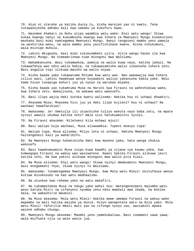70. Hiyo ni starehe ya katika dunia tu, kisha marejeo yao ni kwetu. Tena tutawaonjesha adhabu kali kwa sababu ya kukufuru kwao.

71. Wasomee khabari za Nuhu alipo waambia watu wake: Enyi watu wangu! Ikiwa kukaa kwangu nanyi na kukumbusha kwangu kwa Ishara za Mwenyezi Mungu kunakutieni mashaka basi mimi namtegemea Mwenyezi Mungu. Nanyi tengezeni mambo yenu pamoja na washirika wenu, na wala mambo yenu yasifichikane kwenu. Kisha nihukumuni, wala msinipe muhula.

72. Lakini mkigeuka, basi mimi sikukuombeni ujira. Ujira wangu hauko ila kwa Mwenyezi Mungu. Na nimeamrishwa niwe miongoni mwa Waislamu.

73. Wakamkanusha. Basi tukamwokoa, pamoja na walio kuwa naye, katika jahazi. Na tukawafanya wao ndio walio bakia, na tukawazamisha walio zikanusha Ishara zetu. Basi angalia vipi ulikuwa mwisho wa walio onywa.

74. Kisha baada yake tukawatuma Mitume kwa watu wao. Nao wakawajia kwa Ishara zilizo wazi. Lakini hawakuwa wenye kuyaamini waliyo yakanusha kabla yake. Ndio kama hivyo tunapiga muhuri juu ya nyoyo za warukao mipaka.

75. Kisha baada yao tukamtuma Musa na Haruni kwa Firauni na waheshimiwa wake, kwa Ishara zetu. Wakajivuna, na wakawa watu wakosefu.

76. Basi ilipo wajia Haki kutoka kwetu walisema: Hakika huu ni uchawi dhaahiri.

77. Akasema Musa: Mnasema hivi juu ya Haki ilipo kujieni? Huu ni uchawi? Na wachawi hawafanikiwi!

78. Wakasema: Je! Umetujia ili utuachishe tuliyo wakuta nayo baba zetu, na mpate nyinyi wawili ukubwa katika nchi? Wala sisi hatukuaminini nyinyi.

79. Na Firauni akasema: Nileteeni kila mchawi mjuzi!

80. Basi walipo kuja wachawi, Musa aliwaambia: Tupeni mnavyo tupa!

81. Walipo tupa, Musa alisema: Mliyo leta ni uchawi. Hakika Mwenyezi Mungu haitengenezi kazi ya waharibifu.

82. Na Mwenyezi Mungu huhakikisha Haki kwa maneno yake, hata wanga chukia wakosefu

83. Basi hawakumuamini Musa isipo kuwa baadhi ya vijana vya kaumu yake, kwa kumwogopa Firauni na wakuu wao wasiwatese. Kwani hakika Firauni alikuwa jeuri katika nchi. Na kwa yakini alikuwa miongoni mwa walio pita kiasi.

84. Na Musa alisema: Enyi watu wangu! Ikiwa nyinyi mmemuamini Mwenyezi Mungu, basi mtegemeeni Yeye, ikiwa nyinyi ni Waislamu.

85. Wakasema: Tunamtegemea Mwenyezi Mungu. Ewe Mola wetu Mlezi! Usitufanye wenye kutiwa misukosuko na hao watu madhaalimu.

86. Na utuokoe kwa rehema yako na watu makafiri.

87. Na tukampelekea Musa na ndugu yake wahyi huu: Watengenezeeni majumba watu wenu katika Misri na zifanyeni nyumba zenu ndio mwahali mwa ibada, na mshike Sala, na wabashirie Waumini.

88. Na Musa akasema: Mola wetu Mlezi! Hakika wewe umempa Firauni na wakuu wake mapambo na mali katika maisha ya dunia. Hivyo wanapoteza watu na Njia yako. Mola wetu Mlezi! Yafutilie mbali mali yao na zifunge nyoyo zao, wasiamini mpaka waione adhabu chungu.

89. Mwenyezi Mungu akasema: Maombi yenu yamekubaliwa. Basi simameni sawa sawa, wala msifuate njia za wale wasio jua.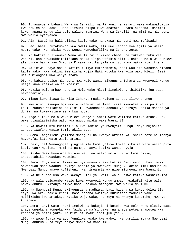90. Tukawavusha bahari Wana wa Israili, na Firauni na askari wake wakawafuatia kwa dhulma na uadui. Hata Firauni alipo kuwa anataka kuzama akasema: Naamini kuwa hapana mungu ila yule waliye muamini Wana wa Israili, na mimi ni miongoni mwa walio nyenyekea!

91. Ala! Sasa? Na hali uliasi kabla yake na ukawa miongoni mwa mafisadi!

92. Leo, basi, tutakuokoa kwa mwili wako, ili uwe Ishara kwa ajili ya walio nyuma yako. Na hakika watu wengi wameghafilika na Ishara zetu.

93. Na hakika tuliwaweka Wana wa Is raili kikao chema, na tukawaruzuku vitu vizuri. Nao hawakukhitalifiana mpaka ilipo wafikia ilimu. Hakika Mola wako Mlezi atahukumu baina yao Siku ya Kiyama katika yale waliyo kuwa wakikhitalifiana.

94. Na ikiwa unayo shaka katika tuliyo kuteremshia, basi waulize wasomao Kitabu kabla yako. Kwa yakini imekwisha kujia Haki kutoka kwa Mola wako Mlezi. Basi usiwe miongoni mwa wenye shaka.

95. Na kabisa usiwe miongoni mwa wale wanao zikanusha Ishara za Mwenyezi Mungu, usije kuwa katika walio khasiri.

96. Hakika wale ambao neno la Mola wako Mlezi limekwisha thibitika juu yao, hawataamini,

97. Ijapo kuwa itawajia kila Ishara, mpaka waione adhabu iliyo chungu.

98. Kwa nini usiwepo mji mmoja ukaamini na Imani yake ikawafaa - isipo kuwa kaumu Yunus? Waliamini na Sisi tukawaondolea adhabu ya hizaya katika maisha ya dunia, na tukawastarehesha kwa muda.

99. Angeli taka Mola wako Mlezi wangeli amini wote waliomo katika ardhi. Je, wewe utawalazimisha watu kwa nguvu mpaka wawe Waumini?

100. Na hawezi mtu kuamini ila kwa idhini ya Mwenyezi Mungu. Naye hujaalia adhabu iwafike wasio tumia akili zao.

101. Sema: Angalieni yaliomo mbinguni na kwenye ardhi! Na Ishara zote na maonyo hayawafai kitu watu wasio amini.

102. Basi, je! Wanangojea jingine ila kama yaliyo tokea siku za watu walio pita kabla yao? Ngojeni! Nami ni pamoja nanyi katika wanao ngoja.

103. Kisha Sisi huwaokoa Mitume wetu na walio amini. Ndio kama hivyo, inatustahiki kuwaokoa Waumini.

104. Sema: Enyi watu! Ikiwa nyinyi mnayo shaka katika Dini yangu, basi mimi siwaabudu mnao waabudu nyinyi badala ya Mwenyezi Mungu. Lakini mimi namuabudu Mwenyezi Mungu anaye kufisheni. Na nimeamrishwa niwe miongoni mwa Waumini.

105. Na uelekeze uso wako kwenye Dini ya Kweli, wala usiwe katika washirikina.

106. Na wala usiwaombe wasio kuwa Mwenyezi Mungu ambao hawakufai kitu wala hawakudhuru. Ukifanya hivyo basi utakuwa miongoni mwa walio dhulumu.

107. Na Mwenyezi Mungu akikugusisha madhara, basi hapana wa kukuondolea ila Yeye. Na akikutakia kheri, basi hapana awezaye kurudisha fadhila yake. Huifikisha kwa amtakaye katika waja wake, na Yeye ni Mwenye kusamehe, Mwenye kurehemu.

108. Sema: Enyi watu! Haki imekwisha kukujieni kutoka kwa Mola wenu Mlezi. Basi anaye ongoka anaongoka kwa faida ya nafsi yake, na anaye potea anapotea kwa khasara ya nafsi yake. Na mimi si mwakilishi juu yenu.

109. Na wewe fuata yanayo funuliwa kwako kwa wahyi. Na vumilia mpaka Mwenyezi Mungu ahukumu, na Yeye ndiye mbora wa mahakimu.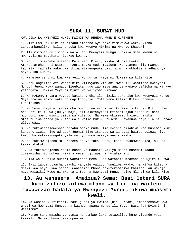#### **SURA 11. SURAT HUD**

KWA JINA LA MWENYEZI MUNGU MWINGI WA REHEMA MWENYE KUREHEMU

1. Alif Lam Ra. Hiki ni Kitabu ambacho Aya zake zimewekwa wazi, kisha zikapambanuliwa, kilicho toka kwa Mwenye Hikima na Mwenye Khabari,

2. Ili msimuabudu isipo kuwa Allah, Mwenyezi Mungu. Hakika mimi kwenu ni mwonyaji na mbashiri nitokae kwake.

3. Na ili mumwombe msamaha Mola wenu Mlezi, kisha mtubie kwake. Atakustarehesheni starehe nzuri mpaka muda maalumu. Na atampa kila mwenye fadhila, fadhila yake. Na ikiwa mtakengeuka basi mimi nakukhofieni adhabu ya hiyo Siku Kubwa.

4. Marejeo yenu ni kwa Mwenyezi Mungu tu. Naye ni Muweza wa kila kitu.

5. Hebu angalia! Ati wanafunika vilivyomo vifuani mwao ili wamfiche Mwenyezi Mungu! Jueni kuwa wanapo jigubika nguo zao Yeye anajua wanayo yaficha na wanayo yatangaza. Hakika Yeye ni Mjuzi wa yaliyomo vifuani.

6. NA HAKUNA mnyama yoyote katika ardhi ila riziki yake iko kwa Mwenyezi Mungu. Naye anajua makao yake na mapitio yake. Yote yamo katika Kitabu chenye kubainisha.

7. Na Yeye ndiye aliye ziumba mbingu na ardhi katika siku sita. Na Kiti chake cha Enzi kilikuwa juu ya maji, ili akufanyieni mtihani ajuulikane ni nani miongoni mwenu mzuri zaidi wa vitendo. Na wewe ukisema: Nyinyi hakika mtafufuliwa baada ya kufa; wale walio kufuru husema: Hayakuwa haya ila ni uchawi uliyo wazi.

8. Na tukiwacheleweshea adhabu mpaka muda ulio kwisha hisabiwa wao husema: Nini kinacho izuia hiyo adhabu? Jueni! Siku itakapo wajia basi haitoondolewa hiyo kwao. Na yatawazunguka yale waliyo kuwa wakiyafanyia mzaha.

9. Na tukimwonjesha mtu rehema inayo toka kwetu, kisha tukamwondolea, hukata tamaa akakufuru.

10. Na tukimwonjesha neema baada ya madhara yaliyo mpata husema: Taabu zimekwisha niondokea. Hakika yeye hujitapa na kutafakhari.

11. Ila wale walio subiri wakatenda mema. Hao watapata msamaha na ujira mkubwa.

12. Basi labda utaacha baadhi ya yale yaliyo funuliwa kwako, na kifua kitaona dhiki kwa hayo, kwa sababu wanasema: Mbona hakuteremshiwa khazina, au wakaja naye Malaika? Wewe ni mwonyaji tu, na Mwenyezi Mungu ndiye Mlinzi wa kila kitu.

# **13. Au wanasema: Ameizua? Sema: Basi leteni SURA kumi zilizo zuliwa mfano wa hii, na waiteni muwawezao badala ya Mwenyezi Mungu, ikiwa mnasema kweli.**

14. Na wasipo kuitikieni, basi jueni ya kwamba (hii Qur'ani) imeteremshwa kwa ujuzi wa Mwenyezi Mungu, na kwamba hapana mungu ila Yeye. Basi je! Nyinyi ni Waislamu?

15. Wanao taka maisha ya dunia na pumbao lake tutawalipa humo vitendo vyao kaamili. Na wao humo hawatopunjwa.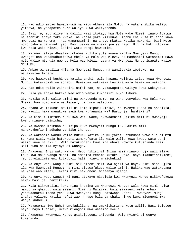16. Hao ndio ambao hawatakuwa na kitu Akhera ila Moto, na yataharibika waliyo yafanya, na yatapotea bure waliyo kuwa wakiyatenda.

17. Basi je, mtu aliye na dalili wazi itokayo kwa Mola wake Mlezi, inayo fuatwa na shahidi anaye toka kwake, na kabla yake kilikuwa Kitabu cha Musa kilicho kuwa mwongozi na rehema - hao wanamuamini, na anaye mkataa katika makundi, basi Moto ndio pahala pa miadi yao. Basi usiwe na shaka juu ya hayo. Hii ni Haki itokayo kwa Mola wako Mlezi; lakini watu wengi hawaamini.

18. Na nani aliye dhaalimu mkubwa kuliko yule anaye mzulia Mwenyezi Mungu uwongo? Hao watahudhurishwa mbele ya Mola wao Mlezi, na mashahidi watasema: Hawa ndio walio mtungia uwongo Mola wao Mlezi. Laana ya Mwenyezi Mungu iwapate walio dhulumu,

19. Ambao wanazuilia Njia ya Mwenyezi Mungu, na wanaitakia ipotoke, na wanaikataa Akhera.

20. Hao hawawezi kushinda katika ardhi, wala hawana walinzi isipo kuwa Mwenyezi Mungu. Watazidishiwa adhabu. Hawakuwa wakiweza kusikia wala hawakuwa wakiona.

21. Hao ndio walio zikhasiri nafsi zao, na yakawapotea waliyo kuwa wakiyazua.

22. Bila ya shaka hakika wao ndio wenye kukhasiri huko Akhera.

23. Hakika wale walio amini,na wakatenda mema, na wakanyenyekea kwa Mola wao Mlezi, hao ndio watu wa Peponi, na humo watadumu.

24. Mfano wa makundi mawili ni kama kipofu kiziwi, na mwenye kuona na anasikia. Je, wawili hawa wanakuwa sawa kwa kufananishwa? Basi, je, hamfikiri?

25. Na Sisi tulimtuma Nuhu kwa watu wake, akawaambia: Hakika mimi ni mwonyaji kwenu ninaye bainisha,

26. Ya kwamba msimuabudu isipo kuwa Mwenyezi Mungu tu. Hakika mimi ninakukhofieni adhabu ya Siku Chungu.

27. Na wakasema wakuu walio kufuru katika kaumu yake: Hatukuoni wewe ila ni mtu tu kama sisi, wala hatukuoni wamekufuata ila wale walio kuwa kwetu watu duni, wasio kuwa na akili. Wala hatukuoneni kuwa mna ubora wowote kutushinda sisi. Bali tuna hakika nyinyi ni waongo.

28. Akasema: Enyi watu wangu! Hebu fikirini! Ikiwa mimi ninayo hoja wazi iliyo toka kwa Mola wangu Mlezi, na amenipa rehema kutoka kwake, nayo ikakufichikieni; je, tukulazimisheni kuikubali hali nyinyi mnaichukia?

29. Na enyi watu wangu! Mimi sikuombeni mali kwa ajili ya haya. Mimi sina ujira ila kwa Mwenyezi Mungu; na mimi sitawafukuza walio amini. Hakika wao watakutana na Mola wao Mlezi, lakini mimi nakuoneni mnafanya ujinga.

30. Na enyi watu wangu! Ni nani atakaye nisaidia kwa Mwenyezi Mungu nikiwafukuza hawa? Basi je, hamfikiri?

31. Wala sikwambiini kuwa nina khazina za Mwenyezi Mungu; wala kuwa mimi najua mambo ya ghaibu; wala sisemi: Mimi ni Malaika. Wala siwasemi wale ambao yanawadharau macho yenu kuwa Mwenyezi Mungu hatawapa kheri - Mwenyezi Mungu anajua yaliomo katika nafsi zao - hapo bila ya shaka ninge kuwa miongoni mwa wenye kudhulumu.

32. Wakasema: Ewe Nuhu! Umejadiliana, na umekithirisha kutujadili. Basi tuletee hayo unayo tuahidi, ukiwa miongoni mwa wasemao kweli.

33. Akasema: Mwenyezi Mungu atakuleteeni akipenda. Wala nyinyi si wenye kumshinda.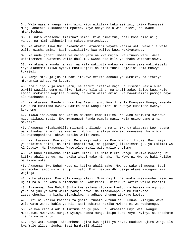34. Wala nasaha yangu haikufaini kitu nikitaka kukunasihini, ikiwa Mwenyezi Mungu anataka kukuachieni mpotee. Yeye ndiye Mola wenu Mlezi; na kwake mtarejeshwa.

35. Au ndio wanasema: Ameizua? Sema: Ikiwa nimeizua, basi kosa hilo ni juu yangu, na mimi sikhusiki na makosa myatendayo.

36. Na akafunuliwa Nuhu akaambiwa: Hataamini yeyote katika watu wako ila wale walio kwisha amini. Basi usisikitike kwa waliyo kuwa wakiyatenda.

37. Na unda jahazi mbele ya macho yetu na kwa mujibu wa ufunuo wetu. Wala usinisemeze kuwatetea walio dhulumu. Kwani hao bila ya shaka watazamishwa.

38. Na akawa anaunda jahazi, na kila wakipita wakuu wa kaumu yake wakimkejeli. Yeye akasema: Ikiwa nyinyi mnatukejeli na sisi tunakukejelini kama mnavyo tukejeli.

39. Nanyi mtakuja jua ni nani itakaye mfikia adhabu ya kumhizi, na itakaye mteremkia adhabu ya kudumu.

40.Hata ilipo kuja amri yetu, na tanuri ikafoka maji, tulisema: Pakia humo wawili wawili, dume na jike, kutoka kila aina, na ahali zako, isipo kuwa wale ambao imekwisha wapitia hukumu; na watu walio amini. Na hawakuamini pamoja naye ila wachache tu.

41. Na akasema: Pandeni humo kwa Bismillahi, Kwa Jina la Mwenyezi Mungu, kwenda kwake na kusimama kwake. Hakika Mola wangu Mlezi ni Mwenye kusamehe Mwenye kurehemu.

42. Ikawa inakwenda nao katika mawimbi kama milima. Na Nuhu akamwita mwanawe naye alikuwa mbali: Ewe mwanangu! Panda pamoja nasi, wala usiwe pamoja na makafiri.

43. Akasema: Nitakimbilia mlimani unilinde na maji. (Nuhu) akasema: Leo hapana wa kulindwa na amri ya Mwenyezi Mungu ila aliye mrehemu mwenyewe. Na wimbi likawatenganisha, akawa katika walio zama.

44. Na ikasemwa: Ewe ardhi! Meza maji yako. Na Ewe mbingu! Jizuie. Basi maji yakadidimia chini, na amri ikapitishwa, na (jahazi) likasimama juu ya (mlima) wa Al Juudiy. Na ikasemwa: Wapotelee mbali watu walio dhulumu!

45. Na Nuhu alimwomba Mola wake Mlezi: Ee Mola Mlezi wangu! Hakika mwanangu ni katika ahali zangu, na hakika ahadi yako ni haki. Na Wewe ni Mwenye haki kuliko mahakimu wote.

46. Akasema: Ewe Nuhu! Huyu si katika ahali zako. Mwendo wake si mwema. Basi usiniombe jambo usio na ujuzi nalo. Mimi nakuwaidhi usije ukawa miongoni mwa wajinga.

47. Nuhu akasema: Ewe Mola wangu Mlezi! Mimi najikinga kwako nisikuombe nisio na ujuzi nalo. Na kama hunisamehe na ukanirehemu, nitakuwa katika walio khasiri.

48. Ikasemwa: Ewe Nuhu! Shuka kwa salama itokayo kwetu, na baraka nyingi juu yako na juu ya watu walio pamoja nawe. Na zitakuwapo kaumu tutakazo zistarehesha, na kisha zitashikwa na adhabu chungu itokayo kwetu.

49. Hizi ni katika khabari za ghaibu tunazo kufunulia. Hukuwa ukizijua wewe, wala watu wako, kabla ya hii. Basi subiri! Hakika Mwisho ni wa wachamngu.

50. Na kwa kina A'adi tulimtuma ndugu yao Hud. Akasema: Enyi watu wangu! Muabuduni Mwenyezi Mungu! Nyinyi hamna mungu isipo kuwa Yeye. Nyinyi si chochote ila ni wazushi tu.

51. Enyi watu wangu! Sikuombeni ujira kwa ajili ya haya. Haukuwa ujira wangu ila kwa Yule aliye niumba. Basi hamtumii akili?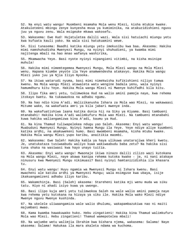52. Na enyi watu wangu! Muombeni msamaha Mola wenu Mlezi, kisha mtubie kwake. Atakuleteeni mbingu zenye kunyesha mvua ya kumiminika, na atakuzidishieni nguvu juu ya nguvu zenu. Wala msigeuke mkawa wakosefu.

53. Wakasema: Ewe Hud! Hujatuletea dalili wazi. Wala sisi hatuiachi miungu yetu kwa kufuata kauli yako. Na wala sisi hatukuamini wewe.

54. Sisi tunasema: Baadhi katika miungu yetu imekusibu kwa baa. Akasema: Hakika mimi namshuhudisha Mwenyezi Mungu, na nyinyi shuhudieni, ya kwamba mimi najitenga mbali na hao mnao wafanya washirika,

55. Mkamwacha Yeye. Basi nyote nyinyi nipangieni vitimbi, na kisha msinipe muhula!

56. Hakika mimi nimemtegemea Mwenyezi Mungu, Mola Mlezi wangu na Mola Mlezi wenu. Hapana kiumbe yeyote ila Yeye anamwendesha atakavyo. Hakika Mola wangu Mlezi yuko juu ya Njia Iliyo Nyooka.

57. Na ikiwa watarudi nyuma, basi mimi nimekwisha kufikishieni niliyo tumwa kwenu. Na Mola wangu Mlezi atawaleta watu wengine badala yenu, wala nyinyi hamumdhuru kitu Yeye. Hakika Mola wangu Mlezi ni Mwenye kuhifadhi kila kitu.

58. Ilipo fika amri yetu, tulimwokoa Hud na walio amini pamoja naye, kwa rehema itokayo kwetu. Na tukawaokoa na adhabu ngumu.

59. Na hao ndio kina A'adi. Walizikanusha Ishara za Mola wao Mlezi, na wakawaasi Mitume wake, na wakafuata amri ya kila jabari mwenye inda.

60. Na wakafuatishiwa laana katika dunia hii na Siku ya Kiyama. Basi tambueni mtanabahi! Hakika kina A'adi walimkufuru Mola wao Mlezi. Na tambueni mtanabahi kuwa hakika waliangamizwa kina A'adi, kaumu ya Hud.

61. Na kina Thamud tuliwapelekea ndugu yao Saleh. Akasema: Enyi watu wangu! Muabuduni Mwenyezi Mungu. Nyinyi hamna Mungu ila Yeye. Yeye ndiye aliye kuumbeni katika ardhi, na akakuwekeni humo. Basi mwombeni msamaha, kisha mtubu kwake. Hakika Mola wangu Mlezi yupo karibu, anaitikia maombi.

62. Wakasema: Ewe Saleh! Hakika kabla ya haya ulikuwa unatarajiwa kheri kwetu. Je, unatukataza tusiwaabudu waliyo kuwa wakiwaabudu baba zetu? Na hakika sisi tuna shaka na wasiwasi kwa hayo unayo tuitia.

63. Akasema: Enyi watu wangu! Mwaonaje ikiwa ninazo dalili zilizo wazi kutokana na Mola wangu Mlezi, naye akawa kanipa rehema kutoka kwake - je, ni nani atakaye ninusuru kwa Mwenyezi Mungu nikimuasi? Basi nyinyi hamtanizidishia ila khasara tu.

64. Enyi watu wangu! Huyu ngamia wa Mwenyezi Mungu ni Ishara kwenu. Basi mwacheni ale katika ardhi ya Mwenyezi Mungu; wala msimguse kwa ubaya, isije ikakuangamizeni adhabu iliyo karibu.

65. Wakamchinja. Basi (Saleh) akasema: Stareheni katika mji wenu muda wa siku tatu. Hiyo ni ahadi isiyo kuwa ya uwongo.

66. Basi ilipo kuja amri yetu tulimwokoa Saleh na wale walio amini pamoja naye kwa rehema yetu kutokana na hizaya ya siku ile. Hakika Mola wako Mlezi ndiye Mwenye nguvu Mwenye kushinda.

67. Na ukelele uliwaangamiza wale walio dhulumu, wakapambazukiwa nao ni maiti majumbani mwao.

68. Kama kwamba hawakuwako huko. Hebu zingatieni! Hakika kina Thamud walimkufuru Mola wao Mlezi. Hebu zingatieni! Thamud wamepotelea mbali!

69. Na wajumbe wetu walimjia Ibrahim kwa bishara njema, wakasema: Salama! Naye akasema: Salama! Hakukaa ila mara akaleta ndama wa kuchoma.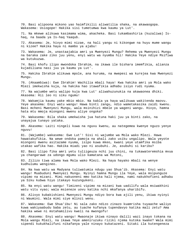70. Basi alipoona mikono yao haimfikilii aliwatilia shaka, na akawaogopa. Wakasema: Usiogope! Hakika sisi tumetumwa kwa kaumu ya Lut'.

71. Na mkewe alikuwa kasimama wima, akacheka. Basi tukambashiria (kuzaliwa) Ishaq, na baada ya Is-haq Yaaqub.

72. Akasema: Je, hivyo mimi nizae, na hali yangu ni kikongwe na huyu mume wangu ni kizee? Hakika haya ni mambo ya ajabu!

73. Wakasema: Je, unastaajabia amri ya Mwenyezi Mungu? Rehema ya Mwenyezi Mungu na baraka zake ziko juu yenu, enyi watu wa nyumba hii! Hakika Yeye ndiye Msifiwa wa kutukuzwa.

74. Basi khofu ilipo mwondoka Ibrahim, na ikawa ile bishara imemfikia, alianza kujadiliana nasi juu ya kaumu ya Lut'.

75. Hakika Ibrahim alikuwa mpole, ana huruma, na mwepesi wa kurejea kwa Mwenyezi Mungu.

76. (Akaambiwa): Ewe Ibrahim! Wachilia mbali haya! Kwa hakika amri ya Mola wako Mlezi imekwisha kuja, na hakika hao itawafikia adhabu isiyo rudi nyuma.

77. Na wajumbe wetu walipo kuja kwa Lut' aliwahuzunukia na akawaonea dhiki. Akasema: Hii leo ni siku ngumu!

78. Wakamjia kaumu yake mbio mbio. Na kabla ya haya walikuwa wakitenda maovu. Yeye akasema: Enyi watu wangu! Hawa binti zangu, ndio wametakasika zaidi kwenu. Basi mcheni Mwenyezi Mungu, wala msinihizi mbele ya wageni wangu. Hivyo, hamna hata mtu mmoja miongoni mwenu aliye ongoka?

79. Wakasema: Bila shaka umekwisha jua hatuna haki juu ya binti zako, na unayajua tunayo yataka.

80. Akasema: Laiti ningeli kuwa na nguvu kwenu, au nategemea kwenye nguzo yenye nguvu!

81. (Wajumbe) wakasema: Ewe Lut'! Sisi ni wajumbe wa Mola wako Mlezi. Hawa hawatakufikia. Na wewe ondoka pamoja na ahali zako usiku ungalipo. Wala yeyote miongoni mwenu asitazame nyuma, isipo kuwa mkeo, kwani yeye utamfika msiba utakao wafika hao. Hakika miadi yao ni asubuhi. Je, asubuhi si karibu?

82. Basi ilipo fika amri yetu tuliigeuza nchi juu chini, na tukawateremshia mvua ya changarawe za udongo mgumu ulio kamatana wa Motoni,

83. Zilizo tiwa alama kwa Mola wako Mlezi. Na haya hayako mbali na wenye kudhulumu wengineo.

84. Na kwa watu wa Madyana tuliwatumia ndugu yao Shua'ib. Akasema: Enyi watu wangu! Muabuduni Mwenyezi Mungu. Nyinyi hamna Mungu ila Yeye, wala msipunguze vipimo na mizani. Mimi nakuoneni mmo katika hali njema, nami nakukhofieni adhabu ya Siku kubwa hiyo itakayo kuzungukeni.

85. Na enyi watu wangu! Timizeni vipimo na mizani kwa uadilifu wala msiwakhini watu vitu vyao; wala msieneze uovu katika nchi mkafanya uharibifu.

86. Alivyo kubakishieni Mwenyezi Mungu ndiyo bora kwa ajili yenu, ikiwa nyinyi ni Waumini. Wala mimi siye mlinzi wenu.

87. Wakasema: Ewe Shua'ibu! Ni sala zako ndizo zinazo kuamrisha tuyaache waliyo kuwa wakiyaabudu baba zetu, au tuache kufanya tupendavyo katika mali zetu? Ama hakika wewe ni mstahamilivu kweli na mwongofu!

88. Akasema: Enyi watu wangu! Mwaonaje ikiwa ninayo dalili wazi inayo tokana na Mola wangu Mlezi, na ikawa Yeye ameniruzuku riziki njema kutoka kwake? Wala mimi sipendi kukukhalifuni nikafanya yale ninayo kukatazeni. Sitaki ila kutengeneza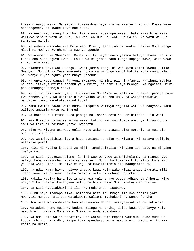kiasi ninavyo weza. Na sipati kuwezeshwa haya ila na Mwenyezi Mungu. Kwake Yeye ninategemea, na kwake Yeye naelekea.

89. Na enyi watu wangu! Kukhalifiana nami kusikupelekeeni hata mkasibiwa kama walivyo sibiwa watu wa Nuhu, au watu wa Hud, au watu wa Saleh. Na watu wa Lut' si mbali nanyi.

90. Na ombeni msamaha kwa Mola wenu Mlezi, tena tubuni kwake. Hakika Mola wangu Mlezi ni Mwenye kurehemu na Mwenye upendo.

91. Wakasema: Ewe Shua'ibu! Mengi katika hayo unayo yasema hatuyafahamu. Na sisi tunakuona huna nguvu kwetu. Lau kuwa si jamaa zako tunge kupiga mawe, wala wewe si mtukufu kwetu.

92. Akasema: Enyi watu wangu! Kwani jamaa zangu ni watukufu zaidi kwenu kuliko Mwenyezi Mungu? Na Yeye mmemueka nyuma ya migongo yenu! Hakika Mola wangu Mlezi ni Mwenye kuyazunguka yote mnayo yatenda.

93. Na enyi watu wangu! Fanyeni mwezayo, na mimi pia ninafanya. Karibuni mtajua ni nani itakaye mfikia adhabu ya kumhizi, na nani aliye mwongo. Na ngojeni, mimi pia ninangoja pamoja nanyi.

94. Na ilipo fika amri yetu, tulimwokoa Shua'ibu na wale walio amini pamoja naye kwa rehema yetu. Na ukelele uliwanyakua walio dhulumu, na wakapambaukiwa majumbani mwao wamekufa kifudifudi!

95. Kama kwamba hawakuwamo humo. Zingatia walivyo angamia watu wa Madyana, kama walivyo angamia watu wa Thamud!

96. Na hakika tulimtuma Musa pamoja na Ishara zetu na uthibitisho ulio wazi

97. Kwa Firauni na waheshimiwa wake. Lakini wao walifuata amri ya Firauni, na amri ya Firauni haikuwa yenye uwongofu.

98. Siku ya Kiyama atawatangulia watu wake na atawaingiza Motoni. Na muingio muovu ulioje huo!

99. Nao wamefuatishiwa laana hapa duniani na Siku ya Kiyama. Ni mabaya yalioje watakayo pewa!

100. Hizi ni katika khabari za miji, tunakusimulia. Mingine ipo bado na mingine imefyekwa.

101. Na Sisi hatukuwadhulumu, lakini wao wenyewe wamejidhulumu. Na miungu yao waliyo kuwa wakiiomba badala ya Mwenyezi Mungu haikuwafaa kitu ilipo kuja amri ya Mola wako Mlezi. Na hiyo miungu haikuwazidishia ila maangamizo tu.

102. Na ndio kama hivyo ndivyo inavyo kuwa Mola wako Mlezi anapo ikamata miji inapo kuwa imedhulumu. Hakika mkamato wake ni mchungu na mkali.

103. Hakika katika haya ipo ishara kwa yule anaye ogopa adhabu ya Akhera. Hiyo ndiyo Siku itakayo kusanyiwa watu, na hiyo ndiyo Siku itakayo shuhudiwa.

104. Na Sisi hatuiakhirishi ila kwa muda unao hisabiwa.

105. Siku hiyo itakapo fika, hatosema hata mtu mmoja ila kwa idhini yake Mwenyezi Mungu. Kati yao watakuwamo waliomo mashakani na wenye furaha.

106. Ama wale wa mashakani hao watakuwamo Motoni wakiyayayatika na kukoroma.

107. Watadumu humo muda wa kudumu mbingu na ardhi, isipo kuwa apendavyo Mola wako Mlezi. Hakika Mola wako Mlezi hutenda apendavyo.

108. Na ama wale walio bahatika, wao watakuwamo Peponi wakidumu humo muda wa kudumu mbingu na ardhi, isipo kuwa apendavyo Mola wako Mlezi. Hicho ni kipawa kisio na ukomo.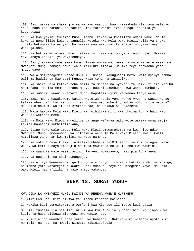109. Basi usiwe na shaka juu ya wanayo yaabudu hao. Hawaabudu ila kama walivyo abudu baba zao zamani. Na hakika Sisi tutawatimilizia fungu lao bila ya kupunguzwa.

110. Na kwa yakini tulimpa Musa Kitabu; zikazuka khitilafu ndani yake. Na lau kuwa si neno lilio kwisha tangulia kutoka kwa Mola wako Mlezi, bila ya shaka ingeli hukumiwa baina yao. Na hakika wao wamo katika shaka juu yake inayo wahangaisha.

111. Na hakika Mola wako Mlezi atawatimilizia malipo ya vitendo vyao. Hakika Yeye anayo khabari ya wayatendayo.

112. Basi, simama sawa sawa kama ulivyo amrishwa, wewe na wale wanao elekea kwa Mwenyezi Mungu pamoja nawe; wala msikiuke mipaka. Hakika Yeye anayaona yote myatendayo.

113. Wala msiwategemee wanao dhulumu, usije ukakuguseni Moto. Wala nyinyi hamna walinzi badala ya Mwenyezi Mungu, wala tena hamtasaidiwa.

114. Na shika Sala katika ncha mbili za mchana na nyakati za usiku zilizo karibu na mchana. Hakika mema huondoa maovu. Huu ni ukumbusho kwa wanao kumbuka.

115. Na subiri, kwani Mwenyezi Mungu hapotezi ujira wa wanao fanya wema.

116. Basi mbona hawakuwamo katika watu wa kabla yenu wenye vyeo na wasaa wanao kataza uharibifu katika nchi, isipo kuwa wachache tu, ambao ndio tulio waokoa? Na walio dhulumu walifuata starehe zao, na wakawa ni wakosefu.

117. Wala hakuwa Mola wako Mlezi wa kuihiliki miji kwa dhulma tu na hali watu wake ni watenda mema.

118. Na Mola wako Mlezi angeli penda ange wafanya watu wote wakawa umma mmoja. Lakini hawaachi kukhitalifiana,

119. Isipo kuwa wale ambao Mola wako Mlezi amewarehemu; na kwa hiyo ndio Mwenyezi Mungu amewaumba. Na litatimia neno la Mola wako Mlezi: Kweli kweli nitaijaza Jahannam kwa majini na watu pamoja.

120. Na yote tunayo kusimulia katika khabari za Mitume ni ya kukupa nguvu moyo wako. Na katika haya imekujia haki na mawaidha na ukumbusho kwa Waumini.

121. Na waambie wale wasio amini: Fanyeni muwezavyo, nasi pia tunafanya.

122. Na ngojeni, na sisi tunangoja.

123. Na ni vya Mwenyezi Mungu tu vyote vilivyo fichikana katika ardhi na mbingu, na mambo yote yatarejezwa kwake. Basi muabudu Yeye na umtegemee Yeye. Na Mola wako Mlezi haghafiliki na yale mnayo yatenda.

### **SURA 12. SURAT YUSUF**

KWA JINA LA MWENYEZI MUNGU MWINGI WA REHEMA MWENYE KUREHEMU

1. Alif Lam Raa. Hizi ni Aya za Kitabu kinacho bainisha.

2. Hakika Sisi tumeiteremsha Qur'ani kwa Kiarabu ili mpate kuzingatia.

3. Sisi tunasimulia simulizi nzuri kwa kukufunulia Qur'ani hii. Na ijapo kuwa kabla ya haya ulikuwa miongoni mwa wasio jua.

4. Yusuf alipo mwambia baba yake: Ewe babaangu! Hakika mimi nimeota nyota kumi na moja, na jua, na mwezi. Nimeota zikinisujudia.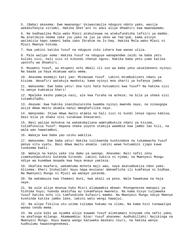5. (Baba) akasema: Ewe mwanangu! Usiwasimulie nduguzo ndoto yako, wasije wakakufanyia vitimbi. Hakika Shet'ani ni adui aliye dhaahiri kwa mwanaadamu.

6. Na kadhaalika Mola wako Mlezi atakuteuwa na atakufundisha tafsiri ya mambo. Na atatimiza neema zake juu yako na juu ya ukoo wa Yaa'qub, kama alivyo watimizia hapo zamani baba zako Ibrahim na Is-haq. Hakika Mola wako Mlezi ni Mjuzi Mwenye hikima.

7. Kwa yakini katika Yusuf na nduguze ziko ishara kwa wanao uliza.

8. Pale walipo sema: Hakika Yusuf na nduguye wanapendwa zaidi na baba yetu kuliko sisi, hali sisi ni kikundi chenye nguvu. Hakika baba yetu yumo katika upotofu wa dhaahiri.

9. Muuweni Yusuf, au mtupeni nchi mbali ili uso wa baba yenu ukuelekeeni nyinyi. Na baada ya haya mtakuwa watu wema.

10. Akasema msemaji kati yao: Msimuuwe Yusuf. Lakini mtumbukizeni ndani ya kisima. Wasafiri watakuja mwokota; kama nyinyi mna sharti ya kufanya jambo.

11. Wakasema: Ewe baba yetu! Una nini hata hutuamini kwa Yusuf? Na hakika sisi ni wenye kumtakia kheri!

12. Mpeleke kesho pamoja nasi, ale kwa furaha na acheze; na bila ya shaka sisi tutamhifadhi.

13. Akasem: Kwa hakika inanihuzunisha kwamba nyinyi mwende naye, na ninaogopa asije mbwa mwitu akamla nanyi mmeghafilika naye.

14. Wakasema: Ikiwa mbwa mwitu atamla na hali sisi ni kundi lenye nguvu kabisa, basi bila ya shaka sisi tutakuwa khasarani.

15. Basi walipo mchukua na wakakubaliana wamtumbukize ndani ya kisima, tulimfunulia Yusuf: Hapana shaka yoyote utakuja waambia kwa jambo lao hili, na wala wao hawatambui.

16. Wakaja kwa baba yao usiku wakilia.

17. Wakasema: Ewe baba yetu! Hakika tulikwenda kushindana na tukamwacha Yusuf penye vitu vyetu. Basi mbwa mwitu akamla. Lakini wewe hutuamini ijapo kuwa tunasema kweli.

18. Wakaja na kanzu yake ina damu ya uwongo. Akasema: Bali nafsi zenu zimekushawishini kutenda kitendo. Lakini subira ni njema; na Mwenyezi Mungu ndiye wa kuombwa msaada kwa haya mnayo yaeleza.

19. Ukafika msafara, wakamtuma mchota maji wao, naye akatumbukiza ndoo yake. Alisema: Kheri Inshallah! Huyu hapa mvulana! Wakamficha ili kumfanya ni bidhaa. Na Mwenyezi Mungu ni Mjuzi wa wanayo yatenda.

20. Na wakamuuza kwa thamani duni, kwa akali ya pesa. Wala hawakuwa na haja naye.

21. Na yule aliye mnunua huko Misri alimwambia mkewe: Mtengenezee makaazi ya hishima huyu; huenda akatufaa au tukamfanya mwenetu. Na kama hivyo tulimweka Yusuf katika nchi ili tumfundishe kufasiri mambo. Na Mwenyezi Mungu ndiye Mwenye kushinda katika jambo lake, lakini watu wengi hawajui.

22. Na alipo fikilia utu uzima tulimpa hukumu na ilimu. Na kama hivi tunawalipa wanao tenda mema.

23. Na yule bibi wa nyumba aliyo kuwamo Yusuf alimtamani kinyume cha nafsi yake, na akafunga milango. Akamwambia: Njoo! Yusuf akasema: Audhubillahi! Najikinga na Mwenyezi Mungu. Huyu bwana wangu kaniweka maskani nzuri, na hakika wenye kudhulumu hawatengenekewi.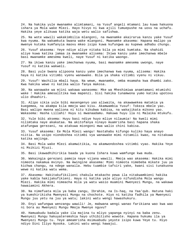24. Na hakika yule mwanamke alimtamani, na Yusuf angeli mtamani lau kuwa hakuona ishara ya Mola wake Mlezi. Hayo hivyo ni kwa ajili tumuepushe na uovu na uchafu. Hakika yeye alikuwa katika waja wetu walio safishwa.

25. Na wote wawili wakakimbilia mlangoni, na mwanamke akairarua kanzu yake Yusuf kwa nyuma. Na wakamkuta bwana wake mlangoni. Mwanamke akasema: Hapana malipo ya mwenye kutaka kumfanyia maovu mkeo isipo kuwa kufungwa au kupewa adhabu chungu.

26. Yusuf akasema: Yeye ndiye aliye nitaka bila ya mimi kumtaka. Na shahidi aliye kuwa katika jamaa za mwanamke alisema: Ikiwa kanzu yake imechanwa mbele basi mwanamke amesema kweli, naye Yusuf ni katika waongo.

27. Na ikiwa kanzu yake imechanwa nyuma, basi mwanamke amesema uwongo, naye Yusuf ni katika wakweli.

28. Basi yule bwana alipoona kanzu yake imechanwa kwa nyuma, alisema: Hakika haya ni katika vitimbi vyenu wanawake. Bila ya shaka vitimbi vyenu ni vikuu.

29. Yusuf! Wachilia mbali haya. Na wewe, mwanamke, omba msamaha kwa dhambi zako. Kwa hakika wewe ni katika walio fanya makosa.

30. Na wanawake wa mjini wakawa wanasema: Mke wa Mheshimiwa anamtamani mtumishi wake ! Hakika amesalitika kwa mapenzi. Sisi hakika tunamwona yumo katika upotovu ulio dhaahiri.

31. Alipo sikia yule bibi masengenyo yao aliwaita, na akawawekea matakia ya kuegemea, na akampa kila mmoja wao kisu. Akamwambia Yusuf: Tokeza mbele yao. Basi walipo mwona waliona ni kitu kikubwa kabisa, na wakajikata mikono yao. Wakasema: Hasha Lillahi! Huyu si mwanaadamu. Hakuwa huyu ila ni Malaika mtukufu.

32. Yule bibi aksema: Huyu basi ndiye huyo mliye nilaumia! Na kweli mimi nilimtaka naye akakataa. Na akitofanya ninayo muamrisha basi hapana shaka atafungwa gerezani, na atakuwa miongoni mwa walio chini kabisa.

33. Yusuf akasema: Ee Mola Mlezi wangu! Nastahabu kifungo kuliko haya anayo niitia. Na usipo niondoshea vitimbi vya wanawake mimi nitamili kwao, na nitakuwa katika wajinga.

34. Basi Mola wake Mlezi akamwitikia, na akamwondoshea vitimbi vyao. Hakika Yeye ni Msikizi Mjuzi.

35. Basi ikawadhihirikia baada ya kuona Ishara kuwa wamfunge kwa muda.

36. Wakaingia gerezani pamoja naye vijana wawili. Mmoja wao akasema: Hakika mimi nimeota nakamua mvinyo. Na mwingine akasema: Mimi nimeota nimebeba mikate juu ya kichwa changu, na ndege wanaila. Hebu tuambie tafsiri yake, kwani sisi tunakuona wewe ni katika watu wema.

37. Akasema: Hakitakufikilieni chakula mtakacho pewa ila nitakwambieni hakika yake kabla hakijakufikieni. Haya ni katika yale aliyo nifundisha Mola wangu Mlezi. Hakika mimi nimeacha mila ya watu wasio muamini Mwenyezi Mungu, na wakawa hawaiamini Akhera.

38. Na nimefuata mila ya baba zangu, Ibrahim, na Is-haq, na Yaa'qub. Hatuna haki ya kumshirikisha Mwenyezi Mungu na chochote. Hiyo ni katika fadhila ya Mwenyezi Mungu juu yetu na juu ya watu; lakini watu wengi hawashukuru.

39. Enyi wafungwa wenzangu wawili! Je, mabwana wengi wanao farikiana wao kwa wao ni bora au Mwenyezi Mungu Mmoja Mwenye nguvu?

40. Hamuabudu badala yake ila majina tu mliyo yapanga nyinyi na baba zenu. Mwenyezi Mungu hakuyateremshia hayo uthibitisho wowote. Hapana hukumu ila ya Mwenyezi Mungu tu. Yeye ameamrisha msimuabudu yeyote isipo kuwa Yeye tu. Hiyo ndiyo Dini Iliyo Nyooka. Lakini watu wengi hawajui.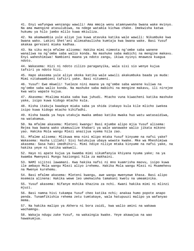41. Enyi wafungwa wenzangu wawili! Ama mmoja wenu atamnywesha bwana wake mvinyo. Na ama mwengine atasulubiwa, na ndege watamla kichwa chake. Imekwisha katwa hukumu ya hilo jambo mlilo kuwa mkiuliza.

42. Na akamwambia yule aliye jua kuwa atavuka katika wale wawili: Nikumbuke kwa bwana wako. Lakini Shet'ani alimsahaulisha kumtaja kwa bwana wake. Basi Yusuf akakaa gerezani miaka kadhaa.

43. Na siku moja mfalme alisema: Hakika mimi nimeota ng'ombe saba wanene wanaliwa na ng'ombe saba walio konda. Na mashuke saba mabichi na mengine makavu. Enyi waheshimiwa! Nambieni maana ya ndoto zangu, ikiwa nyinyi mnaweza kuagua ndoto.

44. Wakasema: Hizi ni ndoto zilizo paraganyika, wala sisi sio wenye kujua tafsiri ya ndoto hizi.

45. Hapo akasema yule aliye okoka katika wale wawili akakumbuka baada ya muda: Mimi nitakwambieni tafsiri yake. Basi nitumeni.

46. Yusuf! Ewe mkweli! Tueleze nini maana ya ng'ombe saba wanene kuliwa na ng'ombe saba walio konda. Na mashuke saba mabichi na mengine makavu, ili nirejee kwa watu wapate kujua.

47. Akasema: Mtalima miaka saba kwa juhudi. Mtacho vuna kiwacheni katika mashuke yake, isipo kuwa kidogo mtacho kula.

48. Kisha itakuja baadaye miaka saba ya shida itakayo kula kile mlicho iwekea isipo kuwa kidogo mtacho kihifadhi.

49. Kisha baada ya haya utakuja mwaka ambao katika mwaka huo watu watasaidiwa, na watakamua.

50. Na mfalme akasema: Mleteni kwangu! Basi mjumbe alipo mjia Yusuf alisema: Rejea kwa bwana wako ukamuulize khabari ya wale wanawake walio jikata mikono yao. Hakika Mola wangu Mlezi anazijua vyema hila zao.

51. Mfalme alisema: Mlikuwa mna nini mlipo mtaka Yusuf kinyume na nafsi yake? Wakasema: Hasha Lillahi! Sisi hatukujua ubaya wowote kwake. Mke wa Mheshimiwa akasema: Sasa haki imedhihiri. Mimi ndiye niliye mtaka kinyume na nafsi yake, na hakika yeye ni katika wakweli.

52. Hayo ni apate kujua ya kwamba mimi sikumfanyia khiyana nyuma yake; na ya kwamba Mwenyezi Mungu haziongoi hila za makhaini.

53. NAMI sijitoi lawamani. Kwa hakika nafsi ni mno kuamrisha maovu, isipo kuwa ile ambayo Mola wangu Mlezi aliyo irehemu. Hakika Mola wangu Mlezi ni Msamehevu na Mwenye kurehemu.

54. Basi mfalme akasema: Mleteni kwangu, awe wangu mwenyewe khasa. Basi alipo msemeza alinena: Hakika wewe leo umekwisha tamakani kwetu na umeaminika.

55. Yusuf akasema: Nifanye mshika khazina za nchi. Kwani hakika mimi ni mlinzi mjuzi.

56. Basi namna hivi tukampa Yusuf cheo katika nchi; anakaa humo popote anapo penda. Tunamfikishia rehema zetu tumtakaye, wala hatupuuzi malipo ya wafanyao mema.

57. Na hakika malipo ya Akhera ni bora zaidi, kwa walio amini na wakawa wachamngu.

58. Wakaja ndugu zake Yusuf, na wakaingia kwake. Yeye akawajua na wao hawakumjua.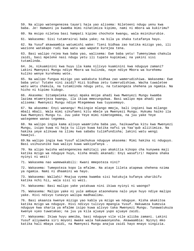59. Na alipo watengenezea tayari haja yao alisema: Nileteeni ndugu yenu kwa baba. Je! Hamwoni ya kwamba mimi ninatimiza kipimo, nami ni mbora wa kukirimu?

60. Na msipo niletea basi hampati kipimo chochote kwangu, wala msinikurubie.

61. Wakasema: Sisi tutamrairai baba yake; na bila ya shaka tutafanya hayo.

62. Na Yusuf akawaambia watumishi wake: Tieni bidhaa zao katika mizigo yao, ili wazione watakapo rudi kwa watu wao wapate kurejea tena.

63. Basi walipo rejea kwa baba yao, walisema: Ewe baba yetu! Tumenyimwa chakula zaidi, basi mpeleke nasi ndugu yetu ili tupate kupimiwa; na yakini sisi tutamlinda.

64. Je, nikuaminini kwa huyu ila kama nilivyo kuaminini kwa nduguye zamani? Lakini Mwenyezi Mungu ndiye Mbora wa kulinda, naye ndiye Mbora wa kurehemu kuliko wenye kurehemu wote.

65. Na walipo fungua mizigo yao wakakuta bidhaa zao wamerudishiwa. Wakasema: Ewe baba yetu! Tutake nini zaidi? Hizi bidhaa zetu tumerudishiwa. Wacha tuwaletee watu wetu chakula, na tutamlinda ndugu yetu, na tutaongeza shehena ya ngamia. Na hicho ni kipimo kidogo.

66. Akasema: Sitampeleka nanyi mpaka mnipe ahadi kwa Mwenyezi Mungu kwamba lazima mtamrejeza kwangu, ila ikiwa mmezungukwa. Basi walipo mpa ahadi yao alisema: Mwenyezi Mungu ndiye Mtegemewa kwa tuyasemayo.

67. Na akasema: Enyi wanangu! Msiingie mlango mmoja, bali ingieni kwa milango mbali mbali. Wala mimi sikufaeni kitu mbele ya Mwenyezi Mungu. Hukumu haiko ila kwa Mwenyezi Mungu tu. Juu yake Yeye mimi nimetegemea, na juu yake Yeye wategemee wanao tegemea.

68. Na walipo ingia kama alivyo waamrisha baba yao, haikuwafaa kitu kwa Mwenyezi Mungu, isipo kuwa ni haja tu iliyo kuwa katika nafsi ya Yaa'qub aliitimiza. Na hakika yeye alikuwa na ilimu kwa sababu tulimfundisha; lakini watu wengi hawajui.

69.Na walipo ingia kwa Yusuf alimchukua nduguye akasema: Mimi hakika ni nduguyo. Basi usihuzunike kwa waliyo kuwa wakiyafanya .

70. Na alipo kwisha watengenezea mahitaji yao akakitia kikopo cha kunywea maji katika mzigo wa nduguye huyo, kisha mnadi akanadi: Enyi wasafiri! Hapana shaka nyinyi ni wezi!

71. Wakasema nao wamewakabili: Kwani mmepoteza nini?

72. Wakasema: Tumepoteza kopo la mfalme. Na ataye lileta atapewa shehena nzima ya ngamia. Nami ni dhaamini wa hayo.

73. Wakasema: Wallahi! Mnajua vyema kwamba sisi hatukuja kufanya uharibifu katika nchi hii, wala sisi si wezi.

74. Wakasema: Basi malipo yake yatakuwa nini ikiwa nyinyi ni waongo?

75. Wakasema: Malipo yake ni yule ambaye ataonekana nalo yeye huyo ndiye malipo yake. Hivi ndivyo tunavyo walipa madhaalimu.

76. Basi akaanza kwenye mizigo yao kabla ya mzigo wa nduguye. Kisha akakitoa katika mzigo wa nduguye. Hivi ndivyo tulivyo mpangia Yusuf. Hakuweza kumzuia nduguye kwa sharia ya mfalme isipo kuwa alivyo taka Mwenyezi Mungu. Tunawatukuza kwenye vyeo tuwatakao; na juu ya kila ajuaye yupo ajuaye zaidi.

77. Wakasema: Ikiwa huyu ameiba, basi nduguye vile vile aliiba zamani. Lakini Yusuf aliyaweka siri moyoni mwake wala hakuwaonyesha. Akawaambia: Nyinyi mko katika hali mbaya zaidi, na Mwenyezi Mungu anajua zaidi hayo mnayo singizia.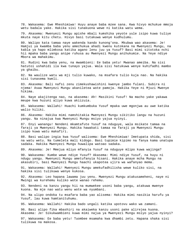78. Wakasema: Ewe Mheshimiwa! Huyu anaye baba mzee sana. Kwa hivyo mchukue mmoja wetu badala yake. Hakika sisi tunakuona wewe ni katika watu wema.

79. Akasema: Mwenyezi Mungu apishe mbali kumshika yeyote yule isipo kuwa tuliye mkuta naye kitu chetu. Hivyo basi tutakuwa wenye kudhulumu.

80. Walipo kata tamaa naye wakenda kando kunong'ona. Mkubwa wao akasema: Je! Hamjui ya kwamba baba yenu amechukua ahadi kwenu kutokana na Mwenyezi Mungu, na kabla ya hapo mlimkosa katika agano lenu juu ya Yusuf? Basi mimi sitotoka nchi hii mpaka baba yangu anipe ruhusa au Mwenyezi Mungu anihukumie. Na Yeye ndiye Mbora wa mahakimu.

81. Rudini kwa baba yenu, na mwambieni: Ee baba yetu! Mwanao ameiba. Na sisi hatutoi ushahidi ila kwa tunayo yajua. Wala sisi hatukuwa wenye kuhifadhi mambo ya ghaibu.

82. Na waulize watu wa mji tulio kuwako, na msafara tulio kuja nao. Na hakika sisi tunasema kweli.

83. Akasema: Bali nafsi zenu zimekushawishini kwenye jambo fulani. Subira ni njema! Asaa Mwenyezi Mungu akaniletea wote pamoja. Hakika Yeye ni Mjuzi Mwenye hikima.

84. Naye akajitenga nao, na akasema: Ah! Masikini Yusuf! Na macho yake yakawa meupe kwa huzuni aliyo kuwa akiizuia.

85. Wakasema: Wallahi! Huachi kumkumbuka Yusuf mpaka uwe mgonjwa au uwe katika walio hiliki.

86. Akasema: Hakika mimi namshitakia Mwenyezi Mungu sikitiko langu na huzuni yangu. Na ninajua kwa Mwenyezi Mungu msiyo yajua nyinyi.

87. Enyi wanangu! Nendeni mkamtafute Yusuf na nduguye, wala msikate tamaa na faraji ya Mwenyezi Mungu. Hakika hawakati tamaa na faraji ya Mwenyezi Mungu isipo kuwa watu makafiri.

88. Basi walipo ingia kwa Yusuf walisema: Ewe Mheshimiwa! Imetupata shida, sisi na watu wetu. Na tumeleta mali kidogo. Basi tupimie kipimo na fanya kama unatupa sadaka. Hakika Mwenyezi Mungu huwalipa watoao sadaka.

89. Akasema: Je! Mmejua mliyo mfanyia Yusuf na nduguye mlipo kuwa wajinga?

90. Wakasema: Kumbe wewe ndiye Yusuf? Akasema: Mimi ndiye Yusuf, na huyu ni ndugu yangu. Mwenyezi Mungu ametufanyia hisani. Hakika anaye mcha Mungu na akasubiri, basi Mwenyezi Mungu haachi ukapotea ujira wa wafanyao mema.

91. Wakasema: Wallahi! Mwenyezi Mungu amekufadhilisha wewe kuliko sisi, na hakika sisi tulikuwa wenye kukosa.

92. Akasema: Leo hapana lawama juu yenu. Mwenyezi Mungu atakusameheni, naye ni Mwingi wa kurehemu kuliko wote wanao rehemu.

93. Nendeni na kanzu yangu hii na mumwekee usoni baba yangu, atakuwa mwenye kuona. Na mje nao watu wenu wote wa nyumbani.

94. Na ulipo ondoka tu msafara baba yao alisema: Hakika mimi nasikia harufu ya Yusuf, lau kuwa hamtanituhumu.

95. Wakasema: Wallahi! Hakika bado ungali katika upotovu wako wa zamani.

96. Basi alipo fika mbashiri na akaiweka kanzu usoni pake alirejea kuona. Akasema: Je! Sikukwambieni kuwa mimi najua ya Mwenyezi Mungu msiyo yajua nyinyi?

97. Wakasema: Ee baba yetu! Tuombee msamaha kwa dhambi zetu. Hapana shaka sisi tulikuwa na makosa.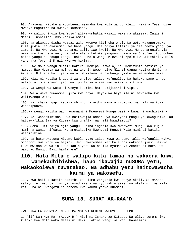98. Akasema: Nitakuja kuombeeni msamaha kwa Mola wangu Mlezi. Hakika Yeye ndiye Mwenye maghfira na Mwenye kusamehe.

99. Na walipo ingia kwa Yusuf aliwakumbatia wazazi wake na akasema: Ingieni Misri, Inshallah, mmo katika amani.

100. Na akawapandisha wazazi wake kwenye kiti cha enzi. Na wote wakaporomoka kumsujudia. Na akasema: Ewe baba yangu! Hii ndiyo tafsiri ya ile ndoto yangu ya zamani. Na Mwenyezi Mungu ameijaalia iwe kweli. Na Mwenyezi Mungu amenifanyia wema kunitoa gerezani, na kukuleteni kutoka jangwani baada ya Shet'ani kuchochea baina yangu na ndugu zangu. Hakika Mola wangu Mlezi ni Mpole kwa alitakalo. Bila ya shaka Yeye ni Mjuzi Mwenye hikima.

101. Ewe Mola wangu Mlezi! Hakika umenipa utawala, na umenifunza tafsiri ya mambo. Ewe Muumba wa mbingu na ardhi! Wewe ndiye Mlinzi wangu katika dunia na Akhera. Nifishe hali ya kuwa ni Muislamu na nichanganyishe na watendao mema.

102. Hizi ni katika khabari za ghaibu tulizo kufunulia. Na hukuwa pamoja nao walipo azimia shauri yao, walipo fanya njama zao wakizua vitimbi.

103. Na wengi wa watu si wenye kuamini hata ukijitahidi vipi..

104. Wala wewe huwaombi ujira kwa haya. Hayakuwa haya ila ni mawaidha kwa walimwengu wote.

105. Na ishara ngapi katika mbingu na ardhi wanazo zipitia, na hali ya kuwa wanazipuuza.

106.Na wengi katika wao hawamuamini Mwenyezi Mungu pasina kuwa ni washirikina.

107. Je! Wanaaminisha kuwa haitowajia adhabu ya Mwenyezi Mungu ya kuwagubika, au haitawafikia Saa ya Kiyama kwa ghafla, na hali hawatambui?

108. Sema: Hii ndiyo Njia yangu - ninalingania kwa Mwenyezi Mungu kwa kujua mimi na wanao nifuata. Na ametakasika Mwenyezi Mungu! Wala mimi si katika washirikina.

109. Na hatukuwatuma Mitume kabla yako isipo kuwa wanaume tulio wafunulia wahyi miongoni mwa watu wa mijini. Je! Hawatembei katika ardhi wakaona jinsi ulivyo kuwa mwisho wa walio kuwa kabla yao? Na hakika nyumba ya Akhera ni bora kwa wamchao Mungu. Basi hamfahamu?

# **110. Hata Mitume walipo kata tamaa na wakaona kuwa wamekadhibishwa, hapo ikawajia nuSURA yetu, wakaokolewa tuwatakao. Na adhabu yetu haitowawacha kaumu ya wakosefu.**

111. Kwa hakika katika hadithi zao limo zingatio kwa wenye akili. Si maneno yaliyo zuliwa, bali ni ya kusadikisha yaliyo kabla yake, na ufafanuzi wa kila kitu, na ni uwongofu na rehema kwa kaumu yenye kuamini.

### **SURA 13. SURAT AR-RAA'D**

KWA JINA LA MWENYEZI MUNGU MWINGI WA REHEMA MWENYE KUREHEMU

1. Alif Lam Mym Ra. (A.L.M.R.) Hizi ni Ishara za Kitabu. Na uliyo teremshiwa kutoka kwa Mola wako Mlezi ni Haki. Lakini wengi wa watu hawaamini.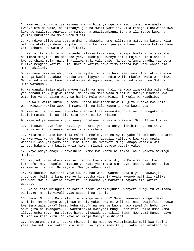2. Mwenyezi Mungu aliye ziinua mbingu bila ya nguzo mnazo ziona, ametawala kwenye Ufalme wake, na amefanya jua na mwezi yamt'ii, kila kimoja kinakwenda kwa kiwango maalumu. Anayapanga mambo, na anazipambanua Ishara ili mpate kuwa na yakini kukutana na Mola wenu Mlezi.

3. Na ndiye aliye itandaza ardhi na akaweka humo milima na mito. Na katika kila matunda akafanya dume na jike. Huufunika usiku juu ya mchana. Hakika katika haya zimo Ishara kwa watu wanao fikiri.

4. Na katika ardhi vimo vipande vilivyo karibiana, na zipo bustani za mizabibu, na mimea mingine, na mitende yenye kuchipua kwenye shina moja na isio chipua kwenye shina moja, nayo inatiliwa maji yale yale. Na tunaifanya baadhi yao bora kuliko mengine katika kula. Hakika katika hayo zimo ishara kwa watu wanao tia mambo akilini.

5. Na kama ukistaajabu, basi cha ajabu zaidi ni huo usemi wao: Ati tukisha kuwa mchanga kweli tutakuwa katika umbo jipya? Hao ndio walio mkufuru Mola wao Mlezi. Na hao ndio watao kuwa na makongwa shingoni mwao, na hao ndio watu wa Motoni. Humo watadumu.

6. Na wanakuhimiza ulete maovu kabla ya mema, hali ya kuwa zimekwisha pita kabla yao adhabu za kupigiwa mfano. Na hakika Mola wako Mlezi ni Mwenye msamaha kwa watu juu ya udhalimu wao. Na hakika Mola wako Mlezi ni Mkali wa kuadhibu.

7. Na wale walio kufuru husema: Mbona hakuteremshiwa muujiza kutoka kwa Mola wake Mlezi? Hakika wewe ni Mwonyaji, na kila kaumu ina wa kuwaongoa.

8. Mwenyezi Mungu anajua mimba abebayo kila mwanamke, na kinacho punguka na kuzidi matumboni. Na kila kitu kwake ni kwa kipimo.

9. Yeye ndiye Mwenye kujua yanayo onekana na yasio onekana; Mkuu Aliye tukuka.

10. Ni sawa anaye ficha kauli yake kati yenu na anaye idhihirisha, na anaye jibanza usiku na anaye tembea jahara mchana.

11. Kila mtu analo kundi la malaika mbele yake na nyuma yake linamlinda kwa amri ya Mwenyezi Mungu. Hakika Mwenyezi Mungu habadili yaliyoko kwa watu mpaka wabadili wao yaliyomo naf- sini mwao. Na Mwenyezi Mungu anapo watakia watu adhabu hakuna cha kuzuia wala hawana mlinzi yeyote badala yake.

12. Yeye ndiye anaye kuonyesheni umeme kwa khofu na tamaa, na huyaleta mawingu mazito.

13. Na radi inamtakasa Mwenyezi Mungu kwa kumhimidi, na Malaika pia, kwa kumkhofu. Naye hupeleka mapigo ya radi yakampata amtakaye. Nao wanabishana juu ya Mwenyezi Mungu. Na Yeye ni Mwenye adhabu kali!

14. Wa kuombwa kweli ni Yeye tu. Na hao wanao waomba badala yake hawawajibu chochote; bali ni kama mwenye kunyoosha viganja vyake kwenye maji ili yafike kinywani mwake, lakini hayafiki. Na maombi ya makafiri hayako ila katika upotovu.

15. Na viliomo mbinguni na katika ardhi vinamsujudia Mwenyezi Mungu tu vikitaka visitake. Na pia vivuli vyao asubuhi na jioni.

16. Sema: Ni nani Mola Mlezi wa mbingu na ardhi? Sema: Mwenyezi Mungu. Sema: Basi je, mnawafanya wenginewe badala yake kuwa ni walinzi, nao hawajifai wenyewe kwa jema wala baya? Sema: Hebu kipofu na mwenye kuona huwa sawa? Au hebu huwa sawa giza na mwangaza? Au wamemfanyia Mwenyezi Mungu washirika walio umba kama alivyo umba Yeye, na viumbe hivyo vikawadanganyikia? Sema: Mwenyezi Mungu ndiye Muumba wa kila kitu. Na Yeye ni Mmoja Mwenye kushinda!

17. Ameteremsha maji kutoka mbinguni. Na mabonde yakamiminika maji kwa kadiri yake. Na mafuriko yakachukua mapovu yaliyo kusanyika juu yake. Na kutokana na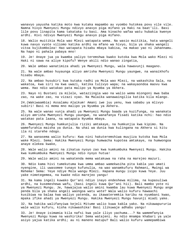wanavyo yayusha katika moto kwa kutaka mapambo au vyombo hutokea povu vile vile. Namna hivyo Mwenyezi Mungu ndivyo anavyo piga mifano ya Haki na baat'ili. Basi lile povu linapita kama takataka tu basi. Ama kinacho wafaa watu hubakia kwenye ardhi. Hivi ndivyo Mwenyezi Mungu anavyo piga mifano.

18. Walio muitikia Mola wao Mlezi watapata wema. Na wasio muitikia, hata wangeli kuwa navyo vyote viliomo katika ardhi na mfano wa hivyo, bila ya shaka wangeli vitoa kujikombolea! Hao watapata hisabu mbaya kabisa, na makao yao ni Jahannamu. Na hapo ni pahala pabaya mno!

19. Je! Anaye jua ya kwamba yaliyo teremshwa kwako kutoka kwa Mola wako Mlezi ni Haki ni sawa na aliye kipofu? Wenye akili ndio wanao zingatia,

20. Wale ambao wanatimiza ahadi ya Mwenyezi Mungu, wala hawavunji maagano.

21. Na wale ambao huyaunga aliyo amrisha Mwenyezi Mungu yaungwe, na wanaikhofu hisabu mbaya.

22. Na ambao husubiri kwa kutaka radhi ya Mola wao Mlezi, na wakashika Sala, na wakatoa, kwa siri na kwa uwazi, katika tulivyo wapa; na wakayaondoa maovu kwa wema. Hao ndio watakao pata malipo ya Nyumba ya Akhera.

23. Nayo ni Bustani za milele, wataziingia wao na walio wema miongoni mwa baba zao, na wake zao, na vizazi vyao. Na Malaika wanawaingilia katika kila mlango.

24.(Wakiwaambia) Assalamu Alaikum! Amani iwe juu yenu, kwa sababu ya mlivyo subiri! Basi ni mema mno malipo ya Nyumba ya Akhera.

25. Na wale wanao vunja ahadi ya Mwenyezi Mungu baada ya kuzifunga, na wanakata aliyo amrisha Mwenyezi Mungu yaungwe, na wanafanya fisadi katika nchi: hao ndio watakao pata laana, na watapata Nyumba mbaya.

26. Mwenyezi Mungu humkunjulia riziki amtakaye, na humkunjia kwa kipimo. Na wamefurahia maisha ya dunia. Na uhai wa dunia kwa kulingana na Akhera si kitu ila ni starehe ndogo.

27. Na wanasema walio kufuru: Kwa nini hakuteremshiwa muujiza kutoka kwa Mola wake Mlezi. Sema: Hakika Mwenyezi Mungu humwacha kupotea amtakaye, na humwongoa anaye elekea kwake,

28. Wale walio amini na zikatua nyoyo zao kwa kumkumbuka Mwenyezi Mungu. Hakika kwa kumkumbuka Mwenyezi Mungu ndio nyoyo hutua!

29. Wale walio amini na wakatenda mema watakuwa na raha na marejeo mazuri.

30. Ndio kama hivi tumekutuma kwa umma ambao wamekwsiha pita kabla yao umati nyengine, ili uwasomee tunayo kufunulia, na wao wanamkufuru Rahmani, Mwingi wa Rehema! Sema: Yeye ndiye Mola wangu Mlezi. Hapana mungu isipo kuwa Yeye. Juu yake nimetegemea, na kwake ndio marejeo yangu!

31. Na kama ingeli kuwako Qur'ani ndiyo inayo endeshewa milima, na kupasuliwa ardhi, na kusemeshewa wafu, (basi ingeli kuwa Qur'ani hii). Bali mambo yote ni ya Mwenyezi Mungu. Je, hawajajua walio amini kwamba lau kuwa Mwenyezi Mungu ange penda bila ya shaka angeli waongoa watu wote? Wala walio kufuru hawaachi kusibiwa na balaa kwa waliyo yatenda, au ikawateremkia karibu na nyumbani kwao, mpaka ifike ahadi ya Mwenyezi Mungu. Hakika Mwenyezi Mungu havunji miadi yake.

32. Na hakika walifanyiwa kejeli Mitume walio kuwa kabla yako. Na nikawapururia wale walio kufuru, kisha nikawashika! Basi ilikuwaje adhabu yangu!

33. Je! Anaye isimamia kila nafsi kwa yale iliyo yachuma...? Na wamemfanyia Mwenyezi Mungu kuwa na washirika! Sema watajeni. Au ndio mnampa khabari ya yale asiyo yajua katika ardhi; au ni maneno matupu? Bali walio kufuru wamepambiwa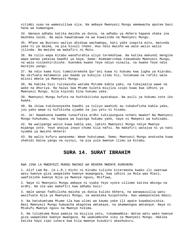vitimbi vyao na wamezuiliwa njia. Na ambaye Mwenyezi Mungu amemwacha apotee basi hana wa kumwongoa.

34. Wanayo adhabu katika maisha ya dunia, na adhabu ya Akhera hapana shaka ina mashaka zaidi. Na wala hawatakuwa na wa kuwalinda na Mwenyezi Mungu.

35. Mfano wa Bustani waliyo ahidiwa wachamngu, kati yake inapita mito, matunda yake ni ya daima, na pia kivuli chake. Huu ndio mwisho wa wale walio walio jilinda. Na mwisho wa makafiri ni Moto.

36. Na tulio wapa Kitabu wanafurahia uliyo teremshiwa. Na katika makundi mengine wapo wanao yakataa baadhi ya haya. Sema: Nimeamrishwa nimuabudu Mwenyezi Mungu, na wala nisimshirikishe. Kuendea kwake Yeye ndiyo ninaita, na kwake Yeye ndio marejeo yangu.

37. Na ndio kama hivi tumeiteremsha Qur'ani kuwa ni hukumu kwa lugha ya Kiarabu. Na ukifuata matamanio yao baada ya kukujia ilimu hii, hutakuwa na rafiki wala mlinzi mbele ya Mwenyezi Mungu.

38. Na hakika Sisi tulikwisha watuma Mitume kabla yako, na tukajaalia wawe na wake na dhuriya. Na haiwi kwa Mtume kuleta miujiza isipo kuwa kwa idhini ya Mwenyezi Mungu. Kila kipindi kina hukumu yake.

39. Mwenyezi Mungu hufuta na huthibitisha ayatakayo. Na asili ya hukumu zote iko kwake.

40. Na ikiwa tukikuonyesha baadhi ya tuliyo waahidi au tukakufisha kabla yake, juu yako wewe ni kufikisha ujumbe na juu yetu ni hisabu.

41. Je! Hawakuona kwamba tunaifikia ardhi tukiipunguza nchani mwake? Na Mwenyezi Mungu huhukumu, na hapana wa kupinga hukumu yake, naye ni Mwepesi wa kuhisabu.

42. Na walipanga walio kuwa kabla yao, lakini Mwenyezi Mungu ndiye Mwenye mipango yote. Yeye anajua inayo chuma kila nafsi. Na makafiri watajua ni ya nani nyumba ya mwisho Akhera!

43. Na walio kufuru wanasema: Wewe hukutumwa. Sema: Mwenyezi Mungu anatosha kuwa shahidi baina yangu na nyinyi, na pia yule mwenye ilimu ya Kitabu.

### **SURA 14. SURAT IBRAHIM**

KWA JINA LA MWENYEZI MUNGU MWINGI WA REHEMA MWENYE KUREHEMU

1. Alif Lam Ra. (A.L.R.) Hichi ni Kitabu tulicho kiteremsha kwako ili uwatowe watu kwenye giza uwapeleke kwenye muwangaza, kwa idhini ya Mola wao Mlezi, uwafikishe kwenye Njia ya Mwenye nguvu, Msifiwa,

2. Naye ni Mwenyezi Mungu ambaye ni vyake Yeye vyote viliomo katika mbingu na ardhi. Na ole wao makafiri kwa adhabu kali!

3. Wale wanao fadhilisha maisha ya dunia kuliko Akhera, na wanawazuilia watu wasifuate Njia ya Mwenyezi Mungu, na wanataka kuipotosha. Hao wamepotelea mbali.

4. Na hatukumtuma Mtume ila kwa ulimi wa kaumu yake ili apate kuwabainishia. Basi Mwenyezi Mungu humuacha akapotea amtakaye, na akamwongoa amtakaye. Naye ni Mtukufu Mwenye nguvu na Mwenye hikima.

5. Na tulimtuma Musa pamoja na miujiza yetu, tukamwambia: Watoe watu wako kwenye giza uwapeleke kwenye mwangaza. Na uwakumbushe siku za Mwenyezi Mungu. Hakika katika hayo zipo ishara kwa kila mwenye kusubiri akashukuru.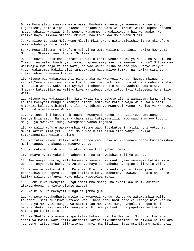6. Na Musa alipo waambia watu wake: Kumbukeni neema ya Mwenyezi Mungu aliyo kujaalieni, pale alipo kuokoeni kutokana na watu wa Firauni walio kupeni adhabu mbaya kabisa, wakiwachinja wenenu wanaume, na wakiwawacha hai wanawake. Na katika hayo ulikuwa mtihani mkubwa unao toka kwa Mola wenu Mlezi.

7. Na alipo tangaza Mola wenu Mlezi: Mkishukuru nitakuzidishieni; na mkikufuru, basi adhabu yangu ni kali.

8. Na Musa alisema: Mkikufuru nyinyi na wote waliomo duniani, hakika Mwenyezi Mungu ni Mkwasi, Anajitosha, Msifiwa.

9. Je! Hazikukufikieni khabari za walio kabla yenu? Kaumu ya Nuhu, na A'adi, na Thamud, na walio baada yao, ambao hapana awajuaye ila Mwenyezi Mungu? Mitume wao waliwajia kwa hoja zilizo wazi, na wao wakarudisha mikono yao kwenye vinywa vyao, wakasema: Hakika sisi tumeyakataa hayo mliyo tumwa, na hakika sisi tuna shaka kubwa na mnayo tuitia.

10. Mitume wao wakasema: Ati pana shaka na Mwenyezi Mungu, Muumba mbingu na ardhi? Yeye anakuiteni apate kukufutieni madhambi yenu, na akupeni muhula mpaka muda ulio wekwa. Wakasema: Nyinyi si chochote ila ni wanaadamu kama sisi. Mnataka kutuzuilia na waliyo kuwa wakiabudu baba zetu. Basi tuleteeni hoja ilio wazi.

11. Mitume wao wakawaambia: Sisi kweli si chochote ila ni wanaadamu kama nyinyi. Lakini Mwenyezi Mungu humfanyia hisani amtakaye katika waja wake. Wala sisi hatuwezi kuleta uthibitisho ila kwa idhini ya Mwenyezi Mungu. Na juu ya Mwenyezi Mungu ndio wategemee Waumini.

12. Na tuna nini hata tusimtegemee Mwenyezi Mungu, na hali Yeye ametuongoa kwenye Njia zetu. Na hapana shaka sisi tutayavumilia hayo maudhi mnayo tuudhi. Na juu ya Mwenyezi Mungu wategemee wanao tegemea.

13. Na walio kufuru wakawaambia Mitume wao: Tutakutoeni katika nchi yetu, au mrudi katika mila yetu. Basi Mola wao Mlezi aliwaletea wahyi: Hakika tutawaangamiza walio dhulumu!

14. Na tutakuwekeni katika ardhi baada yao. Haya ni kwa anaye ogopa kusimamishwa mbele yangu, na akaogopa maonyo yangu.

15. Na wakaomba ushindi, na akashindwa kila jabari mkaidi,

16. Ambaye nyuma yake ipo Jahannamu, na atanywishwa maji ya usaha.

17. Awe anayagugumia, wala hawezi kuyameza. Na mauti yawe yanamjia kutoka kila upande, naye wala hafi. Na zaidi ya hayo ipo adhabu nyengine kali vile vile.

18. Mfano wa walio mkufuru Mola wao Mlezi - vitendo vyao ni kama jivu linalo peperushwa kwa nguvu za upepo katika siku ya mdharba. Hawawezi kupata chochote katika waliyo yafanya. Huko ndiko kupotelea mbali!

19. Huoni kuwa Mwenyezi Mungu ameziumba mbingu na ardhi kwa Haki? Akitaka atakuondoeni na alete viumbe wapya!

20. Na hilo kwa Mwenyezi Mungu si jambo gumu.

21. Na wote watahudhuria mbele ya Mwenyezi Mungu. Wanyonge watawaambia walio takabari: Sisi tulikuwa wafwasi wenu; basi hebu hamtuondolei kidogo hivi katika adhabu ya Mwenyezi Mungu? Watasema: Lau Mwenyezi Mungu angeli tuongoa basi hapana shaka nasi tungeli kuongoeni. Ni mamoja kwetu tukipapatika au tukisubiri; hatuna pa kukimbilia.

22. Na Shet'ani atasema itapo katwa hukumu: Hakika Mwenyezi Mungu alikuahidini ahadi ya kweli. Nami nalikuahidini; lakini sikukutimizieni. Na sikuwa na mamlaka juu yenu, isipo kuwa nilikuiteni, nanyi mkaniitikia. Basi msinilaumu mimi, bali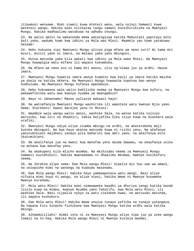jilaumuni wenyewe. Mimi siwezi kuwa mtetezi wenu, wala nyinyi hamwezi kuwa watetezi wangu. Hakika mimi nilikataa tangu zamani kunishirikisha na Mwenyezi Mungu. Hakika madhaalimu watakuwa na adhabu chungu.

23. Na walio amini na wakatenda mema wataingizwa katika Mabustani yapitayo mito kati yake, wadumu humo kwa idhini ya Mola wao Mlezi. Maamkio yao humo yatakuwa: Salaam!

24. Hebu hukuona vipi Mwenyezi Mungu alivyo piga mfano wa neno zuri? Ni kama mti mzuri, mizizi yake ni imara, na matawi yake yako mbinguni.

25. Hutoa matunda yake kila wakati kwa idhini ya Mola wake Mlezi. Na Mwenyezi Mungu huwapigia watu mifano ili wapate kukumbuka.

26. Na mfano wa neno ovu ni kama mti muovu, ulio ng'olewa juu ya ardhi. Hauna imara.

27. Mwenyezi Mungu huwatia imara wenye kuamini kwa kauli ya imara katika maisha ya dunia na katika Akhera. Na Mwenyezi Mungu huwaacha kupotea hao wenye kudhulumu. Na Mwenyezi Mungu hufanya apendavyo.

28. Hebu hukuwaona wale walio badilisha neema ya Mwenyezi Mungu kwa kufuru, na wakawafikisha watu wao kwenye nyumba ya maangamizo?

29. Nayo ni Jahannamu! Maovu yaliyoje makaazi hayo!

30. Na walimfanyia Mwenyezi Mungu washirika ili wapoteze watu kwenye Njia yake. Sema: Stareheni! Kwani marejeo yenu ni Motoni!

31. Waambie waja wangu walio amini, washike Sala, na watoe katika tulivyo waruzuku, kwa siri na dhaahiri, kabla haijafika Siku isiyo kuwa na biashara wala urafiki.

32. Mwenyezi Mungu ndiye aliye ziumba mbingu na ardhi, na akateremsha maji kutoka mbinguni. Na kwa hayo akatoa matunda kuwa ni riziki yenu. Na akafanya yakutumikieni majahazi yanayo pita baharini kwa amri yake, na akaifanya mito ikutumikieni.

33. Na akalifanya jua na mwezi kwa manufaa yenu daima dawamu, na akaufanya usiku na mchana kwa manufaa yenu.

34. Na akakupeni kila mlicho muomba. Na mkihisabu neema za Mwenyezi Mungu hamwezi kuzidhibiti. Hakika mwanaadamu ni dhaalimu mkubwa, mwenye kuzikufuru neema.

35. Na Ibrahim alipo sema: Ewe Mola wangu Mlezi! Ujaalie mji huu uwe wa amani, na uniepushe mimi na wanangu na kuabudu masanamu.

36. Ewe Mola wangu Mlezi! Hakika hayo yamewapoteza watu wengi. Basi aliye nifuata mimi huyo ni wangu, na aliye niasi, hakika Wewe ni Mwenye kusamehe Mwenye kurehemu.

37. Mola wetu Mlezi! Hakika mimi nimewaweka baadhi ya dhuriya zangu katika bonde lisilo kuwa na mimea, kwenye Nyumba yako Takatifu, ewe Mola wetu Mlezi, ili washike Sala. Basi zijaalie nyoyo za watu zielekee kwao, na waruzuku matunda, ili wapata kushukuru.

38. Ewe Mola wetu Mlezi! Hakika Wewe unajua tunayo yaficha na tunayo yatangaza. Na hapana kitu kinacho fichikana kwa Mwenyezi Mungu katika ardhi wala katika mbingu.

39. Alhamdulillahi! Himdi zote ni za Mwenyezi Mungu aliye nipa juu ya uzee wangu Ismail na Is-haq. Hakika Mola wangu Mlezi ni Mwenye kusikia maombi.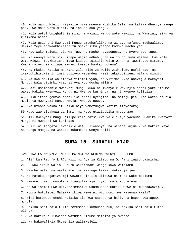40. Mola wangu Mlezi! Nijaalie niwe mwenye kushika Sala, na katika dhuriya zangu pia. Ewe Mola wetu Mlezi, na ipokee dua yangu.

41. Mola wetu! Unighufirie mimi na wazazi wangu wote wawili, na Waumini, siku ya kusimama hisabu.

42. Wala usidhani Mwenyezi Mungu ameghafilika na wanayo yafanya madhaalimu. Hakika Yeye anawaakhirisha tu mpaka siku yatapo kodoka macho yao.

43. Nao wako mbioni, vichwa juu, na macho hayapepesi, na nyoyo zao tupu.

44. Na waonye watu siku itapo wajia adhabu, na walio dhulumu waseme: Ewe Mola wetu Mlezi! Tuakhirishe muda kidogo tuitikie wito wako na tuwafuate Mitume. Kwani nyinyi si mliapa zamani kwamba hamtaondokewa?

45. Na mkakaa katika maskani zile zile za walio zidhulumu nafsi zao. Na ikakudhihirikieni jinsi tulivyo watendea. Nasi tukakupigieni mifano mingi.

46. Na kwa hakika walifanya vitimbi vyao, na vitimbi vyao anavijua Mwenyezi Mungu. Wala vitimbi vyao si vya kuondosha milima.

47. Basi usimdhanie Mwenyezi Mungu kuwa ni mwenye kuwavunjia ahadi yake Mitume wake. Hakika Mwenyezi Mungu ni Mwenye kushinda, na ni Mwenye kulipiza.

48. Siku itapo geuzwa ardhi iwe ardhi nyengine, na mbingu pia. Nao watahudhuria mbele ya Mwenyezi Mungu Mmoja, Mwenye nguvu.

49. Na utaona wakhalifu siku hiyo wamefungwa katika minyororo;

50 Nguo zao zitakuwa za lami, na Moto utazigubika nyuso zao.

51. Ili Mwenyezi Mungu ailipe kila nafsi kwa yale iliyo yachuma. Hakika Mwenyezi Mungu ni Mwepesi wa kuhisabu.

52. Hili ni Tangazo liwafikie watu, liwaonye, na wapate kujua kuwa hakika Yeye ni Mungu Mmoja, na wapate kukumbuka wenye akili.

## **SURA 15. SURATUL HIJR**

KWA JINA LA MWENYEZI MUNGU MWINGI WA REHEMA MWENYE KUREHEMU

1. Alif Lam Ra. (A.L.R). Hizi ni Aya za Kitabu na Qur'ani inayo bainisha.

2. HUENDA ikawa walio kufuru wakatamani wange kuwa Waislamu.

3. Waache wale, na wastarehe, na iwazuge tamaa. Watakuja jua.

4. Na hatukuuangamiza mji wowote ule ila ulikuwa na muda wake maalumu.

5. Hawawezi watu wowote kuitangulia ajali yao, wala kuchelewa.

6. Na walisema: Ewe uliyeteremshiwa Ukumbusho! Hakika wewe ni mwendawazimu.

7. Mbona hutuletei Malaika ikiwa wewe ni miongoni mwa wasemao kweli?

8. Sisi hatuwateremshi Malaika ila kwa sababu ya haki, na hapo hawatapewa muhula.

9. Hakika Sisi ndio tulio teremsha Ukumbusho huu, na hakika Sisi ndio tutao ulinda.

10. Na hakika tulikwisha watumia Mitume mataifa ya mwanzo.

11. Na hakuwafikia Mtume ila walimkejeli.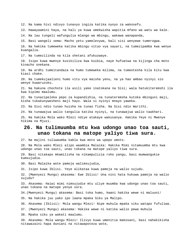12. Na kama hivi ndivyo tunavyo ingiza katika nyoyo za wakosefu.

13. Hawayaamini haya, na hali ya kuwa umekwisha wapitia mfano wa watu wa kale.

14. Na lau tungeli wafungulia mlango wa mbingu, wakawa wanapanda,

15. Basi wangeli sema: Macho yetu yamelevywa, bali sisi wenyewe tumerogwa.

16. Na hakika tumeweka katika mbingu vituo vya sayari, na tumezipamba kwa wenye kuangalia.

17. Na tumezilinda na kila shetani afukuzwaye.

18. Isipo kuwa mwenye kusikiliza kwa kuibia, naye hufuatwa na kijinga cha moto kinacho onekana.

19. Na ardhi tumeitandaza na humo tumeweka milima, na tumeotesha kila kitu kwa kiasi chake.

20. Na tumekujaalieni humo vitu vya maisha yenu, na ya hao ambao nyinyi sio wenye kuwaruzuku.

21. Na hakuna chochote ila asili yake inatokana na Sisi; wala hatukiteremshi ila kwa kipimo maalumu.

22. Na tunazipeleka pepo za kupandishia, na tunateremsha kutoka mbinguni maji, kisha tukakunywesheni maji hayo. Wala si nyinyi mnayo yaweka.

23. Na Sisi ndio tunao huisha na tunao fisha. Na Sisi ndio Warithi.

24. Na tunawajua walio tangulia katika nyinyi, na tunawajua walio taakhari.

25. Na hakika Mola wako Mlezi ndiye atakaye wakusanya. Hakika Yeye ni Mwenye hikima na Mjuzi.

# **26. Na tulimuumba mtu kwa udongo unao toa sauti, unao tokana na matope yaliyo tiwa sura.**

27. Na majini tuliwaumba kabla kwa moto wa upepo umoto.

28. Na Mola wako Mlezi alipo waambia Malaika: Hakika Mimi nitamuumba mtu kwa udongo unao toa sauti, unao tokana na matope yaliyo tiwa sura.

29. Basi nitakapo mkamilisha na nikampulizia roho yangu, basi mumwangukie kumsujudia.

30. Basi Malaika wote pamoja walimsujudia,

31. Isipo kuwa Iblisi. Yeye alikataa kuwa pamoja na walio sujudu.

32. (Mwenyezi Mungu) akasema: Ewe Iblisi! Una nini hata hukuwa pamoja na walio sujudu?

33. Akasema: Haiwi mimi nimsujudie mtu uliye muumba kwa udongo unao toa sauti, unao tokana na matope yenye sura.

34.(Mwenyezi Mungu) akasema: Basi toka humo, kwani hakika wewe ni maluuni!

35. Na hakika juu yako ipo laana mpaka Siku ya Malipo.

36. Akasema (Iblisi): Mola wangu Mlezi! Nipe muhula mpaka siku watapo fufuliwa.

37. (Mwenyezi Mungu) akasema: Hakika wewe ni katika walio pewa muhula

38. Mpaka siku ya wakati maalumu.

39. Akasema: Mola wangu Mlezi! Ilivyo kuwa umenitia makosani, basi nahakikisha nitawazaini hapa duniani na nitawapoteza wote,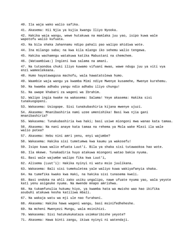40. Ila waja wako walio safika.

41. Akasema: Hii Njia ya kujia kwangu Iliyo Nyooka.

42. Hakika waja wangu, wewe hutakuwa na mamlaka juu yao, isipo kuwa wale wapotofu walio kufuata.

43. Na bila shaka Jahannamu ndipo pahali pao walipo ahidiwa wote.

44. Ina milango saba; na kwa kila mlango iko sehemu walio tengewa.

45. Hakika wachamngu watakuwa katika Mabustani na chemchem.

46. (Wataambiwa:) Ingieni kwa salama na amani.

47. Na tutaondoa chuki iliyo kuwamo vifuani mwao, wawe ndugu juu ya viti vya enzi wameelekeana.

48. Humo hayatawagusa machofu, wala hawatatolewa humo.

49. Waambie waja wangu ya kwamba Mimi ndiye Mwenye kusamehe, Mwenye kurehemu.

50. Na kwamba adhabu yangu ndio adhabu iliyo chungu!

51. Na uwape khabari za wageni wa Ibrahim.

52. Walipo ingia kwake na wakasema: Salama! Yeye akasema: Hakika sisi tunakuogopeni.

53. Wakasema: Usiogope. Sisi tunakubashiria kijana mwenye ujuzi.

54. Akasema: Mnanibashiria nami uzee umenishika! Basi kwa njia gani mnanibashiria?

55. Wakasema: Tunakubashiria kwa haki; basi usiwe miongoni mwa wanao kata tamaa.

56. Akasema: Na nani anaye kata tamaa na rehema ya Mola wake Mlezi ila wale walio potea?

57. Akasema: Hebu nini amri yenu, enyi wajumbe?

58. Wakasema: Hakika sisi tumetumwa kwa kaumu ya wakosefu!

59. Isipo kuwa walio mfuata Luut'i. Bila ya shaka sisi tutawaokoa hao wote.

60. Ila mkewe. Tunakadiria huyo atakuwa miongoni watao bakia nyuma.

61. Basi wale wajumbe walipo fika kwa Luut'i,

62. Alisema (Luut'i): Hakika nyinyi ni watu msio juulikana.

63. Wakasema: Bali sisi tumekuletea yale waliyo kuwa wakiyafanyia shaka.

64. Na tumefika kwako kwa Haki, na hakika sisi tunasema kweli.

65. Basi ondoka na ahli zako usiku ungalipo, nawe ufuate nyuma yao, wala yeyote kati yenu asigeuke nyuma. Na mwende mnapo amrishwa.

66. Na tukamfunulia hukumu hiyo, ya kwamba hata wa mwisho wao hao ikifika asubuhi atakuwa kesha katiliwa mbali.

67. Na wakaja watu wa mji ule nao furahani.

68. Akasema: Hakika hawa wageni wangu, basi msinifedheheshe.

69. Na mcheni Mwenyezi Mungu, wala msinihizi.

70. Wakasema: Sisi hatukukukataza usimkaribishe yeyote?

71. Akasema: Hawa binti zangu, ikiwa nyinyi ni watendaji.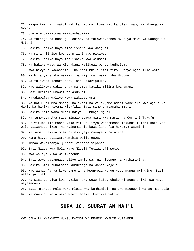72. Naapa kwa umri wako! Hakika hao walikuwa katika ulevi wao, wakihangaika ovyo.

73. Ukelele ukawatwaa wakipambaukiwa.

74. Na tukaigeuza nchi juu chini, na tukawanyeshea mvua ya mawe ya udongo wa Motoni.

75. Hakika katika hayo zipo ishara kwa waaguzi.

76. Na miji hii ipo kwenye njia inayo pitiwa.

77. Hakika katika hayo ipo ishara kwa Waumini.

78. Na hakika watu wa Kichakani walikuwa wenye kudhulumu.

79. Kwa hivyo tukawaadhibu. Na nchi mbili hizi ziko kwenye njia ilio wazi.

80. Na bila ya shaka wakaazi wa Hijr waliwakanusha Mitume.

81. Na tuliwapa ishara zetu, nao wakazipuuza.

82. Nao walikuwa wakichonga majumba katika milima kwa amani.

83. Basi ukelele ukawatwaa asubuhi.

84. Hayakuwafaa waliyo kuwa wakiyachuma.

85. Na hatukuziumba mbingu na ardhi na vilivyomo ndani yake ila kwa ajili ya Haki. Na hakika Kiyama kitafika. Basi samehe msamaha mzuri.

86. Hakika Mola wako Mlezi ndiye Muumbaji Mjuzi.

87. Na tumekupa Aya saba zinazo somwa mara kwa mara, na Qur'ani Tukufu.

88. Usivitumbulie macho yako vitu tulivyo waneemesha makundi fulani kati yao, wala usiwahuzunikie. Na wainamishie bawa lako (la huruma) Waumini.

89. Na sema: Hakika mimi ni mwonyaji mwenye kubainisha.

90. Kama hivyo tuliwateremshia walio gawa,

91. Ambao wakaifanya Qur'ani vipande vipande.

92. Basi Naapa kwa Mola wako Mlezi! Tutawahoji wote,

93. Kwa waliyo kuwa wakiyatenda.

94. Basi wewe yatangaze uliyo amrishwa, na jitenge na washirikina.

95. Hakika Sisi tunatosha kukukinga na wanao kejeli.

96. Hao wanao fanya kuwa pamoja na Mwenyezi Mungu yupo mungu mwingine. Basi, watakuja jua!

97. Na Sisi tunajua kwa hakika kuwa wewe kifua chako kinaona dhiki kwa hayo wayasemayo.

98. Basi mtakase Mola wako Mlezi kwa kumhimidi, na uwe miongoni wanao msujudia. 99. Na muabudu Mola wako Mlezi mpaka ikufikie Yakini.

# **SURA 16. SUURAT AN NAH'L**

KWA JINA LA MWENYEZI MUNGU MWINGI WA REHEMA MWENYE KUREHEMU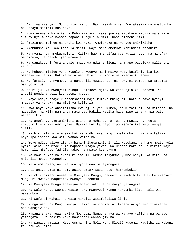1. Amri ya Mwenyezi Mungu itafika tu. Basi msiihimize. Ametakasika na Ametukuka na wanayo mshirikisha nayo.

2. Huwateremsha Malaika na Roho kwa amri yake juu ya amtakaye katika waja wake ili nyinyi muonye kwamba hapana mungu ila Mimi, basi nicheni Mimi.

3. Ameziumba mbingu na ardhi kwa Haki. Ametukuka na wanayo shirikisha.

4. Amemuumba mtu kwa tone la manii. Naye mara amekuwa mshindani dhaahiri.

5. Na nyama hoa amekuumbieni. Katika hao mna vifaa vya kutia joto, na manufaa mengineyo, na baadhi yao mnawala.

6. Na wanakupeni furaha pale mnapo warudisha jioni na mnapo wapeleka malishoni asubuhi.

7. Na hubeba mizigo yenu kupeleka kwenye miji msiyo weza kuifikia ila kwa mashaka ya nafsi. Hakika Mola wenu Mlezi ni Mpole na Mwenye kurehemu.

8. Na farasi, na nyumbu, na punda ili muwapande, na kuwa ni pambo. Na ataumba msivyo vijua.

9. Na ni juu ya Mwenyezi Mungu kuelekeza Njia. Na zipo njia za upotovu. Na angeli penda angeli kuongoeni nyote.

10. Yeye ndiye anaye kuteremshieni maji kutoka mbinguni. Katika hayo nyinyi mnapata ya kunywa, na miti ya kulishia.

11. Kwa hayo Yeye anaizalisha kwa ajili yenu mimea, na mizaituni, na mitende, na mizabibu, na kila namna ya matunda. Hakika katika haya zipo ishara kwa watu wanao fikiri.

12. Na amefanya ukutumikieni usiku na mchana, na jua na mwezi, na nyota zikutumikieni kwa amri yake. Hakika katika hayo zipo ishara kwa watu wenye akili.

13. Na hivi alivyo vieneza katika ardhi vya rangi mbali mbali. Hakika katika hayo ipo ishara kwa watu wanao waidhika.

14. Yeye ndiye aliye ifanya bahari ikutumikieni, ili kutokana na humo mpate kula nyama laini, na mtoe humo mapambo mnayo yavaa. Na unaona marikebu zikikata maji humo, ili mtafute fadhila yake, na mpate kushukuru.

15. Na kaweka katika ardhi milima ili ardhi isiyumbe yumbe nanyi. Na mito, na njia ili mpate kuongoka.

16. Na alama nyengine. Na kwa nyota wao wanajiongoza.

17. Ati anaye umba ni kama asiye umba? Basi hebu, hamkumbuki?

18. Na mkizihisabu neema za Mwenyezi Mungu, hamwezi kuzidhibiti. Hakika Mwenyezi Mungu ni Mwenye maghfira, Mwenye kurehemu.

19. Na Mwenyezi Mungu anayajua mnayo yaficha na mnayo yatangaza.

20. Na wale wanao waomba wasio kuwa Mwenyezi Mungu hawaumbi kitu, bali wao wameumbwa.

21. Ni wafu si wahai, na wala hawajui watafufuliwa lini.

22. Mungu wenu ni Mungu Mmoja. Lakini wasio iamini Akhera nyoyo zao zinakataa, nao wanajivuna.

23. Hapana shaka kuwa hakika Mwenyezi Mungu anayajua wanayo yaficha na wanayo yatangaza. Kwa hakika Yeye hawapendi wanao jivuna.

24. Na wanapo ambiwa: Kateremsha nini Mola wenu Mlezi? Husema: Hadithi za kubuni za watu wa kale!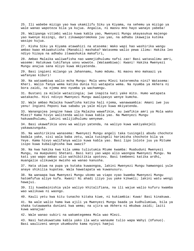25. Ili wabebe mizigo yao kwa ukamilifu Siku ya Kiyama, na sehemu ya mizigo ya wale wanao wapoteza bila ya kujua. Angalia, ni maovu mno hayo wanayo yabeba!

26. Walipanga vitimbi walio kuwa kabla yao, Mwenyezi Mungu akayasukua majengo yao kwenye misingi, dari zikawaporomokea juu yao, na adhabu ikawajia kutoka wasipo kujua.

27. Kisha Siku ya Kiyama atawahizi na atasema: Wako wapi hao washirika wangu ambao kwao mkiwakutisha (Manabii) mashaka? Watasema walio pewa ilimu: Hakika leo ndiyo hizaya na adhabu itawashukia makafiri,

28. Ambao Malaika waliwafisha nao wamejidhulumu nafsi zao! Basi watasalimu amri, waseme: Hatukuwa tukifanya uovu wowote. (Wataambiwa): Kwani! Hakika Mwenyezi Mungu anajua sana mliyo kuwa mkiyatenda.

29. Basi ingieni milango ya Jahannamu, humo mdumu. Ni maovu mno makaazi ya wafanyao kiburi!

30. Na wataambiwa walio mcha Mungu: Mola wenu Mlezi kateremsha nini? Watasema: Kheri. Walio fanya wema katika dunia hii watapata wema. Na nyumba ya Akhera ni bora zaidi, na njema mno nyumba ya wachamngu.

31. Bustani za milele wataziingia; iwe inapita kati yake mito. Humo watapata watakacho. Hivi ndivyo Mwenyezi Mungu awalipavyo wenye kumcha.

32. Wale ambao Malaika huwafisha katika hali njema, wanawaambia: Amani iwe juu yenu! Ingieni Peponi kwa sababu ya yale mliyo kuwa mkiyatenda.

33. Wanangojea jengine hawa ila Malaika wawafikie, au iwafikie amri ya Mola wako Mlezi? Kama hivyo walitenda walio kuwa kabla yao. Na Mwenyezi Mungu hakuwadhulumu, lakini walijidhulumu wenyewe.

34. Basi ukawafikia uovu wa waliyo yatenda, na waliyo kuwa wakiyakejeli yakawazunguka.

35. Na washirikina wanasema: Mwenyezi Mungu angeli taka tusingeli abudu chochote badala yake, sisi wala baba zetu, wala tusingeli harimisha chochote bila ya Yeye. Kama hivyo walifanya walio kuwa kabla yao. Basi lipo lolote juu ya Mitume isipo kuwa kubalighisha kwa uwazi?

36. Na kwa hakika kwa kila umma tuliutumia Mtume kwamba: Muabuduni Mwenyezi Mungu, na muepukeni Shetani. Basi kati yao wapo alio waongoa Mwenyezi Mungu. Na kati yao wapo ambao ulio wathibitikia upotovu. Basi tembeeni katika ardhi, muangalie ulikuwaje mwisho wa wanao kanusha.

37. Hata ukiwa na pupa ya kutaka kuwaongoa, lakini Mwenyezi Mungu hamwongoi yule anaye shikilia kupotea. Wala hawatapata wa kuwanusuru.

38. Na wanaapa kwa Mwenyezi Mungu ukomo wa viapo vyao kwamba Mwenyezi Mungu hatomfufua aliye kufa. Kwani! Ni ahadi iliyo juu yake kikweli; lakini watu wengi hawajui.

39. Ili kuwabainishia yale waliyo khitalifiana, na ili wajue walio kufuru kwamba wao walikuwa ni waongo.

40. Kauli yetu kwa kitu tunacho kitaka kiwe, ni kukiambia: Kuwa! Basi kinakuwa.

41. Na wale walio hama kwa ajili ya Mwenyezi Mungu baada ya kudhulumiwa, bila ya shaka tutawaweka duniani kwa wema; na ujira wa Akhera ni mkubwa zaidi; laiti kuwa wanajua!

42. Wale wanao subiri na wakamtegemea Mola wao Mlezi.

43. Nasi hatukuwatuma kabla yako ila watu wanaume tulio wapa Wahyi (Ufunuo). Basi waulizeni wenye ukumbusho kama nyinyi hamjui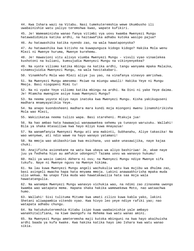44. Kwa Ishara wazi na Vitabu. Nasi tumekuteremshia wewe Ukumbusho ili uwabainishie watu yaliyo teremshwa kwao, wapate kufikiri.

45. Je! Wameaminisha wanao fanya vitimbi vya uovu kwamba Mwenyezi Mungu hatawadidimiza katika ardhi, na haitawafika adhabu kutoka wasipo pajua?

46. Au hatawashika katika nyendo zao, na wala hawataponyoka?

47. Au hatawashika kwa kitisho na kuwapunguza kidogo kidogo? Hakika Mola wenu Mlezi ni Mwenye huruma, Mwenye kurehemu.

48. Je! Hawavioni vitu alivyo viumba Mwenyezi Mungu - vivuli vyao vinaelekea kushotoni na kuliani, kumsujudia Mwenyezi Mungu na vikinyenyekea?

49. Na vyote viliomo katika mbingu na katika ardhi, tangu wanyama mpaka Malaika, vinamsujuidia Mwenyezi Mungu, na wala havitakabari.

50. Vinamkhofu Mola wao Mlezi aliye juu yao, na vinafanya vinavyo amrishwa.

51. Na Mwenyezi Mungu amesema: Msiwe na miungu wawili! Hakika Yeye ni Mungu Mmoja. Basi niogopeni Mimi tu!

52. Na ni vyake Yeye viliomo katika mbingu na ardhi. Na Dini ni yake Yeye daima. Je! Mtamcha mwengine asiye kuwa Mwenyezi Mungu?

53. Na neema yoyote mliyo nayo inatoka kwa Mwenyezi Mungu. Kisha yakikuguseni madhara mnamyayatikia Yeye.

54. Na anapo kuondosheeni madhara mara kundi moja miongoni mwenu linamshirikisha Mola wao Mlezi,

55. Wakizikataa neema tulizo wapa. Basi stareheni. Mtakuja jua!

56. Na hao ambao hata hawawajui wanawawekea sehemu ya tunavyo waruzuku. Wallahi! Bila ya shaka mtasailiwa kwa hayo mliyo kuwa mnayazua!

57. Na wanamfanyia Mwenyezi Mungu ati ana mabinti, Subhanahu, Aliye takasika! Na wao wenyewe, ati ndio wawe na hayo wanayo yatamani!

58. Na mmoja wao akibashiriwa kwa msichana, uso wake unasawijika, naye kajaa chuki.

59. Anajificha asionekane na watu kwa ubaya wa aliyo bashiriwa! Je, akae naye juu ya fedheha hiyo au amfukie udongoni? Tazama uovu wa wanavyo hukumu!

60. Hali ya wasio iamini Akhera ni ovu; na Mwenyezi Mungu ndiye Mwenye sifa tukufu. Naye ni Mwenye nguvu na Mwenye hikima.

61. Na lau kuwa Mwenyezi Mungu angeli wachukulia watu kwa mujibu wa dhulma zao, basi asingeli mwacha hapa hata mnyama mmoja. Lakini anawaakhirisha mpaka muda ulio wekwa. Na unapo fika muda wao hawatakawilia hata saa moja wala hawatatangulia.

62. Na wanampa Mwenyezi Mungu wanavyo vichukia wao, na ndimi zao zinasema uwongo kwamba wao watapata mema. Hapana shaka hakika wamewekewa Moto, nao wataachwa humo.

63. Wallahi! Sisi tulituma Mitume kwa umati zilizo kuwa kabla yako, lakini Shetani aliwapambia vitendo vyao. Kwa hivyo leo yeye ndiye rafiki yao; nao watapata adhabu chungu.

64. Na hatukukuteremshia Kitabu isipo kuwa uwabainishie yale ambayo wanakhitalifiana, na kiwe Uwongofu na Rehema kwa watu wanao amini.

65. Na Mwenyezi Mungu ameteremsha maji kutoka mbinguni na kwa hayo akaihuisha ardhi baada ya kufa kwake. Kwa hakika katika hayo imo Ishara kwa watu wanao sikia.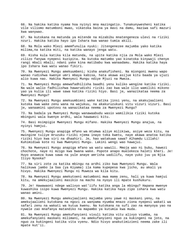66. Na hakika katika nyama hoa nyinyi mna mazingatio. Tunakunywesheni katika vile viliomo matumboni mwao, vikatoka baina ya mavi na damu, maziwa safi mazuri kwa wanywao.

67. Na kutokana na matunda ya mitende na mizabibu mnatengeneza ulevi na riziki nzuri. Hakika katika hayo ipo Ishara kwa wanao tumia akili.

68. Na Mola wako Mlezi amemfunulia nyuki: Jitengenezee majumba yako katika milima,na katika miti, na katika wanayo jenga watu.

69. Kisha kula katika kila matunda, na upite katika njia za Mola wako Mlezi zilizo fanywa nyepesi kuzipita. Na kutoka matumbo yao kinatoka kinywaji chenye rangi mbali mbali; ndani yake kina matibabu kwa wanaadamu. Hakika katika haya ipo Ishara kwa watu wanao fikiri.

70. Na Mwenyezi Mungu amekuumbeni; kisha anakufisheni. Na miongoni mwenu wapo wanao rudishwa kwenye umri mbaya kabisa, hata akawa asijue kitu baada ya ujuzi alio kuwa nao. Hakika Mwenyezi Mungu ndiye Mjuzi na Mweza.

71. Na Mwenyezi Mungu amewafadhilisha baadhi yenu kuliko wengine katika riziki. Na wale walio fadhilishwa hawarudishi riziki zao kwa wale ilio wamiliki mikono yao ya kulia ili wawe sawa katika riziki hiyo. Basi je, wanazikataa neema za Mwenyezi Mungu?

72. Na Mwenyezi Mungu amekuumbieni wake katika jinsi yenu, na akakujaalieni kutoka kwa wake zenu wana na wajukuu, na akakuruzukuni vitu vizuri vizuri. Basi je, wanaamini upotovu na wanazikataa neema za Mwenyezi Mungu?

73. Na badala ya Mwenyezi Mungu wanawaabudu wasio wamilikia riziki kutoka mbinguni wala kwenye ardhi, wala hawawezi kitu.

74. Basi msimpigie Mwenyezi Mungu mifano. Hakika Mwenyezi Mungu anajua, na nyinyi hamjui.

75. Mwenyezi Mungu anapiga mfano wa mtumwa aliye milikiwa, asiye weza kitu, na mwingine tuliye mruzuku riziki njema inayo toka kwetu, naye akawa anatoa katika riziki hiyo kwa siri na dhaahiri. Je, hao watakuwa sawa? Alhamdu Lillahi! Kuhimidiwa kote ni kwa Mwenyezi Mungu. Lakini wengi wao hawajui.

76. Na Mwenyezi Mungu anapiga mfano wa watu wawili. Mmoja wao ni bubu, hawezi chochote, naye ni mzigo kwa bwana wake. Popote anapo muelekeza haleti kheri. Je! Huyo anaweza kuwa sawa na yule anaye amrisha uadilifu, naye yuko juu ya Njia Iliyo Nyooka?

77. Na siri zote za katika mbingu na ardhi ziko kwa Mwenyezi Mungu. Wala halikuwa jambo la Saa (ya Kiyama) ila kama kupepesa kwa jicho, au akali ya hivyo. Hakika Mwenyezi Mungu ni Muweza wa kila kitu.

78. Na Mwenyezi Mungu amekutoeni matumboni mwa mama zenu, hali ya kuwa hamjui kitu, na amekujaalieni masikio na macho na nyoyo ili mpate kushukuru.

79. Je! Hawawaoni ndege walivyo wat'iifu katika anga la mbingu? Hapana mwenye kuwashika isipo kuwa Mwenyezi Mungu. Hakika katika haya zipo ishara kwa watu wanao amini.

80. Na Mwenyezi Mungu amekujaalieni majumba yenu yawe ni maskani yenu, na amekujaalieni kutokana na ngozi za wanyama nyumba mnazo ziona nyepesi wakati wa safari zenu na wakati wa kutua kwenu. Na kutokana na sufi zao na manyoya yao na nywele zao mnafanya matandiko na mapambo ya kutumia kwa muda.

81. Na Mwenyezi Mungu amekufanyieni vivuli katika vitu alivyo viumba, na amekufanyieni maskani milimani, na amekufanyieni nguo za kukingeni na joto, na nguo za kukingeni katika vita vyenu. Ndio hivyo anakutimizieni neema zake ili mpate kut'ii.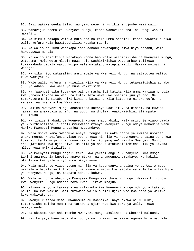82. Basi wakikengeuka lilio juu yako wewe ni kufikisha ujumbe wazi wazi.

83. Wanazijua neema za Mwenyezi Mungu, kisha wanazikanusha; na wengi wao ni makafiri.

84. Na siku tutakapo wainua kutokana na kila umma shahidi, kisha hawataruhusiwa walio kufuru wala hawataachiliwa kutaka radhi.

85. Na walio dhulumu watakapo iona adhabu hawatapunguziwa hiyo adhabu, wala hawatapewa muhula.

86. Na walio shirikisha watakapo waona hao walio washirikisha na Mwenyezi Mungu, watasema: Mola wetu Mlezi! Hawa ndio washirikishwa wetu ambao tulikuwa tukiwaabudu badala yako. Ndipo wale watakapo watupia kauli: Hakika nyinyi ni waongo!

87. Na siku hiyo watasalimu amri mbele ya Mwenyezi Mungu, na yatapotea waliyo kuwa wakiyazua.

88. Wale walio kufuru na kuzuilia Njia ya Mwenyezi Mungu tutawazidishia adhabu juu ya adhabu, kwa walivyo kuwa wakifisidi.

89. Na (waonye) siku tutakapo wainua mashahidi katika kila umma wakiwashuhudia kwa yanayo tokana na wao, na tutakuleta wewe uwe shahidi juu ya hao. Na tumekuteremshia Kitabu hiki kinacho bainisha kila kitu, na ni uwongofu, na rehema, na bishara kwa Waislamu.

90. Hakika Mwenyezi Mungu anaamrisha kufanya uadilifu, na hisani, na kuwapa jamaa; na anakataza uchafu, na uovu, na dhulma. Anakuwaidhini ili mpate kukumbuka.

91. Na timizeni ahadi ya Mwenyezi Mungu mnapo ahidi, wala msivunje viapo baada ya kuvithibitisha, ilihali mmekwisha mfanya Mwenyezi Mungu ndiye mdhamini wenu. Hakika Mwenyezi Mungu anayajua myatendayo.

92. Wala msiwe kama mwanamke anaye uzongoa uzi wake baada ya kwisha usokota ukawa mgumu. Mnavifanya viapo vyenu kuwa ni njia ya kudanganyana baina yenu kwa kuwa ati taifa moja lina nguvu zaidi kuliko jengine? Hakika Mwenyezi Mungu anakujaribuni kwa njia hiyo. Na bila ya shaka atakubainishieni Siku ya Kiyama mliyo kuwa mkikhitalifiana.

93. Na Mwenyezi Mungu angeli taka, kwa yakini angeli kufanyeni umma mmoja. Lakini anamwachia kupotea anaye mtaka, na anamwongoa amtakaye. Na hakika mtaulizwa kwa yale mliyo kuwa mkiyafanya.

94. Wala msifanye viapo vyenu ni njia ya kudanganyana baina yenu. Usije mguu ukateleza badala ya kuthibiti, na mkaonja maovu kwa sababu ya kule kuzuilia Njia ya Mwenyezi Mungu, na mkapata adhabu kubwa.

95. Wala msinunue ahadi ya Mwenyezi Mungu kwa thamani ndogo. Hakika kilichoko kwa Mwenyezi Mungu ndicho bora kwenu, ikiwa mnajua.

96. Mlivyo navyo vitakwisha na vilivyoko kwa Mwenyezi Mungu ndivyo vitakavyo bakia. Na kwa yakini Sisi tutawapa walio subiri ujira wao kwa bora ya waliyo kuwa wakiyatenda.

97. Mwenye kutenda mema, mwanamume au mwanamke, naye akawa ni Muumini, tutamhuisha maisha mema; na tutawapa ujira wao kwa bora ya waliyo kuwa wakiyatenda.

98. Na ukisoma Qur'ani mwombe Mwenyezi Mungu akulinde na Shetani maluuni.

99. Hakika yeye hana madaraka juu ya walio amini na wakamtegemea Mola wao Mlezi.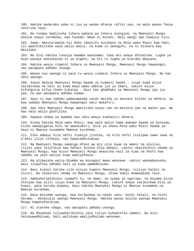100. Hakika madaraka yake ni juu ya wanao mfanya rafiki yao, na wale wanao fanya ushirika naye.

101. Na tunapo badilisha Ishara pahala pa Ishara nyengine, na Mwenyezi Mungu anajua anayo teremsha, wao husema: Wewe ni mzushi. Bali wengi wao hawajui kitu.

102. Sema: Ameiteremsha hii Roho takatifu kutokana na Mola wako Mlezi kwa haki, ili awathibitishe wale walio amini, na kuwa ni uwongofu, na ni bishara kwa Waislamu.

103. Na Sisi hakika tunajua kwamba wanasema: Yuko mtu anaye mfundisha. Lugha ya huyo wanaye muelekezea ni ya kigeni, na hii ni lugha ya Kiarabu mbayana.

104. Hakika wasio ziamini Ishara za Mwenyezi Mungu, Mwenyezi Mungu hawaongoi, nao watapata adhabu chungu.

105. Wanao zua uwongo ni wale tu wasio ziamini Ishara za Mwenyezi Mungu. Na hao ndio waongo.

106. Anaye mkataa Mwenyezi Mungu baada ya kuamini kwake - isipo kuwa aliye lazimishwa na hali ya kuwa moyo wake umetua juu ya Imani, lakini aliye kifungulia kifua chake kukataa - basi hao ghadhabu ya Mwenyezi Mungu ipo juu yao, na wao watapata adhabu kubwa.

107. Hayo ni kwa sababu wameyapenda zaidi maisha ya duniani kuliko ya Akhera, na kwa sababu Mwenyezi Mungu hawaongoi watu makafiri.

108. Hao ndio Mwenyezi Mungu ameziziba nyoyo zao na masikio yao na macho yao. Na hao ndio walio ghafilika.

109. Hapana shaka ya kwamba hao ndio wenye kukhasiri Akhera.

110. Kisha hakika Mola wako Mlezi, kwa wale walio hama makwao baada ya kuteswa, kisha wakapigania Dini na wakasubiri, bila ya shaka Mola wako Mlezi baada ya hayo ni Mwenye kusamehe Mwenye kurehemu.

111. Siku ambayo kila nafsi itakuja jitetea, na kila nafsi italipwa sawa sawa na a'mali ilizo zifanya, nao hawatadhulumiwa.

112. Na Mwenyezi Mungu amepiga mfano wa mji ulio kuwa na amani na utulivu, riziki yake ikiufikia kwa nafasi kutoka kila mahali. Lakini ukazikufuru neema za Mwenyezi Mungu; kwa hivyo Mwenyezi Mungu akauvika vazi la njaa na khofu kwa sababu ya yale waliyo kuwa wakiyafanya.

113. Na alikwisha wajia Mjumbe wa miongoni mwao wenyewe. Lakini wakamkanusha; basi iliwafika adhabu hali ya kuwa wamedhulumu.

114. Basi kuleni katika vile alivyo kupeni Mwenyezi Mungu, vilivyo halali na vizuri. Na shukuruni neema za Mwenyezi Mungu, ikiwa kweli mnamuabudu Yeye.

115. Amekuharimishieni nyamafu tu, na damu, na nyama ya nguruwe, na mnyama aliye chinjwa kwa ajili isiyo kuwa ya Mwenyezi Mungu. Lakini anaye lazimishwa bila ya kuasi, wala kuruka mipaka, basi hakika Mwenyezi Mungu ni Mwenye kusamehe na Mwenye kurehemu.

116. Wala msiseme uwongo, kwa kuropokwa na ndimi zenu: Hichi halali, na hichi haramu - mkimzulia uwongo Mwenyezi Mungu. Hakika wanao mzulia uwongo Mwenyezi Mungu hawatafanikiwa.

117. Ni starehe ndogo, nao watapata adhabu chungu.

118. Na Mayahudi tuliwaharimishia yale tuliyo kuhadithia zamani. Na Sisi hatukuwadhulumu, bali walikuwa wakijudhulumu wenyewe.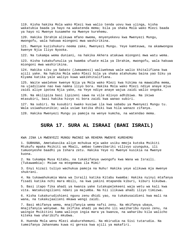119. Kisha hakika Mola wako Mlezi kwa walio tenda uovu kwa ujinga, kisha wakatubia baada ya hayo na wakatenda mema; bila ya shaka Mola wako Mlezi baada ya hayo ni Mwenye kusamehe na Mwenye kurehemu.

120. Hakika Ibrahim alikuwa mfano mwema, mnyenyekevu kwa Mwenyezi Mungu, mwongofu, wala hakuwa miongoni mwa washirikina.

121. Mwenye kuzishukuru neema zake, Mwenyezi Mungu. Yeye kamteuwa, na akamwongoa kwenye Njia Iliyo Nyooka.

122. Na tukampa wema duniani, na hakika Akhera atakuwa miongoni mwa watu wema.

123. Kisha tukakufunulia ya kwamba ufuate mila ya Ibrahim, mwongofu, wala hakuwa miongoni mwa washirikina.

124. Hakika siku ya Sabato (Jumaamosi) waliwekewa wale walio khitalifiana kwa ajili yake. Na hakika Mola wako Mlezi bila ya shaka atahukumu baina yao Siku ya Kiyama katika yale waliyo kuwa wakikhitalifiana.

125. Waite waelekee kwenye Njia ya Mola wako Mlezi kwa hikima na mawaidha mema, na ujadiliane nao kwa namna iliyo bora. Hakika Mola wako Mlezi ndiye anaye mjua zaidi aliye ipotea Njia yake, na Yeye ndiye anaye wajua zaidi walio ongoka.

126. Na mkilipiza basi lipizeni sawa na vile mlivyo adhibiwa. Na ikiwa mtasubiri, basi hakika hivyo ni bora zaidi kwa wanao subiri.

127. Na subiri. Na kusubiri kwako kusiwe ila kwa sababu ya Mwenyezi Mungu tu. Wala usiwahuzunikie; wala usiwe katika dhiki kwa hila wanazo zifanya.

128. Hakika Mwenyezi Mungu yu pamoja na wenye kumcha, na watendao mema.

## **SURA 17. SURA AL ISRAAI (BANI ISRAIL)**

KWA JINA LA MWENYEZI MUNGU MWINGI WA REHEMA MWENYE KUREHEMU

1. SUBHANA, Ametakasika aliye mchukua mja wake usiku mmoja kutoka Msikiti Mtukufu mpaka Msikiti wa Mbali, ambao tumevibariki vilivyo uzunguka, ili tumuonyeshe baadhi ya Ishara zetu. Hakika Yeye ni Mwenye kusikia na Mwenye kuona.

2. Na tukampa Musa Kitabu, na tukakifanya uwongofu kwa Wana wa Israili. (Tukawambia): Msiwe na mtegemewa ila Mimi!

3. Enyi kizazi tuliyo wachukua pamoja na Nuhu! Hakika yeye alikuwa mja mwenye shukrani.

4. Na tukawahukumia Wana wa Israili katika Kitabu kwamba: Hakika nyinyi mtafanya fisadi katika nchi mara mbili, na kwa yakini mtapanda kiburi, kiburi kikubwa.

5. Basi itapo fika ahadi ya kwanza yake tutakupelekeeni waja wetu wa kali kwa vita. Watakuingilieni ndani ya majumba. Na hii ilikuwa ahadi iliyo timizwa.

6. Kisha tukakurudishieni nguvu zenu dhidi yao, na tukakusaidieni kwa mali na wana, na tukakujaalieni mkawa wengi zaidi.

7. Basi mkifanya wema, mnajifanyia wema nafsi zenu. Na mkifanya ubaya, mnajifanyia wenyewe. Na ikifika ahadi ya mwisho ili waziharibu nyuso zenu, na waingie Msikitini kama walivyo ingia mara ya kwanza, na waharibu kila walicho kiteka kwa uharibifu mkubwa.

8. Huenda Mola wenu Mlezi akakurehemuni. Na mkirudia na Sisi tutarudia. Na tumeifanya Jahannamu kuwa ni gereza kwa ajili ya makafiri.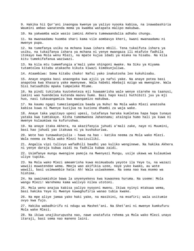9. Hakika hii Qur'ani inaongoa kwenye ya yaliyo nyooka kabisa, na inawabashiria Waumini ambao wanatenda mema ya kwamba watapata malipo makubwa.

10. Na yakwamba wale wasio iamini Akhera tumewaandalia adhabu chungu.

11. Na mwanaadamu huomba shari kama vile aombavyo kheri, kwani mwanaadamu ni mwenye pupa.

12. Na tumefanya usiku na mchana kuwa ishara mbili. Tena tukaifuta ishara ya usiku, na tukaifanya ishara ya mchana ni yenye mwangaza ili mtafute fadhila itokayo kwa Mola wenu Mlezi, na mpate kujua idadi ya miaka na hisabu. Na kila kitu tumekifafanua waziwazi.

13. Na kila mtu tumemfungia a'mali yake shingoni mwake. Na Siku ya Kiyama tutamtolea kitabu atakacho kikuta kiwazi kimekunjuliwa.

14. Ataambiwa: Soma kitabu chako! Nafsi yako inakutosha leo kukuhisabu.

15. Anaye ongoka basi anaongoka kwa ajili ya nafsi yake. Na anaye potea basi anapotea kwa khasara yake mwenyewe. Wala habebi mbebaji mzigo wa mwengine. Wala Sisi hatuadhibu mpaka tumpeleke Mtume.

16. Na pindi tukitaka kuuteketeza mji huwaamrisha wale wenye starehe na taanusi, lakini wao huendelea kutenda maovu humo. Basi hapo kauli huthibiti juu ya mji huo, nasi tukauangamiza kwa maangamizo makubwa.

17. Na kaumu ngapi tumeziangamiza baada ya Nuhu! Na Mola wako Mlezi anatosha kabisa kuwa ni Mwenye kuzijua na kuziona dhambi za waja wake.

18. Anaye taka yapitayo upesi upesi, tutafanya haraka kumletea hapa hapa tunayo yataka kwa tumtakaye. Kisha tumemwekea Jahannamu; ataingia humo hali ya kuwa ni mwenye kulaumiwa na kufurushwa.

19. Na anaye itaka Akhera, na akazifanyia juhudi a'mali zake, naye ni Muumini, basi hao juhudi yao itakuwa ni ya kushukuriwa.

20. Wote hao tunawakunjulia - hawa na hao - katika neema za Mola wako Mlezi. Wala neema za Mola wako Mlezi hazizuiliki.

21. Angalia vipi tulivyo wafadhili baadhi yao kuliko wenginewe. Na hakika Akhera ni yenye daraja kubwa zaidi na fadhila kubwa zaidi.

22. Usimfanye mungu mwengine pamoja na Mwenyezi Mungu, usije ukawa wa kulaumiwa uliye tupika.

23. Na Mola wako Mlezi ameamrisha kuwa msimuabudu yeyote ila Yeye tu, na wazazi wawili muwatendee wema. Mmoja wao akifikia uzee, naye yuko kwako, au wote wawili, basi usimwambie hata: Ah! Wala usiwakemee. Na sema nao kwa msemo wa hishima.

24. Na uwainamishie bawa la unyenyekevu kwa kuwaonea huruma. Na useme: Mola wangu Mlezi! Warehemu kama walivyo nilea utotoni.

25. Mola wenu anajua kabisa yaliyo nyoyoni mwenu. Ikiwa nyinyi mtakuwa wema, basi hakika Yeye ni Mwenye kuwaghufiria wanao tubia kwake.

26. Na mpe aliye jamaa yako haki yake, na masikini, na msafiri; wala usitumie ovyo kwa fujo.

27. Hakika wabadhirifu ni ndugu wa Mashet'ani. Na Shet'ani ni mwenye kumkufuru Mola wake Mlezi.

28. Na ikiwa unajikurupusha nao, nawe unatafuta rehema ya Mola wako Mlezi unayo itaraji, basi sema nao maneno laini.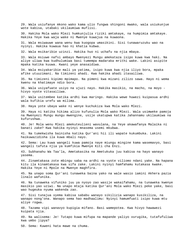29. Wala usiufanye mkono wako kama ulio fungwa shingoni mwako, wala usiukunjue wote kabisa, utabaki ukilaumiwa muflisi.

30. Hakika Mola wako Mlezi humkunjulia riziki amtakaye, na humpimia amtakaye. Hakika Yeye kwa waja wake ni Mwenye kuwajua na kuwaona.

31. Wala msiwauwe wana wenu kwa kuogopa umasikini. Sisi tunawaruzuku wao na nyinyi. Hakika kuwaua hao ni khatia kubwa.

32. Wala msikaribie uzinzi. Hakika huo ni uchafu na njia mbaya.

33. Wala msiuwe nafsi ambayo Mwenyezi Mungu amekataza isipo kuwa kwa haki. Na aliye uliwa kwa kudhulumiwa basi tumempa madaraka mrithi wake. Lakini asipite mpaka katika kuuwa. Kwani yeye anasaidiwa.

34. Wala msiyakaribie mali ya yatima, isipo kuwa kwa njia iliyo bora, mpaka afike utuuzimani. Na timizeni ahadi. Kwa hakika ahadi itasailiwa.

35. Na timizeni kipimo mpimapo. Na pimeni kwa mizani zilizo sawa. Hayo ni wema kwenu na khatimaye ndio bora.

36. Wala usiyafuate usiyo na ujuzi nayo. Hakika masikio, na macho, na moyo hivyo vyote vitasailiwa.

37. Wala usitembee katika ardhi kwa maringo. Hakika wewe huwezi kuipasua ardhi wala kufikia urefu wa milima.

38. Haya yote ubaya wake ni wenye kuchukiza kwa Mola wako Mlezi.

39. Haya ni katika hikima alizo kufunulia Mola wako Mlezi. Wala usimweke pamoja na Mwenyezi Mungu mungu mwengine, usije ukatupwa katika Jahannamu ukilaumiwa na kufurushwa.

40. Je! Mola wenu Mlezi amekuteulieni wavulana, na Yeye akawafanya Malaika ni banati zake? Kwa hakika nyinyi mnasema usemi mkubwa.

41. Na tumekwisha bainisha katika Qur'ani hii ili wapate kukumbuka. Lakini haikuwazidisha ila kuwa mbali nayo.

42. Sema: Lau kuwa wangeli kuwa pamoja naye miungu mingine kama wasemavyo, basi wangeli tafuta njia ya kumfikia Mwenye Kiti cha Enzi.

43. Subhanahu Wa Taa'la, Ametakasika na Ametukuka juu kabisa na hayo wanayo yasema.

44. Zinamtakasa zote mbingu saba na ardhi na vyote viliomo ndani yake. Na hapana kitu ila kinamtakasa kwa sifa zake. Lakini nyinyi hamfahamu kutakasa kwake. Hakika Yeye ni Mpole na Mwenye maghfira.

45. Na unapo soma Qur'ani tunaweka baina yako na wale wasio iamini Akhera pazia linalo wafunika.

46. Na tunaweka vifuniko juu ya nyoyo zao wasije wakaifahamu, na tunaweka kwenye masikio yao uziwi. Na unapo mtaja katika Qur'ani Mola wako Mlezi peke yake, basi wao hugeuka nyuma wakenda zao.

47. Sisi tunajua vyema kabisa sababu wanayo sikilizia wanapo kusikiliza, na wanapo nong'ona. Wanapo sema hao madhaalimu: Nyinyi hamumfuati isipo kuwa mtu aliye rogwa.

48. Tazama vipi wanavyo kupigia mifano. Basi wamepotea. Kwa hivyo hawawezi kuipata njia.

49. Na walisema: Je! Tutapo kuwa mifupa na mapande yaliyo vurugika, tutafufuliwa kwa umbo jipya?

50. Sema: Kuweni hata mawe na chuma.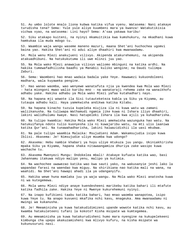51. Au umbo lolote mnalo liona kubwa katika vifua vyenu. Watasema: Nani atakaye turudisha tena? Sema: Yule yule aliye kuumbeni mara ya kwanza! Watakutikisia vichwa vyao, na watasema: Lini hayo? Sema: A'saa yakawa karibu!

52. Siku atakapo kuiteni, na nyinyi mkamuitikia kwa kumshukuru, na mkadhani kuwa hamkukaa ila muda mdogo tu.

53. Waambie waja wangu waseme maneno mazuri, maana Shet'ani huchochea ugomvi baina yao. Hakika Shet'ani ni adui aliye dhaahiri kwa mwanaadamu.

54. Mola wenu Mlezi anakujueni vilivyo. Akipenda atakurehemuni, na akipenda atakuadhibuni. Na hatukukutuma ili uwe mlinzi juu yao.

55. Na Mola wako Mlezi anawajua vilivyo waliomo mbinguni na katika ardhi. Na hakika tumewafadhilisha baadhi ya Manabii kuliko wengine; na Daudi tulimpa Zaburi.

56. Sema: Waombeni hao mnao wadaia badala yake Yeye. Hawawezi kukuondoleeni madhara, wala kuyaweka pengine.

57. Hao wanao waomba, wao wenyewe wanatafuta njia ya kwendea kwa Mola wao Mlezi - hata miongoni mwao walio karibu mno - na wanataraji rehema zake na wanaikhofu adhabu yake. Hakika adhabu ya Mola wako Mlezi yafaa kutahadhari nayo.

58. Na hapana mji wowote ila Sisi tutauteketeza kabla ya Siku ya Kiyama, au tutaupa adhabu kali. Haya yamekwisha andikwa katika Kitabu.

59. Na hapana kinacho tuzuia kupeleka miujiza ila ni kuwa watu wa zamani waliikanusha. Na tuliwapa Wathamudi ngamia jike kuwa ni Ishara iliyo dhaahiri, lakini walidhulumu kwaye. Nasi hatupeleki Ishara ila kwa ajili ya kuhadharisha.

60. Na tulipo kwambia: Hakika Mola wako Mlezi amekwisha wazunguka hao watu. Na hatukuifanya ndoto tulio kuonyesha ila ni kuwajaribu watu, na mti ulio laaniwa katika Qur'ani. Na tunawahadharisha, lakini haiwazidishii ila uasi mkubwa.

61. Na pale tulipo waambia Malaika: Msujudieni Adam. Wakamsujudia isipo kuwa Iblisi. Akasema: Je! Nimsujudie uliye muumba kwa udongo?

62. Akasema: Hebu nambie khabari ya huyu uliye mtukuza juu yangu. Ukiniakhirisha mpaka Siku ya Kiyama, hapana shaka nitawaangamiza dhuriya zake wasipo kuwa wachache tu.

63. Akasema Mwenyezi Mungu: Ondokelea mbali! Atakaye kufuata katika wao, basi Jahannamu itakuwa ndiyo malipo yenu, malipo ya kutimia.

64. Na wachochee uwawezao katika wao kwa sauti yako, na wakusanyie jeshi lako la wapandao farasi na waendao kwa miguu. Na shirikiana nao katika mali na wana, na waahidi. Na Shet'ani hawapi ahadi ila ya udanganyifu.

65. Hakika wewe huna mamlaka juu ya waja wangu. Na Mola wako Mlezi anatosha kuwa ni wa kutegemewa.

66. Mola wenu Mlezi ndiye anaye kuendesheeni marikebu katika bahari ili mtafute katika fadhila zake. Hakika Yeye ni Mwenye kukurehemuni nyinyi.

67. Na inapo kufikieni taabu katika bahari, hao mnao waomba wanapotea, isipo kuwa Yeye tu. Na anapo kuvueni mkafika nchi kavu, mnageuka. Ama mwanaadamu ni mwingi wa kukanusha.

68. Je! Mmeaminisha ya kuwa hatakudidimizeni upande wowote katika nchi kavu, au kwamba hatakuleteeni tufani la kokoto? Kisha msipate wa kumtegemea.

69. Au mmeaminisha ya kuwa hatakurudisheni humo mara nyengine na kukupelekeeni kimbunga cha upepo akakuzamisheni kwa mlivyo kufuru, na kisha msipate wa kukunusuruni nasi.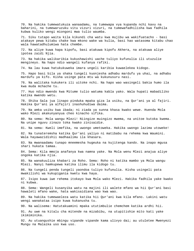70. Na hakika tumewatukuza wanaadamu, na tumewapa vya kupanda nchi kavu na baharini, na tumewaruzuku vitu vizuri vizuri, na tumewafadhilisha kwa fadhila kubwa kuliko wengi miongoni mwa tulio waumba.

71. Siku tutapo waita kila kikundi cha watu kwa mujibu wa wakifuatacho - basi atakaye pewa kitabu chake kwa mkono wake wa kulia, basi hao watasoma kitabu chao wala hawatadhulumiwa hata chembe.

72. Na aliye kuwa hapa kipofu, basi atakuwa kipofu Akhera, na atakuwa aliye ipotea zaidi Njia.

73. Na hakika walikaribia kukushawishi uache tuliyo kufunulia ili utuzulie mengineyo. Na hapo ndio wangeli kufanya rafiki.

74. Na lau kuwa hatukukuweka imara ungeli karibia kuwaelekea kidogo.

75. Hapo basi bila ya shaka tungeli kuonjesha adhabu mardufu ya uhai, na adhabu mardufu ya kifo. Kisha usinge pata mtu wa kukunusuru nasi.

76. Na walitaka kukukera ili uitoke nchi. Na hapo wao wasingeli bakia humo ila kwa muda mchache tu.

77. Huo ndio mwendo kwa Mitume tulio watuma kabla yako. Wala hupati mabadiliko katika mwendo wetu.

78. Shika Sala jua linapo pinduka mpaka giza la usiku, na Qur'ani ya al fajiri. Hakika Qur'ani ya alfajiri inashuhudiwa daima.

79. Na amka usiku kwa ibada; ni ziada ya sunna khasa kwako wewe. Huenda Mola wako Mlezi akakunyanyua cheo kinacho sifika.

80. Na sema: Mola wangu Mlezi! Niingize muingizo mwema, na unitoe kutoka kwema. Na unipe nguvu zinazo toka kwako zinisaidie.

81. Na sema: Kweli imefika, na uwongo umetoweka. Hakika uwongo lazima utoweke!

82. Na tunateremsha katika Qur'ani yaliyo ni matibabu na rehema kwa Waumini. Wala hayawazidishii madhaalimu ila khasara.

83. Na mwanaadamu tunapo mneemesha hugeuka na kujitenga kando. Na inapo mgusa shari hukata tamaa.

84. Sema: Kila mmoja anafanya kwa namna yake. Na Mola wenu Mlezi anajua aliye ongoka katika njia.

85. Na wanakuuliza khabari za Roho. Sema: Roho ni katika mambo ya Mola wangu Mlezi. Nanyi hamkupewa katika ilimu ila kidogo tu.

86. Na tungeli penda tungeli yaondoa tuliyo kufunulia. Kisha usingeli pata mwakilishi wa kukupigania kwetu kwa haya.

87. Isipo kuwa iwe rehema itokayo kwa Mola wako Mlezi. Hakika fadhila yake kwako ni kubwa.

88. Sema: Wangeli kusanyika watu na majini ili walete mfano wa hii Qur'ani basi hawaleti mfano wake, hata wakisaidiana wao kwa wao.

89. Na hakika tumewaeleza watu katika hii Qur'ani kwa kila mfano. Lakini watu wengi wanakataa isipo kuwa kukanusha tu.

90. Na walisema: Hatutakuamini mpaka ututimbulie chemchem katika ardhi hii.

91. Au uwe na kitalu cha mitende na mizabibu, na utupitishie mito kati yake ikimiminika.

92. Au utuangushie mbingu vipande vipande kama ulivyo dai; au utuletee Mwenyezi Mungu na Malaika uso kwa uso.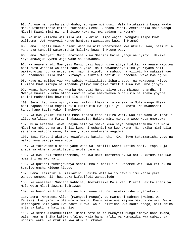93. Au uwe na nyumba ya dhahabu, au upae mbinguni. Wala hatutaamini kupaa kwako mpaka ututeremshie kitabu tukisome. Sema: Subhana Rabbi, Ametakasika Mola wangu Mlezi! Kwani mimi ni nani isipo kuwa ni mwanaadamu na Mtume?

94. Na nini kilicho wazuilia watu kuamini ulipo wajia uwongofu isipo kuwa walisema: Je! Mwenyezi Mungu humtuma mwanaadamu kuwa ni Mtume?

95. Sema: Ingeli kuwa duniani wapo Malaika wanatembea kwa utulivu wao, basi bila ya shaka tungeli wateremshia Malaika kuwa ni Mtume wao.

96. Sema: Mwenyezi Mungu anatosha kuwa Shahidi baina yangu na nyinyi. Hakika Yeye anawajua vyema waja wake na anawaona.

97. Na anaye mhidi Mwenyezi Mungu basi huyo ndiye aliye hidika. Na anaye wapotoa basi huto wapatia walinzi badala yake. Na tutawakusanya Siku ya Kiyama hali wakikokotwa juu ya nyuso zao, nao ni vipofu na mabubu na viziwi. Na makaazi yao ni Jahannamu. Kila moto ukifanya kusinzia tutazidi kuuchochea uwake kwa nguvu.

98. Hayo ni malipo yao kwa sababu walizikataa ishara zetu, na wakasema: Hivyo tukisha kuwa mifupa na mapande yaliyo vurugika tutafufuliwa kwa umbo jipya?

99. Kwani hawakuona ya kwamba Mwenyezi Mungu aliye umba mbingu na ardhi ni Mwenye kuweza kuumba mfano wao? Na Yeye amewawekea muda usio na shaka yoyote. Lakini madhaalimu hawataki ila ukafiri.

100. Sema: Lau kuwa nyinyi mnazimiliki khazina za rehema za Mola wangu Mlezi, basi hapana shaka mngeli zuia kuzitumia kwa ajili ya kukhofu. Na mwanaadamu tangu hapo tabia yake ni mchoyo!

101. Na kwa yakini tulimpa Musa ishara tisa zilizo wazi. Waulize Wana wa Israili alipo wafikia, na Firauni akawaambia: Hakika mimi nakuona wewe Musa umerogwa!

102. Musa akasema: Wewe unajua bila ya shaka kuwa haya hakuyateremsha ila Mola Mlezi wa mbingu na ardhi ili kuwa ni ushahidi wa kuonekana. Na hakika mimi bila ya shaka nakuona wewe, Firauni, kuwa umekwisha angamia.

103. Basi Firauni akataka kuwafukuza katika nchi. Kwa hivyo tukamzamisha yeye na walio kuwa pamoja naye wote.

104. Na tukawaambia baada yake Wana wa Israili: Kaeni katika nchi. Itapo kuja ahadi ya Akhera tutakuleteni nyote pamoja.

105. Na kwa Haki tumeiteremsha, na kwa Haki imeteremka. Na hatukukutuma ila uwe mbashiri na mwonyaji.

106. Na Qur'ani tumeigawanya sehemu mbali mbali ili uwasomee watu kwa kituo, na tumeiteremsha kidogo kidogo.

107. Sema: Iaminini au msiiamini. Hakika wale walio pewa ilimu kabla yake, wanapo somewa hii, huanguka kifudifudi wanasujudu.

108. Na wanasema: Subhana Rabbina, Ametakasika Mola wetu Mlezi! Hakika ahadi ya Mola wetu Mlezi lazima itimizwe!

109. Na huanguka kifudifudi na huku wanalia, na inawazidisha unyenyekevu.

110. Sema: Mwombeni Allah (Mwenyezi Mungu), au mwombeni Rahman (Mwingi wa Rehema), kwa jina lolote mnalo mwita. Kwani Yeye ana majina mazuri mazuri. Wala usitangaze Sala yako kwa sauti kubwa, wala usiifiche kwa sauti ndogo, bali shika njia ya kati na kati ya hizo.

111. Na sema: Alhamdulillah, Himdi zote ni za Mwenyezi Mungu ambaye hana mwana, wala hana mshirika katika ufalme, wala hana rafiki wa kumsaidia kwa sababu ya udhaifu wake. Na mtukuze kwa utukufu mkubwa.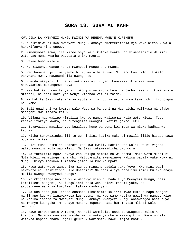#### **SURA 18. SURA AL KAHF**

KWA JINA LA MWENYEZI MUNGU MWINGI WA REHEMA MWENYE KUREHEMU

1. Kuhimidiwa ni kwa Mwenyezi Mungu, ambaye amemteremshia mja wake Kitabu, wala hakukifanya kina upogo.

2. Kimenyooka sawa, ili kitoe onyo kali kutoka kwake, na kiwabashirie Waumini watendao mema kwamba watapata ujira mzuri.

3. Wakae humo milele.

4. Na kiwaonye wanao nena: Mwenyezi Mungu ana mwana.

5. Wao hawana ujuzi wa jambo hili, wala baba zao. Ni neno kuu hilo litokalo vinywani mwao. Hawasemi ila uwongo tu.

6. Huenda ukajihiliki nafsi yako kwa ajili yao, kuwasikitikia kwa kuwa hawayaamini mazungumzo haya!

7. Kwa hakika tumevifanya vilioko juu ya ardhi kuwa ni pambo lake ili tuwafanyie mtihani, ni nani kati yao wenye vitendo vizuri zaidi.

8. Na hakika Sisi tutavifanya vyote vilio juu ya ardhi kuwa kama nchi ilio pigwa na ukame.

9. Bali unadhani ya kwamba wale Watu wa Pangoni na Maandishi walikuwa ni ajabu miongoni mwa ishara zetu?

10. Vijana hao walipo kimbilia kwenye pango walisema: Mola wetu Mlezi! Tupe rehema itokayo kwako, na tutengezee uwongofu katika jambo letu.

11. Tukayaziba masikio yao kuwalaza humo pangoni kwa muda wa miaka kadhaa wa kadhaa.

12. Kisha tukawazindua ili tujue ni lipi katika makundi mawili lilio hisabu sawa muda walio kaa.

13. Sisi tunakusimulia khabari zao kwa kweli. Hakika wao walikuwa ni vijana walio muamini Mola wao Mlezi. Na Sisi tukawazidisha uwongofu.

14. Na tukazitia nguvu nyoyo zao walipo simama na wakasema: Mola wetu Mlezi ni Mola Mlezi wa mbingu na ardhi. Hatutamwita mwenginewe kabisa badala yake kuwa ni Mungu. Hivyo itakuwa tumesema jambo la kuvuka mpaka.

15. Hawa watu wetu wameshika miungu mingine badala yake Yeye. Kwa nini basi hawawatolei uthibitisho ulio dhaahiri? Na nani aliye dhaalimu zaidi kuliko anaye mzulia uwongo Mwenyezi Mungu?

16. Na mkijitenga nao na vile wanavyo viabudu badala ya Mwenyezi Mungu, basi kimbilieni pangoni, akufungulieni Mola wenu Mlezi rehema yake, na akutengenezeeni ya kukufaeni katika mambo yenu.

17. Na unaliona jua linapo chomoza linainamia kuliani mwao kutoka hapo pangoni; na linapo kuchwa linawakwepa kushotoni, na wao wamo katika uwazi wa pango. Hizo ni katika ishara za Mwenyezi Mungu. Ambaye Mwenyezi Mungu anamwongoa basi huyo ni mwenye kuongoka. Na anaye muacha kupotea basi hutampatia mlinzi wala mwongozi.

18. Nawe utawadhania wamacho, na hali wamelala. Nasi tunawageuza kulia na kushoto. Na mbwa wao amenyoosha miguu yake ya mbele kizingitini. Kama ungeli watokea hapana shaka ungeli geuka kuwakimbia, nawe umejaa khofu.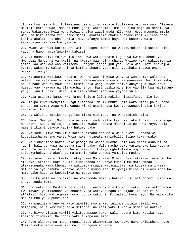19. Na kwa namna hii tuliwainua usingizini wapate kuulizana wao kwa wao. Alisema msemaji katika wao: Mmekaa muda gani? Wakasema: Tumekaa siku moja au sehemu ya siku. Wakasema: Mola wenu Mlezi anajua zaidi muda mlio kaa. Hebu mtumeni mmoja wenu na hizi fedha zenu ende mjini, akatazame chakula chake kipi kilicho bora kabisa akuleteeni cha kukila. Naye afanye mambo hayo kwa busara, wala asikutajeni kabisa kwa yeyote.

20. Kwani wao wakikutambueni watakupigeni mawe, au watakurudisheni katika dini yao; na hapo hamtafanikiwa kabisa!

21. Na namna hivi tuliwa juulisha kwa watu wapate kujua ya kwamba ahadi ya Mwenyezi Mungu ni ya kweli, na kwamba Saa haina shaka. Walipo kuwa wakigombania jambo lao wao kwa wao walisema: Jengeni jengo juu yao. Mola wao Mlezi anawajua vyema. Wakasema walio shinda katika shauri yao: Bila ya shaka tutawajengea msikiti juu yao.

22. Watasema: Walikuwa watatu, wa nne wao ni mbwa wao. Na wanasema: Walikuwa watano, wa sita wao ni mbwa wao. Wanavurumisha ovyo. Na wanasema: Walikuwa saba, na wa nane wao ni mbwa wao. Sema: Mola wangu Mlezi ndiye anaye jua sawa sawa hisabu yao. Hawawajui ila wachache tu. Basi usibishane juu yao ila kwa mabishano ya juu juu tu hivi. Wala usiulize khabari zao kwa yeyote yule.

23. Wala usisema kamwe kwa jambo lolote lile: Hakika nitalifanya hilo kesho -

24. Isipo kuwa Mwenyezi Mungu akipenda. Na mkumbuke Mola wako Mlezi pale unapo sahau, na sema: Asaa Mola wangu Mlezi ataniongoa kwenye uwongozi ulio karibu zaidi kuliko huu.

25. Na walikaa katika pango lao miaka mia tatu, na wakazidisha tisa.

26. Sema: Mwenyezi Mungu anajua zaidi muda walio kaa. Ni zake tu siri za mbingu na ardhi. Kuona kulioje na kusikia kwake! Hawana mlinzi isipo kuwa Yeye, wala hamshirikishi yeyote katika hukumu yake.

27. Na soma uliyo funuliwa katika Kitabu cha Mola wako Mlezi. Hapana wa kubadilisha maneno yake. Wala nawe hutapata makimbilio isipo kuwa kwake.

28. Na isubirishe nafsi yako pamoja na wanao muomba Mola wao Mlezi asubuhi na jioni, hali ya kuwa wanataka radhi yake. Wala macho yako yasiwaruke kwa kutaka pambo la maisha ya dunia. Wala usimt'ii tuliye mghafilisha moyo wake asitukumbuke, na akafuata matamanio yake yakawa yamepita mpaka.

29. Na sema: Hii ni kweli itokayo kwa Mola wako Mlezi. Basi atakaye, aamini. Na atakaye, akatae. Hakika Sisi tumewaandalia wenye kudhulumu Moto ambao utawazunguka kama khema. Na wakiomba msaada watasaidiwa kwa kupewa maji kama mafuta yaliyo tibuka. Yatayo wababua nyuso zao. Kinywaji hicho ni kiovu mno! Na matandiko hayo ya kupumzikia ni maovu mno!

30. Hakika wale walio amini na wakatenda mema - hakika Sisi hatupotezi ujira wa anaye tenda mema.

31. Hao watapata Bustani za milele, zinazo pita mito kati yake. Humo watapambwa kwa mavazi ya mikononi ya dhahabu, na watavaa nguo za kijani za hariri na at'ilasi, huku wakiegemea humo juu ya makochi. Ni malipo bora hayo! Na matandiko mazuri mno ya kupumzikia!

32. Na wapigie mfano wa watu wawili: mmoja wao tulimpa vitalu viwili vya mizabibu, na tukavizungushia mitende, na kati yake tukatia mimea ya nafaka.

33. Na hivyo vitalu viwili vikitoa mazao yake, wala hapana kitu katika hayo kilicho tindikia. Na ndani yake tukapasua mito.

34. Naye alikuwa na mazao mengi. Basi akamwambia mwenzake naye akibishana naye: Mimi nimekushinda wewe kwa mali na nguvu za watu!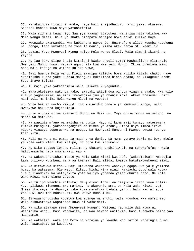35. Na akaingia kitaluni kwake, naye hali anajidhulumu nafsi yake. Akasema: Sidhani kabisa kuwa haya yataharibika.

36. Wala sidhani kuwa hiyo Saa (ya Kyama) itatokea. Na ikiwa nitarudishwa kwa Mola wangu Mlezi, bila ya shaka nitapata marejeo bora zaidi kuliko haya.

37. Mwenzake akamwambia kwa kubishana naye: Je! Unamkufuru aliye kuumba kutokana na udongo, tena kutokana na tone la manii, kisha akakufanya mtu kaamili?

38. Lakini Yeye Mwenyezi Mungu ndiye Mola wangu Mlezi. Wala simshirikishi na yeyote.

39. Na lau kuwa ulipo ingia kitaluni kwako ungeli sema: Mashaallah! Alitakalo Mwenyezi Mungu huwa! Hapana nguvu ila kwa Mwenyezi Mungu. Ikiwa unaniona mimi nina mali kidogo na watoto kuliko wewe,

40. Basi huenda Mola wangu Mlezi akanipa kilicho bora kuliko kitalu chako, naye akapitisha kudra yake kutoka mbinguni kukilitea hicho chako, na kikageuka ardhi tupu inayo teleza.

41. Au maji yake yakadidimia wala usiweze kuyagundua.

42. Yakateketezwa matunda yake, akabaki akipindua pindua viganja vyake, kwa vile alivyo yagharimia, na miti imebwagika juu ya chanja zake. Akawa anasema: Laiti nisingeli mshiriki Mola wangu Mlezi na yeyote!

43. Wala hakuwa nacho kikundi cha kumsaidia badala ya Mwenyezi Mungu, wala mwenyewe hakuweza kujisaidia.

44. Huko ulinzi ni wa Mwenyezi Mungu wa Haki tu. Yeye ndiye mbora wa malipo, na mbora wa matokeo.

45. Na wapigie mfano wa maisha ya dunia. Hayo ni kama maji tunayo yateremsha kutoka mbinguni, yakachanganyika na mimea ya ardhi, kisha hiyo mimea ikawa vibuwa vinavyo peperushwa na upepo. Na Mwenyezi Mungu ni Mwenye uweza juu ya kila kitu.

46. Mali na wana ni pambo la maisha ya dunia. Na mema yanayo bakia ni bora mbele ya Mola wako Mlezi kwa malipo, na bora kwa matumaini.

47. Na siku tutapo iondoa milima na ukaiona ardhi iwazi, na tukawafufua - wala hatutamwacha hata mmoja kati yao -

48. Na wakahudhurishwa mbele ya Mola wako Mlezi kwa safu (wakaambiwa): Mmetujia kama tulivyo kuumbeni mara ya kwanza! Bali mlidai kwamba hatutakuwekeeni miadi.

49. Na kitawekwa kitabu. Basi utawaona wakosefu wanavyo ogopa kwa yale yaliomo humo. Na watasema: Ole wetu! Kitabu hichi kina nini! Hakiachi dogo wala kubwa ila huliandika? Na watayakuta yote waliyo yatenda yamehudhuria hapo. Na Mola wako Mlezi hamdhulumu yeyote.

50. Na tulipo waambia Malaika: Msujudieni Adam! Walimsjudia isipo kuwa Iblisi. Yeye alikuwa miongoni mwa majini, na akavunja amri ya Mola wake Mlezi. Je! Mnamshika yeye na dhuriya zake kuwa marafiki badala yangu, hali wao ni adui zenu? Ni ovu mno badala hii kwa wenye kudhulumu.

51. Sikuwashuhudisha kuumbwa kwa mbingu na ardhi, wala kuumbwa kwa nafsi zao. Wala sikuwafanya wapotezao kuwa ni wasaidizi.

52. Na siku atakapo sema (Mwenyezi Mungu): Waiteni hao mlio dai kuwa ni washirika wangu. Basi watawaita, na wao hawato waitikia. Nasi tutaweka baina yao maangamio.

53. Na wakhalifu watauona Moto na watajua ya kwamba wao lazima wataingia humo; wala hawatapata pa kuuepuka.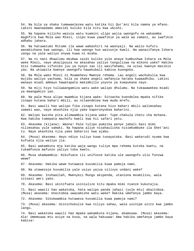54. Na bila ya shaka tumewaelezea watu katika hii Qur'ani kila namna ya mfano. Lakini mwanaadamu amezidi kuliko kila kitu kwa ubishi.

55. Na hapana kilicho wazuia watu kuamini ulipo wajia uwongofu na wakaomba maghfira kwa Mola wao Mlezi, isipo kuwa yawafikie ya wale wa zamani, au iwafikie adhabu jahara.

56. Na hatuwatumi Mitume ila wawe wabashiri na waonyaji. Na walio kufuru wanabishana kwa uwongo, ili kwa uwongo huo waivunje kweli. Na wanazifanya Ishara zangu na yale waliyo onywa kuwa ni mzaha.

57. Na ni nani dhaalimu mkubwa zaidi kuliko yule anaye kumbushwa Ishara za Mola wake Mlezi, naye akazipuuza na akasahau yaliyo tangulizwa na mikono yake? Hakika Sisi tumeweka vifuniko juu ya nyoyo zao ili wasifahamu, na uziwi kwenye masikio yao. Na ukiwaita kwenye uwongofu hawakubali kabisa kuongoka.

58. Na Mola wako Mlezi ni Msamehevu Mwenye rehema. Lau angeli wachukulia kwa mujibu waliyo yachuma, bila ya shaka angeli wafanyia haraka kuwaadhibu. Lakini wanayo miadi ambayo hawatapata makimbilio yoyote ya kuepukana nayo.

59. Na miji hiyo tuliwaangamiza watu wake walipo dhulumu. Na tukawawekea miadi ya maangamizo yao.

60. Na pale Musa alipo mwambia kijana wake: Sitoacha kuendelea mpaka nifike zinapo kutana bahari mbili, au nitaendelea kwa muda mrefu.

61. Basi wawili hao walipo fika zinapo kutana hizo bahari mbili walimsahau samaki wao, naye akashika njia yake kaporonyokea baharini.

62. Walipo kwisha pita alimwambia kijana wake: Tupe chakula chetu cha mchana. Kwa hakika tumepata machofu kweli kwa hii safari yetu.

63. Akasema (kijana): Waona! Pale tulipo pumzika penye jabali basi mimi nilimsahau yule samaki. Na hapana aliye nisahaulisha nisimkumbuke ila Shet'ani tu. Naye akashika njia yake baharini kwa ajabu.

64. (Musa) akasema: Hayo ndiyo tuliyo kuwa tunayataka. Basi wakarudi nyuma kwa kufuata njia waliyo jia.

65. Basi wakamkuta mja katika waja wangu tuliye mpa rehema kutoka kwetu, na tukamfunza mafunzo yaliyo toka kwetu.

66. Musa akamwambia: Nikufuate ili unifunze katika ule uwongofu ulio funzwa wewe?

67. Akasema: Hakika wewe hutaweza kuvumilia kuwa pamoja nami.

68. Na utawezaje kuvumilia yale usiyo yajua vilivyo undani wake?

69. Akasema: Inshaallah, Mwenyezi Mungu akipenda, utaniona mvumilivu, wala sitoasi amri yako.

70. Akasema: Basi ukinifuata usiniulize kitu mpaka mimi nianze kukutajia.

71. Basi wawili hao wakatoka, hata walipo panda jahazi (yule mtu) akaitoboa. (Musa) akasema: Unaitoboa uwazamishe watu wake? Hakika umefanya jambo baya.

72. Akasema: Sikukwambia hutaweza kuvumilia kuwa pamoja nami?

73. (Musa) akasema: Usinichukulie kwa niliyo sahau, wala usinipe uzito kwa jambo langu.

74. Basi wakatoka wawili hao mpaka wakamkuta kijana, akamuuwa. (Musa) akasema: Ala! Umemuuwa mtu asiye na kosa, na wala hakuuwa! Ama hakika umefanya jambo baya kabisa!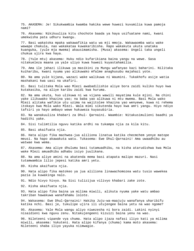75. AKASEMA: Je! Sikukwambia kwamba hakika wewe huwezi kuvumilia kuwa pamoja nami?

76. Akasema: Nikikuuliza kitu chochote baada ya haya usifuatane nami, kwani umekwisha pata udhuru kwangu.

77. Basi wakatoka mpaka wakawafikia watu wa mji mmoja. Wakawaomba watu wake wawape chakula, nao wakakataa kuwakaribisha. Hapo wakakuta ukuta unataka kuanguka, (yule mja mwema) akausimamisha. (Musa) akasema: Ungeli taka ungeli chukua ujira kwa haya.

78. (Yule mtu) akasema: Huku ndio kufarikiana baina yangu na wewe. Sasa nitakueleza maana ya yale uliyo kuwa huwezi kuyastahamilia.

79. Ama ile jahazi ilikuwa ya masikini za Mungu wafanyao kazi baharini. Nilitaka kuiharibu, kwani nyuma yao alikuwako mfalme anaghusubu majahazi yote.

80. Na ama yule kijana, wazazi wake walikuwa ni Waumini. Tukakhofu asije watia mashakani kwa uasi na ukafiri.

81. Basi tulitaka Mola wao Mlezi awabadilishie aliye bora zaidi kuliko huyo kwa kutakasika, na aliye karibu zaidi kwa huruma.

82. Na ama ukuta, huo ulikuwa ni wa vijana wawili mayatima kule mjini. Na chini yake ilikuwako khazina yao; na baba yao alikuwa ni mtu mwema. Basi Mola wako Mlezi alitaka wafikie utu uzima na wajitolee khazina yao wenyewe, kuwa ni rehema itokayo kwa Mola wako Mlezi. Wala mimi sikutenda hayo kwa amri yangu. Hiyo ndiyo tafsiri ya hayo ambayo wewe hukuweza kuyasubiria.

83. Na wanakuuliza khabari za Dhul- Qarnaini. Waambie: Nitakusimulieni baadhi ya hadithi yake.

84. Sisi tulimtilia nguvu katika ardhi na tukampa njia za kila kitu.

85. Basi akaifuata njia.

86. Hata alipo fika machwea-jua aliliona linatua katika checmchem yenye matope meusi. Na hapo akawakuta watu. Tukasema: Ewe Dhul-Qarnaini! Ama uwaadhibu au watwae kwa wema.

87. Akasema: Ama aliye dhulumu basi tutamuadhibu, na kisha atarudishwa kwa Mola wake Mlezi amuadhibu adhabu isiyo juulikana.

88. Na ama aliye amini na akatenda mema basi atapata malipo mazuri. Nasi tutamwambia lilio jepesi katika amri yetu.

89. Kisha akaifuata njia.

90. Hata alipo fika matokeo ya jua aliliona linawachomozea watu tusio wawekea pazia la kuwakinga nalo.

91. Ndio hivyo hivyo. Na Sisi tulizijua vilivyo khabari zake zote.

92. Kisha akaifuata njia.

93. Hata alipo fika baina ya milima miwili, alikuta nyuma yake watu ambao takriban hawakuwa wanafahamu lolote.

94. Wakasema: Ewe Dhul-Qarnaini! Hakika Juju-wa-maajuju wanafanya uharibifu katika nchi. Basi je, tukulipe ujira ili utujengee baina yetu na wao ngome?

95. Akasema: Yale Mola wangu aliyo niwezesha ni bora zaidi. Lakini nyinyi nisaidieni kwa nguvu zenu. Nitakujengeeni kizuizi baina yenu na wao.

96. Nileteeni vipande vya chuma. Hata alipo ijaza nafasi iliyo kati ya milima miwili, akasema: Vukuteni. Hata alipo kifanya (chuma) kama moto akasema: Nileteeni shaba iliyo yayuka niimwagie.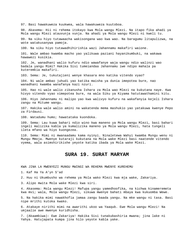97. Basi hawakuweza kuukwea, wala hawakuweza kuutoboa.

98. Akasema: Hii ni rehema itokayo kwa Mola wangu Mlezi. Na itapo fika ahadi ya Mola wangu Mlezi atauvunja vunja. Na ahadi ya Mola wangu Mlezi ni kweli tu.

99. Na siku hiyo tutawaacha wakisongana wao kwa wao. Na baragumu litapulizwa, na wote watakusanywa pamoja.

100. Na siku hiyo tutawadhihirishia wazi Jahannamu makafiri waione.

101. Wale ambao kwamba macho yao yalikuwa paziani hayanikumbuki, na wakawa hawawezi kusikia.

102. Je, wanadhani walio kufuru ndio wawafanye waja wangu ndio walinzi wao badala yangu Mimi? Hakika Sisi tumeiandaa Jahannamu iwe ndipo mahala pa kuteremkia makafiri.

103. Sema: Je, tukutajieni wenye khasara mno katika vitendo vyao?

104. Ni wale ambao juhudi yao katika maisha ya dunia imepotea bure, nao wanadhani kwamba wanafanya kazi nzuri.

105. Hao ni wale walio zikanusha Ishara za Mola wao Mlezi na kukutana naye. Kwa hivyo vitendo vyao vimepotea bure, na wala Siku ya Kiyama hatutawathamini kitu.

106. Hiyo Jahannamu ni malipo yao kwa walivyo kufuru na wakafanyia kejeli Ishara zangu na Mitume wangu.

107. Hakika wale walio amini na wakatenda mema mashukio yao yatakuwa kwenye Pepo za Firdausi.

108. Watadumu humo; hawatataka kuondoka.

109. Sema: Lau kuwa bahari ndio wino kwa maneno ya Mola wangu Mlezi, basi bahari ingeli malizika kabla ya kumalizika maneno ya Mola wangu Mlezi, hata tungeli ileta mfano wa hiyo kuongezea.

110. Sema: Mimi ni mwanaadamu kama nyinyi. Ninaletewa Wahyi kwamba Mungu wenu ni Mungu Mmoja. Mwenye kutaraji kukutana na Mola wake Mlezi basi naatende vitendo vyema, wala asimshirikishe yeyote katika ibada ya Mola wake Mlezi.

#### **SURA 19. SURAT MARYAM**

KWA JINA LA MWENYEZI MUNGU MWINGI WA REHEMA MWENYE KUREHEMU

1. Kaf Ha Ya A'yn S'ad

2. Huu ni Ukumbusho wa rehema ya Mola wako Mlezi kwa mja wake, Zakariya.

3. Alipo mwita Mola wake Mlezi kwa siri.

4. Akasema: Mola wangu Mlezi! Mafupa yangu yamedhoofika, na kichwa kinameremeta kwa mvi; wala, Mola wangu Mlezi, sikuwa mwenye bahati mbaya kwa kukuomba Wewe.

5. Na hakika mimi nawakhofia jamaa zangu baada yangu. Na mke wangu ni tasa. Basi nipe mrithi kutoka kwako.

6. Atakaye nirithi mimi na awarithi ukoo wa Yaaqub. Ewe Mola wangu Mlezi! Na umjaalie awe mwenye kuridhisha.

7. (Akaambiwa): Ewe Zakariya! Hakika Sisi tunakubashiria mwana; jina lake ni Yahya. Hatujapata kumpa jina hilo yeyote kabla yake.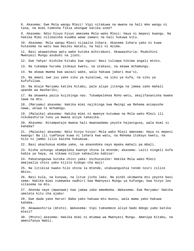8. Akasema: Ewe Mola wangu Mlezi! Vipi nitakuwa na mwana na hali mke wangu ni tasa, na mimi nimesha fikia ukongwe katika uzee? 9. Akasema: Ndio hivyo hivyo amesema Mola wako Mlezi: Haya ni mepesi kwangu. Na hakika Mimi nilikwisha kuumba wewe zamani na hali hukuwa kitu. 10. Akasema: Mola wangu Mlezi nijaalie Ishara. Akasema Ishara yako ni kuwa hutasema na watu kwa masiku matatu, na hali ni mzima. 11. Basi akawatokea watu wake kutoka mihirabuni. Akawaashiria: Msabihini Mwenyezi Mungu asubuhi na jioni. 12. Ewe Yahya! Kishike Kitabu kwa nguvu! Nasi tulimpa hikima angali mtoto. 13. Na tukampa huruma itokayo kwetu, na utakaso, na akawa mchamungu. 14. Na akawa mwema kwa wazazi wake, wala hakuwa jabari mua'si. 15. Na amani iwe juu yake siku ya kuzaliwa, na siku ya kufa, na siku ya kufufuliwa. 16. Na mtaje Maryamu katika Kitabu, pale alipo jitenga na jamaa zake mahali upande wa mashariki; 17. Na akaweka pazia kujikinga nao. Tukampelekea Roho wetu, akajifananisha kwake sawa na mtu. 18. (Maryamu) akasema: Hakika mimi najikinga kwa Mwingi wa Rehema aniepushe nawe, ukiwa ni mchamngu. 19. (Malaika) akasema: Hakika mimi ni mwenye kutumwa na Mola wako Mlezi ili nikubashirie tunu ya mwana aliye takasika. 20. Akasema: Nitampataje mwana hali mwanaadamu yeyote hajanigusa, wala mimi si kahaba? 21. (Malaika) akasema: Ndio hivyo hivyo! Mola wako Mlezi amesema: Haya ni mepesi kwangu! Na ili tumfanye kuwa ni Ishara kwa watu, na Rehema itokayo kwetu, na hilo ni jambo lilio kwisha hukumiwa. 22. Basi akachukua mimba yake, na akaondoka nayo mpaka mahali pa mbali. 23. Kisha uchungu ukampeleka kwenye shina la mtende; akasema: Laiti ningeli kufa kabla ya haya, na nikawa niliye sahaulika kabisa! 24. Pakatangazwa kutoka chini yake: Usihuzunike! Hakika Mola wako Mlezi amejaalia chini yako kijito kidogo cha maji! 25. Na litikise kwako hilo shina la mtende, utakuangushia tende nzuri zilizo mbivu. 26. Basi kula, na kunywa, na litue jicho lako. Na pindi ukimwona mtu yeyote basi sema: Hakika mimi nimeweka nadhiri kwa Mwenyezi Mungu ya kufunga; kwa hivyo leo sitasema na mtu. 27. Akenda naye (mwanawe) kwa jamaa zake amembeba. Wakasema: Ewe Maryamu! Hakika umeleta kitu cha ajabu! 28. Ewe dada yake Harun! Baba yako hakuwa mtu muovu, wala mama yako hakuwa kahaba. 29. Akawaashiria (mtoto). Wakasema: Vipi tumsemeze aliye bado mdogo yumo katika mlezi? 30. (Mtoto) akasema: Hakika mimi ni mtumwa wa Mwenyezi Mungu. Amenipa Kitabu, na amenifanya Nabii.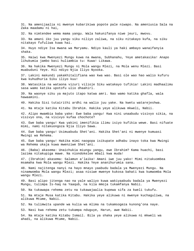31. Na amenijaalia ni mwenye kubarikiwa popote pale niwapo. Na ameniusia Sala na Zaka maadamu ni hai,

32. Na nimtendee wema mama yangu. Wala hakunifanya niwe jeuri, mwovu.

33. Na amani iko juu yangu siku niliyo zaliwa, na siku nitakayo kufa, na siku nitakayo fufuliwa kuwa hai.

34. Huyo ndiye Isa mwana wa Maryamu. Ndiyo kauli ya haki ambayo wanaifanyia shaka.

35. Haiwi kwa Mwenyezi Mungu kuwa na mwana, Subhanahu, Yeye ametakasika! Anapo lihukumia jambo basi huliambia tu: Kuwa! Likawa.

36. Na hakika Mwenyezi Mungu ni Mola wangu Mlezi, na Mola wenu Mlezi. Basi muabuduni Yeye. Hii ndiyo Njia Iliyo Nyooka.

37. Lakini makundi yakakhitalifiana wao kwa wao. Basi ole wao hao walio kufuru kwa kuhudhuria Siku iliyo kuu!

38. Watasikia na wataona vizuri vilioje Siku watakayo tufikia! Lakini madhaalimu sasa wamo katika upotofu ulio dhaahiri.

39. Na waonye siku ya majuto itapo katwa amri. Nao wamo katika ghafla, wala hawaamini.

40. Hakika Sisi tutairithi ardhi na walio juu yake. Na kwetu watarejeshwa.

41. Na mtaje katika Kitabu Ibrahim. Hakika yeye alikuwa mkweli, Nabii.

42. Alipo mwambia baba yake: Ewe baba yangu! Kwa nini unaabudu visivyo sikia, na visivyo ona, na visivyo kufaa chochote?

43. Ewe baba yangu! Kwa yakini imenifikia ilimu isiyo kufikia wewe. Basi nifuate mimi, nami nitakuongoza Njia Iliyo Sawa.

44. Ewe baba yangu! Usimuabudu Shet'ani. Hakika Shet'ani ni mwenye kumuasi Mwingi wa Rehema.

45. Ewe baba yangu! Hakika mimi naogopa isikupate adhabu inayo toka kwa Mwingi wa Rehema ukaja kuwa mwenziwe Shet'ani.

46. (Baba) akasema: Unaichukia miungu yangu, ewe Ibrahim? Kama huachi, basi lazima nitakupiga mawe. Na niondokelee mbali kwa muda!

47. (Ibrahim) akasema: Salamun a'laika! Amani iwe juu yako! Mimi nitakuombea msamaha kwa Mola wangu Mlezi. Hakika Yeye ananihurumia sana.

48. Nami najitenga nanyi na hayo mnayo yaabudu badala ya Mwenyezi Mungu. Na ninamwomba Mola wangu Mlezi; asaa nisiwe mwenye kukosa bahati kwa kumwomba Mola wangu Mlezi.

49. Basi alipo jitenga nao na yale waliyo kuwa wakiyaabudu badala ya Mwenyezi Mungu, tulimpa Is-haq na Yaaqub, na kila mmoja tukamfanya Nabii.

50. Na tukawapa rehema zetu na tukawajaalia kupewa sifa za kweli tukufu.

51. Na mtaje Musa katika Kitabu. Hakika yeye alikuwa ni mwenye kuchaguliwa, na alikuwa Mtume, Nabii.

52. Na tulimwita upande wa kulia wa mlima na tukamsogeza kunong'ona naye.

53. Nasi kwa rehema zetu tukampa nduguye, Harun, awe Nabii.

54. Na mtaje katika Kitabu Ismail. Bila ya shaka yeye alikuwa ni mkweli wa ahadi, na alikuwa Mtume, Nabii.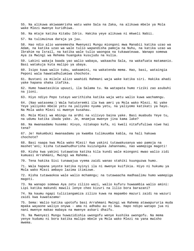55. Na alikuwa akiwaamrisha watu wake Sala na Zaka, na alikuwa mbele ya Mola wake Mlezi mwenye kuridhiwa.

56. Na mtaje katika Kitabu Idris. Hakika yeye alikuwa ni mkweli Nabii.

57. Na tulimuinua daraja ya juu.

58. Hao ndio alio waneemesha Mwenyezi Mungu miongoni mwa Manabii katika uzao wa Adam, na katika uzao wa wale tulio wapandisha pamoja na Nuhu, na katika uzao wa Ibrahim na Israil, na katika wale tulio waongoa na tukawateuwa. Wanapo somewa Aya za Mwingi wa Rehema huanguka kusujudu na kulia.

59. Lakini wakaja baada yao walio wabaya, wakaacha Sala, na wakafuata matamanio. Basi watakuja kuta malipo ya ubaya.

60. Isipo kuwa walio tubu, wakaamini, na wakatenda mema. Hao, basi, wataingia Peponi wala hawatadhulumiwa chochote.

61. Bustani za milele alizo waahidi Rahmani waja wake katika siri. Hakika ahadi yake hapana shaka itafika.

62. Humo hawatasikia upuuzi, ila Salama tu. Na watapata humo riziki zao asubuhi na jioni.

63. Hiyo ndiyo Pepo tutayo warithisha katika waja wetu walio kuwa wachamngu.

64. (Nao watasema:) Wala hatuteremki ila kwa amri ya Mola wako Mlezi. Ni yake Yeye yaliyoko mbele yetu na yaliyoko nyuma yetu, na yaliyomo katikati ya hayo. Na Mola wako Mlezi si mwenye kusahau.

65. Mola Mlezi wa mbingu na ardhi na vilivyo baina yake. Basi muabudu Yeye tu, na udumu katika ibada yake. Je, mnamjua mwenye jina kama lake?

66. Na mwanaadamu husema: Hivyo, nitakapo kufa, ni kweli nitafufuliwa niwe hai tena?

67. Je! Hakumbuki mwanaadamu ya kwamba tulimuumba kabla, na hali hakuwa chochote?

68. Basi naapa kwa Mola wako Mlezi! Kwa yakini tutawakusanya wao pamoja na mashet'ani; kisha tutawahudhurisha kuizunguka Jahannamu, nao wamepiga magoti!

69. Kisha kwa yakini tutawatoa katika kila kundi wale miongoni mwao walio zidi kumuasi Arrahmani, Mwingi wa Rahema..

70. Tena hakika Sisi tunawajua vyema zaidi wanao stahiki kuunguzwa humo.

71. Wala hapana yeyote katika nyinyi ila ni mwenye kuifikia. Hiyo ni hukumu ya Mola wako Mlezi ambayo lazima itimizwe.

72. Kisha tutawaokoa wale walio mchamngu; na tutawaacha madhaalimu humo wamepiga magoti.

73. Na wanapo somewa Aya zetu zilizo wazi, walio kufuru huwaambia walio amini: Lipi katika makundi mawili lenye cheo kizuri na lilio bora barazani?

74. Na kaumu ngapi tuliziangamiza zilizo kuwa na mapambo mazuri zaidi na wazuri zaidi kwa kuwatazama!

75. Sema: Walio katika upotofu basi Arrahmani Mwingi wa Rahema atawapururia muda mpaka wayaone waliyo onywa - ama ni adhabu au ni Saa. Hapo ndipo watapo jua ni nani mwenye makao mabaya na mwenye askari dhaifu.

76. Na Mwenyezi Mungu huwazidishia uwongofu wenye kushika uwongofu. Na mema yenye kudumu ni bora katika malipo mbele ya Mola wako Mlezi na yana mwisho mwema.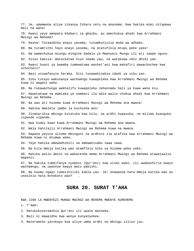77. Je, umemwona aliye zikanya Ishara zetu na akasema: Kwa hakika mimi nitapewa mali na wana! 78. Kwani yeye amepata khabari za ghaibu, au amechukua ahadi kwa Arrahmani Mwingi wa Rehema? 79. Hasha! Tutaandika anayo yasema, tutamkunjulia muda wa adhabu. 80. Na tutamrithi hayo anayo yasema, na atatufikia mtupu peke yake! 81. Na wamechukua miungu mingine badala ya Mwenyezi Mungu ili ati iwape nguvu. 82. Sivyo kabisa! Wataikataa hiyo ibada yao, na watakuwa ndio dhidi yao. 83. Kwani huoni ya kwamba tumewatuma mashet'ani kwa makafiri wawachochee kwa uchochezi? 84. Basi usiwafanyie haraka. Sisi tunawahisabia idadi ya siku zao. 85. Siku tutayo wakusanya wachamngu kuwapeleka kwa Arrahmani Mwingi wa Rehema kuwa ni wageni wake. 86. Na tukawachunga wakhalifu kuwapeleka Jahannamu hali ya kuwa wana kiu. 87. Hawatakuwa na mamlaka ya uombezi ila wale walio chukua ahadi kwa Arrahmani Mwingi wa Rehema.. 88. Na wao ati husema kuwa Arrahmani Mwingi wa Rehema ana mwana! 89. Hakika mmeleta jambo la kuchusha mno! 90. Zinakaribia mbingu kutatuka kwa hilo, na ardhi kupasuka, na milima kuanguka vipande vipande. 91. Kwa kudai kwao kuwa Arrahmani Mwingi wa Rehema ana mwana. 92. Wala hahitajii Arrahmani Mwingi wa Rehema kuwa na mwana. 93. Hapana yeyote aliomo mbinguni na ardhini ila atafika kwa Arrahmani Mwingi wa Rehema kuwa ni mtumwa wake. 94. Yeye hakika amewadhibiti na amewahisabu sawa sawa. 95. Na kila mmoja katika wao atamfikia Siku ya Kiyama peke yake. 96. Hakika walio amini na wakatenda mema Arrahmani Mwingi wa Rehema atawajaalia mapenzi. 97. Na hakika tumeifanya nyepesi (Qur'ani) kwa ulimi wako, ili uwabashirie kwayo wachamngu, na uwaonye kwayo watu wabishi. 98. Na kaumu ngapi tumezihiliki kabla yao. Je! Unawaona hata mmoja katika wao au unasikia hata mchakato wao? . **SURA 20. SURAT T'AHA**  KWA JINA LA MWENYEZI MUNGU MWINGI WA REHEMA MWENYE KUREHEMU

- 1. T'AHA!
- 2. Hatukukuteremshia Qur'ani ili upate mashaka.
- 3. Bali ni mawaidha kwa wenye kunyenyekea.
- 4. Materemsho yatokayo kwa aliye umba ardhi na mbingu zilizo juu.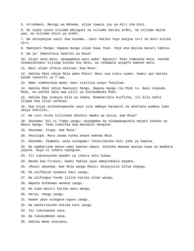5. Arrahmani, Mwingi wa Rehema, aliye tawala juu ya Kiti cha Enzi. 6. Ni vyake vyote viliomo mbinguni na viliomo katika ardhi, na viliomo baina yao, na viliomo chini ya ardhi. 7. Na ukinyanyua sauti kwa kusema...basi hakika Yeye anajua siri na duni kuliko siri. 8. Mwenyezi Mungu! Hapana mungu isipo kuwa Yeye. Yeye ana majina mazuri kabisa. 9. Na je! Imekufikia hadithi ya Musa? 10. Alipo uona moto, akawaambia watu wake: Ngojeni! Mimi nimeuona moto, huenda nikakuleteeni kijinga kutoka huo moto, au nikapata uongofu kwenye moto. 11. Basi alipo ufikia akaitwa: Ewe Musa! 12. Hakika Mimi ndiye Mola wako Mlezi! Basi vua viatu vyako. Kwani upo katika bonde takatifu la T'uwa. 13. Nami nimekuteua wewe; basi sikiliza unayo funuliwa. 14. Hakika Mimi ndiye Mwenyezi Mungu. Hapana mungu ila Mimi tu. Basi niabudu Mimi, na ushike Sala kwa ajili ya kunikumbuka Mimi. 15. Hakika Saa itakuja bila ya shaka. Nimekaribia kuificha, ili kila nafsi ilipwe kwa iliyo yafanya. 16. Kwa hivyo asikukengeushe nayo yule ambaye haiamini na akafuata pumbao lake ukaja kuhiliki. 17. Na nini hicho kilichomo mkononi mwako wa kulia, ewe Musa? 18. Akasema: Hii ni fimbo yangu; naiegemea na ninawaangushia majani kondoo na mbuzi wangu. Tena inanifaa kwa matumizi mengine. 19. Akasema: Itupe, ewe Musa! 20. Akaitupa. Mara ikawa nyoka anaye kwenda mbio. 21. Akasema: Ikamate, wala usiogope! Tutairudisha hali yake ya kwanza. 22. Na uambatishe mkono wako kwenye ubavu. Utatoka mweupe pasipo kuwa na madhara yoyote. Hiyo ni ishara nyengine. 23. Ili tukuonyeshe baadhi ya ishara zetu kubwa. 24. Nenda kwa Firauni; kwani hakika yeye amepindukia mipaka. 25. (Musa) akasema: Ewe Mola wangu Mlezi! Nikunjulie kifua changu, 26. Na unifanyie nyepesi kazi yangu, 27. Na ulifungue fundo lililo katika ulimi wangu, 28. Wapate kufahamu maneno yangu. 29. Na nipe waziri katika watu wangu, 30. Harun, ndugu yangu. 31. Kwake yeye niongeze nguvu zangu. 32. Na umshirikishe katika kazi yangu. 33. Ili tukutakase sana. 34. Na tukukumbuke sana. 35. Hakika Wewe unatuona.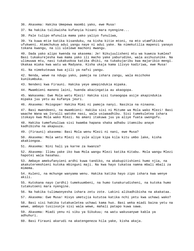36. Akasema: Hakika Umepewa maombi yako, ewe Musa!

37. Na hakika tulikwisha kufanyia hisani mara nyengine...

38. Pale tulipo mfunulia mama yako yaliyo funuliwa,

39. Ya kuwa mtie katika kisanduku, na kisha kitie mtoni, na mto utamfikisha ufukweni. Atamchukua adui yangu naye ni adui yake. Na nimekutilia mapenzi yanayo tokana kwangu, na ili ulelewe machoni mwangu.

40. Dada yako alipo kwenda na akasema: Je! Nikujuulisheni mtu wa kuweza kumlea? Basi tukakurejesha kwa mama yako ili macho yake yaburudike, wala asihuzunike. Na ulimuuwa mtu, nasi tukakuokoa katika dhiki, na tukakujaribu kwa majaribio mengi. Ukakaa miaka kwa watu wa Madyana. Kisha ukaja kama ilivyo kadiriwa, ewe Musa!

41. Na nimekuteuwa kwa ajili ya nafsi yangu.

42. Nenda, wewe na ndugu yako, pamoja na ishara zangu, wala msichoke kunikumbuka.

43. Nendeni kwa Firauni. Hakika yeye amepindukia mipaka.

44. Mwambieni maneno laini, huenda akazingatia au akaogopa.

45. Wakasema: Ewe Mola wetu Mlezi! Hakika sisi tunaogopa asije akapindukia mipaka juu yetu au kufanya jeuri.

46. Akasema: Msiogope! Hakika Mimi ni pamoja nanyi. Nasikia na ninaona.

47. Basi mwendeeni, na mwambieni: Hakika sisi ni Mitume wa Mola wako Mlezi! Basi waache Wana wa Israili watoke nasi, wala usiwaadhibu. Sisi tumekuletea ishara itokayo kwa Mola wako Mlezi. Na amani itakuwa juu ya aliye fuata uwongofu.

48. Hakika tumefunuliwa sisi kwamba hapana shaka adhabu itamsibu anaye kadhibisha na akapuuza.

49. (Firauni) akasema: Basi Mola wenu Mlezi ni nani, ewe Musa?

50. Akasema: Mola wetu Mlezi ni yule aliye kipa kila kitu umbo lake, kisha akakiongoa.

51. Akasema: Nini hali ya karne za kwanza?

52. Akasema: Ilimu yake iko kwa Mola wangu Mlezi katika Kitabu. Mola wangu Mlezi hapotei wala hasahau.

53. Ambaye amekufanyieni ardhi kuwa tandiko, na akakupitishieni humo njia, na akakuteremshieni kutoka mbinguni maji. Na kwa hayo tukatoa namna mbali mbali za mimema.

54. Kuleni, na mchunge wanyama wenu. Hakika katika hayo zipo ishara kwa wenye akili.

55. Kutokana nayo (ardhi) tumekuumbeni, na humo tunakurudisheni, na kutoka humo tutakutoeni mara nyengine.

56. Na hakika tulimwonyesha ishara zetu zote. Lakini alikadhibisha na akakataa.

57. Akasema: Ewe Musa! Hivyo umetujia kututoa katika nchi yetu kwa uchawi wako?

58. Basi sisi hakika tutakueletea uchawi kama huo. Basi weka miadi baina yetu na wewe, ambayo tusiivunje sisi wala wewe, mahali patapo kuwa sawa.

59. Akasema: Miadi yenu ni siku ya Sikukuu; na watu wakusanywe kabla ya adhuhuri.

60. Basi Firauni akarudi na akatengeneza hila yake, kisha akaja.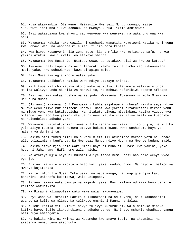61. Musa akamwambia: Ole wenu! Msimzulie Mwenyezi Mungu uwongo, asije akakufutilieni mbali kwa adhabu. Na mwenye kuzua lazima ashindwe!

62. Basi wakazozana kwa shauri yao wenyewe kwa wenyewe, na wakanong'ona kwa siri.

63. Wakasema: Hakika hawa wawili ni wachawi, wanataka kukutoeni katika nchi yenu kwa uchawi wao, na waondoe mila zenu zilizo bora kabisa.

64. Kwa hivyo kusanyeni hila zenu zote, kisha mfike kwa kujipanga safu, na kwa yakini atafuzu kweli kweli leo atakaye shinda.

65. Wakasema: Ewe Musa! Je! Utatupa wewe, au tutakuwa sisi wa kwanza kutupa?

66. Akasema: Bali tupeni nyinyi! Tahamaki kamba zao na fimbo zao zikaonekana mbele yake, kwa uchawi wao, kuwa zinapiga mbio.

67. Basi Musa akaingia khofu nafsi yake.

68. Tukasema: Usikhofu! Hakika wewe ndiye utakaye shinda.

69. Na kitupe kilicho katika mkono wako wa kulia; kitavimeza walivyo viunda. Hakika walivyo unda ni hila za mchawi tu, na mchawi hafanikiwi popote afikapo.

70. Basi wachawi wakaangushwa wanasujudu. Wakasema: Tumemuamini Mola Mlezi wa Harun na Musa!

71. (Firauni) akasema: Oh! Mnamuamini kabla sijakupeni ruhusa? Hakika yeye ndiye mkubwa wenu aliye kufundisheni uchawi. Basi kwa yakini nitakukateni mikono yenu na miguu yenu kwa kutafautisha. Na nitakutundikeni misalabani katika vigogo vya mitende, na hapo kwa yakini mtajua ni nani katika sisi aliye mkali wa kuadhibu na kuiendeleza adhabu yake.

72. Wakasema: Hatutokukhiari wewe kuliko ishara waziwazi zilizo tujia, na kuliko yule aliye tuumba. Basi hukumu utavyo hukumu; kwani wewe unahukumu haya ya maisha ya duniani tu.

73. Hakika sisi tumemuamini Mola wetu Mlezi ili atusamehe makosa yetu na uchawi ulio tulazimisha kuufanya. Na Mwenyezi Mungu ndiye Mbora na Mwenye kudumu zaidi.

74. Hakika ataye mjia Mola wake Mlezi naye ni mkhalifu, basi kwa yakini, yake huyo ni Jahannamu. Hafi humo wala haishi.

75. Na atakaye mjia naye ni Muumini aliye tenda mema, basi hao ndio wenye vyeo vya juu.

76. Bustani za milele zipitazo mito kati yake, wadumu humo. Na hayo ni malipo ya mwenye kujitakasa.

77. Na tulimfunulia Musa: Toka usiku na waja wangu, na uwapigie njia kavu baharini. Usikhofu kukamatwa, wala usiogope.

78. Firauni akawafuata pamoja na majeshi yake. Basi kiliwafudikiza humo baharini kilicho wafudikiza.

79. Na Firauni aliwapoteza watu wake wala hakuwaongoa.

80. Enyi Wana wa Israili! Hakika tulikuokoeni na adui yenu, na tukakuahidini upande wa kulia wa mlima. Na tulikuteremshieni Manna na Salwa.

81. Kuleni katika vitu vizuri hivyo tulivyo kuruzukuni, wala msiruke mipaka katika hayo, isije ikakushukieni ghadhabu yangu. Na inaye mshukia ghadhabu yangu basi huyo ameangamia.

82. Na hakika Mimi ni Mwingi wa Kusamehe kwa anaye tubia, na akaamini, na akatenda mema, tena akaongoka.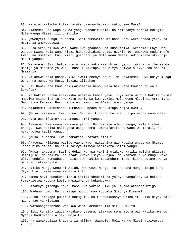83. Na nini kilicho kutia haraka ukawaacha watu wako, ewe Musa?

84. Akasema: Hao wapo nyuma yangu wananifuatia. Na nimefanya haraka kukujia, Mola wangu Mlezi, ili uridhike.

85. (Mwenyezi Mungu) akasema: Sisi tumewatia mtihani watu wako baada yako, na Msamaria amewapoteza.

86. Musa akarudi kwa watu wake kwa ghadhabu na kusikitika. Akasema: Enyi watu wangu! Kwani Mola wenu Mlezi hakukuahidini ahadi nzuri? Je, umekuwa muda mrefu kwenu au mmetaka ikushukieni ghadhabu ya Mola wenu Mlezi, ndio maana mkavunja miadi yangu?

87. Wakasema: Sisi hatukuvunja miadi yako kwa khiari yetu, lakini tulibebeshwa mizigo ya mapambo ya watu, basi tukaitupa. Na hivyo ndivyo alivyo toa shauri Msamaria.

88. Na akawaundia ndama, kiwiliwili chenye sauti. Na wakasema: Huyu ndiye mungu wenu, na mungu wa Musa, lakini alisahau.

89. Je! Hawakuona kuwa hakuwarudishia neno, wala hakuweza kuwadhuru wala kuwafaa?

90. Na hakika Harun alikwisha waambia kabla yake: Enyi watu wangu! Hakika nyinyi mmetiwa mtihanini tu kwa kitu hiki. Na kwa yakini Mola wenu Mlezi ni Arrahmani, Mwingi wa Rehema. Basi nifuateni mimi, na t'iini amri yangu!

91. Wakasema: Hatutaacha kumuabudu mpaka Musa atapo rejea kwetu.

92. (Musa) akasema: Ewe Harun! Ni nini kilicho kuzuia, ulipo waona wamepotea,

93. Hata usinifuate? Je, umeasi amri yangu?

94. Akasema: Ewe mwana wa mama yangu! Usinishike ndevu zangu, wala kichwa changu. Kwa hakika naliogopa usije sema: Umewafarikisha Wana wa Israil, na hukungojea kauli yangu.

95. (Musa) akasema: Ewe Msamaria! Unataka nini ?

96. Akasema: Niliona wasiyo yaona wao, nikashika gao katika unyao wa Mtume. Kisha nikalitupa. Na hivi ndivyo ilivyo nielekeza nafsi yangu.

97. (Musa) akasema: Basi ondoka! Na kwa yakini utakuwa katika maisha ukisema: Usiniguse. Na hakika una ahadi kwako isiyo vunjwa. Na mtazame huyo mungu wako uliye endelea kumuabudu - Sisi kwa hakika tutamchoma moto, kisha tutamtawanya baharini atawanyike.

98. Hakika Mungu wenu ni Allah, Mwenyezi Mungu, tu. Hapana Mungu isipo kuwa Yeye. Ujuzi wake umeenea kila kitu.

99. Namna hivi tunakuhadithia katika khabari za yaliyo tangulia. Na hakika tumekuletea kutoka kwetu mawaidha ya kukumbukwa.

100. Atakaye jitenga nayo, basi kwa yakini Siku ya Kiyama atabeba mzigo.

101. Wadumu humo. Na ni mzigo muovu kwao kuubeba Siku ya Kiyama!

102. Siku litakapo pulizwa barugumu, na tukawakusanya wakhalifu Siku hiyo, hali macho yao ya kibuluu.

103. Watanong'onezana wao kwa wao: Hamkukaa ila siku kumi tu.

104. Sisi tunajua zaidi watakayo yasema, atakapo sema mbora wao katika mwendo: Nyinyi hamkukaa ila siku moja tu.

105. Na wanakuuliza khabari za milima. Waambie: Mola wangu Mlezi ataivuruga vuruga.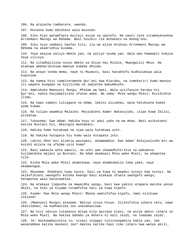106. Na ataiacha tambarare, uwanda.

107. Hutaona humo mdidimio wala muinuko.

108. Siku hiyo watamfuata muitaji asiye na upotofu. Na sauti zote zitamnyenyekea Arrahmani Mwingi wa Rahema. Basi husikii ila mchakato na mnong'ono.

109. Siku hiyo uombezi haufai kitu, ila wa aliye mruhusu Arrahmani Mwingi wa Rehema na akamridhia kusema.

110. Yeye anajua yaliyo mbele yao, na yaliyo nyuma yao. Wala wao hawawezi kumjua Yeye vilivyo.

111. Na zitadhalilika nyuso mbele ya Aliye Hai Milele, Mwangalizi Mkuu. Na atakuwa ameharibikiwa mwenye kubeba dhulma.

112. Na anaye tenda mema, naye ni Muumini, basi hatakhofu kudhulumiwa wala kupunjwa.

113. Na namna hivi tumeiteremsha Qur'ani kwa Kiarabu, na tumekariri humo maonyo ili wapate kuogopa na kujilinda na iwaletee makumbusho.

114. Ametukuka Mwenyezi Mungu, Mfalme wa Haki. Wala usiifanyie haraka hii Qur'ani, kabla haujamalizika ufunuo wake. Na sema: Mola wangu Mlezi! Nizidishie ilimu.

115. Na hapo zamani tuliagana na Adam, lakini alisahau, wala hatukuona kwake azma kubwa.

116. Na tulipo waambia Malaika: Msujudieni Adam! Wakasujudu, isipo kuwa Iblisi, alikataa.

117. Tukasema: Ewe Adam! Hakika huyu ni adui yako na wa mkeo. Basi asikutoeni katika Bustani hii, mkaingia mashakani.

118. Hakika humo hutakuwa na njaa wala hutakuwa uchi.

119. Na hakika hutapata kiu humo wala hutapata joto.

120. Lakini Shet'ani alimtia wasiwasi, akamwambia: Ewe Adam! Nikujuulishe mti wa kuishi milele na ufalme usio koma?

121. Basi wakaula wote wawili, na uchi wao ukawadhihirikia na wakaanza kujibandika majani ya Bustani. Na Adam akamuasi Mola wake Mlezi, na akapotea njia.

122. Kisha Mola wake Mlezi akamteuwa, naye akamkubalia toba yake, naye akamwongoa.

123. Akasema: Ondokeni humu nyote, hali ya kuwa ni maadui nyinyi kwa nyinyi. Na ukikufikieni uwongofu kutoka kwangu basi atakaye ufuata uwongofu wangu, hatapotea wala hatataabika.

124. Na atakaye jiepusha na mawaidha yangu, basi kwa yakini atapata maisha yenye dhiki, na Siku ya Kiyama tutamfufua hali ya kuwa kipofu.

125. Aseme: Ewe Mola wangu Mlezi! Mbona umenifufua kipofu, nami nilikuwa nikiona?

126. (Mwenyezi Mungu) atasema: Ndivyo vivyo hivyo. Zilikufikia ishara zetu, nawe ukazisahau; na kadhaalika leo unasahauliwa.

127. Na hivi ndivyo tutakavyo mlipa kila apitaye kiasi, na asiye amini ishara za Mola wake Mlezi. Na hakika adhabu ya Akhera ni kali zaidi, na inadumu zaidi.

128. Je! Haikuwabainikia tu; vizazi vingapi tuliviangamiza kabla yao, nao wanatembea katika maskani zao? Hakika katika hayo zimo ishara kwa wenye akili.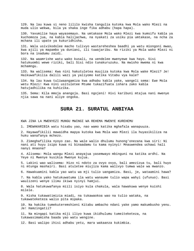129. Na lau kuwa si neno lililo kwisha tangulia kutoka kwa Mola wako Mlezi na muda ulio wekwa, bila ya shaka inge fika adhabu (hapa hapa).

130. Yavumilie haya wayasemayo. Na umtakase Mola wako Mlezi kwa kumsifu kabla ya kuchomoza jua, na kabla halijachwa, na nyakati za usiku pia umtakase, na ncha za mchana ili upate ya kukuridhisha.

131. Wala usivikodolee macho tulivyo wastareheshea baadhi ya watu miongoni mwao, kwa ajili ya mapambo ya duniani, ili tuwajaribu. Na riziki ya Mola wako Mlezi ni bora na inadumu zaidi.

132. Na waamrishe watu wako kusali, na uendelee mwenyewe kwa hayo. Sisi hatukuombi wewe riziki, bali Sisi ndio tunakuruzuku. Na mwisho mwema ni kwa mchamngu.

133. Na walisema: Kwa nini hakutuletea muujiza kutoka kwa Mola wake Mlezi? Je! Haikuwafikilia dalili wazi ya yaliyomo katika Vitabu vya kale?

134. Na lau kuwa tuliwaangamiza kwa adhabu kabla yake, wangeli sema: Ewe Mola wetu Mlezi! Kwa nini usituletee Mtume tukazifuata ishara zako kabla hatujadhilika na kuhizika.

135. Sema: Kila mmoja anangoja. Basi ngojeni! Hivi karibuni mtajua nani mwenye njia sawa na nani aliye ongoka.

## **SURA 21. SURATUL ANBIYAA**

KWA JINA LA MWENYEZI MUNGU MWINGI WA REHEMA MWENYE KUREHEMU

1. IMEWAKARIBIA watu hisabu yao, nao wamo katika mghafala wanapuuza.

2. Hayawafikilii mawaidha mapya kutoka kwa Mola wao Mlezi ila huyasikiliza na huku wanafanya mchezo.

3. Zimeghafilika nyoyo zao. Na wale walio dhulumu hunong'onezana kwa siri: Ni nani ati huyu isipo kuwa ni binaadamu tu kama nyinyi! Mnauwendea uchawi hali nanyi mnaona?

4. Alisema: Mola wangu Mlezi anayajua yasemwayo mbinguni na katika ardhi. Na Yeye ni Mwenye kusikia Mwenye kujua.

5. Lakini wao walisema: Hizo ni ndoto za ovyo ovyo, bali amezizua tu, bali huyo ni mtunga mashairi. Basi atuletee miujiza kama walivyo tumwa wale wa mwanzo.

6. Hawakuamini kabla yao watu wa mji tulio uangamiza. Basi, je, wataamini hawa?

7. Na kabla yako hatukuwatuma ila watu wanaume tulio wapa wahyi (ufunuo). Basi waulizeni wenye ilimu ikiwa nyinyi hamjui.

8. Wala hatukuwafanya miili isiyo kula chakula, wala hawakuwa wenye kuishi milele.

9. Kisha tukawatimizia miadi, na tukawaokoa wao na tulio wataka, na tukawateketeza walio pita mipaka.

10. Na hakika tumekuteremshieni Kitabu ambacho ndani yake yamo makumbusho yenu. Je! Hamzingatii?

11. Na mingapi katika miji iliyo kuwa ikidhulumu tumeiteketeza, na tukawasimamisha baada yao watu wengine.

12. Basi walipo ihisi adhabu yetu, mara wakaanza kukimbia.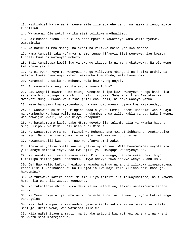13. Msikimbie! Na rejeeni kwenye zile zile starehe zenu, na maskani zenu, mpate kusailiwa!

14. Wakasema: Ole wetu! Hakika sisi tulikuwa madhaalimu.

15. Hakikuacha hicho kuwa kilio chao mpaka tukawafanya kama walio fyekwa, wamezimika.

16. Na hatukuziumba mbingu na ardhi na vilivyo baina yao kwa mchezo.

17. Kama tungeli taka kufanya mchezo tunge jifanyia Sisi wenyewe, lau kwamba tungeli kuwa ni wafanyao mchezo.

18. Bali tunaitupa kweli juu ya uwongo ikauvunja na mara ukatoweka. Na ole wenu kwa mnayo yazua.

19. Na ni vyake Yeye tu Mwenyezi Mungu vilivyomo mbinguni na katika ardhi. Na walioko kwake hawafanyi kiburi wakaacha kumuabudu, wala hawachoki.

20. Wanamtakasa usiku na mchana, wala hawanyong'onyei.

21. Au wamepata miungu katika ardhi inayo fufua?

22. Lau wangeli kuwamo humo miungu wengine isipo kuwa Mwenyezi Mungu basi bila ya shaka hizo mbingu na ardhi zingeli fisidika. Subahana 'Llah Ametakasika Mwenyezi Mungu, Bwana wa A'rshi (Kiti cha Enzi), na hayo wanayo yazua.

23. Yeye hahojiwi kwa ayatendayo, na wao ndio wanao hojiwa kwa wayatendayo.

24. Au wanawaabudu miungu mingine badala yake? Sema: Leteni ushahidi wenu! Haya ni ukumbusho wa hawa walio nami, na ukumbusho wa walio kabla yangu. Lakini wengi wao hawaijui kweli, na kwa hivyo wanapuuza.

25. Na hatukumtuma kabla yako Mtume yeyote ila tulimfunulia ya kwamba hapana mungu isipo kuwa Mimi. Basi niabuduni Mimi tu.

26. Na wanasema: Arrahman, Mwingi wa Rehema, ana mwana! Subhanahu, Ametakasika na hayo! Bali hao (wanao waita wana) ni watumwa walio tukuzwa.

27. Hawamtangulii kwa neno, nao wanafanya amri zake.

28. Anayajua yaliyo mbele yao na yaliyo nyuma yao. Wala hawamwombei yeyote ila yule anaye mridhia Yeye, nao kwa ajili ya kumwogopa wananyenyekea.

29. Na yeyote kati yao atakaye sema: Mimi ni mungu, badala yake, basi huyo tutamlipa malipo yake Jahannamu. Hivyo ndivyo tuwalipavyo wenye kudhulumu.

30. Je! Hao walio kufuru hawakuona kwamba mbingu na ardhi zilikuwa zimeambatana, kisha Sisi tukazibabandua? Na tukajaalia kwa maji kila kilicho hai? Basi je, hawaamini?

31. Na tukaweka katika ardhi milima iliyo thibiti ili isiwayumbishe, na tukaweka humo njia pana ili wapate kuongoka.

32. Na tukaifanya mbingu kuwa dari iliyo hifadhiwa, lakini wanazipuuza Ishara zake.

33. Na Yeye ndiye aliye umba usiku na mchana na jua na mwezi, vyote katika anga vinaogelea.

34. Nasi hatukumjaalia mwanaadamu yeyote kabla yako kuwa na maisha ya milele. Basi je! Ukifa wewe, wao wataishi milele?

35. Kila nafsi itaonja mauti; na tunakujaribuni kwa mtihani wa shari na kheri. Na kwetu Sisi mtarejeshwa.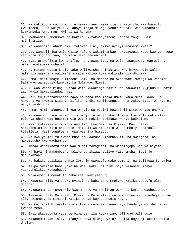36. Na wakikuona walio kufuru hawakufanyi wewe ila ni kitu cha maskhara tu, (wakisema): Je! Ndiye huyu anaye itaja miungu yenu? Na hali wao wanakataa kumkumbuka Arrahman, Mwingi wa Rehema!

37. Mwanaadamu ameumbwa na haraka. Nitakuonyesheni Ishara zangu. Basi msinihimize.

38. Na wanasema: Ahadi hii itatokea lini, ikiwa nyinyi mnasema kweli?

39. Lau wangeli jua wale walio kufuru wakati ambao hawatauzuia Moto kwenye nyuso zao wala migongo yao, na wala hawatanusuriwa!

40. Bali utawafikia kwa ghafla, na utawashitua na wala hawataweza kuurudisha, wala hawatapewa muhula!

41. Na Mitume walio kabla yako walikwisha dhihakiwa. Kwa hivyo wale walio wafanyia maskhara yaliwafika yale waliyo kuwa wakiyafanyia dhihaka.

42. Sema: Nani anaye kulindeni usiku na mchana na Arrahmani Mwingi wa Rehema? Bali wao wanapuuza kumkumbuka Mola wao Mlezi.

43. Au wao wanao miungu watao weza kuwakinga nasi? Hao hawawezi kujinusuru nafsi zao, wala hawatalindwa nasi!

44. Bali tuliwastarehesha hawa na baba zao mpaka umri ukawa mrefu kwao. Je, hawaoni ya kwamba Sisi tunaifikia ardhi tukiipunguza ncha zake? Basi je! Hao ni wenye kushinda?

45. Sema: Mimi nakuonyeni kwa Wahyi. Na viziwi hawasikii wito wanapo onywa.

46. Na wanapo guswa na mpulizo mmoja tu wa adhabu itokayo kwa Mola wako Mlezi, bila ya shaka wao husema: Ole wetu! Hakika tulikuwa wenye kudhulumu.

47. Nasi tutaweka mizani za uadilifu kwa Siku ya Kiyama. Basi nafsi haitadhulumiwa kitu chochote. Hata ikiwa ni uzito wa chembe ya khardali tutaileta. Nasi tunatosha kuwa washika hisabu.

48. Na kwa yakini tuliwapa Musa na Haaruni kipambanuzi, na mwangaza, na makumbusho kwa wachamngu,

49. Ambao wanamkhofu Mola wao Mlezi faraghani, na wanaiogopa Saa ya Kiyama.

50. Na haya ni makumbusho yaliyo barikiwa, tuliyo yateremsha. Basi je! Mnayakataa?

51. Na hakika tulikwisha mpa Ibrahim uwongofu wake zamani, na tulikuwa tunamjua.

52. Alipo mwambia baba yake na watu wake: Ni nini haya masanamu mnayo yashughulikia kuyaabudu?

53. Wakasema: Tumewakuta baba zetu wakiyaabudu.

54. Akasema: Bila ya shaka nyinyi na baba zenu mmekuwa katika upotofu ulio dhaahiri.

55. Wakasema: Je! Umetujia kwa maneno ya kweli au wewe ni katika wachezao tu?

56. Akasema: Bali Mola wenu Mlezi ni Mola Mlezi wa mbingu na ardhi ambaye ndiye aliye ziumba. Na mimi ni katika wenye kuyashuhudia hayo.

57. Na Wallahi! Nitayafanyia vitimbi masanamu yenu haya baada ya mkisha geuka kwenda zenu.

58. Basi akayavunja vipande vipande, ila kubwa lao, ili wao walirudie.

59. Wakasema: Nani aliye ifanyia haya miungu yetu? Hakika huyu ni katika walio dhulumu.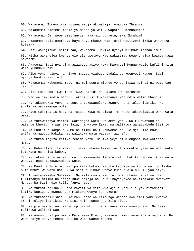60. Wakasema: Tumemsikia kijana mmoja akiwataja. Anaitwa Ibrahim. 61. Wakasema: Mleteni mbele ya macho ya watu, wapate kumshuhudia! 62. Wakasema: Je! Wewe umeifanyia haya miungu yetu, ewe Ibrahim? 63. Akasema: Bali amefanya hayo huyu mkubwa wao. Basi waulizeni ikiwa wanaweza kutamka. 64. Basi wakajirudi nafsi zao, wakasema: Hakika nyinyi mlikuwa madhaalimu! 65. Kisha wakarejea kwenye ule ule upotovu wao wakasema: Wewe unajua kwamba hawa hawesemi. 66. Akasema: Basi nyinyi mnawaabudu asiye kuwa Mwenyezi Mungu wasio kufaini kitu wala kukudhuruni? 67. Aibu yenu nyinyi na hivyo mnavyo viabudu badala ya Mwenyezi Mungu! Basi nyinyi hamtii akilini? 68. Wakasema: Mchomeni moto, na muinusuru miungu yenu, ikiwa nyinyi ni watendao jambo! 69. Sisi tukasema: Ewe moto! Kuwa baridi na salama kwa Ibrahim! 70. Wao walimkusudia maovu, lakini Sisi tukawafanya wao ndio walio khasiri. 71. Na tukamwokoa yeye na Luut'i tukawapeleka kwenye nchi tulio ibariki kwa ajili ya walimwengu wote. 72. Naye tukampa Is-haq, na Yaaqub kuwa ni ziada. Na wote tukawajaalia wawe watu wema. 73. Na tukawafanya maimamu wakiongoa watu kwa amri yetu. Na tukawafunulia watende kheri, na washike Sala, na watoe Zaka; na walikuwa wanatuabudu Sisi tu. 74. Na Luut'i tukampa hukumu na ilimu na tukamwokoa na ule mji ulio kuwa ukifanya maovu. Hakika hao walikuwa watu wabaya, wachafu. 75. Na tukamuingiza katika rehema yetu. Hakika yeye ni miongoni mwa watenda mema. 76. Na Nuhu alipo ita zamani, nasi tukamuitikia, na tukamwokoa yeye na watu wake kutokana na shida kubwa. 77. Na tukamnusuru na watu walio zikanusha Ishara zetu. Hakika hao walikuwa watu wabaya. Basi tukawazamisha wote. 78. Na Daud na Suleiman walipo kata hukumu katika kadhiya ya konde walipo lisha humo mbuzi wa watu usiku. Na Sisi tulikuwa wenye kushuhudia hukumu yao hiyo. 79. Tukamfahamisha Suleiman. Na kila mmoja wao tulimpa hukumu na ilimu. Na tuliifanya milima na ndege kuwa pamoja na Daud imnyenyekee na imtakase Mwenyezi Mungu. Na Sisi ndio tulio fanya hayo. 80. Na tukamfundisha kuunda mavazi ya vita kwa ajili yenu ili yakuhifadhini katika kupigana kwenu. Je! Mtakuwa wenye kushukuru? 81. Na tukamsahilishia Suleiman upepo wa kimbunga wendao kwa amri yake kwenye ardhi tuliyo ibarikia. Na Sisi ndio tunao jua kila kitu. 82. Na pia mashet'ani wanao mpigia mbizi na kufanya kazi nyenginezo. Na Sisi tulikuwa walinzi wao. 83. Na Ayyubu, alipo mwita Mola wake Mlezi, akasema: Mimi yamenipata madhara. Na Wewe ndiye unaye rehemu kuliko wote wanao rehemu.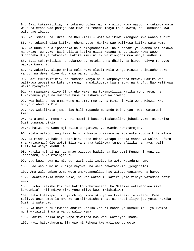84. Basi tukamwitikia, na tukamwondolea madhara aliyo kuwa nayo, na tukampa watu wake na mfano wao pamoja nao kuwa ni rehema inayo toka kwetu, na ukumbusho kwa wafanyao ibada. 85. Na Ismail, na Idris, na Dhulkifli - wote walikuwa miongoni mwa wanao subiri. 86. Na tukawaingiza katika rehema yetu. Hakika wao walikuwa katika watu wema. 87. Na Dhun-Nun alipoondoka hali ameghadhibika, na akadhani ya kwamba hatutakuwa na uwezo juu yake. Basi aliita katika giza: Hapana mungu isipo kuwa Wewe Subhanaka Uliye takasika. Hakika mimi nilikuwa miongoni mwa wenye kudhulumu. 88. Basi tukamwitikia na tukamwokoa kutokana na dhiki. Na hivyo ndivyo tunavyo waokoa Waumini. 89. Na Zakariya alipo mwita Mola wake Mlezi: Mola wangu Mlezi! Usiniache peke yangu, na Wewe ndiye Mbora wa wanao rithi. 90. Basi tukamwitikia, na tukampa Yahya na tukamponyeshea mkewe. Hakika wao walikuwa wepesi wa kutenda mema, na wakituomba kwa shauku na khofu. Nao walikuwa wakitunyenyekea. 91. Na mwanamke aliye linda uke wake, na tukampulizia katika roho yetu, na tukamfanya yeye na mwanawe kuwa ni Ishara kwa walimwengu. 92. Kwa hakika huu umma wenu ni umma mmoja, na Mimi ni Mola wenu Mlezi. Kwa hivyo niabuduni Mimi. 93. Nao wakalikata jambo lao hili mapande mapande baina yao. Wote watarudi kwetu. 94. Na atendaye mema naye ni Muumini basi haitakataliwa juhudi yake. Na hakika Sisi tunamwandikia. 95.Na haiwi kwa wana-mji tulio uangamiza, ya kwamba hawatarejea, 96. Mpaka watapo funguliwa Juju na Maajuju wakawa wanateremka kutoka kila mlima; 97. Na miadi ya haki ikakaribia. Hapo ndipo yatapo kodoka macho ya walio kufuru (na watasema:) Ole wetu! Bila ya shaka tulikuwa tumeghafilika na haya, bali tulikuwa wenye kudhulumu. 98. Hakika nyinyi na hao mnao waabudu badala ya Mwenyezi Mungu ni kuni za Jahannamu; huko mtaingia tu. 99. Lau kuwa hawa ni miungu, wasingeli ingia. Na wote watadumu humo. 100. Lao wao humo ni kupiga mayowe, na wala hawatasikia (jenginelo). 101. Ama wale ambao wema wetu umewatangulia, hao watatenganishwa na hayo. 102. Hawatausikia mvumo wake, na wao watadumu katika yale zinayo yatamani nafsi zao. 103. Hicho Kitisho Kikubwa hakito wahuzunisha. Na Malaika watawapokea (kwa kuwaambia): Hii ndiyo Siku yenu mliyo kuwa mkiahidiwa! 104. Siku tutakapo zikunja mbingu kama mkunjo wa karatasi za vitabu. Kama tulivyo anza umbo la mwanzo tutalirudisha tena. Ni ahadi iliyo juu yetu. Hakika Sisi ni watendao. 105. Na hakika tulikwisha andika katika Zaburi baada ya Kumbukumbu, ya kwamba nchi watairithi waja wangu walio wema. 106. Hakika katika haya yapo mawaidha kwa watu wafanyao ibada. 107. Nasi hatukukutuma ila uwe ni Rehema kwa walimwengu wote.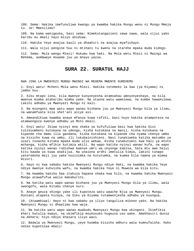108. Sema: Hakika imefunuliwa kwangu ya kwamba hakika Mungu wenu ni Mungu Mmoja tu. Je! Mmesilimu?

109. Na kama wakigeuka, basi sema: Nimekutangazieni sawa sawa, wala sijui yako karibu au mbali hayo mliyo ahidiwa.

110. Hakika Yeye anajua kauli ya dhaahiri na anajua myafichayo.

111. Wala sijui pengine huu ni mtihani tu kwenu na starehe mpaka muda kidogo.

112. Sema: Mola wangu Mlezi! Hukumu kwa haki. Na Mola wetu Mlezi ni Mwingi wa Rehema, aombwaye msaada juu ya mnayo yazua.

## **SURA 22. SURATUL HAJJ**

KWA JINA LA MWENYEZI MUNGU MWINGI WA REHEMA MWENYE KUREHEMU

1. Enyi watu! Mcheni Mola wenu Mlezi. Hakika tetemeko la Saa (ya Kiyama) ni jambo kuu.

2. Siku mtapo iona, kila mwenye kunyonyesha atamsahau amnyonyeshaye, na kila mwenye mimba ataharibu mimba yake. Na utaona watu wamelewa, na kumbe hawakulewa. Lakini adhabu ya Mwenyezi Mungu ni kali.

3. Na miongoni mwa watu wapo wanao bishana juu ya Mwenyezi Mungu bila ya ilimu, na wanamfuata kila shet'ani aliye asi.

4. Ameandikiwa kwamba anaye mfanya kuwa rafiki, basi huyo hakika atampoteza na atamwongoza kwenye adhabu ya Moto mkali.

5. Enyi watu! Ikiwa nyinyi mna shaka ya kufufuliwa basi kwa hakika Sisi tulikuumbeni kutokana na udongo, kisha kutokana na manii, kisha kutokana na kipande cha damu ilio gandana, kisha kutokana na kipande cha nyama chenye umbo na kisicho kuwa na umbo, ili tukubainishieni. Nasi tunakiweka katika matumbo ya uzazi tunacho kitaka mpaka muda ulio wekwa. Kisha tunakutoeni kwa hali ya mtoto mchanga, kisha mfikie kutimia akili. Na wapo katika nyinyi wanao kufa, na wapo katika nyinyi wanao rudishwa kwenye umri wa unyonge kabisa, hata mtu awe hajui kitu baada ya kuwa anakijua. Na unaiona ardhi imetulia kimya, lakini tunapo yateremsha maji juu yake husisimka na kututumka, na kumea kila namna ya mimea mizuri.

6. Hayo ni kwa sababu hakika Mwenyezi Mungu ndiye Haki, na kwamba hakika Yeye ndiye mwenye kuhuisha wafu, na kwamba hakika Yeye ni Muweza wa kila kitu.

7. Na kwamba hakika Saa itakuja hapana shaka kwa hilo, na kwamba hakika Mwenyezi Mungu atawafufua walio makaburini.

8. Na katika watu wapo wanao bishana juu ya Mwenyezi Mungu bila ya ilimu, wala uwongofu, wala Kitabu chenye nuru.

9. Anaye geuza shingo yake ili kupoteza watu waache Njia ya Mwenyezi Mungu. Duniani atapata hizaya, na Siku ya Kiyama tutamwonjesha adhabu ya kuungua.

10. (Ataambiwa): Hayo ni kwa sababu ya iliyo tanguliza mikono yako. Na hakika Mwenyezi Mungu si dhaalimu kwa waja.

11. Na katika watu wapo wanao muabudu Mwenyezi Mungu kwa ukingoni. Ikimfikia kheri hutulia kwayo, na ukimfikia msukosuko hugeuza uso wake. Amekhasiri dunia na Akhera; hiyo ndiyo khasara iliyo wazi.

12. Badala ya Mwenyezi Mungu, yeye huomba kisicho mdhuru wala kumnufaisha. Huko ndiko kupotolea mbali!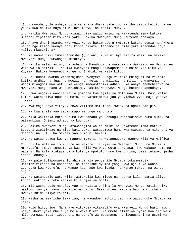13. Humuomba yule ambaye bila ya shaka dhara yake ipo karibu zaidi kuliko nafuu yake. Kwa hakika huyo ni mlinzi muovu, na rafiki muovu.

14. Hakika Mwenyezi Mungu atawaingiza walio amini na wakatenda mema katika Bustani zipitazo mito kati yake. Hakika Mwenyezi Mungu hutenda atakayo.

15. Anaye dhani kwamba Mwenyezi Mungu hatamnusuru (Mtume) katika dunia na Akhera na afunge kamba kwenye dari kisha aikate. Atazame je hila yake itaondoa hayo yaliyo mkasirisha?

16. Na namna hivi tumeiteremsha (Qur'ani) kuwa ni Aya zilizo wazi, na hakika Mwenyezi Mungu humwongoa amtakaye.

17. Hakika walio amini, na ambao ni Mayahudi na Wasabai na Wakristo na Majusi na wale walio shiriki - hakika Mwenyezi Mungu atawapambanua baina yao Siku ya Kiyama. Hakika Mwenyezi Mungu ni Shahidi wa kila kitu.

18. Je! Huoni kwamba vinamsujudia Mwenyezi Mungu viliomo mbinguni na viliomo katika ardhi, na jua, na mwezi, na nyota, na milima, na miti, na wanyama, na wengi miongoni mwa watu. Na wengi imewastahiki adhabu. Na anaye fedheheshwa na Mwenyezi Mungu hana wa kumhishimu. Hakika Mwenyezi Mungu hutenda apendayo.

19. Hawa wagomvi wawili walio gombana kwa ajili ya Mola wao Mlezi. Basi walio kufuru watakatiwa nguo za moto, na yatamiminwa juu ya vichwa vyao maji yanayo chemka.

20. Kwa maji hayo vitayayushwa viliomo matumboni mwao, na ngozi zao pia.

21. Na kwa ajili yao yatakuwapo marungu ya chuma.

22. Kila wakitaka kutoka humo kwa sababu ya uchungu watarudishwa humo humo, na wataambiwa: Onjeni adhabu ya kuungua!

23. Hakika Mwenyezi Mungu atawaingiza walio amini na wakatenda mema katika Bustani zipitiwazo na mito kati yake. Watapambwa humo kwa mapambo ya mikononi ya dhahabu na lulu. Na mavazi yao humo ni hariri.

24. Na wataongozwa kwenye maneno mazuri, na wataongozwa kwenye Njia ya Msifiwa.

25. Hakika wale walio kufuru na wakazuilia Njia ya Mwenyezi Mungu na Msikiti Mtakatifu, ambao tumeufanya kwa ajili ya watu wote sawasawa, kwa wakaao humo na wageni. Na kila atakaye taka kufanya upotofu humo kwa dhulma, basi tutamwonjesha adhabu chungu.

26. Na pale tulipomweka Ibrahim pahala penye ile Nyumba tukamwambia: Usinishirikishe na chochote; na isafishe Nyumba yangu kwa ajili ya wanao izunguka kwa kut'ufu, na wanao kaa hapo kwa ibada, na wanao rukuu, na wanao sujudu.

27. Na watangazie watu Hija; watakujia kwa miguu na juu ya kila ngamia aliye konda, wakija kutoka katika kila njia ya mbali.

28. Ili washuhudie manufaa yao na walitaje jina la Mwenyezi Mungu katika siku maalumu juu ya nyama hoa alio waruzuku. Basi kuleni katika hao na mlisheni mwenye shida aliye fakiri.

29. Kisha wajisafishe taka zao, na waondoe nadhiri zao, na waizunguke Nyumba ya Kale.

30. Ndio hivyo iwe! Na anaye vitukuza vitakatifu vya Mwenyezi Mungu basi hayo ndiyo kheri yake mbele ya Mola wake Mlezi. Na mmehalalishiwa nyama hoa ila wale mlio somewa. Basi jiepusheni na uchafu wa masanamu, na jiepusheni na usemi wa uwongo.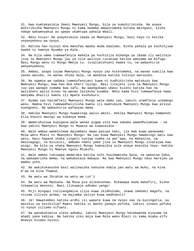31. Kwa kumtakasikia Imani Mwenyezi Mungu, bila ya kumshirikisha. Na anaye mshirikisha Mwenyezi Mungu ni kama kwamba ameporomoka kutoka mbinguni, kisha ndege wakamnyakua au upepo ukamtupa pahala mbali.

32. Ndio hivyo! Na anayetukuza ibada za Mwenyezi Mungu, basi hayo ni katika unyenyekevu wa nyoyo.

33. Katika hao nyinyi mna manufaa mpaka muda maalumu. Kisha pahala pa kuchinjiwa kwake ni kwenye Nyumba ya Kale.

34. Na kila umma tumewafanyia mahala pa kuchinjia mihanga ya ibada ili walitaje jina la Mwenyezi Mungu juu ya vile walivyo ruzukiwa katika wanyama wa mifugo. Basi Mungu wenu ni Mungu Mmoja tu. Jisalimishieni kwake tu, na wabashirie wanyenyekevu,

35. Ambao, anapo tajwa Mwenyezi Mungu nyoyo zao hutetemeka, na wanao vumilia kwa yanao wasibu, na wanao shika Sala, na wanatoa katika tulivyo waruzuku.

36. Na ngamia wa sadaka tumekufanyieni kuwa ni kudhihirisha matukuzo kwa Mwenyezi Mungu; kwa hao mna kheri nyingi. Basi litajeni jina la Mwenyezi Mungu juu yao wanapo simama kwa safu. Na waangukapo ubavu kuleni katika hao na walisheni walio kinai na wanao lazimika kuomba. Ndio kama hivi tumewafanya hawa wanyama dhalili kwenu ili mpate kushukuru.

37. Nyama zao hazimfikii Mwenyezi Mungu wala damu zao, lakini unamfikia uchamngu wenu. Namna hivi tumewadhalilisha kwenu ili mumtukuze Mwenyezi Mungu kwa alivyo kuongoeni. Na wabashirie wafanyao mema.

38. Hakika Mwenyezi Mungu huwakinga walio amini. Hakika Mwenyezi Mungu hampendi kila khaini mwingi wa kukanya mema.

39. Wameruhusiwa kupigana wale wanao pigwa vita kwa sababu wamedhulumiwa - na kwa yakini Mwenyezi Mungu ni Muweza wa kuwasaidia -

40. Wale ambao wametolewa majumbani mwao pasipo haki, ila kwa kuwa wanasema: Mola wetu Mlezi ni Mwenyezi Mungu! Na lau kuwa Mwenyezi Mungu hawakingi watu kwa watu, basi hapana shaka zingeli vunjwa nymba za wat'awa, na makanisa, na masinagogi, na misikiti, ambamo ndani yake jina la Mwenyezi Mungu linatajwa kwa wingi. Na bila ya shaka Mwenyezi Mungu humsaidia yule anaye msaidia Yeye. Hakika Mwenyezi Mungu ni Mwenye nguvu Mtukufu.

41. Wale ambao tukiwapa madaraka katika nchi husimamisha Sala, na wakatoa Zaka, na wakaamrisha mema, na wakakataza mabaya. Na kwa Mwenyezi Mungu ndio marejeo ya mambo yote.

42. Na wakikukanusha basi walikwisha kanusha kabla yao watu wa Nuhu, na kina A'ad na kina Thamud,

43. Na watu wa Ibrahim na watu wa Lut'i

44. Na watu wa Madiana. Na Musa pia alikanushwa. Nikawapa muda makafiri, kisha nikawatia mkononi. Basi ilikuwaje adhabu yangu!

45. Miji mingapi tuliiangamiza iliyo kuwa ikidhulumu, ikawa imebaki magofu, na visima vilivyo achwa, na majumba yaliyo kuwa madhubuti?

46. Je! Hawatembei katika ardhi ili wapate kuwa na nyoyo zao za kuzingatia, au masikio ya kusikilia? Kwani hakika si macho yanayo pofuka, lakini zinazo pofuka ni nyoyo ziliomo vifuani.

47. Na wanakuhimiza ulete adhabu, lakini Mwenyezi Mungu hatakwenda kinyume na ahadi yake kabisa. Na hakika siku moja kwa Mola wako Mlezi ni kama miaka elfu mnavyo hisabu nyinyi.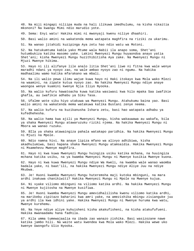48. Na miji mingapi niliipa muda na hali ilikuwa imedhulumu, na kisha nikaitia mkononi? Na kwangu Mimi ndio marudio yote.

49. Sema: Enyi watu! Hakika mimi ni mwonyaji kwenu niliye dhaahiri.

50. Basi walio amini na wakatenda mema watapata maghfira na riziki za ukarimu.

51. Na wanao jitahidi kuzipinga Aya zetu hao ndio watu wa Motoni.

52. Na hatukumtuma kabla yako Mtume wala Nabii ila anapo soma, Shet'ani hutumbukiza katika masomo yake. Lakini Mwenyezi Mungu huyaondoa anayo yatia Shet'ani; kisha Mwenyezi Mungu huzithibitisha Aya zake. Na Mwenyezi Mungu ni Mjuzi Mwenye hikima.

53. Hayo ni ili alifanye lile analo litia Shet'ani liwe ni fitna kwa wale wenye maradhi ndani ya nyoyo zao, na wale ambao nyoyo zao ni ngumu. Na hakika madhaalimu wamo katika mfarakano wa mbali.

54. Na ili walio pewa ilimu wajue kuwa hayo ni Haki itokayo kwa Mola wako Mlezi na waamini, na zipate kutua nyoyo zao. Na hakika Mwenyezi Mungu ndiye anaye waongoa wenye kuamini kwenye Njia Iliyo Nyooka.

55. Na walio kufuru hawatoacha kuwa katika wasiwasi kwa hilo mpaka Saa iwafikie ghafla, au iwafikie adhabu ya Siku Tasa.

56. Ufalme wote siku hiyo utakuwa wa Mwenyezi Mungu. Atahukumu baina yao. Basi walio amini na wakatenda mema watakuwa katika Bustani zenye neema.

57. Na walio kufuru na kuzikanusha Ishara zetu, basi hao watapata adhabu ya kufedhehesha.

58. Na walio hama kwa ajili ya Mwenyezi Mungu, kisha wakauwawa au wakafa, bila ya shaka Mwenyezi Mungu atawaruzuku riziki njema. Na hakika Mwenyezi Mungu ni Mbora wa wanao ruzuku.

59. BIla ya shaka atawaingiza pahala watakapo paridhia. Na hakika Mwenyezi Mungu ni Mjuzi na Mpole.

60. Ndio namna hivi. Na anaye lipiza mfano wa alivyo adhibiwa, kisha akadhulumiwa, basi hapana shaka Mwenyezi Mungu atamsaidia. Hakika Mwenyezi Mungu ni Msamehevu Mwenye maghfira.

61. Hayo ni kwa kuwa Mwenyezi Mungu huingiza usiku katika mchana, na huuingiza mchana katika usiku, na ya kwamba Mwenyezi Mungu ni Mwenye kusikia Mwenye kuona.

62. Hayo ni kwa kuwa Mwenyezi Mungu ndiye Wa Kweli, na kwamba wale wanao waomba badala yake, ni baat'ili, na hakika Mwenyezi Mungu ndiye Aliye Juu na ndiye Mkubwa.

63. Je! Huoni kwamba Mwenyezi Mungu huteremsha maji kutoka mbinguni, na mara ardhi inakuwa chanikiwiti? Hakika Mwenyezi Mungu ni Mpole na Mwenye kujua.

64. Ni vyake viliomo mbinguni na viliomo katika ardhi. Na hakika Mwenyezi Mungu ni Mwenye kujitosha na Mwenye kusifiwa.

65. Je! Huoni kwamba Mwenyezi Mungu amevidhalilisha kwenu viliomo katika ardhi, na marikebu zipitazo baharini kwa amri yake, na amezishika mbingu zisianguke juu ya ardhi ila kwa idhini yake. Hakika Mwenyezi Mungu ni Mwenye huruma kwa watu, Mwenye kurehemu.

66. Na Yeye ndiye aliye kuhuisheni kisha akakufisheni, na kisha atakufufueni. Hakika mwanaadamu hana fadhila.

67. Kila umma tumewajaalia na ibada zao wanazo zishika. Basi wasizozane nawe katika jambo hili. Na waite watu kwendea kwa Mola wako Mlezi. Hakika wewe uko kwenye Uwongofu Ulio Nyooka.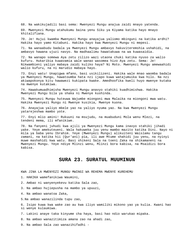68. Na wakikujadili basi sema: Mwenyezi Mungu anajua zaidi mnayo yatenda.

69. Mwenyezi Mungu atahukumu baina yenu Siku ya Kiyama katika hayo mnayo khitalifiana.

70. Je! Hujui kwamba Mwenyezi Mungu anayajua yaliomo mbinguni na katika ardhi? Hakika hayo yamo Kitabuni. Hakika hayo kwa Mwenyezi Mungu ni mepesi.

71. Na wanaabudu badala ya Mwenyezi Mungu ambavyo hakuviteremshia ushahidi, na ambavyo hawana ujuzi navyo. Na madhaalimu hawatakuwa na wa kuwasaidia.

72. Na wanapo somewa Aya zetu zilizo wazi utaona chuki katika nyuso za walio kufuru. Hukaribia kuwavamia wale wanao wasomea hizo Aya zetu. Sema: Je! Nikwambieni yaliyo mabaya zaidi kuliko haya? Ni Moto. Mwenyezi Mungu amewaahidi walio kufuru, na ni marudio mabaya hayo.

73. Enyi watu! Unapigwa mfano, basi usikilizeni. Hakika wale mnao waomba badala ya Mwenyezi Mungu, hawatoumba hata nzi ijapo kuwa watajumuika kwa hilo. Na nzi akiwapokonya kitu hawawezi kukipata kwake. Amedhoofika kweli huyo mwenye kutaka na mwenye kutakiwa.

74. Hawakumuadhimisha Mwenyezi Mungu anavyo stahiki kuadhimishwa. Hakika Mwenyezi Mungu bila ya shaka ni Mwenye kushinda.

75. Mwenyezi Mungu huteuwa Wajumbe miongoni mwa Malaika na miongoni mwa watu. Hakika Mwenyezi Mungu ni Mwenye kusikia, Mwenye kuona.

76. Anayajua yaliyo mbele yao na yaliyo nyuma yao. Na kwa Mwenyezi Mungu yatarejeshwa mambo yote.

77. Enyi mlio amini! Rukuuni na msujudu, na muabuduni Mola wenu Mlezi, na tendeni mema, ili mfanikiwe.

78. Na fanyeni juhudi kwa ajili ya Mwenyezi Mungu kama inavyo stahiki jihadi yake. Yeye amekuteueni. Wala hakuweka juu yenu mambo mazito katika Dini. Nayo ni mila ya baba yenu Ibrahim. Yeye (Mwenyezi Mungu) alikuiteni Waislamu tangu zamani, na katika hii (Qur'ani) pia, ili awe Mtume shahidi juu yenu, na nyinyi muwe mashahidi kwa watu. Basi shikeni Sala na toeni Zaka na shikamaneni na Mwenyezi Mungu. Yeye ndiye Mlinzi wenu, Mlinzi bora kabisa, na Msaidizi bora kabisa.

#### **SURA 23. SURATUL MUUMINUN**

KWA JINA LA MWENYEZI MUNGU MWINGI WA REHEMA MWENYE KUREHEMU

- 1. HAKIKA wamefanikiwa Waumini,
- 2. Ambao ni wanyenyekevu katika Sala zao,
- 3. Na ambao hujiepusha na mambo ya upuuzi,
- 4. Na ambao wanatoa Zaka,
- 5.Na ambao wanazilinda tupu zao,
- 6. Isipo kuwa kwa wake zao au kwa iliyo wamiliki mikono yao ya kulia. Kwani hao si wenye kulaumiwa.
- 7. Lakini anaye taka kinyume cha haya, basi hao ndio warukao mipaka.

8. Na ambao wanazitimiza amana zao na ahadi zao,

9. Na ambao Sala zao wanazihifadhi -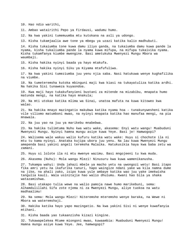10. Hao ndio warithi,

11. Ambao watairithi Pepo ya Firdausi, wadumu humo.

12. Na kwa yakini tumemuumba mtu kutokana na asli ya udongo.

13. Kisha tukamjaalia awe tone ya mbegu ya uzazi katika kalio madhubuti.

14. Kisha tukaiumba tone kuwa damu iliyo ganda, na tukaiumba damu kuwa pande la nyama, kisha tukaliumba pande la nyama kuwa mifupa, na mifupa tukaivika nyama. Kisha tukamfanya kiumbe mwengine. Basi ametukuka Mwenyezi Mungu Mbora wa waumbaji.

15. Kisha hakika nyinyi baada ya hayo mtakufa.

16. Kisha hakika nyinyi Siku ya Kiyama mtafufuliwa.

17. Na kwa yakini tumeziumba juu yenu njia saba. Nasi hatukuwa wenye kughafilika na viumbe.

18. Na tumeteremsha kutoka mbinguni maji kwa kiasi na tukayatuliza katika ardhi. Na hakika Sisi tunaweza kuyaondoa.

19. Kwa maji hayo tukakufanyieni bustani za mitende na mizabibu, mnapata humo matunda mengi, na katika hayo mnakula;

20. Na mti utokao katika mlima wa Sinai, unatoa mafuta na kuwa kitoweo kwa walao.

21. Na hakika mnayo mazingatio makubwa katika nyama hoa - tunakunywesheni katika vile viliomo matumboni mwao, na nyinyi mnapata katika hao manufaa mengi, na pia mnawala.

22. Na juu yao na juu ya marikebu mnabebwa.

23. Na hakika tulimtuma Nuhu kwa watu wake, akasema: Enyi watu wangu! Muabuduni Mwenyezi Mungu. Nyinyi hamna mungu asiye kuwa Yeye. Basi je! Hamwogopi?

24. Walisema wale wakuu walio kufuru katika watu wake: Huyu si chochote ila ni mtu tu kama nyinyi. Anataka kujipa ubora juu yenu. Na lau kuwa Mwenyezi Mungu amependa basi yakini angeli teremsha Malaika. Hatukusikia haya kwa baba zetu wa zamani.

25. Huyu si lolote ila ni mtu mwenye wazimu. Basi mngojeeni tu kwa muda.

26. Akasema (Nuhu): Mola wangu Mlezi! Ninusuru kwa kuwa wamenikanusha.

27. Tukampa wahyi: Unda jahazi mbele ya macho yetu na uwongozi wetu! Basi itapo fika amri yetu na ikafurika tanuri, hapo waingize ndani yake wa kila namna dume na jike, na ahali zako, isipo kuwa yule ambaye katika wao juu yake imekwisha tangulia kauli. Wala usinitajie hao walio dhulumu. Kwani hao bila ya shaka watazamishwa.

28. Basi utakapo tulia wewe na walio pamoja nawe humo marikebuni, sema: Alhamdulillahi Sifa zote njema ni za Mwenyezi Mungu, aliye tuokoa na watu madhaalimu!

29. Na sema: Mola wangu Mlezi! Niteremshe mteremsho wenye baraka, na Wewe ni Mbora wa wateremshaji.

30. Hakika katika hayo yapo mazingatio. Na kwa yakini Sisi ni wenye kuwafanyia mtihani.

31. Kisha baada yao tukaanzisha kizazi kingine.

32. Tukawapelekea Mtume miongoni mwao, kuwaambia: Muabuduni Mwenyezi Mungu! Hamna mungu asiye kuwa Yeye. Jee, hamwogopi?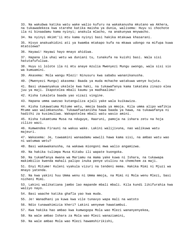33. Na wakubwa katika watu wake walio kufuru na wakakanusha mkutano wa Akhera, na tukawadekeza kwa starehe katika maisha ya dunia, walisema: Huyu si chochote ila ni binaadamu kama nyinyi; anakula mlacho, na anakunywa mnywacho. 34. Na nyinyi mkimt'ii mtu kama nyinyi basi hakika mtakuwa khasarani. 35. Hivyo anakuahidini ati ya kwamba mtakapo kufa na mkawa udongo na mifupa kuwa mtatolewa? 36. Hayawi! Hayawi hayo mnayo ahidiwa. 37. Hapana ila uhai wetu wa duniani tu, tunakufa na kuishi basi. Wala sisi hatutafufuliwa. 38. Huyu si lolote ila ni mtu anaye mzulia Mwenyezi Mungu uwongo, wala sisi sio wa kumuamini. 39. Akasema: Mola wangu Mlezi! Ninusuru kwa sababu wananikanusha. 40. (Mwenyezi Mungu) akasema: Baada ya muda mchache watakuwa wenye kujuta. 41. Basi ukawanyakua ukelele kwa haki, na tukawafanya kama takataka zinazo elea juu ya maji. Ikapotelea mbali kaumu ya madhaalimu! 42. Kisha tukaleta baada yao vizazi vingine. 43. Hapana umma uwezao kutanguliza ajali yake wala kuikawiza. 44. Kisha tukawatuma Mitume wetu, mmoja baada ya mmoja. Kila umma alipo wafikia Mtume wao walimkanusha. Tukawafuatanisha hawa baada ya hawa, na tukawafanya ni hadithi za kusimuliwa. Wakapotelea mbali watu wasio amini. 45. Kisha tukamtuma Musa na nduguye, Haaruni, pamoja na ishara zetu na hoja zilizo wazi. 46. Kumwendea Firauni na wakuu wake. Lakini walijivuna, nao walikuwa watu majeuri. 47. Wakasema: Je, tuwaamini wanaadamu wawili hawa kama sisi, na ambao watu wao ni watumwa wetu? 48. Basi wakawakanusha, na wakawa miongoni mwa walio angamizwa. 49. Na hakika tulimpa Musa Kitabu ili wapate kuongoka. 50. Na tukamfanya mwana wa Mariamu na mama yake kuwa ni Ishara, na tukawapa makimbilio kwenda mahali palipo inuka penye utulivu na chemchem za maji. 51. Enyi Mitume! Kuleni vyakula vizuri na tendeni mema. Hakika Mimi ni Mjuzi wa mnayo yatenda. 52. Na kwa yakini huu Umma wenu ni Umma mmoja, na Mimi ni Mola wenu Mlezi, basi nicheni Mimi. 53. Lakini walikatiana jambo lao mapande mbali mbali. Kila kundi likifurahia kwa waliyo nayo. 54. Basi waache katika ghafla yao kwa muda. 55. Je! Wanadhani ya kuwa kwa vile tunavyo wapa mali na watoto 56. Ndio tunawahimizia kheri? Lakini wenyewe hawatambui. 57. Kwa hakika hao ambao kwa kumwogopa Mola wao Mlezi wananyenyekea, 58. Na wale ambao Ishara za Mola wao Mlezi wanaziamini, 59. Na wale ambao Mola wao Mlezi hawamshirikishi,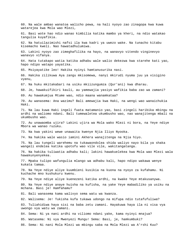60. Na wale ambao wanatoa walicho pewa, na hali nyoyo zao zinagopa kwa kuwa watarejea kwa Mola wao Mlezi,

61. Basi wote hao ndio wanao kimbilia katika mambo ya kheri, na ndio watakao tangulia kuyafikia.

62. Na hatuilazimishi nafsi ila kwa kadri ya uwezo wake. Na tunacho kitabu kisemacho kweli. Nao hawatadhulumiwa.

63. Lakini nyoyo zao zimeghafilika na hayo, na wanavyo vitendo vinginevyo wanavyo vifanya.

64. Hata tutakapo watia katika adhabu wale walio dekezwa kwa starehe kati yao, hapo ndipo watapo yayatika.

65. Msiyayatike leo! Hakika nyinyi hamtanusurika nasi.

66. Hakika zilikuwa Aya zangu mkisomewa, nanyi mkirudi nyuma juu ya visigino vyenu,

67. Na huku mkitakabari na usiku mkiizungumza (Qur'ani) kwa dharau.

68. Je, hawakuifikiri kauli, au yamewajia yasiyo wafikia baba zao wa zamani?

69. Au hawakumjua Mtume wao, ndio maana wanamkataa?

70. Au wanasema: Ana wazimu? Bali amewajia kwa Haki, na wengi wao wanaichukia Haki.

71. Na lau kuwa Haki ingeli fuata matamanio yao, basi zingeli haribika mbingu na ardhi na waliomo ndani. Bali tumewaletea ukumbusho wao, nao wanajitenga mbali na ukumbusho wao.

72. Au unawaomba ujira? Lakini ujira wa Mola wako Mlezi ni bora, na Yeye ndiye Mbora wa wanao ruzuku.

73. Na kwa yakini wewe unawaita kwenye Njia Iliyo Nyooka.

74. Na hakika wale wasio iamini Akhera wanajitenga na Njia hiyo.

75. Na lau tungeli warehemu na tukawaondolea shida waliyo nayo bila ya shaka wangeli endelea katika upotofu wao vile vile, wakitangatanga.

76. Na hakika tuliwatia adhabu kali; lakini hawakuelekea kwa Mola wao Mlezi wala hawakunyenyekea.

77. Mpaka tulipo wafungulia mlango wa adhabu kali, hapo ndipo wakawa wenye kukata tamaa.

78. Na Yeye ndiye aliye kuumbieni kusikia na kuona na nyoyo za kufahamu. Ni kuchache mno kushukuru kwenu.

79. Na Yeye ndiye aliye kuenezeni katika ardhi, na kwake Yeye mtakusanywa.

80. Na Yeye ndiye anaye huisha na kufisha, na yake Yeye mabadiliko ya usiku na mchana. Basi je! Hamfahamu?

81. Bali wanasema kama walivyo sema watu wa kwanza.

82. Walisema: Je! Tukisha kufa tukawa udongo na mifupa ndio tutafufuliwa?

83. Tuliahidiwa haya sisi na baba zetu zamani. Hayakuwa haya ila ni visa vya uwongo vya watu wa zamani.

84. Sema: Ni ya nani ardhi na viliomo ndani yake, kama nyinyi mnajua?

85. Watasema: Ni vya Mwenyezi Mungu! Sema: Basi, je, hamkumbuki?

86. Sema: Ni nani Mola Mlezi wa mbingu saba na Mola Mlezi wa A'rshi Kuu?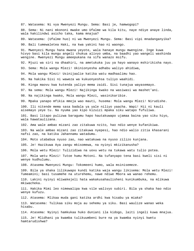87. Watasema: Ni vya Mwenyezi Mungu. Sema: Basi je, hamwogopi?

88. Sema: Ni nani mkononi mwake umo Ufalme wa kila kitu, naye ndiye anaye linda, wala hakilindwi asicho taka, kama mnajua?

89. Watasema: (Ufalme huo) ni wa Mwenyezi Mungu. Sema: Basi vipi mnadanganyika? 90. Bali tumewaletea Haki, na kwa yakini hao ni waongo.

91. Mwenyezi Mungu hana mwana yeyote, wala hanaye mungu mwengine. Inge kuwa hivyo basi kila mungu angeli chukua alivyo umba, na baadhi yao wangeli washinda wengine. Mwenyezi Mungu ameepukana na sifa wanazo msifu.

92. Mjuzi wa siri na dhaahiri, na ametukuka juu ya hayo wanayo mshirikisha nayo.

93. Sema: Mola wangu Mlezi! Ukinionyesha adhabu waliyo ahidiwa,

94. Mola wangu Mlezi! Usinijaalie katika watu madhaalimu hao.

95. Na hakika Sisi ni waweza wa kukuonyeshsa tuliyo waahidi.

96. Kinga maovu kwa kutenda yaliyo mema zaidi. Sisi tunajua wayasemayo.

97. Na sema: Mola wangu Mlezi! Najikinga kwako na wasiwasi wa mashet'ani.

98. Na najikinga kwako, Mola wangu Mlezi, wasinikaribie.

99. Mpaka yanapo mfikia mmoja wao mauti, husema: Mola wangu Mlezi! Nirudishe.

100. Ili nitende mema sasa badala ya yale niliyo yaacha. Wapi! Hii ni kauli aisemayo yeye tu. Na nyuma yao kipo kizuizi mpaka siku watapo fufuliwa.

101. Basi litapo pulizwa baragumu hapo hautakuwapo ujamaa baina yao siku hiyo, wala hawataulizana.

102. Ama wale ambao mizani zao zitakuwa nzito, hao ndio wenye kufanikiwa.

103. Na wale ambao mizani zao zitakuwa nyepesi, hao ndio walio zitia khasarani nafsi zao, na katika Jahannamu watadumu.

104. Moto utababua nyuso zao, nao watakuwa na nyuso zilizo kunjana.

105. Je! Hazikuwa Aya zangu mkisomewa, na nyinyi mkizikanusha?

106. Mola wetu Mlezi! Tulizidiwa na uovu wetu na tukawa watu tulio potea.

107. Mola wetu Mlezi! Tutoe humu Motoni. Na tufanyapo tena basi kweli sisi ni wenye kudhulumu.

108. Atasema Mwenyezi Mungu: Tokomeeni humo, wala msinisemeze.

109. Bila ya shaka lilikuwapo kundi katika waja wangu likisema: Mola wetu Mlezi! Tumeamini; basi tusamehe na uturehemu, nawe ndiwe Mbora wa wanao rehemu.

110. Lakini nyinyi mliwakejeli hata wakakusahaulisheni kunikumbuka, na mlikuwa mkiwacheka.

111. Hakika Mimi leo nimewalipa kwa vile walivyo subiri. Bila ya shaka hao ndio wenye kufuzu.

112. Atasema: Mlikaa muda gani katika ardhi kwa hisabu ya miaka?

113. Watasema: Tulikaa siku moja au sehemu ya siku. Basi waulize wanao weka hisabu.

114. Atasema: Nyinyi hamkukaa huko duniani ila kidogo, laiti ingeli kuwa mnajua.

115. Je! Mlidhani ya kwamba tulikuumbeni bure na ya kwamba nyinyi kwetu hamtarudishwa?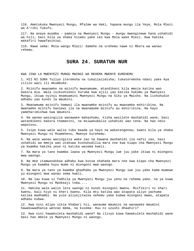116. Ametukuka Mwenyezi Mungu, Mfalme wa Haki, hapana mungu ila Yeye, Mola Mlezi wa A'rshi Tukufu.

117. Na anaye muomba - pamoja na Mwenyezi Mungu - mungu mwenginewe hana ushahidi wa hili; basi bila ya shaka hisabu yake iko kwa Mola wake Mlezi. Kwa hakika makafiri hawafanikiwi.

118. Nawe sema: Mola wangu Mlezi! Samehe na urehemu nawe ni Mbora wa wanao rehemu.

# **SURA 24. SURATUN NUR**

KWA JINA LA MWENYEZI MUNGU MWINGI WA REHEMA MWENYE KUREHEMU

1. HII NI SURA Tuliyo iteremsha na tukailazimisha; tukateremsha ndani yake Aya zilizo wazi ili mkumbuke.

2. Mzinifu mwanamke na mzinifu mwanamume, mtandikeni kila mmoja katika wao bakora mia. Wala isikushikeni huruma kwa ajili yao katika hukumu ya Mwenyezi Mungu, ikiwa nyinyi mnamuamini Mwenyezi Mungu na Siku ya Mwisho. Na lishuhudie adhabu yao kundi la Waumini.

3. Mwanamume mzinifu hamwoi ila mwanamke mzinifu au mwanamke mshirikina. Na mwanamke mzinifu haolewi ila na mwanamume mzinifu au mshirikina. Na hayo yameharimishwa kwa Waumini.

4. Na wanao wasingizia wanawake mahashumu, kisha wasilete mashahidi wane, basi watandikeni bakora thamanini, na msiwakubalie ushahidi wao tena. Na hao ndio wapotovu.

5. Isipo kuwa wale walio tubu baada ya hayo na wakatengenea; kwani bila ya shaka Mwenyezi Mungu ni Msamehevu, Mwenye kurehemu.

6. Na wale wanao wasingizia wake zao na hawana mashahidi ila nafsi zao, basi ushahidi wa mmoja wao utakuwa kushuhudilia mara nne kwa kiapo cha Mwenyezi Mungu ya kwamba hakika yeye ni katika wasema kweli.

7. Na mara ya tano kwamba laana ya Mwenyezi Mungu iwe juu yake ikiwa ni miongoni mwa waongo.

8. Na mke itamwondokea adhabu kwa kutoa shahada mara nne kwa kiapo cha Mwenyezi Mungu ya kwamba huyu mume ni miongoni mwa waongo.

9. Na mara ya tano ya kwamba ghadhabu ya Mwenyezi Mungu iwe juu yake kama mumewe yu miongoni mwa wanao sema kweli.

10. Na lau kuwa si fadhila ya Mwenyezi Mungu juu yenu na rehema yake, na ya kuwa Mwenyezi Mungu ni Mpokeaji toba....

11. Hakika wale walio leta uwongo ni kundi miongoni mwenu. Msifikiri ni shari kwenu, bali hiyo ni kheri kwenu. Kila mtu katika wao atapata aliyo yachuma katika madhambi. Na yule aliyejitwika sehemu yake kubwa miongoni mwao, atapata adhabu kubwa.

12. Kwa nini mlipo sikia khabari hii, wanaume Waumini na wanawake Waumini hawakuwadhania wenzao mema, na kusema: Huu ni uzushi dhaahiri?

13. Kwa nini hawakuleta mashahidi wane? Na ilivyo kuwa hawakuleta mashahidi wane basi hao mbele ya Mwenyezi Mungu ni waongo.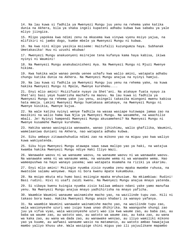14. Na lau kuwa si fadhila ya Mwenyezi Mungu juu yenu na rehema yake katika dunia na Akhera, bila ya shaka ingeli kupateni adhabu kubwa kwa sababu ya yale mliyo jiingiza.

15. Mlipo yapokea kwa ndimi zenu na mkasema kwa vinywa vyenu msiyo yajua, na mlifikiri ni jambo dogo, kumbe mbele ya Mwenyezi Mungu ni kubwa.

16. Na kwa nini mlipo yasikia msiseme: Haitufalii kuzungumza haya. Subhanak Umetakasika! Huu ni uzushi mkubwa!

17. Mwenyezi Mungu anakuonyeni msirejee tena kufanya kama haya kabisa, ikiwa nyinyi ni Waumini!

18. Na Mwenyezi Mungu anakubainisheni Aya. Na Mwenyezi Mungu ni Mjuzi Mwenye hikima.

19. Kwa hakika wale wanao penda uenee uchafu kwa walio amini, watapata adhabu chungu katika dunia na Akhera. Na Mwenyezi Mungu anajua na nyinyi hamjui.

20. Na lau kuwa si fadhila ya Mwenyezi Mungu juu yenu na rehema yake, na kuwa hakika Mwenyezi Mungu ni Mpole, Mwenye kurehemu....

21. Enyi mlio amini! Msizifuate nyayo za Shet'ani. Na atakaye fuata nyayo za Shet'ani basi yeye huamrisha machafu na maovu. Na lau kuwa si fadhila ya Mwenyezi Mungu na rehema yake juu yenu, asingeli takasika miongoni mwenu kabisa hata mmoja. Lakini Mwenyezi Mungu humtakasa amtakaye, na Mwenyezi Mungu ni Mwenye kusikia, Mwenye kujua.

22. Na wale katika nyinyi wenye fadhila na wasaa wasiape kutowapa jamaa zao na masikini na walio hama kwa Njia ya Mwenyezi Mungu. Na wasamehe, na waachilie mbali. Je! Nyinyi hampendi Mwenyezi Mungu akusameheni? Na Mwenyezi Mungu ni Mwenye kusamehe Mwenye kurehemu.

23. Hakika wanao wasingizia wanawake, wanao jihishimu, walio ghafilika, Waumini, wamelaaniwa duniani na Akhera, nao watapata adhabu kubwa.

24. Siku ambayo zitawashuhudia ndimi zao na mikono yao na miguu yao kwa waliyo kuwa wakiyatenda.

25. Siku hiyo Mwenyezi Mungu atawapa sawa sawa malipo yao ya haki, na watajua kwamba hakika Mwenyezi Mungu ndiye Haki Iliyo Wazi.

26. Wanawake waovu ni wa wanaume waovu, na wanaume waovu ni wa wanawake waovu. Na wanawake wema ni wa wanaume wema, na wanaume wema ni wa wanawake wema. Hao wameepushwa na hayo wanayo yasema; wao watapata msamaha na riziki ya ukarimu.

27. Enyi mlio amini! Msiingie nyumba zisio nyumba zenu mpaka mwombe ruhusa, na mwatolee salamu wenyewe. Hayo ni bora kwenu mpate kukumbuka.

28. Na msipo mkuta mtu humo basi msiingie mpaka mruhusiwe. Na mkiambiwa: Rudini! Basi rudini. Hivi ni usafi zaidi kwenu. Na Mwenyezi Mungu anajua mnayo yatenda.

29. Si vibaya kwenu kuingia nyumba zisio kaliwa ambazo ndani yake yamo manufaa yenu. Na Mwenyezi Mungu anajua mnayo yadhihirisha na mnayo yaficha.

30. Waambie Waumini wanaume wainamishe macho yao, na wazilinde tupu zao. Hili ni takaso bora kwao. Hakika Mwenyezi Mungu anazo khabari za wanayo yafanya.

31. Na waambie Waumini wanawake wainamishe macho yao, na wazilinde tupu zao, wala wasionyeshe uzuri wao isipo kuwa unao dhihirika. Na waangushe shungi zao juu ya vifua vyao, wala wasionyeshe uzuri wao ila kwa waume zao, au baba zao, au baba wa waume zao, au watoto wao, au watoto wa waume zao, au kaka zao, au wana wa kaka zao, au wana wa dada zao, au wanawake wenzao, au iliyo wamiliki mikono yao ya kuume, au wafwasi wanaume wasio na matamanio, au watoto ambao hawajajua mambo yaliyo khusu uke. Wala wasipige chini miguu yao ili yajuulikane mapambo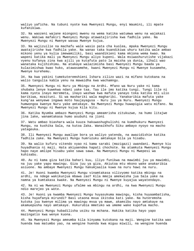waliyo yaficha. Na tubuni nyote kwa Mwenyezi Mungu, enyi Waumini, ili mpate kufanikiwa.

32. Na waozeni wajane miongoni mwenu na wema katika watumwa wenu na wajakazi wenu. Wakiwa mafakiri Mwenyezi Mungu atawatajirisha kwa fadhila yake. Na Mwenyezi Mungu ni Mwenye wasaa Mwenye kujua.

33. Na wajizuilie na machafu wale wasio pata cha kuolea, mpaka Mwenyezi Mungu awatajirishe kwa fadhila yake. Na wanao taka kuandikiwa uhuru katika wale ambao mikono yenu ya kulia imewamiliki, basi waandikieni kama mkiona wema kwao. Na wapeni katika mali ya Mwenyezi Mungu aliyo kupeni. Wala msiwashurutishe vijakazi vyenu kufanya zina kwa ajili ya kutafuta pato la maisha ya dunia, ilhali wao wanataka kujihishimu. Na atakaye walazimisha basi Mwenyezi Mungu baada ya kulazimishwa kwao huko, atawasamehe, kwani Mwenyezi Mungu ni Mwenye kusamehe, Mwenye kurehemu.

34. Na kwa yakini tumekuteremshieni Ishara zilizo wazi na mifano kutokana na walio tangulia kabla yenu na mawaidha kwa wachamngu.

35. Mwenyezi Mungu ni Nuru ya Mbingu na Ardhi. Mfano wa Nuru yake ni kama shubaka lenye kuwekwa ndani yake taa. Taa ile imo katika tungi. Tungi lile ni kama nyota inayo meremeta, inayo washwa kwa mafuta yanayo toka katika mti ulio barikiwa, mzaituni. Si wa mashariki wala magharibi. Yanakaribia mafuta yake kung'aa wenyewe ingawa moto haujayagusa - Nuru juu ya Nuru. Mwenyezi Mungu humwongoa kwenye Nuru yake amtakaye. Na Mwenyezi Mungu huwapigia watu mifano. Na Mwenyezi Mungu ni Mwenye kujua kila kitu.

36. Katika Nyumba ambazo Mwenyezi Mungu ameamrisha zitukuzwe, na humo litajwe jina lake, wanamtakasa humo asubuhi na jioni

37. Watu ambao biashara wala kuuza hakuwashughulishi na kumdhukuru Mwenyezi Mungu, na kushika Sala, na kutoa Zaka. Wanaikhofu Siku ambayo nyoyo na macho yatageuka.

38. Ili Mwenyezi Mungu awalipe bora ya waliyo yatenda, na awazidishie katika fadhila zake. Na Mwenyezi Mungu humruzuku amtakaye bila ya hisabu.

39. Na walio kufuru vitendo vyao ni kama sarabi (mazigazi) uwandani. Mwenye kiu huyadhania ni maji. Hata akiyaendea hapati chochote. Na atamkuta Mwenyezi Mungu hapo naye amlipe hisabu yake sawa sawa. Na Mwenyezi Mungu ni Mwepesi wa kuhisabu.

40. Au ni kama giza katika bahari kuu, iliyo funikwa na mawimbi juu ya mawimbi, na juu yake yapo mawingu. Giza juu ya giza. Akiutoa mtu mkono wake anakaribia asiuone. Na ambaye Mwenyezi Mungu hakumjaalia kuwa na nuru hawi na nuru.

41. Je! Huoni kwamba Mwenyezi Mungu vinamtakasa vilivyomo katika mbingu na ardhi, na ndege wakikunjua mbawa zao? Kila mmoja amekwisha jua Sala yake na namna ya kumtakasa kwake. Na Mwenyezi Mungu ni Mwenye kuyajua wayatendayo.

42. Na ni wa Mwenyezi Mungu ufalme wa mbingu na ardhi, na kwa Mwenyezi Mungu ndio marejeo ya wote.

43. Je! Huoni ya kwamba Mwenyezi Mungu huyasukuma mawingu, kisha huyaambatisha, kisha huyafanya mirundi? Basi utaona mvua ikitoka kati yake. Na huteremsha kutoka juu kwenye milima ya mawingu mvua ya mawe, akamsibu nayo amtakaye na akamuepusha nayo amtakaye. Hukurubia mmetuko wa umeme wake kupofua macho.

44. Mwenyezi Mungu hubadilisha usiku na mchana. Hakika katika hayo yapo mazingatio kwa wenye kuona.

45. Na Mwenyezi Mungu ameumba kila kinyama kutokana na maji. Wengine katika wao huenda kwa matumbo yao, na wengine huenda kwa miguu miwili, na wengine huenda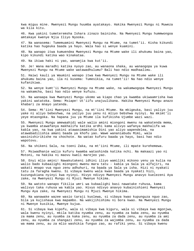kwa miguu mine. Mwenyezi Mungu huumba ayatakayo. Hakika Mwenyezi Mungu ni Muweza wa kila kitu.

46. Kwa yakini tumeteremsha Ishara zinazo bainisha. Na Mwenyezi Mungu hummwongoa amtakaye kwenye Njia Iliyo Nyooka.

47. Na wanasema: Tumemuamini Mwenyezi Mungu na Mtume, na tumet'ii. Kisha kikundi katika hao hugeuka baada ya hayo. Wala hao si wenye kuamini.

48. Na wanapo itwa kumuendea Mwenyezi Mungu na Mtume wake ili ahukumu baina yao, kipo kikundi katika wao kinakataa.

49. Na ikiwa haki ni yao, wanamjia kwa kut'ii.

50. Je! Wana maradhi katika nyoyo zao, au wanaona shaka, au wanaogopa ya kuwa Mwenyezi Mungu na Mtume wake watawadhulumu? Bali hao ndio madhaalimu.

51. Haiwi kauli ya Waumini wanapo itwa kwa Mwenyezi Mungu na Mtume wake ili ahukumu baina yao, ila ni kusema: Tumesikia, na tumet'ii! Na hao ndio wenye kufanikiwa.

52. Na wenye kumt'ii Mwenyezi Mungu na Mtume wake, na wakamwogopa Mwenyezi Mungu na wakamcha, basi hao ndio wenye kufuzu.

53. Na wanaapa kwa Mwenyezi Mungu ukomo wa kiapo chao ya kwamba ukiwaamrisha kwa yakini watatoka. Sema: Msiape! Ut'iifu unajuulikana. Hakika Mwenyezi Mungu anazo khabari za mnayo yatenda.

54. Sema: Mt'iini Mwenyezi Mungu, na mt'iini Mtume. Na mkigeuka, basi yaliyo juu yake ni aliyo bebeshwa, na yaliyo juu yenu ni mliyo bebshwa nyinyi. Na mkimt'ii yeye mtaongoka. Na hapana juu ya Mtume ila kufikisha Ujumbe wazi wazi.

55. Mwenyezi Mungu amewaahidi wale walio amini miongoni mwenu na wakatenda mema, ya kwamba atawafanya makhalifa katika ardhi kama alivyo wafanya makhalifa wa kabla yao, na kwa yakini atawasimamishia Dini yao aliyo wapendelea, na atawabadilishia amani baada ya khofu yao. Wawe wananiabudu Mimi, wala wasinishirikishe na chochote. Na watao kufuru baada ya hayo, basi hao ndio wapotovu.

56. Na shikeni Sala, na toeni Zaka, na mt'iini Mtume, ili mpate kurehemewa.

57. Msiwadhanie walio kufuru kwamba watashinda katika nchi. Na makaazi yao ni Motoni, na hakika ni maovu kweli marejeo yao.

58. Enyi mlio amini! Nawakutakeni idhini iliyo wamiliki mikono yenu ya kulia na walio bado kubaalighi miongoni mwenu mara tatu - kabla ya Sala ya alfajiri, na wakati mnapo vua nguo zenu adhuhuri, na baada ya Sala ya isha. Hizi ni nyakati tatu za faragha kwenu. Si vibaya kwenu wala kwao baada ya nyakati hizi, kuzungukiana nyinyi kwa nyinyi. Hivyo ndivyo Mwenyezi Mungu anavyo kuelezeni Aya zake, na Mwenyezi Mungu ni Mjuzi Mwenye hikima.

59. Na watoto wanapo fikilia umri wa kubaalighi basi nawatake ruhusa, kama walivyo taka ruhusa wa kabla yao. Hivyo ndivyo anavyo kubainishieni Mwenyezi Mungu Aya zake, na Mwenyezi Mungu ni Mjuzi Mwenye hikima.

60. Na wanawake wazee wasio taraji kuolewa, si vibaya kwao kupunguza nguo zao, bila ya kujishaua kwa mapambo. Na wakijihishimu ni bora kwao. Na Mwenyezi Mungu ni Mwenye kusikia, Mwenye kujua.

61. Si vibaya kwa kipofu, wala si vibaya kwa kiguru, wala si vibaya kwa mgonjwa, wala kwenu nyinyi, mkila katika nyumba zenu, au nyumba za baba zenu, au nyumba za mama zenu, au nyumba za kaka zenu, au nyumba za dada zenu, au nyumba za ami zenu, au nyumba za shangazi zenu, au nyumba za wajomba zenu, au nyumba za dada wa mama zenu, au za mlio washikia funguo zao, au rafiki yenu. Si vibaya kwenu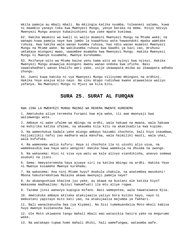mkila pamoja au mbali mbali. Na mkiingia katika nyumba, toleaneni salamu, kuwa ni maamkio yanayo toka kwa Mwenyezi Mungu, yenye baraka na mema. Hivyo ndivyo Mwenyezi Mungu anavyo kubainishieni Aya zake mpate kuelewa.

62. Hakika Waumini wa kweli ni walio muamini Mwenyezi Mungu na Mtume wake; na wanapo kuwa pamoja naye kwa jambo la kuwakhusu wote hawaondoki mpaka wamtake ruhusa. Kwa hakika wale wanao kuomba ruhusa, hao ndio wanao muamini Mwenyezi Mungu na Mtume wake. Na wakikuomba ruhusa kwa baadhi ya kazi zao, mruhusu umtakaye miongoni mwao, uwaombee msamaha kwa Mwenyezi Mungu. Hakika Mwenyezi Mungu ni Mwenye kusamehe, Mwenye kurehemmu.

63. Msifanye wito wa Mtume baina yenu kama wito wa nyinyi kwa nyinyi. Hakika Mwenyezi Mungu anawajua miongoni mwenu wanao ondoka kwa uficho. Basi nawatahadhari wanao khalifu amri yake, usije ukawapata msiba au ikawapata adhabu chungu.

64. Jueni kuwa hakika ni vya Mwenyezi Mungu vilivyomo mbinguni na ardhini. Hakika Yeye anajua mlio nayo. Na siku mtapo rudishwa kwake atawaeleza waliyo yafanya. Na Mwenyezi Mungu ni Mjuzi wa kila kitu.

# **SURA 25. SURAT AL FURQAN**

KWA JINA LA MWENYEZI MUNGU MWINGI WA REHEMA MWENYE KUREHEMU

1. Ametukuka aliye teremsha Furqani kwa mja wake, ili awe mwonyaji kwa walimwengu wote.

2. Ambaye ni wake ufalme wa mbingu na ardhi, wala hakuwa na mwana, wala hakuwa na mshirika katika ufalme, na akaumba kila kitu na akakikadiria kwa kipimo.

3. Na wamechukua badala yake miungu ambayo haiumbi chochote, bali hiyo inaumbwa, haijimilikii nafsi zao madhara wala manufaa, wala haimiliki mauti, wala uhai, wala kufufuka.

4. Na wamesema walio kufuru: Haya si chochote ila ni uzushi alio uzua, na wamemsaidia kwa haya watu wengine! Hakika hawa wamekuja na dhulma na uwongo.

5. Na wakasema: Hivi ni visa vya watu wa kale alivyo viandikisha, anavyo somewa asubuhi na jioni.

6. Sema: Ameyateremsha haya ajuaye siri za katika mbingu na ardhi. Hakika Yeye ni Mwenye kusamehe Mwenye kurehemu.

7. Na wakasema: Ana nini Mtume huyu? Anakula chakula, na anatembea masokoni! Mbona hakuteremshiwa Malaika akawa mwonyaji pamoja naye?

8. Au akaangushiwa khazina juu yake, au akawa na bustani ale katika hiyo? Wakasema madhaalimu: Nyinyi hamumfuati ila mtu aliye rogwa.

9. Tazama jinsi wanavyo kupigia mifano. Basi wamepotea, wala hawataiweza Njia.

10. Ametukuka ambaye akitaka atakujaalia yaliyo bora kuliko hayo, nayo ni mabustani yapitayo mito kati yao, na atakujaalia majumba ya fakhari.

11. Bali wanaikanusha Saa (ya Kiyama). Na Sisi tumemuandalia Moto mkali kabisa huyo mwenye kuikanusha Saa..

12. Ule Moto ukiwaona tangu mahali mbali wao watasikia hasira yake na mngurumo wake.

13. Na watakapo tupwa humo mahali dhiki, hali wamefungwa, wataomba wafe.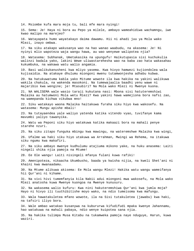14. Msiombe kufa mara moja tu, bali mfe mara nyingi!

15. Sema: Je! Haya ni bora au Pepo ya milele, ambayo wameahidiwa wachamngu, iwe kwao malipo na marejeo?

16. Watayapata humo wayatakayo daima dawamu. Hii ni ahadi juu ya Mola wako Mlezi, inayo ombwa.

17. Na siku atakapo wakusanya wao na hao wanao waabudu, na akasema: Je! Ni nyinyi mlio wapoteza waja wangu hawa, au wao wenyewe walipotea njia?

18. Watasema: Subhanak, Umetakasika na upungufu! Haikutupasia sisi kuchukulia walinzi badala yako, lakini Wewe uliwastarehesha wao na baba zao hata wakasahau kukumbuka, na wakawa watu walio angamia.

19. Basi walikukanusheni kwa mliyo yasema. Kwa hivyo hamwezi kujiondolea wala kujisaidia. Na atakaye dhulumu miongoni mwenu tutamwonjesha adhabu kubwa.

20. Na hatukuwatuma kabla yako Mitume wowote ila kwa hakika na yakini walikuwa wakila chakula, na wakenda masokoni. Na tumewajaalia baadhi yenu wawe ni majaribio kwa wengine; je! Mtasubiri? Na Mola wako Mlezi ni Mwenye kuona.

21. NA WALISEMA wale wasio taraji kukutana nasi: Mbona sisi hatuteremshiwi Malaika au hatumwoni Mola wetu Mlezi? Kwa yakini hawa wamejiona bora nafsi zao, na wamepanda kichwa vikubwa mno!

22. Siku watakayo waona Malaika haitakuwa furaha siku hiyo kwa wakosefu. Na watasema: Mungu apishe mbali!

23. Na tutayaendea yale waliyo yatenda katika vitendo vyao, tuvifanye kama mavumbi yaliyo tawanyika.

24. Watu wa Peponi siku hiyo watakuwa katika makaazi bora na mahali penye starehe nzuri.

25. Na siku zitapo funguka mbingu kwa mawingu, na wateremshwe Malaika kwa wingi,

26. Ufalme wa haki siku hiyo utakuwa wa Arrahman, Mwingi wa Rehema, na itakuwa siku ngumu kwa makafiri.

27. Na siku ambayo mwenye kudhulumu atajiuma mikono yake, na huku anasema: Laiti ningeli shika njia pamoja na Mtume!

28. Ee Ole wangu! Laiti nisingeli mfanya fulani kuwa rafiki!

29. Amenipoteza, nikaacha Ukumbusho, baada ya kwisha nijia, na kweli Shet'ani ni khaini kwa mwanaadamu.

30. Na Mtume alikuwa akisema: Ee Mola wangu Mlezi! Hakika watu wangu wameifanya hii Qur'ani ni kihame.

31. Na vivi hivi tumemfanyia kila Nabii adui miongoni mwa wakosefu, na Mola wako Mlezi anatosha kuwa Mwenye kuongoa na Mwenye kunusuru.

32. Na wakasema walio kufuru: Kwa nini hakuteremshiwa Qur'ani kwa jumla moja? Hayo ni hivyo ili tuuthibitishe moyo wako, na ndio tumeisoma kwa mafungu.

33. Wala hawatakuletea mfano wowote, ila na Sisi tutakuletea (jawabu) kwa haki, na tafsiri iliyo bora.

34. Wale ambao watakao kusanywa na kubururwa kifudifudi mpaka kwenye Jahannamu, hao watakuwa na mahali pabaya, ndio wenye kuipotea sana njia.

35. Na hakika tulimpa Musa Kitabu na tukamweka pamoja naye nduguye, Harun, kuwa waziri.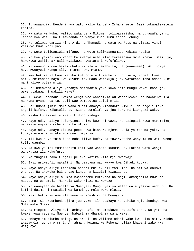36. Tukawaambia: Nendeni kwa watu walio kanusha Ishara zetu. Basi tukawateketeza kabisa. 37. Na watu wa Nuhu, walipo wakanusha Mitume, tuliwazamisha, na tukawafanya ni Ishara kwa watu. Na tumewaandalia wenye kudhulumu adhabu chungu. 38. Na tuliwaangamiza kina A'di na Thamudi na watu wa Rass na vizazi vingi vilivyo kuwa kati yao. 39. Na wote tuliwapigia mifano, na wote tuliwaangamiza kabisa kabisa. 40. Na kwa yakini wao wanafika kwenye nchi ilio teremshiwa mvua mbaya. Basi, je, hawakuwa wakiiona? Bali walikuwa hawataraji kufufuliwa. 41. Na wanapo kuona hawakuchukulii ila ni mzaha tu, na (wanasema): Ati ndiye huyu Mwenyezi Mungu aliye mtuma kuwa Mtume? 42. Kwa hakika alikuwa karibu kutupoteza tuiache miungu yetu, ingeli kuwa hatukushikamana nayo kwa kuvumilia. Bado watakuja jua, watakapo iona adhabu, ni nani aliye potea njia. 43. Je! Umemwona aliye yafanya matamanio yake kuwa ndio mungu wake? Basi je, wewe utakuwa ni wakili wake? 44. Au wewe unadhani kwamba wengi wao wanasikia au wanaelewa? Hao hawakuwa ila ni kama nyama hoa tu, bali wao wamepotea zaidi njia. 45. Je! Huoni jinsi Mola wako Mlezi anavyo kitandaza kivuli. Na angeli taka angeli kifanya kikatulia tu. Kisha tumelifanya jua kuwa ni kiongozi wake. 46. Kisha tunakivutia kwetu kidogo kidogo. 47. Naye ndiye aliye kufanyieni usiku kuwa ni vazi, na usingizi kuwa mapumziko, na akakufanyieni mchana ni kufufuka. 48. Naye ndiye anaye zituma pepo kuwa bishara njema kabla ya rehema yake, na tunayateremsha kutoka mbinguni maji safi. 49. Ili kwa hayo tuihuishe nchi iliyo kufa, na tuwanyweshe wanyama na watu wengi tulio waumba. 50. Na kwa yakini tumeisarifu kati yao wapate kukumbuka. Lakini watu wengi wanakataa ila kukufuru. 51. Na tungeli taka tungeli peleka katika kila mji Mwonyaji. 52. Basi usiwat'ii makafiri. Na pambana nao kwayo kwa Jihadi kubwa. 53. Naye ndiye aliye zipeleka bahari mbili, hii tamu mno, na hii ya chumvi chungu. Na akaweka baina yao kinga na kizuizi kizuiacho. 54. Naye ndiye aliye muumba mwanaadamu kutokana na maji, akamjaalia kuwa na nasaba na ushemeji. Na Mola wako Mlezi ni Muweza. 55. Na wanayaabudu badala ya Mwenyezi Mungu yasiyo wafaa wala yasiyo wadhuru. Na kafiri daima ni msaidizi wa kumpinga Mola wake Mlezi. 56. Nasi hatukukutuma ila kuwa ni Mbashiri na Mwonyaji. 57. Sema: Sikukuombeni ujira juu yake; ila atakaye na ashike njia iendayo kwa Mola wake Mlezi. 58. Na mtegemee Aliye Hai, ambaye hafi. Na umtukuze kwa sifa zake. Na yatosha kwake kuwa yeye ni Mwenye khabari za dhambi za waja wake.

59. Ambaye ameziumba mbingu na ardhi, na viliomo ndani yake kwa siku sita. Kisha akatawala juu ya A'rshi, Arrahman, Mwingi wa Rehema! Uliza khabari zake kwa wamjuaye.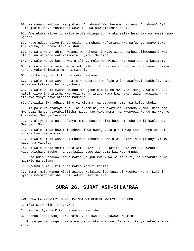60. Na wanapo ambiwa: Msujudieni Arrahman! Wao husema: Ni nani Arrahman? Je! Tumsujudie unaye tuamrisha wewe tu? Na huwazidishia chuki.

61. Ametukuka aliye zijaalia nyota mbinguni, na akajaalia humo taa na mwezi unao ng'ara.

62. Naye ndiye aliye fanya usiku na mchana kufuatana kwa nafuu ya anaye taka kukumbuka, au anaye taka kushukuru.

63. Na waja wa Arrahman Mwingi wa Rehema ni wale wanao tembea ulimwenguni kwa staha, na wajinga wakiwasemeza hujibu: Salama!

64. Na wale wanao kesha kwa ajili ya Mola wao Mlezi kwa kusujudu na kusimama.

65. Na wale wanao sema: Mola wetu Mlezi! Tuondolee adhabu ya Jahannamu. Hakika adhabu yake ikimpata mtu haimwachi.

66. Hakika hiyo ni kituo na makao mabaya.

67. Na wale ambao wanapo tumia hawatumii kwa fujo wala hawafanyi ubakhili, bali wanakuwa katikati baina ya hayo.

68. Na wale wasio mwomba mungu mwengine pamoja na Mwenyezi Mungu, wala hawaui nafsi aliyo iharimisha Mwenyezi Mungu isipo kuwa kwa haki, wala hawazini - na atakaye fanya hayo atapata madhara,

69. Atazidishiwa adhabu Siku ya Kiyama, na atadumu humo kwa kufedheheka.

70. Isipo kuwa atakaye tubu, na akaamini, na akatenda vitendo vyema. Basi hao Mwenyezi Mungu atayabadilisha maovu yao yawe mema. Na Mwenyezi Mungu ni Mwenye kusamehe, Mwenye kurehemu.

71. Na aliye tubu na akafanya mema, basi hakika huyo ametubu kweli kweli kwa Mwenyezi Mungu.

72. Na wale ambao hawatoi ushahidi wa uwongo, na pindi wapitapo penye upuuzi, hupita kwa hishima yao.

73. Na wale ambao wanapo kumbushwa Ishara za Mola wao Mlezi hawajifanyi viziwi nazo, na vipofu.

74. Na wale wanao sema: Mola wetu Mlezi! Tupe katika wake zetu na wenetu yaburudishayo macho, na utujaalie tuwe waongozi kwa wachamngu.

75. Hao ndio watakao lipwa makao ya juu kwa kuwa walisubiri, na watakuta humo maamkio na salamu.

76. Wadumu humo - kituo na makao mazuri kabisa.

77. Sema: Mola wangu Mlezi asinge kujalini lau kuwa si kuomba kwenu. Lakini nyinyi mmemkadhibisha. Basi adhabu lazima iwe.

### **SURA 26. SURAT ASH-SHUA'RAA**

KWA JINA LA MWENYEZI MUNGU MWINGI WA REHEMA MWENYE KUREHEMU

1. T'aa Siin Miim. (T'.S.M.)

2. Hizi ni Aya za Kitabu kinacho bainisha.

3. Huenda labda ukajikera nafsi yako kwa kuwa hawawi Waumini.

4. Tunge penda tungeli wateremshia kutoka mbinguni Ishara zikanyenyekea shingo zao.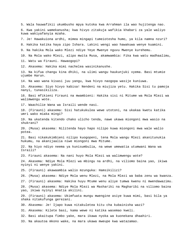5. Wala hauwafikii ukumbusho mpya kutoka kwa Arrahman ila wao hujitenga nao. 6. Kwa yakini wamekanusha; kwa hivyo zitakuja wafikia khabari za yale waliyo kuwa wakiyafanyia mzaha. 7. Je! Hawakuiona ardhi, mimea mingapi tumeiotesha humo, ya kila namna nzuri? 8. Hakika katika haya zipo Ishara. Lakini wengi wao hawakuwa wenye kuamini. 9. Na hakika Mola wako Mlezi ndiye Yeye Mwenye nguvu Mwenye kurehemu. 10. Na Mola wako Mlezi, alipo mwita Musa, akamwambia: Fika kwa watu madhaalimu, 11. Watu wa Firauni. Hawaogopi? 12. Akasema: Hakika mimi nachelea wasinikanushe. 13. Na kifua changu kina dhiki, na ulimi wangu haukunjuki vyema. Basi mtumie ujumbe Harun. 14. Na wao wana kisasi juu yangu, kwa hivyo naogopa wasije kuniuwa. 15. Akasema: Siyo hivyo kabisa! Nendeni na miujiza yetu. Hakika Sisi tu pamoja nanyi, tunasikiliza. 16. Basi mfikieni Firauni na mwambieni: Hakika sisi ni Mitume wa Mola Mlezi wa walimwengu wote. 17. Waachilie Wana wa Israili wende nasi. 18. (Firauni) akasema: Sisi hatukukulea wewe utotoni, na ukakaa kwetu katika umri wako miaka mingi? 19. Na ukatenda kitendo chako ulicho tenda, nawe ukawa miongoni mwa wasio na shukrani? 20. (Musa) akasema: Nilitenda hayo hapo nilipo kuwa miongoni mwa wale walio potea. 21. Basi nikakukimbieni nilipo kuogopeni, tena Mola wangu Mlezi akanitunukia hukumu, na akanijaalia niwe miongoni mwa Mitume. 22. Na hiyo ndiyo neema ya kunisumbulia, na wewe umewatia utumwani Wana wa Israili? 23. Firauni akasema: Na nani huyo Mola Mlezi wa walimwengu wote? 24. Akasema: Ndiye Mola Mlezi wa mbingu na ardhi, na viliomo baina yao, ikiwa nyinyi ni wenye yakini. 25. (Firauni) akawaambia walio mzunguka: Hamsikilizi? 26. (Musa) akasema: Ndiye Mola wenu Mlezi, na Mola Mlezi wa baba zenu wa kwanza. 27. (Firauni) akasema: Hakika huyu Mtume wenu aliye tumwa kwenu ni mwendawazimu. 28. (Musa) akasema: Ndiye Mola Mlezi wa Mashariki na Magharibi na viliomo baina yao, ikiwa nyinyi mnatia akilini. 29. (Firauni) akasema: Ukimfuata mungu mwengine asiye kuwa mimi, basi bila ya shaka nitakufunga gerezani. 30. Akasema: Je! Ijapo kuwa nitakuletea kitu cha kubainisha wazi? 31. Akasema: Kilete basi, kama wewe ni katika wasemao kweli. 32. Basi akaitupa fimbo yake, mara ikawa nyoka wa kuonekana dhaahiri. 33. Na akautoa mkono wake, na mara ukawa mweupe kwa watazamao.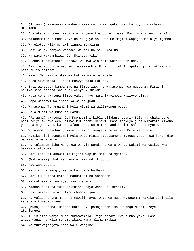34. (Firauni) akawaambia waheshimiwa walio mzunguka: Hakika huyu ni mchawi mtaalamu.

35. Anataka kukutoeni katika nchi yenu kwa uchawi wake. Basi mna shauri gani?

36. Wakasema: Mpe muda yeye na nduguye na uwatume mijini wapigao mbiu ya mgambo.

37. Wakuletee kila mchawi bingwa mtaalamu.

38. Basi wakakusanywa wachawi wakati na siku maalumu.

39. Na watu wakaambiwa: Je! Mtakusanyika?

40. Huenda tutawafuata wachawi wakiwa wao ndio watakao shinda.

41. Basi walipo kuja wachawi wakamwambia Firauni: Je! Tutapata ujira tukiwa sisi ndio tulio shinda?

42. Naam! Na hakika mtakuwa katika watu wa mbele.

43. Musa akwaambia: Tupeni mnavyo taka kutupa.

44. Basi wakatupa kamba zao na fimbo zao, na wakasema: Kwa nguvu za Firauni hakika sisi hapana shaka ni wenye kushinda.

45. Musa tena akatupa fimbo yake, nayo mara ikavimeza walivyo vizua.

46. Hapo wachawi walipinduka wakasujudu.

47. Wakasema: Tunamuamini Mola Mlezi wa walimwengu wote.

48. Mola Mlezi wa Musa na Harun.

49. (Firauni) akasema: Je! Mmemuamini kabla sijakuruhusuni? Bila ya shaka yeye basi ndiye mkubwa wenu aliye kufunzeni uchawi. Basi mtakuja jua! Nitakata mikono yenu na miguu yenu kwa kutafautisha. Na nitakubandikeni misalabani nyote.

50. Wakasema: Haidhuru, kwani sisi ni wenye kurejea kwa Mola wetu Mlezi.

51. Hakika sisi tunatumai Mola wetu Mlezi atatusamehe makosa yetu, kwa kuwa ndio wa kwanza wa kuamini.

52. Na tulimuamrisha Musa kwa wahyi: Nenda na waja wangu wakati wa usiku. Kwa hakika mtafuatwa.

53. Basi Firauni akawatuma mijini wapiga mbiu za mgambo.

54. (Wakieneza): Hakika hawa ni kikundi kidogo.

55. Nao wanatuudhi.

56. Na sisi ni wengi, wenye kuchukua hadhari.

57. Basi tukawatoa katika mabustani na chemchem,

58. Na makhazina, na vyeo vya hishima,

59. Kadhaalika; na tukawarithisha hayo Wana wa Israili.

60. Basi wakawafuata lilipo chomoza jua.

61. Na yalipo onana majeshi mawili haya, watu wa Musa wakasema: Hakika sisi bila ya shaka tumepatikana!

62. (Musa) akasema: Hasha! Hakika yu pamoja nami Mola wangu Mlezi. Yeye ataniongoa!

63. Tulimletea wahyi Musa tukamwambia: Piga bahari kwa fimbo yako. Basi ikatengana, na kila sehemu ikawa kama mlima mkubwa.

64. Na tukawajongeza hapo wale wengine.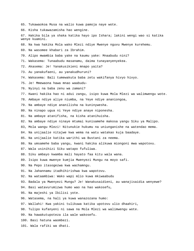- 65. Tukawaokoa Musa na walio kuwa pamoja naye wote.
- 66. Kisha tukawazamisha hao wengine.

67. Hakika bila ya shaka katika hayo ipo Ishara; lakini wengi wao si katika wenye kuamini.

68. Na kwa hakika Mola wako Mlezi ndiye Mwenye nguvu Mwenye kurehemu.

69. Na wasomee khabari za Ibrahim.

70. Alipo mwambia baba yake na kaumu yake: Mnaabudu nini?

71. Wakasema: Tunaabudu masanamu, daima tunayanyenyekea.

- 72. Akasema: Je! Yanakusikieni mnapo yaita?
- 73. Au yanakufaeni, au yanakudhuruni?
- 74. Wakasema: Bali tumewakuta baba zetu wakifanya hivyo hivyo.
- 75. Je! Mmewaona hawa mnao waabudu-
- 76. Nyinyi na baba zenu wa zamani?
- 77. Kwani hakika hao ni adui zangu, isipo kuwa Mola Mlezi wa walimwengu wote.
- 78. Ambaye ndiye aliye niumba, na Yeye ndiye ananiongoa,
- 79. Na ambaye ndiye ananilisha na kuninywesha.
- 80. Na ninapo ugua ni Yeye ndiye anaye niponesha.
- 81. Na ambaye atanifisha, na kisha atanihuisha.
- 82. Na ambaye ndiye ninaye mtumai kunisamehe makosa yangu Siku ya Malipo.
- 83, Mola wangu Mlezi! Nitunukie hukumu na uniunganishe na watendao mema.
- 84. Na unijaalie nitajwe kwa wema na watu watakao kuja baadaye.
- 85. Na unijaalie katika warithi wa Bustani za neema.
- 86. Na umsamehe baba yangu, kwani hakika alikuwa miongoni mwa wapotovu.
- 87. Wala usinihizi Siku watapo fufuliwa.
- 88. Siku ambayo kwamba mali hayato faa kitu wala wana.
- 89. Isipo kuwa mwenye kumjia Mwenyezi Mungu na moyo safi.
- 90. Na Pepo itasogezwa kwa wachamngu.
- 91. Na Jahannamu itadhihirishwa kwa wapotovu.
- 92. Na wataambiwa: Wako wapi mlio kuwa mkiwaabudu
- 93. Badala ya Mwenyezi Mungu? Je! Wanakusaidieni, au wanajisaidia wenyewe?
- 94. Basi watavurumizwa humo wao na hao wakosefu,
- 95. Na majeshi ya Ibilisi yote.
- 96. Watasema, na hali ya kuwa wanazozana humo:
- 97. Wallahi! Kwa yakini tulikuwa katika upotovu ulio dhaahiri,
- 98. Tulipo kufanyeni ni sawa na Mola Mlezi wa walimwengu wote.
- 99. Na hawakutupoteza ila wale wakosefu.
- 100. Basi hatuna waombezi.
- 101. Wala rafiki wa dhati.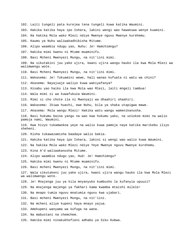102. Laiti tungeli pata kurejea tena tungeli kuwa katika Waumini. 103. Hakika katika haya ipo Ishara, lakini wengi wao hawakuwa wenye kuamini. 104. Na hakika Mola wako Mlezi ndiye Mwenye nguvu Mwenye kurehemu. 105. Kaumu ya Nuhu waliwakadhibisha Mitume. 106. Alipo waambia ndugu yao, Nuhu: Je! Hamchimngu? 107. Hakika mimi kwenu ni Mtume muaminifu. 108. Basi Mcheni Mwenyezi Mungu, na nit'iini mimi. 109. Na sikutakini juu yake ujira, kwani ujira wangu hauko ila kwa Mola Mlezi wa walimwengu wote. 110. Basi Mcheni Mwenyezi Mungu, na nit'iini mimi. 111. Wakasema: Je! Tukuamini wewe, hali wanao kufuata ni watu wa chini? 112. Akasema: Nayajuaje waliyo kuwa wakiyafanya? 113. Hisabu yao haiko ila kwa Mola wao Mlezi, laiti mngeli tambua! 114. Wala mimi si wa kuwafukuza Waumini. 115. Mimi si cho chote ila ni Mwonyaji wa dhaahiri shaahiri. 116. Wakasema: Ikiwa huachi, ewe Nuhu, bila ya shaka utapigwa mawe. 117. Akasema: Mola wangu Mlezi! Hakika watu wangu wamenikanusha. 118. Basi hukumu baina yangu na wao kwa hukumu yako, na uniokoe mimi na walio pamoja nami, Waumini. 119. Kwa hivyo tukamwokoa yeye na walio kuwa pamoja naye katika marikebu iliyo sheheni. 120. Kisha tukawazamisha baadaye walio bakia. 121. Hakika katika haya ipo Ishara, lakini si wengi wao walio kuwa Waumini. 122. Na hakika Mola wako Mlezi ndiye Yeye Mwenye nguvu Mwenye kurehemu. 123. Kina A'd waliwakanusha Mitume. 124. Alipo waambia ndugu yao, Hud: Je! Hamchimngu? 125. Hakika mimi kwenu ni Mtume muaminifu. 126. Basi mcheni Mwenyezi Mungu, na nit'iini mimi. 127. Wala sikutakeni juu yake ujira, kwani ujira wangu hauko ila kwa Mola Mlezi wa walimwengu wote. 128. Je! Mnajenga juu ya kila mnyanyuko kumbusho la kufanyia upuuzi? 129. Na mnajenga majengo ya fakhari kama kwamba mtaishi milele! 130. Na mnapo tumia nguvu mnatumia nguvu kwa ujabari. 131. Basi mcheni Mwenyezi Mungu, na nit'iini. 132. Na mcheni aliye kupeni haya mnayo yajua. 133. Amekupeni wanyama wa kufuga na wana. 134. Na mabustani na chemchem. 135. Hakika mimi ninakukhofieni adhabu ya Siku Kubwa.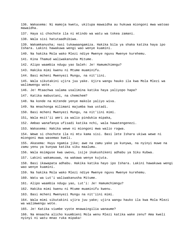136. Wakasema: Ni mamoja kwetu, ukitupa mawaidha au hukuwa miongoni mwa watoao mawaidha. 137. Haya si chochote ila ni mtindo wa watu wa tokea zamani. 138. Wala sisi hatutaadhibiwa. 139. Wakamkanusha; nasi tukawaangamiza. Hakika bila ya shaka katika haya ipo Ishara. Lakini hawakuwa wengi wao wenye kuamini. 140. Na hakika Mola wako Mlezi ndiye Mwenye nguvu Mwenye kurehemu. 141. Kina Thamud waliwakanusha Mitume. 142. Alipo waambia ndugu yao Saleh: Je! Hamumchimngu? 143. Hakika mimi kwenu ni Mtume muaminifu. 144. Basi mcheni Mwenyezi Mungu, na nit'iini. 145. Wala sikutakini ujira juu yake. Ujira wangu hauko ila kwa Mola Mlezi wa walimwengu wote. 146. Je! Mtaachwa salama usalimina katika haya yaliyopo hapa? 147. Katika mabustani, na chemchem? 148. Na konde na mitende yenye makole yaliyo wiva. 149. Na mnachonga milimani majumba kwa ustadi. 150. Basi mcheni Mwenyezi Mungu, na nit'iini mimi. 151, Wala msit'ii amri za walio pindukia mipaka, 152. Ambao wanafanya ufisadi katika nchi, wala hawatengenezi. 153. Wakasema: Hakika wewe ni miongoni mwa walio rogwa. 154. Wewe si chochote ila ni mtu kama sisi. Basi lete Ishara ukiwa wewe ni miongoni mwa wasemao kweli. 155. Akasema: Huyu ngamia jike; awe na zamu yake ya kunywa, na nyinyi muwe na zamu yenu ya kunywa katika siku maalumu. 156. Wala msimguse kwa uwovu, isije ikakushikeni adhabu ya Siku Kubwa. 157. Lakini wakamuuwa, na wakawa wenye kujuta. 158. Basi ikawapata adhabu. Hakika katika hayo ipo Ishara. Lakini hawakuwa wengi wao wenye kuamini. 159. Na hakika Mola wako Mlezi ndiye Mwenye nguvu Mwenye kurehemu. 160. Watu wa Lut'i waliwakanusha Mitume. 161. Alipo waambia ndugu yao, Lut'i: Je! Hamumchimngu? 162. Hakika mimi kwenu ni Mtume muaminifu kwenu. 163. Basi mcheni Mwenyezi Mungu na nit'iini mimi. 164. Wala mimi sikutakini ujira juu yake; ujira wangu hauko ila kwa Mola Mlezi wa walimwengu wote. 165. Je! Katika viumbe vyote mnawaingilia wanaume? 166. Na mnaacha alicho kuumbieni Mola wenu Mlezi katika wake zenu? Ama kweli nyinyi ni watu mnao ruka mipaka!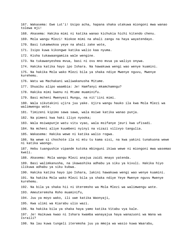167. Wakasema: Ewe Lut'i! Usipo acha, hapana shaka utakuwa miongoni mwa wanao tolewa mji! 168. Akasema: Hakika mimi ni katika wanao kichukia hichi kitendo chenu. 169. Mola wangu Mlezi! Niokoe mimi na ahali zangu na haya wayatendayo. 170. Basi tukamwokoa yeye na ahali zake wote, 171. Isipo kuwa kikongwe katika walio kaa nyuma. 172. Kisha tukawaangamiza wale wengine. 173. Na tukawanyeshea mvua, basi ni ovu mno mvua ya waliyo onywa. 174. Hakika katika hayo ipo Ishara. Na hawakuwa wengi wao wenye kuamini. 175. Na hakika Mola wako Mlezi bila ya shaka ndiye Mwenye nguvu, Mwenye kurehemu. 176. Watu wa Machakani waliwakanusha Mitume. 177. Shuaibu alipo waambia: Je! Hamfanyi mkamchamngu? 178. Hakika mimi kwenu ni Mtume muaminifu. 179. Basi mcheni Mwenyezi Mungu, na nit'iini mimi. 180. Wala sikutakini ujira juu yake. Ujira wangu hauko ila kwa Mola Mlezi wa walimwengu wote. 181. Timizeni kipimo sawa sawa, wala msiwe katika wanao punja. 182. Na pimeni kwa haki iliyo nyooka; 183. Wala msiwapunje watu vitu vyao, wala msifanye jeuri kwa ufisadi. 184. Na mcheni aliye kuumbeni nyinyi na vizazi vilivyo tangulia. 185. Wakasema: Hakika wewe ni katika walio rogwa. 186. Na wewe si chochote ila ni mtu tu kama sisi, na kwa yakini tunakuona wewe ni katika waongo. 187. Hebu tuangushie vipande kutoka mbinguni ikiwa wewe ni miongoni mwa wasemao kweli. 188. Akasema: Mola wangu Mlezi anajua zaidi mnayo yatenda. 189. Basi walimkanusha, na ikawashika adhabu ya siku ya kivuli. Hakika hiyo ilikuwa adhabu ya siku kubwa. 190. Hakika katika hayo ipo Ishara, lakini hawakuwa wengi wao wenye kuamini. 191. Na hakika Mola wako Mlezi bila ya shaka ndiye Yeye Mwenye nguvu Mwenye kurehemu. 192. Na bila ya shaka hii ni Uteremsho wa Mola Mlezi wa walimwengu wote. 193. Ameuteremsha Roho muaminifu, 194. Juu ya moyo wako, ili uwe katika Waonyaji, 195. Kwa ulimi wa Kiarabu ulio wazi. 196. Na hakika bila ya shaka haya yamo katika Vitabu vya kale. 197. Je! Haikuwa kwao ni Ishara kwamba wanayajua haya wanazuoni wa Wana wa Israili? 198. Na lau kuwa tungeli iteremsha juu ya mmoja wa wasio kuwa Waarabu,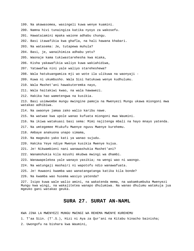- 199. Na akawasomea, wasingeli kuwa wenye kuamini.
- 200. Namna hivi tunaingiza katika nyoyo za wakosefu.
- 201. Hawataiamini mpaka waione adhabu chungu.
- 202. Basi itawafikia kwa ghafla, na hali hawana khabari.
- 203. Na watasema: Je, tutapewa muhula?
- 204. Basi, je, wanaihimiza adhabu yetu?
- 205. Waonaje kama tukiwastarehesha kwa miaka,
- 206. Kisha yakawafikia waliyo kuwa wakiahidiwa,
- 207. Yatawafaa nini yale waliyo stareheshewa?
- 208. Wala hatukuangamiza mji wo wote ila ulikuwa na waonyaji -
- 209. Kuwa ni ukumbusho. Wala Sisi hatukuwa wenye kudhulumu.
- 210. Wala Mashet'ani hawakuteremka nayo,
- 211. Wala haitakiwi kwao, na wala hawawezi.
- 212. Hakika hao wametengwa na kusikia.
- 213. Basi usimwombe mungu mwingine pamoja na Mwenyezi Mungu ukawa miongoni mwa watakao adhibiwa.
- 214. Na uwaonye jamaa zako walio karibu nawe.
- 215. Na watwae kwa upole wanao kufuata miongoni mwa Waumini.
- 216. Na ikiwa watakuasi basi sema: Mimi najitenga mbali na hayo mnayo yatenda.
- 217. Na umtegemee Mtukufu Mwenye nguvu Mwenye kurehemu.
- 218. Ambaye anakuona unapo simama,
- 219. Na mageuko yako kati ya wanao sujudu.
- 220. Hakika Yeye ndiye Mwenye kusikia Mwenye kujua.
- 221. Je! Nikwambieni nani wanawashukia Mashet'ani?
- 222. Wanamshukia kila mzushi mkubwa mwingi wa dhambi.
- 223. Wanawapelekea yale wanayo yasikia; na wengi wao ni waongo.
- 224. Na watungaji mashairi ni wapotofu ndio wanawafuata.
- 225. Je! Huwaoni kwamba wao wanatangatanga katika kila bonde?
- 226. Na kwamba wao husema wasiyo yatenda?

227. Isipo kuwa wale walio amini, na wakatenda mema, na wakamkumbuka Mwenyezi Mungu kwa wingi, na wakajitetea wanapo dhulumiwa. Na wanao dhulumu watakuja jua mgeuko gani watakao geuka.

## **SURA 27. SURAT AN-NAML**

KWA JINA LA MWENYEZI MUNGU MWINGI WA REHEMA MWENYE KUREHEMU 1. T'aa Siin. (T'.S.), Hizi ni Aya za Qur'ani na Kitabu kinacho bainisha; 2. Uwongofu na bishara kwa Waumini,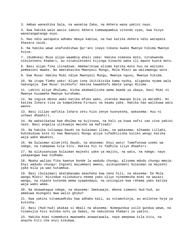3. Ambao wanashika Sala, na wanatoa Zaka, na Akhera wana yakini nayo.

4. Kwa hakika wale wasio iamini Akhera tumewapambia vitendo vyao, kwa hivyo wanatangatanga ovyo.

5. Hao ndio watapata adhabu mbaya kabisa, na hao katika Akhera ndio watapata khasara zaidi.

6. Na hakika wewe unafundishwa Qur'ani inayo tokana kwake Mwenye hikima Mwenye kujua.

7. (Kumbuka) Musa alipo waambia ahali zake: Hakika nimeona moto, nitakwenda nikuleteeni khabari, au nitakuleteeni kijinga kinacho waka ili mpate kuota moto.

8. Basi alipo fika ilinadiwa: Amebarikiwa aliomo katika moto huu na walioko pembezoni mwake. Na ametakasika Mwenyezi Mungu, Mola Mlezi wa walimwengu wote.

9. Ewe Musa! Hakika Mimi ndiye Mwenyezi Mungu, Mwenye nguvu, Mwenye hikima.

10. Na itupe fimbo yako! Alipo iona ikitikisika kama nyoka, aligeuka nyuma wala hakungoja. Ewe Musa! Usikhofu! Hakika hawakhofu mbele yangu Mitume.

11. Lakini aliye dhulumu, kisha akabadilisha wema baada ya ubaya, basi Mimi ni Mwenye kusamehe Mwenye kurehemu.

12. Na ingiza mkono wako katika mfuko wako, utatoka mweupe bila ya maradhi. Ni katika Ishara tisa za kumpelekea Firauni na kaumu yake. Hakika hao walikuwa watu waovu.

13. Basi zilipo wafikia Ishara zetu hizo zenye kuonyesha, wakasema: Huu ni uchawi dhaahiri.

14. Na wakazikataa kwa dhulma na kujivuna, na hali ya kuwa nafsi zao zina yakini nazo. Basi angalia ulikuwaje mwisho wa mafisadi!

15. Na hakika tuliwapa Daudi na Sulaiman ilimu, na wakasema: Alhamdu Lillahi, Kuhimidiwa kote ni kwa Mwenyezi Mungu aliye tufadhilisha kuliko wengi katika waja wake Waumini.

16. Na Sulaiman alimrithi Daudi, na akasema: Enyi watu! Tumefunzwa usemi wa ndege, na tumepewa kila kitu. Hakika hii ni fadhila iliyo dhaahiri.

17. Na alikusanyiwa Sulaiman majeshi yake ya majini, na watu, na ndege; nayo yakapangwa kwa nidhamu.

18. Mpaka walipo fika kwenye bonde la wadudu chungu, alisema mdudu chungu mmoja: Enyi wadudu chungu! Ingieni majumbani mwenu, asikupondeni Sulaiman na majeshi yake bila ya wao kutambua.

19. Basi (Sulaiman) akatabasamu akacheka kwa neno hili, na akasema: Ee Mola wangu Mlezi! Nizindue niishukuru neema yako uliyo nineemesha mimi na wazazi wangu, na nipate kutenda mema uyapendayo, na uniingize kwa rehema yako katika waja wako wema.

20. Na akawakagua ndege, na akasema: Imekuwaje, mbona simwoni Hud-hud, au amekuwa miongoni mwa walio ghibu?

21. Kwa yakini nitamuadhibu kwa adhabu kali, au nitamchinja, au aniletee hoja ya kutosha.

22. Basi (Hud-hud) akakaa si mbali na akasema: Nimegundua usilo gundua wewe, na ninakujia hivi kutoka nchi ya Sabai, na nakuletea khabari za yakini.

23. Hakika mimi nimemkuta mwanamke anawatawala, naye amepewa kila kitu, na anacho kiti cha enzi kikubwa.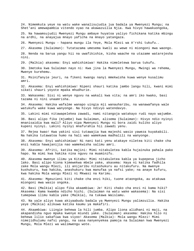24. Nimemkuta yeye na watu wake wanalisujudia jua badala ya Mwenyezi Mungu; na Shet'ani amewapambia vitendo vyao na akawazuilia Njia. Kwa hivyo hawakuongoka,

25. Na hawamsujudii Mwenyezi Mungu ambaye huyatoa yaliyo fichikana katika mbingu na ardhi, na anayajua mnayo yaficha na mnayo yatangaza.

26. Mwenyezi Mungu - hapana mungu ila Yeye, Mola Mlezi wa A'rshi tukufu..

27. Akasema (Sulaiman): Tutatazama umesema kweli au wewe ni miongoni mwa waongo.

28. Nenda na barua yangu hii na uwafikishie, kisha waache na utazame watarejesha nini.

29. (Malkia) akasema: Enyi wahishimiwa! Hakika nimeletewa barua tukufu.

30. Imetoka kwa Sulaiman nayo ni: Kwa jina la Mwenyezi Mungu, Mwingi wa rehema, Mwenye kurehemu.

31. Msinifanyie jeuri, na fikeni kwangu nanyi mmekwisha kuwa wenye kusalimu amri.

32. Akasema: Enyi wahishimiwa! Nipeni shauri katika jambo langu hili, kwani mimi sikati shauri yoyote mpaka mhudhurie.

33. Wakasema: Sisi ni wenye nguvu na wakali kwa vita; na amri iko kwako, basi tazama ni nini unaamrisha.

34. Akasema: Hakika wafalme wanapo uingia mji wanauharibu, na wanawafanya wale watukufu wake kuwa wanyonge. Na hivyo ndivyo watendavyo.

35. Lakini mimi nitawapelekea zawadi, nami nitangoja watakayo rudi nayo wajumbe.

36. Basi alipo fika (mjumbe) kwa Sulaiman, alisema (Sulaiman): Hivyo ndio nyinyi mnanisaidia kwa mali? Aliyo nipa Mwenyezi Mungu ni bora zaidi kuliko aliyo kupeni nyinyi. Lakini nyinyi mnafurahia hii zawadi yenu.

37. Rejea kwao! Kwa yakini sisi tutawajia kwa majeshi wasio yaweza kuyakabili. Na hakika tutawatoa humo na hali wao wamekuwa madhalili na wanyonge.

38. Akasema: Enyi wahishimiwa! Ni nani kati yenu atakaye niletea kiti chake cha enzi kabla hawajanijia nao wamekwisha salimu amri.

39. Akasema: Afriti, katika majini: Mimi nitakuletea kabla hujainuka pahala pako hapo. Na mimi kwa hakika nina nguvu na muaminifu.

40. Akasema mwenye ilimu ya Kitabu: Mimi nitakuletea kabla ya kupepesa jicho lako. Basi alipo kiona kimewekwa mbele yake, akasema: Haya ni katika fadhila zake Mola wangu Mlezi, ili anijaribu nitashukuru au nitakufuru. Na mwenye kushukuru, kwa hakika, anashukuru kwa manufaa ya nafsi yake; na anaye kufuru, kwa hakika Mola wangu Mlezi ni Mkwasi na Karimu.

41. Akasema: Mgeuzieni kiti chake cha enzi hiki, tuone ataongoka, au atakuwa miongoni mwa wasio ongoka.

42. Basi (Malkia) alipo fika akaambiwa: Je! Kiti chako cha enzi ni kama hiki? Akasema: Kama kwamba ndicho hichi. (Sulaiman na watu wake wakasema): Na sisi tumepewa ilimu kabla yake (Malkia), na tukawa Waislamu.

43. Na yale aliyo kuwa akiyaabudu badala ya Mwenyezi Mungu yalimzuilia. Hakika yeye (Malkia) alikuwa katika kaumu ya makafiri.

44. Akaambiwa: Liingie behewa la hili jumba. Alipo liona alidhani ni maji, na akapandisha nguo mpaka kwenye miundi yake. (Sulaiman) akasema: Hakika hilo ni behewa lilio sakafiwa kwa viyoo! Akasema (Malkia): Mola wangu Mlezi! Mimi nimejidhulumu nafsi yangu, na sasa nanyenyekea pamoja na Sulaiman kwa Mwenyezi Mungu, Mola Mlezi wa walimwengu wote.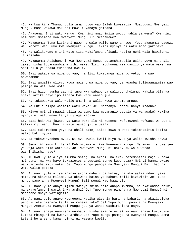45. Na kwa kina Thamud tulimtuma ndugu yao Saleh kuwaambia: Muabuduni Mwenyezi Mungu. Basi wakawa makundi mawili yanayo gombana.

46. Akasema: Enyi watu wangu! Kwa nini mnauhimiza uwovu kabla ya wema? Kwa nini hamuombi msamaha kwa Mwenyezi Mungu ili mrehemewe?

47. Wakasema: Tuna kisirani nawe na wale walio pamoja nawe. Yeye akasema: Uaguzi wa ukorofi wenu uko kwa Mwenyezi Mungu; lakini nyinyi ni watu mnao jaribiwa.

48. Na walikuwamo mjini watu tisa wakifanya ufisadi katika nchi wala hawafanyi la maslaha.

49. Wakasema: Apishaneni kwa Mwenyezi Mungu tutamshambulia usiku yeye na ahali zake; kisha tutamwambia mrithi wake: Sisi hatukuona maangamizo ya watu wake, na sisi bila ya shaka tunasema kweli.

50. Basi wakapanga mipango yao, na Sisi tukapanga mipango yetu, na wao hawatambui.

51. Basi angalia ulivyo kuwa mwisho wa mipango yao, ya kwamba tuliwaangamiza wao pamoja na watu wao wote.

52. Basi hizo nyumba zao ni tupu kwa sababu ya walivyo dhulumu. Hakika bila ya shaka katika hayo ipo Ishara kwa watu wanao jua.

53. Na tukawaokoa wale walio amini na walio kuwa wanamchamngu.

54. Na Lut'i alipo waambia watu wake: Je! Mnafanya uchafu nanyi mnaona?

55. Hivyo nyinyi mnawaingilia wanaume kwa matamanio badala ya wanawake? Hakika nyinyi ni watu mnao fanya ujinga kabisa!

56. Basi haikuwa jawabu ya watu wake ila ni kusema: Wafukuzeni wafwasi wa Lut'i katika mji wenu. Hao ni watu wanao jitia usafi.

57. Basi tukamwokoa yeye na ahali zake, isipo kuwa mkewe; tukamkadiria katika walio baki nyuma.

58. Na tukawanyeshea mvua. Ni ovu kweli kweli hiyo mvua ya walio kwisha onywa.

59. Sema: Alhamdu Lillahi! Kuhimidiwa ni kwa Mwenyezi Mungu! Na amani ishuke juu ya waja wake alio wateuwa. Je! Mwenyezi Mungu ni bora, au wale wanao washirikisha naye?

60. AU NANI yule aliye ziumba mbingu na ardhi, na akakuteremshieni maji kutoka mbinguni, na kwa hayo tukaziotesha bustani zenye kupendeza? Nyinyi hamna uwezo wa kuiotesha miti yake. Je! Yupo mungu pamoja na Mwenyezi Mungu? Bali hao ni watu walio potoka.

61. Au nani yule aliye ifanya ardhi mahali pa kutua, na akajaalia ndani yake mito, na akaweka milima? Na akaweka baina ya bahari mbili kiziwizi? Je! Yupo mungu pamoja na Mwenyezi Mungu? Bali wengi wao hawajui.

62. Au nani yule anaye mjibu mwenye shida pale anapo mwomba, na akaiondoa dhiki, na akakufanyeni warithi wa ardhi? Je! Yupo mungu pamoja na Mwenyezi Mungu? Ni machache mnayo yazingatia.

63. Au nani yule anaye kuongoeni katika giza la bara na bahari, na akazipeleka pepo kuleta bishara kabla ya rehema zake? Je! Yupo mungu pamoja na Mwenyezi Mungu? Ametukuka Mwenyezi Mungu juu ya wanao washirikisha naye.

64. Au nani anaye uanzisha uumbaji, kisha akaurejesha? Na nani anaye kuruzukuni kutoka mbinguni na kwenye ardhi? Je! Yupo mungu pamoja na Mwenyezi Mungu? Sema: Leteni hoja zenu kama nyinyi ni wasema kweli.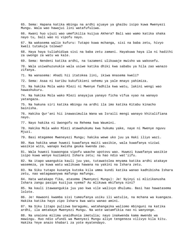65. Sema: Hapana katika mbingu na ardhi ajuaye ya ghaibu isipo kuwa Mwenyezi Mungu. Wala wao hawajui lini watafufuliwa. 66. Kwani huo ujuzi wao umefikilia kuijua Akhera? Bali wao wamo katika shaka nayo tu, bali wao ni vipofu nayo. 67. Na wakasema walio kufuru: Tutapo kuwa mchanga, sisi na baba zetu, hivyo kweli tutakuja tolewa? 68. Haya haya tuliahidiwa sisi na baba zetu zamani. Hayakuwa haya ila ni hadithi za uwongo za watu wa kale. 69. Sema: Nendeni katika ardhi, na tazameni ulikuwaje mwisho wa wakosefu. 70. Wala usiwahuzunukie wala usiwe katika dhiki kwa sababu ya hila zao wanazo zifanya. 71. Na wanasema: Ahadi hii itatokea lini, ikiwa mnasema kweli? 72. Sema: Asaa ni karibu kukufikieni sehemu ya yale mnayo yahimiza. 73. Na hakika Mola wako Mlezi ni Mwenye fadhila kwa watu, lakini wengi wao hawashukuru. 74. Na hakika Mola wako Mlezi anayajua yanayo ficha vifua vyao na wanayo yatangaza. 75. Na hakuna siri katika mbingu na ardhi ila imo katika Kitabu kinacho bainisha. 76. Hakika Qur'ani hii inawasimulia Wana wa Israili mengi wanayo khitalifiana nayo. 77. Nayo hakika ni Uwongofu na Rehema kwa Waumini. 78. Hakika Mola wako Mlezi atawahukumu kwa hukumu yake, naye ni Mwenye nguvu Mjuzi. 79. Basi mtegemee Mweneyezi Mungu; hakika wewe uko juu ya Haki iliyo wazi. 80. Kwa hakika wewe huwezi kuwafanya maiti wasikie, wala kuwafanya viziwi wasikie wito, wanapo kwisha geuka kwenda zao. 81. Wala huwezi kuwaongoa vipofu waache upotovu wao. Huwezi kuwafanya wasikie isipo kuwa wenye kuziamini Ishara zetu; na hao ndio wat'iifu. 82. Na itapo waangukia kauli juu yao, tutawatolea mnyama katika ardhi atakaye wasemeza, ya kuwa watu walikuwa hawana na yakini na Ishara zetu. 83. Na Siku tutapo kusanya kutoka kila umma kundi katika wanao kadhibisha Ishara zetu, nao watagawanywa mafungu mafungu. 84. Hata watakapo fika, atasema (Mwenyezi Mungu): Je! Nyinyi si mlizikanusha Ishara zangu pasipo kuzijua vyema? Au mlikuwa mkifanya nini? 85. Na kauli itawaangukia juu yao kwa vile walivyo dhulumu. Basi hao hawatasema lolote. 86. Je! Hawaoni kwamba sisi tumeufanya usiku ili watulie, na mchana wa kuangaza. Hakika katika hayo zipo Ishara kwa watu wanao amini. 87. Na Siku litapo pulizwa baragumu, watahangaika waliomo mbinguni na katika ardhi, ila amtakaye Mwenyezi Mungu. Na wote watamfikia nao ni wanyonge. 88. Na unaiona milima unaidhunia imetulia; nayo inakwenda kama mwendo wa mawingu. Huo ndio ufundi wa Mwenyezi Mungu aliye tengeneza vilivyo kila kitu. Hakika Yeye anazo khabari za yote myatendayo.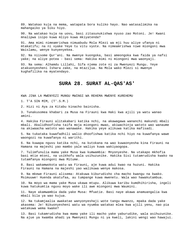89. Watakao kuja na mema, watapata bora kuliko hayo. Nao watasalimika na mahangaiko ya Siku hiyo.

90. Na watakao kuja na uovu, basi zitasunukishwa nyuso zao Motoni. Je! Kwani mnalipwa isipo kuwa mliyo kuwa mkiyatenda?

91. Ama mimi nimeamrishwa nimuabudu Mola Mlezi wa mji huu aliye ufanya ni mtakatifu; na ni vyake Yeye tu vitu vyote. Na nimeamrishwa niwe miongoni mwa Waislamu, wenye kunyenyekea.

92. Na niisome Qur'ani. Na mwenye kuongoka, basi ameongoka kwa faida ya nafsi yake; na aliye potea - basi sema: Hakika mimi ni miongoni mwa waonyaji.

93. Na sema: Alhamdu Lillahi, Sifa njema zote ni za Mwenyezi Mungu. Yeye atakuonyesheni Ishara zake, na mtazijua. Na Mola wako Mlezi si mwenye kughafilika na myatendayo.

# **SURA 28. SURAT AL-QAS'AS'**

KWA JINA LA MWENYEZI MUNGU MWINGI WA REHEMA MWENYE KUREHEMU

1. T'A SIN MIM, (T'.S.M.)

2. Hizi ni Aya za Kitabu kinacho bainisha.

3. Tunakusomea khabari za Musa na Firauni kwa Haki kwa ajili ya watu wanao amini.

4. Hakika Firauni alitakabari katika nchi, na akawagawa wananchi makundi mbali mbali. Akalidhoofisha taifa moja miongoni mwao, akiwachinja watoto wao wanaume na akiwaacha watoto wao wanawake. Hakika yeye alikuwa katika mafisadi.

5. Na tukataka kuwafadhili walio dhoofishwa katika nchi hiyo na kuwafanya wawe waongozi na kuwafanya ni warithi.

6. Na kuwapa nguvu katika nchi, na kutokana na wao kuwaonyesha kina Firauni na Hamana na majeshi yao mambo yale waliyo kuwa wakiyaogopa.

7. Tulimfunulia mama yake Musa kwa kumwambia: Mnyonyeshe. Na utakapo mkhofia basi mtie mtoni, na usikhofu wala usihuzunike. Hakika Sisi tutamrudisha kwako na tutamfanya miongoni mwa Mitume.

8. Basi wakamwokota watu wa Firauni, aje kuwa adui kwao na huzuni. Hakika Firauni na Hamana na majeshi yao walikuwa wenye makosa.

9. Na mkewe Firauni alisema: Atakuwa kiburudisho cha macho kwangu na kwako. Msimuuwe! Huenda akatufaa, au tumpange kuwa mwenetu. Wala wao hawakutambua.

10. Na moyo wa mama yake Musa ukawa mtupu. Alikuwa karibu kumdhihirisha, ingeli kuwa hatukumtia nguvu moyo wake ili awe miongoni mwa Waumini.

11. Naye akamwambia dada yake Musa: Mfuatie. Basi naye akawa anamuangalia kwa mbali bila ya wao kujua.

12. Na tukamjaalia awakatae wanyonyeshaji wote tangu mwanzo, mpaka dada yake akasema: Je! Nikuonyesheni watu wa nyumba watakao mlea kwa ajili yenu, nao pia watakuwa wema kwake?

13. Basi tukamrudisha kwa mama yake ili macho yake yaburudike, wala asihuzunike. Na ajue ya kwamba ahadi ya Mwenyezi Mungu ni ya kweli, lakini wengi wao hawajui.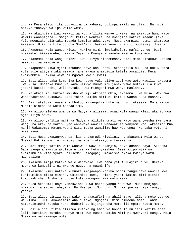14. Na Musa alipo fika utu-uzima baraabara, tulimpa akili na ilimu. Na hivi ndivyo tunavyo walipa walio wema.

15. Na akaingia mjini wakati wa kughafilika wenyeji wake, na akakuta humo watu wawili wanapigana - mmoja ni katika wenzake, na mwengine katika maadui zake. Yule mwenzake alimtaka msaada kumpiga adui yake. Musa akampiga ngumi, akamuuwa. Akasema: Hiki ni kitendo cha Shet'ani; hakika yeye ni adui, mpotezaji dhaahiri.

16. Akasema: Mola wangu Mlezi! Hakika mimi nimejidhulumu nafsi yangu; basi nisamehe. Akamsamehe; hakika Yeye ni Mwenye kusamehe Mwenye kurehemu.

17. Akasema: Mola wangu Mlezi! Kwa ulivyo nineemesha, basi mimi sitakuwa kabisa msaidizi wa wakosefu.

18. Akapambazukiwa mjini asubuhi naye ana khofu, akiangalia huku na huku. Mara yule yule aliye mtaka msaada jana akawa anampigia kelele amsaidie. Musa akamwambia: Hakika wewe ni mgomvi kweli kweli.

19. Basi alipo taka kumshika kwa nguvu yule aliye adui wao wote wawili, akasema: Ewe Musa! Unataka kuniuwa kama ulivyo muuwa mtu jana? Wewe hutaki ila kuwa jabari katika nchi, wala hutaki kuwa miongoni mwa wenye maslaha..

20. Na akaja mtu kutoka mwisho wa mji akipiga mbio, akasema: Ewe Musa! Wakubwa wanashauriana kukuuwa. Basi toka! Hakika mimi ni katika wanao kupa nasaha.

21. Basi akatoka, naye ana khofu, akiangalia huku na huku. Akasema: Mola wangu Mlezi! Niokoe na watu madhaalimu.

22. Na alipo elekea upande wa Madyana alisema: Asaa Mola wangu Mlezi akaniongoa njia iliyo sawa.

23. Na alipo yafikia maji ya Madyana alikuta umati wa watu wananywesha (wanyama wao), na akakuta karibu yao wanawake wawili wanawazuia wanyama wao. Akasema: Mna nini? Wakasema: Hatunyweshi sisi mpaka wamalize hao wachunga. Na baba yetu ni mzee sana.

24. Basi Musa akawanyweshea; kisha akarudi kivulini, na akasema: Mola wangu Mlezi! Hakika mimi ni mhitaji wa kheri utakayo niteremshia.

25. Basi mmoja katika wale wanawake wawili akamjia, naye anaona haya. Akasema: Baba yangu anakwita akulipe ujira wa kutunyweshea. Basi alipo mjia na akamsimulia visa vyake, alisema: Usiogope; umekwisha okoka kwenye watu madhaalimu.

26. Akasema mmoja katika wale wanawake: Ewe baba yetu! Muajiri huyu. Hakika mbora wa kumuajiri ni mwenye nguvu na muaminifu.

27. Akasema: Mimi nataka kukuoza mmojawapo katika binti zangu hawa wawili kwa kunitumikia miaka minane. Ukitimiza kumi, khiari yako; lakini mimi sitaki kukutaabisha. Inshallah utanikuta miongoni mwa watu wema.

28. Musa akasema: Hayo yamekwisha kuwa baina yangu na wewe. Muda mmojapo nikiumaliza sitiwi ubayani. Na Mwenyezi Mungu ni Mlinzi juu ya haya tunayo yasema.

29. Basi alipo timiza muda wake na akasafiri na ahali zake, aliona moto upande wa Mlima T'uri. Akawaambia ahali zake: Ngojeni! Mimi nimeona moto, labda nitakuleteeni kutoka huko khabari au kijinga cha moto ili mpate kuota moto.

30. Basi alipo ufikia aliitwa kutoka ng'ambo ya bonde la kuliani katika eneo lilio barikiwa kutoka kwenye mti: Ewe Musa! Hakika Mimi ni Mwenyezi Mungu, Mola Mlezi wa walimwengu wote.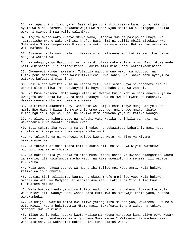31. Na tupa chini fimbo yako. Basi alipo iona ikitikisika kama nyoka, akarudi nyuma wala hakutazama. (Akaambiwa): Ewe Musa! Njoo mbele wala usiogope. Hakika wewe ni miongoni mwa walio salimika.

32. Ingiza mkono wako kwenye mfuko wako, utatoka mweupe pasipo na ubaya. Na jiambatishe mkono wako ukihisi khofu. Basi hizi ni dalili mbili zitokazo kwa Mola wako Mlezi kumpelekea Firauni na wakuu wa umma wake. Hakika hao walikuwa watu mafaasiki.

33. Akasema: Mola wangu Mlezi! Hakika mimi nilimuuwa mtu katika wao, kwa hivyo naogopa wataniuwa.

34. Na ndugu yangu Harun ni fasihi zaidi ulimi wake kuliko mimi. Basi mtume ende nami kunisaidia, ili anisadikishe. Hakika mimi nina khofu watanikadhibisha.

35. (Mwenyezi Mungu) akasema: Tutautia nguvu mkono wako kwa nduguyo, na tutakupeni madaraka, hata wasikufikilieni. Kwa sababu ya Ishara zetu nyinyi na watakao kufuateni mtashinda.

36. Basi alipo wafikia Musa na Ishara zetu, walisema: Haya si chochote ila ni uchawi ulio zuliwa. Na hatukuyasikia haya kwa baba zetu wa zamani.

37. Na Musa akasema: Mola wangu Mlezi ni Mwenye kujua kabisa nani anaye kuja na uwongofu unao toka kwake, na nani atakaye kuwa na mwisho mwema wa makaazi. Hakika wenye kudhulumu hawatafanikiwa.

38. Na Firauni akasema: Enyi waheshimiwa! Sijui kama mnaye mungu asiye kuwa mimi. Ewe Haman! Niwashie moto unichomee udongo, unijengee mnara nipate kumchungulia mungu wa Musa. Na hakika mimi namwona yeye ni katika waongo.

39. Na alipanda kiburi yeye na majeshi yake katika nchi bila ya haki, na wakadhania kuwa hawatarudishwa kwetu.

40. Basi tukamshika yeye na majeshi yake, na tukawatupa baharini. Basi hebu angalia ulikuwaje mwisho wa wenye kudhulumu?

41. Na tuliwafanya ni waongozi waitao kwenye Moto. Na Siku ya Kiyama hawatanusuriwa.

42. Na tukawafuatishia laana katika dunia hii, na Siku ya Kiyama watakuwa miongoni mwa wanao chusha.

43. Na hakika bila ya shaka tulimpa Musa Kitabu baada ya kwisha ziangamiza kaumu za mwanzo, ili kiwafumbue macho watu, na kiwe uwongofu, na rehema, ili wapate kukumbuka.

44. Wala wewe hukuwa upande wa magharibi tulipo mpa Musa amri, wala hukuwa katika walio hudhuria.

45. Lakini Sisi tuliziumba kaumu, na ukawa mrefu umri juu yao. Wala hukuwa mkaazi na watu wa Madyana ukiwasomea Aya zetu. Lakini ni Sisi tulio kuwa tukiwatuma Mitume.

46. Wala hukuwa kando ya mlima tulipo nadi. Lakini ni rehema itokayo kwa Mola wako Mlezi ili uwaonye watu wasio pata kufikiwa na mwonyaji kabla yako, huenda wakakumbuka.

47. Na usije kuwasibu msiba kwa iliyo yatanguliza mikono yao, wakasema: Ewe Mola wetu Mlezi! Mbona hukututumia Mtume nasi, tukafuata Ishara zako, na tukawa miongoni mwa Waumini?

48. Ilipo wajia Haki kutoka kwetu walisema: Mbona hakupewa kama aliyo pewa Musa? Je! Kwani wao hawakuyakataa aliyo pewa Musa zamani? Walisema: Ni wachawi wawili wanasaidiana. Na wakasema: Hakika sisi tunawakataa wote.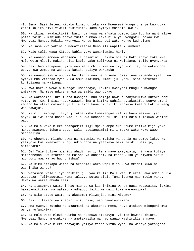49. Sema: Basi leteni Kitabu kinacho toka kwa Mwenyezi Mungu chenye kuongoka zaidi kuliko hivi viwili tukifuate, kama nyinyi mnasema kweli.

50. Na ikiwa hawakuitikii, basi jua kuwa wanafuata pumbao lao tu. Na nani aliye potea zaidi kumshinda anaye fuata pumbao lake bila ya uwongofu utokao kwa Mwenyezi Mungu. Hakika Mwenyezi Mungu hawaongoi watu wenye kudhulumu.

51. Na sasa kwa yakini tumewafikishia Neno ili wapate kukumbuka.

52. Wale tulio wapa Kitabu kabla yake wanakiamini hiki.

53. Na wanapo somewa wanasema: Tunaiamini. Hakika hii ni Haki inayo toka kwa Mola wetu Mlezi. Hakika sisi kabla yake tulikuwa ni Waislamu, tulio nyenyekea.

54. Basi hao watapewa ujira wao mara mbili kwa walivyo vumilia, na wakaondoa ubaya kwa wema, na wakatoa katika tuliyo waruzuku.

55. Na wanapo sikia upuuzi hujitenga nao na husema: Sisi tuna vitendo vyetu, na nyinyi mna vitendo vyenu. Salamun Alaikum, Amani juu yenu! Sisi hatutaki kujibizana na wajinga.

56. Kwa hakika wewe humwongoi umpendaye, lakini Mwenyezi Mungu humwongoa amtakaye. Na Yeye ndiye anawajua zaidi waongokao.

57. Na wakasema: Tukiufuata uwongofu huu pamoja nawe tutanyakuliwa kutoka nchi yetu. Je! Kwani Sisi hatukuwaweka imara katika pahala patakatifu, penye amani, ambapo huletewa matunda ya kila aina kuwa ni riziki itokayo kwetu? Lakini wengi wao hawajui.

58. Na miji mingapi iliyo jifakharisha tumeiangamiza! Na hayo maskani yao hayakukaliwa tena baada yao, ila kwa uchache tu. Na Sisi ndio tumekuwa warithi wao.

59. Na Mola wako Mlezi haangamizi miji mpaka ampeleke Mtume katika miji yake mikuu awasomee Ishara zetu. Wala hatuiangamizi miji mpaka watu wake wawe madhaalimu.

60. Na chochote mlicho pewa ni matumizi ya maisha ya dunia na pambo lake. Na yaliyoko kwa Mwenyezi Mungu ndio bora na yatakayo baki zaidi. Basi je, hamfahamu?

61. Je! Yule tuliye muahidi ahadi nzuri, tena naye akayapata, ni kama tuliye mstarehesha kwa starehe za maisha ya duniani, na kisha Siku ya Kiyama akawa miongoni mwa wanao hudhurishwa?

62. Na siku atakapo waita na akasema: Wako wapi mlio kuwa mkidai kuwa ni washirika wangu?

63. Watasema wale iliyo thibiti juu yao kauli: Mola wetu Mlezi! Hawa ndio tulio wapoteza. Tuliwapoteza kama tulivyo potea sisi. Tunajitenga nao mbele yako. Hawakuwa wakituabudu sisi.

64. Na itasemwa: Waiteni hao miungu wa kishirikina wenu! Basi watawaita, lakini hawatawaitikia, na wataiona adhabu; laiti wangeli kuwa wameongoka!

65. Na siku atapo waita na akasema: Mliwajibu nini Mitume?

66. Basi zitawapotea khabari siku hiyo, nao hawataulizana.

67. Ama mwenye kutubu na akaamini na akatenda mema, huyo atakuwa miongoni mwa wenye kufanikiwa.

68. Na Mola wako Mlezi huumba na huteuwa atakavyo. Viumbe hawana khiari. Mwenyezi Mungu ametukuka na ametakasika na hao wanao washirikisha naye.

69. Na Mola wako Mlezi anayajua yaliyo ficha vifua vyao, na wanayo yatangaza.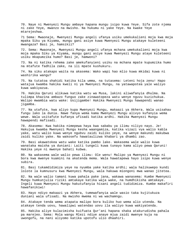70. Naye ni Mwenyezi Mungu ambaye hapana mungu isipo kuwa Yeye. Sifa zote njema ni zake Yeye, mwanzo na mwisho. Na hukumu ni yake Yeye. Na kwake Yeye mtarejeshwa.

71 Sema: Mwaonaje, Mwenyezi Mungu angeli ufanya usiku umekukalieni moja kwa moja mpaka Siku ya Kiyama, mungu gani asiye kuwa Mwenyezi Mungu atakaye kuleteeni mwangaza? Basi je, hamsikii?

72. Sema: Mwaonaje, Mwenyezi Mungu angeli ufanya mchana umekukalieni moja kwa moja mpaka Siku ya Kiyama, mungu gani asiye kuwa Mwenyezi Mungu ataye kuleteeni usiku mkapumzika humo? Basi je, hamwoni?

73. Na ni katika rehema zake amekufanyieni usiku na mchana mpate kupumzika humo na mtafute fadhila zake, na ili mpate kushukuru.

74. Na siku atakapo waita na akasema: Wako wapi hao mlio kuwa mkidai kuwa ni washirika wangu?

75. Na tutatoa shahidi katika kila umma, na tutasema: Leteni hoja zenu! Hapo watajua kwamba hakika kweli ni ya Mwenyezi Mungu, na yatawapotea yale waliyo kuwa wakiyazua.

76. Hakika Qaruni alikuwa katika watu wa Musa, lakini aliwafanyia dhulma. Na tulimpa khazina ambazo funguo zake zinawatopeza watu wenye nguvu kuzichukua. Walipo mwambia watu wake: Usijigambe! Hakika Mwenyezi Mungu hawapendi wanao jigamba.

77. Na utafute, kwa aliyo kupa Mwenyezi Mungu, makaazi ya Akhera. Wala usisahau fungu lako la dunia. Nawe fanya wema kama Mwenyezi Mungu alivyo kufanyia wema wewe. Wala usitafute kufanya ufisadi katika ardhi. Hakika Mwenyezi Mungu hawapendi mafisadi.

78. Akasema: Kwa hakika nimepewa haya kwa sababu ya ilimu niliyo nayo. Je! Hakujua kwamba Mwenyezi Mungu kesha waangamiza, katika vizazi vya walio kabla yake, watu walio kuwa wenye ngubvu zaidi kuliko yeye, na wenye makundi makubwa zaidi kuliko yake. Na wakosefu hawataulizwa khabari ya dhambi zao.

79. Basi akawatokea watu wake katika pambo lake. Wakasema wale walio kuwa wanataka maisha ya duniani: Laiti tungeli kuwa tunayo kama aliyo pewa Qaruni! Hakika yeye ni mwenye bahati kubwa.

80. Na wakasema wale walio pewa ilimu: Ole wenu! Malipo ya Mwenyezi Mungu ni bora kwa mwenye kuamini na akatenda mema. Wala hawatapewa hayo isipo kuwa wenye subira.

81. Basi tukamdidimiza yeye na nyumba yake katika ardhi; wala halikuwepo kundi lolote la kumnusuru kwa Mwenyezi Mungu, wala hakuwa miongoni mwa wanao jitetea.

82. Na wale walio tamani kuwa pahala pake jana, wakawa wanasema: Kumbe Mwenyezi Mungu humkunjulia riziki amtakaye katika waja wake, na humdhikisha amtakaye. Ingeli kuwa Mwenyezi Mungu hakutufanyia hisani angeli tudidimiza. Kumbe makafiri hawafanikiwi!

83. Hayo ndiyo makaazi ya Akhera, tumewafanyia wale wasio taka kujitukuza duniani wala ufisadi. Na mwisho mwema ni wa wachamngu.

84. Atakaye tenda wema atapata malipo bora kuliko huo wema alio utenda. Na atakaye tenda uovu, hawalipwi watendao uovu ila waliyo kuwa wakiyatenda.

85. Hakika aliye kulazimisha kuifuata Qur'ani hapana shaka atakurudisha pahala pa marejeo. Sema: Mola wangu Mlezi ndiye anaye mjua zaidi mwenye kuja na uwongofu, na nani aliyomo katika upotofu ulio dhaahiri.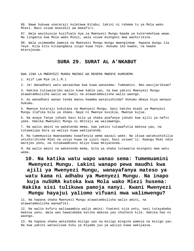86. Nawe hukuwa unataraji kuletewa Kitabu; lakini ni rehema tu ya Mola wako Mlezi. Basi usiwe msaidizi wa makafiri.

87. Wala wasikuzuie kuzifuata Aya za Mwenyezi Mungu baada ya kuteremshiwa wewe. Na lingania kwa Mola wako Mlezi, wala usiwe miongoni mwa washirikina.

88. Wala usimwombe pamoja na Mwenyezi Mungu mungu mwenginewe. Hapana mungu ila Yeye. Kila kitu kitaangamia isipo kuwa Yeye. Hukumu iko kwake, na kwake mtarejezwa.

### **SURA 29. SURAT AL A'NKABUT**

KWA JINA LA MWENYEZI MUNGU MWINGI WA REHEMA MWENYE KUREHEMU

1. Alif Lam Mim (A.L.M.)

2. Je! Wanadhani watu wataachwa kwa kuwa wanasema: Tumeamini. Nao wasijaribiwe?

3. Hakika tuliwajaribu walio kuwa kabla yao, na kwa yakini Mwenyezi Mungu atawatambulisha walio wa kweli na atawatambulisha walio waongo.

4. Au wanadhani wanao tenda maovu kwamba watatushinda? Hukumu mbaya hiyo wanayo hukumu.

5. Mwenye kutaraji kukutana na Mwenyezi Mungu, basi hakika miadi ya Mwenyezi Mungu itafika bila ya shaka. Naye ni Mwenye kusikia, Mwenye kujua.

6. Na anaye fanya juhudi basi bila ya shaka anafanya juhudi kwa ajili ya nafsi yake. Hakika Mwenyezi Mungu si mhitaji wa walimwengu.

7. Na walio amini na wakatenda mema, kwa yakini tutawafutia makosa yao, na tutawalipa bora ya waliyo kuwa wakiyatenda.

8. Na tumemuusia mwanaadamu kuwafanyia wema wazazi wake. Na ikiwa watakushikilia unishirikishe Mimi na usiyo kuwa na ujuzi nayo, basi usiwat'ii. Kwangu Mimi ndio marejeo yenu, na nitakwambieni mliyo kuwa mkiyatenda.

9. Na walio amini na wakatenda mema, bila ya shaka tutawatia miongoni mwa watu wema.

# **10. Na katika watu wapo wanao sema: Tumemuamini Mwenyezi Mungu. Lakini wanapo pewa maudhi kwa ajili ya Mwenyezi Mungu, wanayafanya mateso ya watu kama ni adhabu ya Mwenyezi Mungu. Na inapo kuja nuSURA kutoka kwa Mola wako Mlezi husema: Hakika sisi tulikuwa pamoja nanyi. Kwani Mwenyezi**

**Mungu hayajui yaliomo vifuani mwa walimwengu?** 

11. Na hapana shaka Mwenyezi Mungu atawatambulisha walio amini, na atawatambulisha wanaafiki.

12. Na walio kufuru waliwaambia walio amini: Fuateni njia yetu, nasi tutayabeba makosa yenu. Wala wao hawatabeba katika makosa yao chochote kile. Hakika hao ni waongo.

13. Na hapana shaka wataibeba mizigo yao na mizigo mingine pamoja na mizigo yao. Na kwa yakini wataulizwa Siku ya Kiyama juu ya waliyo kuwa wakiyazua.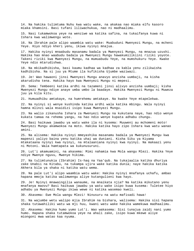14. Na hakika tulimtuma Nuhu kwa watu wake, na akakaa nao miaka elfu kasoro miaka khamsini. Basi tufani liliwachukua, nao ni madhaalimu.

15. Nasi tukamwokoa yeye na wenziwe wa katika safina, na tukaifanya kuwa ni Ishara kwa walimwengu wote.

16. Na Ibrahim pale alipo waambia watu wake: Muabuduni Mwenyezi Mungu, na mcheni Yeye. Hiyo ndiyo kheri yenu, ikiwa nyinyi mnajua.

17. Hakika nyinyi mnaabudu masanamu badala ya Mwenyezi Mungu, na mnazua uzushi. Hakika hao mnao waabudu badala ya Mwenyezi Mungu hawakumilikiini riziki yoyote. Takeni riziki kwa Mwenyezi Mungu, na mumuabudu Yeye, na mumshukuru Yeye. Kwake Yeye ndio mtarudishwa.

18. Na mkikadhibisha, basi kaumu kadhaa wa kadhaa za kabla yenu zilikwisha kadhibisha. Na si juu ya Mtume ila kufikisha Ujumbe waziwazi.

19. Je! Wao hawaoni jinsi Mwenyezi Mungu anavyo anzisha uumbaji, na kisha akarudisha tena. Hakika hayo kwa Mwenyezi Mungu ni mepesi.

20. Sema: Tembeeni katika ardhi na tazameni jinsi alivyo anzisha uumbaji; kisha Mwenyezi Mungu ndiye anaye umba umbo la baadaye. Hakika Mwenyezi Mungu ni Muweza juu ya kila kitu.

21. Humuadhibu amtakaye, na humrehemu amtakaye. Na kwake Yeye mtapelekwa.

22. Na nyinyi si wenye kushinda katika ardhi wala katika mbingu. Wala nyinyi hamna mlinzi wala msaidizi isipo kuwa Mwenyezi Mungu.

23. Na walio zikanusha Ishara za Mwenyezi Mungu na kukutana naye, hao ndio wenye kukata tamaa na rehema yangu, na hao ndio wenye kupata adhabu chungu.

24. Basi haikuwa jawabu ya watu wake ila ni kusema: Muuweni au mchomeni moto! Mwenyezi Mungu akamwokoa na moto. Hakika katika hayo zipo Ishara kwa watu wanao amini.

25. Na alisema: Hakika nyinyi mmeyashika masanamu badala ya Mwenyezi Mungu kwa mapenzi yaliyo baina yenu katika uhai wa duniani. Kisha Siku ya Kiyama mtakataana nyinyi kwa nyinyi, na mtalaaniana nyinyi kwa nyinyi. Na makaazi yenu ni Motoni. Wala hamtapata wa kukunusuruni.

26. Lut'i akamuamini, na akasema: Mimi nahamia kwa Mola wangu Mlezi. Hakika Yeye ndiye Mwenye nguvu, Mwenye hikima.

27. Na tulimtunukia (Ibrahim) Is-haq na Yaa'qub. Na tukajaalia katika dhuriya zake Unabii na Kitabu, na tukampa ujira wake katika dunia; naye hakika katika Akhera bila ya shaka ni katika watu wema.

28. Na pale Lut'i alipo waambia watu wake: Hakika nyinyi mnafanya uchafu, ambao hapana mmoja katika walimwengu aliye kutangulieni kwa hayo.

29. Je! Nyinyi mnawaingilia wanaume, na mnaikata njia? Na katika mikutano yenu mnafanya maovu? Basi haikuwa jawabu ya watu wake isipo kuwa kusema: Tuletee hiyo adhabu ya Mwenyezi Mungu ikiwa wewe ni katika wasemao kweli.

30. Akasema: Ewe Mola wangu Mlezi! Ninusuru na watu mafisadi hawa!

31. Na wajumbe wetu walipo mjia Ibrahim na bishara, walisema: Hakika sisi hapana shaka tutawahiliki watu wa mji huu, kwani watu wake hakika wamekuwa madhaalimu.

32. Akasema: Hakika humo yumo Lut'i. Wao wakasema: Sisi tunajua zaidi nani yumo humo. Hapana shaka tutamwokoa yeye na ahali zake, isipo kuwa mkewe aliye miongoni mwa watao kaa nyuma.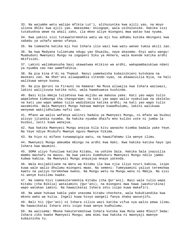33. Na wajumbe wetu walipo mfikia Lut'i, alihuzunika kwa ajili yao, na moyo uliona dhiki kwa ajili yao. Wakasema: Usiogope, wala usihuzunike. Hakika sisi tutakuokoa wewe na ahali zako, ila mkeo aliye miongoni mwa watao kaa nyuma.

34. Kwa yakini sisi tutawateremshia watu wa mji huu adhabu kutoka mbinguni kwa sababu ya uchafu wanao ufanya.

35. Na tumeacha katika mji huo Ishara ilio wazi kwa watu wanao tumia akili zao.

36. Na kwa Madyana tulimtuma ndugu yao Shuaibu, naye akasema: Enyi watu wangu! Muabuduni Mwenyezi Mungu na iogopeni Siku ya Akhera, wala msende katika ardhi mkifisidi.

37. Lakini walimkanusha basi ukawatwaa mtikiso wa ardhi, wakapambazukiwa ndani ya nyumba zao nao wamefudikia.

38. Na pia kina A'di na Thamud. Nanyi yamekwisha kubainikieni kutokana na maskani zao. Na Shet'ani aliwapambia vitendo vyao, na akawazuilia Njia, na hali walikuwa wenye kuona.

39. Na pia Qaruni na Firauni na Hamana! Na Musa aliwajia kwa Ishara waziwazi, lakini walijivuna katika nchi, wala hawakuweza kushinda.

40. Basi kila mmoja tulimtesa kwa mujibu wa makosa yake. Kati yao wapo tulio wapelekea kimbunga cha changarawe; na kati yao wapo walio nyakuliwa na ukelele; na kati yao wapo ambao tulio wadidimiza katika ardhi; na kati yao wapo tulio wazamisha. Wala Mwenyezi Mungu hakuwa mwenye kuwadhulumu, lakini walikuwa wenyewe wakijidhulumu nafsi zao.

41. Mfano wa walio wafanya walinzi badala ya Mwenyezi Mungu, ni mfano wa buibui alivyo jitandia nyumba. Na hakika nyumba dhaifu mno kuliko zote ni jumba la buibui, laiti kuwa wanajua.

42. Kwa hakika Mwenyezi Mungu anajua kila kitu wanacho kiomba badala yake Yeye. Na Yeye ndiye Mtukufu Mwenye nguvu Mwenye hikima.

43. Na hiyo ni mifano tunawapigia watu, na hawaifahamu ila wenye ilimu.

44. Mwenyezi Mungu ameumba mbingu na ardhi kwa Haki. Kwa hakika katika hayo ipo Ishara kwa Waumini.

45. SOMA uliyo funuliwa katika Kitabu, na ushike Sala. Hakika Sala inazuilia mambo machafu na maovu. Na kwa yakini kumdhukuru Mwenyezi Mungu ndilo jambo kubwa kabisa. Na Mwenyezi Mungu anayajua mnayo yatenda.

46. Wala msijadiliane na Watu wa Kitabu ila kwa njia iliyo nzuri kabisa, isipo kuwa wale walio dhulumu miongoni mwao. Na semeni: Tumeyaamini yaliyo teremshwa kwetu na yaliyo teremshwa kwenu. Na Mungu wetu na Mungu wenu ni Mmoja. Na sisi ni wenye kusilimu kwake.

47. Na namna hivi tumekuteremshia Kitabu (cha Qur'ani). Basi wale tulio wapa Kitabu (cha Biblia) wataiamini (Qur'ani), na miongoni mwa hawa (washirikina) wapo watakao iamini. Na hawazikatai Ishara zetu isipo kuwa makafiri.

48. Na wewe hukuwa kabla yake unasoma kitabu chochote, wala hukukiandika kwa mkono wako wa kulia. Ingeli kuwa hivyo wangeli fanya shaka wavunjifu.

49. Bali hii (Qur'ani) ni Ishara zilizo wazi katika vifua vya walio pewa ilimu. Na hawazikatai Ishara zetu isipo kuwa wenye kudhulumu.

50. Na walisema: Mbona hakuteremshiwa Ishara kutoka kwa Mola wake Mlezi? Sema: Ishara ziko kwake Mwenyezi Mungu; ama mimi kwa hakika ni mwonyaji mwenye kubainisha tu.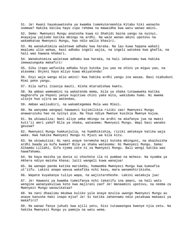51. Je! Kwani hayakuwatosha ya kwamba tumekuteremshia Kitabu hiki wanacho somewa? Hakika katika hayo zipo rehema na mawaidha kwa watu wanao amini.

52. Sema: Mwenyezi Mungu anatosha kuwa ni Shahidi baina yangu na nyinyi. Anayajua yaliomo katika mbingu na ardhi. Na wale wanao amini upotovu na wakamkataa Mwenyezi Mungu, hao ndio walio khasiri.

53. Na wanakuhimiza waletewe adhabu kwa haraka. Na lau kuwa hapana wakati maalumu ulio wekwa, basi adhabu ingeli wajia, na ingeli watokea kwa ghafla, na hali wao hawana khabari.

54. Wanakuhimiza waletewe adhabu kwa haraka, na hali Jahannamu kwa hakika imewazunguka makafiri!

55. Siku itapo wafunika adhabu hiyo kutoka juu yao na chini ya miguu yao, na atasema: Onjeni hayo mliyo kuwa mkiyatenda!

56. Enyi waja wangu mlio amini! Kwa hakika ardhi yangu ina wasaa. Basi niabuduni Mimi peke yangu.

57. Kila nafsi itaonja mauti. Kisha mtarudishwa kwetu.

58. Na ambao wameamini na wakatenda mema, bila ya shaka tutawaweka katika maghorofa ya Peponi yenye kupitiwa chini yake mito, wakidumu humo. Ni mwema ulioje huo ujira wa watendao,

59. Ambao walisubiri, na wakamtegemea Mola wao Mlezi.

60. Na wanyama wangapi hawawezi kujimilikia riziki zao! Mwenyezi Mungu anawaruzuku hao na nyinyi pia. Na Yeye ndiye Mwenye kusikia Mwenye kujua.

61. Na ukiwauliza; Nani aliye umba mbingu na ardhi na akafanya jua na mwezi kuti'ii amri yake? Bila ya shaka, watasema: Mwenyezi Mungu. Wapi basi wanako geuzwa?

62. Mwenyezi Mungu humkunjulia, na humdhikishia, riziki amtakaye katika waja wake. Kwa hakika Mwenyezi Mungu ni Mjuzi wa kila kitu.

63. Na ukiwauliza: Ni nani anaye teremsha maji kutoka mbinguni, na akaihuisha ardhi baada ya kufa kwake? Bila ya shaka watasema: Ni Mwenyezi Mungu. Sema: Alhamdu Lillahi, Sifa njema zote ni za Mwenyezi Mungu. Bali wengi katika wao hawafahamu.

64. Na haya maisha ya dunia si chochote ila ni pumbao na mchezo. Na nyumba ya Akhera ndiyo maisha khasa; laiti wangeli kuwa wanajua!

65. Na wanapo panda katika marikebu, humwomba Mwenyezi Mungu kwa kumsafia ut'iifu. Lakini anapo wavua wakafika nchi kavu, mara wanamshirikisha.

66. Wapate kuyakanya tuliyo wapa, na wajistareheshe. Lakini watakuja jua!

67. Je! Hawaoni ya kwamba tumeifanya nchi takatifu ina amani, na hali watu wengine wananyakuliwa kote kwa majirani zao? Je! Wanaamini upotovu, na neema za Mwenyezi Mungu wanazikataa?

68. Na nani dhaalimu mkubwa kuliko yule anaye mzulia uwongo Mwenyezi Mungu au anaye kanusha Haki inapo mjia? Je! Si katika Jahannamu ndio yatakuwa makaazi ya makafiri?

69. Na wanao fanya juhudi kwa ajili yetu, Sisi tutawaongoa kwenye njia zetu. Na hakika Mwenyezi Mungu yu pamoja na watu wema.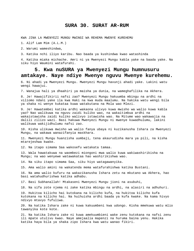### **SURA 30. SURAT AR-RUM**

KWA JINA LA MWENYEZI MUNGU MWINGI WA REHEMA MWENYE KUREHEMU

1. Alif Lam Mim (A.L.M.)

2. Warumi wameshindwa,

3. Katika nchi iliyo karibu. Nao baada ya kushindwa kwao watashinda

4. Katika miaka michache. Amri ni ya Mwenyezi Mungu kabla yake na baada yake. Na siku hiyo Waumini watafurahi.

# **5. Kwa nuSURA ya Mwenyezi Mungu humnusuru amtakaye. Naye ndiye Mwenye nguvu Mwenye kurehemu.**

6. Ni ahadi ya Mwenyezi Mungu. Mwenyezi Mungu havunji ahadi yake. Lakini watu wengi hawajui.

7. Wanajua hali ya dhaahiri ya maisha ya dunia, na wameghafilika na Akhera.

8. Je! Hawajifikirii nafsi zao? Mwenyezi Mungu hakuumba mbingu na ardhi na viliomo ndani yake ila kwa Haki na kwa muda maalumu. Na hakika watu wengi bila ya shaka ni wenye kukataa kuwa watakutana na Mola wao Mlezi.

9. Je! Hawatembei katika ardhi wakaona ulivyo kuwa mwisho wa walio kuwa kabla yao? Nao walikuwa na nguvu zaidi kuliko wao, na wakaitimbua ardhi na wakaistawisha zaidi kuliko walivyo istawisha wao. Na Mitume wao wakawajia na dalili zilizo wazi. Basi hakuwa Mwenyezi Mungu ni mwenye kuwadhulumu, lakini walikuwa wakijidhulumu nafsi zao.

10. Kisha ulikuwa mwisho wa walio fanya ubaya ni kuzikanusha Ishara za Mwenyezi Mungu, na wakawa wanazifanyia maskhara.

11. Mwenyezi Mungu huanzisha uumbaji, tena akaurudisha mara ya pili, na kisha mtarejeshwa kwake.

12. Na itapo simama Saa wakosefu watakata tamaa.

13. Wala hawatakuwa na waombezi miongoni mwa walio kuwa wakiwashirikisha na Mungu; na wao wenyewe watawakataa hao washirikishwa wao.

14. Na siku itapo simama Saa, siku hiyo watagawanyika.

15. Ama walio amini na wakatenda mema watafurahishwa katika Bustani.

16. Na ama walio kufuru na wakazikanusha Ishara zetu na mkutano wa Akhera, hao basi watahudhurishwa katika adhabu.

17. Basi Subhanallah! Mtakaseni Mwenyezi Mungu jioni na asubuhi,

18. Na sifa zote njema ni zake katika mbingu na ardhi, na alasiri na adhuhuri.

19. Hukitoa kilicho hai kutokana na kilicho kufa, na hukitoa kilicho kufa kutokana na kilicho hai. Na huihuisha ardhi baada ya kufa kwake. Na kama hivyo ndivyo mtavyo fufuliwa.

20. Na katika Ishara zake ni kuwa kakuumbeni kwa udongo. Kisha mmekuwa watu mlio tawanyika kote kote.

21. Na katika Ishara zake ni kuwa amekuumbieni wake zenu kutokana na nafsi zenu ili mpate utulivu kwao. Naye amejaalia mapenzi na huruma baina yenu. Hakika katika haya bila ya shaka zipo Ishara kwa watu wanao fikiri.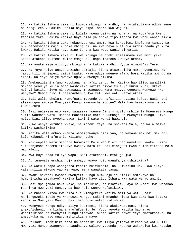22. Na katika Ishara zake ni kuumba mbingu na ardhi, na kutafautiana ndimi zenu na rangi zenu. Hakika katika hayo zipo Ishara kwa wajuzi.

23. Na katika Ishara zake ni kulala kwenu usiku na mchana, na kutafuta kwenu fadhila zake. Hakika katika haya bila ya shaka zipo Ishara kwa watu wanao sikia.

24. Na katika Ishara zake hukuonyesheni umeme kwa kukutieni khofu na tamaa. Na hukuteremshieni maji kutoka mbinguni, na kwa hayo huifufua ardhi baada ya kufa kwake. Hakika katika hayo zipo Ishara kwa watu wanao zingatia.

25. Na katika Ishara zake ni kuwa mbingu na ardhi zimesimama kwa amri yake. Kisha atakapo kuiteni mwito mmoja tu, hapo mtatoka kwenye ardhi.

26. Na vyake Yeye vilivyo mbinguni na katika ardhi. Vyote vinamt'ii Yeye.

27. Na Yeye ndiye anaye anzisha uumbaji, kisha ataurudisha mara nyengine. Na jambo hili ni jepesi zaidi kwake. Naye ndiye mwenye mfano bora katika mbingu na ardhi. Na Yeye ndiye Mwenye nguvu, Mwenye hikima.

28. Amekupigieni mfano kutokana na nafsi zenu. Je! Katika hao iliyo wamiliki mikono yenu ya kulia mnao washirika katika hivyo tulivyo kuruzukuni, mkawa nyinyi katika hivyo ni sawasawa, mnawaogopa kama mnavyo ogopana wenyewe kwa wenyewe? Namna hivi tunazipambanua Aya zetu kwa watu wenye akili.

29. Bali walio dhulumu wamefuata mapendo ya nafsi zao pasina kujua. Basi nani atamwongoa ambaye Mwenyezi Mungu amemuacha apotee? Wala hao hawatakuwa na wa kuwanusuru.

30. Basi uelekeze uso wako sawasawa kwenye Dini - ndilo umbile la Mwenyezi Mungu alilo waumbia watu. Hapana mabadiliko katika uumbaji wa Mwenyezi Mungu. Hiyo ndiyo Dini iliyo nyooka sawa. Lakini watu wengi hawajui.

31. Muwe wenye kutubia kwake, na mcheni Yeye, na shikeni Sala, na wala msiwe katika washirikina.

32. Katika wale ambao kwamba wameigawanya dini yao, na wakawa makundi makundi, kila kikundi kinafurahia kilicho nacho.

33. Yakiwapata watu madhara humwomba Mola wao Mlezi nao wametubu kwake. Kisha akiwaonjesha rehema itokayo kwake, mara kikundi miongoni mwao humshirikisha Mola wao Mlezi,

34. Kwa kuyakataa tuliyo wapa. Basi stareheni. Mtakuja jua!

35. Au tumewateremshia hoja ambayo kwayo ndio wanafanya ushirikina?

36. Na watu tunapo waonjesha rehema huifurahia, na ukiwasibu uovu kwa iliyo yatanguliza mikono yao wenyewe, mara wanakata tamaa.

37. Kwani hawaoni kwamba Mwenyezi Mungu humkunjulia riziki amtakaye na humdhikisha amtakaye? Hakika katika hayo zipo Ishara kwa watu wanao amini.

38. Basi mpe jamaa haki yake, na masikini, na msafiri. Hayo ni kheri kwa watakao radhi ya Mwenyezi Mungu. Na hao ndio wenye kufanikiwa.

39. Na mnacho kitoa kwa riba ili kiongezeke katika mali ya watu, basi hakiongezeki mbele ya Mwenyezi Mungu. Lakini mnacho kitoa kwa Zaka kwa kutaka radhi ya Mwenyezi Mungu, basi hao ndio watao zidishiwa.

40. Mwenyezi Mungu ndiye aliye kuumbeni, kisha akakuruzukuni, kisha anakufisheni, na kisha anakufufueni. Je! Yupo yeyote katika hao mnao washirikisha na Mwenyezi Mungu afanyae lolote katika hayo? Yeye ametakasika, na ametukuka na hayo mnayo mshirikisha naye.

41. Ufisadi umedhihiri bara na baharini kwa iliyo yafanya mikono ya watu, ili Mwenyezi Mungu awaonyeshe baadhi ya waliyo yatenda. Huenda wakarejea kwa kutubu.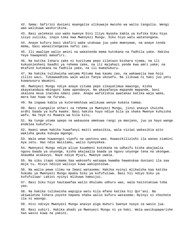42. Sema: Safirini duniani muangalie ulikuwaje mwisho wa walio tangulia. Wengi wao walikuwa washirikina.

43. Basi uelekeze uso wako kwenye Dini Iliyo Nyooka kabla ya kufika Siku hiyo isiyo zuilika, inayo toka kwa Mwenyezi Mungu. Siku hiyo watu watatengana.

44. Anaye kufuru basi ukafiri wake utakuwa juu yake mwenyewe, na anaye tenda mema, basi wanazitengezea nafsi zao.

45. Ili awalipe walio amini na wakatenda mema kutokana na fadhila yake. Hakika Yeye hawapendi makafiri.

46. Na katika Ishara zake ni kuzituma pepo ziletazo bishara njema, na ili kukuonjesheni baadhi ya rehema zake, na ili majahazi yende kwa amri yake; na mtafute kutokana na fadhila yake, na ili mumshukuru.

47. Na hakika tulikwisha watuma Mitume kwa kaumu zao, na wakawajia kwa hoja zilizo wazi. Tukawaadhibu wale walio fanya ukosefu. Na ilikuwa ni haki juu yetu kuwanusuru Waumini.

48. Mwenyezi Mungu ndiye anaye zituma pepo zikayatimua mawingu, kisha akayatandaza mbinguni kama apendavyo. Na akayafanya mapande mapande, basi ukaiona mvua inatoka ndani yake. Anapo wafikishia awatakao katika waja wake, mara hao huwa na furaha.

49. Na ingawa kabla ya kuteremshiwa walikuwa wenye kukata tamaa.

50. Basi ziangalie athari za rehema ya Mwenyezi Mungu, jinsi anavyo ihuisha ardhi baada ya kufa kwake. Basi hakika huyo ndiye bila ya shaka Mwenye kuhuisha wafu. Na Yeye ni Muweza wa kila kitu.

51. Na tunge utuma upepo na wakauona umekuwa rangi ya manjano, juu ya hayo wange endelea kukufuru.

52. Kwani wewe hakika huwafanyi maiti wakasikia, wala viziwi wakasikia wito wakisha geuka kukupa mgongo.

53. Wala wewe huwaongoi vipofu na upotovu wao. Huwasikilizishi ila wanao ziamini Aya zetu. Hao ndio Waislamu, walio nyenyekea.

54. Mwenyezi Mungu ndiye aliye kuumbeni kutokana na udhaifu kisha akajaalia nguvu baada ya unyonge, kisha akajaalia baada ya nguvu unyonge tena na ukongwe. Anaumba atakavyo. Naye ndiye Mjuzi, Mwenye uweza.

55. Na siku itapo simama Saa wakosefu wataapa kwamba hawakukaa duniani ila saa moja tu. Hivyo ndivyo walivyo kuwa wakipotozwa.

56. Na walio pewa ilimu na Imani watasema: Hakika nyinyi mlikwisha kaa katika hukumu ya Mwenyezi Mungu mpaka Siku ya kufufuliwa. Basi hii ndiyo Siku ya kufufuliwa! Lakini nyinyi mlikuwa hamuijui.

57. Basi Siku hiyo hautawafaa walio dhulumu udhuru wao, wala haitotakiwa toba yao.

58. Na hakika tulikwisha wapigia watu kila mfano katika hii Qur'ani. Na ukiwaletea Ishara yoyote hapana shaka walio kufuru watasema: Nyinyi si chochote ila ni waongo.

59. Hivi ndivyo Mwenyezi Mungu anavyo piga muhuri kwenye nyoyo za wasio jua.

60. Basi subiri. Hakika ahadi ya Mwenyezi Mungu ni ya haki. Wala wasikupaparishe hao wasio kuwa na yakini.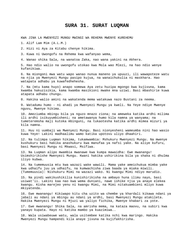### **SURA 31. SURAT LUQMAN**

KWA JINA LA MWENYEZI MUNGU MWINGI WA REHEMA MWENYE KUREHEMU

1. Alif Lam Mim (A.L.M.)

2. Hizi ni Aya za Kitabu chenye hikima.

3. Kuwa ni Uwongofu na Rehema kwa wafanyao wema,

4. Wanao shika Sala, na wanatoa Zaka, nao wana yakini na Akhera.

5. Hao ndio walio na uwongofu utokao kwa Mola wao Mlezi, na hao ndio wenye kufanikiwa.

6. Na miongoni mwa watu wapo wanao nunua maneno ya upuuzi, ili wawapoteze watu na njia ya Mwenyezi Mungu pasipo kujua, na wanaichukulia ni maskhara. Hao watapata adhabu ya kuwafedhehesha.

7. Na (mtu kama huyo) anapo somewa Aya zetu huzipa mgongo kwa kujivuna, kama kwamba hakuzisikia, kama kwamba masikioni mwake mna uziwi. Basi mbashirie kuwa atapata adhabu chungu.

8. Hakika walio amini na wakatenda mema watakuwa nazo Bustani za neema.

9. Watadumu humo - ni ahadi ya Mwenyezi Mungu ya kweli. Na Yeye ndiye Mwenye nguvu, Mwenye hikima.

10. Ameziumba mbingu bila ya nguzo mnazo ziona; na ameweka katika ardhi milima ili ardhi isikuyumbisheni; na ametawanya humo kila namna ya wanyama; na tumeteremsha maji kutoka mbinguni, na tukaotesha katika ardhi mimea mizuri ya kila namna.

11. Huu ni uumbaji wa Mwenyezi Mungu. Basi nionyesheni wameumba nini hao wasio kuwa Yeye! Lakini madhaalimu wamo katika upotovu uliyo dhaahiri.

12. Na tulimpa Luqman hikima, tukamwambia: Mshukuru Mwenyezi Mungu. Na mwenye kushukuru basi hakika anashukuru kwa manufaa ya nafsi yake. Na aliye kufuru, basi Mwenyezi Mungu ni Mkwasi, Msifiwa.

13. Na Luqman alipo mwambia mwanawe kwa kumpa mawaidha: Ewe mwanangu! Usimshirikishe Mwenyezi Mungu. Kwani hakika ushirikina bila ya shaka ni dhulma iliyo kubwa.

14. Na tumemuusia mtu kwa wazazi wake wawili. Mama yake ameichukua mimba yake kwa udhaifu juu ya udhaifu, na kumwachisha ziwa baada ya miaka miwili. (Tumemuusia): Nishukuru Mimi na wazazi wako. Ni kwangu Mimi ndiyo marudio.

15. Na pindi wakikushikilia kunishirikisha na ambayo huna ilimu nayo, basi usiwat'ii. Lakini kaa nao kwa wema duniani, nawe ishike njia ya anaye elekea kwangu. Kisha marejeo yenu ni kwangu Mimi, na Mimi nitakuambieni mliyo kuwa mkiyatenda.

16. Ewe mwanangu! Kikiwapo kitu cha uzito wa chembe ya khardali kikawa ndani ya jabali au ndani ya mbingu au ndani ya ardhi, basi Mwenyezi Mungu atakileta. Hakika Mwenyezi Mungu ni Mjuzi wa yaliyo fichika, Mwenye khabari za yote.

17. Ewe mwanangu! Shika Sala, na amrisha mema, na kataza maovu, na subiri kwa yanayo kupata. Hayo ni katika mambo ya kuazimiwa..

18. Wala usiwabeuwe watu, wala usitembee katika nchi kwa maringo. Hakika Mwenyezi Mungu hampendi kila anaye jivuna na kujifakhirisha.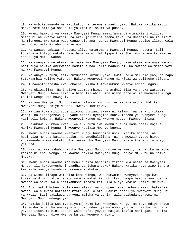19. Na ushike mwendo wa katikati, na teremsha sauti yako. Hakika katika sauti mbaya zote bila ya shaka iliyo zidi ni sauti ya punda.

20. Kwani hamwoni ya kwamba Mwenyezi Mungu amevifanya vikutumikieni viliomo mbinguni na kwenye ardhi, na akakujalizieni neema zake, za dhaahiri na za siri? Na miongoni mwa watu wapo wanao bishana juu ya Mwenyezi Mungu pasipo ilimu, wala uwongofu, wala Kitabu chenye nuru.

21. Na wanapo ambiwa: Fuateni aliyo yateremsha Mwenyezi Mungu, husema: Bali tunafuata tuliyo wakuta nayo baba zetu. Je! Ijapo kuwa Shet'ani anawaita kwenye adhabu ya Moto uwakao?

22. Na mwenye kuuelekeza uso wake kwa Mwenyezi Mungu, naye akawa anafanya wema, basi huyo hakika amekwisha kamata fundo lilio madhubuti. Na mwisho wa mambo yote ni kwa Mwenyezi Mungu.

23. Na anaye kufuru, isikuhuzunishe kufuru yake. Kwetu ndio marudio yao, na hapo tutawaambia waliyo yatenda. Hakika Mwenyezi Mungu ni Mjuzi wa yaliyomo vifuani.

24. Tunawastarehesha kwa uchache, kisha tutawasukuma kwenye adhabu ngumu.

25. Na ukiwauliza: Nani aliye ziumba mbingu na ardhi? Bila ya shaka watasema: Mwenyezi Mungu. Wewe sema: Alhamdulillahi! Sifa njema zote ni za Mwenyezi Mungu. Lakini wengi wao hawajui.

26. Ni vya Mwenyezi Mungu vyote viliomo mbinguni na katika ardhi. Hakika Mwenyezi Mungu ndiye Mkwasi, Mwenye kusifiwa.

27. Na lau kuwa miti yote iliyomo duniani ikawa ni kalamu, na bahari (ikawa wino), na ikaongezewa juu yake bahari nyengine saba, maneno ya Mwenyezi Mungu yasingeli kwisha. Hakika Mwenyezi Mungu ni Mwenye nguvu, Mwenye hikima.

28. Hakukuwa kuumbwa kwenu, wala kufufuliwa kwenu ila ni kama nafsi moja tu. Hakika Mwenyezi Mungu ni Mwenye kusikia Mwenye kuona.

29. Kwani huoni kwamba Mwenyezi Mungu huuingiza usiku katika mchana, na huuingiza mchana katika usiku, na amedhalilisha jua na mwezi? Vyote hivyo vinakwenda mpaka wakati ulio wekwa. Na Mwenyezi Mungu anazo khabari za mnayo yatenda.

30. Hivi ni kwa sababu hakika Mwenyezi Mungu ndiye wa kweli, na hakika wanacho kiomba ni cha uwongo. Na kwamba hakika Mwenyezi Mungu ndiye Mtukufu na ndiye Mkubwa.

31. Kwani huoni kwamba marikebu hupita baharini zikichukua neema za Mwenyezi Mungu, ili kukuonyesheni baadhi ya Ishara zake? Hakika katika haya zipo Ishara kwa kila mwenye kusubiri, mwenye kushukuru.

32. Na wimbi linapo wafunika kama wingu, wao humwomba Mwenyezi Mungu kwa kumsafia dini. Lakini anapo waokoa wakafika nchi kavu, wapo baadhi yao huenda mwendo wa sawa. Wala hazikanushi Ishara zetu ila aliye khaini kafiri mkubwa.

33. Enyi watu! Mcheni Mola wenu Mlezi, na iogopeni siku ambayo mzazi hatamfaa mwana, wala mwana hatamfaa mzazi kwa lolote. Hakika ahadi ya Mwenyezi Mungu ni ya kweli. Basi yasikudanganyeni maisha ya dunia, wala asikudanganyeni na Mwenyezi Mungu mdanganyifu.

34. Hakika kuijua Saa (ya Kiyama) kuko kwa Mwenyezi Mungu. Na Yeye ndiye anaye iteremsha mvua. Na anavijua viliomo ndani ya matumbo ya uzazi. Na haijui nafsi yoyote itachuma nini kesho. Wala nafsi yoyote haijui itafia nchi gani. Hakika Mwenyezi Mungu ndiye Mwenye kujua, Mwenye khabari.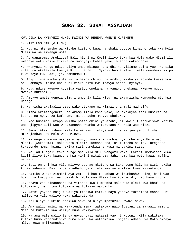### **SURA 32. SURAT ASSAJDAH**

KWA JINA LA MWENYEZI MUNGU MWINGI WA REHEMA MWENYE KUREHEMU

1. Alif Lam Mim (A.L.M.)

2. Huu ni mteremsho wa Kitabu kisicho kuwa na shaka yoyote kinacho toka kwa Mola Mlezi wa walimwengu wote.

3. Au wanasema: Amekizua? Bali hichi ni Kweli iliyo toka kwa Mola wako Mlezi ili uwaonye watu wasio fikiwa na mwonyaji kabla yako; huenda wakaongoka.

4. Mwenyezi Mungu ndiye aliye umba mbingu na ardhi na viliomo baina yao kwa siku sita, na akatawala kwenye Kiti cha Enzi. Nyinyi hamna mlinzi wala mwombezi isipo kuwa Yeye tu. Basi, je, hamkumbuki?

5. Anapitisha mambo yote yalio baina mbingu na ardhi, kisha yanapanda kwake kwa siku ambayo kipimo chake ni miaka elfu kwa mnavyo hisabu nyinyi.

6. Huyu ndiye Mwenye kuyajua yasiyo onekana na yanayo onekana. Mwenye nguvu, Mwenye kurehemu.

7. Ambaye ametengeneza vizuri umbo la kila kitu; na akaanzisha kumuumba mtu kwa udongo.

8. Na kisha akajaalia uzao wake utokane na kizazi cha maji madhaifu.

9. Kisha akamtengeneza, na akampulizia roho yake, na akakujaalieni kusikia na kuona, na nyoyo za kufahamu. Ni uchache mnavyo shukuru.

10. Nao husema: Tutapo kwisha potea chini ya ardhi, ni kweli tutarudishwa katika umbo jipya? Bali wao wanakanusha kwamba watakutana na Mola wao Mlezi.

11. Sema: Atakufisheni Malaika wa mauti aliye wakilishwa juu yenu; kisha mtarejeshwa kwa Mola wenu Mlezi.

12. Na ungeli waona wakosefu wanvyo inamisha vichwa vyao mbele ya Mola wao Mlezi, (wakisema): Mola wetu Mlezi! Tumesha ona, na tumesha sikia. Turejeshe tukatende mema, kwani hakika sisi tumekwisha kuwa na yakini sasa.

13. Na lau tungeli taka tunge mpa kila mtu uwongofu wake. Lakini imekwisha kuwa kauli iliyo toka kwangu : Kwa yakini nitaijaza Jahannamu kwa wote hawa, majini na watu.

14. Basi onjeni kwa vile mlivyo usahau mkutano wa Siku yenu hii. Na Sisi hakika tunakusahauni. Basi onjeni adhabu ya milele kwa yale mliyo kuwa mkiyatenda.

15. Hakika wanao ziamini Aya zetu ni hao tu ambao wakikumbushwa hizo, basi wao huanguka kusujudu, na humsabihi Mola wao Mlezi kwa kumhimidi, nao hawajivuni.

16. Mbavu zao zinaachana na vitanda kwa kumwomba Mola wao Mlezi kwa khofu na kutumaini, na hutoa kutokana na tulivyo waruzuku.

17. Nafsi yoyote haijui waliyo fichiwa katika hayo yanayo furahisha macho - ni malipo ya yale waliyo kuwa wakiyatenda.

18. Ati aliye Muumini atakuwa sawa na aliye mpotovu? Hawawi sawa.

19. Ama walio amini na wakatenda mema, watakuwa nazo Bustani za makaazi mazuri. Ndio pa kufikia kwa waliyo kuwa wakiyatenda.

20. Na ama wale walio tenda uovu, basi makaazi yao ni Motoni. Kila wakitaka kutoka humo watarudishwa humo humo. Na wataambiwa: Onjeni adhabu ya Moto ambayo mliyo kuwa mkiikanusha.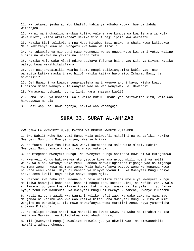21. Na tutawaonjesha adhabu khafifu kabla ya adhabu kubwa, huenda labda watarejea.

22. Na ni nani dhaalimu mkubwa kuliko yule anaye kumbushwa kwa Ishara za Mola wake Mlezi, kisha akazikataa? Hakika Sisi tutajilipiza kwa wakosefu.

23. Hakika Sisi tulikwisha mpa Musa Kitabu. Basi usiwe na shaka kuwa kakipokea. Na tukakifanya kuwa ni uwongofu kwa Wana wa Israili.

24. Na tukawafanya miongoni mwao waongozi wanao ongoa watu kwa amri yetu, walipo subiri na wakawa na yakini na Ishara zetu.

25. Hakika Mola wako Mlezi ndiye atakaye fafanua baina yao Siku ya Kiyama katika waliyo kuwa wakikhitalifiana.

26. Je! Haijawabainikia kwamba kaumu ngapi tuliziangamiza kabla yao, nao wanapita katika maskani zao hizo? Hakika katika hayo zipo Ishara. Basi, je, hawasikii?

27. Je! Hawaoni ya kwamba tunayapeleka maji kwenye ardhi kavu, kisha kwayo tunaitoa mimea wanayo kula wanyama wao na wao wenyewe? Je! Hawaoni?

28. Wanasema: Ushindi huu ni lini, kama mnasema kweli?

29. Sema: Siku ya Ushindi, wale walio kufuru imani yao haitawafaa kitu, wala wao hawatapewa muhula.

30. Basi wapuuze, nawe ngonja; hakika wao wanangoja.

#### **SURA 33. SURAT AL-AH'ZAB**

KWA JINA LA MWENYEZI MUNGU MWINGI WA REHEMA MWENYE KUREHEMU

1. Ewe Nabii! Mche Mwenyezi Mungu wala usiwat'ii makafiri na wanaafiki. Hakika Mwenyezi Mungu ni Mwenye kujua, Mwenye hikima.

2. Na fuata uliyo funuliwa kwa wahyi kutokana na Mola wako Mlezi. Hakika Mwenyezi Mungu anazo khabari ya mnayo yatenda.

3. Na mtegemee Mwenyezi Mungu. Na Mwenyezi Mungu anatosha kuwa ni wa kutegemewa.

4. Mwenyezi Mungu hakumwekea mtu yeyote kuwa ana nyoyo mbili ndani ya mwili wake. Wala hakuwafanya wake zenu - ambao mnawalinganisha migongo yao na migongo ya mama zenu - kuwa ni mama zenu. Wala hakuwafanya watoto wenu wa kupanga kuwa ni wana wenu khasa. Hayo ni maneno ya vinywa vyenu tu. Na Mwenyezi Mungu ndiye anaye sema kweli, naye ndiye anaye ongoa Njia.

5. Waiteni kwa baba zao, maana huo ndio uadilifu zaidi mbele ya Mwenyezi Mungu. Na ikiwa hamwajui baba zao, basi ni ndugu zenu katika Dini, na rafiki zenu. Wala si lawama juu yenu kwa mlivyo kosea. Lakini ipo lawama katika yale ziliyo fanya nyoyo zenu kwa makusudi. Na Mwenyezi Mungu ni Mwenye kusamehe, Mwenye kurehemu.

6. Nabii ni bora zaidi kwa Waumini kuliko nafsi zao. Na wake zake ni mama zao. Na jamaa ni karibu wao kwa wao katika Kitabu cha Mwenyezi Mungu kuliko Waumini wengine na Wahamiaji. Ila muwe mnawafanyia wema marafiki zenu. Haya yamekwisha andikwa Kitabuni.

7. Na tulipo chukua ahadi kwa Manabii na kwako wewe, na Nuhu na Ibrahim na Isa mwana wa Mariamu, na tulichukua kwao ahadi ngumu,

8. Ili (Mwenyezi Mungu) awaulize wakweli juu ya ukweli wao. Na amewaandalia makafiri adhabu chungu.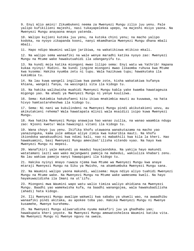9. Enyi mlio amini! Zikumbukeni neema za Mwenyezi Mungu zilio juu yenu. Pale yalipo kufikilieni majeshi, nasi tukayapelekea upepo, na majeshi msiyo yaona. Na Mwenyezi Mungu anayaona mnayo yatenda.

10. Walipo kujieni kutoka juu yenu, na kutoka chini yenu; na macho yalipo kodoka, na nyoyo zikapanda kooni, nanyi mkamdhania Mwenyezi Mungu dhana mbali mbali.

11. Hapo ndipo Waumini walipo jaribiwa, na wakatikiswa mtikiso mkali.

12. Na walipo sema wanaafiki na wale wenye maradhi katika nyoyo zao: Mwenyezi Mungu na Mtume wake hawakutuahidi ila udanganyifu tu.

13. Na kundi moja katika miongoni mwao lilipo sema: Enyi watu wa Yathrib! Hapana kukaa nyinyi! Rudini. Na kundi jingine miongoni mwao likaomba ruhusa kwa Mtume kwa kusema: Hakika nyumba zetu ni tupu. Wala hazikuwa tupu; hawakutaka ila kukimbia tu.

14. Na lau kuwa wangeli ingiliwa kwa pande zote, kisha wakatakiwa kufanya khiana, wangeli fanya, na wasingeli sita ila kidogo tu.

15. Na hakika walikwisha muahidi Mwenyezi Mungu kabla yake kwamba hawatageuza migongo yao. Na ahadi ya Mwenyezi Mungu ni yenye kuulizwa.

16. Sema: Kukimbia hakukufaeni kitu ikiwa mnakimbia mauti au kuuwawa, na hata hivyo hamtastareheshwa ila kidogo tu.

17. Sema: Ni nani wa kukulindeni na Mwenyezi Mungu pindi akikutakieni uovu, au akikutakieni rehema? Wala hawatapata mlinzi wala msaidizi isipo kuwa Mwenyezi Mungu.

18. Kwa hakika Mwenyezi Mungu anawajua hao wanao zuilia, na wanao waambia ndugu zao: Njooni kwetu! Wala hawaingii vitani ila kidogo tu.

19. Wana choyo juu yenu. Ikifika khofu utawaona wanakutazama na macho yao yanazunguka, kama yule ambaye aliye zimia kwa kukaribia mauti. Na khofu ikiondoka wanakuudhini kwa ndimi kali, nao ni mabakhili kwa kila la kheri. Hao hawakuamini, basi Mwenyezi Mungu amevibat'ilisha vitendo vyao. Na hayo kwa Mwenyezi Mungu ni mepesi.

20. Wanafikiri yale makundi ya maadui hayajaondoka. Na yakija hayo makundi watatamani laiti wao wako majangwani pamoja na mabedui, wakiuliza khabari zenu. Na lau wakiwa pamoja nanyi hawapigani ila kidogo tu.

21. Hakika nyinyi mnayo ruwaza njema kwa Mtume wa Mwenyezi Mungu kwa anaye mtaraji Mwenyezi Mungu na Siku ya Mwisho, na akamkumbuka Mwenyezi Mungu sana.

22. Na Waumini walipo yaona makundi, walisema: Haya ndiyo aliyo tuahidi Mwenyezi Mungu na Mtume wake. Na Mwenyezi Mungu na Mtume wake wamesema kweli. Na hayo hayakuwazidisha ila Imani na ut'iifu.

23. Miongoni mwa Waumini wapo watu walio timiza waliyo ahidiana na Mwenyezi Mungu. Baadhi yao wamekwisha kufa, na baadhi wanangojea, wala hawakubadilisha (ahadi) hata kidogo.

24. Ili Mwenyezi Mungu awalipe wakweli kwa sababu ya ukweli wao, na awaadhibu wanaafiki pindi akitaka, au apokee toba yao. Hakika Mwenyezi Mungu ni Mwenye kusamehe, Mwenye kurehemu.

25. Na Mwenyezi Mungu aliwarudisha nyuma makafiri juu ya ghadhabu yao; hawakupata kheri yoyote. Na Mwenyezi Mungu amewatosheleza Waumini katika vita. Na Mwenyezi Mungu ni Mwenye nguvu na uweza.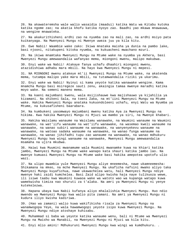26. Na akawateremsha wale walio wasaidia (maadui) katika Watu wa Kitabu kutoka katika ngome zao; na akatia khofu katika nyoyo zao. Baadhi yao mkawa mnawauwa, na wengine mnawateka.

27. Na akakurithisheni ardhi zao na nyumba zao na mali zao, na ardhi msiyo pata kuikanyaga. Na Mwenyezi Mungu ni Mwenye uweza juu ya kila kitu.

28. Ewe Nabii! Waambie wake zako: Ikiwa mnataka maisha ya dunia na pambo lake, basi njooni, nitakupeni kitoka nyumba, na kukuacheni mwachano mzuri.

29. Na ikiwa mnamtaka Mwenyezi Mungu na Mtume wake na nyumba ya Akhera, basi Mwenyezi Mungu amewaandalia wafanyao mema, miongoni mwenu, malipo makubwa.

30. Enyi wake wa Nabii! Atakaye fanya uchafu dhaahiri miongoni mwenu, atazidishiwa adhabu mara mbili. Na hayo kwa Mwenyezi Mungu ni mepesi.

31. NA MIONGONI mwenu atakeye mt'ii Mwenyezi Mungu na Mtume wake, na akatenda mema, tutampa malipo yake mara mbili, na tutamwandalia riziki ya ukarimu.

32. Enyi wake wa Nabii! Nyinyi si kama yeyote katika wanawake wengine. Kama mnamcha Mungu basi msiregeze sauti zenu, akaingia tamaa mwenye maradhi katika moyo wake. Na semeni maneno mema.

33. Na kaeni majumbani kwenu, wala msijishauwe kwa majishauwo ya kijahilia ya kizamani. Na shikeni Sala, na toeni Zaka, na mt'iini Mwenyezi Mungu na Mtume wake. Hakika Mwenyezi Mungu anataka kukuondoleeni uchafu, enyi Watu wa Nyumba ya Mtume, na kukusafisheni baarabara.

34. Na kumbukeni yasomwayo majumbani mwenu katika Aya za Mwenyezi Mungu na hikima. Kwa hakika Mwenyezi Mungu ni Mjuzi wa mambo ya siri, na Mwenye khabari.

35. Hakika Waislamu wanaume na Waislamu wanawake, na Waumini wanaume na Waumini wanawake, na wat'iifu wanaume na wat'iifu wanawake, na wasemao kweli wanaume na wanawake, na wanao subiri wanaume na wanawake, na wanyenyekevu wanaume na wanawake, na watoao sadaka wanaume na wanawake, na wanao funga wanaume na wanawake, na wanao jihifadhi tupu zao wanaume na wanawake, na wanao mdhukuru Mwenyezi Mungu kwa wingi wanaume na wanawake, Mwenyezi Mungu amewaandalia msamaha na ujira mkubwa.

36. Haiwi kwa Muumini mwanamume wala Muumini mwanamke kuwa na khiari katika jambo, Mwenyezi Mungu na Mtume wake wanapo kata shauri katika jambo lao. Na mwenye kumuasi Mwenyezi Mungu na Mtume wake basi hakika amepotea upotofu ulio wazi.

37. Na ulipo mwambia yule Mwenyezi Mungu aliye mneemesha, nawe ukamneemesha: Shikamana na mkeo, na mche Mwenyezi Mungu. Na ukaficha nafsini mwako aliyo taka Mwenyezi Mungu kuyafichua, nawe ukawachelea watu, hali Mwenyezi Mungu ndiye mwenye haki zaidi kumchelea. Basi Zaid alipo kwisha haja naye tulikuoza wewe, ili isiwe taabu kwa Waumini kuwaoa wake wa watoto wao wa kupanga watapo kuwa wamekwisha timiza nao shuruti za t'alaka. Na amri ya Mwenyezi Mungu ni yenye kutekelezwa.

38. Hapana ubaya kwa Nabii kufanya aliyo mhalalishia Mwenyezi Mungu. Huo ndio mwendo wa Mwenyezi Mungu kwa walio pita zamani. Na amri ya Mwenyezi Mungu ni kudura iliyo kwisha kadiriwa.

39. (Hao wa zamani) walio kuwa wakifikisha risala za Mwenyezi Mungu na wanamwogopa Yeye, na wala hawamwogopi yeyote isipo kuwa Mwenyezi Mungu. Na Mwenyezi Mungu ndiye atoshaye kuhisabu.

40. Muhammad si baba wa yeyote katika wanaume wenu, bali ni Mtume wa Mwenyezi Mungu na Mwisho wa Manabii, na Mwenyezi Mungu ni Mjuzi wa kila kitu.

41. Enyi mlio amini! Mdhukuruni Mwenyezi Mungu kwa wingi wa kumdhukuru. .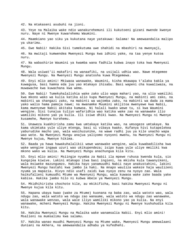42. Na mtakaseni asubuhi na jioni.

43. Yeye na Malaika wake ndio wanakurehemuni ili kukutoeni gizani mwende kwenye nuru. Naye ni Mwenye kuwarehemu Waumini.

44. Maamkiano yao siku ya kukutana naye yatakuwa: Salama! Na amewaandalia malipo ya ukarimu.

45. Ewe Nabii! Hakika Sisi tumekutuma uwe shahidi na mbashiri na mwonyaji,

46. Na mwitaji kumwendea Mwenyezi Mungu kwa idhini yake, na taa yenye kutoa nuru.

47. Na wabashirie Waumini ya kwamba wana fadhila kubwa inayo toka kwa Mwenyezi Mungu.

48. Wala usiwat'ii makafiri na wanaafiki, na usijali udhia wao. Nawe mtegemee Mwenyezi Mungu. Na Mwenyezi Mungu anatosha kuwa Mtegemewa.

49. Enyi mlio amini! Mkiwaoa wanawake, Waumini, kisha mkawapa t'alaka kabla ya kuwagusa, basi hamna eda juu yao mtakayo ihisabu. Basi wapeni cha kuwaliwaza, na muwawache kwa kuwachana kwa wema.

50. Ewe Nabii! Tumekuhalalishia wake zako ulio wapa mahari yao, na ulio wamiliki kwa mkono wako wa kulia katika alio kupa Mwenyezi Mungu, na mabinti ami zako, na mabinti wa shangazi zako, na mabinti wa wajomba zako, na mabinti wa dada za mama yako walio hama pamoja nawe; na mwanamke Muumini akijitoa mwenyewe kwa Nabii, kama mwenyewe Nabii akitaka kumwoa. Ni halali kwako wewe tu, si kwa Waumini wengine. Sisi tunajua tuliyo wafaridhia wao katika wake zao na wanawake ilio wamiliki mikono yao ya kulia. Ili isiwe dhiki kwao. Na Mwenyezi Mungu ni Mwenye kusamehe, Mwenye kurehemu.

51. Unaweza kuakhirisha zamu kwa umtakaye katika wao, na umsogeze umtakaye. Na kama ukimtaka yule uliye mtenga, basi si vibaya kwako. Kufanya hivi kutapelekea yaburudike macho yao, wala wasihuzunike, na wawe radhi juu ya kile unacho wapa wao wote. Na Mwenyezi Mungu anajua yaliyomo nyoyoni mwenu, na Mwenyezi Mungu ni Mwenye kujua, Mwenye hikima.

52. Baada ya hawa hawakuhalalikii wewe wanawake wengine, wala kuwabadilisha kwa wake wengine ingawa uzuri wao ukikupendeza; isipo kuwa yule uliye mmiliki kwa mkono wako wa kulia. Na Mwenyezi Mungu anachungua kila kitu.

53. Enyi mlio amini! Msiingie nyumba za Nabii ila mpewe ruhusa kwenda kula, sio kungojea kiwive. Lakini mtakapo itwa basi ingieni, na mkisha kula tawanyikeni, wala msiweke mazungumzo. Hakika hayo yanamuudhi Nabii naye anakustahini, lakini Mwenyezi Mungu hastahi kwa jambo la haki. Na mnapo wauliza wakeze haja waulizeni nyuma ya mapazia. Hivyo ndio usafi zaidi kwa nyoyo zenu na nyoyo zao. Wala haikufalieni kumuudhi Mtume wa Mwenyezi Mungu, wala kuwaoa wake zake baada yake kabisa. Hakika jambo hilo ni kubwa mbele ya Mwenyezi Mungu.

54. Mkidhihirisha chochote kile, au mkikificha, basi hakika Mwenyezi Mungu ni Mwenye kujua kila kitu.

55. Hapana ubaya kwao (wake za Mtume) kuonana na baba zao, wala watoto wao, wala ndugu zao, wala watoto wa ndugu zao wanaume, wala watoto wa ndugu zao wanawake, wala wanawake wenzao, wala wale iliyo wamiliki mikono yao ya kulia. Na enyi wanawake, mcheni Mwenyezi Mungu. Hakika Mwenyezi Mungu ni Mwenye kushuhudia kila kitu.

56. Hakika Mwenyezi Mungu na Malaika wake wanamsalia Nabii. Enyi mlio amini! Msalieni na mumsalimu kwa salamu.

57. Hakika wanao muudhi Mwenyezi Mungu na Mtume wake, Mwenyezi Mungu amewalaani duniani na Akhera, na amewaandalia adhabu ya kufedhehi.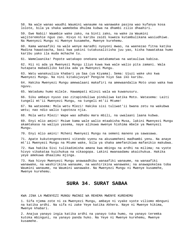58. Na wale wanao waudhi Waumini wanaume na wanawake pasina wao kufanya kosa lolote, bila ya shaka wamebeba dhulma kubwa na dhambi zilio dhaahiri.

59. Ewe Nabii! Waambie wake zako, na binti zako, na wake za Waumini wajiteremshie nguo zao. Hivyo ni karibu zaidi kuweza kutambulikana wasiudhiwe. Na Mwenyezi Mungu ni Mwenye kusamehe, Mwenye kurehemu.

60. Kama wanaafiki na wale wenye maradhi nyoyoni mwao, na waenezao fitna katika Madina hawatoacha, basi kwa yakini tutakusalitisha juu yao, kisha hawatakaa humo karibu yako ila muda mchache tu.

61. Wamelaanika! Popote watakapo onekana watakamatwa na watauliwa kabisa.

62. Hii ni ada ya Mwenyezi Mungu iliyo kuwa kwa wale walio pita zamani. Wala hutapata mabadiliko katika ada ya Mwenyezi Mungu.

63. Watu wanakuuliza khabari ya Saa (ya Kiyama). Sema: Ujuzi wake uko kwa Mwenyezi Mungu. Na nini kitakujuvya? Pengine hiyo Saa iko karibu.

64. Hakika Mwenyezi Mungu amewalaani makafiri na amewaandalia Moto unao waka kwa nguvu.

65. Watadumu humo milele. Hawampati mlinzi wala wa kuwanusuru.

66. Siku ambayo nyuso zao zitapinduliwa pinduliwa katika Moto. Watasema: Laiti tungeli mt'ii Mwenyezi Mungu, na tungeli mt'ii Mtume!

67. Na watasema: Mola wetu Mlezi! Hakika sisi tuliwat'ii bwana zetu na wakubwa wetu; nao ndio walio tupoteza njia.

68. Mola wetu Mlezi! Wape wao adhabu mara mbili, na uwalaani laana kubwa.

69. Enyi mlio amini! Msiwe kama wale walio mtaabisha Musa, lakini Mwenyezi Mungu akamtakasa na waliyo yasema, naye alikuwa mwenye hishima mbele ya Mwenyezi Mungu.

70. Enyi mlio amini! Mcheni Mwenyezi Mungu na semeni maneno ya sawasawa.

71. Apate kukutengenezeeni vitendo vyenu na akusameheni madhambi yenu. Na anaye mt'ii Mwenyezi Mungu na Mtume wake, bila ya shaka amefanikiwa mafanikio makubwa.

72. Kwa hakika Sisi tulikadimisha amana kwa mbingu na ardhi na milima; na vyote hivyo vikakataa kuichukua na vikaogopa. Lakini mwanaadamu akaichukua. Hakika yeye amekuwa dhaalimu mjinga.

73. Kwa hivyo Mwenyezi Mungu anawaadhibu wanaafiki wanaume, na wanaafiki wanawake, na washirikina wanaume, na washirikina wanawake; na anawapokelea toba Waumini wanaume, na Waumini wanawake. Na Mwenyezi Mungu ni Mwenye kusamehe, Mwenye kurehemu.

# **SURA 34. SURAT SABAA**

KWA JINA LA MWENYEZI MUNGU MWINGI WA REHEMA MWENYE KUREHEMU

1. Sifa njema zote ni za Mwenyezi Mungu, ambaye ni vyake vyote viliomo mbnguni na katika ardhi. Na sifa ni zake Yeye katika Akhera. Naye ni Mwenye hikima, Mwenye khabari.

2. Anajua yanayo ingia katika ardhi na yanayo toka humo, na yanayo teremka kutoka mbinguni, na yanayo panda huko. Na Yeye ni Mwenye kurehemu, Mwenye kusamehe.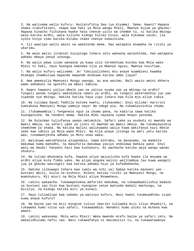3. Na walisema walio kufuru: Haitatufikia Saa (ya Kiyama). Sema: Kwani? Hapana shaka itakufikieni, naapa kwa haki ya Mola wangu Mlezi, Mwenye kujua ya ghaibu! Hapana kinacho fichikana kwake hata chenye uzito wa chembe tu, si katika mbingu wala katika ardhi, wala kilicho kidogo kuliko hivyo, wala kikubwa zaidi; ila vyote hivyo vimo katika Kitabu chake chenye kubainisha.

4. Ili awalipe walio amini na wakatenda mema. Hao watapata msamaha na riziki ya ukarimu.

5. Na wale walio jitahidi kuzipinga Ishara zetu wakaona watashinda, hao watapata adhabu mbaya yenye uchungu.

6. Na walio pewa ilimu wanaona ya kuwa ulio teremshiwa kutoka kwa Mola wako Mlezi ni haki, nayo huongoa kwendea njia ya Mwenye nguvu, Mwenye kusifiwa.

7. Na walio kufuru walisema: Je! Tukujuulisheni mtu anaye kuambieni kwamba mtakapo chambuliwa mapande mapande mtakuwa katika umbo jipya?

8. Ama amemzulia Mwenyezi Mungu uwongo, au ana wazimu. Bali wasio amini Akhera wamo adhabuni na upotofu wa mbali kabisa.

9. Kwani hawaoni yaliyo mbele yao na yaliyo nyuma yao ya mbingu na ardhi? Tungeli penda tungeli wadidimiza ndani ya ardhi, au tungeli wateremshia juu yao vipande vya mbingu. Hakika katika haya zipo Ishara kwa kila mja aliye tubia.

10. Na tulimpa Daudi fadhila kutoka kwetu, (tukasema): Enyi milima! Karirini kumtakasa Mwenyezi Mungu pamoja naye! Na ndege pia. Na tukamlainishia chuma.

11. (Tukamwambia:) Tengeneza nguo za chuma pana, na kadiria sawa katika kuunganisha. Na tendeni mema. Hakika Mimi nayaona vyema mnayo yatenda.

12. Na Suleiman tuliufanya upepo umtumikie. Safari yake ya asubuhi ni mwendo wa mwezi mmoja, na safari yake ya jioni ni mwendo wa mwezi mmoja. Na tukamyayushia chemchem ya shaba. Na katika majini walikuwako walio kuwa wakifanya kazi mbele yake kwa idhini ya Mola wake Mlezi. Na kila anaye jitenga na amri yetu katika wao, tunamwonjesha adhabu ya Moto unao waka.

13. Walikuwa wakimfanyia alipendalo, kama mihrabu, na masanamu, na madeste makubwa kama mahodhi, na masufuria makubwa yasiyo ondolewa mahala pake. Enyi watu wa Daudi! Fanyeni kazi kwa kushukuru. Ni wachache katika waja wangu wanao shukuru.

14. Na tulipo mhukumia kufa, hapana aliye wajuulisha kufa kwake ila mnyama wa ardhi aliye kula fimbo yake. Na alipo anguka majini walitambua lau kuwa wangeli jua ya ghaibu wasingeli kaa katika adhabu hiyo ya kufedhehesha.

15. Hakika ilikuwapo Ishara kwa (watu wa nchi ya) Sabaa katika maskani yao bustani mbili, kulia na kushoto. Kuleni katika riziki ya Mwenyezi Mungu, na mumshukuru. Mji mzuri na Mola Mlezi aliye Msamehevu.

16. Lakini wakaacha. Tukawapelekea mafuriko makubwa, na tukawabadilishia badala ya bustani zao hizo kwa bustani nyengine zenye matunda makali machungu, na mivinje, na kidogo katika miti ya kunazi.

17. Hayo tuliwalipa kwa sababu ya walivyo kufuru. Nasi kwani tunamuadhibu isipo kuwa anaye kufuru?

18. Na baina yao na miji mingine tuliyo ibariki tuliweka miji iliyo dhaahiri, na tukaweka humo vituo vya safari. Tukawaambia: Nendeni humo usiku na mchana kwa amani.

19. Lakini wakasema: Mola wetu Mlezi! Weka mwendo mrefu baina ya safari zetu. Na wakazidhulumu nafsi zao. Basi tukawafanya ni masimulizi tu, na tukawatawanya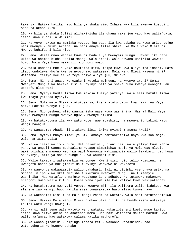tawanya. Hakika katika hayo bila ya shaka zimo Ishara kwa kila mwenye kusubiri sana na akashukuru.

20. Na bila ya shaka Iblisi alihakikisha ile dhana yake juu yao. Nao walimfuata, isipo kuwa kundi la Waumini.

21. Na yeye hakuwa na mamlaka yoyote juu yao, ila kwa sababu ya kuwajaribu tujue nani mwenye kuamini Akhera, na nani anaye tilia shaka. Na Mola wako Mlezi ni Mwenye kuhifadhi kila kitu.

22. Sema: Waite mnao wadaia kuwa ni badala ya Mwenyezi Mungu. Hawamiliki hata uzito wa chembe hichi katika mbingu wala ardhi. Wala hawana ushirika wowote humo. Wala Yeye hana msaidizi miongoni mwao.

23. Wala uombezi mbele yake hautafaa kitu, isipo kuwa kwa aliye mpa idhini. Hata itapo ondolewa khofu kwenye nyoyo zao watasema: Mola wenu Mlezi kasema nini? Watasema: Yaliyo kweli! Na Yeye ndiye Aliye juu, Mkubwa.

24. Sema: Ni nani anaye kuruzukuni kutoka mbinguni na kwenye ardhi? Sema: Mwenyezi Mungu! Na hakika sisi au nyinyi bila ya shaka tuko kwenye uwongofu au upotofu ulio wazi.

25. Sema: Nyinyi hamtaulizwa kwa makosa tuliyo yafanya, wala sisi hatutaulizwa kwa mnayo yatenda nyinyi.

26. Sema: Mola wetu Mlezi atatukusanya, kisha atatuhukumu kwa haki; na Yeye ndiye Hakimu Mwenye kujua.

27. Sema: Nionyesheni mlio waunganisha naye kuwa washirika. Hasha! Bali Yeye ndiye Mwenyezi Mungu Mwenye nguvu, Mwenye hikima.

28. Na hatukukutuma ila kwa watu wote, uwe mbashiri, na mwonyaji. Lakini watu wengi hawajui.

29. Na wanasema: Ahadi hii itakuwa lini, ikiwa nyinyi mnasema kweli?

30. Sema: Nyinyi mnayo miadi ya Siku ambayo hamtaakhirika nayo kwa saa moja, wala hamtaitangulia.

31. Na walisema walio kufuru: Hatutaiamini Qur'ani hii, wala yaliyo kuwa kabla yake. Na ungeli waona madhaalimu watapo simamishwa mbele ya Mola wao Mlezi, wakirudishiana maneno wao kwa wao! Wanyonge wakiwaambia walio takabari: Lau kuwa si nyinyi, bila ya shaka tungeli kuwa Waumini sisi.

32. Walio takabari watawaambia wanyonge: Kwani sisi ndio tulio kuzuieni na uwongofu baada ya kukujieni? Bali nyinyi wenyewe ni wakosefu.

33. Na wanyonge wakawaambia walio takabari: Bali ni vitimbi vyenu vya usiku na mchana, mlipo kuwa mkituamrisha tumkufuru Mwenyezi Mungu, na tumfanyie washirika. Nao wataficha majuto watakapo iona adhabu. Na tutaweka makongwa shingoni mwao walio kufuru. Kwani wanalipwa ila kwa waliyo kuwa wakiyatenda?

34. Na hatukumtuma mwonyaji yeyote kwenye mji, ila walisema walio jidekeza kwa starehe zao wa mji huo: Hakika sisi tunayakataa hayo mliyo tumwa nayo.

35. Na wakasema: Sisi tuna mali mengi zaidi na watoto, wala sisi hatutaadhibiwa.

36. Sema: Hakika Mola wangu Mlezi humkunjulia riziki na humdhikisha amtakaye. Lakini watu wengi hawajui.

37. Na si mali yenu wala watoto wenu watakao kukaribisheni kwetu muwe karibu, isipo kuwa aliye amini na akatenda mema. Hao basi watapata malipo mardufu kwa walio yafanya. Nao watakuwa salama katika maghorofa.

38. Na wanao jitahidi kuzipinga Ishara zetu, wakaona watashinda, hao watahudhurishwa kwenye adhabu.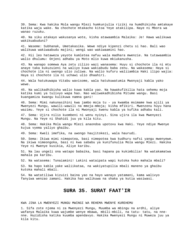39. Sema: Kwa hakika Mola wangu Mlezi humkunjulia riziki na humdhikisha amtakaye katika waja wake. Na chochote mtakacho kitoa Yeye atakilipa. Naye ni Mbora wa wanao ruzuku.

40. Na siku atakayo wakusanya wote, kisha atawaambia Malaika: Je! Hawa walikuwa wakikuabuduni?

41. Waseme: Subhanak, Umetakasika. Wewe ndiye kipenzi chetu si hao. Bali wao walikuwa wakiwaabudu majini; wengi wao wakiwaamini hao.

42. Hii leo hataweza yeyote kumletea nafuu wala madhara mwenzie. Na tutawaambia walio dhulumu: Onjeni adhabu ya Moto mlio kuwa mkiukanusha.

43. Na wanapo somewa Aya zetu zilizo wazi wanasema: Huyu si chochote ila ni mtu anaye taka kukuzuieni na waliyo kuwa wakiabudu baba zenu. Na wakasema: Haya si chochote ila ni uwongo ulio zuliwa. Na walio kufuru waliiambia Haki ilipo wajia: Haya si chochote ila ni uchawi ulio dhaahiri.

44. Wala hatukuwapa Vitabu wavisome, wala hatukuwatumia Mwonyaji kabla yako wewe.

45. Na walikadhibisha walio kuwa kabla yao. Na hawakufikilia hata sehemu moja katika kumi ya tulivyo wapa hao. Nao waliwakadhibisha Mitume wangu. Basi kuangamiza kwangu kulikuwa namna gani!

46. Sema: Mimi nakunasihini kwa jambo moja tu - ya kwamba msimame kwa ajili ya Mwenyezi Mungu, wawili-wawili na mmoja-mmoja; kisha mfikiri. Mwenzenu huyu hana wazimu. Yeye si chochote ila ni Mwonyaji kwenu kabla ya kufika adhabu kali.

47. Sema: Ujira nilio kuombeni ni wenu nyinyi. Sina ujira ila kwa Mwenyezi Mungu. Na Yeye ni Shahidi juu ya kila kitu.

48. Sema: Hakika Mola wangu Mlezi anaondoa upotovu kwa Haki. Yeye ndiye Mwenye kujua vyema yaliyo ghaibu.

49. Sema: Kweli imefika, na uwongo haujitokezi, wala haurudi.

50. Sema: Ikiwa mimi nimepotea, basi nimepotea kwa kudhuru nafsi yangu mwenyewe. Na ikiwa nimeongoka, basi ni kwa sababu ya kunifunulia Mola wangu Mlezi. Hakika Yeye ni Mwenye kusikia, Aliye karibu.

51. Na lau ungeli ona watapo babaika, basi hapana pa kukimbilia! Na watakamatwa mahala pa karibu.

52. Na watasema: Tunaiamini! Lakini wataipata wapi kutoka huko mahala mbali?

53. Na hapo kabla yake waliikataa, na wakiyatupilia mbali maneno ya ghaibu kutoka mahali mbali.

54. Na watatiliwa kizuizi baina yao na hayo wanayo yatamani, kama walivyo fanyiwa wenzao zamani. Hakika hao walikuwa na shaka ya kutia wasiwasi.

### **SURA 35. SURAT FAAT'IR**

KWA JINA LA MWENYEZI MUNGU MWINGI WA REHEMA MWENYE KUREHEMU

1. Sifa zote njema ni za Mwenyezi Mungu, Muumba wa mbingu na ardhi, aliye wafanya Malaika kuwa wajumbe wenye mbawa, mbili-mbili, na tatu- tatu, na nnenne. Huzidisha katika kuumba apendavyo. Hakika Mwenyezi Mungu ni Muweza juu ya kila kitu.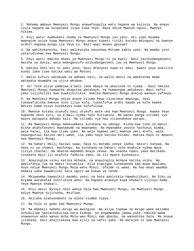2. Rehema ambayo Mwenyezi Mungu anawafungulia watu hapana wa kuizuia. Na anayo izuia hapana wa kuipeleka isipo kuwa Yeye. Naye ndiye Mwenye nguvu, Mwenye hikima.

3. Enyi watu! Kumbukeni neema za Mwenyezi Mungu juu yenu. Ati yupo muumba mwengine asiye kuwa Mwenyezi Mungu anaye kupeni riziki kutoka mbinguni na kwenye ardhi? Hapana mungu ila Yeye tu. Basi wapi mnako geuzwa?

4. Na wakikukanusha, basi walikwisha kanushwa Mitume kabla yako. Na mambo yote yatarudishwa kwa Mwenyezi Mungu.

5. Enyi watu! Hakika ahadi ya Mwenyezi Mungu ni ya kweli. Basi yasikudanganyeni maisha ya dunia, wala mdanganyifu asikudanganyeni juu ya Mwenyezi Mungu.

6. Hakika Shet'ani ni adui yenu, basi mfanyeni kuwa ni adui. Kwani yeye analiita kundi lake liwe katika watu wa Motoni.

7. Walio kufuru watakuwa na adhabu kali; na walio amini na wakatenda mema watapata msamaha na ujira mkubwa.

8. Je! Yule aliye pambiwa a'mali zake mbaya na akaziona ni njema - basi hakika Mwenyezi Mungu humwacha akapotea amtakaye, na humwongoa amtakaye. Basi nafsi yako isijihiliki kwa kuwasikitikia. Hakika Mwenyezi Mungu anajua wanayo yafanya.

9. Na Mwenyezi Mungu ndiye anaye zituma Pepo ziyatimue mawingu, nasi tukayafikisha kwenye nchi iliyo kufa, tukaifufua ardhi baada ya kufa kwake. Ndivyo kama hivyo kutakavyo kuwa kufufuliwa.

10. Mwenye kutaka utukufu basi utukufu wote uko kwa Mwenyezi Mungu. Kwake Yeye hupanda neno zuri, na a'mali njema Yeye huitukuza. Na wanao panga vitimbi vya maovu watapata adhabu kali. Na vitimbi vya hao vitaondokea patupu.

11. Na Mwenyezi Mungu amekuumbeni kutokana na udongo. Kisha kwa tone la manii. Kisha akakufanyeni mwanamume na mwanamke. Na mwanamke yeyote hachukui mimba, wala hazai, ila kwa ilimu yake. Na wala hapewi umri mwenye umri mrefu, wala hapunguziwi katika umri wake, ila yamo hayo katika Kitabu. Hakika hayo ni mepesi kwa Mwenyezi Mungu.

12. Na bahari mbili haziwi sawa; haya ni matamu yenye ladha, mazuri kunywa. Na haya ni ya chumvi, machungu. Na kutokana na bahari zote mnakula nyama mpya (isiyo chacha). Na mnatoa mapambo mnayo yavaa. Na unaona ndani yake marikebu zinakata maji ili mtafute fadhila zake, na ili mpate kushukuru.

13. Anauingiza usiku katika mchana, na anauingiza mchana katika usiku. Na amelifanya jua na mwezi kutumikia. Kila kimojapo kinakwenda kwa muda maalumu. Huyo ndiye Mwenyezi Mungu Mola wenu Mlezi. Ufalme ni wake. Na hao mnao waomba badala yake hawamiliki hata ugozi wa kokwa ya tende.

14. Mkiwaomba hawasikii maombi yenu; na hata wakisikia hawakujibuni. Na Siku ya Kiyama watakataa ushirikina wenu. Na hapana atakaye kupa khabari vilivyo kama Yeye Mwenye khabari.

15. Enyi watu! Nyinyi ndio wenye haja kwa Mwenyezi Mungu, na Mwenyezi Mungu ndiye Mwenye kujitosha, Msifiwa.

16. Akitaka atakuondoeni na alete viumbe vipya.

17. Na hilo si gumu kwa Mwenyezi Mungu.

18. Na mbebaji habebi mzigo wa mwingine. Na aliye topewa na mzigo wake akiomba uchukuliwe hautachukuliwa hata kidogo, na angamwomba jamaa yake. Hakika wewe unawaonya wale wanao mcha Mola wao Mlezi kwa ghaibu, na wanashika Sala. Na anaye jitakasa, basi anajitakasa kwa ajili ya nafsi yake. Na marejeo ni kwa Mwenyezi Mungu.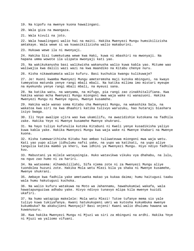19. Na kipofu na mwenye kuona hawalingani.

20. Wala giza na mwangaza.

21. Wala kivuli na joto.

22. Wala hawalingani walio hai na maiti. Hakika Mwenyezi Mungu humsikilizisha amtakaye. Wala wewe si wa kuwasikilizisha walio makaburini.

23. Hukuwa wewe ila ni mwonyaji.

24. Hakika Sisi tumekutuma wewe kwa Haki, kuwa ni mbashiri na mwonyaji. Na hapana umma wowote ila ulipata mwonyaji kati yao.

25. Na wakikukanusha basi walikwisha wakanusha walio kuwa kabla yao. Mitume wao waliwajia kwa dalili wazi wazi na kwa maandiko na Kitabu chenye nuru.

26. Kisha nikawakamata walio kufuru. Basi kuchukia kwangu kulikuwaje?

27. Je! Huoni kwamba Mwenyezi Mungu ameteremsha maji kutoka mbinguni, na kwayo tumeyatoa matunda yenye rangi mbali mbali. Na katika milima imo mistari myeupe na myekundu yenye rangi mbali mbali, na myeusi sana.

28. Na katika watu, na wanyama, na mifugo, pia rangi zao zinakhitalifiana. Kwa hakika wanao mcha Mwenyezi Mungu miongoni mwa waja wake ni wanazuoni. Hakika Mwenyezi Mungu ni Mwenye nguvu, Mwenye kusamehe.

29. Hakika wale wanao soma Kitabu cha Mwenyezi Mungu, na wakashika Sala, na wakatoa kwa siri na kwa dhaahiri katika tulivyo waruzuku, hao hutaraji biashara isiyo bwaga.

30. Ili Yeye awalipe ujira wao kwa ukamilifu, na awazidishie kutokana na fadhila zake. Hakika Yeye ni Mwenye kusamehe Mwenye shukrani.

31. Na hayo tuliyo kufunulia kutoka Kitabuni ni Kweli yenye kusadikisha yaliyo kuwa kabla yake. Hakika Mwenyezi Mungu kwa waja wake ni Mwenye khabari na Mwenye kuona.

32. Kisha tumewarithisha Kitabu hao ambao tuliwateuwa miongoni mwa waja wetu. Kati yao yupo aliye jidhulumu nafsi yake, na yupo wa katikati, na yupo aliye tangulia katika mambo ya kheri, kwa idhini ya Mwenyezi Mungu. Hiyo ndiyo fadhila kuu.

33. Mabustani ya milele watayaingia. Huko watavikwa vikuku vya dhahabu, na lulu, na nguo zao humo ni za hariri.

34. Na watasema: Alhamdulillahi, Sifa njema zote ni za Mwenyezi Mungu aliye tuondolea huzuni zote. Hakika Mola wetu Mlezi bila ya shaka ni Mwenye kusamehe, Mwenye shukrani.

35. Ambaye kwa fadhila yake ametuweka makao ya kukaa daima; humu haitugusi taabu wala humu hakutugusi kuchoka.

36. Na walio kufuru watakuwa na Moto wa Jahannamu, hawahukumiwi wakafa, wala hawatapunguziwa adhabu yake. Hivyo ndivyo tunavyo mlipa kila mwenye kuzidi ukafiri.

37. Na humo watapiga makelele: Mola wetu Mlezi! Tutoe tufanye mema sio yale tuliyo kuwa tukiyafanya. Kwani hatukukupeni umri wa kutosha kukumbuka mwenye kukumbuka? Na akakujieni Mwonyaji? Basi onjeni! Kwani walio dhulumu hawana wa kuwanusuru.

38. Kwa hakika Mwenyezi Mungu ni Mjuzi wa siri za mbinguni na ardhi. Hakika Yeye ni Mjuzi wa yaliomo vifuani.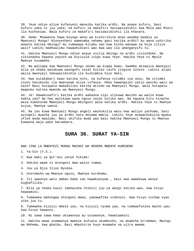39. Yeye ndiye aliye kufanyeni manaibu katika ardhi. Na anaye kufuru, basi kufuru yake ni juu yake; na kufuru za makafiri haziwazidishii kwa Mola wao Mlezi ila kuchukiwa. Wala kufuru za makafiri haziwazidishii ila khasara.

40. Sema: Mnawaona hawa miungu wenu wa kishirikina mnao waomba badala ya Mwenyezi Mungu! Nionyesheni wameumba sehemu gani katika ardhi? Au wana ushirika wowote katika mbingu? Au tumewapa Kitabu nao kwa hicho wakawa na hoja zilizo wazi? Lakini madhaalimu hawaahidiani wao kwa wao ila udanganyifu tu.

41. Hakika Mwenyezi Mungu ndiye anaye zuilia mbingu na ardhi zisiondoke. Na zikiondoka hapana yeyote wa kuzizuia isipo kuwa Yeye. Hakika Yeye ni Mpole Mwenye kusamehe.

42. Na waliapa kwa Mwenyezi Mungu ukomo wa kuapa kwao, kwamba akiwajia mwonyaji bila ya shaka watakuwa waongofu zaidi kuliko taifa jingine lolote. Lakini alipo wajia mwonyaji hakuwazidishia ila kuikimbia hiyo Haki,

43. Kwa kutakabari kwao katika nchi, na kufanya vitimbi vya uovu. Na vitimbi viovu havimsibu ila mwenyewe aliye vifanya. Hebu hawangojei yalio wasibu watu wa kale? Basi hutapata mabadiliko katika mtindo wa Mwenyezi Mungu. Wala hutapata mageuko katika mwendo wa Mwenyezi Mungu.

44. Je! Hawakusafiri katika ardhi wakaona vipi ulikuwa mwisho wa walio kuwa kabla yao? Na hao walikuwa wana nguvu zaidi kuliko wao. Na hapana kitu kinacho weza kumshinda Mwenyezi Mungu mbinguni wala katika ardhi. Hakika Yeye ni Mwenye kujua, Mwenye uweza.

45. Na lau kuwa Mwenyezi Mungu angeli wachukulia watu kwa waliyo yachuma, basi asingeli muacha juu ya ardhi hata mnyama mmoja. Lakini Yeye anawachukulia mpaka ufike muda maalumu. Basi ukifika muda wao basi hakika Mwenyezi Mungu ni Mwenye kuwaona waja wake baraabara.

### **SURA 36. SURAT YA-SIN**

KWA JINA LA MWENYEZI MUNGU MWINGI WA REHEMA MWENYE KUREHEMU

1. Ya-Sin (Y.S.).

2. Kwa Haki ya Qur'ani yenye hikima!

3. Hakika wewe ni miongoni mwa walio tumwa,

4. Juu ya Njia Iliyo Nyooka.

5. Uteremsho wa Mwenye nguvu, Mwenye kurehemu.

6. Ili uwaonye watu ambao baba zao hawakuonywa , basi wao wamekuwa wenye kughafilika.

7. Bila ya shaka kauli imekwisha thibiti juu ya wengi katika wao, kwa hivyo hawaamini.

8. Tumeweka makongwa shingoni mwao, yakawafika videvuni. Kwa hivyo vichwa vyao viko juu tu.

9. Tumeweka kizuizi mbele yao, na kizuizi nyuma yao, na tumewafunika macho yao; kwa hivyo hawaoni.

10. Ni sawa sawa kwao ukiwaonya au usiwaonye, hawataamini.

11. Hakika wewe unamwonya mwenye kufuata ukumbusho, na akamcha Arrahman, Mwingi wa Rehema, kwa ghaibu. Basi mbashirie huyo msamaha na ujira mwema.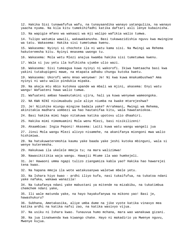12. Hakika Sisi tunawafufua wafu, na tunayaandika wanayo yatanguliza, na wanayo yaacha nyuma. Na kila kitu tumekihifadhi katika daftari asli lenye kubainisha.

13. Na wapigie mfano wa wakaazi wa mji walipo wafikia walio tumwa.

14. Tulipo watumia wawili, wakawakanusha. Basi tukawazidishia nguvu kwa mwingine wa tatu. Wakasema: Hakika sisi tumetumwa kwenu.

15. Wakasema: Nyinyi si chochote ila ni watu kama sisi. Na Mwingi wa Rehema hakuteremsha kitu. Nyinyi mnasema uwongo tu.

16. Wakasema: Mola wetu Mlezi anajua kwamba hakika sisi tumetumwa kwenu.

17. Wala si juu yetu ila kufikisha ujumbe ulio wazi.

18. Wakasema: Sisi tumeagua kuwa nyinyi ni wakorofi. Ikiwa hamtaacha basi kwa yakini tutakupigeni mawe, na mtapata adhabu chungu kutoka kwetu.

19. Wakasema: Ukorofi wenu mnao wenyewe! Je! Ni kwa kuwa mnakumbushwa? Ama nyinyi ni watu walio pindukia mipaka.

20. Na akaja mtu mbio kutokea upande wa mbali wa mjini, akasema: Enyi watu wangu! Wafuateni hawa walio tumwa.

21. Wafuateni ambao hawakutakini ujira, hali ya kuwa wenyewe wameongoka.

22. NA KWA NINI nisimuabudu yule aliye niumba na kwake mtarejeshwa?

23. Je! Niishike miungu mingine badala yake? Arrahmani, Mwingi wa Rehema, akinitakia madhara uombezi wa hao hautanifaa kitu, wala hawataniokoa.

24. Basi hakika mimi hapo nitakuwa katika upotovu ulio dhaahiri.

25. Hakika mimi nimemuamini Mola wenu Mlezi, basi nisikilizeni!

26. Akaambiwa: Ingia Peponi! Akasema: Laiti kuwa watu wangu wangeli jua

27. Jinsi Mola wangu Mlezi alivyo nisamehe, na akanifanya miongoni mwa walio hishimiwa.

28. Na hatukuwateremshia kaumu yake baada yake jeshi kutoka mbinguni, wala si wenye kuteremsha.

29. Hakukuwa ila ukelele mmoja tu; na mara walizimwa!

30. Nawasikitikia waja wangu. Hawajii Mtume ila wao humkejeli.

31. Je! Hawaoni umma ngapi tulizo ziangamiza kabla yao? Hakika hao hawarejei tena kwao.

32. Na hapana mmoja ila wote watakusanywa waletwe mbele yetu.

33. Na Ishara hiyo kwao - ardhi iliyo kufa, nasi tukaifufua, na tukatoa ndani yake nafaka, wakawa wanazila!

34. Na tukafanya ndani yake mabustani ya mitende na mizabibu, na tukatimbua chemchem ndani yake,

35. Ili wale matunda yake, na hayo hayakufanywa na mikono yao! Basi je, hawashukuru?

36. Subhana, Ametakasika, aliye umba dume na jike vyote katika vinavyo mea katika ardhi na katika nafsi zao, na katika wasivyo vijua.

37. Na usiku ni Ishara kwao. Tunauvua humo mchana, mara wao wanakuwa gizani.

38. Na jua linakwenda kwa kiwango chake. Hayo ni makadirio ya Mwenye nguvu, Mwenye kujua.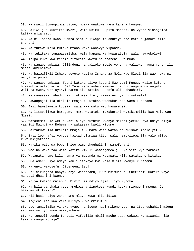39. Na mwezi tumeupimia vituo, mpaka unakuwa kama karara kongwe. 40. Haliwi jua kuufikia mwezi, wala usiku kuupita mchana. Na vyote vinaogelea katika njia zao. 41. Na ni Ishara kwao kwamba Sisi tuliwapakia dhuriya zao katika jahazi ilio sheheni. 42. Na tukawaumbia kutoka mfano wake wanavyo vipanda. 43. Na tukitaka tunawazamisha, wala hapana wa kuwasaidia, wala hawaokolewi, 44. Isipo kuwa kwa rehema zitokazo kwetu na starehe kwa muda. 45. Na wanapo ambiwa: Jilindeni na yalioko mbele yenu na yalioko nyuma yenu, ili mpate kurehemewa... 46. Na haiwafikii Ishara yoyote katika Ishara za Mola wao Mlezi ila wao huwa ni wenye kuipuuza. 47. Na wanapo ambiwa: Toeni katika aliyo kupeni Mwenyezi Mungu, walio kufuru huwaambia walio amini: Je! Tuwalishe ambao Mwenyezi Mungu angependa angeli walisha mwenyewe? Nyinyi hammo ila katika upotofu ulio dhaahiri. 48. Na wanasema: Ahadi hii itatokea lini, ikiwa nyinyi ni wakweli? 49. Hawangojei ila ukelele mmoja tu utakao wachukua nao wamo kuzozana. 50. Basi hawataweza kuusia, wala kwa watu wao hawarejei. 51. Na litapulizwa barugumu, mara watatoka makaburini wakikimbilia kwa Mola wao Mlezi. 52. Watasema: Ole wetu! Nani aliye tufufua kwenye malazi yetu? Haya ndiyo aliyo yaahidi Mwingi wa Rehema na wakasema kweli Mitume. 53. Haitakuwa ila ukelele mmoja tu, mara wote watahudhuruishwa mbele yetu. 54. Basi leo nafsi yoyote haitadhulumiwa kitu, wala hamtalipwa ila yale mliyo kuwa mkiyatenda. 55. Hakika watu wa Peponi leo wamo shughulini, wamefurahi. 56. Wao na wake zao wamo katika vivuli wameegemea juu ya viti vya fakhari. 57. Watapata humo kila namna ya matunda na watapata kila watakacho kitaka. 58. "Salama!" Hiyo ndiyo kauli itokayo kwa Mola Mlezi Mwenye kurehemu. 59. Na enyi wakosefu! Jitengeni leo! 60. Je! Sikuagana nanyi, enyi wanaadamu, kuwa msimuabudu Shet'ani? Hakika yeye ni adui dhaahiri kwenu. 61. Na ya kwamba mniabudu Mimi? Hii ndiyo Njia Iliyo Nyooka. 62. Na bila ya shaka yeye amekwisha lipoteza kundi kubwa miongoni mwenu. Je, hamkuwa mkifikiri? 63. Hii basi ndiyo Jahannamu mliyo kuwa mkiahidiwa. 64. Ingieni leo kwa vile mlivyo kuwa mkikufuru. 65. Leo tunaviziba vinywa vyao, na iseme nasi mikono yao, na itoe ushahidi miguu yao kwa waliyo kuwa wakiyachuma. 66. Na tungeli penda tungeli yafutilia mbali macho yao, wakawa wanaiwania njia. Lakini wange ionaje?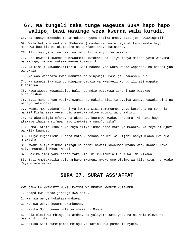# **67. Na tungeli taka tunge wageuza SURA hapo hapo walipo, basi wasinge weza kwenda wala kurudi.**

68. Na tunaye mzeesha tunamrudisha nyuma katika umbo. Basi je! hawazingatii?

69. Wala hatukumfundisha (Muhammad) mashairi, wala hayatakikani kwake hayo. Haukuwa huu ila ni ukumbusho na Qur'ani inayo bainisha.

70. Ili imwonye aliye hai, na neno litimie juu ya makafiri.

71. Je! Hawaoni kwamba tumewaumbia kutokana na iliyo fanya mikono yetu wanyama wa mifugo, na wao wakawa wenye kuwamiliki.

72. Na Sisi tukawadhalilishia. Basi baadhi yao wako wanao wapanda, na baadhi yao wanawala.

73. Na wao wanapata kwao manufaa na vinywaji. Basi je, hawashukuru?

74. Na wameishika miungu mingine badala ya Mwenyezi Mungu ili ati wapate kusaidiwa!

75. Hawataweza kuwasaidia. Bali hao ndio watakuwa askari wao watakao hudhurishwa.

76. Basi maneno yao yasikuhuzunishe. Hakika Sisi tunayajua wanayo yaweka siri na wanayo yatangaza.

77. Kwani mwanaadamu haoni ya kwamba Sisi tumemuumba yeye kutokana na tone la manii? Kisha sasa yeye ndio amekuwa ndiye mgomvi wa dhaahiri!

78. Na akatupigia mfano, na akasahau kuumbwa kwake, akasema: Ni nani huyo atakaye ihuisha mifupa nayo imekwisha mung'unyika?

79. Sema: Ataihuisha huyo huyo aliye iumba hapo mara ya mwanzo. Na Yeye ni Mjuzi wa kila kuumba.

80. Aliye kujaalieni kupata moto kutokana na mti wa kijani nanyi mkawa kwa huo mnawasha.

81. Kwani aliye ziumba mbingu na ardhi hawezi kuwaumba mfano wao? Kwani! Naye ndiye Muumbaji Mkuu, Mjuzi.

82. Hakika amri yake anapo taka kitu ni kukiambia tu: Kuwa! Na kikawa.

83. Basi Ametakasika yule ambaye mkononi mwake umo Ufalme wa kila kitu; na kwake Yeye mtarejeshwa.

### **SURA 37. SURAT ASS'AFFAT**

KWA JINA LA MWENYEZI MUNGU MWINGI WA REHEMA MWENYE KUREHEMU

1. Naapa kwa wanao jipanga kwa safu.

2. Na kwa wenye kukataza mabaya.

3. Na kwa wenye kusoma Ukumbusho.

4. Hakika Mungu wenu bila ya shaka ni Mmoja.

5. Mola Mlezi wa mbingu na ardhi, na yaliyomo kati yao, na ni Mola Mlezi wa mashariki zote.

6. Hakika Sisi tumeipamba mbingu ya karibu kwa pambo la nyota.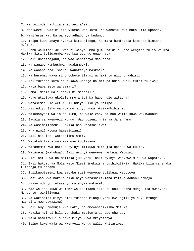- 7. Na kulinda na kila shet'ani a'si.
- 8. Wasiweze kuwasikiliza viumbe watukufu. Na wanafukuzwa huko kila upande.
- 9. Wakifurushwa. Na wanayo adhabu ya kudumu.
- 10. Isipo kuwa anaye nyakua kitu kidogo, na mara humfwatia kimondo kinacho ng'ara.

11. Hebu waulize: Je! Wao ni wenye umbo gumu zaidi au hao wengine tulio waumba. Hakika Sisi tuliwaumba wao kwa udongo unao nata.

12. Bali unastaajabu, na wao wanafanya maskhara.

- 13. Na wanapo kumbushwa hawakumbuki.
- 14. Na wanapo ona Ishara, wanafanya maskhara.
- 15. Na husema: Haya si chochote ila ni uchawi tu ulio dhaahiri.
- 16. Ati tukisha kufa na tukawa udongo na mifupa ndio kweli tutafufuliwa?
- 17. Hata baba zetu wa zamani?
- 18. Sema: Naam! Hali nanyi ni madhalili.
- 19. Huko utapigwa ukelele mmoja tu! Na hapo ndio wataona!
- 20. Watasema: Ole wetu! Hii ndiyo Siku ya Malipo.
- 21. Hii ndiyo Siku ya Hukumu mliyo kuwa mkiikadhibisha.
- 22. Wakusanyeni walio dhulumu, na wake zao, na hao walio kuwa wakiwaabudu -
- 23. Badala ya Mwenyezi Mungu. Waongozeni njia ya Jahannamu!
- 24. Na wasimamisheni. Hakika hao watasailiwa:
- 25. Mna nini? Mbona hamsaidiani?
- 26. Bali hii leo, watasalimu amri.
- 27. Watakabiliana wao kwa wao kuulizana.
- 28. Watasema: Kwa hakika nyinyi mlikuwa mkitujia upande wa kulia.
- 29. Watasema (wakubwa): Bali nyinyi wenyewe hamkuwa Waumini.
- 30. Sisi hatukuwa na mamlaka juu yenu, bali nyinyi wenyewe mlikuwa wapotovu.
- 31. Basi hukumu ya Mola wetu Mlezi imekwisha tuthibitikia. Hakika bila ya shaka tutaonja tu adhabu.
- 32. Tulikupotezeni kwa sababu sisi wenyewe tulikuwa wapotovu.
- 33. Basi wao kwa hakika siku hiyo watashirikiana katika adhabu pamoja.
- 34. Hivyo ndivyo tutakavyo wafanyia wakosefu.
- 35. Wao walipo kuwa wakiambiwa La ilaha illa 'Llahu Hapana mungu ila Mwenyezi Mungu tu, wakijivuna.
- 36. Na wakisema: Hivyo sisi tuiache miungu yetu kwa ajili ya huyu mtunga mashairi mwendawazimu?
- 37. Bali huyu amekuja kwa Haki, na amewasadikisha Mitume.
- 38. Hakika nyinyi bila ya shaka mtaionja adhabu chungu.
- 39. Wala hamlipwi ila hayo mliyo kuwa mkiyafanya.
- 40. Isipo kuwa waja wa Mwenyezi Mungu walio khitariwa.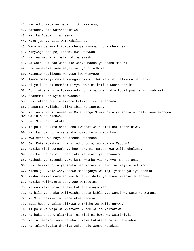- 41. Hao ndio watakao pata riziki maalumu,
- 42. Matunda, nao watahishimiwa.
- 43. Katika Bustani za neema.
- 44. Wako juu ya viti wamekabiliana.
- 45. Wanazungushiwa kikombe chenye kinywaji cha chemchem
- 46. Kinywaji cheupe, kitamu kwa wanywao.
- 47. Hakina madhara, wala hakiwaleweshi.
- 48. Na watakuwa nao wanawake wenye macho ya staha mazuri.
- 49. Hao wanawake kama mayai yaliyo hifadhika.
- 50. Waingie kuulizana wenyewe kwa wenyewe.
- 51. Aseme msemaji mmoja miongoni mwao: Hakika mimi nalikuwa na rafiki
- 52. Aliye kuwa akinambia: Hivyo wewe ni katika wanao sadiki
- 53. Ati tukisha kufa tukawa udongo na mafupa, ndio tutalipwa na kuhisabiwa?
- 54. Atasema: Je! Nyie mnawaona?
- 55. Basi atachungulia amwone katikati ya Jahannamu.
- 56. Atasema: Wallahi! Ulikaribia kunipoteza.
- 57. Na lau kuwa si neema ya Mola wangu Mlezi bila ya shaka ningeli kuwa miongoni mwa walio hudhurishwa.
- 58. Je! Sisi hatutakufa,
- 59. Isipo kuwa kifo chetu cha kwanza? Wala sisi hatutaadhibiwa.
- 60. Hakika huku bila ya shaka ndiko kufuzu kukubwa.
- 61. Kwa mfano wa haya nawatende watendao.
- 62. Je! Kukaribishwa hivi si ndio bora, au mti wa Zaqqum?
- 63. Hakika Sisi tumeufanya huo kuwa ni mateso kwa walio dhulumu.
- 64. Hakika huo ni mti unao toka katikati ya Jahannamu.
- 65. Mashada ya matunda yake kama kwamba vichwa vya mashet'ani.
- 66. Basi hakika bila ya shaka hao watayala hayo, na wajaze matumbo.
- 67. Kisha juu yake wanyweshwe mchanganyo wa maji yamoto yaliyo chemka.
- 68. Kisha hakika marejeo yao bila ya shaka yatakuwa kwenye Jahannamu.
- 69. Hakika waliwakuta baba zao wamepotea.
- 70. Na wao wakafanya haraka kufuata nyayo zao.
- 71. Na bila ya shaka walikwisha potea kabla yao wengi wa watu wa zamani.
- 72. Na Sisi hakika tuliwapelekea waonyaji.
- 73. Basi hebu angalia ulikuwaje mwisho wa walio onywa.
- 74. Isipo kuwa waja wa Mwenyezi Mungu walio khitariwa.
- 75. Na hakika Nuhu alitwita, na Sisi ni bora wa waitikiaji.
- 76. Na tulimwokoa yeye na ahali zake kutokana na msiba mkubwa.
- 77. Na tuliwajaalia dhuriya zake ndio wenye kubakia.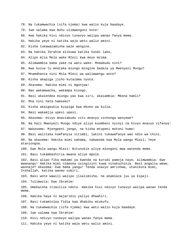- 78. Na tukamwachia (sifa njema) kwa walio kuja baadaye.
- 79. Iwe salama kwa Nuhu ulimwenguni kote!
- 80. Kwa hakika hivi ndivyo tunavyo walipa wanao fanya mema.
- 81. Hakika yeye ni katika waja wetu walio amini.
- 82. Kisha tukawazamisha wale wengine.
- 83. Na hakika Ibrahim alikuwa katika kundi lake,
- 84. Alipo mjia Mola wake Mlezi kwa moyo mzima.
- 85. Alimwambia baba yake na watu wake: Mnaabudu nini?
- 86. Kwa kuzua tu mnataka miungu mingine badala ya Mwenyezi Mungu?
- 87. Mnamdhania nini Mola Mlezi wa walimwengu wote?
- 88. Kisha akapiga jicho kutazama nyota.
- 89. Akasema: Hakika mimi ni mgonjwa!
- 90. Nao wakamwacha, wakampa kisogo.
- 91. Basi akaiendea miungu yao kwa siri, akaiambia: Mbona hamli?
- 92. Mna nini hata hamsemi?
- 93. Kisha akaigeukia kuipiga kwa mkono wa kulia.
- 94. Basi wakamjia upesi upesi.
- 95. Akasema: Hivyo mnaviabudu vitu mnavyo vichonga wenyewe?
- 96. Na hali Mwenyezi Mungu ndiye aliye kuumbeni nyinyi na hivyo mnavyo vifanya!
- 97. Wakasema: Mjengeeni jengo, na kisha mtupeni motoni humo!
- 98. Basi walitaka kumfanyia vitimbi, lakini tukawafanya wao ndio wa chini.
- 99. Na akasema: Hakika mimi nahama, nakwenda kwa Mola wangu Mlezi; Yeye ataniongoa.
- 100. Ewe Mola wangu Mlezi! Nitunukie aliye miongoni mwa watenda mema.
- 101. Basi tukambashiria mwana aliye mpole.
- 102. Basi alipo fika makamo ya kwenda na kurudi pamoja naye, alimwambia: Ewe mwanangu! Hakika mimi nimeona usingizini kuwa ninakuchinja. Basi angalia wewe, waonaje? Akasema: Ewe baba yangu! Tenda unavyo amrishwa, utanikuta mimi, Inshallah, katika wanao subiri.
- 103. Basi wote wawili walipo jisalimisha, na akamlaza juu ya kipaji.
- 104. Tulimwita: Ewe Ibrahim!
- 105. Umekwisha itimiliza ndoto. Hakika hivi ndivyo tunavyo walipa wanao tenda mema.
- 106. Hakika haya ni majaribio yaliyo dhaahiri.
- 107. Basi tukamtolea fidia kwa dhabihu mtukufu.
- 108. Na tukamwachia (sifa njema) kwa watu walio kuja baadaye.
- 109. Iwe salama kwa Ibrahim!
- 110. Hivi ndivyo tunavyo walipa wanao fanya mema.
- 111. Hakika yeye ni katika waja wetu walio amini.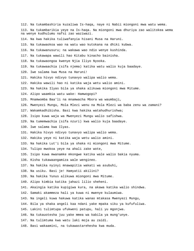112. Na tukambashiria kuzaliwa Is-haqa, naye ni Nabii miongoni mwa watu wema. 113. Na tukambarikia yeye na Is-haqa. Na miongoni mwa dhuriya zao walitokea wema na wenye kudhulumu nafsi zao waziwazi. 114. Na kwa hakika tuliwafanyia hisani Musa na Haruni. 115. Na tukawaokoa wao na watu wao kutokana na dhiki kubwa. 116. Na tukawanusuru; na wakawa wao ndio wenye kushinda. 117. Na tukawapa wawili hao Kitabu kinacho bainisha. 118. Na tukawaongoa kwenye Njia Iliyo Nyooka. 119. Na tukawaachia (sifa njema) katika watu walio kuja baadaye. 120. Iwe salama kwa Musa na Haruni! 121. Hakika hivyo ndivyo tunavyo walipa walio wema. 122. Hakika wawili hao ni katika waja wetu walio amini. 123. Na hakika Ilyas bila ya shaka alikuwa miongoni mwa Mitume. 124. Alipo waambia watu wake: Hamwogopi? 125. Mnamwomba Baa'li na mnamwacha Mbora wa waumbaji, 126. Mwenyezi Mungu, Mola Mlezi wenu na Mola Mlezi wa baba zenu wa zamani? 127. Wakamkadhibisha. Basi kwa hakika watahudhurishwa; 128. Isipo kuwa waja wa Mwenyezi Mungu walio safishwa. 129. Na tumemwachia (sifa nzuri) kwa walio kuja baadaye. 130. Iwe salama kwa Ilyas. 131. Hakika hivyo ndivyo tunavyo walipa walio wema. 132. Hakika yeye ni katika waja wetu walio amini. 133. Na hakika Lut'i bila ya shaka ni miongoni mwa Mitume. 134. Tulipo mwokoa yeye na ahali zake wote, 135. Isipo kuwa mwanamke mkongwe katika wale walio bakia nyuma. 136. Kisha tukawaangamiza wale wengineo. 137. Na hakika nyinyi mnawapitia wakati wa asubuhi, 138. Na usiku. Basi je! Hamyatii akilini? 139. Na hakika Yunus alikuwa miongoni mwa Mitume. 140. Alipo kimbia katika jahazi lilio sheheni. 141. Akaingia katika kupigiwa kura, na akawa katika walio shindwa. 142. Samaki akammeza hali ya kuwa ni mwenye kulaumiwa. 143. Na ingeli kuwa hakuwa katika wanao mtakasa Mwenyezi Mungu, 144. Bila ya shaka angeli kaa ndani yake mpaka siku ya kufufuliwa. 145. Lakini tulimtupa ufukweni patupu, hali yu mgonjwa. 146. Na tukauotesha juu yake mmea wa kabila ya mung'unye. 147. Na tulimtuma kwa watu laki moja au zaidi. 148. Basi wakaamini, na tukawastarehesha kwa muda.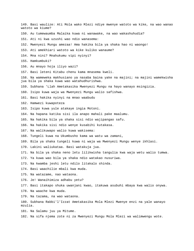149. Basi waulize: Ati Mola wako Mlezi ndiye mwenye watoto wa kike, na wao wanao watoto wa kiume? 150. Au tumewaumba Malaika kuwa ni wanawake, na wao wakashuhudia? 151. Ati ni kwa uzushi wao ndio wanasema: 152. Mwenyezi Mungu amezaa! Ama hakika bila ya shaka hao ni waongo! 153. Ati amekhiari watoto wa kike kuliko wanaume? 154. Mna nini? Mnahukumu vipi nyinyi? 155. Hamkumbuki? 156. Au mnayo hoja iliyo wazi? 157. Basi leteni Kitabu chenu kama mnasema kweli. 158. Na wameweka makhusiano ya nasaba baina yake na majini; na majini wamekwisha jua bila ya shaka kuwa wao watahudhurishwa. 159. Subhana 'Llah Ametakasika Mwenyezi Mungu na hayo wanayo msingizia. 160. Isipo kuwa waja wa Mwenyezi Mungu walio safishwa. 161. Basi hakika nyinyi na mnao waabudu 162. Hamwezi kuwapoteza 163. Isipo kuwa yule atakaye ingia Motoni. 164. Na hapana katika sisi ila anapo mahali pake maalumu. 165. Na hakika bila ya shaka sisi ndio wajipangao safu. 166. Na hakika sisi ndio wenye kusabihi kutakasa. 167. Na walikuwapo walio kuwa wakisema: 168. Tungeli kuwa na Ukumbusho kama wa watu wa zamani, 169. Bila ya shaka tungeli kuwa ni waja wa Mwenyezi Mungu wenye ikhlasi. 170. Lakini waliukataa. Basi watakuja jua. 171. Na bila ya shaka neno letu lilikwisha tangulia kwa waja wetu walio tumwa. 172. Ya kuwa wao bila ya shaka ndio watakao nusuriwa. 173. Na kwamba jeshi letu ndilo litakalo shinda. 174. Basi waachilie mbali kwa muda. 175. Na watazame, nao wataona. 176. Je! Wanaihimiza adhabu yetu? 177. Basi itakapo shuka uwanjani kwao, itakuwa asubuhi mbaya kwa walio onywa. 178. Na waache kwa muda. 179. Na tazama, na wao wataona. 180. Subhana Rabbi'l'Izzat Ametakasika Mola Mlezi Mwenye enzi na yale wanayo mzulia. 181. Na Salamu juu ya Mitume. 182. Na sifa njema zote ni za Mwenyezi Mungu Mola Mlezi wa walimwengu wote.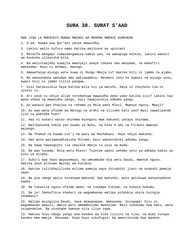### **SURA 38. SURAT S'AAD**

KWA JINA LA MWENYEZI MUNGU MWINGI WA REHEMA MWENYE KUREHEMU

1. S'ad, Naapa kwa Qur'ani yenye mawaidha.

2. Lakini walio kufuru wamo katika majivuno na upinzani

3. Mataifa mangapi tumeyaangamiza kabla yao, na wakapiga kelele, lakini wakati wa kuokoka ulikwisha pita.

4. Na walistaajabu kuwajia mwonyaji anaye tokana nao wenyewe, na makafiri wakasema: Huyu ni mchawi, mwongo.

5. Amewafanya miungu wote kuwa ni Mungu Mmoja tu? Hakika hili ni jambo la ajabu.

6. Na wakaondoka wakubwa wao wakiwaambia: Nendeni zenu na dumuni na miungu yenu, kwani hili ni jambo lililo pangwa.

7. Sisi hatukusikia haya katika mila hii ya mwisho. Haya si chochote ila ni uzushi tu.

8. Ati yeye tu ndiye aliye teremshiwa mawaidha peke yake katika sisi? Lakini hao wana shaka na mawaidha yangu, bali hawajaionja adhabu yangu.

9. Au wanazo wao khazina za rehema za Mola wako Mlezi, Mwenye nguvu, Mpaji?

10. Au wao wana ufalme wa mbingu na ardhi na viliomo kati yao? Basi nawazipande njia za kwendea huko!

11. Hao ni askari watao shindwa miongoni mwa makundi yatayo shindwa.

12. Walikanusha kabla yao kaumu ya Nuhu, na kina A'adi na Firauni mwenye majengo.

13. Na Thamud na kaumu Lut'i na watu wa Machakani. Hayo ndiyo makundi.

14. Hao wote waliwakadhibisha Mitume; basi wakastahiki adhabu yangu.

15. Na hawa hawangojei ila ukelele mmoja tu usio na muda.

16. Na wao husema: Mola wetu Mlezi! Tuletee upesi sehemu yetu ya adhabu kabla ya Siku ya Hisabu.

17. Subiri kwa hayo wayasemayo, na umkumbuke mja wetu Daudi, mwenye nguvu. Hakika yeye alikuwa mwingi wa kutubia.

18. Hakika tuliidhalilisha milima pamoja naye ikisabihi jioni na asubuhi pamoja naye.

19. Na pia ndege walio kusanywa makundi kwa makundi; wote walikuwa wanyenyekevu kwake.

20. Na tukautia nguvu ufalme wake, na tukampa hikima, na kukata hukumu.

21. Na je! Imekufikia khabari ya wagombanao walipo pindukia ukuta kuingia chumbani?

22. Walipo muingilia Daudi, naye akawaogopa. Wakasema: Usiogope! Sisi ni wagombanao wawili, mmoja wetu amemdhulumu mwenziwe. Basi tuhukumu kwa haki, wala usipendelee. Na utuongoe kwenye njia iliyo sawa.

23. Hakika huyu ndugu yangu ana kondoo wa kike tisiini na tisa; na mimi ninaye kondoo mke mmoja. Akasema: Nipe huyo nikufugie! Na amenishinda kwa maneno.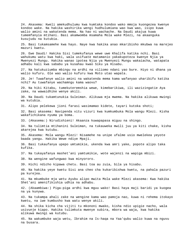24. Akasema: Kweli amekudhulumu kwa kumtaka kondoo wako mmoja kuongezea kwenye kondoo wake. Na hakika washirika wengi hudhulumiana wao kwa wao, isipo kuwa walio amini na wakatenda mema. Na hao ni wachache. Na Daudi akajua kuwa tumemfanyia mtihani. Basi akamwomba msamaha Mola wake Mlezi, na akaanguka kusujudu na kutubia.

25. Basi tukamsamehe kwa hayo. Naye kwa hakika anao mkaribisho mkubwa na marejeo mazuri kwetu.

26. Ewe Daudi! Hakika Sisi tumekufanya wewe uwe Khalifa katika nchi. Basi wahukumu watu kwa haki, wala usifuate matamanio yakakupoteza kwenye Njia ya Mwenyezi Mungu. Hakika wanao ipotea Njia ya Mwenyezi Mungu wakaiacha, watapata adhabu kali kwa sababu ya kusahau kwao Siku ya Hisabu.

27. Na hatukuziumba mbingu na ardhi na viliomo ndani yao bure. Hiyo ni dhana ya walio kufuru. Ole wao walio kufuru kwa Moto utao wapata.

28. Je! Tuwafanye walio amini na wakatenda mema kama wafanyao uharibifu katika nchi? Au tuwafanye wachamngu kama waovu?

29. Na hiki Kitabu, tumekuteremshia wewe, kimebarikiwa, ili wazizingatie Aya zake, na wawaidhike wenye akili.

30. Na Daudi tukamtunukia Suleiman. Alikuwa mja mwema. Na hakika alikuwa mwingi wa kutubia.

31. Alipo pelekewa jioni farasi wasimamao kidete, tayari kutoka shoti;

32. Basi akasema: Navipenda vitu vizuri kwa kumkumbuka Mola wangu Mlezi. Kisha wakafichikana nyuma ya boma.

33. (Akasema:) Nirudishieni! Akaanza kuwapapasa miguu na shingo.

34. Na tulimtia mtihanini Suleiman, na tukauweka mwili juu ya kiti chake, kisha akarejea kwa kutubu.

35. Akasema: Mola wangu Mlezi! Nisamehe na unipe ufalme usio mwelekea yeyote baada yangu. Hakika Wewe ndiye Mpaji.

36. Basi tukaufanya upepo umtumikie, ukenda kwa amri yake, popote alipo taka kufika.

37. Na tukayafanya mashet'ani yamtumikie, wote wajenzi na wapiga mbizi.

38. Na wengine wafungwao kwa minyororo.

39. Hichi ndicho kipawa chetu. Basi toa au zuia, bila ya hisabu.

40. Na hakika yeye kwetu Sisi ana cheo cha kukaribishwa kwetu, na pahala pazuri pa kurejea.

41. Na mkumbuke mja wetu Ayubu alipo mwita Mola wake Mlezi akasema: Kwa hakika Shet'ani amenifikishia udhia na adhabu.

42. (Akaambiwa:) Piga-piga ardhi kwa mguu wako! Basi haya maji baridi ya kuogea na ya kunywa.

43. Na tukampa ahali zake na wengine kama wao pamoja nao, kuwa ni rehema itokayo kwetu, na iwe kumbusho kwa watu wenye akili.

44. Na shika kicha cha vijiti tu mkononi mwako, kisha ndio upigie nacho, wala usivunje kiapo. Hakika tulimkuta mwenye subira, mbora wa waja, kwa hakika alikuwa mwingi wa kutubu.

45. Na wakumbuke waja wetu, Ibrahim na Is-haqa na Yaa'qubu walio kuwa na nguvu na busara.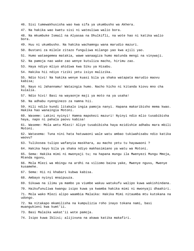46. Sisi tumewakhusisha wao kwa sifa ya ukumbusho wa Akhera. 47. Na hakika wao kwetu sisi ni wateuliwa walio bora. 48. Na mkumbuke Ismail na Alyasaa na Dhulkifli, na wote hao ni katika walio bora. 49. Huu ni ukumbusho. Na hakika wachamngu wana marudio mazuri. 50. Bustani za milele zitazo funguliwa milango yao kwa ajili yao. 51. Humo wataegemea matakia, wawe wanaagiza humo matunda mengi na vinywaji. 52. Na pamoja nao wake zao wenye kutuliza macho, hirimu zao. 53. Haya ndiyo mliyo ahidiwa kwa Siku ya Hisabu. 54. Hakika hii ndiyo riziki yetu isiyo malizika. 55. Ndio hivi! Na hakika wenye kuasi bila ya shaka watapata marudio maovu kabisa; 56. Nayo ni Jahannamu! Wataingia humo. Nacho hicho ni kitanda kiovu mno cha kulalia. 57. Ndio hivi! Basi na wayaonje maji ya moto na ya usaha! 58. Na adhabu nyenginezo za namna hii. 59. Hili ndilo kundi litakalo ingia pamoja nanyi. Hapana makaribisho mema kwao. Hakika hao wanaingia Motoni. 60. Waseme: Lakini nyinyi! Hamna mapokezi mazuri! Nyinyi ndio mlio tusabibisha haya, napo ni pahala paovu kabisa! 61. Waseme: Mola wetu Mlezi! Aliye tusabibisha haya mzidishie adhabu mara mbili Motoni. 62. Watasema: Tuna nini hata hatuwaoni wale watu ambao tukiwahisabu ndio katika waovu? 63. Tulikosea tulipo wafanyia maskhara, au macho yetu tu hayawaoni ? 64. Hakika hayo bila ya shaka ndiyo makhasimiano ya watu wa Motoni. 65. Sema: Hakika mimi ni mwonyaji tu; na hapana mungu ila Mwenyezi Mungu Mmoja, Mtenda nguvu, 66. Mola Mlezi wa mbingu na ardhi na viliomo baina yake, Mwenye nguvu, Mwenye kusamehe. 67. Sema: Hii ni khabari kubwa kabisa. 68. Ambayo nyinyi mnaipuuza. 69. Sikuwa na ilimu ya mambo ya viumbe wakuu watukufu walipo kuwa wakishindana. 70. Haikufunuliwa kwangu isipo kuwa ya kwamba hakika mimi ni mwonyaji dhaahiri. 71. Mola wako Mlezi alipo waambia Malaika: Hakika Mimi nitaumba mtu kutokana na udongo. 72. Na nitakapo mkamilisha na kumpulizia roho inayo tokana nami, basi muangukieni kwa kumt'ii. 73. Basi Malaika wakat'ii wote pamoja. 74. Isipo kuwa Iblisi; alijivuna na akawa katika makafiri.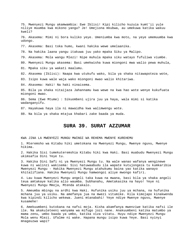75. Mwenyezi Mungu akamwambia: Ewe Iblisi! Kipi kilicho kuzuia kumt'ii yule niliye muumba kwa mikono yangu? Je! Umejiona mkubwa, au umekuwa katika wakuu kweli? 76. Akasema: Mimi ni bora kuliko yeye. Umeniumba kwa moto, na yeye umemuumba kwa udongo. 77. Akasema: Basi toka humo, kwani hakika wewe umelaanika. 78. Na hakika laana yangu itakuwa juu yako mpaka Siku ya Malipo. 79. Akasema: Mola wangu Mlezi! Nipe muhula mpaka siku watayo fufuliwa viumbe. 80. Mwenyezi Mungu akasema: Basi umekwisha kuwa miongoni mwa walio pewa muhula, 81. Mpaka siku ya wakati maalumu. 82. Akasema (Iblisi): Naapa kwa utukufu wako, bila ya shaka nitawapoteza wote, 83. Isipo kuwa wale waja wako miongoni mwao walio khitariwa. 84. Akasema: Haki! Na haki ninaisema. 85. Bila ya shaka nitaijaza Jahannamu kwa wewe na kwa hao wote wenye kukufuata miongoni mwao. 86. Sema (Ewe Mtume) : Sikuombeni ujira juu ya haya, wala mimi si katika wadanganyifu. 87. Hayakuwa haya ila ni mawaidha kwa walimwengu wote. 88. Na bila ya shaka mtajua khabari zake baada ya muda.

### **SURA 39. SURAT AZZUMAR**

KWA JINA LA MWENYEZI MUNGU MWINGI WA REHEMA MWENYE KUREHEMU

1. Mteremsho wa Kitabu hiki umetokana na Mwenyezi Mungu, Mwenye nguvu, Mwenye hikima.

2. Hakika Sisi tumekuteremshia Kitabu hiki kwa Haki. Basi muabudu Mwenyezi Mungu ukimsafia Dini Yeye tu.

3. Hakika Dini Safi ni ya Mwenyezi Mungu tu. Na wale wanao wafanya wenginewe kuwa ni walinzi wakisema: Sisi hatuwaabudu ila wapate kutujongeza tu kumkaribia Mwenyezi Mungu - Hakika Mwenyezi Mungu atahukumu baina yao katika wanayo khitalifiana. Hakika Mwenyezi Mungu hamwongoi aliye mwongo kafiri.

4. Lau kuwa Mwenyezi Mungu angeli taka kuwa na mwana, basi bila ya shaka angeli teua amtakaye katika alio waumba. Subhanahu, Ametakasika na hayo! Yeye ni Mwenyezi Mungu Mmoja, Mtenda atakalo.

5. Ameumba mbingu na ardhi kwa Haki. Hufunika usiku juu ya mchana, na hufunika mchana juu ya usiku. Na amefanya jua na mwezi vitumike. Kila kimojapo kinakwenda kwa kipindi kilicho wekewa. Jueni mtanabahi! Yeye ndiye Mwenye nguvu, Mwenye kusamehe!

6. Amekuumbeni kutokana na nafsi moja. Kisha akamfanya mwenziwe katika nafsi ile ile. Na akakuleteeni wanyama wa mifugo jozi nane. Anakuumbeni katika matumbo ya mama zenu, umbo baada ya umbo, katika viza vitatu. Huyu ndiye Mwenyezi Mungu Mola wenu Mlezi. Ufalme ni wake. Hapana mungu isipo kuwa Yeye. Basi nyinyi mnageuzwa wapi?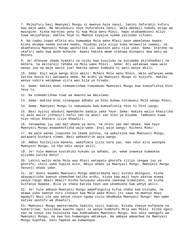7. Mkikufuru basi Mwenyezi Mungu si mwenye haja nanyi, lakini hafurahii kufuru kwa waja wake. Na mkishukuru Yeye hufurahika nanyi. Wala mbebaji habebi mzigo wa mwingine. Kisha marejeo yenu ni kwa Mola wenu Mlezi. Hapo atakwambieni mliyo kuwa mkiyafanya. Hakika Yeye ni Mwenye kuyajua vyema yaliyomo vifuani.

8. Na taabu inapo mfikia mtu humwomba Mola wake Mlezi naye ameelekea kwake. Kisha akimpa neema kutoka kwake, husahau yale aliyo kuwa akimwitia zamani, na akamfanyia Mwenyezi Mungu washirika ili apoteze watu njia yake. Sema: Starehe na ukafiri wako kwa muda mchache. Kwani hakika wewe utakuwa miongoni mwa watu wa Motoni.

9. Je! Afanyae ibada nyakati za usiku kwa kusujudu na kusimama akitahadhari na Akhera, na akitaraji rehema za Mola wake Mlezi...Sema: Ati watakuwa sawa wale wanao jua na wale wasio jua? Hakika wanao kumbuka ni watu wenye akili.

10. Sema: Enyi waja wangu mlio amini! Mcheni Mola wenu Mlezi. Wale wafanyao wema katika dunia hii watapata wema. Na ardhi ya Mwenyezi Mungu ni kunjufu. Hakika wenye subira watapewa ujira wao bila ya hisabu.

11. Sema: Hakika mimi nimeamrishwa nimuabudu Mwenyezi Mungu kwa kumsafishia Dini Yeye tu.

12. Na nimeamrishwa niwe wa mwanzo wa Waislamu.

13. Sema: Hakika mimi ninaogopa adhabu ya Siku Kubwa nikimuasi Mola wangu Mlezi.

14. Sema: Mwenyezi Mungu tu namuabudu kwa kumsafishia Yeye tu Dini yangu.

15. Basi nyinyi abuduni mpendacho badala yake Yeye. Sema: Hakika walio khasirika ni wale walio jikhasiri nafsi zao na ahali zao Siku ya Kiyama. Tambueni kuwa hiyo ndiyo khasara iliyo dhaahiri.

16. Yatawekwa juu yao mat'abaka ya moto, na chini yao mat'abaka. Kwa hayo Mwenyezi Mungu anawakhofisha waja wake. Enyi waja wangu! Nicheni Mimi!

17. Na wale wanao jiepusha na ibada potovu, na wakarejea kwa Mwenyezi Mungu, watapata bishara njema. Basi wabashirie waja wangu.

18. Ambao husikiliza maneno, wakafuata lilio bora yao. Hao ndio alio waongoa Mwenyezi Mungu, na hao ndio wenye akili.

19. Je! Yule mwenye kustahiki hukumu ya adhabu, je, wewe unaweza kumwokoa aliyomo katika Moto?

20. Lakini walio mcha Mola wao Mlezi watapata ghorofa zilizo jengwa juu ya ghorofa; chini yake hupita mito. Ndiyo ahadi ya Mwenyezi Mungu. Mwenyezi Mungu havunji ahadi yake.

21. Je! Huoni kwamba Mwenyezi Mungu ameteremsha maji kutoka mbinguni. Kisha akayapitisha kwenye chemchem katika ardhi, kisha kwa maji hayo akatoa mimea yenye rangi mbali mbali? Kisha hunyauka ukaiona imekuwa kimanjano, na kisha huifanya mapepe. Bila ya shaka katika hayo upo ukumbusho kwa wenye akili.

22. Je! Yule ambaye Mwenyezi Mungu amemfungulia kifua chake kwa Uislamu, na akawa yuko kwenye nuru itokayo kwa Mola wake Mlezi (ni sawa na mwenye moyo mgumu?) Basi ole wao wenye nyoyo ngumu zisio mkumbuka Mwenyezi Mungu! Hao wamo katika upotofu wa dhaahiri.

23. Mwenyezi Mungu ameteremsha hadithi nzuri kabisa, Kitabu chenye kufanana na kukaririwa; husisimua kwacho ngozi za wenye kumkhofu Mola wao Mlezi. Kisha ngozi zao na nyoyo zao hulainika kwa kumkumbuka Mwenyezi Mungu. Huo ndio uwongofu wa Mwenyezi Mungu, na kwa huo humwongoa amtakaye. Na ambaye ameachwa na Mwenyezi Mungu kupotea, basi hapana wa kumwongoa.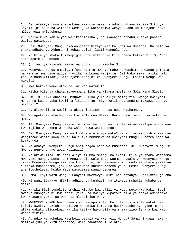24. Je! Atakaye kuwa anapambana kwa uso wake na adhabu mbaya kabisa Siku ya Kiyama (ni sawa na watenda wema?) Na wataambiwa wenye kudhulumu: Onjeni hayo mliyo kuwa mkiyachuma!

25. Walio kuwa kabla yao walikadhibisha , na ikawajia adhabu kutoka pahala wasipo patambua.

26. Basi Mwenyezi Mungu akawaonjesha hizaya katika uhai wa duniani. Na bila ya shaka adhabu ya Akhera ni kubwa zaidi; laiti wangeli jua!

27. Na bila ya shaka tumewapigia watu mifano ya kila namna katika hii Qur'ani ili wapate kukumbuka.

28. Qur'ani ya Kiarabu isiyo na upogo, ili wamche Mungu.

29. Mwenyezi Mungu amepiga mfano wa mtu mwenye mabwana washirika wanao gombana, na wa mtu mwengine aliye khusika na bwana mmoja tu. Je! Wako sawa katika hali zao? Alhamdulillahi, Sifa njema zote ni za Mwenyezi Mungu! Lakini wengi wao hawajui.

30. Kwa hakika wewe utakufa, na wao watakufa.

31. Kisha bila ya shaka mtagombana Siku ya Kiyama mbele ya Mola wenu Mlezi.

32. BASI NI NANI dhaalimu mkubwa kuliko yule aliye msingizia uwongo Mwenyezi Mungu na kuikanusha kweli imfikiapo? Je! Siyo katika Jahannamu makaazi ya hao makafiri?

33. Na aliye ileta Kweli na akaithibitisha - hao ndio wachamngu.

34. Watapata watakacho taka kwa Mola wao Mlezi. Hayo ndiyo malipo ya watendao mema.

35. Ili Mwenyezi Mungu awafutie ukomo wa uovu walio ufanya na awalipe ujira wao kwa mujibu wa ukomo wa wema walio kuwa wakiutenda.

36. Je! Mwenyezi Mungu si wa kumtosheleza mja wake? Na ati wanakutishia kwa hao wenginewe wasio kuwa Yeye! Na aliye hukumiwa na Mwenyezi Mungu kupotea hana wa kumwongoa.

37. Na ambaye Mwenyezi Mungu anamwongoa hana wa kumpotoa. Je! Mwenyezi Mungu si Mwenye nguvu anaye weza kulipiza?

38. Na ukiwauliza: Ni nani aliye ziumba mbingu na ardhi. Bila ya shaka watasema: Mwenyezi Mungu. Sema: Je! Mnawaonaje wale mnao waomba badala ya Mwenyezi Mungu, ikiwa Mwenyezi Mungu akitaka kunidhuru, wao wanaweza kuniondolea dhara yake? Au akitaka kunirehemu, je, wao wanaweza kuzuia rehema yake? Sema: Mwenyezi Mungu ananitosheleza. Kwake Yeye wategemee wanao tegemea.

39. Sema: Enyi watu wangu! Fanyeni mwezavyo, mimi pia nafanya. Basi mtakuja ona

40. Ni nani itakaye mfikia adhabu ya kumhizi, na itakaye mshukia adhabu ya daima.

41. Hakika Sisi tumekuteremshia Kitabu kwa ajili ya watu wote kwa Haki. Basi mwenye kuongoka ni kwa nafsi yake, na mwenye kupotoka bila ya shaka amepotoka kwa khasara yake. Na wewe si mlinzi juu yao.

42. MWENYEZI MUNGU huzipokea roho zinapo kufa. Na zile zisio kufa wakati wa kulala kwake, huzishika zilizo hukumiwa kufa, na huzirudisha nyengine mpaka ufike wakati uliowekwa. Hakika katika hayo bila ya shaka zipo Ishara kwa watu wanao fikiri.

43. Au ndio wanachukua waombezi badala ya Mwenyezi Mungu? Sema: Ingawa hawana mamlaka juu ya kitu chochote, wala hawatambui lolote?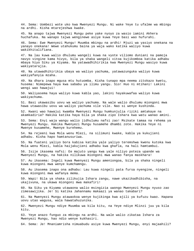44. Sema: Uombezi wote uko kwa Mwenyezi Mungu. Ni wake Yeye tu ufalme wa mbingu na ardhi. Kisha mtarejeshwa kwake.

45. Na anapo tajwa Mwenyezi Mungu peke yake nyoyo za wasio iamini Akhera huchafuka. Na wanapo tajwa wenginewe asiye kuwa Yeye basi wao hufurahi.

46. Sema: Ewe Mwenyezi Mungu! Muumba mbingu na ardhi! Mjuzi wa yasiyo onekana na yanayo onekana! Wewe utahukumu baina ya waja wako katika waliyo kuwa wakikhitalifiana.

47. Na lau kuwa walio dhulumu wangeli kuwa na vyote viliomo duniani na pamoja navyo vingine kama hivyo, bila ya shaka wangeli vitoa kujikomboa katika adhabu mbaya hiyo Siku ya Kiyama. Na yatawadhihirikia kwa Mwenyezi Mungu wasiyo kuwa wakiyatarajia.

48. Na utawadhihirikia ubaya wa waliyo yachuma, yatawazunguka waliyo kuwa wakiyafanyia mzaha.

49. Na dhara inapo mgusa mtu hutuomba. Kisha tunapo mpa neema zitokazo kwetu, husema: Nimepewa haya kwa sababu ya ilimu yangu. Sio! Huo ni mtihani! Lakini wengi wao hawajui!

50. Waliyasema haya waliyo kuwa kabla yao, lakini hayakuwafaa waliyo kuwa wakiyachuma.

51. Basi ukawasibu uovu wa waliyo yachuma. Na wale walio dhulumu miongoni mwa hawa utawasibu uovu wa waliyo yachuma vile vile. Nao si wenye kushinda.

52. Kwani wao hawajui kwamba Mwenyezi Mungu humkunjulia riziki amtakaye na akamkadiria? Hakika katika haya bila ya shaka zipo Ishara kwa watu wanao amini.

53. Sema: Enyi waja wangu walio jidhulumu nafsi zao! Msikate tamaa na rehema ya Mwenyezi Mungu. Hakika Mwenyezi Mungu husamehe dhambi zote. Hakika Yeye ni Mwenye kusamehe, Mwenye kurehemu.

54. Na rejeeni kwa Mola wenu Mlezi, na silimuni kwake, kabla ya kukujieni adhabu. Kisha hapo hamtanusuriwa.

55. Na fuateni yaliyo bora kabisa katika yale yaliyo teremshwa kwenu kutoka kwa Mola wenu Mlezi, kabla haijakujieni adhabu kwa ghafla, na hali hamtambui.

56. Isije ikasema nafsi: Ee majuto yangu kwa yale niliyo poteza upande wa Mwenyezi Mungu, na hakika nilikuwa miongoni mwa wanao fanya maskhara!

57. Au ikasema: Ingeli kuwa Mwenyezi Mungu ameniongoa, bila ya shaka ningeli kuwa miongoni mwa wenye kumchamngu.

58. Au ikasema inapo ona adhabu: Lau kuwa ningeli pata fursa nyengine, ningeli kuwa miongoni mwa wafanya mema.

59. Wapi! Bila ya shaka zilikujia Ishara zangu, nawe ukazikadhibisha, na ukajivuna, na ukawa miongoni mwa makafiri!

60. Na Siku ya Kiyama utawaona walio msingizia uwongo Mwenyezi Mungu nyuso zao zimesawijika. Je! Si katika Jahannamu makaazi ya wanao takabari?

61. Na Mwenyezi Mungu atawaokoa wenye kujikinga kwa ajili ya kufuzu kwao. Hapana uovu utao wagusa, wala hawatahuzunika.

62. Mwenyezi Mungu ndiye Muumba wa kila kitu, na Yeye ndiye Mlinzi juu ya kila kitu.

63. Yeye anazo funguo za mbingu na ardhi. Na wale walio zikataa Ishara za Mwenyezi Mungu, hao ndio wenye kukhasiri.

64. Sema: Je! Mnaniamrisha nimuabudu asiye kuwa Mwenyezi Mungu, enyi majaahili?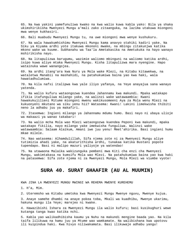65. Na kwa yakini yamefunuliwa kwako na kwa walio kuwa kabla yako: Bila ya shaka ukimshirikisha Mwenyezi Mungu a'mali zako zitaanguka, na lazima utakuwa miongoni mwa wenye kukhasiri.

66. Bali muabudu Mwenyezi Mungu tu, na uwe miongoni mwa wenye kushukuru.

67. Na wala hawakumhishimu Mwenyezi Mungu kama anavyo stahiki kadiri yake. Na Siku ya Kiyama ardhi yote itakuwa mkononi mwake, na mbingu zitakunjwa katika mkono wake wa kuume. Subhanahu wa Taa'la Ametakasika na Ametukuka na hayo wanayo mshirikisha nayo.

68. Na litapulizwa barugumu, wazimie waliomo mbinguni na waliomo katika ardhi, isipo kuwa aliye mtaka Mwenyezi Mungu. Kisha litapulizwa mara nyengine. Hapo watainuka wawe wanangojea.

69. Na ardhi itang'ara kwa Nuru ya Mola wake Mlezi, na Kitabu kitawekwa, na wataletwa Manabii na mashahidi, na patahukumiwa baina yao kwa haki, wala hawatadhulumiwa.

70. Na kila nafsi italipwa kwa yale iliyo yafanya, na Yeye anayajua sana wanayo yatenda.

71. Na walio kufuru wataongozwa kuendea Jahannamu kwa makundi. Mpaka watakapo ifikia itafunguliwa milango yake, na walinzi wake watawaambia: Kwani hawakukujilieni Mitume miongoni mwenu wakikusomeeni Aya za Mola wenu Mlezi na kukuonyeni mkutano wa siku yenu hii? Watasema: Kwani! Lakini limekwisha thibiti neno la adhabu juu ya makafiri.

72. Itasemwa: Ingieni milango ya Jahannamu mdumu humo. Basi nayo ni ubaya ulioje wa makaazi ya wanao takabari!

73. Na walio mcha Mola wao Mlezi wataongozwa kuendea Peponi kwa makundi, mpaka watakapo fikilia, nayo milango yake imekwisha funguliwa. Walinzi wake watawaambia: Salaam Alaikum, Amani iwe juu yenu! Mmet'ahirika. Basi ingieni humu mkae milele.

74. Nao watasema: Alhamdulillah, Sifa njema zote ni za Mwenyezi Mungu aliye tutimizia ahadi yake, na akaturithisha ardhi, tunakaa katika Bustani popote tupendapo. Basi ni malipo mazuri yaliyoje ya watendao!

75. Na utawaona Malaika wakizunguka pembeni mwa Kiti cha enzi cha Mwenyezi Mungu, wakimtakasa na kumsifu Mola wao Mlezi. Na patahukumiwa baina yao kwa haki na patasemwa: Sifa zote njema ni za Mwenyezi Mungu, Mola Mlezi wa viumbe vyote!

#### **SURA 40. SURAT GHAAFIR (AU AL MUUMIN)**

KWA JINA LA MWENYEZI MUNGU MWINGI WA REHEMA MWENYE KUREHEMU

1. H'a, Mim.

2. Uteremsho wa Kitabu umetoka kwa Mwenyezi Mungu Mwenye nguvu, Mwenye kujua.

3. Anaye samehe dhambi na anaye pokea toba, Mkali wa kuadhibu, Mwenye ukarimu, hakuna mungu ila Yeye; marejeo ni kwake.

4. Hawazibishi Ishara za Mwenyezi Mungu ila walio kufuru; basi kusikughuri wewe kutanga tanga kwao katika nchi.

5. Kabla yao walikadhibisha kaumu ya Nuhu na makundi mengine baada yao. Na kila taifa lilikuwa na hamu juu ya Mtume wao wamkamate. Na walibishana kwa upotovu ili kuipindua haki. Kwa hivyo niliwakamata. Basi ilikuwaje adhabu yangu!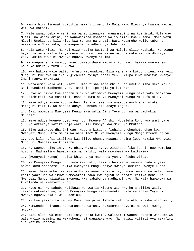6. Namna hivi limewathibitikia makafiri neno la Mola wako Mlezi ya kwamba wao ni watu wa Motoni.

7. Wale wanao beba A'rshi, na wanao izunguka, wanamsabihi na kumhimidi Mola wao Mlezi, na wanamuamini, na wanawaombea msamaha walio amini kwa kusema: Mola wetu Mlezi! Umekienea kila kitu kwa rehema na ujuzi. Basi wasamehe walio tubu na wakaifuata Njia yako, na waepushe na adhabu ya Jahannamu.

8. Mola wetu Mlezi! Na waingize katika Bustani za Milele ulizo waahidi. Na uwape haya pia wale walio fanya mema miongoni mwa wazee wao na wake zao na dhuriya zao. Hakika Wewe ni Mwenye nguvu, Mwenye hikima.

9. Na waepushe na maovu; kwani umwepushaye maovu siku hiyo, hakika umemrehemu; na huko ndiko kufuzu kukubwa.

10. Kwa hakika wale walio kufuru watanadiwa: Bila ya shaka kukuchukieni Mwenyezi Mungu ni kukubwa kuliko kujichukia nyinyi nafsi zenu, mlipo kuwa mnaitwa kwenye Imani nanyi mkakataa.

11. Watasema: Mola wetu Mlezi! Umetufisha mara mbili, na umetuhuisha mara mbili! Basi tunakiri madhambi yetu. Basi je, ipo njia ya kutoka?

12. Hayo ni hivyo kwa sababu mlikuwa akiombwa Mwenyezi Mungu peke yake mnakataa. Na akishirikishwa mnaamini. Basi hukumu ni ya Mwenyezi Mungu Mtukufu Mkuu.

13. Yeye ndiye anaye kuonyesheni Ishara zake, na anakuteremshieni kutoka mbinguni riziki. Na hapana anaye kumbuka ila anaye rejea.

14. Basi mwombeni Mwenyezi Mungu mkimsafia Dini Yeye tu, na wangachukia makafiri.

15. Yeye ndiye Mwenye vyeo vya juu, Mwenye A'rshi. Hupeleka Roho kwa amri yake juu ya amtakaye katika waja wake, ili kuonya kwa Siku ya Mkutano.

16. Siku watakayo dhihiri wao. Hapana kitacho fichikana chochote chao kwa Mwenyezi Mungu. Ufalme ni wa nani leo? Ni wa Mwenyezi Mungu Mmoja Mtenda nguvu.

17. Leo kila nafsi italipwa kwa iliyo chuma. Hapana dhulma leo. Hakika Mwenyezi Mungu ni Mwepesi wa kuhisabu.

18. Na waonye siku inayo kurubia, wakati nyoyo zitakapo fika kooni, nao wamejaa huzuni. Madhaalimu hawatakuwa na rafiki, wala mwombezi wa kuitikiwa.

19. (Mwenyezi Mungu) anajua khiyana ya macho na yanayo ficha vifua.

20. Na Mwenyezi Mungu huhukumu kwa haki; lakini hao wanao waomba badala yake hawahukumu chochote. Hakika Mwenyezi Mungu ndiye Mwenye kusikia Mwenye kuona.

21. Kwani hawatembei katika ardhi wakaona jinsi ulivyo kuwa mwisho wa walio kuwa kabla yao? Hao walikuwa wamewazidi hawa kwa nguvu na athari katika nchi. Na Mwenyezi Mungu aliwatia mkononi kwa sababu ya madhambi yao. Na wala hapakuwa wa kuwalinda na Mwenyezi Mungu.

22. Hayo ni kwa sababu walikuwa wanawajia Mitume wao kwa hoja zilizo wazi, lakini wakawakataa, ndipo Mwenyezi Mungu akawakamata. Bila ya shaka Yeye ni Mwenye nguvu, Mkali wa kuadhibu.

23. Na kwa yakini tulimtuma Musa pamoja na Ishara zetu na uthibitisho ulio wazi,

24. Kumwendea Firauni na Hamana na Qaruni, wakasema: Huyu ni mchawi, mwongo mkubwa.

25. Basi alipo waletea Haki inayo toka kwetu, walisema: Waueni watoto wanaume wa wale walio muamini na wawacheni hai wanawake wao. Na haviwi vitimbi vya makafiri ila katika upotovu.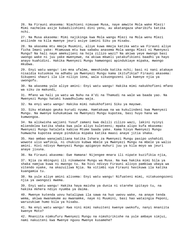26. Na Firauni akasema: Niachieni nimuuwe Musa, naye amwite Mola wake Mlezi! Mimi nachelea asije kubadilishieni dini yenu, au akatangaza uharibifu katika nchi.

27. Na Musa akasema: Mimi najikinga kwa Mola wangu Mlezi na Mola wenu Mlezi anilinde na kila mwenye jeuri asiye iamini Siku ya Hisabu.

28. Na akasema mtu mmoja Muumini, aliye kuwa mmoja katika watu wa Firauni aliye ficha Imani yake: Mtamuuwa mtu kwa sababu anasema Mola wangu Mlezi ni Mwenyezi Mungu? Na hali naye amekujieni na hoja zilizo wazi? Na akiwa yeye mwongo basi uwongo wake ni juu yake mwenyewe, na akiwa mkweli yatakufikieni baadhi ya hayo anayo kuahidini. Hakika Mwenyezi Mungu hamwongoi apindukiaye mipaka, mwongo mkubwa.

29. Enyi watu wangu! Leo mna ufalme, mmeshinda katika nchi; basi ni nani atakaye nisaidia kutuokoa na adhabu ya Mwenyezi Mungu kama ikitufikia? Firauni akasema: Sikupeni shauri ila ile niliyo iona, wala sikuongozeni ila kwenye njia ya uwongofu.

30. Na akasema yule aliye amini: Enyi watu wangu! Hakika mimi nakukhofieni mfano wa siku za makundi,

31. Mfano wa hali ya watu wa Nuhu na A'di na Thamudi na wale wa baada yao. Na Mwenyezi Mungu hataki kuwadhulumu waja.

32. Na enyi watu wangu! Hakika mimi nakukhofieni Siku ya mayowe.

33. Siku mtakapo geuka kurudi nyuma. Hamtakuwa na wa kukulindeni kwa Mwenyezi Mungu. Na mwenye kuhukumiwa na Mwenyezi Mungu kupotea, basi huyo hana wa kumwongoa.

34. Na alikwisha wajieni Yusuf zamani kwa dalili zilizo wazi, lakini nyinyi mliendelea katika shaka kwa yale aliyo kuleteeni; mpaka alipo kufa mkasema: Mwenyezi Mungu hataleta kabisa Mtume baada yake. Kama hivyo Mwenyezi Mungu humwacha kupotea anaye pindukia mipaka katika maasi anaye jitia shaka.

35. Hao ambao wanajadiliana katika Ishara za Mwenyezi Mungu pasipo ushahidi wowote ulio wafikia, ni chukizo kubwa mbele ya Mwenyezi Mungu na mbele ya walio amini. Hivi ndivyo Mwenyezi Mungu apigavyo muhuri juu ya kila moyo wa jeuri anaye jivuna.

36. Na Firauni akasema: Ewe Hamana! Nijengee mnara ili nipate kuzifikia njia,

37. Njia za mbinguni ili nikamwone Mungu wa Musa. Na kwa hakika mimi bila ya shaka namjua kuwa ni mwongo tu. Na hivi ndivyo Firauni alivyo pambiwa ubaya wa vitendo vyake, na akazuiliwa Njia. Na vitimbi vya Firauni havikuwa ila katika kuangamia tu.

38. Na yule aliye amini alisema: Enyi watu wangu! Nifuateni mimi, nitakuongozeni njia ya uwongozi mwema.

39. Enyi watu wangu! Hakika haya maisha ya dunia ni starehe ipitayo tu, na hakika Akhera ndiyo nyumba ya daima.

40. Mwenye kutenda uovu hatalipwa ila sawa na huo uwovu wake, na anaye tenda wema, akiwa mwanamume au mwanamke, naye ni Muumini, basi hao wataingia Peponi, waruzukiwe humo bila ya hisabu.

41. Na enyi watu wangu! Kwa nini mimi nakuiteni kwenye uwokofu, nanyi mnaniita kwenye Moto?

42. Mnaniita nimkufuru Mwenyezi Mungu na nimshirikishe na yule ambaye simjui, nami nakuiteni kwa Mwenye nguvu Mwenye kusamehe?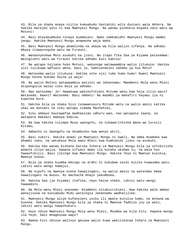43. Bila ya shaka mnaye niitia kumuabudu hastahiki wito duniani wala Akhera. Na hakika marejeo yetu ni kwa Mwenyezi Mungu. Na wanao pindukia mipaka ndio watu wa Motoni!

44. Basi mtayakumbuka ninayo kuambieni. Nami namkabidhi Mwenyezi Mungu mambo yangu. Hakika Mwenyezi Mungu anawaona waja wake.

45. Basi Mwenyezi Mungu akamlinda na ubaya wa hila walizo zifanya. Na adhabu mbaya itawazunguka watu wa Firauni.

46. Wanaonyeshwa Moto asubuhi na jioni. Na itapo fika Saa ya Kiyama patasemwa: Waingizeni watu wa Firauni katika adhabu kali kabisa!

47. Na watapo hojiana huko Motoni, wanyonge watawaambia walio jitukuza: Hakika sisi tulikuwa wafuasi wenu, basi je, hamtuondolei sehemu ya huu Moto?

48. Watasema walio jitukuza: Hakika sote sisi tumo humo humo! Kwani Mwenyezi Mungu kesha hukumu baina ya waja!

49. Na walio Motoni watawaambia walinzi wa Jahannamu: Mwombeni Mola wenu Mlezi atupunguzie walau siku moja ya adhabu.

50. Nao watasema: Je! Hawakuwa wakikufikieni Mitume wenu kwa hoja zilio wazi? Watasema: Kwani? Watasema: Basi ombeni! Na maombi ya makafiri hayawi ila ni kupotea bure.

51. Hakika bila ya shaka Sisi tunawanusuru Mitume wetu na walio amini katika uhai wa duniani na siku watapo simama Mashahidi,

52. Siku ambayo hautawafaa madhaalimu udhuru wao, nao watapata laana, na watapata makaazi mabaya kabisa.

53. Na kwa hakika tulimpa Musa uwongofu, na tukawarithisha Wana wa Israili Kitabu,

54. Ambacho ni Uwongofu na Ukumbusho kwa wenye akili.

55. Basi subiri. Hakika ahadi ya Mwenyezi Mungu ni kweli. Na omba msamaha kwa dhambi zako, na umtakase Mola wako Mlezi kwa kumhimidi jioni na asubuhi.

56. Hakika hao wanao bishana katika Ishara za Mwenyezi Mungu bila ya uthibitisho wowote uliyo wajia, hawana vifuani mwao ila kutaka ukubwa tu, na wala huo hawaufikilii. Basi jikinge kwa Mwenyezi Mungu. Hakika Yeye ni Mwenye kusikia, Mwenye kuona.

57. Bila ya shaka kuumba mbingu na ardhi ni kukubwa zaidi kuliko kuwaumba watu. Lakini watu wengi hawajui.

58. Na kipofu na mwenye kuona hawalingani; na walio amini na watendao mema hawalingani na muovu. Ni machache mnayo yakumbuka.

59. Hakika Saa (ya Kiyama) itafika, nayo haina shaka. Lakini watu wengi hawaamini.

60. Na Mola wenu Mlezi anasema: Niombeni nitakuitikieni. Kwa hakika wale ambao wanajivuna na kuniabudu Mimi wataingia Jahannamu wadhalilike.

61. Mwenyezi Mungu aliye kufanyieni usiku ili mpate kutulia humo, na mchana wa kuonea. Hakika Mwenyezi Mungu bila ya shaka ni Mwenye fadhila juu ya watu, lakini watu wengi hawashukuru.

62. Huyo ndiye Mwenyezi Mungu Mola wenu Mlezi, Muumba wa kila kitu. Hapana mungu ila Yeye; basi mnageuzwa wapi?

63. Namna hivi ndivyo walivyo geuzwa walio kuwa wakizikataa Ishara za Mwenyezi Mungu.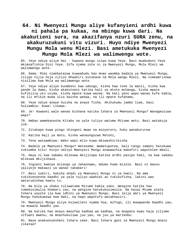**64. Ni Mwenyezi Mungu aliye kufanyieni ardhi kuwa ni pahala pa kukaa, na mbingu kuwa dari. Na akakutieni sura, na akazifanya nzuri SURA zenu, na akakuruzukuni vitu vizuri. Huyo ndiye Mwenyezi Mungu Mola wenu Mlezi. Basi ametukuka Mwenyezi Mungu Mola Mlezi wa walimwengu wote.** 

65. Yeye ndiye aliye Hai - hapana mungu isipo kuwa Yeye. Basi muabuduni Yeye mkimsafishia Dini Yeye. Sifa njema zote ni za Mwenyezi Mungu, Mola Mlezi wa walimwengu wote.

66. Sema: Mimi nimekatazwa kuwaabudu hao mnao waomba badala ya Mwenyezi Mungu, zilipo nijia hoja zilizo dhaahiri kutokana na Mola wangu Mlezi. Na nimeamrishwa nisilimu kwa Mola wa walimwengu wote.

67. Yeye ndiye aliye kuumbeni kwa udongo, kisha kwa tone la manii, kisha kwa pande la damu, kisha akakutoeni katika hali ya mtoto mchanga, kisha mpate kufikilia utu uzima, kisha mpate kuwa wazee. Na kati yenu wapo wanao kufa kabla, na ili mfikie muda ulio kwisha wekwa, na ili mpate kufahamu.

68. Yeye ndiye anaye huisha na anaye fisha. Akihukumu jambo liwe, basi huliambia: Kuwa! Likawa.

69. Je! Huwaoni wale wanao bishana katika Ishara za Mwenyezi Mungu? Wanageuziwa wapi?

70. Ambao wamekanusha Kitabu na yale tuliyo watuma Mitume wetu. Basi watakuja jua.

71. Zitakapo kuwa pingu shingoni mwao na minyororo, huku wanabururwa

72. Katika maji ya moto, kisha wanaunguzwa Motoni,

73. Tena wataambiwa: Wako wapi mlio kuwa mkiwashirikisha

74. Badala ya Mwenyezi Mungu? Watasema: Wametupotea, bali tangu zamani hatukuwa tukiomba kitu! Hivyo ndivyo Mwenyezi Mungu anawaachia makafiri wapotelee mbali.

75. Haya ni kwa sababu mlikuwa mkijitapa katika ardhi pasipo haki, na kwa sababu mlikuwa mkijishaua.

76. Ingieni kwenye milango ya Jahannamu, mdumu humo milele. Basi ni maovu yaliyoje makaazi ya wanao takabari!

77. Basi subiri, hakika ahadi ya Mwenyezi Mungu ni ya kweli. Na ama tukikuonyesha baadhi ya yale tuliyo waahidi au tukikufisha, lakini wao watarudishwa kwetu tu.

78. Na bila ya shaka tuliwatuma Mitume kabla yako. Wengine katika hao tumekusimulia khabari zao, na wengine hatukukusimulia. Na haiwi Mtume alete Ishara yoyote ila kwa idhini ya Mwenyezi Mungu. Basi ikija amri ya Mwenyezi Mungu huhukumiwa kwa Haki, na hapo wapotofu watakhasiri.

79. Mwenyezi Mungu aliye kujaalieni nyama hoa, mifugo, ili muwapande baadhi yao, na muwale baadhi yao.

80. Na katika hao mnayo manufaa kadhaa wa kadhaa, na mnapata kwao haja ziliomo vifuani mwenu; na mnachukuliwa juu yao, na juu ya marikebu.

81. Naye anakuonyesheni Ishara zake. Basi Ishara gani za Mwenyezi Mungu mnazo zikataa?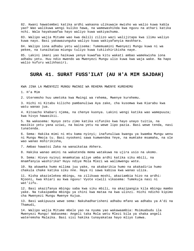82. Kwani hawatembei katika ardhi wakaona ulikuwaje mwisho wa walio kuwa kabla yao? Wao walikuwa wengi kuliko hawa, na wamewashinda kwa nguvu na athari katika nchi. Wala hayakuwafaa hayo waliyo kuwa wakiyachuma.

83. Walipo wajia Mitume wao kwa dalili zilizo wazi walijitapa kwa ilimu waliyo kuwa nayo. Basi yakawazunguka waliyo kuwa wakiyafanyia maskhara.

84. Walipo iona adhabu yetu walisema: Tumemuamini Mwenyezi Mungu kuwa ni wa pekee, na tunaikataa miungu tuliyo kuwa tukiishirikisha naye.

85. Lakini imani yao haikuwa yenye kuwafaa kitu wakati ambao wamekwisha iona adhabu yetu. Huu ndio mwendo wa Mwenyezi Mungu ulio kuwa kwa waja wake. Na hapo walio kufuru walikhasiri.

#### **SURA 41. SURAT FUSS'ILAT (AU H'A MIM SAJDAH)**

KWA JINA LA MWENYEZI MUNGU MWINGI WA REHEMA MWENYE KUREHEMU

1. H'a Mim

2. Uteremsho huu umetoka kwa Mwingi wa rehema, Mwenye kurehemu.

3. Hichi ni Kitabu kilicho pambanuliwa Aya zake, cha kusomwa kwa Kiarabu kwa watu wanao jua.

4. Kitoacho khabari njema, na chenye kuonya. Lakini wengi katika wao wamepuuza; kwa hivyo hawasikii.

5. Na wakasema: Nyoyo zetu zimo katika vifuniko kwa hayo unayo tuitia, na masikio yetu yana uziwi, na baina yetu na wewe lipo pazia. Basi wewe tenda, nasi tunatenda.

6. Sema: Hakika mimi ni mtu kama nyinyi; inafunuliwa kwangu ya kwamba Mungu wenu ni Mungu Mmoja tu. Basi nyookeni sawa kumwendea Yeye, na mumtake msamaha, na ole wao wanao mshirikisha,

7. Ambao hawatoi Zaka na wanaikataa Akhera.

8. Hakika wanao amini na wakatenda mema watakuwa na ujira usio na ukomo.

9. Sema: Hivyo nyinyi mnamkataa aliye umba ardhi katika siku mbili, na mnamfanyia washirika? Huyu ndiye Mola Mlezi wa walimwengu wote.

10. Na akaweka humo milima juu yake, na akabarikia humo na akakadiria humo chakula chake katika siku nne. Haya ni sawa kabisa kwa wanao uliza.

11. Kisha akazielekea mbingu, na zilikuwa moshi, akaziambia hizo na ardhi: Njooni, kwa khiari au kwa nguvu! Vyote viwili vikasema: Tumekuja nasi ni wat'iifu.

12. Basi akazifanya mbingu saba kwa siku mbili, na akazipangia kila mbingu mambo yake. Na tukaipamba mbingu ya chini kwa mataa na kwa ulinzi. Hichi ndicho kipimo cha Mwenyezi Mungu Mwenye Kujua.

13. Basi wakipuuza wewe sema: Nakuhadharisheni adhabu mfano wa adhabu ya A'di na Thamudi,

14. Walipo wajia Mitume mbele yao na nyuma yao wakawaambia: Msimuabudu ila Mwenyezi Mungu! Wakasema: Angeli taka Mola wetu Mlezi bila ya shaka angeli wateremsha Malaika. Basi sisi hakika tunayakataa hayo mliyo tumwa.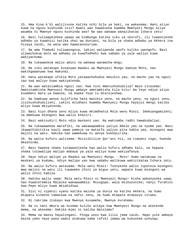15. Ama kina A'di walijivuna katika nchi bila ya haki, na wakasema: Nani aliye kuwa na nguvu kushinda sisi? Kwani wao hawakuona kwamba Mwenyezi Mungu aliye waumba ni Mwenye nguvu kushinda wao? Na wao wakawa wanazikataa Ishara zetu!

16. Basi tuliwapelekea upepo wa kimbunga katika siku za ukorofi, ili tuwaonjeshe adhabu ya kuwahizi katika uhai wa duniani, na bila ya shaka adhabu ya Akhera ina hizaya zaidi, na wala wao hawatanusuriwa.

17. Na ama Thamudi tuliwaongoza, lakini walipenda upofu kuliko uwongofu. Basi uliwachukua moto wa adhabu ya kuwafedhehi kwa sababu ya yale waliyo kuwa wakiyachuma.

18. Na tukawaokoa walio amini na wakawa wanamcha-mngu.

19. Na siku watakapo kusanywa maadui wa Mwenyezi Mungu kwenye Moto, nao wakikgawanywa kwa makundi.

20. Hata watakapo ufikia Moto yatawashuhudia masikio yao, na macho yao na ngozi zao kwa waliyo kuwa wakiyatenda.

21. Na wao wataziambia ngozi zao: Kwa nini mmetushuhudilia? Nazo zitasema: Ametutamkisha Mwenyezi Mungu ambaye ametamkisha kila kitu! Na Yeye ndiye aliye kuumbeni mara ya kwanza, na kwake Yeye tu mtarejeshwa.

22. Na hamkuwa wenye kujificha hata masikio yenu, na macho yenu, na ngozi zenu, zisikushuhudilieni. Lakini mlidhani kwamba Mwenyezi Mungu hayajui mengi katika mliyo kuwa mkiyatenda.

23. Basi hiyo dhana yenu mliyo kuwa mkimdhania Mola wenu Mlezi. Imekuangamizeni; na mmekuwa miongoni mwa walio khasiri.

24. Basi wakisubiri Moto ndio maskani yao. Na wakiomba radhi hawakubaliwi.

25. Na tukawawekea marafiki, na wakawapambia yaliyo mbele yao na nyuma yao. Basi ikawathibitikia kauli wawe pamoja na mataifa yaliyo pita kabla yao, miongoni mwa majini na watu. Hakika hao wamekuwa ni wenye kukhasirika.

26. Na walio kufuru walisema: Msiisikilize Qur'ani hii, na timueni zogo, huenda mkashinda.

27. Basi hapana shaka tutawaonjesha hao walio kufuru adhabu kali, na hapana shaka tutawalipa malipo mabaya ya yale waliyo kuwa wakiyafanya.

28. Hayo ndiyo malipo ya Maadui wa Mwenyezi Mungu - Moto! Humo watakuwa na maskani ya kudumu, ndiyo malipo yao kwa sababu walikuwa wakizikataa Ishara zetu.

29. Na walio kufuru watasema: Mola wetu Mlezi! Tuonyeshe walio tupoteza miongoni mwa majini na watu ili tuwaweke chini ya miguu yetu, wapate kuwa miongoni wa walio chini kabisa.

30. Hakika walio sema: Mola wetu Mlezi ni Mwenyezi Mungu! Kisha wakanyooka sawa, hao huwateremkia Malaika wakawaambia: Msiogope, wala msihuzunike; nanyi furahini kwa Pepo mliyo kuwa mkiahidiwa.

31. Sisi ni vipenzi vyenu katika maisha ya dunia na katika Akhera, na humo mtapata kinacho tamaniwa na nafsi zenu, na humo mtapata mtakavyo vitaka.

32. Ni takrima itokayo kwa Mwenye kusamehe, Mwenye kurehemu.

33. Na ni nani mbora wa kusema kuliko aitaye kwa Mwenyezi Mungu na akatenda mema, na akasema: Hakika mimi ni katika Waislamu?

34. Mema na maovu hayalingani. Pinga uovu kwa lilio jema zaidi. Hapo yule ambaye baina yako naye pana uadui atakuwa kama rafiki jamaa wa kukuonea uchungu.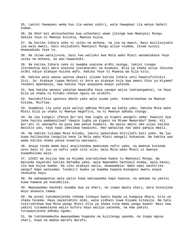35. Lakini hawapewi wema huu ila wanao subiri, wala hawapewi ila wenye bahati kubwa.

36. Na Shet'ani akikuchochea kwa uchochezi wewe jikinge kwa Mwenyezi Mungu. Hakika Yeye ni Mwenye kusikia, Mwenye kujua.

37. Na katika Ishara zake ni usiku na mchana, na jua na mwezi. Basi msilisujudie jua wala mwezi, bali msujudieni Mwenyezi Mungu aliye viumba, ikiwa nyinyi mnamuabudu Yeye tu.

38. Na ikiwa watajivuna, basi hao walioko kwa Mola wako Mlezi wanamtakasa Yeye usiku na mchana, na wao hawachoki.

39. Na katika Ishara zake ni kwamba unaiona ardhi nyonge, lakini tunapo iteremshia maji mara unaiona inataharaki na kuumuka. Bila ya shaka aliye ihuisha ardhi ndiye atakaye huisha wafu. Hakika Yeye ni Muweza wa kila kitu.

40. Hakika wale wanao upotoa ukweli uliomo katika Ishara zetu hawatufichikii Sisi. Je! Atakaye tupwa Motoni ni bora au atakaye kuja kwa amani Siku ya Kiyama? Tendeni mpendavyo, kwa hakika Yeye anayaona mnayo yatenda.

41. Kwa hakika wanayo yakataa mawaidha haya yanapo wajia (wataangamia), na haya bila ya shaka ni Kitabu chenye nguvu na utukufu.

42. Hautakifikia upotovu mbele yake wala nyuma yake. Kimeteremshwa na Mwenye hikima, Msifiwa.

43. Huambiwi ila yale yale waliyo ambiwa Mitume wa kabla yako. Hakika Mola wako Mlezi bila ya shaka ni Mwenye maghfira, na ni Mwenye adhabu chungu.

44. Na lau tungeli ifanya Qur'ani kwa lugha ya kigeni wangeli sema: Kwanini Aya zake haziku pambanuliwa? Yawaje lugha ya kigeni na Mtume Mwaarabu? Sema: Hii Qur'ani ni uwongofu na poza kwa wenye kuamini. Na wasio amini umo uziwi katika masikio yao, nayo kwao imezibwa hawaioni. Hao wanaitwa nao wako pahala mbali.

45. Na hakika tulimpa Musa Kitabu, lakini pakatokea khitilafu kati yake. Na lau kuwa halikwisha tangulia neno la Mola wako Mlezi wangeli hukumiwa. Na hakika wao wamo katika shaka yenye kuwatia wasiwasi.

46. Anaye tenda mema basi anajitendea mwenyewe nafsi yake, na mwenye kutenda uovu basi ni juu ya nafsi yake vile vile; wala Mola wako Mlezi si mwenye kuwadhulumu waja.

47. UJUZI wa kuijua Saa ya Kiyama unarudishwa kwake tu Mwenyezi Mungu. Na matunda hayatoki katika mafumba yake, wala mwanamke hachukui mimba, wala hazai, ila kwa kujua kwake. Na siku atakayo waita, akawaambia: Wako wapi washirika wangu? Hapo watasema: Tunakiri kwako ya kwamba hapana miongoni mwetu anaye shuhudia hayo.

48. Na wakawapotea wale walio kuwa wakiwaomba hapo kwanza, na wakawa na yakini kuwa hawana pa kukimbilia.

49. Mwanaadamu hachoki kuomba dua za kheri, na inapo mpata shari, mara huvunjika moyo akakata tamaa.

50. Na pindi tukimwonjesha rehema itokayo kwetu baada ya kumgusa dhara, bila ya shaka husema: Haya nayastahiki mimi, wala sidhani kuwa Kiyama kitakuja. Na hata nikirudishwa kwa Mola wangu Mlezi bila ya shaka nina mema yangu kwake! Basi kwa yakini tutawaelezea walio kufuru hayo waliyo yatenda, na kwa yakini tutawaonjesha adhabu ngumu.

51. Na tukimneemesha mwanaadamu hugeuka na kujitenga upande, na inapo mgusa shari, huwa na madua marefu marefu.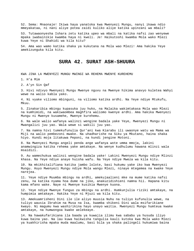52. Sema: Mnaonaje! Ikiwa haya yanatoka kwa Mwenyezi Mungu, nanyi ikawa ndio mmeyakataa, ni nani aliye potea zaidi kuliko aliye katika upinzani wa mbali?

53. Tutawaonyesha Ishara zetu katika upeo wa mbali na katika nafsi zao wenyewe mpaka iwabainikie kwamba haya ni kweli. Je! Haikutoshi kwamba Mola wako Mlezi kuwa Yeye ni Shahidi wa kila kitu?

54. Ama wao wamo katika shaka ya kukutana na Mola wao Mlezi! Ama hakika Yeye amekizunguka kila kitu.

#### **SURA 42. SURAT ASH-SHUURA**

KWA JINA LA MWENYEZI MUNGU MWINGI WA REHEMA MWENYE KUREHEMU

1. H'a Mim

2. A'yn Sin Qaf

3. Hivi ndivyo Mwenyezi Mungu Mwenye nguvu na Mwenye hikima anavyo kuletea Wahyi wewe na walio kabla yako.

4. Ni vyake viliomo mbinguni, na viliomo katika ardhi. Na Yeye ndiye Mtukufu, Mkuu.

5. Zinakaribia mbingu kupasuka juu huko, na Malaika wakimtakasa Mola wao Mlezi na kumhimidi, na wakiwaombea maghfira waliomo kwenye ardhi. Ama hakika Mwenyezi Mungu ni Mwenye kusamehe, Mwenye kurehemu.

6. Na wale walio wafanya walinzi wengine badala yake Yeye, Mwenyezi Mungu ni Mwangalizi juu yao. Wala wewe si wakili juu yao.

7. Na namna hivi tumekufunulia Qur'ani kwa Kiarabu ili uwaonye watu wa Mama wa Miji na walio pembezoni mwake. Na uhadharishe na Siku ya Mkutano, haina shaka hiyo. Kundi moja litakuwa Peponi, na kundi jengine Motoni.

8. Na Mwenyezi Mungu angeli penda ange wafanya wote umma mmoja, lakini anamwingiza katika rehema yake amtakaye. Na wenye kudhulumu hawana mlinzi wala msaidizi.

9. Au wamechukua walinzi wengine badala yake! Lakini Mwenyezi Mungu ndiye Mlinzi khasa. Na Yeye ndiye anaye huisha wafu. Na Yeye ndiye Mweza wa kila kitu.

10. Na mkikhitalifiana katika jambo lolote, basi hukumu yake iko kwa Mwenyezi Mungu. Huyo Mwenyezi Mungu ndiye Mola wangu Mlezi, ninaye mtegemea na kwake Yeye narejea.

11. Yeye ndiye Muumba mbingu na ardhi, amekujaalieni mke na mume katika nafsi zenu, na katika nyama hoa dume na jike, anakuzidishieni namna hii. Hapana kitu kama mfano wake. Naye ni Mwenye kusikia Mwenye kuona.

12. Yeye ndiye Mwenye funguo za mbingu na ardhi. Humkunjulia riziki amtakaye, na humpimia amtakaye. Hakika Yeye ni Mjuzi wa kila kitu.

13. Amekuamrisheni Dini ile ile aliyo muusia Nuhu na tuliyo kufunulia wewe, na tuliyo wausia Ibrahim na Musa na Isa, kwamba shikeni Dini wala msifarikiane kwayo. Ni magumu kwa washirikina hayo unayo waitia. Mwenyezi Mungu humteua kwake amtakaye, na humwongoa kwake aelekeaye.

14. Na hawakufarikiana ila baada ya kuwajia ilimu kwa sababu ya husuda iliyo kuwa baina yao. Na lau kuwa haikwisha tangulia kauli kutoka kwa Mola wako Mlezi ya kuakhirisha mpaka muda maalumu, basi bila ya shaka palingeli hukumiwa baina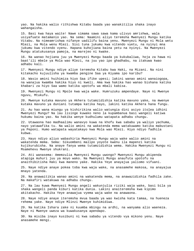yao. Na hakika walio rithishwa Kitabu baada yao wanakitilia shaka inayo wahangaisha.

15. Basi kwa haya waite! Nawe simama sawa sawa kama ulivyo amrishwa, wala usiyafuate matamanio yao. Na sema: Naamini aliyo teremsha Mwenyezi Mungu katika Vitabu. Na nimeamrishwa nifanye uadilifu baina yenu. Mwenyezi Mungu ni Mola wetu Mlezi, na Mola wenu Mlezi. Sisi tuna jukumu kwa vitendo vyetu, na nyinyi mna jukumu kwa vitendo vyenu. Hapana kuhojiana baina yetu na nyinyi. Na Mwenyezi Mungu atatukusanya pamoja, na marejeo ni kwake.

16. Na wanao hojiana juu ya Mwenyezi Mungu baada ya kukubaliwa, hoja za hawa ni baat'ili mbele ya Mola wao Mlezi, na juu yao ipo ghadhabu, na itakuwa kwao adhabu kali.

17. Mwenyezi Mungu ndiye aliye teremsha Kitabu kwa Haki, na Mizani. Na nini kitakacho kujuulisha ya kwamba pengine Saa ya Kiyama ipo karibu?

18. Wasio amini huihimiza hiyo Saa ifike upesi; lakini wanao amini wanaiogopa, na wanajua kwamba hakika hiyo ni kweli. Ama kwa hakika hao wanao bishana katika khabari za hiyo Saa wamo katika upotofu wa mbali kabisa.

19. Mwenyezi Mungu ni Mpole kwa waja wake. Humruzuku ampendaye. Naye ni Mwenye nguvu, Mtukufu.

20. Mwenye kutaka mavuno ya Akhera tutamzidishia katika mavuno yake, na mwenye kutaka mavuno ya duniani tutampa katika hayo, lakini katika Akhera hana fungu.

21. Au hao wana miungu ya kishirikina walio watungia dini asiyo itolea idhini Mwenyezi Mungu? Na lau lisinge kuwako neno la kupambanua basi wangeli katiwa hukumu baina yao. Na hakika wenye kudhulumu watapata adhabu chungu.

22. Utawaona hao madhaalimu wanavyo kuwa na khofu kwa sababu ya waliyo yachuma, nayo yatawafika tu. Na walio amini na wakatenda mema watakuwamo katika mabustani ya Peponi. Humo watapata wayatakayo kwa Mola wao Mlezi. Hiyo ndiyo fadhila kubwa.

23. Hayo ndiyo aliyo wabashiria Mwenyezi Mungu waja wake walio amini na wakatenda mema. Sema: Sikuombeni malipo yoyote kwenu ila mapenzi katika kujikurubisha. Na anaye fanya wema tutamzidishia wema. Hakika Mwenyezi Mungu ni Msamehevu Mwenye shukrani.

24. Ati wanasema: Amemzulia Mwenyezi Mungu uwongo? Mwenyezi Mungu akipenda atapiga muhuri juu ya moyo wako. Na Mwenyezi Mungu anaufuta upotofu na anaithibitisha Haki kwa maneno yake. Hakika Yeye anayajua yaliomo vifuani.

25. Naye ndiye anaye pokea toba kwa waja wake, na anasamehe makosa, na anayajua mnayo yatenda.

26. Na anawaitikia wanao amini na wakatenda mema, na anawazidishia fadhila zake. Na makafiri watakuwa na adhabu chungu.

27. Na lau kuwa Mwenyezi Mungu angeli wakunjulia riziki waja wake, basi bila ya shaka wangeli panda kiburi katika dunia. Lakini anaiteremsha kwa kipimo akitakacho. Hakika Yeye anawajua vyema waja wake na anawaona.

28. Naye ndiye anaye iteremsha mvua baada ya wao kwisha kata tamaa, na hueneza rehema yake. Naye ndiye Mlinzi Mwenye kuhimidiwa.

29. Na katika Ishara zake ni kuumba mbingu na ardhi, na wanyama alio waeneza. Naye ni Mwenye uweza wa kuwakusanya apendapo.

30. Na misiba inayo kusibuni ni kwa sababu ya vitendo vya mikono yenu. Naye anasamehe mengi.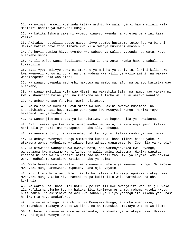31. Na nyinyi hamwezi kushinda katika ardhi. Na wala nyinyi hamna mlinzi wala msaidizi badala ya Mwenyezi Mungu.

32. Na katika Ishara zake ni vyombo vinavyo kwenda na kurejea baharini kama vilima.

33. Akitaka, huutuliza upepo navyo hivyo vyombo husimama tutwe juu ya bahari. Hakika katika hayo zipo Ishara kwa kila mwenye kusubiri akashukuru.

34. Au huviangamiza hivyo vyombo kwa sababu ya waliyo yatenda hao watu. Naye husamehe mengi.

35. Na ili wajue wanao jadiliana katika Ishara zetu kwamba hawana pahala pa kukimbilia.

36. Basi vyote mlivyo pewa ni starehe ya maisha ya dunia tu, lakini kilichoko kwa Mwenyezi Mungu ni bora, na cha kudumu kwa ajili ya walio amini, na wakawa wanamtegemea Mola wao Mlezi,

37. Na wanayo yaepuka madhambi makubwa na mambo machafu, na wanapo kasirika wao husamehe,

38. Na wanao mwitikia Mola wao Mlezi, na wakashika Sala, na mambo yao yakawa ni kwa kushauriana baina yao, na kutokana na tulicho waruzuku wakawa wanatoa,

39. Na ambao wanapo fanyiwa jeuri hujitetea.

40. Na malipo ya uovu ni uovu mfano wa huo. Lakini mwenye kusamehe, na akasuluhisha, basi huyo malipo yake yapo kwa Mwenyezi Mungu. Hakika Yeye hawapendi wenye kudhulumu.

41. Na wanao jitetea baada ya kudhulumiwa, hao hapana njia ya kuwalaumu.

42. Bali lawama ipo kwa wale wanao wadhulumu watu, na wanafanya jeuri katika nchi bila ya haki. Hao watapata adhabu iliyo chungu.

43. Na anaye subiri, na akasamehe, hakika hayo ni katika mambo ya kuazimiwa.

44. Na ambaye Mwenyezi Mungu amemwacha kupotea, hana mlinzi baada yake. Na utawaona wenye kudhulumu watakapo iona adhabu wanasema: Je! Ipo njia ya kurudi?

45. Na utawaona wanapelekwa kwenye Moto, nao wamenyenyekea kwa unyonge, wanatazama kwa mtazamo wa kificho. Na walio amini watasema: Hakika wapatao khasara ni hao walio khasiri nafsi zao na ahali zao Siku ya Kiyama. Ama hakika wenye kudhulumu watakuwa katika adhabu ya daima.

46. Wala hawatakuwa na walinzi wa kuwanusuru mbele ya Mwenyezi Mungu. Na ambaye Mwenyezi Mungu amemwacha kupotea, hana njia yoyote.

47. Muitikieni Mola wenu Mlezi kabla haijafika siku isiyo epukika itokayo kwa Mwenyezi Mungu. Siku hiyo hamtakuwa pa kukimbilia wala hamtakuwa na cha kukingia.

48. Na wakipuuza, basi Sisi hatukukupeleka ili uwe mwangalizi wao. Si juu yako ila kufikisha Ujumbe tu. Na hakika Sisi tukimwonjesha mtu rehema kutoka kwetu, huifurahia. Na akisibiwa na ovu kwa sababu ya iliyo yatanguliza mikono yao, basi hakika mtu huyu anakufuru.

49. Ufalme wa mbingu na ardhi ni wa Mwenyezi Mungu; anaumba apendavyo, anamtunukia amtakaye watoto wa kike, na anamtunukia amtakaye watoto wa kiume,

50. Au huwachanganya wanaume na wanawake, na akamfanya amtakaye tasa. Hakika Yeye ni Mjuzi Mwenye uweza.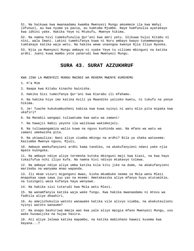51. Na haikuwa kwa mwanaadamu kwamba Mwenyezi Mungu amsemeze ila kwa Wahyi (Ufunuo), au kwa nyuma ya pazia, au kumtuma Mjumbe. Naye humfunulia ayatakayo kwa idhini yake. Hakika Yeye ni Mtukufu, Mwenye hikima.

52. Na namna hivi tumekufunulia Qur'ani kwa amri yetu. Ulikuwa hujui Kitabu ni nini, wala Imani. Lakini tumekifanya kuwa ni Nuru ambayo kwayo tunammwongoa tumtakaye katika waja wetu. Na hakika wewe unaongoa kwenye Njia Iliyo Nyooka.

53. Njia ya Mwenyezi Mungu ambaye ni vyake Yeye tu viliomo mbinguni na katika ardhi. Jueni kuwa mambo yote yanarudi kwa Mwenyezi Mungu.

#### **SURA 43. SURAT AZZUKHRUF**

KWA JINA LA MWENYEZI MUNGU MWINGI WA REHEMA MWENYE KUREHEMU

1. H'a Mim

2. Naapa kwa Kitabu kinacho bainisha.

3. Hakika Sisi tumeifanya Qur'ani kwa Kiarabu ili mfahamu.

4. Na hakika hiyo imo katika Asili ya Maandiko yalioko kwetu, ni tukufu na yenye hikima.

5. Je! Tuache kukukumbusheni kabisa kwa kuwa nyinyi ni watu mlio pita mipaka kwa ukafiri?

6. Na Manabii wangapi tuliwatuma kwa watu wa zamani!

7. Na hawajii Nabii yeyote ila walikuwa wakimkejeli.

8. Na tuliwaangamiza walio kuwa na nguvu kushinda wao. Na mfano wa watu wa zamani umekwisha pita.

9. Na ukiwauliza: Nani aliye ziumba mbingu na ardhi? Bila ya shaka watasema: Kaziumba Mwenye nguvu, Mjuzi,

10. Ambaye amekufanyieni ardhi kama tandiko, na akakufanyieni ndani yake njia mpate kuongoka.

11. Na ambaye ndiye aliye teremsha kutoka mbinguni maji kwa kiasi, na kwa hayo tukaifufua nchi iliyo kufa. Na namna hivi ndivyo mtakavyo tolewa.

12. Na ambaye ndiye aliye umba katika kila kitu jike na dume, na akakufanyieni marikebu na wanyama mnao wapanda.

13. Ili mkae vizuri migongoni mwao, kisha mkumbuke neema za Mola wenu Mlezi mnapokaa sawa sawa juu yao na mseme: Ametakasika aliye mfanya huyu atutumikie, na tusingeli weza kufanya haya wenyewe.

14. Na hakika sisi tutarudi kwa Mola wetu Mlezi.

15. Na wanamfanyia katika waja wake fungu. Kwa hakika mwanaadamu ni mtovu wa fadhila aliye dhaahiri.

16. Au amejichukulia watoto wanawake katika vile alivyo viumba, na akakuteulieni nyinyi watoto wanaume?

17. Na anapo bashiriwa mmoja wao kwa yale aliyo mpigia mfano Mwenyezi Mungu, uso wake husawijika na hujaa hasira.

18. Ati aliye lelewa katika mapambo, na katika mabishano hawezi kusema kwa bayana...?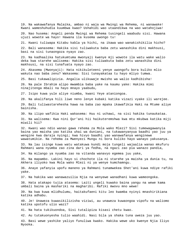19. Na wakawafanya Malaika, ambao ni waja wa Mwingi wa Rehema, ni wanawake! Kwani wameshuhudia kuumbwa kwao? Ushahidi wao utaandikwa na wao watahojiwa!

20. Nao husema: Angeli penda Mwingi wa Rehema tusingeli waabudu sisi. Hawana ujuzi wowote wa hayo! Hawana ila kusema uwongo tu!

21. Kwani tuliwapa Kitabu kabla ya hichi, na ikawa wao wanakishikilia hicho?

22. Bali wanasema: Hakika sisi tuliwakuta baba zetu wanashika dini makhsusi, basi na sisi tunaongoza nyayo zao.

23. Na kadhaalika hatukumtuma mwonyaji kwenye mji wowote ila watu wake walio deka kwa starehe walisema: Hakika sisi tuliwakuta baba zetu wanashika dini makhsusi, na sisi tunafuata nyayo zao.

24. Akasema (Mwonyaji): Hata nikikuleteeni yenye uwongofu bora kuliko mlio wakuta nao baba zenu? Wakasema: Sisi tunayakataa tu hayo mliyo tumwa.

25. Basi tukawalipizia. Angalia ulikuwaje mwisho wa walio kadhibisha!

26. Na pale Ibrahim alipo mwambia baba yake na kaumu yake: Hakika mimi ninajitenga mbali na hayo mnayo yaabudu,

27. Isipo kuwa yule aliye niumba, kwani Yeye ataniongoa.

28. Na akalifanya hili liwe neno lenye kubaki katika vizazi vyake ili warejee.

29. Bali tuliwastarehesha hawa na baba zao mpaka ikawafikia Haki na Mtume aliye bainisha.

30. Na ilipo wafikia Haki wakasema: Huu ni uchawi, na sisi hakika tunaukataa.

31. Na walisema: Kwa nini Qur'ani hii haikuteremshwa kwa mtu mkubwa katika miji miwili hii?

32. Kwani wao ndio wanao gawa rehema za Mola wako Mlezi? Sisi tumewagawanyia baina yao maisha yao katika uhai wa duniani, na tukawanyanyua baadhi yao juu ya wengine kwa daraja nyingi; kwa hivyo baadhi yao wanawafanya wenginewe wawatumikie. Na rehema za Mwenyezi Mungu ni bora kuliko hayo wanayo yakusanya.

33. Na lau isinge kuwa watu watakuwa kundi moja tungeli wajaalia wanao mkufuru Rahmani wana nyumba zao zina dari ya fedha, na ngazi zao pia wanazo pandia,

34. Na milango ya nyumba zao na vitanda wanavyo egemea juu yake,

35. Na mapambo. Lakini hayo si chochote ila ni starehe ya maisha ya dunia tu, na Akhera iliyoko kwa Mola wako Mlezi ni ya wenye kumchamngu.

36. Anaye yafanyia upofu maneno ya Rahmani tunamwekea Shet'ani kuwa ndiye rafiki yake.

37. Na hakika wao wanawazuilia Njia na wenyewe wanadhani kuwa wameongoka.

38. Hata atakapo tujia atasema: Laiti ungeli kuwako baina yangu na wewe kama umbali baina ya mashariki na magharibi. Rafiki mwovu mno wewe!

39. Na kwa kuwa mlidhulumu, haitakufaeni kitu leo kwamba nyinyi mnashirikiana katika adhabu.

40. Je! Unaweza kuwasikilizisha viziwi, au unaweza kuwaongoa vipofu na waliomo katika upotofu ulio wazi?

41. Na hata tukikuondoa, Sisi tutalipiza kisasi chetu kwao.

42. Au tutakuonyesha tulio waahidi. Nasi bila ya shaka tuna uweza juu yao.

43. Basi wewe yashike yaliyo funuliwa kwako. Hakika wewe uko kwenye Njia Iliyo Nyooka.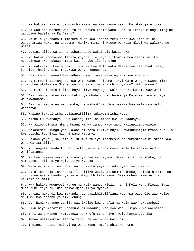44. Na hakika haya ni ukumbusho kwako na kwa kaumu yako. Na mtakuja ulizwa.

45. Na waulize Mitume wetu tulio watuma kabla yako: Je! Tulifanya miungu mingine iabudiwe badala ya Rah'mani?

46, Na bila ya shaka tulimtuma Musa kwa Ishara zetu ende kwa Firauni na waheshimiwa wake, na akasema: Hakika mimi ni Mtume wa Mola Mlezi wa walimwengu wote!

47. Lakini alipo wajia na Ishara zetu wakaingia kuzicheka.

48. Na hatukuwaonyesha Ishara yoyote ila hiyo ilikuwa kubwa zaidi kuliko nyenginewe. Na tukawakamata kwa adhabu ili warejee.

49. Na wakasema: Ewe mchawi! Tuombee kwa Mola wako Mlezi kwa ile ahadi aliyo kuahidi; hakika sisi tutakuwa wenye kuongoka.

50. Basi tulipo waondolea adhabu hiyo, mara wakaingia kuvunja ahadi.

51. Na Firauni alitangaza kwa watu wake, akisema: Enyi watu wangu! Kwani mimi sinao huu ufalme wa Misri, na hii mito inapita chini yangu? Je! Hamwoni?

52. Au mimi si bora kuliko huyu aliye mnyonge, wala hawezi kusema waziwazi?

53. Basi mbona hakuvikwa vikuku vya dhahabu, au hawakuja Malaika pamoja naye wakamwandama?

54. Basi aliwachezea watu wake, na wakamt'ii. Kwa hakika hao walikuwa watu wapotovu.

55. Walipo tukasirisha tuliwapatiliza tukawazamisha wote!

56. Kisha tukawafanya kuwa watangulizi na mfano kwa wa baadaye.

57. Na alipo pigiwa mfano Mwana wa Mariamu, watu wako waliupiga ukelele.

58. Wakasema: Miungu yetu kwani si bora kuliko huyu? Hawakukupigia mfano huo ila kwa ubishi tu. Bali hao ni watu wagomvi!

59. Hakuwa yeye (Isa) ila ni Mtumwa tuliye mneemesha na tukamfanya ni mfano kwa Wana wa Israili.

60. Na tungeli penda tungeli wafanyia miongoni mwenu Malaika katika ardhi wakifuatana.

61. Na kwa hakika yeye ni alama ya Saa ya Kiyama. Basi usiitilie shaka, na nifuateni. Hii ndiyo Njia Iliyo Nyooka.

62. Wala asikuzuilieni Shet'ani. Hakika yeye ni adui yenu wa dhaahiri.

63. Na alipo kuja Isa na dalili zilizo wazi, alisema: Nimekujieni na hikima, na ili nikuelezeni baadhi ya yale mliyo khitalifiana. Basi mcheni Mwenyezi Mungu, na mnit'ii mimi.

64. Kwa hakika Mwenyezi Mungu ni Mola wangu Mlezi, na ni Mola wenu Mlezi. Basi Muabuduni Yeye tu. Hii ndiyo Njia Iliyo Nyooka.

65. Lakini makundi kwa makundi yao yalikhitalifiana wao kwa wao. Ole wao walio dhulumu kwa adhabu ya siku chungu.

66. Je! Nini wanangojea ila Saa iwajie kwa ghafla na wala wao hawatambui?

67. Siku hiyo marafiki watakuwa ni maadui, wao kwa wao, isipo kuwa wachamngu.

68. Enyi waja wangu! Hamtakuwa na khofu siku hiyo, wala hamtahuzunika.

69. Ambao waliziamini Ishara zangu na walikuwa Waislamu.

70. Ingieni Peponi, nyinyi na wake zenu; mtafurahishwa humo.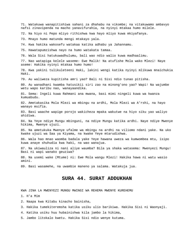71. Watakuwa wanapitishiwa sahani za dhahabu na vikombe; na vitakuwamo ambavyo nafsi zinavipenda na macho yanavifurahia, na nyinyi mtakaa humo milele.

72. Na hiyo ni Pepo mliyo rithishwa kwa hayo mliyo kuwa mkiyafanya.

73. Mnayo humo matunda mengi mtakayo yala.

74. Kwa hakika wakosefu watakaa katika adhabu ya Jahannamu.

75. Hawatapumzishwa nayo na humo watakata tamaa.

76. Wala Sisi hatukuwadhulumu, bali wao ndio walio kuwa madhaalimu.

77. Nao watapiga kelele waseme: Ewe Malik! Na atufishe Mola wako Mlezi! Naye aseme: Hakika nyinyi mtakaa humo humo!

78. Kwa yakini tulikuleteeni Haki, lakini wengi katika nyinyi mlikuwa mnaichukia Haki.

79. Au waliweza kupitisha amri yao? Bali ni Sisi ndio tunao pitisha.

80. Au wanadhani kwamba hatusikii siri zao na minong'ono yao? Wapi! Na wajumbe wetu wapo karibu nao, wanayaandika.

81. Sema: Ingeli kuwa Rahmani ana mwana, basi mimi ningeli kuwa wa kwanza kumuabudu.

82. Ametakasika Mola Mlezi wa mbingu na ardhi, Mola Mlezi wa A'rshi, na hayo wanayo msifia.

83. Basi waache wapige porojo wakicheza mpaka wakutwe na hiyo siku yao waliyo ahidiwa.

84. Na Yeye ndiye Mungu mbinguni, na ndiye Mungu katika ardhi. Naye ndiye Mwenye hikima, Mwenye ujuzi.

85. Na ametukuka Mwenye ufalme wa mbingu na ardhi na viliomo ndani yake. Na uko kwake ujuzi wa Saa ya Kiyama, na kwake Yeye mtarudishwa.

86. Wala hao mnao waomba badala yake Yeye hawana uweza wa kumwombea mtu, isipo kuwa anaye shuhudia kwa haki, na wao wanajua.

87. Na ukiwauliza ni nani aliye waumba? Bila ya shaka watasema: Mwenyezi Mungu! Basi ni wapi wanako geuziwa?

88. Na usemi wake (Mtume) ni: Ewe Mola wangu Mlezi! Hakika hawa ni watu wasio amini.

89. Basi wasamehe, na uwambie maneno ya salama. Watakuja jua.

#### **SURA 44. SURAT ADDUKHAN**

KWA JINA LA MWENYEZI MUNGU MWINGI WA REHEMA MWENYE KUREHEMU

1. H'a Mim

2. Naapa kwa Kitabu kinacho bainisha,

3. Hakika tumekiteremsha katika usiku ulio barikiwa. Hakika Sisi ni Waonyaji.

4. Katika usiku huu hubainishwa kila jambo la hikima,

5. Jambo litokalo kwetu. Hakika Sisi ndio wenye kutuma.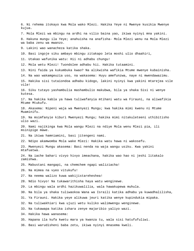6. Ni rehema itokayo kwa Mola wako Mlezi. Hakika Yeye ni Mwenye kusikia Mwenye kujua. 7. Mola Mlezi wa mbingu na ardhi na vilio baina yao, ikiwa nyinyi mna yakini. 8. Hakuna mungu ila Yeye; anahuisha na anafisha- Mola Mlezi wenu na Mola Mlezi wa baba zenu wa mwanzo. 9. Lakini wao wanacheza katika shaka. 10. Basi ingoje siku ambayo mbingu zitakapo leta moshi ulio dhaahiri, 11. Utakao wafunika watu: Hii ni adhabu chungu! 12. Mola wetu Mlezi! Tuondolee adhabu hii. Hakika tutaamini. 13. Nini faida ya kukumbuka kwao? Na alikwisha wafikia Mtume mwenye kubainisha. 14. Na wao wakamgeuzia uso, na wakasema: Huyu amefunzwa, naye ni mwendawazimu. 15. Hakika sisi tutaiondoa adhabu kidogo, lakini nyinyi kwa yakini mtarejea vile vile! 16. Siku tutayo yashambulia mashambulio makubwa, bila ya shaka Sisi ni wenye kutesa. 17. Na hakika kabla ya hawa tuliwafanyia mtihani watu wa Firauni, na aliwafikia Mtume Mtukufu. 18. Akasema: Nipeni waja wa Mwenyezi Mungu; kwa hakika mimi kwenu ni Mtume Muaminifu. 19. Na msimfanyie kiburi Mwenyezi Mungu; hakika mimi nitakuleteeni uthibitisho ulio wazi. 20. Nami najikinga kwa Mola wangu Mlezi na ndiye Mola wenu Mlezi pia, ili msinipige mawe. 21. Na ikiwa hamniamini, basi jitengeni nami. 22. Ndipo akamwomba Mola wake Mlezi: Hakika watu hawa ni wakosefu. 23. Mwenyezi Mungu akasema: Basi nenda na waja wangu usiku. Kwa yakini mtafuatwa. 24. Na iache bahari vivyo hivyo imeachana, hakika wao hao ni jeshi litakalo zamishwa. 25. Mabustani mangapi, na chemchem ngapi waliziacha! 26. Na mimea na vyeo vitukufu! 27. Na neema walizo kuwa wakijistareheshea! 28. Ndio hivyo! Na tukawarithisha haya watu wenginewe. 29. La mbingu wala ardhi hazikuwalilia, wala hawakupewa muhula. 30. Na bila ya shaka tuliwaokoa Wana wa Israili katika adhabu ya kuwadhalilisha, 31. Ya Firauni. Hakika yeye alikuwa jeuri katika wenye kupindukia mipaka. 32. Na tuliwakhiari kwa ujuzi wetu kuliko walimwengu wenginewe. 33. Na tukawapa katika ishara zenye majaribio yaliyo wazi. 34. Hakika hawa wanasema: 35. Hapana ila kufa kwetu mara ya kwanza tu, wala sisi hatufufuliwi. 36. Basi warudisheni baba zetu, ikiwa nyinyi mnasema kweli.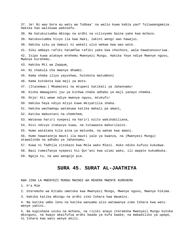37. Je! Ni wao bora au watu wa Tubbaa' na walio kuwa kabla yao? Tuliwaangamiza. Hakika hao walikuwa wakosefu. 38. Na hatukuziumba mbingu na ardhi na vilivyomo baina yake kwa mchezo. 39. Hatukuviumba hivyo ila kwa Haki, lakini wengi wao hawajui. 40. Hakika siku ya Uamuzi ni wakati ulio wekwa kwa wao wote. 41. Siku ambayo rafiki hatamfaa rafiki yake kwa chochote, wala hawatanusuriwa. 42. Isipo kuwa atakaye mrehemu Mwenyezi Mungu. Hakika Yeye ndiye Mwenye nguvu, Mwenye kurehemu. 43. Hakika Mti wa Zaqqum, 44. Ni chakula cha mwenye dhambi. 45. Kama shaba iliyo yayushwa, hutokota matumboni 46. Kama kutokota kwa maji ya moto. 47. (Itasemwa:) Mkamateni na mtupeni katikati ya Jahannamu! 48. Kisha mmwagieni juu ya kichwa chake adhabu ya maji yanayo chemka. 49. Onja! Ati wewe ndiye mwenye nguvu, mtukufu! 50. Hakika haya ndiyo mliyo kuwa mkiyatilia shaka. 51. Hakika wachamngu watakuwa katika mahali pa amani, 52. Katika mabustani na chemchem, 53. Watavaa hariri nyepesi na hariri nzito wakikabiliana, 54. Hivi ndivyo itakavyo kuwa, na tutawaoza mahurilaini. 55. Humo watataka kila aina ya matunda, na wakae kwa amani. 56. Humo hawataonja mauti ila mauti yale ya kwanza, na (Mwenyezi Mungu) atawalinda na adhabu ya Jahannamu, 57. Kuwa ni fadhila zitokazo kwa Mola wako Mlezi. Huko ndiko kufuzu kukubwa. 58. Basi tumeifanya nyepesi hii Qur'ani kwa ulimi wako, ili wapate kukumbuka. 59. Ngoja tu, na wao wangoje pia. **SURA 45. SURAT AL-JAATHIYA** 

KWA JINA LA MWENYEZI MUNGU MWINGI WA REHEMA MWENYE KUREHEMU

1. H'a Mim

2. Uteremsho wa Kitabu umetoka kwa Mwenyezi Mungu, Mwenye nguvu, Mwenye hikima.

3. Hakika katika mbingu na ardhi ziko Ishara kwa Waumini.

4. Na katika umbo lenu na katika wanyama alio watawanya zimo Ishara kwa watu wenye yakini.

5. Na kupishana usiku na mchana, na riziki anayo iteremsha Mwenyezi Mungu kutoka mbinguni, na kwayo akaifufua ardhi baada ya kufa kwake, na mabadiliko ya upepo, ni Ishara kwa watu wenye akili.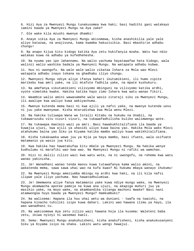6. Hizi Aya za Mwenyezi Mungu tunakusomea kwa haki; basi hadithi gani watakayo iamini baada ya Mwenyezi Mungu na Aya zake?

7. Ole wake kila mzushi mwenye dhambi!

8. Anaye sikia Aya za Mwenyezi Mungu akisomewa, kisha anashikilia yale yale aliyo katazwa, na anajivuna, kama kwamba hakuzisikia. Basi mbashirie adhabu chungu!

9. Na anapo kijua kitu kidogo katika Aya zetu hukifanyia mzaha. Watu hao ndio watakao kuwa na adhabu ya kufedhehesha.

10. Na nyuma yao ipo Jahannamu. Na walio yachuma hayatawafaa hata kidogo, wala walinzi walio washika badala ya Mwenyezi Mungu. Na watapata adhabu kubwa.

11. Huu ni uwongofu. Na wale wale walio zikataa Ishara za Mola wao Mlezi watapata adhabu inayo tokana na ghadhabu iliyo chungu.

12. Mwenyezi Mungu ndiye aliye ifanya bahari ikutumikieni, ili humo zipite marikebu kwa amri yake, na ili mtafute fadhila yake, na mpate kushukuru.

13. Na amefanya vikutumikieni vilivyomo mbinguni na vilivyomo katika ardhi, vyote vimetoka kwake. Hakika katika hayo zimo Ishara kwa watu wanao fikiri.

14. Waambie walio amini wawasamehe wale wasio zitaraji siku za Mwenyezi Mungu, ili awalipe kwa waliyo kuwa wakiyachuma.

15. Mwenye kutenda mema basi ni kwa ajili ya nafsi yake, na mwenye kutenda uovu ni juu yake mwenyewe. Kisha mtarudishwa kwa Mola wenu Mlezi.

16. Na hakika tuliwapa Wana wa Israili Kitabu na hukumu na Unabii, na tukawaruzuku vitu vizuri vizuri, na tukawafadhilisha kuliko walimwengu wote.

17. Na tukawapa maelezo wazi ya amri. Basi hawakukhitalifiana ila baada ya kuwajia ujuzi, kwa ajili ya uhasidi uliyo kuwa baina yao. Hakika Mola wako Mlezi atahukumu baina yao Siku ya Kiyama katika mambo waliyo kuwa wakikhitalifiana.

18. Kisha tukakuweka wewe juu ya Njia ya haya mambo, basi ifuate, wala usifuate matamanio ya wasio jua kitu.

19. Kwa hakika hao hawatakufaa kitu mbele ya Mwenyezi Mungu. Na hakika wenye kudhulumu ni marafiki wao kwa wao. Na Mwenyezi Mungu ni rafiki wa wamchao.

20. Hizi ni dalili zilizo wazi kwa watu wote, na ni uwongofu, na rehema kwa watu wanao yakinisha.

21. Je! Wanadhani wanao tenda maovu kuwa tutawafanya kama walio amini, na wakatenda mema, sawa sawa uhai wao na kufa kwao? Ni hukumu mbaya wanayo ihukumu!

22. Na Mwenyezi Mungu ameziumba mbingu na ardhi kwa haki, na ili kila nafsi ilipwe yale iliyo yachuma. Nao hawatadhulumiwa.

23. Je! Umemwona aliye fanya matamanio yake kuwa ndiye mungu wake, na Mwenyezi Mungu akamwacha apotee pamoja na kuwa ana ujuzi, na akapiga muhuri juu ya masikio yake, na moyo wake, na akambandika vitanga machoni mwake? Basi nani atamwongoa huyo baada ya Mwenyezi Mungu? Hamkumbuki?

24. Na walisema: Hapana ila huu uhai wetu wa duniani - twafa na twaishi, na hapana kinacho tuhiliki isipo kuwa dahari. Lakini wao hawana ilimu ya hayo, ila wao wanadhani tu.

25. Na wakisomewa Aya zetu zilizo wazi hawana hoja ila kusema: Waleteni baba zetu, ikiwa nyinyi ni wasemao kweli.

26. Sema: Mwenyezi Mungu anakuhuisheni, kisha anakufisheni, kisha anakukusanyeni Siku ya Kiyama isiyo na shaka. Lakini watu wengi hawajui.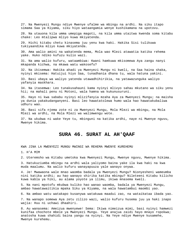27. Na Mwenyezi Mungu ndiye Mwenye ufalme wa mbingu na ardhi. Na siku itapo simama Saa ya Kiyama, siku hiyo wataangamia wenye kushikamana na upotovu.

28. Na utauona kila umma umepiga magoti, na kila umma utaitwa kwenda soma kitabu chake: Leo mtalipwa mliyo kuwa mkiyatenda.

29. Hichi kitabu chetu kinasema juu yenu kwa haki. Hakika Sisi tulikuwa tukiyaandika mliyo kuwa mkiyatenda.

30. Ama walio amini na wakatenda mema, Mola wao Mlezi atawatia katika rehema yake. Huko ndiko kufuzu kulio wazi.

31. Na ama walio kufuru, wataambiwa: Kwani hamkuwa mkisomewa Aya zangu nanyi mkapanda kichwa, na mkawa watu wakosefu?

32. Na ikisemwa: Hakika ahadi ya Mwenyezi Mungu ni kweli, na Saa haina shaka, nyinyi mkisema: Hatuijui hiyo Saa, tunadhania dhana tu, wala hatuna yakini.

33. Basi ubaya wa waliyo yatenda utawadhihirikia, na yatawazunguka waliyo yafanyia maskhara.

34. Na itasemwa: Leo tunakusahauni kama nyinyi mlivyo sahau mkutano wa siku yenu hii; na mahali penu ni Motoni, wala hamna wa kukunusuruni.

35. Hayo ni kwa sababu nyinyi mlizifanyia mzaha Aya za Mwenyezi Mungu; na maisha ya dunia yakakudanganyeni. Basi leo hawatatolewa humo wala hao hawatakubaliwa udhuru wao.

36. Basi sifa njema zote ni za Mwenyezi Mungu, Mola Mlezi wa mbingu, na Mola Mlezi wa ardhi, na Mola Mlezi wa walimwengu wote.

37. Na ukubwa ni wake Yeye tu, mbinguni na katika ardhi, naye ni Mwenye nguvu, Mwenye hikima.

# **SURA 46. SURAT AL AH'QAAF**

KWA JINA LA MWENYEZI MUNGU MWINGI WA REHEMA MWENYE KUREHEMU

1. H'A MIM

2. Uteremsho wa Kitabu umetoka kwa Mwenyezi Mungu, Mwenye nguvu, Mwenye hikima.

3. Hatukuziumba mbingu na ardhi wala yaliyomo baina yake ila kwa haki na kwa muda maalumu. Na walio kufuru wanayapuuza yale wanayo onywa.

4. Je! Mwawaona wale mnao waomba badala ya Mwenyezi Mungu? Nionyesheni wameumba nini katika ardhi; au hao wanayo shirika katika mbingu? Nileteeni Kitabu kilicho kuwa kabla ya hiki, au alama yoyote ya ilimu, ikiwa mnasema kweli.

5. Na nani mpotofu mkubwa kuliko hao wanao waomba, badala ya Mwenyezi Mungu, ambao hawatawaitikia mpaka Siku ya Kiyama, na wala hawatambui maombi yao.

6. Na ambao watu watakapo kusanywa watakuwa maadui zao, na wataikataa ibada yao.

7. Na wanapo somewa Aya zetu zilizo wazi, walio kufuru husema juu ya haki inapo wajia: Huu ni uchawi dhaahiri.

8. Au wanasema: Ameizua mwenyewe! Sema: Ikiwa nimeizua mimi, basi nyinyi hamwezi kunifaa chochote mbele ya Mwenyezi Mungu. Yeye anajua zaidi hayo mnayo ropokwa; anatosha kuwa shahidi baina yangu na nyinyi. Na Yeye ndiye Mwenye kusamehe, Mwenye kurehemu.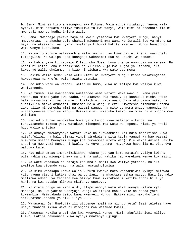9. Sema: Mimi si kiroja miongoni mwa Mitume. Wala sijui nitakavyo fanywa wala nyinyi. Mimi nafuata niliyo funuliwa tu kwa Wahyi, wala mimi si chochote ila ni mwonyaji mwenye kudhihirisha wazi.

10. Sema: Mwaonaje yakiwa haya ni kweli yametoka kwa Mwenyezi Mungu, nanyi mmeyakataa, na akashuhudia shahidi miongoni mwa Wana wa Israili juu ya mfano wa haya, na akaamini, na nyinyi mnafanya kiburi? Hakika Mwenyezi Mungu hawaongoi watu wenye kudhulumu.

11. Na walio kufuru waliwaambia walio amini: Lau kuwa hii ni kheri, wasingeli tutangulia. Na walipo kosa kuongoka wakasema: Huu ni uzushi wa zamani.

12. Na kabla yake kilikuwapo Kitabu cha Musa, kuwa chenye uwongozi na rehema. Na hichi ni Kitabu cha kusadikisha na kilicho kuja kwa lugha ya Kiarabu, ili kiwaonye walio dhulumu, na kiwe ni bishara kwa watendao mema.

13. Hakika walio sema: Mola wetu Mlezi ni Mwenyezi Mungu; kisha wakatengenea, hawatakuwa na khofu, wala hawatahuzunika.

14. Hao ndio watu wa Peponi, watadumu humo, kuwa ni malipo kwa waliyo kuwa wakiyatenda.

15. Na tumemuusia mwanaadamu awatendee wema wazazi wake wawili. Mama yake amechukua mimba yake kwa taabu, na akamzaa kwa taabu. Na kuchukua mimba kwake hata kumwachisha ziwa ni miezi thalathini. Hata anapo fika utu uzima wake, na akafikilia miaka arubaini, husema: Mola wangu Mlezi! Niwezeshe nishukuru neema zako ulizo nineemesha mimi na wazazi wangu, na nitende mema unayo yapenda. Na unitengenezee dhuriya zangu. Hakika mimi nimetubu kwako, na mimi ni miongoni mwa Waislamu.

16. Hao ndio tunao wapokelea bora ya vitendo vyao walivyo vitenda, na tunayasamehe makosa yao. Watakuwa miongoni mwa watu wa Peponi. Miadi ya kweli hiyo walio ahidiwa.

17. Na ambaye amewafyonya wazazi wake na akawaambia: Ati ndio mnanitisha kuwa nitafufuliwa, na hali vizazi vingi vimekwisha pita kabla yangu! Na hao wazazi humwomba msaada Mwenyezi Mungu (na humwambia mtoto wao): Ole wako! Amini! Hakika ahadi ya Mwenyezi Mungu ni kweli. Na yeye husema: Hayakuwa haya ila ni visa vya watu wa kale.

18. Hao ndio ambao imehakikikishwa hukumu juu yao kama mataifa yaliyo kwisha pita kabla yao miongoni mwa majini na watu. Hakika hao wamekuwa wenye kukhasiri.

19. Na wote watakuwa na daraja zao mbali mbali kwa waliyo yatenda, na ili awalipe kwa vitendo vyao, na wala hawatadhulumiwa.

20. Na siku watakapo letwa walio kufuru kwenye Moto wataambiwa: Nyinyi mlitwaa vitu vyenu vizuri katika uhai wa duniani, na mkastareheshwa navyo. Basi leo ndio mnalipwa adhabu ya fedheha kwa mlivyo kuwa mkitakabari katika ardhi bila ya haki, na kwa sababu mlikuwa mkifanya upotovu.

21. Na mtaje ndugu wa kina A'di, alipo waonya watu wake kwenye vilima vya mchanga. Na kwa yakini waonyaji wengi walitokea kabla yake na baada yake kuwaambia: Msimuabudu isipo kuwa Mwenyezi Mungu. Hakika mimi nakukhofieni isikupateni adhabu ya siku iliyo kuu.

22. Wakasema: Je! Umetujia ili ututenge mbali na miungu yetu? Basi tuletee hayo unayo tuahidi ikiwa wewe ni miongoni mwa wasemao kweli.

23. Akasema: Hakika ujuzi uko kwa Mwenyezi Mungu. Mimi nakufikishieni niliyo tumwa. Lakini nakuoneni kuwa nyinyi mnafanya ujinga.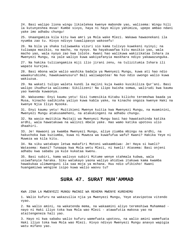24. Basi walipo liona wingu likielekea kwenye mabonde yao, walisema: Wingu hili la kutunyeshea mvua! Kumbe sivyo, haya ni hayo mliyo yahimiza, upepo ambao ndani yake imo adhabu chungu!

25. Unaangamiza kila kitu kwa amri ya Mola wake Mlezi. Wakawa hawaonekani ila nyumba zao tu. Hivyo ndivyo tuwalipavyo wakosefu!

26. Na bila ya shaka tuliwaweka vizuri sio kama tulivyo kuwekeni nyinyi; na tuliwapa masikio, na macho, na nyoyo. Na hayakuwafaa kitu masikio yao, wala macho yao, wala nyoyo zao kwa lolote. Kwani hao walikuwa wakizikataa Ishara za Mwenyezi Mungu, na yale waliyo kuwa wakiyafanyia maskhara ndiyo yakawazunguka.

27. Na hakika tuliiangamiza miji ilio jirani zenu, na tulizitumia Ishara ili wapate kurejea.

28. Basi mbona wale walio washika badala ya Mwenyezi Mungu, kuwa ati hao ndio wawakurubishe, hawakuwanusuru? Bali waliwapotea! Na huo ndio uwongo walio kuwa wakiuzua.

29. Na wakati tulipo waleta kundi la majini kuja kwako kusikiliza Qur'ani. Basi walipo ihudhuria walisema: Sikilizeni! Na ilipo kwisha somwa, walirudi kwa kaumu yao kwenda kuwaonya.

30. Wakasema: Enyi kaumu yetu! Sisi tumesikia Kitabu kilicho teremshwa baada ya Musa, kinacho sadikisha yaliyo kuwa kabla yake, na kinacho ongoza kwenye Haki na kwenye Njia Iliyo Nyooka.

31. Enyi kaumu yetu! Muitikieni Mwenye kuitia kwa Mwenyezi Mungu, na muaminini, Mwenyezi Mungu atakusameheni, na atakukingeni na adhabu chungu.

32. Na wasio mwitikia Mwitaji wa Mwenyezi Mungu basi hao hawatashinda katika ardhi, wala hawatakuwa na walinzi mbele yake. Hao wamo katika upotovu ulio dhaahiri.

33. Je! Hawaoni ya kwamba Mwenyezi Mungu, aliye ziumba mbingu na ardhi, na hakuchoka kwa kuziumba, kuwa ni Muweza wa kuwafufua wafu? Kwani? Hakika Yeye ni Muweza wa kila kitu.

34. Na siku watakapo letwa makafiri Motoni wakaambiwa: Je! Haya si kweli? Watasema: Kwani? Tunaapa kwa Mola wetu Mlezi, ni kweli! Atasema: Basi onjeni adhabu kwa sababu ya kule kukataa kwenu.

35. Basi subiri, kama walivyo subiri Mitume wenye stahmala kubwa, wala usiwafanyie haraka. Siku watakayo yaona waliyo ahidiwa itakuwa kama kwamba hawakukaa ulimwenguni ila saa moja ya mchana. Huu ndio ufikisho! Kwani huangamizwa wengine isipo kuwa walio waovu tu?

#### **SURA 47. SURAT MUH'AMMAD**

KWA JINA LA MWENYEZI MUNGU MWINGI WA REHEMA MWENYE KUREHEMU

1. Walio kufuru na wakazuilia njia ya Mwenyezi Mungu, Yeye atavipotoa vitendo vyao.

2. Na walio amini, na wakatenda mema, na wakaamini aliyo teremshiwa Muhammad nayo ni Haki iliyo toka kwa Mola wao Mlezi - atawafutia makosa yao na ataitengeneza hali yao.

3. Hayo ni kwa sababu walio kufuru wamefuata upotovu, na walio amini wamefuata Haki iliyo toka kwa Mola wao Mlezi. Hivyo ndivyo Mwenyezi Mungu anavyo wapigia watu mifano yao.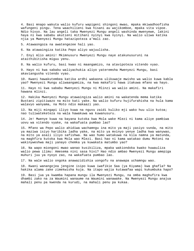4. Basi mnapo wakuta walio kufuru wapigeni shingoni mwao, mpaka mkiwadhoofisha wafungeni pingu. Tena waachilieni kwa hisani au wajikomboe, mpaka vita vipoe. Ndio hivyo. Na lau angeli taka Mwenyezi Mungu angeli washinda mwenyewe, lakini haya ni kwa sababu akutieni mitihani nyinyi kwa nyinyi. Na walio uliwa katika njia ya Mwenyezi Mungu hatazipoteza a'mali zao.

5. Atawaongoza na awatengezee hali yao.

6. Na atawaingiza katika Pepo aliyo wajuulisha.

7. Enyi mlio amini! Mkimnusuru Mwenyezi Mungu naye atakunusuruni na ataithibitisha miguu yenu.

8. Na walio kufuru, basi kwao ni maangamizo, na atavipoteza vitendo vyao.

9. Hayo ni kwa sababu waliyachukia aliyo yateremsha Mwenyezi Mungu, basi akaviangusha vitendo vyao.

10. Kwani hawakutembea katika ardhi wakaona ulikuwaje mwisho wa walio kuwa kabla yao? Mwenyezi Mungu aliwaangamiza, na kwa makafiri hawa itakuwa mfano wa hayo.

11. Hayo ni kwa sababu Mwenyezi Mungu ni Mlinzi wa walio amini. Na makafiri hawana mlinzi.

12. Hakika Mwenyezi Mungu atawaingiza walio amini na wakatenda mema katika Bustani zipitiwazo na mito kati yake. Na walio kufuru hujifurahisha na hula kama walavyo wanyama, na Moto ndio makaazi yao.

13. Na miji mingapi iliyo kuwa na nguvu zaidi kuliko mji wako huu ulio kutoa; nao tuliwateketeza na wala hawakuwa wa kuwanusuru.

14. Je! Mwenye kuwa na bayana kutoka kwa Mola wake Mlezi ni kama aliye pambiwa uovu wa vitendo vyake, na wakafuata pumbao lao?

15. Mfano wa Pepo walio ahidiwa wachamngu ina mito ya maji yasiyo vunda, na mito ya maziwa isiyo haribika ladha yake, na mito ya mvinyo yenye ladha kwa wanywao, na mito ya asali iliyo safishwa. Na wao humo watakuwa na kila namna ya matunda, na maghfira kutoka kwa Mola wao Mlezi. Basi hao ni kama watakao dumu Motoni na wakinyweshwa maji yanayo chemka ya kuwakata matumbo yao?

16. Na wapo miongoni mwao wanao kusikiliza, mpaka wakiondoka kwako huwauliza walio pewa ilimu: Amesema nini sasa hivi? Hao ndio ambao Mwenyezi Mungu amepiga muhuri juu ya nyoyo zao, na wakafuata pumbao lao.

17. Na wale walio ongoka anawazidishia uongofu na anawapa uchamngu wao.

18. Kwani wanangojea jengine isipo kuwa iwafikie Saa (ya Kiyama) kwa ghafla? Na hakika alama zake zimekwisha kuja. Na itapo wajia kutawafaa wapi kukumbuka hapo?

19. Basi jua ya kwamba hapana mungu ila Mwenyezi Mungu, na omba maghufira kwa dhambi zako na za Waumini wanaume na Waumini wanawake. Na Mwenyezi Mungu anajua mahali penu pa kwenda na kurudi, na mahali penu pa kukaa.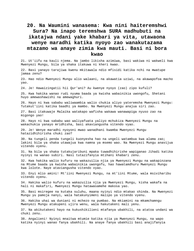# **20. Na Waumini wanasema: Kwa nini haiteremshwi Sura? Na inapo teremshwa SURA madhubuti na ikatajwa ndani yake khabari ya vita, utawaona wenye maradhi katika nyoyo zao wanakutazama mtazamo wa anaye zimia kwa mauti. Basi ni bora kwao**

21. Ut'iifu na kauli njema. Na jambo likisha azimiwa, basi wakiwa ni wakweli kwa Mwenyezi Mungu, bila ya shaka itakuwa ni kheri kwao.

22. Basi yanayo tarajiwa kwenu mkitawala ndio mfisidi katika nchi na mwatupe jamaa zenu?

23. Hao ndio Mwenyezi Mungu alio walaani, na akawatia uziwi, na akawapofoa macho yao.

24. Je! Hawaizingatii hii Qur'ani? Au kwenye nyoyo (zao) zipo kufuli?

25. Kwa hakika wanao rudi nyuma baada ya kwisha wabainikia uwongofu, Shetani huyo amewashawishi na amewaghuri.

26. Hayo ni kwa sababu waliwaambia walio chukia aliyo yateremsha Mwenyezi Mungu: Tutakut'iini katika baadhi ya mambo. Na Mwenyezi Mungu anajua siri zao.

27. Basi itakuwaje Malaika watakapo wafisha wakawa wanawapiga nyuso zao na migongo yao!

28. Hayo ni kwa sababu wao waliyafuata yaliyo mchukiza Mwenyezi Mungu na wakachukia yanayo mridhisha, basi akaviangusha vitendo vyao.

29. Je! Wenye maradhi nyoyoni mwao wanadhani kwamba Mwenyezi Mungu hatazidhihirisha chuki zao?

30. Na tungeli penda tungeli kuonyesha hao na ungeli watambua kwa alama zao; lakini bila ya shaka utawajua kwa namna ya msemo wao. Na Mwenyezi Mungu anavijua vitendo vyenu.

31. Na bila ya shaka tutakujaribuni mpaka tuwadhihirishe wapiganao Jihadi katika nyinyi na wanao subiri. Nasi tutazifanyia mtihani khabari zenu.

32. Kwa hakika walio kufuru na wakazuilia njia ya Mwenyezi Mungu na wakapinzana na Mtume baada ya kwisha wabainikia uwongofu, hao hawatamdhuru Mwenyezi Mungu kwa lolote. Naye ataviangusha vitendo vyao.

33. Enyi mlio amini! Mt'iini Mwenyezi Mungu, na mt'iini Mtume, wala msiviharibu vitendo vyenu.

34. Hakika walio kufuru na wakazuilia njia ya Mwenyezi Mungu, kisha wakafa na hali ni makafiri, Mwenyezi Mungu hatawasamehe makosa yao.

35. Basi msiregee na kutaka suluhu, maana nyinyi ndio mtakao shinda. Na Mwenyezi Mungu yu pamoja nanyi, wala hatakunyimeni malipo ya vitendo vyenu.

36. Hakika uhai wa duniani ni mchezo na pumbao. Na mkiamini na mkamchamngu Mwenyezi Mungu atakupeni ujira wenu, wala hakutakeni mali yenu.

37. Na akikutakeni hayo na kukushikilieni mtafanya ubakhili, na atatoa undani wa chuki zenu.

38. Angalieni! Nyinyi mnaitwa mtumie katika njia ya Mwenyezi Mungu, na wapo katika nyinyi wanao fanya ubakhili. Na anaye fanya ubakhili basi anajifanyia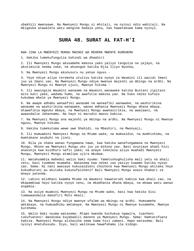ubakhili mwenyewe. Na Mwenyezi Mungu si mhitaji, na nyinyi ndio wahitaji. Na mkigeuka atawaleta watu wengine badala yenu, nao hawatakuwa kama nyinyi.

#### **SURA 48. SURAT AL FAT-H'I**

KWA JINA LA MWENYEZI MUNGU MWINGI WA REHEMA MWENYE KUREHEMU

1. Hakika tumekufungulia Ushindi wa dhaahiri

2. Ili Mwenyezi Mungu akusamehe makosa yako yaliyo tangulia na yajayo, na akutimizie neema zake, na akuongoe katika Njia Iliyo Nyooka,

3. Na Mwenyezi Mungu akunusuru nu yenye nguvu -

4. Yeye ndiye aliye teremsha utulivu katika nyoyo za Waumini ili wazidi Imani juu ya Imani yao. Na Mwenyezi Mungu ndiye mwenye majeshi ya mbingu na ardhi. Na Mwenyezi Mungu ni Mwenye ujuzi, Mwenye hikima -

5. Ili awaingize Waumini wanaume na Waumini wanawake katika Bustani zipitazo mito kati yake, wadumu humo, na awafutie makosa yao. Na huko ndiko kufuzu kukubwa mbele ya Mwenyezi Mungu.

6. Na awape adhabu wanaafiki wanaume na wanaafiki wanawake, na washirikina wanaume na washirikina wanawake, wanao mdhania Mwenyezi Mungu dhana mbaya. Utawafikia mgeuko mbaya, na Mwenyezi Mungu awakasirikie, na awalaani, na awaandalie Jahannamu. Na hayo ni marudio maovu kabisa.

7. Na Mwenyezi Mungu ana majeshi ya mbingu na ardhi. Na Mwenyezi Mungu ni Mwenye nguvu, Mwenye hikima.

8. Hakika tumekutuma wewe uwe Shahidi, na Mbashiri, na Mwonyaji,

9. Ili mumuamini Mwenyezi Mungu na Mtume wake, na mumsaidie, na mumhishimu, na mumtakase asubuhi na jioni.

10. Bila ya shaka wanao fungamana nawe, kwa hakika wanafungamana na Mwenyezi Mungu. Mkono wa Mwenyezi Mungu uko juu ya mikono yao. Basi avunjaye ahadi hizi anavunja kwa kuidhuru nafsi yake; na anaye tekeleza aliyo muahadi Mwenyezi Mungu, Mwenyezi Mungu atamlipa ujira mkubwa.

11. Watakuambia mabedui walio baki nyuma: Yametushughulisha mali yetu na ahali zetu, basi tuombee msamaha. Wanasema kwa ndimi zao yasiyo kuwamo katika nyoyo zao. Sema: Ni nani awezaye kukusaidieni chochote kwa Mwenyezi Mungu akitaka Yeye kukudhuruni au akitaka kukunufaisheni? Bali Mwenyezi Mungu anazo khabari za mnayo yatenda.

12. Lakini mlidhani kwamba Mtume na Waumini hawatarudi kabisa kwa ahali zao, na mkapambiwa hayo katika nyoyo zenu, na mkadhania dhana mbaya, na mkawa watu wanao angamia.

13. Na asiye muamini Mwenyezi Mungu na Mtume wake, basi kwa hakika Sisi tumewaandalia makafiri Moto mkali.

14. Na Mwenyezi Mungu ndiye mwenye ufalme wa mbingu na ardhi. Humsamehe amtakaye, na humuadhibu amtakaye. Na Mwenyezi Mungu ni Mwenye kusamehe, Mwenye kurehemu.

15. Walio baki nyuma watasema: Mtapo kwenda kuchukua ngawira, tuacheni tukufuateni! Wanataka kuyabadili maneno ya Mwenyezi Mungu. Sema: Hamtatufuata kabisa. Mwenyezi Mungu alikwisha sema kama hivi zamani. Hapo watasema: Bali nyinyi mnatuhusudu. Siyo, bali walikuwa hawafahamu ila kidogo.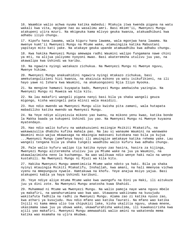16. Waambie walio achwa nyuma katika mabedui: Mtakuja itwa kwenda pigana na watu wakali kwa vita, mpigane nao au wasalimu amri. Basi mkimt'ii, Mwenyezi Mungu atakupeni ujira mzuri. Na mkigeuka kama mlivyo geuka kwanza, atakuadhibuni kwa adhabu iliyo chungu.

17. Kipofu hana lawama, wala kiguru hana lawama, wala mgonjwa hana lawama. Na mwenye kumt'ii Mwenyezi Mungu na Mtume wake, atamuingiza katika Mabustani yapitayo mito kati yake. Na atakaye geuka upande atamuadhibu kwa adhabu chungu.

18. Kwa hakika Mwenyezi Mungu amewapa radhi Waumini walipo fungamana nawe chini ya mti, na alijua yaliyomo nyoyoni mwao. Basi akateremsha utulivu juu yao, na akawalipa kwa Ushindi wa karibu.

19. Na ngawira nyingi watakazo zichukua. Na Mwenyezi Mungu ni Mwenye nguvu, Mwenye hikima.

20. Mwenyezi Mungu anakuahidini ngawira nyingi mtakazo zichukua, basi amekutangulizieni hizi kwanza, na akaizuia mikono ya watu isikufikieni, na ili hayo yawe ni Ishara kwa Waumini, na akakuongozeni Njia Iliyo Nyooka.

21. Na mengine hamwezi kuyapata bado, Mwenyezi Mungu amekwisha yazingia. Na Mwenyezi Mungu ni Muweza wa kila kitu.

22. Na lau makafiri wangeli pigana nanyi basi bila ya shaka wangeli geuza migongo, kisha wasingeli pata mlinzi wala msaidizi.

23. Huo ndio mwendo wa Mwenyezi Mungu ulio kwisha pita zamani, wala hutapata mabadiliko katika mwendo wa Mwenyezi Mungu.

24. Na Yeye ndiye aliyeizuia mikono yao kwenu, na mikono yenu kwao, katika bonde la Makka baada ya kukupeni Ushindi juu yao. Na Mwenyezi Mungu ni Mwenye kuyaona myatendayo.

25. Hao ndio walio kufuru na wakakuzuieni msiingie Msikiti Mtakatifu, na wakawazuilia dhabihu kufika mahala pao. Na lau si wanaume Waumini na wanawake Waumini msio wajua mkawasaga na mkaingia makosani kutokana nao bila ya kujua ...Mwenyezi Mungu (amefanya haya) ili amuingize amtakaye katika rehema yake. Lau wangeli tengana bila ya shaka tungeli waadhibu walio kufuru kwa adhabu chungu.

26. Pale walio kufuru walipo tia katika nyoyo zao hasira, hasira za kijinga, Mwenyezi Mungu aliteremsha utulivu juu ya Mtume wake na juu ya Waumini, na akawalazimisha neno la kuchamngu. Na wao walikuwa ndio wenye haki nalo na wenye kustahili. Na Mwenyezi Mungu ni Mjuzi wa kila kitu.

27. Hakika Mwenyezi Mungu amemtimizia Mtume wake ndoto ya haki. Bila ya shaka nyinyi mtauingia Msikiti Mtakatifu, Inshallah, kwa amani, na hali mmenyoa vichwa vyenu na mmepunguza nywele. Hamtakuwa na khofu. Yeye anajua msiyo yajua. Basi atakupeni kabla ya haya Ushindi karibuni.

28. Yeye ndiye aliye mtuma Mtume wake kwa uwongofu na Dini ya Haki, ili aitukuze juu ya dini zote. Na Mwenyezi Mungu anatosha kuwa Shahidi.

29. Muhammad ni Mtume wa Mwenyezi Mungu. Na walio pamoja naye wana nguvu mbele ya makafiri, na wanahurumiana wao kwa wao. Utawaona wakiinama na kusujudu wakitafuta fadhila na radhi za Mwenyezi Mungu. Alama zao zi katika nyuso zao, kwa athari ya kusujudu. Huu ndio mfano wao katika Taurati. Na mfano wao katika Injili ni kama mmea ulio toa chipukizi lake, kisha ukalitia nguvu, ukawa mnene, ukasimama sawa juu ya ubuwa wake, ukawafurahisha wakulima, ili kuwakasirisha kwa ajili yao makafiri. Mwenyezi Mungu amewaahidi walio amini na wakatenda mema katika wao msamaha na ujira mkubwa.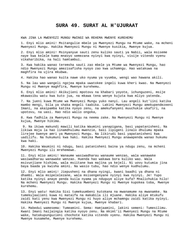### **SURA 49. SURAT AL H'UJURAAT**

KWA JINA LA MWENYEZI MUNGU MWINGI WA REHEMA MWENYE KUREHEMU

1. Enyi mlio amini! Msitangulie mbele ya Mwenyezi Mungu na Mtume wake, na mcheni Mwenyezi Mungu. Hakika Mwenyezi Mungu ni Mwenye kusikia, Mwenye kujua.

2. Enyi mlio amini! Msinyanyue sauti zenu kuliko sauti ya Nabii, wala msiseme naye kwa kelele kama mnavyo semezana nyinyi kwa nyinyi, visije vitendo vyenu vikaharibika, na hali hamtambui.

3. Kwa hakika wanao teremsha sauti zao mbele ya Mtume wa Mwenyezi Mungu, hao ndio Mwenyezi Mungu amezisafisha nyoyo zao kwa uchamngu. Hao watakuwa na maghfira na ujira mkubwa.

4. Hakika hao wanao kuita nawe uko nyuma ya vyumba, wengi wao hawana akili.

5. Na lau wao wangeli ngojea mpaka uwatokee ingeli kuwa kheri kwao. Na Mwenyezi Mungu ni Mwenye maghfira, Mwenye kurehemu.

6. Enyi mlio amini! Akikujieni mpotovu na khabari yoyote, ichunguzeni, msije mkawasibu watu kwa kuto jua, na mkawa tena wenye kujuta kwa mliyo yatenda.

7. Na jueni kuwa Mtume wa Mwenyezi Mungu yuko nanyi. Lau angeli kut'iini katika mambo mengi, bila ya shaka mngeli taabika. Lakini Mwenyezi Mungu amekupendezeeni Imani, na akaipamba katika nyoyo zenu, na amekufanyeni muuchukie ukafiri, na upotovu, na uasi. Hao ndio walio ongoka,

8. Kwa fadhila za Mwenyezi Mungu na neema zake. Na Mwenyezi Mungu ni Mwenye kujua, Mwenye hikima.

 9. Na ikiwa makundi mawili katika Waumini yanapigana, basi yapatanisheni. Na likiwa moja la hao linamdhulumu mwenzie, basi lipigeni linalo dhulumu mpaka lirejee kwenye amri ya Mwenyezi Mungu. Na likirudi basi yapatanisheni kwa uadilifu. Na hukumuni kwa haki. Hakika Mwenyezi Mungu anawapenda wanao hukumu kwa haki.

10. Hakika Waumini ni ndugu, basi patanisheni baina ya ndugu zenu, na mcheni Mwenyezi Mungu ili mrehemewe.

11. Enyi mlio amini! Wanaume wasiwadharau wanaume wenzao, wala wanawake wasiwadharau wanawake wenzao. Huenda hao wakawa bora kuliko wao. Wala msivunjiane hishima, wala msiitane kwa majina ya kejeli. Ni uovu kutumia jina baya baada ya kwisha amini. Na wasio tubu, hao ndio wenye kudhulumu.

12. Enyi mlio amini! Jiepusheni na dhana nyingi, kwani baadhi ya dhana ni dhambi. Wala msipelelezane, wala msisengenyane nyinyi kwa nyinyi. Je! Yupo katika nyinyi anaye penda kuila nyama ya nduguye aliye kufa? Mnalichukia hilo! Na mcheni Mwenyezi Mungu. Hakika Mwenyezi Mungu ni Mwenye kupokea toba, Mwenye kurehemu.

13. Enyi watu! Hakika Sisi tumekuumbeni kutokana na mwanamume na mwanamke. Na tumekujaalieni kuwa ni mataifa na makabila ili mjuane. Hakika aliye mtukufu zaidi kati yenu kwa Mwenyezi Mungu ni huyo aliye mchamngu zaidi katika nyinyi. Hakika Mwenyezi Mungu ni Mwenye kujua, Mwenye khabari.

14. Mabedui wamesema: Tumeamini. Sema: Hamjaamini, lakini semeni: Tumesilimu. Kwani Imani haijaingia katika nyoyo zenu. Na mkimt'ii Mwenyezi Mungu na Mtume wake, hatakupunguzieni chochote katika vitendo vyenu. Hakika Mwenyezi Mungu ni Mwenye kusamehe, Mwenye kurehemu.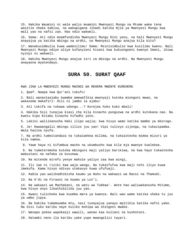15. Hakika Waumini ni wale walio muamini Mwenyezi Mungu na Mtume wake tena wasitie shaka kabisa, na wakapigana Jihadi katika Njia ya Mwenyezi Mungu kwa mali yao na nafsi zao. Hao ndio wakweli.

16. Sema: Ati ndio mnamfundisha Mwenyezi Mungu Dini yenu, na hali Mwenyezi Mungu anayajua ya katika mbingu na ardhi, na Mwenyezi Mungu anajua kila kitu?

17. Wanakusimbulia kuwa wamesilimu! Sema: Msinisimbulie kwa kusilimu kwenu. Bali Mwenyezi Mungu ndiye aliye kufanyieni hisani kwa kukuongoeni kwenye Imani, ikiwa nyinyi ni wakweli.

18. Hakika Mwenyezi Mungu anajua siri za mbingu na ardhi. Na Mwenyezi Mungu anayaona myatendayo.

# **SURA 50. SURAT QAAF**

KWA JINA LA MWENYEZI MUNGU MWINGI WA REHEMA MWENYE KUREHEMU

1. Qaaf. Naapa kwa Qur'ani tukufu!

2. Bali wanastaajabu kwamba amewafikia mwonyaji kutoka miongoni mwao, na wakasema makafiri: Hili ni jambo la ajabu!

3. Ati tukifa na tukawa udongo...? Kurejea huko kuko mbali!

4. Hakika Sisi tunajua kiasi cha kila kinacho punguzwa na ardhi kutokana nao. Na kwetu kipo Kitabu kinacho hifadhi yote.

5. Lakini waliikanusha Haki ilipo wajia; kwa hivyo wamo katika mambo ya mkorogo.

6. Je! Hawaangalii mbingu zilizo juu yao! Vipi tulivyo zijenga, na tukazipamba. Wala hazina nyufa.

7. Na ardhi tumeitandaza na tukaiwekea milima, na tukaiotesha mimea mizuri ya kila namna.

8. Yawe haya ni kifumbua macho na ukumbusho kwa kila mja mwenye kuelekea.

 9. Na tumeteremsha kutoka mbinguni maji yaliyo barikiwa, na kwa hayo tukaotesha mabustani na nafaka za kuvunwa.

10. Na mitende mirefu yenye makole yaliyo zaa kwa wingi,

11. Ili iwe ni riziki kwa waja wangu. Na tukaifufua kwa maji nchi iliyo kuwa imekufa. Kama hivyo ndivyo utakavyo kuwa ufufuaji.

12. Kabla yao walikadhibisha kaumu ya Nuhu na wakaazi wa Rassi na Thamudi.

13. Na A'di na Firauni na kaumu ya Lut'i.

14. Na wakaazi wa Machakani, na watu wa Tubbaa'. Wote hao waliwakanusha Mitume, kwa hivyo onyo likathibitika juu yao.

15. Kwani tulichoka kwa kuumba mara ya kwanza. Bali wao wamo katika shaka tu juu ya umbo jipya.

16. Na hakika tumemuumba mtu, nasi tunayajua yanayo mpitikia katika nafsi yake. Na Sisi tuko karibu naye kuliko mshipa wa shingoni mwake.

17. Wanapo pokea wapokeaji wawili, wanao kaa kuliani na kushotoni.

18. Hatamki neno ila karibu yake yupo mwangalizi tayari.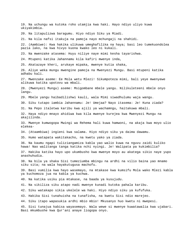19. Na uchungu wa kutoka roho utamjia kwa haki. Hayo ndiyo uliyo kuwa ukiyakimbia. 20. Na litapulizwa baragumu. Hiyo ndiyo Siku ya Miadi. 21. Na kila nafsi itakuja na pamoja nayo mchungaji na shahidi. 22. (Aambiwe): Kwa hakika ulikuwa umeghafilika na haya; basi leo tumekuondolea pazia lako, na kwa hivyo kuona kwako leo ni kukali. 23. Na mwenzake atasema: Huyu niliye naye mimi kesha tayarishwa. 24. Mtupeni katika Jahannamu kila kafiri mwenye inda, 25. Akatazaye kheri, arukaye mipaka, mwenye kutia shaka, 26. Aliye weka mungu mwengine pamoja na Mwenyezi Mungu. Basi mtupeni katika adhabu kali. 27. Mwenzake aseme: Ee Mola wetu Mlezi! Sikumpoteza mimi, bali yeye mwenyewe alikuwa katika upotovu wa mbali. 28. (Mwenyezi Mungu) aseme: Msigombane mbele yangu. Nilikuleteeni mbele onyo langu. 29. Mbele yangu haibadilishwi kauli, wala Mimi siwadhulumu waja wangu. 30. Siku tutapo iambia Jahannamu: Je! Umejaa? Nayo itasema: Je! Kuna ziada? 31. Na Pepo italetwa karibu kwa ajili ya wachamngu, haitakuwa mbali. 32. Haya ndiyo mnayo ahidiwa kwa kila mwenye kurejea kwa Mwenyezi Mungu na akajilinda. 33. Mwenye kumwogopa Mwingi wa Rehema hali kuwa hamwoni, na akaja kwa moyo ulio elekea-34. (Ataambiwa) ingieni kwa salama. Hiyo ndiyo siku ya daima dawamu. 35. Humo watapata wakitakacho, na kwetu yako ya ziada. 36. Na kaumu ngapi tuliziangamiza kabla yao walio kuwa na nguvu zaidi kuliko hawa! Nao walitanga tanga katika nchi nyingi. Je! Walipata pa kukimbilia? 37. Hakika katika hayo upo ukumbusho kwa mwenye moyo au akatega sikio naye yupo anashuhudia. 38. Na bila ya shaka Sisi tumeziumba mbingu na ardhi na vilio baina yao mnamo siku sita; na wala hayakutugusa machofu. 39. Basi vumilia kwa hayo wasemayo, na mtakase kwa kumsifu Mola wako Mlezi kabla ya kuchomoza jua na kabla ya kuchwa. 40. Na katika usiku pia mtakase, na baada ya kusujudu. 41. Na sikiliza siku atapo nadi mwenye kunadi kutoka pahala karibu. 42. Siku watakapo sikia ukelele wa haki. Hiyo ndiyo siku ya kufufuka. 43. Hakika Sisi tunahuisha na tunafisha, na kwetu Sisi ndio marejeo. 44. Siku itapo wapasukia ardhi mbio mbio! Mkusanyo huo kwetu ni mwepesi. 45. Sisi tunajua kabisa wayasemayo. Wala wewe si mwenye kuwatawalia kwa ujabari. Basi mkumbushe kwa Qur'ani anaye liogopa onyo.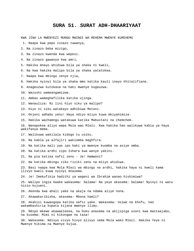#### **SURA 51. SURAT ADH-DHAARIYAAT**

KWA JINA LA MWENYEZI MUNGU MWINGI WA REHEMA MWENYE KUREHEMU

1. Naapa kwa pepo zinazo tawanya,

- 2. Na zinazo beba mizigo,
- 3. Na zinazo kwenda kwa wepesi.
- 4. Na zinazo gawanya kwa amri,
- 5. Hakika mnayo ahidiwa bila ya shaka ni kweli,

6. Na kwa hakika malipo bila ya shaka yatatokea.

- 7. Naapa kwa mbingu zenye njia,
- 8. Hakika nyinyi bila ya shaka mmo katika kauli inayo khitalifiana.
- 9. Anageuzwa kutokana na haki mwenye kugeuzwa.
- 10. Wazushi wameangamizwa.
- 11. Ambao wameghafilika katika ujinga.
- 12. Wanauliza: Ni lini hiyo siku ya malipo?
- 13. Hiyo ni siku watakayo adhibiwa Motoni.
- 14. Onjeni adhabu yenu! Haya ndiyo mliyo kuwa mkiyahimiza.
- 15. Hakika wachamngu watakuwa katika Mabustani na chemchem.
- 16. Wanapokea aliyo wapa Mola wao Mlezi. Kwa hakika hao walikuwa kabla ya haya wakifanya mema.
- 17. Walikuwa wakilala kidogo tu usiku.
- 18. Na kabla ya alfajiri wakiomba maghfira.
- 19. Na katika mali yao ipo haki ya mwenye kuomba na asiye omba.
- 20. Na katika ardhi zipo Ishara kwa wenye yakini.
- 21. Na pia katika nafsi zenu Je! Hamwoni?
- 22. Na katika mbingu ziko riziki zenu na mliyo ahidiwa.
- 23. Basi naapa kwa Mola Mlezi wa mbingu na ardhi, hakika haya ni kweli kama ilivyo kweli kuwa nyinyi mnasema.
- 24. Je! Imekufikia hadithi ya wageni wa Ibrahim wanao hishimiwa?
- 25. Walipo ingia kwake wakasema: Salama! Na yeye akasema: Salama! Nyinyi ni watu nisio kujueni.
- 26. Akenda kwa ahali yake na akaja na ndama aliye nona.
- 27. Akawakaribisha, akasema: Mbona hamli?
- 28. Akahisi kuwaogopa katika nafsi yake. Wakasema: Usiwe na khofu, nao wakambashiria kupata kijana mwenye ilimu.
- 29. Ndipo mkewe akawaelekea, na huku anasema na akijipiga usoni kwa mastaajabu, na kusema: Mimi ni kikongwe na tasa!
- 30. Wakasema: Ndivyo vivyo hivyo alivyo sema Mola wako Mlezi. Hakika Yeye ni Mwenye hikima na Mwenye kujua.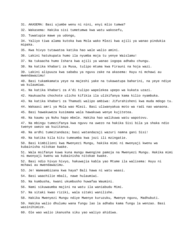31. AKASEMA: Basi ujumbe wenu ni nini, enyi mlio tumwa?

32. Wakasema: Hakika sisi tumetumwa kwa watu wakosefu,

33. Tuwatupie mawe ya udongo,

34. Yaliyo tiwa alama kutoka kwa Mola wako Mlezi kwa ajili ya wanao pindukia mipaka.

35. Kwa hivyo tutawatoa katika hao wale walio amini.

36. Lakini hatukupata humo ila nyumba moja tu yenye Waislamu!

37. Na tukaacha humo Ishara kwa ajili ya wanao iogopa adhabu chungu.

38. Na katika khabari za Musa, tulipo mtuma kwa Firauni na hoja wazi.

39. Lakini alipuuza kwa sababu ya nguvu zake na akasema: Huyu ni mchawi au mwendawazimu!

40. Basi tukamkamata yeye na majeshi yake na tukawatupa baharini, na yeye ndiye wa kulaumiwa.

41. Na katika khabari za A'di tulipo wapelekea upepo wa kukata uzazi.

42. Haukuacha chochote ulicho kifikia ila ulikifanya kama kilio nyambuka.

43. Na katika khabari za Thamudi walipo ambiwa: Jifurahisheni kwa muda mdogo tu.

44. Wakaasi amri ya Mola wao Mlezi. Basi uliwanyakua moto wa radi nao wanaona.

45. Basi hawakuweza kusimama wala hawakuwa wenye kujitetea.

46. Na kaumu ya Nuhu hapo mbele. Hakika hao walikuwa watu wapotovu.

47. Na mbingu tumezifanya kwa nguvu na uwezo na hakika Sisi bila ya shaka ndio twenye uwezo wa kuzitanua.

48. Na ardhi tumeitandaza; basi watandazaji wazuri namna gani Sisi!

49. Na katika kila kitu tumeumba kwa jozi ili mzingatie.

50. Basi kimbilieni kwa Mwenyezi Mungu, hakika mimi ni mwonyaji kwenu wa kubainisha nitokae kwake.

51. Wala msifanye kuwa kuna mungu mwengine pamoja na Mwenyezi Mungu. Hakika mimi ni mwonyaji kwenu wa kubainisha nitokae kwake.

52. Basi ndio hivyo hivyo, hakuwajia kabla yao Mtume ila walisema: Huyu ni mchawi au mwendawazimu.

53. Je! Wameambizana kwa haya? Bali hawa ni watu waasi.

54. Basi waachilie mbali, nawe hulaumiwi.

55. Na kumbusha, kwani ukumbusho huwafaa Waumini.

56. Nami sikuwaumba majini na watu ila waniabudu Mimi.

57. Na sitaki kwao riziki, wala sitaki wanilishe.

58. Hakika Mwenyezi Mungu ndiye Mwenye kuruzuku, Mwenye nguvu, Madhubuti.

59. Hakika walio dhulumu wana fungu lao la adhabu kama fungu la wenzao. Basi wasinihimize.

60. Ole wao walio ikanusha siku yao waliyo ahidiwa.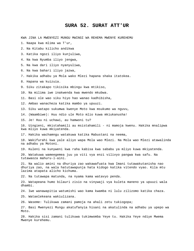#### **SURA 52. SURAT ATT'UR**

KWA JINA LA MWENYEZI MUNGU MWINGI WA REHEMA MWENYE KUREHEMU

- 1. Naapa kwa mlima wa T'ur,
- 2. Na Kitabu kilicho andikwa
- 3. Katika ngozi iliyo kunjuliwa,
- 4. Na kwa Nyumba iliyo jengwa,
- 5. Na kwa dari iliyo nyanyuliwa,
- 6. Na kwa bahari iliyo jazwa,
- 7. Hakika adhabu ya Mola wako Mlezi hapana shaka itatokea.
- 8. Hapana wa kuizuia.
- 9. Siku zitakapo tikisika mbingu kwa mtikiso,
- 10. Na milima iwe inakwenda kwa mwendo mkubwa.
- 11. Basi ole wao siku hiyo hao wanao kadhibisha,
- 12. Ambao wanacheza katika mambo ya upuuzi.
- 13. Siku watapo sukumwa kwenye Moto kwa msukumo wa nguvu,
- 14. (Waambiwe): Huu ndio ule Moto mlio kuwa mkiukanusha!
- 15. Je! Huu ni uchawi, au hamwoni tu?

16. Uingieni, mkistahamili au msistahamili - ni mamoja kwenu. Hakika mnalipwa kwa mliyo kuwa mkiyatenda.

17. Hakika wachamngu watakuwa katika Mabustani na neema,

18. Wakifurahi kwa yale aliyo wapa Mola wao Mlezi. Na Mola wao Mlezi atawalinda na adhabu ya Motoni.

19. Kuleni na kunyweni kwa raha kabisa kwa sababu ya mliyo kuwa mkiyatenda.

20. Watakuwa wameegemea juu ya viti vya enzi vilivyo pangwa kwa safu. Na tutawaoza mahuru-l-aini.

21. Na walio amini na dhuriya zao wakawafuata kwa Imani tutawakutanisha nao dhuriya zao, na wala hatutawapunja hata kidogo katika vitendo vyao. Kila mtu lazima atapata alicho kichuma.

22. Na tutawapa matunda, na nyama kama watavyo penda.

23. Watapeana humo bilauri zisio na vinywaji vya kuleta maneno ya upuuzi wala dhambi.

24. Iwe wanawapitia watumishi wao kama kwamba ni lulu zilizomo katika chaza.

25. Wataelekeana wakiulizana.

26. Waseme: Tulikuwa zamani pamoja na ahali zetu tukiogopa;

27. Basi Mwenyezi Mungu akatufanyia hisani na akatulinda na adhabu ya upepo wa Moto.

28. Hakika sisi zamani tulikuwa tukimwomba Yeye tu. Hakika Yeye ndiye Mwema Mwenye kurehemu.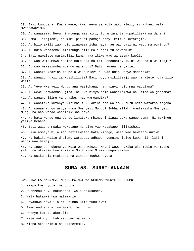29. Basi kumbusha! Kwani wewe, kwa neema ya Mola wako Mlezi, si kuhani wala mwendawazimu. 30. Au wanasema: Huyu ni mtunga mashairi, tunamtarajia kupatilizwa na dahari. 31. Sema: Tarajieni, na mimi pia ni pamoja nanyi katika kutarajia. 32. Au hizo akili zao ndio zinawaamrisha haya, au wao basi ni watu majeuri tu? 33. Au ndio wanasema: Ameitunga hii! Bali basi tu hawaamini! 34. Basi nawalete masimulizi kama haya ikiwa wao wanasema kweli. 35. Au wao wameumbwa pasipo kutokana na kitu chochote, au ni wao ndio waumbaji? 36. Au wao wameziumba mbingu na ardhi? Bali hawana na yakini. 37. Au wanazo khazina za Mola wako Mlezi au wao ndio wenye madaraka? 38. Au wanazo ngazi za kusikilizia? Basi huyo msikilizaji wao na alete hoja ilio wazi! 39. Au Yeye Mwenyezi Mungu ana wasichana, na nyinyi ndio mna wavulana? 40. Au wewe unawaomba ujira, na kwa hivyo ndio wanaelemewa na uzito wa gharama? 41. Au wanayo ilimu ya ghaibu, nao wameandika? 42. Au wanataka kufanya vitimbi tu? Lakini hao walio kufuru ndio watakao tegeka. 43. Au wanae mungu asiye kuwa Mwenyezi Mungu? Subhanallah! Ametaksika Mwenyezi Mungu na hao wanao washirikisha naye. 44. Na hata wange ona pande linatoka mbinguni linaanguka wange sema: Ni mawingu yaliyo bebana. 45. Basi waache mpaka wakutane na siku yao watakapo hilikishwa. 46. Siku ambayo hila zao hazitawafaa hata kidogo, wala wao hawatanusuriwa. 47. Na hakika walio dhulumu watapata adhabu nyengine isiyo kuwa hii, lakini wengi wao hawajui. 48. Na ingojee hukumu ya Mola wako Mlezi. Kwani wewe hakika uko mbele ya macho yetu, na mtakase kwa kumsifu Mola wako Mlezi unapo simama, 49. Na usiku pia mtakase, na zinapo kuchwa nyota. **SURA 53. SURAT ANNAJM**  KWA JINA LA MWENYEZI MUNGU MWINGI WA REHEMA MWENYE KUREHEMU

- 1. Naapa kwa nyota inapo tua,
- 2. Mwenzenu huyu hakupotea, wala hakukosea.
- 3. Wala hatamki kwa matamanio.
- 4. Hayakuwa haya ila ni ufunuo ulio funuliwa;
- 5. Amemfundisha aliye mwingi wa nguvu,
- 6. Mwenye kutua, akatulia,
- 7. Naye yuko juu kabisa upeo wa macho.
- 8. Kisha akakaribia na akateremka.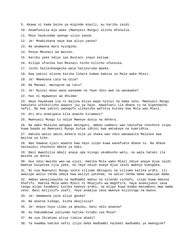- 9. Akawa ni kama baina ya mipinde miwili, au karibu zaidi.
- 10. Akamfunulia mja wake (Mwenyezi Mungu) alicho mfunulia.
- 11. Moyo haukusema uwongo uliyo yaona.
- 12. Je! Mnabishana naye kwa aliyo yaona?
- 13. Na akamwona mara nyingine,
- 14. Penye Mkunazi wa mwisho.
- 15. Karibu yake ndiyo ipo Bustani inayo kaliwa.
- 16. Kilipo ufunika huo Mkunazi hicho kilicho ufunuika.
- 17. Jicho halikuhangaika wala halikuruka mpaka.
- 18. Kwa yakini aliona katika Ishara kubwa kabisa za Mola wake Mlezi.
- 19. Je! Mmemuona Lata na Uzza?
- 20. Na Manaat, mwingine wa tatu?
- 21. Je! Nyinyi mnao wana wanaume na Yeye ndio awe na wanawake?
- 22. Huo ni mgawanyo wa dhulma!

23. Hayo hayakuwa ila ni majina mliyo wapa nyinyi na baba zenu. Mwenyezi Mungu hakuleta uthibitisho wowote juu ya hayo. Hawafuati ila dhana tu na kipendacho nafsi. Na kwa yakini uwongofu ulikwisha wafikia kutoka kwa Mola wao Mlezi.

- 24. Ati mtu anakipata kila anacho kitamani?
- 25. Mwenyezi Mungu tu ndiye Mwenye dunia na Akhera.
- 26. Na wako Malaika wangapi mbinguni, ambao uombezi wao hautafaa chochote isipo kuwa baada ya Mwenyezi Mungu kutoa idhini kwa amtakaye na kumridhia.
- 27. Hakika wasio amini Akhera bila ya shaka wao ndio wanawaita Malaika kwa majina ya kike.
- 28. Nao hawana ujuzi wowote kwa hayo isipo kuwa wanafuata dhana tu. Na dhana haisaidii chochote mbele ya haki.
- 29. Basi mwachilie mbali anaye upa kisogo ukumbusho wetu, na wala hataki ila maisha ya dunia.
- 30. Huo ndio mwisho wao wa ujuzi. Hakika Mola wako Mlezi ndiye anaye mjua zaidi mwenye kuipotea njia yake, na Yeye ndiye anaye mjua zaidi mwenye kuongoka.
- 31. Ni vya Mwenyezi Mungu vyote viliomo mbinguni na viliomo katika ardhi, ili awalipe walio tenda ubaya kwa waliyo yatenda, na walio tenda mema awalipe mema.
- 32. Ambao wanajiepusha na madhambi makuu na vitendo vichafu, isipo kuwa makosa khafifu. Hakika Mola wako Mlezi ni Mkunjufu wa maghfira, naye anakujueni sana tangu alipo kuumbeni kutoka kwenye ardhi, na mlipo kuwa mimba matumboni mwa mama zenu. Basi msijisifu usafi. Yeye anamjua sana mwenye kujikinga na maovu.
- 33. Je! Umemwona yule aliye geuka?
- 34. Na akatoa kidogo, kisha akajizuia?
- 35. Je! Anayo huyo ilimu ya ghaibu, basi ndio anaona?
- 36. Au hakuambiwa yaliyomo katika Vitabu vya Musa?
- 37. Na vya Ibrahimu aliye timiza ahadi?
- 38. Ya kwamba hakika nafsi iliyo beba madhambi haibebi madhambi ya mwengine?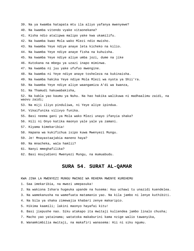39. Na ya kwamba hatapata mtu ila aliyo yafanya mwenyewe? 40. Na kwamba vitendo vyake vitaonekana? 41. Kisha ndio atalipwa malipo yake kwa ukamilifu. 42. Na kwamba kwao Mola wako Mlezi ndio mwisho. 43. Na kwamba Yeye ndiye anaye leta kicheko na kilio. 44. Na kwamba Yeye ndiye anaye fisha na kuhuisha. 45. Na kwamba Yeye ndiye aliye umba jozi, dume na jike 46. Kutokana na mbegu ya uzazi inapo miminwa. 47. Na kwamba ni juu yake ufufuo mwengine. 48. Na kwamba ni Yeye ndiye anaye tosheleza na kukinaisha. 49. Na kwamba hakika Yeye ndiye Mola Mlezi wa nyota ya Shii'ra. 50. Na kwamba Yeye ndiye aliye waangamiza A'di wa kwanza, 51. Na Thamudi hakuwabakisha, 52. Na kabla yao kaumu ya Nuhu. Na hao hakika walikuwa ni madhaalimu zaidi, na waovu zaidi; 53. Na miji iliyo pinduliwa, ni Yeye aliye ipindua. 54. Vikaifunika vilivyo funika. 55. Basi neema gani ya Mola wako Mlezi unayo ifanyia shaka? 56. Hili ni Onyo katika maonyo yale yale ya zamani. 57. Kiyama kimekaribia! 58. Hapana wa kukifichua isipo kuwa Mwenyezi Mungu. 59. Je! Mnayastaajabia maneno haya? 60. Na mnacheka, wala hamlii? 61. Nanyi mmeghafilika? 62. Basi msujudieni Mwenyezi Mungu, na mumuabudu.

# **SURA 54. SURAT AL-QAMAR**

KWA JINA LA MWENYEZI MUNGU MWINGI WA REHEMA MWENYE KUREHEMU

1. Saa imekaribia, na mwezi umepasuka!

2. Na wakiona Ishara hugeuka upande na husema: Huu uchawi tu unazidi kuendelea.

3. Na wamekanusha na wamefuata matamanio yao. Na kila jambo ni lenye kuthibiti.

- 4. Na bila ya shaka zimewajia khabari zenye makaripio.
- 5. Hikima kaamili; lakini maonyo hayafai kitu!
- 6. Basi jiepushe nao. Siku atakapo ita mwitaji kuliendea jambo linalo chusha;
- 7. Macho yao yatainama; watatoka makaburini kama nzige walio tawanyika,
- 8. Wanamkimbilia mwitaji, na makafiri wanasema: Hii ni siku ngumu.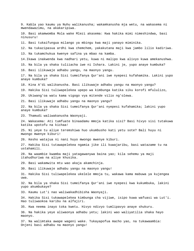9. Kabla yao kaumu ya Nuhu walikanusha; wakamkanusha mja wetu, na wakasema ni mwendawazimu, na akakaripiwa. 10. Basi akamwomba Mola wake Mlezi akasema: Kwa hakika mimi nimeshindwa, basi ninusuru! 11. Basi tukaifungua milango ya mbingu kwa maji yanayo miminika. 12. Na tukazipasua ardhi kwa chemchem, yakakutana maji kwa jambo lilio kadiriwa. 13. Na tukamchukua kwenye safina ya mbao na kamba. 14.Ikawa inakwenda kwa nadhari yetu, kuwa ni malipo kwa alivyo kuwa amekanushwa. 15. Na bila ya shaka tuliiacha iwe ni Ishara. Lakini je, yupo anaye kumbuka? 16. Basi ilikuwaje adhabu yangu, na maonyo yangu. 17. Na bila ya shaka Sisi tumeifanya Qur'ani iwe nyepesi kufahamika. Lakini yupo anaye kumbuka? 18. Kina A'di walikanusha. Basi ilikuwaje adhabu yangu na maonyo yangu? 19. Hakika Sisi tuliwapelekea upepo wa kimbunga katika siku korofi mfululizo, 20. Ukiwang'oa watu kama vigogo vya mitende vilio ng'olewa. 21. Basi ilikuwaje adhabu yangu na maonyo yangu? 22. Na bila ya shaka Sisi tumeifanya Qur'ani nyepesi kufahamika; lakini yupo anaye kumbuka? 23. Thamudi waliwakanusha Waonyaji. 24. Wakasema: Ati tumfuate binaadamu mmoja katika sisi? Basi hivyo sisi tutakuwa katika upotofu na kichaa! 25. Ni yeye tu aliye teremshiwa huo ukumbusho kati yetu sote? Bali huyu ni mwongo mwenye kiburi! 26. Kesho watajua ni nani huyo mwongo mwenye kiburi. 27. Hakika Sisi tutawapelekea ngamia jike ili kuwajaribu, basi watazame tu na ustahamili. 28. Na waambie kwamba maji yatagawanywa baina yao; kila sehemu ya maji itahudhuriwa na aliye khusika. 29. Basi wakamwita mtu wao akaja akamchinja. 30. Basi ilikuwaje adhabu yangu na maonyo yangu! 31. Hakika Sisi tuliwapelekea ukelele mmoja tu, wakawa kama mabuwa ya kujengea uwa. 32. Na bila ya shaka Sisi tumeifanya Qur'ani iwe nyepesi kwa kukumbuka, lakini yupo akumbukaye? 33. Kaumu Lut'i nao waliwakadhibisha Waonyaji. 34. Hakika Sisi tukawapelekea kimbunga cha vijiwe, isipo kuwa wafuasi wa Lut'i. Hao tuliwaokoa karibu na alfajiri. 35. Kwa neema inayo toka kwetu. Hivyo ndivyo tumlipavyo anaye shukuru. 36. Na hakika yeye aliwaonya adhabu yetu; lakini wao waliyatilia shaka hayo maonyo. 37. Na walimtaka awape wageni wake. Tukayapofua macho yao, na tukawaambia: Onjeni basi adhabu na maonyo yangu!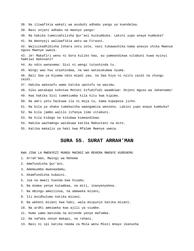38. Na iliwafikia wakati wa asubuhi adhabu yangu ya kuendelea.

39. Basi onjeni adhabu na maonyo yangu!

40. Na hakika tumeisahilisha Qur'ani kuikumbuka. Lakini yupo anaye kumbuka?

41. Na Waonyaji waliwafikia watu wa Firauni.

42. Walizikadhibisha Ishara zetu zote, nasi tukawashika kama anavyo shika Mwenye nguvu Mwenye uweza.

43. Je! Makafiri wenu ni bora kuliko hao, au yameandikwa vitabuni kuwa nyinyi hamtiwi makosani?

44. Au ndio wanasema: Sisi ni wengi tutashinda tu.

45. Wingi wao huu utashindwa, na wao watasukumwa nyuma.

46. Bali Saa ya Kiyama ndio miadi yao, na Saa hiyo ni nzito zaidi na chungu zaidi.

47. Hakika wakosefu wamo katika upotofu na wazimu.

48. Siku watakapo kokotwa Motoni kifudifudi waambiwe: Onjeni mguso wa Jahannamu!

49. Kwa hakika Sisi tumekiumba kila kitu kwa kipimo.

50. Na amri yetu haikuwa ila ni moja tu, kama kupepesa jicho.

51. Na bila ya shaka tumekwisha waangamiza wenzenu. Lakini yupo anaye kumbuka?

52. Na kila jambo walilo lifanya limo vitabuni.

53. Na kila kidogo na kikubwa kimeandikwa.

54. Hakika wachamngu watakuwa katika Mabustani na mito.

55. Katika makalio ya haki kwa Mfalme Mwenye uweza.

#### **SURA 55. SURAT ARRAH'MAN**

KWA JINA LA MWENYEZI MUNGU MWINGI WA REHEMA MWENYE KUREHEMU

- 1. Arrah'man, Mwingi wa Rehema
- 2. Amefundisha Qur'ani.
- 3. Amemuumba mwanaadamu,
- 4. Akamfundisha kubaini.
- 5. Jua na mwezi huenda kwa hisabu.

6. Na mimea yenye kutambaa, na miti, inanyenyekea.

7. Na mbingu ameziinua, na ameweka mizani,

8. Ili msidhulumu katika mizani.

9. Na wekeni mizani kwa haki, wala msipunje katika mizani.

10. Na ardhi ameiweka kwa ajili ya viumbe.

11. Humo yamo matunda na mitende yenye mafumba.

12. Na nafaka zenye makapi, na rehani.

13. Basi ni ipi katika neema za Mola wenu Mlezi mnayo ikanusha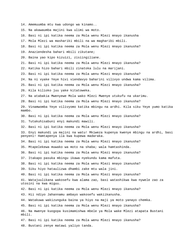14. Amemuumba mtu kwa udongo wa kinamo.. 15. Na akawaumba majini kwa ulimi wa moto. 16. Basi ni ipi katika neema za Mola wenu Mlezi mnayo ikanusha 17. Mola Mlezi wa mashariki mbili na wa magharibi mbili. 18. Basi ni ipi katika neema za Mola wenu Mlezi mnayo ikanusha? 19. Anaziendesha bahari mbili zikutane; 20. Baina yao kipo kizuizi, zisiingiliane. 21. Basi ni ipi katika neema za Mola wenu Mlezi mnayo ikanusha? 22. Katika hizo bahari mbili zinatoka lulu na marijani. 23. Basi ni ipi katika neema za Mola wenu Mlezi mnayo ikanusha? 24. Na ni vyake Yeye hivi viendavyo baharini vilivyo undwa kama vilima. 25. Basi ni ipi katika neema za Mola wenu Mlezi mnayo ikanusha? 26. Kila kilioko juu yake kitatoweka. 27. Na atabakia Mwenyewe Mola wako Mlezi Mwenye utukufu na ukarimu. 28. Basi ni ipi katika neema za Mola wenu Mlezi mnayo ikanusha? 29. Vinamwomba Yeye vilivyomo katika mbingu na ardhi. Kila siku Yeye yumo katika mambo. 30. Basi ni ipi katika neema za Mola wenu Mlezi mnayo ikanusha? 31. Tutakuhisabuni enyi makundi mawili. 32. Basi ni ipi katika neema za Mola wenu Mlezi mnayo ikanusha? 33. Enyi makundi ya majini na watu! Mkiweza kupenya kwenye mbingu na ardhi, basi penyeni! Hamtapenya ila kwa kupewa madaraka. 34. Basi ni ipi katika neema za Mola wenu Mlezi mnayo ikanusha? 35. Mtapelekewa muwako wa moto na shaba; wala hamtashinda. 36. Basi ni ipi katika neema za Mola wenu Mlezi mnayo ikanusha? 37. Itakapo pasuka mbingu ikawa nyekundu kama mafuta. 38. Basi ni ipi katika neema za Mola wenu Mlezi mnayo ikanusha? 39. Siku hiyo hataulizwa dhambi zake mtu wala jini. 40. Basi ni ipi katika neema za Mola wenu Mlezi mnayo ikanusha? 41. Watajuulikana wakosefu kwa alama zao, basi watashikwa kwa nywele zao za utosini na kwa miguu. 42. Basi ni ipi katika neema za Mola wenu Mlezi mnayo ikanusha? 43. Hii ndiyo Jahannamu ambayo wakosefu wakiikanusha. 44. Watakuwa wakizunguka baina ya hiyo na maji ya moto yanayo chemka. 45. Basi ni ipi katika neema za Mola wenu Mlezi mnayo ikanusha? 46. Na mwenye kuogopa kusimamishwa mbele ya Mola wake Mlezi atapata Bustani mbili. 47. Basi ni ipi katika neema za Mola wenu Mlezi mnayo ikanusha? 48. Bustani zenye matawi yaliyo tanda.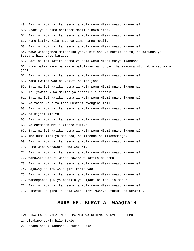49. Basi ni ipi katika neema za Mola wenu Mlezi mnayo ikanusha? 50. Ndani yake zimo chemchem mbili zinazo pita. 51. Basi ni ipi katika neema za Mola wenu Mlezi mnayo ikanusha? 52. Humo katika kila matunda zimo namna mbili. 53. Basi ni ipi katika neema za Mola wenu Mlezi mnayo ikanusha? 54. Wawe wameegemea matandiko yenye bit'ana ya hariri nzito; na matunda ya Bustani hizo yapo karibu. 55. Basi ni ipi katika neema za Mola wenu Mlezi mnayo ikanusha? 56. Humo watakuwamo wanawake watulizao macho yao; hajawagusa mtu kabla yao wala jini. 57. Basi ni ipi katika neema za Mola wenu Mlezi mnayo ikanusha? 58. Kama kwamba wao ni yakuti na marijani. 59. Basi ni ipi katika neema za Mola wenu Mlezi mnayo ikanusha. 60. Ati yaweza kuwa malipo ya ihsani ila ihsani? 61. Basi ni ipi katika neema za Mola wenu Mlezi mnayo ikanusha? 62. Na zaidi ya hizo zipo Bustani nyengine mbili. 63. Basi ni ipi katika neema za Mola wenu Mlezi mnayo ikanusha? 64. Za kijani kibivu. 65. Basi ni ipi katika neema za Mola wenu Mlezi mnayo ikanusha? 66. Na chemchem mbili zinazo furika. 67. Basi ni ipi katika neema za Mola wenu Mlezi mnayo ikanusha? 68. Imo humo miti ya matunda, na mitende na mikomamanga. 69. Basi ni ipi katika neema za Mola wenu Mlezi mnayo ikanusha? 70. Humo wamo wanawake wema wazuri. 71. Basi ni ipi katika neema za Mola wenu Mlezi mnayo ikanusha? 72. Wanawake wazuri wanao tawishwa katika makhema. 73. Basi ni ipi katika neema za Mola wenu Mlezi mnayo ikanusha? 74. Hajawagusa mtu wala jini kabla yao. 75. Basi ni ipi katika neema za Mola wenu Mlezi mnayo ikanusha? 76. Wameegemea juu ya matakia ya kijani na mazulia mazuri. 77. Basi ni ipi katika neema za Mola wenu Mlezi mnayo ikanusha? 78. Limetukuka jina la Mola wako Mlezi Mwenye utukufu na ukarimu.

# **SURA 56. SURAT AL-WAAQIA'H**

- 1. Litakapo tukia hilo Tukio
- 2. Hapana cha kukanusha kutukia kwake.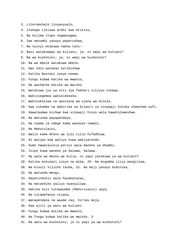- 3. Literemshalo linyanyualo,
- 4. Itakapo tikiswa ardhi kwa mtikiso,
- 5. Na milima itapo sagwasagwa,
- 6. Iwe mavumbi yanayo peperushwa,
- 7. Na nyinyi mtakuwa namna tatu:-
- 8. Basi watakuwepo wa kuliani; je, ni wepi wa kuliani?
- 9. Na wa kushotoni; je, ni wepi wa kushotoni?
- 10. Na wa mbele watakuwa mbele.
- 11. Hao ndio watakao karibishwa
- 12. Katika Bustani zenye neema.
- 13. Fungu kubwa katika wa mwanzo,
- 14. Na wachache katika wa mwisho.
- 15. Watakuwa juu ya viti vya fakhari vilivyo tonewa.
- 16. Wakiviegemea wakielekeana.
- 17. Wakitumikiwa na wavulana wa ujana wa milele,
- 18. Kwa vikombe na mabirika na bilauri za vinywaji kutoka chemchem safi.
- 19. Hawataumwa kichwa kwa vinywaji hivyo wala hawatoleweshwa.
- 20. Na matunda wayapendayo,
- 21. Na nyama za ndege kama wanavyo tamani.
- 22. Na Mahurulaini,
- 23. Walio kama mfano wa lulu zilio hifadhiwa.
- 24. Ni malipo kwa waliyo kuwa wakiyatenda.
- 25. Humo hawatasikia porojo wala maneno ya dhambi,
- 26. Isipo kuwa maneno ya Salama, Salama.
- 27. Na wale wa mkono wa kulia, ni yepi yatakuwa ya wa kuliani?
- 28. Katika mikunazi isiyo na miba, 29. Na migomba iliyo pangiliwa,
- 30. Na kivuli kilicho tanda, 31. Na maji yanayo miminika,
- 32. Na matunda mengi,
- 33. Hayatindikii wala hayakatazwi,
- 34. Na matandiko yaliyo nyanyuliwa.
- 35. Hakika Sisi tutawaumba (Mahurulaini) upya,
- 36. Na tutawafanya vijana,
- 37. Wanapendana na waume zao, hirimu moja.
- 38. Kwa ajili ya watu wa kuliani.
- 39. Fungu kubwa katika wa mwanzo,
- 40. Na fungu kubwa katika wa mwisho. 3
- 41. Na watu wa kushotoni; je ni yepi ya wa kushotoni?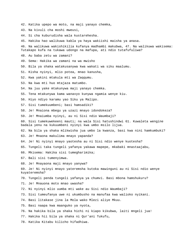- 42. Katika upepo wa moto, na maji yanayo chemka,
- 43. Na kivuli cha moshi mweusi,
- 44. Si cha kuburudisha wala kustarehesha.
- 45. Hakika hao walikuwa kabla ya haya wakiishi maisha ya anasa.
- 46. Na walikuwa wakishikilia kufanya madhambi makubwa, 47. Na walikuwa wakisema: Tutakapo kufa na tukawa udongo na mafupa, ati ndio tutafufuliwa?
- 48. Au baba zetu wa zamani?
- 49. Sema: Hakika wa zamani na wa mwisho
- 50. Bila ya shaka watakusanywa kwa wakati wa siku maalumu.
- 51. Kisha nyinyi, mlio potea, mnao kanusha,
- 52. Kwa yakini mtakula mti wa Zaqqumu.
- 53. Na kwa mti huo mtajaza matumbo.
- 54. Na juu yake mtakunywa maji yanayo chemka.
- 55. Tena mtakunywa kama wanavyo kunywa ngamia wenye kiu.
- 56. Hiyo ndiyo karamu yao Siku ya Malipo.
- 57. Sisi tumekuumbeni; basi hamsadiki?
- 58. Je! Mnaiona mbegu ya uzazi mnayo idondokeza?
- 59. Je! Mnaiumba nyinyi, au ni Sisi ndio Waumbaji?
- 60. Sisi tumekuwekeeni mauti; na wala Sisi hatushindwi 61. Kuwaleta wengine badala yenu na kukuumbeni nyinyi kwa umbo msilo lijua.
- 62. Na bila ya shaka mlikwisha jua umbo la kwanza, basi kwa nini hamkumbuki?
- 63. Je! Mnaona makulima mnayo yapanda?
- 64. Je! Ni nyinyi mnayo yaotesha au ni Sisi ndio wenye kuotesha?
- 65. Tungeli taka tungeli yafanya yakawa mapepe, mkabaki mnastaajabu,
- 66. Mkisema: Hakika sisi tumegharimika;
- 67. Bali sisi tumenyimwa.
- 68. Je! Mnayaona maji mnayo yanywa?
- 69. Je! Ni nyinyi mnayo yateremsha kutoka mawinguni au ni Sisi ndio wenye kuyateremsha?
- 70. Tungeli penda tungeli yafanya ya chumvi. Basi mbona hamshukuru?
- 71. Je! Mnauona moto mnao uwasha?
- 72. Ni nyinyi mlio uumba mti wake au Sisi ndio Waumbaji?
- 73. Sisi tumeufanya uwe ni ukumbusho na manufaa kwa walioko nyikani.
- 74. Basi litakase jina la Mola wako Mlezi aliye Mkuu.
- 75. Basi naapa kwa maanguko ya nyota,
- 76. Na hakika bila ya shaka hichi ni kiapo kikubwa, laiti mngeli jua!
- 77. Hakika hii bila ya shaka ni Qur'ani Tukufu,
- 78. Katika Kitabu kilicho hifadhiwa.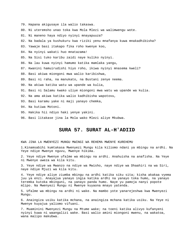- 79. Hapana akigusaye ila walio takaswa.
- 80. Ni uteremsho unao toka kwa Mola Mlezi wa walimwengu wote.
- 81. Ni maneno haya ndiyo nyinyi mnayapuuza?
- 82. Na badala ya kushukuru kwa riziki yenu mnafanya kuwa mnakadhibisha?
- 83. Yawaje basi itakapo fika roho kwenye koo,
- 84. Na nyinyi wakati huo mnatazama!
- 85. Na Sisi tuko karibu zaidi naye kuliko nyinyi.
- 86. Na lau kuwa nyinyi hamumo katika mamlaka yangu,
- 87. Kwanini hamuirudishi hiyo roho, ikiwa nyinyi mnasema kweli?
- 88. Basi akiwa miongoni mwa walio karibishwa,
- 89. Basi ni raha, na manukato, na Bustani zenye neema.
- 90. Na akiwa katika watu wa upande wa kulia,
- 91. Basi ni Salamu kwako uliye miongoni mwa watu wa upande wa kulia.
- 92. Na ama akiwa katika walio kadhibisha wapotovu,
- 93. Basi karamu yake ni maji yanayo chemka,
- 94. Na kutiwa Motoni.
- 95. Hakika hii ndiyo haki yenye yakini.
- 96. Basi litakase jina la Mola wako Mlezi aliye Mkubwa.

# **SURA 57. SURAT AL-H'ADIID**

#### KWA JINA LA MWENYEZI MUNGU MWINGI WA REHEMA MWENYE KUREHEMU

1.Kinamsabihi kumtakasa Mwenyezi Mungu kila kiliomo ndani ya mbingu na ardhi. Na Yeye ndiye Mwenye nguvu, Mwenye hikima.

2. Yeye ndiye Mwenye ufalme wa mbingu na ardhi. Anahuisha na anafisha. Na Yeye ni Mwenye uweza wa kila kitu.

3. Yeye ndiye wa Mwanzo na ndiye wa Mwisho, naye ndiye wa Dhaahiri na wa Siri, naye ndiye Mjuzi wa kila kitu.

4. Yeye ndiye aliye ziumba mbingu na ardhi katika siku sita; kisha akakaa vyema juu ya enzi. Anayajua yanayo ingia katika ardhi na yanayo toka humo, na yanayo teremka kutoka mbinguni, na yanayo panda humo. Naye yu pamoja nanyi popote mlipo. Na Mwenyezi Mungu ni Mwenye kuyaona mnayo yatenda.

5. Ufalme wa mbingu na ardhi ni wake. Na mambo yote yanarejeshwa kwa Mwenyezi Mungu.

6. Anaingiza usiku katika mchana, na anaingiza mchana katika usiku. Na Yeye ni Mwenye kuyajua yaliomo vifuani.

7. Muaminini Mwenyezi Mungu na Mtume wake; na toeni katika alivyo kufanyeni nyinyi kuwa ni waangalizi wake. Basi walio amini miongoni mwenu, na wakatoa, wana malipo makubwa.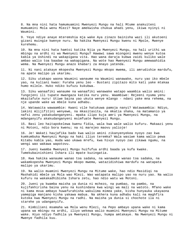8. Na mna nini hata hamumuamini Mwenyezi Mungu na hali Mtume anakuiteni mumuamini Mola wenu Mlezi? Naye amekwisha chukua ahadi yenu, ikiwa nyinyi ni Waumini.

9. Yeye ndiye anaye mteremshia mja wake Aya zinazo bainisha wazi ili akutoeni gizani muingie kwenye nuru. Na hakika Mwenyezi Mungu kwenu ni Mpole, Mwenye kurehemu.

10. Na mna nini hata hamtoi katika Njia ya Mwenyezi Mungu, na hali urithi wa mbingu na ardhi ni wa Mwenyezi Mungu? Hawawi sawa miongoni mwenu wenye kutoa kabla ya Ushindi na wakapigana vita. Hao wana daraja kubwa zaidi kuliko wale ambao walio toa baadae na wakapigana. Na wote hao Mwenyezi Mungu amewaahidia wema. Na Mwenyezi Mungu anazo khabari za mnayo yatenda.

11. Ni nani atakaye mkopesha Mwenyezi Mungu mkopo mwema, ili amrudishie mardufu, na apate malipo ya ukarimu.

12. Siku utakapo waona Waumini wanaume na Waumini wanawake, nuru yao iko mbele yao, na kuliani kwao: Furaha yenu leo - Bustani zipitazo mito kati yake mtakaa humo milele. Huko ndiko kufuzu kukubwa.

13. Siku wanaafiki wanaume na wanaafiki wanawake watapo waambia walio amini: Tungojeni ili tupate mwangaza katika nuru yenu. Waambiwe: Rejeeni nyuma yenu mkaitafute nuru! Utiwe baina yao ukuta wenye mlango - ndani yake mna rehema, na nje upande wake wa mbele kuna adhabu.

14. Watawaita wawaambie: Kwani vile hatukuwa pamoja nanyi? Watawaambia: Ndiyo, lakini mlijifitini wenyewe, na mkasitasita, na mkatia shaka, na matamanio ya nafsi zenu yakakudanganyeni. mpaka ilipo kuja amri ya Mwenyezi Mungu, na mdanganyifu akakudanganyeni msimfuate Mwenyezi Mungu.

15. Basi leo haitapokelewa kwenu fidia, wala kwa wale walio kufuru. Makaazi yenu ni Motoni, ndio bora kwenu; na ni marejeo maovu yalioje!

16. Je! Wakati haujafika bado kwa walio amini zikanyenyekea nyoyo zao kwa kumkumbuka Mwenyezi Mungu na haki iliyo teremka? Wala wasiwe kama walio pewa Kitabu kabla yao, muda wao ukawa mrefu, kwa hivyo nyoyo zao zikawa ngumu, na wengi wao wakawa wapotovu.

17. Jueni kwamba Mwenyezi Mungu huifufua ardhi baada ya kufa kwake. Tumekubainishieni Ishara ili mpate kuzingatia.

18. Kwa hakika wanaume wanao toa sadaka, na wanawake wanao toa sadaka, na wakamkopesha Mwenyezi Mungu mkopo mwema, watazidishiwa mardufu na watapata malipo ya ukarimu.

19. Na walio muamini Mwenyezi Mungu na Mitume wake, hao ndio Masidiqi na Mashahidi mbele ya Mola wao Mlezi. Wao watapata malipo yao na nuru yao. Na walio kufuru na wakakadhibisha Ishara zetu, hao ndio watu wa Motoni.

20. Jueni ya kwamba maisha ya dunia ni mchezo, na pumbao, na pambo, na kujifakhirisha baina yenu na kushindana kwa wingi wa mali na watoto. Mfano wake ni kama mvua ambayo huwafurahisha wakulima mimea yake, kisha hunyauka ukayaona yamepiga manjano kisha yakawa mabua. Na akhera kuna adhabu kali na maghfira kutoka kwa Mwenyezi Mungu na radhi. Na maisha ya dunia si chochote ila ni starehe ya udanganyifu.

21. Kimbilieni msamaha wa Mola wenu Mlezi, na Pepo ambayo upana wake ni kama upana wa mbingu na ardhi, iliyo wekewa walio muamini Mwenyezi Mungu na Mitume wake. Hiyo ndiyo fadhila ya Mwenyezi Mungu, humpa amtakaye. Na Mwenyezi Mungu ni Mwenye fadhila kuu.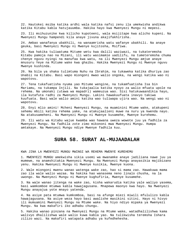22. Hautokei msiba katika ardhi wala katika nafsi zenu ila umekwisha andikwa katika Kitabu kabla hatujauumba. Hakika hayo kwa Mwenyezi Mungu ni mepesi.

23. Ili msihuzunike kwa kilicho kupoteeni, wala msijitape kwa alicho kupeni. Na Mwenyezi Mungu hampendi kila anaye jivuna akajifakhirisha.

24. Ambao wanafanya ubakhili, na wanaamrisha watu wafanye ubakhili. Na anaye geuka, basi Mwenyezi Mungu ni Mwenye kujitosha, Msifiwa.

25. Kwa hakika tuliwatuma Mitume wetu kwa dalili waziwazi, na tukateremsha Kitabu pamoja nao na Mizani, ili watu wasimamie uadilifu, na tumeteremsha chuma chenye nguvu nyingi na manufaa kwa watu, na ili Mwenyezi Mungu amjue anaye mnusuru Yeye na Mitume wake kwa ghaibu. Hakika Mwenyezi Mungu ni Mwenye nguvu Mwenye kushinda.

26. Na bila ya shaka tulimtuma Nuhu na Ibrahim, na tukaweka katika dhuriya zao Unabii na Kitabu. Basi wapo miongoni mwao walio ongoka, na wengi katika wao ni wapotovu.

27. Tena tukafuatisha nyuma yao Mitume wengine, na tukamfuatisha Isa bin Mariamu, na tukampa Injili. Na tukajaalia katika nyoyo za walio mfuata upole na rehema. Na umonaki (utawa wa mapadri) wameuzua wao. Sisi hatukuwaandikia hayo, ila kutafuta radhi za Mwenyezi Mungu. Lakini hawakuufuata inavyo takiwa kuufuata. Basi wale walio amini katika wao tuliwapa ujira wao. Na wengi wao ni wapotovu.

28. Enyi mlio amini! Mcheni Mwenyezi Mungu, na muaminini Mtume wake, atakupeni sehemu mbili katika rehema yake, na atakujaalieni muwe na nuru ya kwenda nayo. Na atakusameheni. Na Mwenyezi Mungu ni Mwenye kusamehe, Mwenye kurehemu.

29. Ili watu wa Kitabu wajue kwamba wao hawana uweza wowote juu ya fadhila za Mwenyezi Mungu. Na fadhila zote zimo mikononi mwa Mwenyezi Mungu. Humpa amtakaye. Na Mwenyezi Mungu ndiye Mwenye fadhila kuu.

#### **SURA 58. SURAT AL-MUJAADALAH**

KWA JINA LA MWENYEZI MUNGU MWINGI WA REHEMA MWENYE KUREHEMU

1. MWENYEZI MUNGU amekwisha sikia usemi wa mwanamke anaye jadiliana nawe juu ya mumewe, na anamshitakia Mwenyezi Mungu. Na Mwenyezi Mungu anayasikia majibizano yenu. Hakika Mwenyezi Mungu ni Mwenye kusikia, Mwenye kuona.

2. Wale miongoni mwenu wanao watenga wake zao, hao si mama zao. Hawakuwa mama zao ila wale walio wazaa. Na hakika hao wanasema neno linalo chusha, na la uwongo. Na Mwenyezi Mungu ni Mwenye kughufiria, Mwenye kusamehe.

3. Na wale wanao jitenga na wake zao, kisha wakarudia katika yale waliyo yasema, basi wamkomboe mtumwa kabla hawajagusana. Mnapewa maonyo kwa hayo. Na Mwenyezi Mungu anayajua yote mnayo yatenda.

4. Na asiye pata mtumwa kumkomboa, basi na afunge miezi miwili mfululizo kabla hawajagusana. Na asiye weza hayo basi awalishe masikini sitini. Hayo ni hivyo ili mumuamini Mwenyezi Mungu na Mtume wake. Na hiyo ndiyo mipaka ya Mwenyezi Mungu. Na kwa makafiri iko adhabu chungu.

5. Hakika wanao pinzana na Mwenyezi Mungu na Mtume wake, watadhalilishwa kama walivyo dhalilishwa wale walio kuwa kabla yao. Na tulikwisha teremsha Ishara zilizo wazi. Na makafiri watapata adhabu ya kufedhehesha.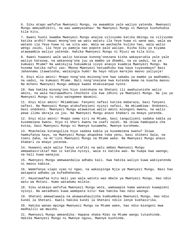6. Siku atapo wafufua Mwenyezi Mungu, na awaambie yale waliyo yatenda. Mwenyezi Mungu ameyadhibiti, na wao wameyasahau! Na Mwenyezi Mungu ni Mwenye kushuhudia kila kitu.

7. Kwani huoni kwamba Mwenyezi Mungu anajua vilivyomo katika mbingu na vilivyomo katika ardhi? Hauwi mnong'ono wa watu watatu ila Yeye huwa ni wane wao, wala wa watano ila Yeye huwa ni wa sita wao. Wala wa wachache kuliko hao, wala walio wengi zaidi, ila Yeye yu pamoja nao popote pale walipo. Kisha Siku ya Kiyama atawaambia waliyo yatenda. Hakika Mwenyezi Mungu ni Mjuzi wa kila kitu.

8. Kwani huwaoni wale walio katazwa kunong'onezana kisha wakayarudia yale yale waliyo katazwa, na wakanong'ona juu ya mambo ya dhambi, na ya uadui, na ya kumuasi Mtume? Na wakikujia hukuamkia sivyo anavyo kuamkia Mwenyezi Mungu. Na husema katika nafsi zao: Mbona Mwenyezi hatuadhibu kwa haya tuyasemayo? Basi Jahannamu itawatosha; wataingia humo! Na hayo ndiyo marejeo maovu yaliyoje!

9. Enyi mlio amini! Mnapo nong'ona msinong'one kwa sababu ya mambo ya madhambi, na uadui, na kumuasi Mtume. Bali nong'onezane kwa kutenda mema na kuacha maovu. Na mcheni Mwenyezi Mungu ambaye kwake mtakusanywa nyote.

10. Kwa hakika minong'ono hiyo inatokana na Shetani ili awahuzunishe walio amini, na wala haitawadhuru chochote ila kwa idhini ya Mwenyezi Mungu. Na juu ya Mwenyezi Mungu tu ndio wategemee Waumini.

11. Enyi mlio amini! Mkiambiwa: Fanyeni nafasi katika mabaraza, basi fanyeni nafasi. Na Mwenyezi Mungu atakufanyieni nyinyi nafasi. Na mkiambiwa: Ondokeni, basi ondokeni. Mwenyezi Mungu atawainua walio amini miongoni mwenu, na walio pewa ilimu daraja za juu. Na Mwenyezi Mungu anazo khabari za mnayo yatenda.

12. Enyi mlio amini! Mnapo sema siri na Mtume, basi tangulizeni sadaka kabla ya kusemezana kwenu. Hiyo ni kheri kwenu na usafi zaidi. Na ikiwa hamkupata cha kutoa, basi Mwenyezi Mungu ni Mwenye kusamehe, Mwenye kurehemu.

13. Mnachelea kutanguliza hiyo sadaka kabla ya kusemezana kwenu? Ikiwa hamkufanya hayo, na Mwenyezi Mungu akapokea toba yenu, basi shikeni Sala, na toeni Zaka, na mt'iini Mwenyezi Mungu na Mtume wake. Na Mwenyezi Mungu anazo khabari za mnayo yatenda.

14. Huwaoni wale walio fanya urafiki na watu ambao Mwenyezi Mungu amewakasirikia? Hao si katika nyinyi, wala si katika wao. Na huapa kwa uwongo, na hali kuwa wanajua.

15. Mwenyezi Mungu amewaandalia adhabu kali. Kwa hakika waliyo kuwa wakiyatenda ni maovu kabisa.

16. Wamefanya viapo vyao ni ngao, na wakaipinga Njia ya Mwenyezi Mungu. Basi hao watapata adhabu ya kufedhehesha.

17. Hayatawafaa kitu mali yao wala watoto wao mbele ya Mwenyezi Mungu. Hao ndio watu wa Motoni. Humo watadumu milele.

18. Siku atakayo wafufua Mwenyezi Mungu wote, wamuwapie kama wanavyo kuwapieni nyinyi. Na watadhani kuwa wamepata kitu! Kwa hakika hao ndio waongo.

19. Shetani amewatawala na akawasahaulisha kumkumbuka Mwenyezi Mungu. Hao ndio kundi la Shetani. Kweli hakika kundi la Shetani ndilo lenye kukhasirika.

20. Hakika wanao mpinga Mwenyezi Mungu na Mtume wake, hao ndio miongoni mwa madhalili wa mwisho.

21. Mwenyezi Mungu ameandika: Hapana shaka Mimi na Mtume wangu tutashinda. Hakika Mwenyezi Mungu ni Mwenye nguvu, Mwenye kushinda.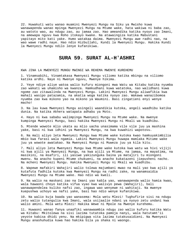22. Huwakuti watu wanao muamini Mwenyezi Mungu na Siku ya Mwisho kuwa wanawapenda wanao mpinga Mwenyezi Mungu na Mtume wake, hata wakiwa ni baba zao, au watoto wao, au ndugu zao, au jamaa zao. Hao ameandika katika nyoyo zao Imani, na amewapa nguvu kwa Roho itokayo kwake. Na atawaingiza katika Mabustani yapitayo mito kati yake. Humo watakaa daima. Mwenyezi Mungu awe radhi nao, na wao wawe radhi naye. Hao ndio Hizbullahi, Kundi la Mwenyezi Mungu. Hakika Kundi la Mwenyezi Mungu ndilo lenye kufanikiwa.

## **SURA 59. SURAT AL-H'ASHRI**

KWA JINA LA MWENYEZI MUNGU MWINGI WA REHEMA MWENYE KUREHEMU

1. Vinamsabihi, Vinamtakasa Mwenyezi Mungu viliomo katika mbingu na viliomo katika ardhi. Naye ni Mwenye nguvu, Mwenye hikima.

2. Yeye ndiye aliye watoa walio kufuru miongoni mwa Watu wa Kitabu katika nyumba zao wakati wa uhamisho wa kwanza. Hamkudhani kuwa watatoka, nao walidhani kuwa ngome zao zitawalinda na Mwenyezi Mungu. Lakini Mwenyezi Mungu aliwafikia kwa mahali wasipo patazamia, na akatia woga katika nyoyo zao. Wakawa wanazibomoa nyumba zao kwa mikono yao na mikono ya Waumini. Basi zingatieni enyi wenye macho!

3. Na lau kuwa Mwenyezi Mungu asingeli waandikia kutoka, angeli waadhibu katika dunia. Na katika Akhera watapata adhabu ya Moto.

4. Hayo ni kwa sababu walimpinga Mwenyezi Mungu na Mtume wake. Na mwenye kumpinga Mwenyezi Mungu, basi hakika Mwenyezi Mungu ni Mkali wa kuadhibu.

5. Mtende wowote mlio ukata au mlio uacha unasimama vile vile juu ya mashina yake, basi ni kwa idhini ya Mwenyezi Mungu, na kwa kuwahizi wapotovu.

6. Na mali aliyo leta Mwenyezi Mungu kwa Mtume wake kutoka kwao hamkuyakimbilia mbio kwa farasi wala ngamia. Lakini Mwenyezi Mungu huwapa mamlaka Mitume wake juu ya wowote awatakao. Na Mwenyezi Mungu ni Muweza juu ya kila kitu.

7. Mali aliyo leta Mwenyezi Mungu kwa Mtume wake kutoka kwa watu wa hivi vijiji ni kwa ajili ya Mwenyezi Mungu, na kwa ajili ya Mtume, na jamaa, na mayatima, na masikini, na msafiri, ili yasiwe yakizunguka baina ya matajiri tu miongoni mwenu. Na anacho kupeni Mtume chukueni, na anacho kukatazeni jiepusheni nacho. Na mcheni Mwenyezi Mungu. Hakika Mwenyezi Mungu ni Mkali wa kuadhibu.

8. Wapewe mafakiri Wahajiri walio tolewa majumbani mwao na mali yao kwa ajili ya kutafuta fadhila kutoka kwa Mwenyezi Mungu na radhi zake, na wanamsaidia Mwenyezi Mungu na Mtume wake. Hao ndio wa kweli.

9. Na walio na maskani zao na Imani yao kabla yao, wanawapenda walio hamia kwao, wala hawaoni choyo katika vifua vyao kwa walivyo pewa (Wahajiri), bali wanawapendelea kuliko nafsi zao, ingawa wao wenyewe ni wahitaji. Na mwenye kuepushwa uchoyo wa nafsi yake, basi hao ndio wenye kufanikiwa.

10. Na walio kuja baada yao wanasema: Mola wetu Mlezi! Tughufirie sisi na ndugu zetu walio tutangulia kwa Imani, wala usijaalie ndani ya nyoyo zetu undani kwa walio amini. Mola wetu Mlezi! Hakika Wewe ni Mpole na Mwenye kurehemu.

11. Huwaoni wanao fanya unaafiki wanawaambia ndugu zao walio kufuru katika Watu wa Kitabu: Mkitolewa na sisi lazima tutatoka pamoja nanyi, wala hatutamt'ii yeyote kabisa dhidi yenu. Na mkipigwa vita lazima tutakusaidieni. Na Mwenyezi Mungu anashuhudia kuwa hao hakika bila ya shaka ni waongo.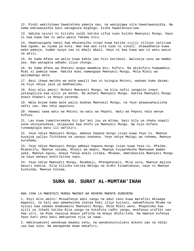12. Pindi wakitolewa hawatatoka pamoja nao, na wakipigwa vita hawatawasaidia. Na kama wakiwasaidia basi watageuza migongo; kisha hawatanusuriwa.

13. Hakika nyinyi ni kitisho zaidi katika vifua vyao kuliko Mwenyezi Mungu. Hayo ni kwa kuwa hao ni watu wasio fahamu kitu.

14. Hawatapigana nanyi kwa mkusanyiko isipo kuwa katika vijiji vilivyo zatitiwa kwa ngome, au nyuma ya kuta. Wao kwa wao vita vyao ni vikali. Utawadhania kuwa wako pamoja, kumbe nyoyo zao ni mbali mbali. Hayo ni kwa kuwa wao ni watu wasio na akili.

15. Ni kama mfano wa walio kuwa kabla yao hivi karibuni. Walionja uovu wa mambo yao. Nao watapata adhabu iliyo chungu.

16. Ni kama mfano wa Shetani anapo mwambia mtu: Kufuru. Na akikufuru humwambia: Mimi si pamoja nawe. Hakika mimi namwogopa Mwenyezi Mungu, Mola Mlezi wa walimwengu wote.

17. Basi ikawa mwisho wa wote wawili hao ni kuingia Motoni, wadumu humo daima; na hiyo ndiyo jaza ya madhaalimu.

18. Enyi mlio amini! Mcheni Mwenyezi Mungu, na kila nafsi iangalie inayo yatanguliza kwa ajili ya Kesho. Na mcheni Mwenyezi Mungu. Hakika Mwenyezi Mungu anazo khabari ya mnayo yatenda.

19. Wala msiwe kama wale walio msahau Mwenyezi Mungu, na Yeye akawasahaulisha nafsi zao. Hao ndio wapotovu.

20. Hawawi sawa watu wa Motoni na watu wa Peponi. Watu wa Peponi ndio wenye kufuzu.

21. Lau kuwa tumeiteremsha hii Qur'ani juu ya mlima, basi bila ya shaka ungeli uona ukinyenyekea, ukipasuka kwa khofu ya Mwenyezi Mungu. Na hiyo mifano tunawapigia watu ili wafikiri.

22. Yeye ndiye Mwenyezi Mungu, ambaye hapana mungu isipo kuwa Yeye tu. Mwenye kuyajua yaliyo fichikana na yanayo onekana. Yeye ndiye Mwingi wa rehema, Mwenye kurehemu.

23. Yeye ndiye Mwenyezi Mungu ambaye hapana mungu isipo kuwa Yeye tu. Mfalme, Mtakatifu, Mwenye salama, Mtoaji wa amani, Mwenye kuyaendesha Mwenyewe mambo yake, Mwenye nguvu, Anaye fanya analo litaka, Mkubwa, Ametakasika Mwenyezi Mungu na hayo wanayo mshirikisha nayo.

24. Yeye ndiye Mwenyezi Mungu, Muumbaji, Mtengenezaji, Mtia sura, Mwenye majina mazuri kabisa. Kila kilioko katika mbingu na ardhi kinamtakasa, naye ni Mwenye kushinda, Mwenye hikima.

#### **SURA 60. SURAT AL-MUMTAH'INAH**

KWA JINA LA MWENYEZI MUNGU MWINGI WA REHEMA MWENYE KUREHEMU

1. Enyi mlio amini! Msiwafanye adui zangu na adui zenu kuwa marafiki mkiwapa mapenzi, na hali wao wamekwisha ikataa haki iliyo kujieni, wakamfukuza Mtume na nyinyi kwa sababu mnamuamini Mwenyezi Mungu, Mola Mlezi wenu. Mnapotoka kwa ajili ya Jihadi katika Njia yangu na kutafuta radhi yangu, mnafanya urafiki nao kwa siri, na Mimi nayajua mnayo yaficha na mnayo dhihirisha. Na mwenye kufanya hayo kati yenu basi ameipotea njia ya sawa.

2. Wakikuwezeni wanakuwa maadui zenu, na wanakukunjulieni mikono yao na ndimi zao kwa uovu. Na wanapenda muwe makafiri.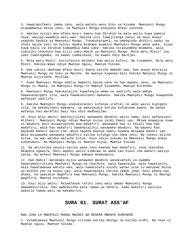3. Hawatakufaeni jamaa zenu, wala watoto wenu Siku ya Kiyama. Mwenyezi Mungu atapambanua baina yenu, na Mwenyezi Mungu anayaona mnayo yatenda.

4. Hakika nyinyi mna mfano mzuri kwenu kwa Ibrahim na wale walio kuwa pamoja naye, walipo waambia watu wao: Hakika sisi tumejitenga nanyi na hayo mnayo yaabudu badala ya Mwenyezi Mungu. Tunakukataeni; na umekwisha dhihiri uadui na chuki baina yetu na nyinyi mpaka mtakapo muamini Mwenyezi Mungu peke yake. Isipo kuwa kauli ya Ibrahim kumwambia baba yake: Hakika nitakuombea msamaha, wala similiki chochote kwa ajili yako mbele ya Mwenyezi Mungu. Mola wetu Mlezi! Juu yako tumetegemea, na kwako tumeelekea, na kwako ndio marejeo.

5. Mola wetu Mlezi! Usitufanyie mtihani kwa walio kufuru. Na tusamehe, Mola wetu Mlezi. Hakika Wewe ndiye Mwenye nguvu, Mwenye hikima.

6. Kwa yakini umekuwa mfano mzuri kwenu katika mwendo wao, kwa anaye mtarajia Mwenyezi Mungu na Siku ya Mwisho. Na mwenye kugeuka basi hakika Mwnyezi Mungu ni Mwenye kujitosha, Msifiwa.

7. Asaa Mwenyezi Mungu akatia mapenzi baina yenu na hao maadui zenu, na Mwenyezi Mungu ni Mweza, na Mwenyezi Mungu ni Mwenye kusamehe, Mwenye kurehemu.

8. Mwenyezi Mungu hakukatazini kuwafanyia wema na uadilifu wale ambao hawakukupigeni vita, wala hawakukutoeni makwenu. Hakika Mwenyezi Mungu huwapenda wafanyao uadilifu.

9. Hakika Mwenyezi Mungu anakukatazeni kufanya urafiki na wale walio kupigeni vita, na wakakutoeni makwenu, na wakasaidia katika kufukuzwa kwenu. Na wanao wafanya hao marafiki basi hao ndio madhaalimu.

10. Enyi mlio amini! Wakikujilieni wanawake Waumini walio hama, basi wafanyieni mtihani - Mwenyezi Mungu ndiye Mwenye kujua zaidi Imani yao. Mkiwa mnawajua kuwa ni Waumini basi msiwarudishe kwa makafiri. Wanawake hao si halali kwa hao makafiri, wala hao makafiri hawahalalikii wanawake Waumini. Na wapeni hao wanaume mahari walio toa. Wala hapana makosa kwenu kuwaoa mkiwapa mahari yao. Wala msiwaweke wanawake makafiri katika kifungo cha ndoa zenu. Na takeni mlicho kitoa, na wao watake walicho kitoa. Hiyo ndiyo hukumu ya Mwenyezi Mungu anayo kuhukumuni. Na Mwenyezi Mungu ni Mwenye kujua, Mwenye hikima.

11. Na akitoroka yeyote katika wake zenu kwenda kwa makafiri, tena ikatokea mkapata ngawira, basi wapeni walio kimbiwa na wake zao kiasi cha mahari waliyo yatoa. Na mcheni Mwenyezi Mungu ambaye mnamuamini.

12. Ewe Nabii! Watakapo kujia wanawake Waumini wanakuahidi ya kwamba hawatamshirikisha Mwenyezi Mungu na chochote, wala hawataiba, wala hawatazini, wala hawatawauwa watoto wao, wala hawataleta uzushi wanao uzua tu wenyewe baina ya mikono yao na miguu yao, wala hawatakuasi katika jambo jema, basi peana nao ahadi, na uwatakie maghfira kwa Mwenyezi Mungu. Hakika Mwenyezi Mungu ni Mwingi maghfira, Mwenye kurehemu.

13. Enyi mlio amini! Msiwafanye rafiki zenu watu ambao Mwenyezi Mungu amewakasirikia. Hao wamekwisha kata tamaa ya Akhera, kama makafiri walivyo wakatia tamaa watu wa makaburini.

# **SURA 61. SURAT ASS'AF**

KWA JINA LA MWENYEZI MUNGU MWINGI WA REHEMA MWENYE KUREHEMU

1. Vinamtakasa Mwenyezi Mungu viliomo katika mbingu na katika ardhi. Na Yeye ni Mwenye nguvu, Mwenye hikima.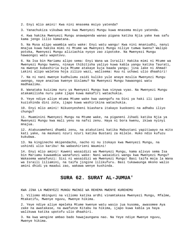2. Enyi mlio amini! Kwa nini mnasema msiyo yatenda?

3. Yanachukiza vikubwa mno kwa Mwenyezi Mungu kuwa mnasema msiyo yatenda.

4. Kwa hakika Mwenyezi Mungu anawapenda wanao pigana katika Njia yake kwa safu kama jengo lilio kamatana.

5. Na Musa alipo waambia watu wake: Enyi watu wangu! Kwa nini mnaniudhi, nanyi mnajua kuwa hakika mimi ni Mtume wa Mwenyezi Mungu niliye tumwa kwenu? Walipo potoka, Mwenyezi Mungu aliziachia nyoyo zao zipotoke. Na Mwenyezi Mungu hawaongoi watu wapotovu.

6. Na Isa bin Mariamu alipo sema: Enyi Wana wa Israili! Hakika mimi ni Mtume wa Mwenyezi Mungu kwenu, ninaye thibitisha yaliyo kuwa kabla yangu katika Taurati, na mwenye kubashiria kuja Mtume atakaye kuja baada yangu; jina lake ni Ahmad! Lakini alipo waletea hoja zilizo wazi, walisema: Huu ni uchawi ulio dhaahiri!

7. Na ni nani mwenye kudhulumu zaidi kuliko yule anaye mzulia Mwenyezi Mungu uwongo, naye anaitwa kwenye Uislamu? Na Mwenyezi Mungu hawaongoi watu madhaalimu.

8. Wanataka kuizima nuru ya Mwenyezi Mungu kwa vinywa vyao. Na Mwenyezi Mungu atakamilisha nuru yake ijapo kuwa makafiri watachukia.

9. Yeye ndiye aliye mtuma Mtume wake kwa uwongofu na Dini ya haki ili ipate kuzishinda dini zote, ijapo kuwa washirikina watachukia.

10. Enyi mlio amini! Nikuonyesheni biashara itakayo kuokoeni na adhabu iliyo chungu?

11. Muaminini Mwenyezi Mungu na Mtume wake, na piganeni Jihadi katika Njia ya Mwenyezi Mungu kwa mali yenu na nafsi zenu. Haya ni bora kwenu, ikiwa nyinyi mnajua.

12. Atakusameheni dhambi zenu, na atakutieni katika Mabustani yapitiwayo na mito kati yake, na maskani nzuri nzuri katika Bustani za milele. Huko ndio kufuzu kukubwa.

13. Na kinginecho mkipendacho, nacho ni nu itokayo kwa Mwenyezi Mungu, na ushindi ulio karibu! Na wabashirieni Waumini!

14. Enyi mlio amini! Kuweni wasaidizi wa Mwenyezi Mungu, kama alivyo sema Isa bin Mariamu kuwaambia wanafunzi wake: Nani wasaidizi wangu kwa Mwenyezi Mungu? Wakasema wanafunzi: Sisi ni wasaidizi wa Mwenyezi Mungu! Basi taifa moja la Wana wa Israili liliamini, na taifa jingine lilikufuru. Basi tukawaunga mkono walio amini dhidi ya maadui zao, wakawa wenye kushinda.

## **SURA 62. SURAT AL-JUMUA'**

KWA JINA LA MWENYEZI MUNGU MWINGI WA REHEMA MWENYE KUREHEMU

1. Viliomo mbinguni na viliomo katika ardhi vinamtakasa Mwenyezi Mungu, Mfalme, Mtakatifu, Mwenye nguvu, Mwenye hikima.

2. Yeye ndiye aliye mpeleka Mtume kwenye watu wasio jua kusoma, awasomee Aya zake na awatakase, na awafunze Kitabu na hikima, ijapo kuwa kabla ya haya walikuwa katika upotofu ulio dhaahiri.

3. Na kwa wengine ambao bado hawajaungana nao. Na Yeye ndiye Mwenye nguvu, Mwenye hikima.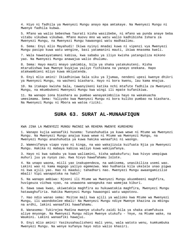4. Hiyo ni fadhila ya Mwenyezi Mungu anayo mpa amtakaye. Na Mwenyezi Mungu ni Mwenye fadhila kubwa.

5. Mfano wa walio bebeshwa Taurati kisha wasiibebe, ni mfano wa punda anaye beba vitabu vikubwa vikubwa. Mfano muovu mno wa watu walio kadhibisha Ishara za Mwenyezi Mungu, na Mwenyezi Mungu hawaongoi watu madhaalimu.

6. Sema: Enyi mlio Mayahudi! Ikiwa nyinyi mnadai kuwa ni vipenzi vya Mwenyezi Mungu pasipo kuwa watu wengine, basi yatamanini mauti, ikiwa mnasema kweli.

7. Wala hawatayatamani kabisa, kwa sababu ya iliyo kwisha yatanguliza mikono yao. Na Mwenyezi Mungu anawajua walio dhulumu.

8. Sema: Hayo mauti mnayo yakimbia, bila ya shaka yatakukuteni. Kisha mtarudishwa kwa Mwenye kuyajua yaliyo fichikana na yanayo onekana. Hapo atakwambieni mliyo kuwa mkiyatenda.

9. Enyi mlio amini! Ikiadhiniwa Sala siku ya Ijumaa, nendeni upesi kwenye dhikri ya Mwenyezi Mungu, na wacheni biashara. Hayo ni bora kwenu, lau kama mnajua.

10. Na itakapo kwisha Sala, tawanyikeni katika nchi mtafute fadhila za Mwenyezi Mungu, na mkumbukeni Mwenyezi Mungu kwa wingi ili mpate kufanikiwa.

11. Na wanapo iona biashara au pumbao wanayakimbilia hayo na wakakuacha umesimama. Sema: Yaliyoko kwa Mwenyezi Mungu ni bora kuliko pumbao na biashara. Na Mwenyezi Mungu ni Mbora wa watoa riziki.

#### **SURA 63. SURAT AL-MUNAAFIQUN**

KWA JINA LA MWENYEZI MUNGU MWINGI WA REHEMA MWENYE KUREHEMU

1. Wanapo kujia wanaafiki husema: Tunashuhudia ya kuwa wewe ni Mtume wa Mwenyezi Mungu. Na Mwenyezi Mungu anajua kuwa wewe ni Mtume wa Mwenyezi Mungu, na Mwenyezi Mungu anashuhudia ya kuwa hakika wanaafiki ni waongo.

2. Wamevifanya viapo vyao ni kinga, na wao wakajizuia kuifuata Njia ya Mwenyezi Mungu. Hakika ni mabaya kabisa waliyo kuwa wakiyafanya.

3. Hayo ni kwa sababu ya kuwa waliamini, kisha wakakufuru; kwa hivyo umepigwa muhuri juu ya nyoyo zao. Kwa hivyo hawafahamu lolote.

4. Na unapo waona, miili yao inakupendeza, na wakisema, unasikiliza usemi wao. Lakini wao ni kama magogo yaliyo egemezwa. Wao hudhania kila ukelele unao pigwa ni kwa ajili yao. Hao ni maadui; tahadhari nao. Mwenyezi Mungu awaangamizilie mbali! Vipi wanapotoka na haki?

5. Na wanapo ambiwa: Njooni ili Mtume wa Mwenyezi Mungu akuombeeni maghfira, huvigeuza vichwa vyao, na unawaona wanageuka nao wamejaa kiburi.

6. Sawa sawa kwao, ukiwatakia maghfira au hukuwatakia maghfira, Mwenyezi Mungu hatawaghufiria. Hakika Mwenyezi Mungu hawaongoi watu wapotovu.

7. Hao ndio wanao sema: Msitoe mali kwa ajili ya walioko kwa Mtume wa Mwenyezi Mungu, ili waondokelee mbali! Na Mwenyezi Mungu ndiye Mwenye khazina za mbingu na ardhi, lakini wanaafiki hawafahamu.

8. Wanasema: Tukirejea Madina mwenye utukufu zaidi bila ya shaka atamfukuza aliye mnyonge. Na Mwenyezi Mungu ndiye Mwenye utukufu - Yeye, na Mtume wake, na Waumini. Lakini wanaafiki hawajui.

9. Enyi mlio amini! Yasikusahaulisheni mali yenu, wala watoto wenu, kumkumbuka Mwenyezi Mungu. Na wenye kufanya hayo ndio walio khasiri.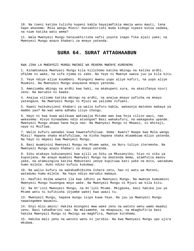10. Na toeni katika tulicho kupeni kabla hayajamfikia mmoja wenu mauti, tena hapo akasema: Mola wangu Mlezi! Huniakhirishi muda kidogo nipate kutoa sadaka, na niwe katika watu wema?

11. Wala Mwenyezi Mungu hataiakhirisha nafsi yoyote inapo fika ajali yake; na Mwenyezi Mungu anazo khabari za mnayo yatenda.

# **SURA 64. SURAT ATTAGHAABUN**

KWA JINA LA MWENYEZI MUNGU MWINGI WA REHEMA MWENYE KUREHEMU

1. Kinamtakasa Mwenyezi Mungu kila kilichomo katika mbingu na katika ardhi. Ufalme ni wake, na sifa njema ni zake. Na Yeye ni Mwenye uweza juu ya kila kitu.

2. Yeye ndiye aliye kuumbeni. Miongoni mwenu yupo aliye kafiri, na yupo aliye Muumini. Na Mwenyezi Mungu anayaona mnayo yatenda.

3. Ameziumba mbingu na ardhi kwa haki, na akakupeni sura, na akazifanya nzuri zenu. Na marudio ni kwake.

4. Anajua viliomo katika mbingu na ardhi, na anajua mnayo yaficha na mnayo yatangaza. Na Mwenyezi Mungu ni Mjuzi wa yaliomo vifuani.

5. Kwani haikukujieni khabari ya walio kufuru kabla, wakaonja matokeo mabaya ya mambo yao? Na wao wana adhabu iliyo chungu.

6. Hayo ni kwa kuwa walikuwa wakiwajia Mitume wao kwa hoja zilizo wazi, nao wakasema: Hivyo binaadamu ndio atuongoe? Basi wakakufuru, na wakageuka upande. Mwenyezi Mungu akawa hana haja nao. Na Mwenyezi Mungu ni Mkwasi, si mhitaji, naye ni Msifiwa.

7. Walio kufuru wanadai kuwa hawatafufuliwa. Sema: Kwani? Naapa kwa Mola wangu Mlezi! Hapana shaka mtafufuliwa, na kisha hapana shaka mtaambiwa mliyo yatenda. Na hayo ni mepesi kwa Mwenyezi Mungu.

8. Basi muaminini Mwenyezi Mungu na Mtume wake, na Nuru tuliyo iteremsha. Na Mwenyezi Mungu anazo khabari za mnayo yatenda.

9. Siku atakayo kukusanyeni kwa ajili ya Siku ya Mkusanyiko; hiyo ni siku ya kupunjana. Na anaye muamini Mwenyezi Mungu na akatenda mema, atamfutia maovu yake, na atamuingiza katika Mabustani yenye kupitiwa kati yake na mito, watadumu humo milele. Huko ndiko kufuzu kukubwa.

10. Na walio kufuru na wakakadhibisha Ishara zetu, hao ni watu wa Motoni, watadumu humo milele. Na hayo ndiyo marudio mabaya.

11. Haufiki msiba wowote ila kwa idhini ya Mwenyezi Mungu. Na mwenye kumuamini Mwenyezi Mungu huuongoa moyo wake. Na Mwenyezi Mungu ni Mjuzi wa kila kitu.

12. Na mt'iini Mwenyezi Mungu, na mt'iini Mtume. Mkigeuka, basi hakika juu ya Mtume wetu ni kufikisha (Ujumbe wake) kwa uwazi tu.

13. Mwenyezi Mungu, hapana mungu isipo kuwa Yeye. Na juu ya Mwenyezi Mungu nawategemee Waumini.

14. Enyi mlio amini! Hakika miongoni mwa wake zenu na watoto wenu wamo maadui zenu. Basi tahadharini nao. Na mkisamehe, na mkapuuza, na mkaghufiria basi hakika Mwenyezi Mungu ni Mwingi wa maghfira, Mwenye kurehemu.

15. Hakika mali yenu na watoto wenu ni jaribio. Na kwa Mwenyezi Mungu upo ujira mkubwa.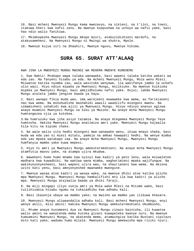16. Basi mcheni Mwenyezi Mungu kama mwezavyo, na sikieni, na t'iini, na toeni, itakuwa kheri kwa nafsi zenu. Na mwenye kuepushwa na uchoyo wa nafsi yake, basi hao ndio walio fanikiwa.

17. Mkimkopesha Mwenyezi Mungu mkopo mzuri, atakuzidishieni mardufu, na atakusameheni. Na Mwenyezi Mungu ni Mwingi wa shukra, Mpole.

18. Mwenye kujua siri na dhaahiri, Mwenye nguvu, Mwenye hikima.

# **SURA 65. SURAT ATT'ALAAQ**

KWA JINA LA MWENYEZI MUNGU MWINGI WA REHEMA MWENYE KUREHEMU

1. Ewe Nabii! Mtakapo wapa talaka wanawake, basi wapeni talaka katika wakati wa eda zao. Na fanyeni hisabu ya eda. Na mcheni Mwenyezi Mungu, Mola wenu Mlezi. Msiwatoe katika nyumba zao, wala wasitoke wenyewe, ila wakifanya jambo la uchafu ulio wazi. Hiyo ndiyo mipaka ya Mwenyezi Mungu, msiikiuke. Na mwenye kuikiuka mipaka ya Mwenyezi Mungu, basi amejidhulumu nafsi yake. Hujui; labda Mwenyezi Mungu ataleta jambo jengine baada ya haya.

2. Basi wanapo fikia muda wao, ima warejeeni muwaweke kwa wema, au farikianeni nao kwa wema. Na mshuhudishe mashahidi wawili waadilifu miongoni mwenu. Na simamisheni ushahidi kwa ajili ya Mwenyezi Mungu. Hivyo ndivyo anavyo agizwa anaye muamini Mwenyezi Mungu na Siku ya Mwisho. Na anaye mcha Mwenyezi Mungu humtengezea njia ya kutokea.

3.Na humruzuku kwa jiha asiyo tazamia. Na anaye mtegemea Mwenyezi Mungu Yeye humtosha. Hakika Mwenyezi Mungu anatimiza amri yake. Mwenyezi Mungu kajaalia kila kitu na kipimo chake.

4. Na wale walio sita hedhi miongoni mwa wanawake wenu, ikiwa mnayo shaka, basi muda wa eda yao ni miezi mitatu, pamoja na ambao hawapati hedhi. Na wenye mimba eda yao mpaka watakapo zaa. Na anaye mcha Mwenyezi Mungu, Mwenyezi Mungu humfanyia mambo yake kuwa mepesi.

5. Hiyo ni amri ya Mwenyezi Mungu amekuteremshieni. Na anaye mcha Mwenyezi Mungu atamfutia maovu yake, na atampa ujira mkubwa.

6. Wawekeni humo humo mnamo kaa nyinyi kwa kadiri ya pato lenu, wala msiwaletee madhara kwa kuwadhiki. Na wakiwa wana mimba, wagharimieni mpaka wajifungue. Na wakikunyonyesheeni, basi wapeni ujira wao, na shaurianeni kwa wema. Na mkiona uzito kati yenu, basi amnyonyeshee mwanamke mwengine.

7. Mwenye wasaa atoe kadiri ya wasaa wake, na mwenye dhiki atoe katika alicho mpa Mwenyezi Mungu. Mwenyezi Mungu hamkalifishi mtu ila kwa kadiri ya alicho mpa. Mwenyezi Mungu atajaalia baada ya dhiki faraji.

8. Na miji mingapi iliyo vunja amri ya Mola wake Mlezi na Mitume wake, basi tuliihisabia hisabu ngumu na tukaiadhibu kwa adhabu kali.

9. Basi ikauonja ubaya wa mambo yake; na mwisho wa mambo yao ilikuwa khasara.

10. Mwenyezi Mungu aliwaandalia adhabu kali. Basi mcheni Mwenyezi Mungu, enyi wenye akili, mlio amini! Hakika Mwenyezi Mungu amekuteremshieni Ukumbusho,

11. Mtume anaye kusomeeni Aya za Mwenyezi Mungu zinazo bainisha, ili kuwatoa walio amini na wakatenda mema kutoka gizani kuwapeleka kwenye nuru. Na mwenye kumuamini Mwenyezi Mungu, na akatenda mema, atamwingiza katika Bustani zipitazo mito kati yake, wadumu humo milele. Mwenyezi Mungu amekwisha mpa riziki nzuri.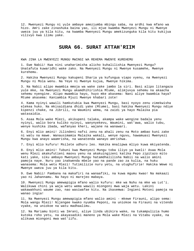12. Mwenyezi Mungu ni yule ambaye ameziumba mbingu saba, na ardhi kwa mfano wa hizo. Amri zake zinashuka baina yao, ili mjue kwamba Mwenyezi Mungu ni Mwenye uweza juu ya kila kitu, na kwamba Mwenyezi Mungu amekizunguka kila kitu kukijua vilivyo kwa ilimu yake.

## **SURA 66. SURAT ATTAH'RIIM**

KWA JINA LA MWENYEZI MUNGU MWINGI WA REHEMA MWENYE KUREHEMU

1. Ewe Nabii! Kwa nini unaharimisha alicho kuhalilishia Mwenyezi Mungu? Unatafuta kuwaridhi wake zako. Na Mwenyezi Mungu ni Mwenye kusamehe, Mwenye kurehemu.

2. Hakika Mwenyezi Mungu kakupeni Sharia ya kufungua viapo vyenu, na Mwenyezi Mungu ni Mola wenu. Na Yeye ni Mwenye kujua, Mwenye hikima.

3. Na Nabii alipo mwambia mmoja wa wake zake jambo la siri. Basi alipo litangaza yule mke, na Mwenyezi Mungu akamdhihirishia Mtume, alimjuvya sehemu na akaacha sehemu nyengine. Alipo mwambia hayo, huyo mke akasema: Nani aliye kwambia haya? Mtume akasema: Kaniambia Mjuzi Mwenye khabari zote!

4. Kama nyinyi wawili hamkutubia kwa Mwenyezi Mungu, basi nyoyo zenu zimekwisha elekea huko. Na mkisaidiana dhidi yake (Mtume), basi hakika Mwenyezi Mungu ndiye kipenzi chake, na Jibrili, na Waumini wema, na zaidi ya hayo Malaika pia watasaidia.

5. Asaa Mola wake Mlezi, akikupeni talaka, akampa wake wengine badala yenu nyinyi, walio bora kuliko nyinyi, wanynyekevu, Waumini, wat'awa, walio tubu, wenye kushika ibada, wafanyao kheri, wajane na wanawari.

6. Enyi mlio amini! Jilindeni nafsi zenu na ahali zenu na Moto ambao kuni zake ni watu na mawe. Wanausimamia Malaika wakali, wenye nguvu, hawamuasi Mwenyezi Mungu kwa anayo waamrisha, na wanatenda wanayo amrishwa.

7. Enyi mlio kufuru! Msilete udhuru leo. Hakika mnalipwa mliyo kuwa mkiyatenda.

8. Enyi mlio amini! Tubuni kwa Mwenyezi Mungu toba iliyo ya kweli! Asaa Mola wenu Mlezi akakufutieni maovu yenu na akakuingizeni katika Pepo zipitazo mito kati yake, siku ambayo Mwenyezi Mungu hatamdhalilisha Nabii na walio amini pamoja naye. Nuru yao inakwenda mbele yao na pande zao za kulia, na huku wanasema: Mola wetu Mlezi! Tutimilizie nuru yetu, na utughufirie! Hakika Wewe ni Mwenye uweza juu ya kila kitu.

9. Ewe Nabii! Pambana na makafiri na wanaafiki, na kuwa mgumu kwao! Na makaazi yao ni Jahannamu. Na hayo ni marejeo mabaya.

10. Mwenyezi Mungu amewapigia mfano walio kufuru: mke wa Nuhu na mke wa Lut'i. Walikuwa chini ya waja wetu wema wawili miongoni mwa waja wetu. Lakini wakawakhuni waume zao, nao wasiwafae kitu. Na ikasemwa: Ingieni Motoni pamoja na wanao ingia!

11. Na Mwenyezi Mungu amewapigia mfano walio amini - mkewe Firauni, alipo sema: Mola wangu Mlezi! Nijengee kwako nyumba Peponi, na uniokoe na Firauni na vitendo vyake, na uniokoe na watu madhaalimu.

12. Na Mariamu binti wa Imrani, aliye linda ubikira wake, na tukampulizia humo kutoka roho yetu, na akayasadiki maneno ya Mola wake Mlezi na Vitabu vyake, na alikuwa miongoni mwa wat'iifu.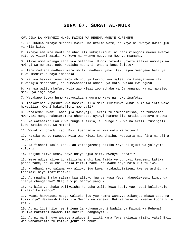#### **SURA 67. SURAT AL-MULK**

KWA JINA LA MWENYEZI MUNGU MWINGI WA REHEMA MWENYE KUREHEMU

1. AMETUKUKA ambaye mkononi mwake umo Ufalme wote; na Yeye ni Mwenye uweza juu ya kila kitu.

2. Ambaye ameumba mauti na uhai ili kukujaribuni ni nani miongoni mwenu mwenye vitendo vizuri zaidi. Na Yeye ni Mwenye nguvu na Mwenye msamaha.

3. Aliye umba mbingu saba kwa matabaka. Huoni tafauti yoyote katika uumbaji wa Mwingi wa Rehema. Hebu rudisha nadhari! Unaona kosa lolote?

4. Tena rudisha nadhari mara mbili, nadhari yako itakurejea mwenyewe hali ya kuwa imehizika nayo imechoka.

5. Na kwa hakika tumeipamba mbingu ya karibu kwa mataa, na tumeyafanya ili kuwapigia mashetani, na tumewaandalia adhabu ya Moto uwakao kwa nguvu.

6. Na kwa walio mkufuru Mola wao Mlezi ipo adhabu ya Jahannamu. Na ni marejeo maovu yalioje hayo!

7. Watakapo tupwa humo watausikia mngurumo wake na huku inafoka.

8. Inakaribia kupasuka kwa hasira. Kila mara likitupwa kundi humo walinzi wake huwauliza: Kwani hakukujieni mwonyaji?

9. Watasema: Kwani! Ametujia mwonyaji, lakini tulimkadhibisha, na tukasema: Mwenyezi Mungu hakuteremsha chochote. Nyinyi hamumo ila katika upotovu mkubwa!

10. Na watasema: Lau kuwa tungeli sikia, au tungeli kuwa na akili, tusingeli kuwa katika watu wa Motoni!

11. Wakakiri dhambi zao. Basi kuangamia ni kwa watu wa Motoni!

12. Hakika wanao mwogopa Mola wao Mlezi kwa ghaibu, watapata maghfira na ujira mkubwa.

13. Na ficheni kauli zenu, au zitangazeni; hakika Yeye ni Mjuzi wa yaliyomo vifuani.

14. Asijue aliye umba, naye ndiye Mjua siri, Mwenye khabari?

15. Yeye ndiye aliye idhalilisha ardhi kwa faida yenu, basi tembeeni katika pande zake, na kuleni katika riziki zake. Na kwake Yeye ndio kufufuliwa.

16. Mnadhani mko salama kwa alioko juu kuwa hatakudidimizeni kwenye ardhi, na tahamaki hiyo inatikisika!

17. Au mnadhani mko salama kwa alioko juu ya kuwa Yeye hakupelekeeni kimbunga chenye changarawe? Mtajua vipi maonyo yangu?

18. Na bila ya shaka walikwisha kanusha walio kuwa kabla yao; basi kulikuwaje kukasirika kwangu?

19. Kwani hawawaoni ndege walioko juu yao namna wanavyo zikunjua mbawa zao, na kuzikunja? Hawawashikilii ila Mwingi wa rehema. Hakika Yeye ni Mwenye kuona kila kitu.

20. Au ni lipi hilo jeshi lenu la kukunusuruni badala ya Mwingi wa Rehema? Hakika makafiri hawamo ila katika udanganyifu.

21. Au ni nani huyo ambaye atakupeni riziki kama Yeye akizuia riziki yake? Bali wao wanakakamia tu katika jeuri na chuki.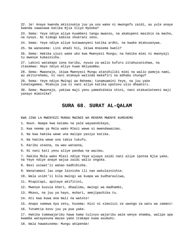22. Je! Anaye kwenda akisinukia juu ya uso wake ni mwongofu zaidi, au yule anaye kwenda sawasawa katika Njia Iliyo Nyooka?

23. Sema: Yeye ndiye aliye kuumbeni tangu mwanzo, na akakupeni masikio na macho, na nyoyo. Ni kidogo kabisa shukrani zenu.

24. Sema: Yeye ndiye aliye kutawanyeni katika ardhi, na kwake mtakusanywa.

25. Na wanasema: Lini ahadi hii, ikiwa mnasema kweli?

26. Sema: Hakika ujuzi wake uko kwa Mwenyezi Mungu; na hakika mimi ni mwonyaji tu mwenye kubainisha.

27. Lakini watakapo iona karibu, nyuso za walio kufuru zitahuzunishwa, na itasemwa: Hayo ndiyo mliyo kuwa mkiyaomba.

28. Sema: Mwaonaje, ikiwa Mwenyezi Mungu atanihiliki mimi na walio pamoja nami, au akiturehemu, ni nani atakaye walinda makafiri na adhabu chungu?

29. Sema: Yeye ndiye Mwingi wa Rehema; tunamuamini Yeye, na juu yake tunategemea. Mtakuja jua ni nani aliye katika upotovu ulio dhaahiri.

30. Sema: Mwaonaje, yakiwa maji yenu yamedidimia chini, nani atakueleteeni maji yanayo miminika?

### **SURA 68. SURAT AL-QALAM**

KWA JINA LA MWENYEZI MUNGU MWINGI WA REHEMA MWENYE KUREHEMU

1. Nuun. Naapa kwa kalamu na yale wayaandikayo,

2. Kwa neema ya Mola wako Mlezi wewe si mwendawazimu.

3. Na kwa hakika wewe una malipo yasiyo katika.

4. Na hakika wewe una tabia tukufu.

5. Karibu utaona, na wao wataona,

6. Ni nani kati yenu aliye pandwa na wazimu.

7. Hakika Mola wako Mlezi ndiye Yeye ajuaye zaidi nani aliye ipotea Njia yake, na Yeye ndiye anaye wajua zaidi walio ongoka.

8. Basi usiwat'ii wanao kadhibisha.

9. Wanatamani lau unge lainisha ili nao wakulainishie.

10. Wala usimt'ii kila mwingi wa kuapa wa kudharauliwa,

11. Mtapitapi, apitaye akifitini,

12. Mwenye kuzuia kheri, dhaalimu, mwingi wa madhambi,

13. Mkavu, na juu ya hayo, mshari, amejipachika tu.

14. Ati kwa kuwa ana mali na watoto!

15. Anapo somewa Aya zetu, husema: Hizi ni simulizi za uwongo za watu wa zamani!

16. Tutamtia kovu juu ya pua yake.

17. Hakika tumewajaribu hawa kama tulivyo wajaribu wale wenye shamba, walipo apa kwamba watayavuna mazao yake itakapo kuwa asubuhi.

18. Wala hawakusema: Mungu akipenda!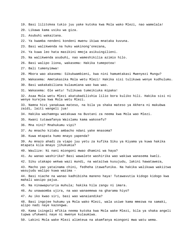19. Basi lilitokea tukio juu yake kutoka kwa Mola wako Mlezi, nao wamelala!

20. Likawa kama usiku wa giza.

21. Asubuhi wakaitana.

22. Ya kwamba nendeni kondeni mwenu ikiwa mnataka kuvuna.

23. Basi walikwenda na huku wakinong'onezana,

24. Ya kuwa leo hata masikini mmoja asikuingilieni.

25. Na walikwenda asubuhi, nao wameshikilia azimio hilo.

26. Basi walipo liona, wakasema: Hakika tumepotea!

27. Bali tumenyimwa!

28. Mbora wao akasema: Sikukwambieni, kwa nini hamumtakasi Mwenyezi Mungu?

29. Wakasema: Ametakasika Mola wetu Mlezi! Hakika sisi tulikuwa wenye kudhulumu.

30. Basi wakakabiliana kulaumiana wao kwa wao.

31. Wakasema: Ole wetu! Tulikuwa tumeikiuka mipaka!

32. Asaa Mola wetu Mlezi akatubadilishia lilio bora kuliko hili. Hakika sisi ni wenye kurejea kwa Mola wetu Mlezi.

33. Namna hivi yanakuwa mateso, na bila ya shaka mateso ya Akhera ni makubwa zaidi, laiti wangeli jua!

34. Hakika wachamngu watakuwa na Bustani za neema kwa Mola wao Mlezi.

35. Kwani tutawafanya Waislamu kama wakosefu?

36. Mna nini? Mnahukumu vipi?

37. Au mnacho kitabu ambacho ndani yake mnasoma?

38. Kuwa mtapata humo mnayo yapenda?

39. Au mnazo ahadi za viapo juu yetu za kufika Siku ya Kiyama ya kuwa hakika mtapata kila mnayo jihukumia?

40. Waulize: Ni nani miongoni mwao dhamini wa haya?

41. Au wanao washirika? Basi wawalete washirika wao wakiwa wanasema kweli.

42. Siku utakapo wekwa wazi mundi, na wataitwa kusujudu, lakini hawataweza,

43. Macho yao yatainama chini, fedheha itawafunika. Na hakika walikuwa wakiitwa wasujudu walipo kuwa wazima -

44. Basi niache na wanao kadhibisha maneno haya! Tutawavutia kidogo kidogo kwa mahali wasipo pajua.

45. Na ninawapururia muhula; hakika hila zangu ni imara.

46. Au unawaomba ujira, na wao wanaemewa na gharama hiyo?

47. Au iko kwao siri, basi wao wanaiandika?

48. Basi ingojee hukumu ya Mola wako Mlezi, wala usiwe kama mmezwa na samaki, alipo nadi naye kazongwa.

49. Kama isingeli mfikia neema kutoka kwa Mola wake Mlezi, bila ya shaka angeli tupwa ufukweni naye ni mwenye kulaumiwa.

50. Lakini Mola wake Mlezi alimteua na akamfanya miongoni mwa watu wema.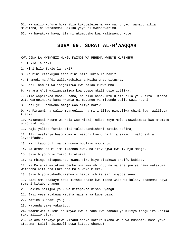51. Na walio kufuru hukaribia kukutelezesha kwa macho yao, wanapo sikia mawaidha, na wanasema: Hakika yeye ni mwendawazimu.

52. Na hayakuwa haya, ila ni ukumbusho kwa walimwengu wote.

## **SURA 69. SURAT AL-H'AAQQAH**

KWA JINA LA MWENYEZI MUNGU MWINGI WA REHEMA MWENYE KUREHEMU

1. Tukio la haki.

2. Nini hilo Tukio la haki?

3. Na nini kitakujuulisha nini hilo Tukio la haki?

4. Thamudi na A'di waliukadhibisha Msiba unao situsha.

5. Basi Thamudi waliangamizwa kwa balaa kubwa mno.

6. Na ama A'di waliangamizwa kwa upepo mkali usio zuilika.

7. Alio wapelekea masiku saba, na siku nane, mfululizo bila ya kusita. Utaona watu wamepinduka kama kwamba ni magongo ya mitende yalio wazi ndani.

8. Basi je! Unamwona mmoja wao aliye baki?

9. Na Firauni na walio mtangulia, na miji iliyo pinduliwa chini juu, walileta khatia.

10. Wakamuasi Mtume wa Mola wao Mlezi, ndipo Yeye Mola akawakamata kwa mkamato ulio zidi nguvu.

11. Maji yalipo furika Sisi tulikupandisheni katika safina,

12. Ili tuyafanye hayo kuwa ni waadhi kwenu na kila sikio linalo sikia liyahifadhi.

13. Na litapo pulizwa barugumu mpulizo mmoja tu,

14. Na ardhi na milima ikaondolewa, na ikavunjwa kwa mvunjo mmoja,

15. Siku hiyo ndio Tukio litatukia.

16. Na mbingu zitapasuka, kwani siku hiyo zitakuwa dhaifu kabisa.

17. Na Malaika watakuwa pembezoni mwa mbingu; na wanane juu ya hawa watakuwa wamebeba Kiti cha Enzi cha Mola wako Mlezi.

18. Siku hiyo mtahudhurishwa - haitafichika siri yoyote yenu.

19. Basi ama atakaye pewa kitabu chake kwa mkono wake wa kulia, atasema: Haya someni kitabu changu!

20. Hakika nalijua ya kuwa nitapokea hisabu yangu.

21. Basi yeye atakuwa katika maisha ya kupendeza,

22. Katika Bustani ya juu,

23. Matunda yake yakaribu.

24. Waambiwe: Kuleni na mnywe kwa furaha kwa sababu ya mlivyo tanguliza katika siku zilizo pita.

25. Na ama atakaye pewa kitabu chake katika mkono wake wa kushoto, basi yeye atasema: Laiti nisingeli pewa kitabu changu!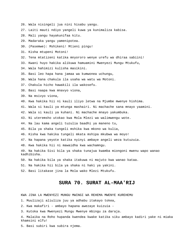- 26. Wala nisingeli jua nini hisabu yangu.
- 27. Laiti mauti ndiyo yangeli kuwa ya kunimaliza kabisa.
- 28. Mali yangu hayakunifaa kitu.
- 29. Madaraka yangu yamenipotea.
- 30. (Pasemwe): Mshikeni! Mtieni pingu!
- 31. Kisha mtupeni Motoni!
- 32. Tena mtatizeni katika mnyororo wenye urefu wa dhiraa sabiini!
- 33. Kwani huyo hakika alikuwa hamuamini Mwenyezi Mungu Mtukufu,
- 34. Wala hahimizi kulisha masikini.
- 35. Basi leo hapa hana jamaa wa kumwonea uchungu,
- 36. Wala hana chakula ila usaha wa watu wa Motoni.
- 37. Chakula hicho hawakili ila wakosefu.
- 38. Basi naapa kwa mnavyo viona,
- 39. Na msivyo viona,
- 40. Kwa hakika hii ni kauli iliyo letwa na Mjumbe mwenye hishima.
- 41. Wala si kauli ya mtunga mashairi. Ni machache sana mnayo yaamini.
- 42. Wala si kauli ya kuhani. Ni machache mnayo yakumbuka.
- 43. Ni uteremsho utokao kwa Mola Mlezi wa walimwengu wote.
- 44. Na lau kama angeli tuzulia baadhi ya maneno tu,
- 45. Bila ya shaka tungeli mshika kwa mkono wa kulia,
- 46. Kisha kwa hakika tungeli mkata mshipa mkubwa wa moyo!
- 47. Na hapana yeyote katika nyinyi ambaye angeli weza kutuzuia.
- 48. Kwa hakika hii ni mawaidha kwa wachamngu.

49. Na hakika Sisi bila ya shaka tunajua kwamba miongoni mwenu wapo wanao kadhibisha.

- 50. Na hakika bila ya shaka itakuwa ni majuto kwa wanao kataa.
- 51. Na hakika hii bila ya shaka ni haki ya yakini.
- 52. Basi litakase jina la Mola wako Mlezi Mtukufu.

## **SURA 70. SURAT AL-MAA'RIJ**

- 1. Muulizaji aliuliza juu ya adhabu itakayo tokea,
- 2. Kwa makafiri ambayo hapana awezaye kuizuia -
- 3. Kutoka kwa Mwenyezi Mungu Mwenye mbingu za daraja.
- 4. Malaika na Roho hupanda kwendea kwake katika siku ambayo kadiri yake ni miaka khamsini elfu!
- 5. Basi subiri kwa subira njema.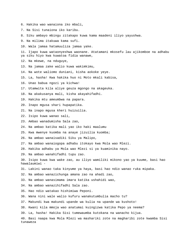- 6. Hakika wao wanaiona iko mbali,
- 7. Na Sisi tunaiona iko karibu.
- 8. Siku ambayo mbingu zitakapo kuwa kama maadeni iliyo yayushwa.
- 9. Na milima itakuwa kama sufi.
- 10. Wala jamaa hatamuuliza jamaa yake.

11. Ijapo kuwa wataonyeshwa waonane. Atatamani mkosefu lau ajikomboe na adhabu ya siku hiyo kwa kuwatoa fidia wanawe,

- 12. Na mkewe, na nduguye,
- 13. Na jamaa zake walio kuwa wakimkimu,
- 14. Na wote waliomo duniani, kisha aokoke yeye.
- 15. La, hasha! Kwa hakika huo ni Moto mkali kabisa,
- 16. Unao babua ngozi ya kichwa!
- 17. Utamwita kila aliye geuza mgongo na akageuka.
- 18. Na akakusanya mali, kisha akayahifadhi.
- 19. Hakika mtu ameumbwa na papara.
- 20. Inapo mgusa shari hupapatika.
- 21. Na inapo mgusa kheri huizuilia.
- 22. Isipo kuwa wanao sali,
- 23. Ambao wanadumisha Sala zao,
- 24. Na ambao katika mali yao iko haki maalumu
- 25. Kwa mwenye kuomba na anaye jizuilia kuomba;
- 26. Na ambao wanaisadiki Siku ya Malipo,
- 27. Na ambao wanaiogopa adhabu itokayo kwa Mola wao Mlezi.
- 28. Hakika adhabu ya Mola wao Mlezi si ya kuaminika nayo.
- 29. Na ambao wanahifadhi tupu zao.

30. Isipo kuwa kwa wake zao, au iliyo wamiliki mikono yao ya kuume, basi hao hawalaumiwi -

- 31. Lakini wanao taka kinyume ya haya, basi hao ndio wanao ruka mipaka.
- 32. Na ambao wanazichunga amana zao na ahadi zao,
- 33. Na ambao wanasimama imara katika ushahidi wao,
- 34. Na ambao wanazihifadhi Sala zao.
- 35. Hao ndio watakao hishimiwa Peponi.
- 36. Wana nini wale walio kufuru wanakutumbulia macho tu?
- 37. Makundi kwa makundi upande wa kulia na upande wa kushoto!
- 38. Kwani kila mmoja wao anatumai kuingizwa katika Pepo ya neema?
- 39. La, hasha! Hakika Sisi tumewaumba kutokana na wanacho kijua.
- 40. Basi naapa kwa Mola Mlezi wa mashariki zote na magharibi zote kwamba Sisi tunaweza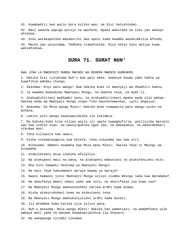41. Kuwabadili kwa walio bora kuliko wao; na Sisi hatushindwi.

42. Basi waache wapige porojo na wacheze, mpaka wakutane na siku yao wanayo ahidiwa,

43. Siku watakapotoka makaburini kwa upesi kama kwamba wanakimbilia mfundo,

44. Macho yao yatainama, fedheha itawafunika. Hiyo ndiyo Siku waliyo kuwa wakiahidiwa.

#### **SURA 71. SURAT NUH'**

KWA JINA LA MWENYEZI MUNGU MWINGI WA REHEMA MWENYE KUREHEMU

1. Hakika Sisi tulimtuma Nuh'u kwa watu wake: Uwaonye kaumu yako kabla ya kuwafikia adhabu chungu.

2. Akasema: Enyi watu wangu! Kwa hakika mimi ni mwonyaji wa dhaahiri kwenu,

3. Ya kwamba mumuabudu Mwenyezi Mungu, na mumche Yeye, na mumt'ii.

4. Atakughufirieni madhambi yenu, na atakuakhirisheni mpaka muda ulio wekwa. Hakika muda wa Mwenyezi Mungu utapo fika haucheleweshwi. Laiti mngejua!

5. Akasema: Ee Mola wangu Mlezi! Hakika mimi nimewaita watu wangu usiku na mchana,

6. Lakini wito wangu haukuwazidisha ila kukimbia.

7. Na hakika mimi kila nilipo waita ili upate kuwaghufiria, walijiziba masikio yao kwa vidole vyao, na wakajigubika nguo zao, na wakakamia, na wakatakabari vikubwa mno!

8. Tena niliwaita kwa uwazi,

9. Kisha nikawatangazia kwa kelele, tena nikasema nao kwa siri.

10. Nikasema: Ombeni msamaha kwa Mola wenu Mlezi; hakika Yeye ni Mwingi wa kusamehe.

11. Atakuleteeni mvua inyeshe mfululizo.

12. Na atakupeni mali na wana, na atakupeni mabustani na atakufanyieni mito.

13. Mna nini hamweki heshima ya Mwenyezi Mungu?

14. Na hali Yeye kakuumbeni daraja baada ya daraja?

15. Kwani hamwoni jinsi Mwenyezi Mungu alivyo ziumba mbingu saba kwa matabaka?

16. Na akaufanya mwezi ndani yake uwe nuru, na akalifanya jua kuwa taa?

17. Na Mwenyezi Mungu amekuotesheni katika ardhi kama mimea.

18. Kisha atakurudsheni humo na atakutoeni tena.

19. Na Mwenyezi Mungu amekukunjulieni ardhi kama busati.

20. Ili mtembee humo katika njia zilizo pana.

21. Nuh'u akasema: Mola wangu Mlezi! Hakika hao wameniasi, na wamemfuata yule ambaye mali yake na wanawe hawakumzidishia ila khasara.

22. Na wakapanga vitimbi vikubwa.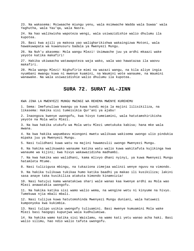23. Na wakasema: Msiwaache miungu yenu, wala msimwache Wadda wala Suwaa' wala Yaghutha, wala Yau'qa, wala Nasra.

24. Na hao walikwisha wapoteza wengi, wala usiwazidishie walio dhulumu ila kupotea.

25. Basi kwa ajili ya makosa yao waligharikishwa wakaingizwa Motoni, wala hawakuwapata wa kuwanusuru badala ya Mwenyezi Mungu.

26. Na Nuh'u akasema: Mola wangu Mlezi! Usimwache juu ya ardhi mkaazi wake yeyote katika makafiri!

27. Hakika ukiwaacha watawapoteza waja wako, wala wao hawatazaa ila waovu makafiri.

28. Mola wangu Mlezi! Nighufirie mimi na wazazi wangu, na kila aliye ingia nyumbani mwangu kuwa ni mwenye kuamini, na Waumini wote wanaume, na Waumini wanawake. Na wala usiwazidishie walio dhulumu ila kupotea.

# **SURA 72. SURAT AL-JINN**

KWA JINA LA MWENYEZI MUNGU MWINGI WA REHEMA MWENYE KUREHEMU

1. Sema: Imefunuliwa kwangu ya kuwa kundi moja la majini lilisikiliza, na likasema: Hakika sisi tumeisikia Qur'ani ya ajabu!

2. Inaongoza kwenye uwongofu, kwa hivyo tumeiamini, wala hatutamshirikisha yeyote na Mola wetu Mlezi.

3. Na kwa hakika utukufu wa Mola wetu Mlezi umetukuka kabisa; hana mke wala mwana.

4. Na kwa hakika wapumbavu miongoni mwetu walikuwa wakisema uwongo ulio pindukia mipaka juu ya Mwenyezi Mungu.

5. Nasi tulidhani kuwa watu na majini hawamzulii uwongo Mwenyezi Mungu.

6. Na hakika walikuwako wanaume katika watu walio kuwa wakitafuta kujikinga kwa wanaume wa kijini; kwa hivyo wakawazidisha madhambi.

7. Na kwa hakika wao walidhani, kama mlivyo dhani nyinyi, ya kuwa Mwenyezi Mungu hatamleta Mtume.

8. Nasi tulizigusa mbingu, na tukaziona zimejaa walinzi wenye nguvu na vimondo.

9. Na hakika tulikuwa tukikaa humo katika baadhi ya makao ili kusikiliza; lakini sasa anaye taka kusikiliza atakuta kimondo kinamvizia!

10. Nasi hatujui kama wanatakiwa shari wale wanao kaa kwenye ardhi au Mola wao Mlezi anawatakia uwongofu.

11. Na hakika katika sisi wamo walio wema, na wengine wetu ni kinyume na hivyo. Tumekuwa njia mbali mbali.

12. Nasi tulijua kuwa hatutomshinda Mwenyezi Mungu duniani, wala hatuwezi kumponyoka kwa kukimbia.

13. Nasi tulipo usikia uwongofu tuliuamini. Basi mwenye kumuamini Mola wake Mlezi basi haogopi kupunjwa wala kudhulumiwa.

14. Na hakika wamo katika sisi Waislamu, na wamo kati yetu wanao acha haki. Basi walio silimu, hao ndio walio tafuta uwongofu.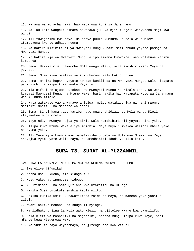16. Na lau kama wangeli simama sawasawa juu ya njia tungeli wanywesha maji kwa 19. Na hakika Mja wa Mwenyezi Mungu alipo simama kumwomba, wao walikuwa karibu 21. Sema: Mimi sina mamlaka ya kukudhuruni wala kukuongozeni. 22. Sema: Hakika hapana yeyote awezae kunilinda na Mwenyezi Mungu, wala sitapata pa kukimbilia isipo kuwa kwake Yeye tu. 23. Ila nifikishe Ujumbe utokao kwa Mwenyezi Mungu na risala zake. Na wenye kumuasi Mwenyezi Mungu na Mtume wake, basi hakika hao watapata Moto wa Jahannamu wadumu humo milele. msaidizi dhaifu, na mchache wa idadi. 25. Sema: Sijui kama yapo karibu hayo mnayo ahidiwa, au Mola wangu Mlezi atayawekea muda mrefu. 26. Yeye ndiye Mwenye kujua ya siri, wala hamdhihirishii yeyote siri yake, 27. Isipo kuwa Mtume wake aliye mridhia. Naye huyo humwekea walinzi mbele yake na nyuma yake. 28. Ili Yeye ajue kwamba wao wamefikisha ujumbe wa Mola wao Mlezi, na Yeye

### **SURA 73. SURAT AL-MUZZAMMIL**

KWA JINA LA MWENYEZI MUNGU MWINGI WA REHEMA MWENYE KUREHEMU

1. Ewe uliye jifunika!

2. Kesha usiku kucha, ila kidogo tu!

3. Nusu yake, au ipunguze kidogo.

4. Au izidishe - na soma Qur'ani kwa utaratibu na utungo.

5. Hakika Sisi tutakuteremshia kauli nzito.

6. Hakika kuamka usiku kunawafikiana zaidi na moyo, na maneno yake yanatua zaidi.

7. Kwani hakika mchana una shughuli nyingi.

8. Na lidhukuru jina la Mola wako Mlezi, na ujitolee kwake kwa ukamilifu.

9. Mola Mlezi wa mashariki na magharibi, hapana mungu isipo kuwa Yeye, basi mfanye kuwa Mtegemewa wako.

10. Na vumilia hayo wayasemayo, na jitenge nao kwa vizuri.

15. Na ama wanao acha haki, hao watakuwa kuni za Jahannamu.

wingi,

17. Ili tuwajaribu kwa hayo. Na anaye puuza kumkumbuka Mola wake Mlezi atamsukuma kwenye adhabu ngumu.

18. Na hakika misikiti ni ya Mwenyezi Mungu, basi msimuabudu yeyote pamoja na Mwenyezi Mungu.

kumzonga!

20. Sema: Hakika mimi namwomba Mola wangu Mlezi, wala simshirikishi Yeye na yeyote.

24. Hata watakapo yaona wanayo ahidiwa, ndipo watakapo jua ni nani mwenye

anayajua vyema yote walio nayo, na amedhibiti idadi ya kila kitu.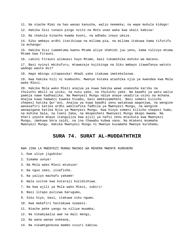11. Na niache Mimi na hao wanao kanusha, walio neemeka; na wape muhula kidogo!

12. Hakika Sisi tunazo pingu nzito na Moto unao waka kwa ukali kabisa!

13. Na chakula kinacho kwama kooni, na adhabu inayo umiza.

14. Siku ambayo ardhi itatikiswa na milima pia, na milima itakuwa kama tifutifu la mchanga!

15. Hakika Sisi tumemtuma kwenu Mtume aliye shahidi juu yenu, kama tulivyo mtuma Mtume kwa Firauni.

16. Lakini Firauni alimuasi huyo Mtume, basi tukamshika mshiko wa mateso.

17. Basi nyinyi mkikufuru, mtawezaje kujikinga na Siku ambayo itawafanya watoto wadogo waote mvi?

18. Hapo mbingu zitapasuka! Ahadi yake itakuwa imetekelezwa.

19. Kwa hakika hili ni kumbusho. Mwenye kutaka atashika njia ya kwendea kwa Mola wake Mlezi.

20. Hakika Mola wako Mlezi anajua ya kuwa hakika wewe unakesha karibu na thuluthi mbili za usiku, na nusu yake, na thuluthi yake. Na baadhi ya watu walio pamoja nawe kadhaalika. Na Mwenyezi Mungu ndiye anaye ukadiria usiku na mchana. Anajua kuwa hamwezi kuweka hisabu, basi amekusameheni. Basi someni kilicho chepesi katika Qur'ani. Anajua ya kuwa baadhi yenu watakuwa wagonjwa, na wengine wanasafiri katika ardhi wakitafuta fadhila ya Mwenyezi Mungu, na wengine wanapigana katika Njia ya Mwenyezi Mungu. Kwa hivyo someni kilicho chepesi humo, na mshike Sala, na toeni Zaka, na mkopesheni Mwenyezi Mungu mkopo mwema. Na kheri yoyote mnayo itanguliza kwa ajili ya nafsi zenu mtaikuta kwa Mwenyezi Mungu, imekuwa bora zaidi, na ina thawabu kubwa sana. Na mtakeni msamaha Mwenyezi Mungu. Hakika Mwenyezi Mungu ni Mwenye kusamehe Mwenye kurehemu.

#### **SURA 74. SURAT AL-MUDDATHTHIR**

- 1. Ewe uliye jigubika!
- 2. Simama uonye!
- 3. Na Mola wako Mlezi mtukuze!
- 4. Na nguo zako, zisafishe.
- 5. Na yaliyo machafu yahame!
- 6. Wala usitoe kwa kutaraji kuzidishiwa.
- 7. Na kwa ajili ya Mola wako Mlezi, subiri!
- 8. Basi litapo pulizwa barugumu,
- 9. Siku hiyo, basi, itakuwa siku ngumu.
- 10. Kwa makafiri haitakuwa nyepesi.
- 11. Niache peke yangu na niliye muumba;
- 12. Na nikamjaalia awe na mali mengi,
- 13. Na wana wanao onekana,
- 14. Na nikamtgenezea mambo vizuri kabisa.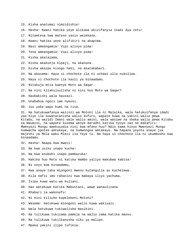- 15. Kisha anatumai nimzidishie!
- 16. Hasha! Kwani hakika yeye alikuwa akizifanyia inadi Aya zetu!
- 17. Nitamtesa kwa mateso yasio wezekana.
- 18. Kwani hakika yeye alifikiri na akapima.
- 19. Basi ameangamia! Vipi alivyo pima!
- 20. Tena ameangamia! Vipi alivyo pima!
- 21. Kisha akatazama,
- 22. Kisha akakunja kipaji, na akanuna.
- 23. Kisha akaipa kisogo haki, na akatakabari.
- 24. Na akasema: Haya si chochote ila ni uchawi ulio nukuliwa.
- 25. Haya si chochote ila kauli ya binaadamu.
- 26. Nitakuja mtia kwenye Moto wa Saqar.
- 27. Na nini kitakujuulisha ni nini huo Moto wa Saqar?
- 28. Haubakishi wala hausazi.
- 29. Unababua ngozi iwe nyeusi.
- 30. Juu yake wapo kumi na tisa.

31. Na hatukuwafanya walinzi wa Motoni ila ni Malaika, wala hatukuifanya idadi yao hiyo ila kuwatatanisha walio kufuru, wapate kuwa na yakini walio pewa Kitabu, na wazidi Imani wale walio amini, wala wasiwe na shaka walio pewa Kitabu na Waumini, na wapate kusema wenye maradhi katika nyoyo zao na makafiri: Mwenyezi Mungu amekusudia nini kwa mfano huu? Ndio kama hivyo Mwenyezi Mungu humwacha apotee amtakaye, na humwongoa amtakaye. Na hapana yeyote anaye jua majeshi ya Mola wako Mlezi ila Yeye tu. Na haya si chochote ila ni ukumbusho kwa binaadamu.

- 32. Hasha! Naapa kwa mwezi!
- 33. Na kwa usiku unapo kucha!
- 34. Na kwa asubuhi inapo pambazuka!
- 35. Hakika huo Moto ni katika mambo yaliyo makubwa kabisa!
- 36. Ni onyo kwa binaadamu,
- 37. Kwa anaye taka miongoni mwenu kutangulia au kuchelewa.
- 38. Kila nafsi imo rahanini kwa mabaya iliyo yachuma.
- 39. Isipo kuwa watu wa kuliani.
- 40. Hao watakuwa katika Mabustani, wawe wanaulizana
- 41. Khabari za wakosefu:
- 42. Ni nini kilicho kupelekeni Motoni?
- 43. Waseme: Hatukuwa miongoni walio kuwa wakisali.
- 44. Wala hatukuwa tukiwalisha masikini.
- 45. Na tulikuwa tukizama pamoja na walio zama katika maovu.
- 46. Na tulikuwa tukiikanusha siku ya malipo.
- 47. Mpaka yakini ilipo tufikia.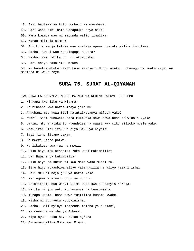- 48. Basi hautawafaa kitu uombezi wa waombezi.
- 49. Basi wana nini hata wanapuuza onyo hili?
- 50. Kama kwamba wao ni mapunda walio timuliwa,
- 51. Wanao mkimbia simba!
- 52. Ati kila mmoja katika wao anataka apewe nyaraka zilizo funuliwa.
- 53. Hasha! Kwani wao hawaiogopi Akhera?
- 54. Hasha! Kwa hakika huu ni ukumbusho!
- 55. Basi anaye taka atakumbuka.

56. Na hawatakumbuka isipo kuwa Mwenyezi Mungu atake. Uchamngu ni kwake Yeye, na msamaha ni wake Yeye.

# **SURA 75. SURAT AL-QIYAMAH**

- 1. Ninaapa kwa Siku ya Kiyama!
- 2. Na ninaapa kwa nafsi inayo jilaumu!
- 3. Anadhani mtu kuwa Sisi hatutaikusanya mifupa yake?
- 4. Kwani! Sisi tunaweza hata kuziweka sawa sawa ncha za vidole vyake!
- 5. Lakini mtu anataka tu kuendelea na maasi kwa siku zilioko mbele yake.
- 6. Anauliza: Lini itakuwa hiyo Siku ya Kiyama?
- 7. Basi jicho litapo dawaa,
- 8. Na mwezi utapo patwa,
- 9. Na likakusanywa jua na mwezi,
- 10. Siku hiyo mtu atasema: Yako wapi makimbilio?
- 11. La! Hapana pa kukimbilia!
- 12. Siku hiyo pa kutua ni kwa Mola wako Mlezi tu.
- 13. Siku hiyo ataambiwa aliyo yatanguliza na aliyo yaakhirisha.
- 14. Bali mtu ni hoja juu ya nafsi yake.
- 15. Na ingawa atatoa chungu ya udhuru.
- 16. Usiutikisie huu wahyi ulimi wako kwa kuufanyia haraka.
- 17. Hakika ni juu yetu kuukusanya na kuusomesha.
- 18. Tunapo usoma, basi nawe fuatiliza kusoma kwake.
- 19. Kisha ni juu yetu kuubainisha.
- 20. Hasha! Bali nyinyi mnapenda maisha ya duniani,
- 21. Na mnaacha maisha ya Akhera.
- 22. Zipo nyuso siku hiyo zitao ng'ara,
- 23. Zinamwangallia Mola wao Mlezi.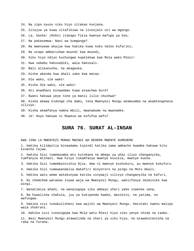- 24. Na zipo nyuso siku hiyo zitakao kunjana.
- 25. Zitajua ya kuwa zitafikiwa na livunjalo uti wa mgongo.
- 26. La, hasha! (Roho) itakapo fikia kwenye mafupa ya koo,
- 27. Na pakasemwa: Nani wa kumganga?
- 28. Na mwenyewe akajua kwa hakika kuwa huko ndiko kufariki;
- 29. Na utapo ambatishwa muundi kwa muundi,
- 30. Siku hiyo ndiyo kuchungwa kupelekwa kwa Mola wako Mlezi!
- 31. Kwa sababu hakusadiki, wala hakusali.
- 32. Bali alikanusha, na akageuka.
- 33. Kisha akenda kwa ahali zake kwa matao.
- 34. Ole wako, ole wako!
- 35. Kisha Ole wako, ole wako!
- 36. Ati anadhani binaadamu kuwa ataachwa bure?

37. Kwani hakuwa yeye tone ya manii lilio shushwa?

38. Kisha akawa kidonge cha damu, tena Mwenyezi Mungu akamuumba na akamtengeneza vilivyo.

- 39. Kisha akamfanya namna mbili, mwanamume na mwanamke.
- 40. Je! Huyo hakuwa ni Muweza wa kufufua wafu?

## **SURA 76. SURAT AL-INSAN**

KWA JINA LA MWENYEZI MUNGU MWINGI WA REHEMA MWENYE KUREHEMU

1. Hakika kilimpitia binaadamu kipindi katika zama ambacho kwamba hakuwa kitu kinacho tajwa.

2. Hakika Sisi tumemuumba mtu kutokana na mbegu ya uhai iliyo changanyika, tumfanyie mtihani. Kwa hivyo tukamfanya mwenye kusikia, mwenye kuona.

3. Hakika Sisi tumembainishia Njia. Ama ni mwenye kushukuru, au mwenye kukufuru.

- 4. Hakika Sisi tumewaandalia makafiri minyororo na pingu na Moto mkali.
- 5. Hakika watu wema watakunywa katika vinywaji vilivyo changanyika na kafuri,

6. Ni chemchem watakao inywa waja wa Mwenyezi Mungu, wakiifanya imiminike kwa wingi.

7. Wanatimiza ahadi, na wanaiogopa siku ambayo shari yake inaenea sana,

8. Na huwalisha chakula, juu ya kukipenda kwake, masikini, na yatima, na wafungwa.

9. Hakika sisi tunakulisheni kwa wajihi wa Mwenyezi Mungu. Hatutaki kwenu malipo wala shukrani.

10. Hakika sisi tunaiogopa kwa Mola wetu Mlezi hiyo siku yenye shida na taabu.

11. Basi Mwenyezi Mungu atawalinda na shari ya siku hiyo, na atawakutanisha na raha na furaha.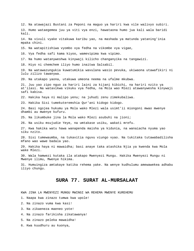12. Na atawajazi Bustani za Peponi na maguo ya hariri kwa vile walivyo subiri. 13. Humo wataegemea juu ya viti vya enzi, hawataona humo jua kali wala baridi kali. 14. Na vivuli vyake vitakuwa karibu yao, na mashada ya matunda yataning'inia mpaka chini. 15. Na watapitishiwa vyombo vya fedha na vikombe vya vigae, 16. Vya fedha safi kama kiyoo, wamevipima kwa vipimo. 17. Na humo watanyweshwa kinywaji kilicho changanyika na tangawizi. 18. Hiyo ni chemchem iliyo humo inaitwa Salsabil. 19. Na watawazungukia kuwatumikia wavulana wasio pevuka, ukiwaona utawafikiri ni lulu zilizo tawanywa. 20. Na utakapo yaona, utakuwa umeona neema na ufalme mkubwa. 21. Juu yao zipo nguo za hariri laini za kijani kibichi, na hariri nzito ya at'ilasi. Na watavikwa vikuku vya fedha, na Mola wao Mlezi atawanywesha kinywaji safi kabisa. 22. Hakika haya ni malipo yenu; na juhudi zenu zimekubaliwa. 23. Hakika Sisi tumekuteremshia Qur'ani kidogo kidogo. 24. Basi ngojea hukumu ya Mola wako Mlezi wala usimt'ii miongoni mwao mwenye dhambi au mwenye kufuru. 25. Na likumbuke jina la Mola wako Mlezi asubuhi na jioni; 26. Na usiku msujudie Yeye, na umtakase usiku, wakati mrefu. 27. Kwa hakika watu hawa wanapenda maisha ya kidunia, na wanaiacha nyuma yao siku nzito. 28. Sisi tumewaumba, na tukavitia nguvu viungo vyao. Na tukitaka tutawabadilisha mfano wao wawe badala yao. 29. Hakika haya ni mawaidha; basi anaye taka atashika Njia ya kwenda kwa Mola wake Mlezi. 30. Wala hamwezi kutaka ila atakapo Mwenyezi Mungu. Hakika Mwenyezi Mungu ni Mwenye ilimu, Mwenye hikima. 31. Humuingiza amtakaye katika rehema yake. Na wenye kudhulumu amewawekea adhabu iliyo chungu.

# **SURA 77. SURAT AL-MURSALAAT**

KWA JINA LA MWENYEZI MUNGU MWINGI WA REHEMA MWENYE KUREHEMU

1. Naapa kwa zinazo tumwa kwa upole!

2. Na zinazo vuma kwa kasi!

3. Na zikaeneza maeneo yote!

4. Na zinazo farikisha zikatawanya!

5. Na zinazo peleka mawaidha!

6. Kwa kuudhuru au kuonya,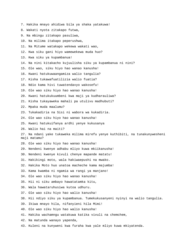- 7. Hakika mnayo ahidiwa bila ya shaka yatakuwa!
- 8. Wakati nyota zitakapo futwa,
- 9. Na mbingu zitakapo pasuliwa,
- 10. Na milima itakapo peperushwa,
- 11. Na Mitume watakapo wekewa wakati wao,
- 12. Kwa siku gani hiyo wamewekewa muda huo?
- 13. Kwa siku ya kupambanua!
- 14. Na nini kitakacho kujuulisha siku ya kupambanua ni nini?
- 15. Ole wao, siku hiyo hao wanao kanusha!
- 16. Kwani hatukuwaangamiza walio tangulia?
- 17. Kisha tukawafuatilizia walio fuatia?
- 18. Ndio kama hivi tuwatendavyo wakosefu!
- 19. Ole wao siku hiyo hao wanao kanusha!
- 20. Kwani hatukukuumbeni kwa maji ya kudharauliwa?
- 21. Kisha tukayaweka mahali pa utulivu madhubuti?
- 22. Mpaka muda maalumu?
- 23. Tukakadiria na Sisi ni wabora wa kukadiria.
- 24. Ole wao siku hiyo hao wanao kanusha!
- 25. Kwani hatukuifanya ardhi yenye kukusanya
- 26. Walio hai na maiti?
- 27. Na ndani yake tukaweka milima mirefu yenye kuthibiti, na tunakunywesheni maji matamu?
- 28. Ole wao siku hiyo hao wanao kanusha!
- 29. Nendeni kwenye adhabu mliyo kuwa mkiikanusha!
- 30. Nendeni kwenye kivuli chenye mapande matatu!
- 31. Hakikingi moto, wala hakiwaepushi na mwako.
- 32. Hakika Moto huo unatoa macheche kama majumba!
- 33. Kama kwamba ni ngamia wa rangi ya manjano!
- 34. Ole wao siku hiyo hao wanao kanusha!
- 35. Hii ni siku ambayo hawatatamka kitu,
- 36. Wala hawataruhusiwa kutoa udhuru.
- 37. Ole wao siku hiyo hao walio kanusha!
- 38. Hii ndiyo siku ya kupambanua. Tumekukusanyeni nyinyi na walio tangulia.
- 39. Ikiwa mnayo hila, nifanyieni hila Mimi!
- 40. Ole wao siku hiyo hao walio kanusha!
- 41. Hakika wachamngu watakuwa katika vivuli na chemchem,
- 42. Na matunda wanayo yapenda,
- 43. Kuleni na kunyweni kwa furaha kwa yale mliyo kuwa mkiyatenda.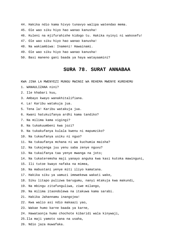- 44. Hakika ndio kama hivyo tunavyo walipa watendao mema.
- 45. Ole wao siku hiyo hao wanao kanusha!
- 46. Kuleni na mjifurahishe kidogo tu. Hakika nyinyi ni wakosefu!
- 47. Ole wao siku hiyo hao wanao kanusha!
- 48. Na wakiambiwa: Inameni! Hawainami.
- 49. Ole wao siku hiyo hao wanao kanusha!
- 50. Basi maneno gani baada ya haya watayaamini?

## **SURA 78. SURAT ANNABAA**

- 1. WANAULIZANA nini?
- 2. Ile khabari kuu,
- 3. Ambayo kwayo wanakhitalifiana.
- 4. La! Karibu watakuja jua.
- 5. Tena la! Karibu watakuja jua.
- 6. Kwani hatukuifanya ardhi kama tandiko?
- 7. Na milima kama vigingi?
- 8. Na tukakuumbeni kwa jozi?
- 9. Na tukakufanya kulala kwenu ni mapumziko?
- 10. Na tukaufanya usiku ni nguo?
- 11. Na tukaufanya mchana ni wa kuchumia maisha?
- 12. Na tukajenga juu yenu saba zenye nguvu?
- 13. Na tukaifanya taa yenye mwanga na joto;
- 14. Na tukateremsha maji yanayo anguka kwa kasi kutoka mawinguni,
- 15. Ili tutoe kwayo nafaka na mimea,
- 16. Na mabustani yenye miti iliyo kamatana.
- 17. Hakika siku ya uamuzi imewekewa wakati wake,
- 18. Siku litapo pulizwa barugumu, nanyi mtakuja kwa makundi,
- 19. Na mbingu zitafunguliwa, ziwe milango,
- 20. Na milima itaondolewa na itakuwa kama sarabi.
- 21. Hakika Jahannamu inangojea!
- 22. Kwa walio asi ndio makaazi yao,
- 23. Wakae humo karne baada ya karne,
- 24. Hawataonja humo chochote kibaridi wala kinywaji,
- 25.Ila maji yamoto sana na usaha,
- 26. Ndio jaza muwafaka.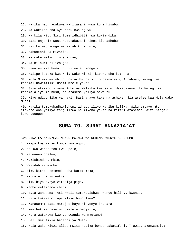27. Hakika hao hawakuwa wakitaraji kuwa kuna hisabu.

28. Na wakikanusha Aya zetu kwa nguvu.

29. Na kila kitu Sisi tumekidhibiti kwa kukiandika.

30. Basi onjeni! Nasi hatutakuzidishieni ila adhabu!

31. Hakika wachamngu wanastahiki kufuzu,

32. Mabustani na mizabibu,

33. Na wake walio lingana nao,

34. Na bilauri zilizo jaa,

35. Hawatasikia humo upuuzi wala uwongo -

36. Malipo kutoka kwa Mola wako Mlezi, kipawa cha kutosha.

37. Mola Mlezi wa mbingu na ardhi na vilio baina yao, Arrahman, Mwingi wa rehema; hawamiliki usemi mbele yake!

38. Siku atakapo simama Roho na Malaika kwa safu. Hawatasema ila Mwingi wa rehema aliye mruhusu, na atasema yaliyo sawa tu.

39. Hiyo ndiyo Siku ya haki. Basi anaye taka na ashike njia arejee kwa Mola wake Mlezi.

40. Hakika tumekuhadharisheni adhabu iliyo karibu kufika; Siku ambayo mtu atakapo ona yaliyo tangulizwa na mikono yake; na kafiri atasema: Laiti ningeli kuwa udongo!

## **SURA 79. SURAT ANNAZIA'AT**

KWA JINA LA MWENYEZI MUNGU MWINGI WA REHEMA MWENYE KUREHEMU

1. Naapa kwa wanao komoa kwa nguvu,

2. Na kwa wanao toa kwa upole,

3. Na wanao ogelea,

4. Wakishindana mbio,

5. Wakidabiri mambo.

6. Siku kitapo tetemeka cha kutetemeka,

7. Kifuate cha kufuatia.

8. Siku hiyo nyoyo zitapiga piga,

9. Macho yatainama chini.

10. Sasa wanasema: Ati kweli tutarudishwa kwenye hali ya kwanza?

11. Hata tukiwa mifupa iliyo bunguliwa?

12. Wanasema: Basi marejeo hayo ni yenye khasara!

13. Kwa hakika hayo ni ukelele mmoja tu,

14. Mara watakuwa kwenye uwanda wa mkutano!

15. Je! Imekufikia hadithi ya Musa?

16. Mola wake Mlezi alipo mwita katika bonde takatifu la T'uwaa, akamwambia: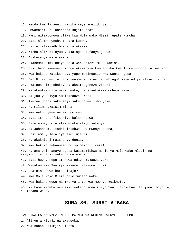- 17. Nenda kwa Firauni. Hakika yeye amezidi jeuri.
- 18. Umwambie: Je! Unapenda kujitakasa?
- 19. Nami nitakuongoa ufike kwa Mola wako Mlezi, upate kumcha.
- 20. Basi alimwonyesha Ishara kubwa.
- 21. Lakini aliikadhibisha na akaasi.
- 22. Kisha alirudi nyuma, akaingia kufanya juhudi.
- 23. Akakusanya watu akanadi.
- 24. Akasema: Mimi ndiye Mola wenu Mlezi mkuu kabisa.
- 25. Basi hapo Mwenyezi Mungu akamshika kumuadhibu kwa la mwisho na la mwanzo.
- 26. Kwa hakika katika haya yapo mazingatio kwa wanao ogopa.
- 27. Je! Ni vigumu zaidi kukuumbeni nyinyi au mbingu? Yeye ndiye aliye ijenga!
- 28. Akainua kimo chake, na akaitengeneza vizuri.
- 29. Na akautia giza usiku wake, na akautokeza mchana wake.
- 30. Na juu ya hivyo ameitandaza ardhi.
- 31. Akatoa ndani yake maji yake na malisho yake,
- 32. Na milima akaisimamisha,
- 33. Kwa nafuu yenu na mifugo yenu.
- 34. Basi itakapo fika hiyo balaa kubwa,
- 35. Siku ambayo mtu atakumbuka aliyo yafanya,
- 36. Na Jahannamu itadhihirishwa kwa mwenye kuona,
- 37. Basi ama yule aliye zidi ujeuri,
- 38. Na akakhiari maisha ya dunia,
- 39. Kwa hakika Jahannamu ndiyo makaazi yake!

40. Na ama yule anaye ogopa kusimamishwa mbele ya Mola wake Mlezi, na akajizuilia nafsi yake na matamanio,

- 41. Basi huyo, Pepo itakuwa ndiyo makaazi yake!
- 42. Wanakuuliza Saa (ya Kiyama) itakuwa lini?
- 43. Una nini wewe hata uitaje?
- 44. Kwa Mola wako Mlezi ndio mwisho wake.
- 45. Kwa hakika wewe ni mwonyaji tu kwa mwenye kuikhofu.

46. Ni kama kwamba wao siku watapo iona (hiyo Saa) hawakukaa ila jioni moja tu, au mchana wake.

# **SURA 80. SURAT A'BASA**

- 1. Alikunja kipaji na akageuka,
- 2. Kwa sababu alimjia kipofu!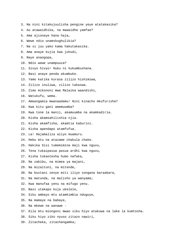- 3. Na nini kitakujuulisha pengine yeye atatakasika?
- 4. Au atawaidhika, na mawaidha yamfae?
- 5. Ama ajionaye hana haja,
- 6. Wewe ndio unamshughulikia?
- 7. Na si juu yako kama hakutakasika.
- 8. Ama anaye kujia kwa juhudi,
- 9. Naye anaogopa,
- 10. Ndio wewe unampuuza?
- 11. Sivyo hivyo! Huku ni kukumbushana.
- 12. Basi anaye penda akumbuke.
- 13. Yamo katika kurasa zilizo hishimiwa,
- 14. Zilizo inuliwa, zilizo takaswa.
- 15. Zimo mikononi mwa Malaika waandishi,
- 16. Watukufu, wema.
- 17. Ameangamia mwanaadamu! Nini kinacho mkufurisha?
- 18. Kwa kitu gani amemuumba?
- 19. Kwa tone la manii, akamuumba na akamkadiria.
- 20. Kisha akamsahilishia njia.
- 21. Kisha akamfisha, akamtia kaburini.
- 22. Kisha apendapo atamfufua.
- 23. La! Hajamaliza aliyo muamuru.
- 24. Hebu mtu na atazame chakula chake.
- 25. Hakika Sisi tumemimina maji kwa nguvu,
- 26. Tena tukaipasua pasua ardhi kwa nguvu,
- 27. Kisha tukaotesha humo nafaka,
- 28. Na zabibu, na mimea ya majani,
- 29. Na mizaituni, na mitende,
- 30. Na bustani zenye miti iliyo songana baraabara,
- 31. Na matunda, na malisho ya wanyama;
- 32. Kwa manufaa yenu na mifugo yenu.
- 33. Basi utakapo kuja ukelele,
- 34. Siku ambayo mtu atamkimbia nduguye,
- 35. Na mamaye na babaye,
- 36. Na mkewe na wanawe -
- 37. Kila mtu miongoni mwao siku hiyo atakuwa na lake la kumtosha.
- 38. Siku hiyo ziko nyuso zitazo nawiri,
- 39. Zitacheka, zitachangamka;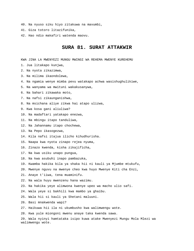- 40. Na nyuso siku hiyo zitakuwa na mavumbi,
- 41. Giza totoro litazifunika,
- 42. Hao ndio makafiri watenda maovu.

## **SURA 81. SURAT ATTAKWIR**

- 1. Jua litakapo kunjwa,
- 2. Na nyota zikazimwa,
- 3. Na milima ikaondolewa,
- 4. Na ngamia wenye mimba pevu watakapo achwa wasishughulikiwe,
- 5. Na wanyama wa mwituni wakakusanywa,
- 6. Na bahari zikawaka moto,
- 7. Na nafsi zikaunganishwa,
- 8. Na msichana aliye zikwa hai atapo ulizwa,
- 9. Kwa kosa gani aliuliwa?
- 10. Na madaftari yatakapo enezwa,
- 11. Na mbingu itapo tanduliwa,
- 12. Na Jahannamu itapo chochewa,
- 13. Na Pepo ikasogezwa,
- 14. Kila nafsi itajua ilicho kihudhurisha.
- 15. Naapa kwa nyota zinapo rejea nyuma,
- 16. Zinazo kwenda, kisha zikajificha,
- 17. Na kwa usiku unapo pungua,
- 18. Na kwa asubuhi inapo pambazuka,
- 19. Kwamba hakika bila ya shaka hii ni kauli ya Mjumbe mtukufu,
- 20. Mwenye nguvu na mwenye cheo kwa huyo Mwenye Kiti cha Enzi,
- 21. Anaye t'iiwa, tena muaminifu.
- 22. Na wala huyu mwenzenu hana wazimu.
- 23. Na hakika yeye alimwona kwenye upeo wa macho ulio safi.
- 24. Wala yeye si bakhili kwa mambo ya ghaibu.
- 25. Wala hii si kauli ya Shetani maluuni.
- 26. Basi mnakwenda wapi?
- 27. Haikuwa hii ila ni ukumbusho kwa walimwengu wote.
- 28. Kwa yule miongoni mwenu anaye taka kwenda sawa.
- 29. Wala nyinyi hamtataka isipo kuwa atake Mwenyezi Mungu Mola Mlezi wa walimwengu wote.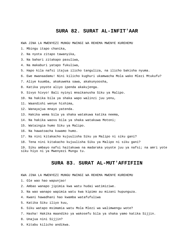#### **SURA 82. SURAT AL-INFIT'AAR**

KWA JINA LA MWENYEZI MUNGU MWINGI WA REHEMA MWENYE KUREHEMU

- 1. Mbingu itapo chanika,
- 2. Na nyota zitapo tawanyika,
- 3. Na bahari zitakapo pasuliwa,
- 4. Na makaburi yatapo fukuliwa,
- 5. Hapo kila nafsi itajua ilicho tanguliza, na ilicho bakisha nyuma.
- 6. Ewe mwanaadamu! Nini kilicho kughuri ukamwacha Mola wako Mlezi Mtukufu?
- 7. Aliye kuumba, akakuweka sawa, akakunyoosha,
- 8. Katika yoyote aliyo ipenda akakujenga.
- 9. Sivyo hivyo! Bali nyinyi mnaikanusha Siku ya Malipo.
- 10. Na hakika bila ya shaka wapo walinzi juu yenu,
- 11. Waandishi wenye hishima,
- 12. Wanayajua mnayo yatenda.
- 13. Hakika wema bila ya shaka watakuwa katika neema,
- 14. Na hakika waovu bila ya shaka watakuwa Motoni;
- 15. Wataingia humo Siku ya Malipo.
- 16. Na hawatoacha kuwamo humo.
- 17. Na nini kitakacho kujuulisha Siku ya Malipo ni siku gani?
- 18. Tena nini kitakacho kujuulisha Siku ya Malipo ni siku gani?

19. Siku ambayo nafsi haitakuwa na madaraka yoyote juu ya nafsi; na amri yote siku hiyo ni ya Mwenyezi Mungu tu.

## **SURA 83. SURAT AL-MUT'AFFIFIIN**

KWA JINA LA MWENYEZI MUNGU MWINGI WA REHEMA MWENYE KUREHEMU

- 1. Ole wao hao wapunjao!
- 2. Ambao wanapo jipimia kwa watu hudai watimiziwe.
- 3. Na wao wanapo wapimia watu kwa kipimo au mizani hupunguza.

4. Kwani hawadhani hao kwamba watafufuliwa

- 5. Katika Siku iliyo kuu,
- 6. Siku watapo msimamia watu Mola Mlezi wa walimwengu wote?
- 7. Hasha! Hakika maandiko ya wakosefu bila ya shaka yamo katika Sijjin.
- 8. Unajua nini Sijjin?
- 9. Kitabu kilicho andikwa.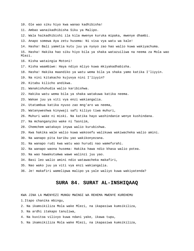- 10. Ole wao siku hiyo kwa wanao kadhibisha!
- 11. Ambao wanaikadhibisha Siku ya Malipo.
- 12. Wala haikadhibishi ila kila mwenye kuruka mipaka, mwenye dhambi.
- 13. Anapo somewa Aya zetu husema: Ni visa vya watu wa kale!
- 14. Hasha! Bali yametia kutu juu ya nyoyo zao hao walio kuwa wakiyachuma.
- 15. Hasha! Hakika hao siku hiyo bila ya shaka watazuiliwa na neema za Mola wao Mlezi.
- 16. Kisha wataingia Motoni!
- 17. Kisha waambiwe: Haya ndiyo mliyo kuwa mkiyakadhabisha.
- 18. Hasha! Hakika maandiko ya watu wema bila ya shaka yamo katika I'liyyin.
- 19. Na nini kitakacho kujuvya nini I'liyyin?
- 20. Kitabu kilicho andikwa.
- 21. Wanakishuhudia walio karibishwa.
- 22. Hakika watu wema bila ya shaka watakuwa katika neema.
- 23. Wakae juu ya viti vya enzi wakiangalia.
- 24. Utatambua katika nyuso zao mng'aro wa neema,
- 25. Watanyweshwa kinywaji safi kiliyo tiwa muhuri,
- 26. Muhuri wake ni miski. Na katika hayo washindanie wenye kushindana.
- 27. Na mchanganyiko wake ni Tasniim,
- 28. Chemchem watakayo inywa walio kurubishwa.
- 29. Kwa hakika wale walio kuwa wakosefu walikuwa wakiwacheka walio amini.
- 30. Na wanapo pita karibu yao wakikonyezana.
- 31. Na wanapo rudi kwa watu wao hurudi nao wamefurahi.
- 32. Na wanapo waona husema: Hakika hawa ndio khasa walio potea.
- 33. Na wao hawakutumwa wawe walinzi juu yao.
- 34. Basi leo walio amini ndio watawacheka makafiri,
- 35. Nao wako juu ya viti vya enzi wakiangalia.
- 36. Je! makafiri wamelipwa malipo ya yale waliyo kuwa wakiyatenda?

## **SURA 84. SURAT AL-INSHIQAAQ**

KWA JINA LA MWENYEZI MUNGU MWINGI WA REHEMA MWENYE KUREHEMU 1.Itapo chanika mbingu,

- 2. Na ikamsikiliza Mola wake Mlezi, na ikapasiwa kumsikiliza,
- 3. Na ardhi itakapo tanuliwa,
- 4. Na kuvitoa vilivyo kuwa ndani yake, ikawa tupu,
- 5. Na ikamsikiliza Mola wake Mlezi, na ikapasiwa kumsikiliza,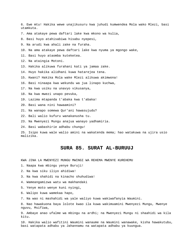6. Ewe mtu! Hakika wewe unajikusuru kwa juhudi kumwendea Mola wako Mlezi, basi utamkuta.

- 7. Ama atakaye pewa daftari lake kwa mkono wa kulia,
- 8. Basi huyo atahisabiwa hisabu nyepesi,
- 9. Na arudi kwa ahali zake na furaha.
- 10. Na ama atakaye pewa daftari lake kwa nyuma ya mgongo wake,
- 11. Basi huyo ataomba kuteketea.
- 12. Na ataingia Motoni.
- 13. Hakika alikuwa furahani kati ya jamaa zake.
- 14. Huyo hakika alidhani kuwa hatarejea tena.
- 15. Kwani? Hakika Mola wake Mlezi alikuwa akimwona!
- 16. Basi ninaapa kwa wekundu wa jua linapo kuchwa,
- 17. Na kwa usiku na unavyo vikusanya,
- 18. Na kwa mwezi unapo pevuka,
- 19. Lazima mtapanda t'abaka kwa t'abaka!
- 20. Basi wana nini hawaamini?
- 21. Na wanapo somewa Qur'ani hawasujudu?
- 22. Bali walio kufuru wanakanusha tu.
- 23. Na Mwenyezi Mungu anajua wanayo yadhamiria.
- 24. Basi wabashirie adhabu chungu!

25. Isipo kuwa wale walio amini na wakatenda mema; hao watakuwa na ujira usio malizika.

## **SURA 85. SURAT AL-BURUUJ**

KWA JINA LA MWENYEZI MUNGU MWINGI WA REHEMA MWENYE KUREHEMU

- 1. Naapa kwa mbingu yenye Buruji!
- 2. Na kwa siku iliyo ahidiwa!
- 3. Na kwa shahidi na kinacho shuhudiwa!
- 4. Wameangamizwa watu wa makhandaki
- 5. Yenye moto wenye kuni nyingi,
- 6. Walipo kuwa wamekaa hapo,
- 7. Na wao ni mashahidi wa yale waliyo kuwa wakiwafanyia Waumini.

8. Nao hawakuona baya lolote kwao ila kuwa wakimuamini Mwenyezi Mungu, Mwenye nguvu, Msifiwa,

9. Ambaye anao ufalme wa mbingu na ardhi; na Mwenyezi Mungu ni shaahidi wa kila kitu.

10. Hakika walio wafitini Waumini wanaume na Waumini wanawake, kisha hawakutubu, basi watapata adhabu ya Jahannamu na watapata adhabu ya kuungua.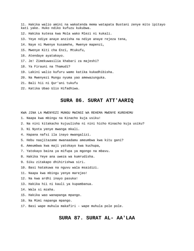- 11. Hakika walio amini na wakatenda mema watapata Bustani zenye mito ipitayo kati yake. Huko ndiko kufuzu kukubwa.
- 12. Hakika kutesa kwa Mola wako Mlezi ni kukali.
- 13. Yeye ndiye anaye anzisha na ndiye anaye rejeza tena,
- 14. Naye ni Mwenye kusamehe, Mwenye mapenzi,
- 15. Mwenye Kiti cha Enzi, Mtukufu,
- 16. Atendaye ayatakayo.
- 17. Je! Zimekuwasilia khabari za majeshi?
- 18. Ya Firauni na Thamudi?
- 19. Lakini walio kufuru wamo katika kukadhibisha.
- 20. Na Mwenyezi Mungu nyuma yao amewazunguka.
- 21. Bali hii ni Qur'ani tukufu
- 22. Katika Ubao Ulio Hifadhiwa.

#### **SURA 86. SURAT ATT'AARIQ**

KWA JINA LA MWENYEZI MUNGU MWINGI WA REHEMA MWENYE KUREHEMU

- 1. Naapa kwa mbingu na Kinacho kuja usiku!
- 2. Na nini kitakacho kujuulisha ni nini hicho Kinacho kuja usiku?
- 3. Ni Nyota yenye mwanga mkali.
- 4. Hapana nafsi ila inayo mwangalizi.
- 5. Hebu naajitazame mwanaadamu ameumbwa kwa kitu gani?
- 6. Ameumbwa kwa maji yatokayo kwa kuchupa,
- 7. Yatokayo baina ya mifupa ya mgongo na mbavu.
- 8. Hakika Yeye ana uweza wa kumrudisha.
- 9. Siku zitakapo dhihirishwa siri.
- 10. Basi hatakuwa na nguvu wala msaidizi.
- 11. Naapa kwa mbingu yenye marejeo!
- 12. Na kwa ardhi inayo pasuka!
- 13. Hakika hii ni kauli ya kupambanua.
- 14. Wala si mzaha.
- 15. Hakika wao wanapanga mpango.
- 16. Na Mimi napanga mpango.
- 17. Basi wape muhula makafiri wape muhula pole pole.

## **SURA 87. SURAT AL- AA'LAA**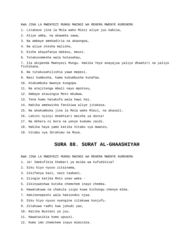KWA JINA LA MWENYEZI MUNGU MWINGI WA REHEMA MWENYE KUREHEMU

1. Litakase jina la Mola wako Mlezi aliye juu kabisa,

- 2. Aliye umba, na akaweka sawa,
- 3. Na ambaye amekadiria na akaongoa,
- 4. Na aliye otesha malisho,
- 5. Kisha akayafanya makavu, meusi.
- 6. Tutakusomesha wala hutasahau,

7. Ila akipenda Mwenyezi Mungu. Hakika Yeye anayajua yaliyo dhaahiri na yaliyo fichikana.

- 8. Na tutakusahilishia yawe mepesi.
- 9. Basi kumbusha, kama kukumbusha kunafaa.

10. Atakumbuka mwenye kuogopa.

- 11. Na atajitenga mbali nayo mpotovu,
- 12. Ambaye atauingia Moto mkubwa.
- 13. Tena humo hatakufa wala hawi hai.
- 14. Hakika amekwisha fanikiwa aliye jitakasa.
- 15. Na akakumbuka jina la Mola wake Mlezi, na akasali.
- 16. Lakini nyinyi mnakhiari maisha ya dunia!
- 17. Na Akhera ni bora na yenye kudumu zaidi.
- 18. Hakika haya yamo katika Vitabu vya mwanzo,
- 19. Vitabu vya Ibrahimu na Musa.

#### **SURA 88. SURAT AL-GHAASHIYAH**

- 1. Je! Imekufikia khabari ya msiba wa kufudikiza?
- 2. Siku hiyo nyuso zitainama,
- 3. Zikifanya kazi, nazo taabani.
- 4. Ziingie katika Moto unao waka -
- 5. Zikinyweshwa kutoka chemchem inayo chemka.
- 6. Hawatakuwa na chakula isipo kuwa kichungu chenye miba.
- 7. Hakinenepeshi wala hakiondoi njaa.
- 8. Siku hiyo nyuso nyengine zitakuwa kunjufu.
- 9. Zitakuwa radhi kwa juhudi yao,
- 10. Katika Bustani ya juu.
- 11. Hawatasikia humo upuuzi.
- 12. Humo imo chemchem inayo miminika.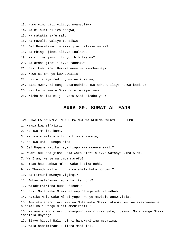- 13. Humo vimo viti vilivyo nyanyuliwa,
- 14. Na bilauri zilizo pangwa,
- 15. Na matakia safu safu,
- 16. Na mazulia yaliyo tandikwa.
- 17. Je! Hawamtazami ngamia jinsi alivyo umbwa?
- 18. Na mbingu jinsi ilivyo inuliwa?
- 19. Na milima jinsi ilivyo thibitishwa?
- 20. Na ardhi jinsi ilivyo tandazwa?
- 21. Basi kumbusha! Hakika wewe ni Mkumbushaji.
- 22. Wewe si mwenye kuwatawalia.
- 23. Lakini anaye rudi nyuma na kukataa,
- 24. Basi Mwenyezi Mungu atamuadhibu kwa adhabu iliyo kubwa kabisa!
- 25. Hakika ni kwetu Sisi ndio marejeo yao.
- 26. Kisha hakika ni juu yetu Sisi hisabu yao!

## **SURA 89. SURAT AL-FAJR**

KWA JINA LA MWENYEZI MUNGU MWINGI WA REHEMA MWENYE KUREHEMU

- 1. Naapa kwa alfajiri,
- 2. Na kwa masiku kumi,
- 3. Na kwa viwili viwili na kimoja kimoja,
- 4. Na kwa usiku unapo pita,
- 5. Je! Hapana katika haya kiapo kwa mwenye akili?
- 6. Kwani hukuona jinsi Mola wako Mlezi alivyo wafanya kina A'di?
- 7. Wa Iram, wenye majumba marefu?
- 8. Ambao haukuumbwa mfano wake katika nchi?
- 9. Na Thamudi walio chonga majabali huko bondeni?
- 10. Na Firauni mwenye vigingi?
- 11. Ambao walifanya jeuri katika nchi?
- 12. Wakakithirisha humo ufisadi?
- 13. Basi Mola wako Mlezi aliwapiga mjeledi wa adhabu.
- 14. Hakika Mola wako Mlezi yupo kwenye mavizio anawavizia.

15. Ama mtu anapo jaribiwa na Mola wake Mlezi, akamkirimu na akamneemesha, husema: Mola wangu Mlezi amenikirimu!

16. Na ama anapo mjaribu akampunguzia riziki yake, husema: Mola wangu Mlezi amenitia unyonge!

17. Sivyo hivyo! Bali nyinyi hamuwakirimu mayatima,

18. Wala hamhimizani kulisha masikini;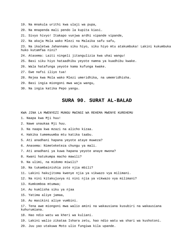- 19. Na mnakula urithi kwa ulaji wa pupa,
- 20. Na mnapenda mali pendo la kupita kiasi.
- 21. Sivyo hivyo! Itakapo vunjwa ardhi vipande vipande,
- 22. Na akaja Mola wako Mlezi na Malaika safu safu,

23. Na ikaletwa Jahannamu siku hiyo, siku hiyo mtu atakumbuka! Lakini kukumbuka huko kutamfaa nini?

- 24. Atasema: Laiti ningeli jitangulizia kwa uhai wangu!
- 25. Basi siku hiyo hataadhibu yeyote namna ya kuadhibu kwake.
- 26. Wala hatafunga yeyote kama kufunga kwake.
- 27. Ewe nafsi iliyo tua!
- 28. Rejea kwa Mola wako Mlezi umeridhika, na umemridhisha.
- 29. Basi ingia miongoni mwa waja wangu,
- 30. Na ingia katika Pepo yangu.

#### **SURA 90. SURAT AL-BALAD**

KWA JINA LA MWENYEZI MUNGU MWINGI WA REHEMA MWENYE KUREHEMU

- 1. Naapa kwa Mji huu!
- 2. Nawe unaukaa Mji huu.
- 3. Na naapa kwa mzazi na alicho kizaa.
- 4. Hakika tumemuumba mtu katika taabu.
- 5. Ati anadhani hapana yeyote ataye muweza?
- 6. Anasema: Nimeteketeza chungu ya mali.
- 7. Ati anadhani ya kuwa hapana yeyote anaye mwona?
- 8. Kwani hatukumpa macho mawili?
- 9. Na ulimi, na midomo miwili?
- 10. Na tukambainishia zote njia mbili?
- 11. Lakini hakujitoma kwenye njia ya vikwazo vya milimani.
- 12. Na nini kitakujuvya ni nini njia ya vikwazo vya milimani?
- 13. Kumkomboa mtumwa;
- 14. Au kumlisha siku ya njaa
- 15. Yatima aliye jamaa,
- 16. Au masikini aliye vumbini.

17. Tena awe miongoni mwa walio amini na wakausiana kusubiri na wakausiana kuhurumiana.

- 18. Hao ndio watu wa kheri wa kuliani.
- 19. Lakini walio zikataa Ishara zetu, hao ndio watu wa shari wa kushotoni. 20. Juu yao utakuwa Moto ulio fungiwa kila upande.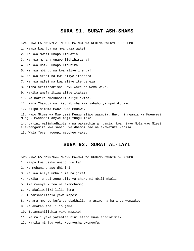#### **SURA 91. SURAT ASH-SHAMS**

KWA JINA LA MWENYEZI MUNGU MWINGI WA REHEMA MWENYE KUREHEMU

1. Naapa kwa jua na mwangaza wake!

2. Na kwa mwezi unapo lifuatia!

3. Na kwa mchana unapo lidhihirisha!

4. Na kwa usiku unapo lifunika!

5. Na kwa mbingu na kwa aliye ijenga!

6. Na kwa ardhi na kwa aliye itandaza!

7. Na kwa nafsi na kwa aliye itengeneza!

8. Kisha akaifahamisha uovu wake na wema wake,

9. Hakika amefanikiwa aliye itakasa,

10. Na hakika amekhasiri aliye iviza.

11. Kina Thamudi walikadhibisha kwa sababu ya upotofu wao,

12. Alipo simama mwovu wao mkubwa,

13. Hapo Mtume wa Mwenyezi Mungu alipo waambia: Huyu ni ngamia wa Mwenyezi Mungu, mwacheni anywe maji fungu lake.

14. Lakini walimkadhibisha na wakamchinja ngamia, kwa hivyo Mola wao Mlezi aliwaangamiza kwa sababu ya dhambi zao na akawafuta kabisa.

15. Wala Yeye haogopi matokeo yake.

#### **SURA 92. SURAT AL-LAYL**

KWA JINA LA MWENYEZI MUNGU MWINGI WA REHEMA MWENYE KUREHEMU

1. Naapa kwa usiku unapo funika!

2. Na mchana unapo dhihiri!

- 3. Na kwa Aliye umba dume na jike!
- 4. Hakika juhudi zenu bila ya shaka ni mbali mbali.
- 5. Ama mwenye kutoa na akamchamngu,
- 6. Na akaliwafiki lilio jema,
- 7. Tutamsahilishia yawe mepesi.
- 8. Na ama mwenye kufanya ubakhili, na asiwe na haja ya wenzake,
- 9. Na akakanusha lilio jema,
- 10. Tutamsahilishia yawe mazito!
- 11. Na mali yake yatamfaa nini atapo kuwa anadidimia?
- 12. Hakika ni juu yetu kuonyesha uwongofu.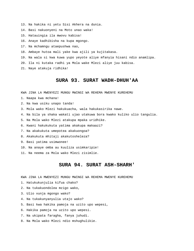- 13. Na hakika ni yetu Sisi Akhera na dunia.
- 14. Basi nakuonyeni na Moto unao waka!
- 15. Hatauingia ila mwovu kabisa!
- 16. Anaye kadhibisha na kupa mgongo.
- 17. Na mchamngu ataepushwa nao,
- 18. Ambaye hutoa mali yake kwa ajili ya kujitakasa.
- 19. Na wala si kwa kuwa yupo yeyote aliye mfanyia hisani ndio anamlipa.
- 20. Ila ni kutaka radhi ya Mola wake Mlezi aliye juu kabisa.
- 21. Naye atakuja ridhika!

## **SURA 93. SURAT WADH-DHUH'AA**

KWA JINA LA MWENYEZI MUNGU MWINGI WA REHEMA MWENYE KUREHEMU

- 1. Naapa kwa mchana!
- 2. Na kwa usiku unapo tanda!
- 3. Mola wako Mlezi hakukuacha, wala hakukasirika nawe.
- 4. Na bila ya shaka wakati ujao utakuwa bora kwako kuliko ulio tangulia.
- 5. Na Mola wako Mlezi atakupa mpaka uridhike.
- 6. Kwani hakukukuta yatima akakupa makaazi?
- 7. Na akakukuta umepotea akakuongoa?
- 8. Akakukuta mhitaji akakutosheleza?
- 9. Basi yatima usimwonee!
- 10. Na anaye omba au kuuliza usimkaripie!
- 11. Na neema za Mola wako Mlezi zisimlie.

## **SURA 94. SURAT ASH-SHARH'**

- 1. Hatukukunjulia kifua chako?
- 2. Na tukakuondolea mzigo wako,
- 3. Ulio vunja mgongo wako?
- 4. Na tukakunyanyulia utajo wako?
- 5. Basi kwa hakika pamoja na uzito upo wepesi,
- 6. Hakika pamoja na uzito upo wepesi.
- 7. Na ukipata faragha, fanya juhudi.
- 8. Na Mola wako Mlezi ndio mshughulikie.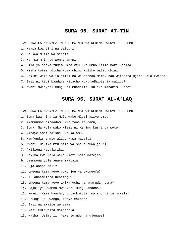## **SURA 95. SURAT AT-TIN**

KWA JINA LA MWENYEZI MUNGU MWINGI WA REHEMA MWENYE KUREHEMU

1. Naapa kwa tini na zaituni!

- 2. Na kwa Mlima wa Sinai!
- 3. Na kwa mji huu wenye amani!
- 4. Bila ya shaka tumemuumba mtu kwa umbo lilio bora kabisa.
- 5. Kisha tukamrudisha kuwa chini kuliko walio chini!
- 6. Lakini wale walio amini na wakatenda mema, hao watapata ujira usio kwisha.
- 7. Basi ni kipi baadaye kitacho kukukadhibishia malipo?
- 8. Kwani Mwenyezi Mungu si muadilifu kuliko mahakimu wote?

## **SURA 96. SURAT AL-A'LAQ**

- 1. Soma kwa jina la Mola wako Mlezi aliye umba,
- 2. Amemuumba binaadamu kwa tone la damu,
- 3. Soma! Na Mola wako Mlezi ni Karimu kushinda wote!
- 4. Ambaye amefundisha kwa kalamu.
- 5. Kamfundisha mtu aliyo kuwa hayajui.
- 6. Kwani! Hakika mtu bila ya shaka huwa jeuri
- 7. Akijiona katajirika.
- 8. Hakika kwa Mola wako Mlezi ndio marejeo.
- 9. Umemwona yule anaye mkataza
- 10. Mja anapo sali?
- 11. Umeona kama yeye yuko juu ya uwongofu?
- 12. Au anaamrisha uchamngu?
- 13. Umeona kama yeye akikanusha na anarudi nyuma?
- 14. Hajui ya kwamba Mwenyezi Mungu anaona?
- 15. Kwani! Kama haachi, tutamkokota kwa shungi la nywele!
- 16. Shungi la uwongo, lenye makosa!
- 17. Basi na awaite wenzake!
- 18. Nasi tutawaita Mazabania!
- 19. Hasha! Usimt'ii! Nawe sujudu na ujongee!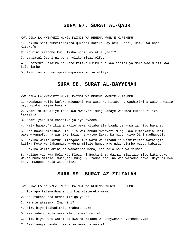## **SURA 97. SURAT AL-QADR**

KWA JINA LA MWENYEZI MUNGU MWINGI WA REHEMA MWENYE KUREHEMU

1. Hakika Sisi tumeiteremsha Qur'ani katika Laylatul Qadri, Usiku wa Cheo Kitukufu.

2. Na nini kitacho kujuulisha nini Laylatul Qadri?

3. Laylatul Qadri ni bora kuliko miezi elfu.

4. Huteremka Malaika na Roho katika usiku huo kwa idhini ya Mola wao Mlezi kwa kila jambo.

5. Amani usiku huo mpaka mapambazuko ya alfajiri.

## **SURA 98. SURAT AL-BAYYINAH**

KWA JINA LA MWENYEZI MUNGU MWINGI WA REHEMA MWENYE KUREHEMU

1. Hawakuwa walio kufuru miongoni mwa Watu wa Kitabu na washirikina waache walio nayo mpaka iwajie bayana,

2. Yaani Mtume aliye toka kwa Mwenyezi Mungu anaye wasomea kurasa zilizo takasika,

3. Ndani yake mna maandiko yaliyo nyooka.

4. Wala hawakufarikiana walio pewa Kitabu ila baada ya kuwajia hiyo bayana.

5. Nao hawakuamrishwa kitu ila wamuabudu Mwenyezi Mungu kwa kumtakasia Dini, wawe waongofu, na washike Sala, na watoe Zaka. Na hiyo ndiyo Dini madhubuti.

6. Hakika walio kufuru miongoni mwa Watu wa Kitabu na washirikina wataingia katika Moto wa Jahannamu wadumu milele humo. Hao ndio viumbe waovu kabisa.

7. Hakika walio amini na wakatenda mema, hao ndio bora wa viumbe.

8. Malipo yao kwa Mola wao Mlezi ni Bustani za daima, zipitazo mito kati yake. Wakae humo milele. Mwenyezi Mungu yu radhi nao, na wao waradhi naye. Hayo ni kwa anaye mwogopa Mola wake Mlezi.

## **SURA 99. SURAT AZ-ZILZALAH**

KWA JINA LA MWENYEZI MUNGU MWINGI WA REHEMA MWENYE KUREHEMU

1. Itakapo tetemeshwa ardhi kwa mtetemeko wake!

2. Na itakapo toa ardhi mizigo yake!

3. Na mtu akasema: Ina nini?

4. Siku hiyo itahadithia khabari zake.

5. Kwa sababu Mola wake Mlezi ameifunulia!

6. Siku hiyo watu watatoka kwa mfarakano wakaonyweshwe vitendo vyao!

7. Basi anaye tenda chembe ya wema, atauona!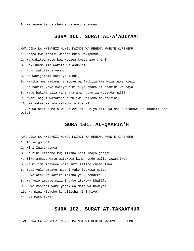8. Na anaye tenda chembe ya uovu atauona!

## **SURA 100. SURAT AL-A'ADIYAAT**

KWA JINA LA MWENYEZI MUNGU MWINGI WA REHEMA MWENYE KUREHEMU

1. Naapa kwa farasi wendao mbio wakipumua,

2. Na wakitoa moto kwa kupiga kwato zao chini,

3. Wakishambulia wakati wa asubuhi,

4. Huku wakitimua vumbi,

5. Na wakijitoma kati ya kundi,

6. Hakika mwanaadamu ni mtovu wa fadhila kwa Mola wake Mlezi!

7. Na hakika yeye mwenyewe bila ya shaka ni shahidi wa hayo!

8. Naye hakika bila ya shaka ana nguvu za kupenda mali!

9. Kwani hajui watakapo fufuliwa waliomo makaburini?

10. Na yakakusanywa yaliomo vifuani?

11. Kuwa hakika Mola wao Mlezi siku hiyo bila ya shaka atakuwa na khabari zao wote!

## **SURA 101. AL-QAARIA'H**

KWA JINA LA MWENYEZI MUNGU MWINGI WA REHEMA MWENYE KUREHEMU

- 1. Inayo gonga!
- 2. Nini Inayo gonga?

3. Na nini kitacho kujuilisha nini Inayo gonga?

4. Siku ambayo watu watakuwa kama nondo walio tawanyika;

5. Na milima itakuwa kama sufi zilizo chambuliwa!

6. Basi yule ambaye mizani yake itakuwa nzito,

7. Huyo atakuwa katika maisha ya kupendeza.

8. Na yule ambaye mizani yake itakuwa khafifu,

9. Huyo maskani yake yatakuwa Moto wa Hawiya!

10. Na nini kitacho kujuilisha nini hiyo?

11. Ni Moto mkali!

## **SURA 102. SURAT AT-TAKAATHUR**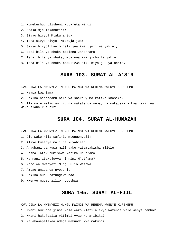- 1. Kumekushughulisheni kutafuta wingi,
- 2. Mpaka mje makaburini!
- 3. Sivyo hivyo! Mtakuja jua!
- 4, Tena sivyo hivyo! Mtakuja jua!
- 5. Sivyo hivyo! Lau mngeli jua kwa ujuzi wa yakini,
- 6. Basi bila ya shaka mtaiona Jahannamu!
- 7. Tena, bila ya shaka, mtaiona kwa jicho la yakini.
- 8. Tena bila ya shaka mtaulizwa siku hiyo juu ya neema.

## **SURA 103. SURAT AL-A'S'R**

KWA JINA LA MWENYEZI MUNGU MWINGI WA REHEMA MWENYE KUREHEMU

- 1. Naapa kwa Zama!
- 2. Hakika binaadamu bila ya shaka yumo katika khasara,

3. Ila wale walio amini, na wakatenda mema, na wakausiana kwa haki, na wakausiana kusubiri.

#### **SURA 104. SURAT AL-HUMAZAH**

KWA JINA LA MWENYEZI MUNGU MWINGI WA REHEMA MWENYE KUREHEMU

1. Ole wake kila safihi, msengenyaji!

- 2. Aliye kusanya mali na kuyahisabu.
- 3. Anadhani ya kuwa mali yake yatambakisha milele!
- 4. Hasha! Atavurumishwa katika H'ut'ama.
- 5. Na nani atakujuvya ni nini H'ut'ama?
- 6. Moto wa Mwenyezi Mungu ulio washwa.
- 7. Ambao unapanda nyoyoni.
- 8. Hakika huo utafungiwa nao
- 9. Kwenye nguzo zilio nyooshwa.

## **SURA 105. SURAT AL-FIIL**

- 1. Kwani hukuona jinsi Mola wako Mlezi alivyo watenda wale wenye tembo?
- 2. Kwani hakujaalia vitimbi vyao kuharibika?
- 3. Na akawapelekea ndege makundi kwa makundi,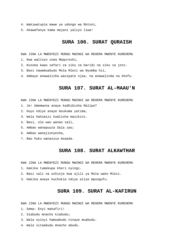- 4. Wakiwatupia mawe ya udongo wa Motoni,
- 5. Akawafanya kama majani yaliyo liwa!

## **SURA 106. SURAT QURAISH**

KWA JINA LA MWENYEZI MUNGU MWINGI WA REHEMA MWENYE KUREHEMU

- 1. Kwa walivyo zoea Maqureshi,
- 2. Kuzoea kwao safari za siku za baridi na siku za joto.
- 3. Basi nawamuabudu Mola Mlezi wa Nyumba hii,
- 4. Ambaye anawalisha wasipate njaa, na anawalinda na khofu.

## **SURA 107. SURAT AL-MAAU'N**

KWA JINA LA MWENYEZI MUNGU MWINGI WA REHEMA MWENYE KUREHEMU

- 1. Je! Umemwona anaye kadhibisha Malipo?
- 2. Huyo ndiye anaye msukuma yatima,
- 3. Wala hahimizi kumlisha masikini.
- 4. Basi, ole wao wanao sali,
- 5. Ambao wanapuuza Sala zao;
- 6. Ambao wanajionyesha,
- 7. Nao huku wanazuia msaada.

## **SURA 108. SURAT ALKAWTHAR**

KWA JINA LA MWENYEZI MUNGU MWINGI WA REHEMA MWENYE KUREHEMU

- 1. Hakika tumekupa kheri nyingi.
- 2. Basi sali na uchinje kwa ajili ya Mola wako Mlezi.
- 3. Hakika anaye kuchukia ndiye aliye mpungufu.

## **SURA 109. SURAT AL-KAFIRUN**

- 1. Sema: Enyi makafiri!
- 2. Siabudu mnacho kiabudu;
- 3. Wala nyinyi hamuabudu ninaye muabudu.
- 4. Wala sitaabudu mnacho abudu.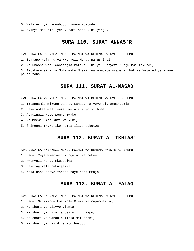- 5. Wala nyinyi hamuabudu ninaye muabudu.
- 6. Nyinyi mna dini yenu, nami nina Dini yangu.

# **SURA 110. SURAT ANNAS'R**

KWA JINA LA MWENYEZI MUNGU MWINGI WA REHEMA MWENYE KUREHEMU

1. Itakapo kuja nu ya Mwenyezi Mungu na ushindi,

2. Na ukaona watu wanaingia katika Dini ya Mwenyezi Mungu kwa makundi,

3. Zitakase sifa za Mola wako Mlezi, na umwombe msamaha; hakika Yeye ndiye anaye pokea toba.

#### **SURA 111. SURAT AL-MASAD**

KWA JINA LA MWENYEZI MUNGU MWINGI WA REHEMA MWENYE KUREHEMU

- 1. Imeangamia mikono ya Abu Lahab, na yeye pia ameangamia.
- 2. Hayatamfaa mali yake, wala alivyo vichuma.
- 3. Atauingia Moto wenye mwako.
- 4. Na mkewe, mchukuzi wa kuni,
- 5. Shingoni mwake iko kamba iliyo sokotwa.

### **SURA 112. SURAT AL-IKHLAS'**

KWA JINA LA MWENYEZI MUNGU MWINGI WA REHEMA MWENYE KUREHEMU

- 1. Sema: Yeye Mwenyezi Mungu ni wa pekee.
- 2. Mwenyezi Mungu Mkusudiwa.
- 3. Hakuzaa wala hakuzaliwa.
- 4. Wala hana anaye fanana naye hata mmoja.

## **SURA 113. SURAT AL-FALAQ**

KWA JINA LA MWENYEZI MUNGU MWINGI WA REHEMA MWENYE KUREHEMU

1. Sema: Najikinga kwa Mola Mlezi wa mapambazuko,

- 2. Na shari ya alivyo viumba,
- 3. Na shari ya giza la usiku liingiapo,
- 4. Na shari ya wanao pulizia mafundoni,
- 5. Na shari ya hasidi anapo husudu.